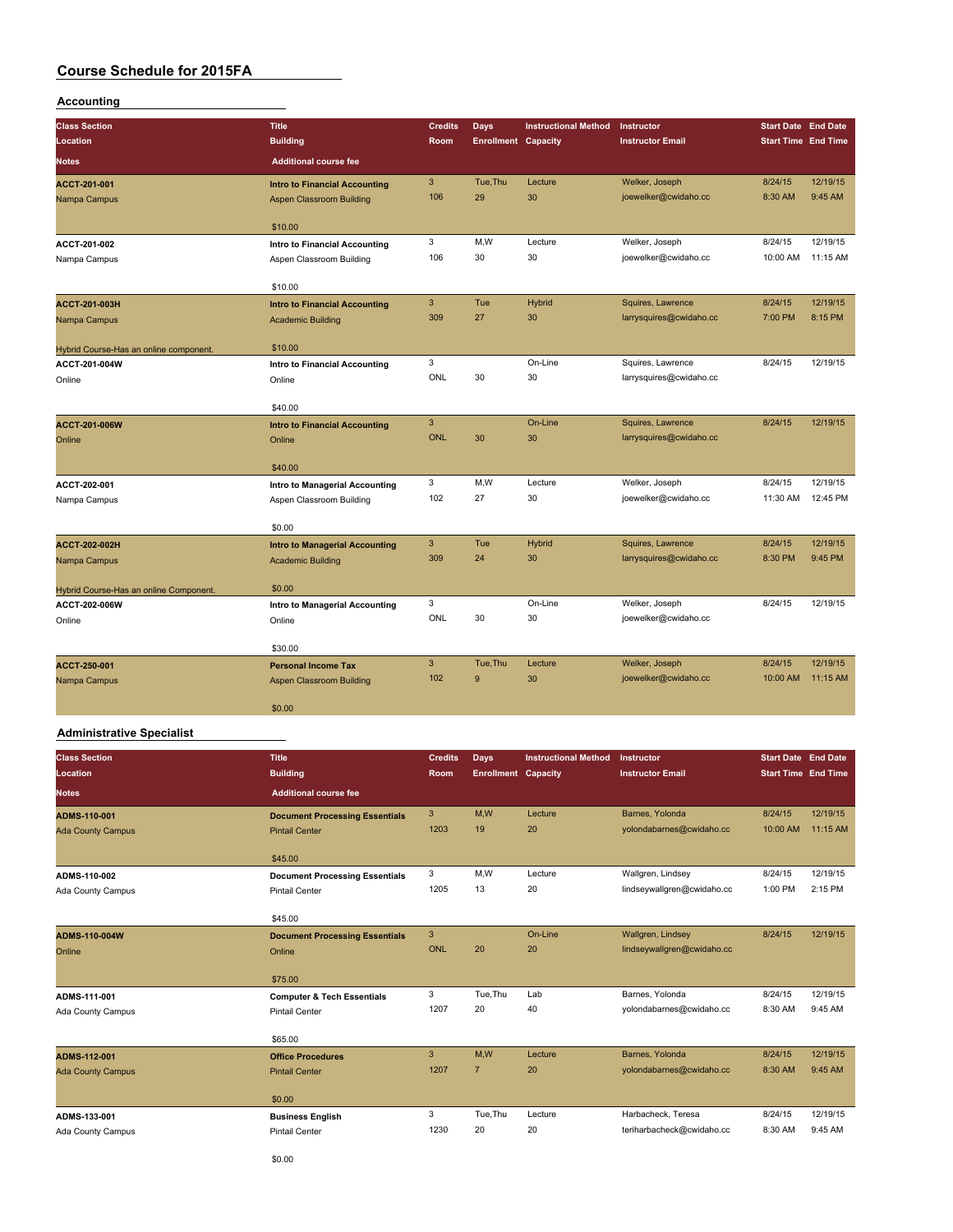## **Accounting**

| <b>Class Section</b>                                    | <b>Title</b>                          | <b>Credits</b> | <b>Days</b>                | <b>Instructional Method</b> | Instructor              | <b>Start Date End Date</b> |          |
|---------------------------------------------------------|---------------------------------------|----------------|----------------------------|-----------------------------|-------------------------|----------------------------|----------|
| Location                                                | <b>Building</b>                       | Room           | <b>Enrollment Capacity</b> |                             | <b>Instructor Email</b> | <b>Start Time End Time</b> |          |
| Notes                                                   | <b>Additional course fee</b>          |                |                            |                             |                         |                            |          |
| ACCT-201-001                                            | <b>Intro to Financial Accounting</b>  | 3              | Tue.Thu                    | Lecture                     | Welker, Joseph          | 8/24/15                    | 12/19/15 |
| Nampa Campus                                            | Aspen Classroom Building              | 106            | 29                         | 30                          | joewelker@cwidaho.cc    | 8:30 AM                    | 9:45 AM  |
|                                                         | \$10.00                               |                |                            |                             |                         |                            |          |
| ACCT-201-002                                            | Intro to Financial Accounting         | 3              | M,W                        | Lecture                     | Welker, Joseph          | 8/24/15                    | 12/19/15 |
| Nampa Campus                                            | Aspen Classroom Building              | 106            | 30                         | 30                          | joewelker@cwidaho.cc    | 10:00 AM                   | 11:15 AM |
|                                                         | \$10.00                               |                |                            |                             |                         |                            |          |
| ACCT-201-003H                                           | <b>Intro to Financial Accounting</b>  | 3              | Tue                        | <b>Hybrid</b>               | Squires, Lawrence       | 8/24/15                    | 12/19/15 |
| Nampa Campus                                            | <b>Academic Building</b>              | 309            | 27                         | 30                          | larrysquires@cwidaho.cc | 7:00 PM                    | 8:15 PM  |
|                                                         | \$10.00                               |                |                            |                             |                         |                            |          |
| Hybrid Course-Has an online component.<br>ACCT-201-004W | Intro to Financial Accounting         | 3              |                            | On-Line                     | Squires, Lawrence       | 8/24/15                    | 12/19/15 |
| Online                                                  | Online                                | ONL            | 30                         | 30                          | larrysquires@cwidaho.cc |                            |          |
|                                                         |                                       |                |                            |                             |                         |                            |          |
|                                                         | \$40.00                               |                |                            |                             |                         |                            |          |
| <b>ACCT-201-006W</b>                                    | <b>Intro to Financial Accounting</b>  | 3              |                            | On-Line                     | Squires, Lawrence       | 8/24/15                    | 12/19/15 |
| Online                                                  | Online                                | <b>ONL</b>     | 30                         | 30                          | larrysquires@cwidaho.cc |                            |          |
|                                                         | \$40.00                               |                |                            |                             |                         |                            |          |
| ACCT-202-001                                            | Intro to Managerial Accounting        | 3              | M.W                        | Lecture                     | Welker, Joseph          | 8/24/15                    | 12/19/15 |
| Nampa Campus                                            | Aspen Classroom Building              | 102            | 27                         | 30                          | joewelker@cwidaho.cc    | 11:30 AM                   | 12:45 PM |
|                                                         | \$0.00                                |                |                            |                             |                         |                            |          |
| <b>ACCT-202-002H</b>                                    | <b>Intro to Managerial Accounting</b> | 3              | Tue                        | <b>Hybrid</b>               | Squires, Lawrence       | 8/24/15                    | 12/19/15 |
| Nampa Campus                                            | <b>Academic Building</b>              | 309            | 24                         | 30                          | larrysquires@cwidaho.cc | 8:30 PM                    | 9:45 PM  |
| Hybrid Course-Has an online Component                   | \$0.00                                |                |                            |                             |                         |                            |          |
| ACCT-202-006W                                           | Intro to Managerial Accounting        | 3              |                            | On-Line                     | Welker, Joseph          | 8/24/15                    | 12/19/15 |
| Online                                                  | Online                                | <b>ONL</b>     | 30                         | 30                          | joewelker@cwidaho.cc    |                            |          |
|                                                         |                                       |                |                            |                             |                         |                            |          |
|                                                         | \$30.00                               |                |                            |                             |                         |                            |          |
| ACCT-250-001                                            | <b>Personal Income Tax</b>            | 3<br>102       | Tue, Thu<br>9              | Lecture                     | Welker, Joseph          | 8/24/15                    | 12/19/15 |
| Nampa Campus                                            | Aspen Classroom Building              |                |                            | 30                          | joewelker@cwidaho.cc    | 10:00 AM                   | 11:15 AM |
|                                                         | \$0.00                                |                |                            |                             |                         |                            |          |

#### **Administrative Specialist**

| <b>Class Section</b>     | <b>Title</b>                          | <b>Credits</b> | Days                       | <b>Instructional Method</b> | Instructor                 | <b>Start Date End Date</b> |          |
|--------------------------|---------------------------------------|----------------|----------------------------|-----------------------------|----------------------------|----------------------------|----------|
| Location                 | <b>Building</b>                       | Room           | <b>Enrollment Capacity</b> |                             | <b>Instructor Email</b>    | <b>Start Time End Time</b> |          |
| <b>Notes</b>             | <b>Additional course fee</b>          |                |                            |                             |                            |                            |          |
| ADMS-110-001             | <b>Document Processing Essentials</b> | 3              | M.W                        | Lecture                     | Barnes, Yolonda            | 8/24/15                    | 12/19/15 |
| <b>Ada County Campus</b> | <b>Pintail Center</b>                 | 1203           | 19                         | 20                          | yolondabarnes@cwidaho.cc   | 10:00 AM                   | 11:15 AM |
|                          | \$45.00                               |                |                            |                             |                            |                            |          |
| ADMS-110-002             | <b>Document Processing Essentials</b> | 3              | M,W                        | Lecture                     | Wallgren, Lindsey          | 8/24/15                    | 12/19/15 |
| Ada County Campus        | <b>Pintail Center</b>                 | 1205           | 13                         | 20                          | lindseywallgren@cwidaho.cc | 1:00 PM                    | 2:15 PM  |
|                          | \$45.00                               |                |                            |                             |                            |                            |          |
| <b>ADMS-110-004W</b>     | <b>Document Processing Essentials</b> | 3              |                            | On-Line                     | Wallgren, Lindsey          | 8/24/15                    | 12/19/15 |
| Online                   | Online                                | <b>ONL</b>     | 20                         | 20                          | lindseywallgren@cwidaho.cc |                            |          |
|                          | \$75.00                               |                |                            |                             |                            |                            |          |
| ADMS-111-001             | <b>Computer &amp; Tech Essentials</b> | 3              | Tue.Thu                    | Lab                         | Barnes, Yolonda            | 8/24/15                    | 12/19/15 |
| Ada County Campus        | <b>Pintail Center</b>                 | 1207           | 20                         | 40                          | yolondabarnes@cwidaho.cc   | 8:30 AM                    | 9:45 AM  |
|                          | \$65.00                               |                |                            |                             |                            |                            |          |
| ADMS-112-001             | <b>Office Procedures</b>              | 3              | M.W                        | Lecture                     | Barnes, Yolonda            | 8/24/15                    | 12/19/15 |
| <b>Ada County Campus</b> | <b>Pintail Center</b>                 | 1207           | $\overline{7}$             | 20                          | yolondabarnes@cwidaho.cc   | 8:30 AM                    | 9:45 AM  |
|                          | \$0.00                                |                |                            |                             |                            |                            |          |
| ADMS-133-001             | <b>Business English</b>               | 3              | Tue, Thu                   | Lecture                     | Harbacheck, Teresa         | 8/24/15                    | 12/19/15 |
| Ada County Campus        | <b>Pintail Center</b>                 | 1230           | 20                         | 20                          | teriharbacheck@cwidaho.cc  | 8:30 AM                    | 9:45 AM  |
|                          |                                       |                |                            |                             |                            |                            |          |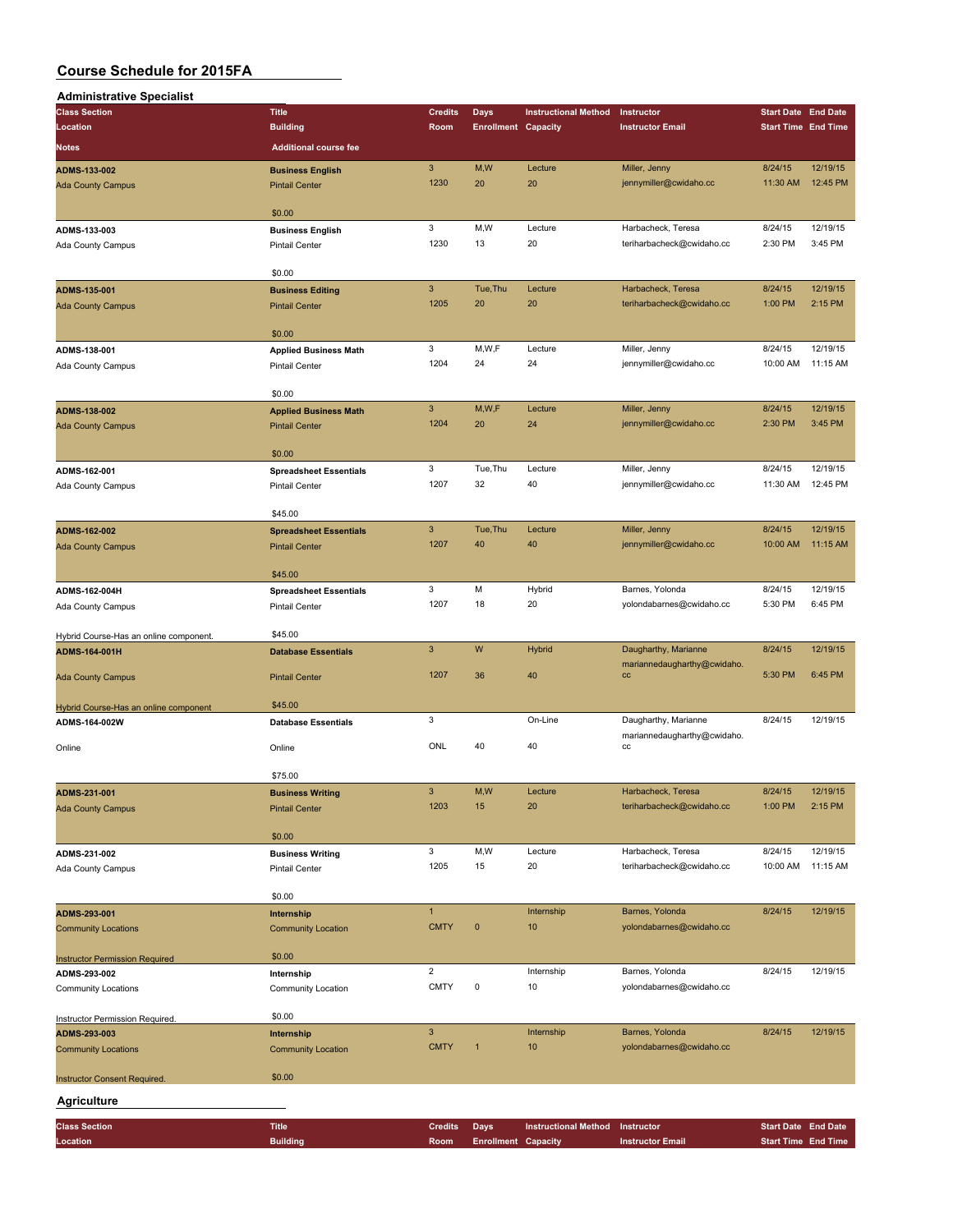| <b>Administrative Specialist</b>                       |                                                        |                         |                            |                             |                                         |                            |                            |
|--------------------------------------------------------|--------------------------------------------------------|-------------------------|----------------------------|-----------------------------|-----------------------------------------|----------------------------|----------------------------|
| <b>Class Section</b>                                   | <b>Title</b>                                           | <b>Credits</b>          | Days                       | <b>Instructional Method</b> | Instructor                              | <b>Start Date End Date</b> |                            |
| Location                                               | <b>Building</b>                                        | Room                    | <b>Enrollment Capacity</b> |                             | <b>Instructor Email</b>                 |                            | <b>Start Time End Time</b> |
| <b>Notes</b>                                           | <b>Additional course fee</b>                           |                         |                            |                             |                                         |                            |                            |
|                                                        |                                                        | $\mathbf{3}$            | M,W                        | Lecture                     |                                         |                            | 12/19/15                   |
| ADMS-133-002                                           | <b>Business English</b>                                | 1230                    | 20                         | 20                          | Miller, Jenny<br>jennymiller@cwidaho.cc | 8/24/15<br>11:30 AM        | 12:45 PM                   |
| <b>Ada County Campus</b>                               | <b>Pintail Center</b>                                  |                         |                            |                             |                                         |                            |                            |
|                                                        | \$0.00                                                 |                         |                            |                             |                                         |                            |                            |
| ADMS-133-003                                           | <b>Business English</b>                                | 3                       | M,W                        | Lecture                     | Harbacheck, Teresa                      | 8/24/15                    | 12/19/15                   |
| Ada County Campus                                      | <b>Pintail Center</b>                                  | 1230                    | 13                         | 20                          | teriharbacheck@cwidaho.cc               | 2:30 PM                    | 3:45 PM                    |
|                                                        |                                                        |                         |                            |                             |                                         |                            |                            |
|                                                        | \$0.00                                                 |                         |                            |                             |                                         |                            |                            |
| ADMS-135-001                                           | <b>Business Editing</b>                                | $\mathbf{3}$            | Tue, Thu                   | Lecture                     | Harbacheck, Teresa                      | 8/24/15                    | 12/19/15                   |
| <b>Ada County Campus</b>                               | <b>Pintail Center</b>                                  | 1205                    | 20                         | 20                          | teriharbacheck@cwidaho.cc               | 1:00 PM                    | 2:15 PM                    |
|                                                        |                                                        |                         |                            |                             |                                         |                            |                            |
|                                                        | \$0.00                                                 |                         |                            |                             |                                         |                            |                            |
| ADMS-138-001                                           | <b>Applied Business Math</b>                           | 3                       | M, W, F                    | Lecture                     | Miller, Jenny                           | 8/24/15                    | 12/19/15                   |
| Ada County Campus                                      | <b>Pintail Center</b>                                  | 1204                    | 24                         | 24                          | jennymiller@cwidaho.cc                  | 10:00 AM                   | 11:15 AM                   |
|                                                        |                                                        |                         |                            |                             |                                         |                            |                            |
|                                                        | \$0.00                                                 |                         |                            |                             |                                         |                            |                            |
| ADMS-138-002                                           | <b>Applied Business Math</b>                           | $\mathbf{3}$            | M,W,F                      | Lecture                     | Miller, Jenny                           | 8/24/15                    | 12/19/15                   |
| <b>Ada County Campus</b>                               | <b>Pintail Center</b>                                  | 1204                    | 20                         | 24                          | jennymiller@cwidaho.cc                  | 2:30 PM                    | 3:45 PM                    |
|                                                        | \$0.00                                                 |                         |                            |                             |                                         |                            |                            |
|                                                        |                                                        | 3                       | Tue, Thu                   | Lecture                     | Miller, Jenny                           | 8/24/15                    | 12/19/15                   |
| ADMS-162-001                                           | <b>Spreadsheet Essentials</b><br><b>Pintail Center</b> | 1207                    | 32                         | 40                          | jennymiller@cwidaho.cc                  | 11:30 AM                   | 12:45 PM                   |
| Ada County Campus                                      |                                                        |                         |                            |                             |                                         |                            |                            |
|                                                        | \$45.00                                                |                         |                            |                             |                                         |                            |                            |
| ADMS-162-002                                           | <b>Spreadsheet Essentials</b>                          | $\mathbf{3}$            | Tue, Thu                   | Lecture                     | Miller, Jenny                           | 8/24/15                    | 12/19/15                   |
| <b>Ada County Campus</b>                               | <b>Pintail Center</b>                                  | 1207                    | 40                         | 40                          | jennymiller@cwidaho.cc                  | 10:00 AM                   | 11:15 AM                   |
|                                                        |                                                        |                         |                            |                             |                                         |                            |                            |
|                                                        | \$45.00                                                |                         |                            |                             |                                         |                            |                            |
| ADMS-162-004H                                          | <b>Spreadsheet Essentials</b>                          | 3                       | M                          | Hybrid                      | Barnes, Yolonda                         | 8/24/15                    | 12/19/15                   |
| Ada County Campus                                      | <b>Pintail Center</b>                                  | 1207                    | 18                         | 20                          | yolondabarnes@cwidaho.cc                | 5:30 PM                    | 6:45 PM                    |
|                                                        |                                                        |                         |                            |                             |                                         |                            |                            |
| Hybrid Course-Has an online component.                 | \$45.00                                                |                         |                            |                             |                                         |                            |                            |
| ADMS-164-001H                                          | <b>Database Essentials</b>                             | $\mathsf 3$             | W                          | Hybrid                      | Daugharthy, Marianne                    | 8/24/15                    | 12/19/15                   |
|                                                        |                                                        | 1207                    |                            |                             | mariannedaugharthy@cwidaho.             |                            | 6:45 PM                    |
| <b>Ada County Campus</b>                               | <b>Pintail Center</b>                                  |                         | 36                         | 40                          | cc                                      | 5:30 PM                    |                            |
|                                                        | \$45.00                                                |                         |                            |                             |                                         |                            |                            |
| Hybrid Course-Has an online component<br>ADMS-164-002W | <b>Database Essentials</b>                             | 3                       |                            | On-Line                     | Daugharthy, Marianne                    | 8/24/15                    | 12/19/15                   |
|                                                        |                                                        |                         |                            |                             | mariannedaugharthy@cwidaho.             |                            |                            |
| Online                                                 | Online                                                 | ONL                     | 40                         | 40                          | cc                                      |                            |                            |
|                                                        |                                                        |                         |                            |                             |                                         |                            |                            |
|                                                        | \$75.00                                                |                         |                            |                             |                                         |                            |                            |
| ADMS-231-001                                           | <b>Business Writing</b>                                | 3                       | M,W                        | Lecture                     | Harbacheck, Teresa                      | 8/24/15                    | 12/19/15                   |
| <b>Ada County Campus</b>                               | <b>Pintail Center</b>                                  | 1203                    | 15                         | 20                          | teriharbacheck@cwidaho.cc               | 1:00 PM                    | 2:15 PM                    |
|                                                        |                                                        |                         |                            |                             |                                         |                            |                            |
|                                                        | \$0.00                                                 |                         |                            |                             |                                         |                            |                            |
| ADMS-231-002                                           | <b>Business Writing</b>                                | 3                       | M,W                        | Lecture                     | Harbacheck, Teresa                      | 8/24/15                    | 12/19/15                   |
| Ada County Campus                                      | <b>Pintail Center</b>                                  | 1205                    | 15                         | 20                          | teriharbacheck@cwidaho.cc               | 10:00 AM                   | 11:15 AM                   |
|                                                        |                                                        |                         |                            |                             |                                         |                            |                            |
|                                                        | \$0.00                                                 | $\mathbf{1}$            |                            | Internship                  | Barnes, Yolonda                         | 8/24/15                    | 12/19/15                   |
| ADMS-293-001                                           | Internship                                             | <b>CMTY</b>             | $\pmb{0}$                  | 10                          | yolondabarnes@cwidaho.cc                |                            |                            |
| <b>Community Locations</b>                             | <b>Community Location</b>                              |                         |                            |                             |                                         |                            |                            |
| <b>Instructor Permission Required</b>                  | \$0.00                                                 |                         |                            |                             |                                         |                            |                            |
| ADMS-293-002                                           | Internship                                             | $\overline{\mathbf{c}}$ |                            | Internship                  | Barnes, Yolonda                         | 8/24/15                    | 12/19/15                   |
| <b>Community Locations</b>                             | Community Location                                     | <b>CMTY</b>             | $\pmb{0}$                  | 10                          | yolondabarnes@cwidaho.cc                |                            |                            |
|                                                        |                                                        |                         |                            |                             |                                         |                            |                            |
| Instructor Permission Required.                        | \$0.00                                                 |                         |                            |                             |                                         |                            |                            |
| ADMS-293-003                                           | Internship                                             | $\mathsf 3$             |                            | Internship                  | Barnes, Yolonda                         | 8/24/15                    | 12/19/15                   |
| <b>Community Locations</b>                             | <b>Community Location</b>                              | <b>CMTY</b>             | $\mathbf{1}$               | 10                          | yolondabarnes@cwidaho.cc                |                            |                            |
|                                                        |                                                        |                         |                            |                             |                                         |                            |                            |
| <b>Instructor Consent Required.</b>                    | \$0.00                                                 |                         |                            |                             |                                         |                            |                            |
| Agriculture                                            |                                                        |                         |                            |                             |                                         |                            |                            |
|                                                        |                                                        |                         |                            |                             |                                         |                            |                            |
| <b>Class Section</b>                                   | <b>Title</b>                                           | <b>Credits</b>          | <b>Days</b>                | <b>Instructional Method</b> | Instructor                              | <b>Start Date End Date</b> |                            |
| Location                                               | <b>Building</b>                                        | Room                    | <b>Enrollment Capacity</b> |                             | <b>Instructor Email</b>                 |                            | <b>Start Time End Time</b> |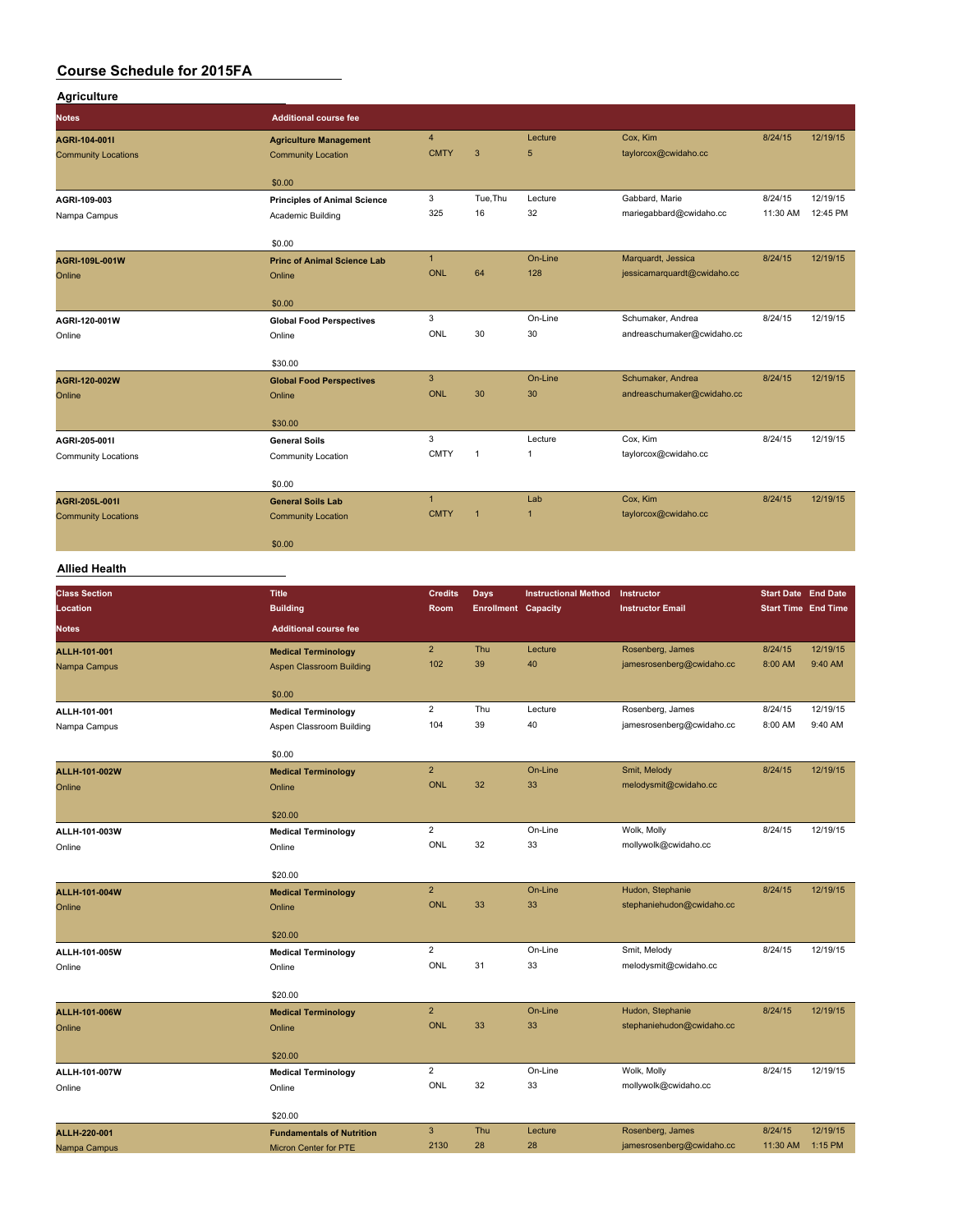| <b>Agriculture</b>               |                                           |                         |                                    |                             |                                       |                                                          |                     |
|----------------------------------|-------------------------------------------|-------------------------|------------------------------------|-----------------------------|---------------------------------------|----------------------------------------------------------|---------------------|
| <b>Notes</b>                     | <b>Additional course fee</b>              |                         |                                    |                             |                                       |                                                          |                     |
| AGRI-104-001I                    | <b>Agriculture Management</b>             | $\overline{\mathbf{4}}$ |                                    | Lecture                     | Cox, Kim                              | 8/24/15                                                  | 12/19/15            |
| <b>Community Locations</b>       | <b>Community Location</b>                 | <b>CMTY</b>             | $\overline{3}$                     | 5                           | taylorcox@cwidaho.cc                  |                                                          |                     |
|                                  | \$0.00                                    |                         |                                    |                             |                                       |                                                          |                     |
| AGRI-109-003                     | <b>Principles of Animal Science</b>       | 3                       | Tue, Thu                           | Lecture                     | Gabbard, Marie                        | 8/24/15                                                  | 12/19/15            |
| Nampa Campus                     | Academic Building                         | 325                     | 16                                 | 32                          | mariegabbard@cwidaho.cc               | 11:30 AM                                                 | 12:45 PM            |
|                                  | \$0.00                                    |                         |                                    |                             |                                       |                                                          |                     |
| AGRI-109L-001W                   | <b>Princ of Animal Science Lab</b>        | $\mathbf{1}$            |                                    | On-Line                     | Marquardt, Jessica                    | 8/24/15                                                  | 12/19/15            |
| Online                           | Online                                    | <b>ONL</b>              | 64                                 | 128                         | jessicamarquardt@cwidaho.cc           |                                                          |                     |
|                                  | \$0.00                                    |                         |                                    |                             |                                       |                                                          |                     |
| AGRI-120-001W                    | <b>Global Food Perspectives</b>           | 3                       |                                    | On-Line                     | Schumaker, Andrea                     | 8/24/15                                                  | 12/19/15            |
| Online                           | Online                                    | <b>ONL</b>              | 30                                 | 30                          | andreaschumaker@cwidaho.cc            |                                                          |                     |
|                                  |                                           |                         |                                    |                             |                                       |                                                          |                     |
|                                  | \$30.00                                   | $\overline{3}$          |                                    | On-Line                     | Schumaker, Andrea                     | 8/24/15                                                  | 12/19/15            |
| AGRI-120-002W<br>Online          | <b>Global Food Perspectives</b><br>Online | <b>ONL</b>              | 30                                 | 30                          | andreaschumaker@cwidaho.cc            |                                                          |                     |
|                                  |                                           |                         |                                    |                             |                                       |                                                          |                     |
|                                  | \$30.00                                   |                         |                                    |                             |                                       |                                                          |                     |
| AGRI-205-001I                    | <b>General Soils</b>                      | 3                       |                                    | Lecture                     | Cox, Kim                              | 8/24/15                                                  | 12/19/15            |
| <b>Community Locations</b>       | Community Location                        | <b>CMTY</b>             | 1                                  | $\mathbf{1}$                | taylorcox@cwidaho.cc                  |                                                          |                     |
|                                  | \$0.00                                    |                         |                                    |                             |                                       |                                                          |                     |
| AGRI-205L-001I                   | <b>General Soils Lab</b>                  | $\mathbf{1}$            |                                    | Lab                         | Cox, Kim                              | 8/24/15                                                  | 12/19/15            |
| <b>Community Locations</b>       | <b>Community Location</b>                 | <b>CMTY</b>             | $\overline{1}$                     | $\overline{1}$              | taylorcox@cwidaho.cc                  |                                                          |                     |
|                                  | \$0.00                                    |                         |                                    |                             |                                       |                                                          |                     |
| <b>Allied Health</b>             |                                           |                         |                                    |                             |                                       |                                                          |                     |
|                                  |                                           |                         |                                    |                             |                                       |                                                          |                     |
| <b>Class Section</b><br>Location | <b>Title</b><br><b>Building</b>           | <b>Credits</b><br>Room  | Days<br><b>Enrollment Capacity</b> | <b>Instructional Method</b> | Instructor<br><b>Instructor Email</b> | <b>Start Date End Date</b><br><b>Start Time End Time</b> |                     |
| <b>Notes</b>                     | <b>Additional course fee</b>              |                         |                                    |                             |                                       |                                                          |                     |
|                                  |                                           |                         |                                    |                             |                                       |                                                          |                     |
| ALLH-101-001                     | <b>Medical Terminology</b>                | $\overline{2}$<br>102   | Thu<br>39                          | Lecture<br>40               | Rosenberg, James                      | 8/24/15<br>8:00 AM                                       | 12/19/15<br>9:40 AM |
| Nampa Campus                     | <b>Aspen Classroom Building</b>           |                         |                                    |                             | jamesrosenberg@cwidaho.cc             |                                                          |                     |
|                                  | \$0.00                                    |                         |                                    |                             |                                       |                                                          |                     |
| ALLH-101-001                     | <b>Medical Terminology</b>                | $\overline{2}$          | Thu                                | Lecture                     | Rosenberg, James                      | 8/24/15                                                  | 12/19/15            |
| Nampa Campus                     | Aspen Classroom Building                  | 104                     | 39                                 | 40                          | jamesrosenberg@cwidaho.cc             | 8:00 AM                                                  | 9:40 AM             |
|                                  | \$0.00                                    |                         |                                    |                             |                                       |                                                          |                     |
| ALLH-101-002W                    | <b>Medical Terminology</b>                | $\overline{2}$          |                                    | On-Line                     | Smit, Melody                          | 8/24/15                                                  | 12/19/15            |
| Online                           | Online                                    | <b>ONL</b>              | 32                                 | 33                          | melodysmit@cwidaho.cc                 |                                                          |                     |

| ALLH-101-002W | <b>Medical Terminology</b>       | 2              |     | On-Line | Smit, Melody              | 8/24/15  | 12/19/15 |
|---------------|----------------------------------|----------------|-----|---------|---------------------------|----------|----------|
| Online        | Online                           | <b>ONL</b>     | 32  | 33      | melodysmit@cwidaho.cc     |          |          |
|               |                                  |                |     |         |                           |          |          |
|               | \$20.00                          |                |     |         |                           |          |          |
| ALLH-101-003W | <b>Medical Terminology</b>       | $\overline{2}$ |     | On-Line | Wolk, Molly               | 8/24/15  | 12/19/15 |
| Online        | Online                           | ONL            | 32  | 33      | mollywolk@cwidaho.cc      |          |          |
|               |                                  |                |     |         |                           |          |          |
|               | \$20.00                          |                |     |         |                           |          |          |
| ALLH-101-004W | <b>Medical Terminology</b>       | $\overline{2}$ |     | On-Line | Hudon, Stephanie          | 8/24/15  | 12/19/15 |
| Online        | Online                           | ONL            | 33  | 33      | stephaniehudon@cwidaho.cc |          |          |
|               |                                  |                |     |         |                           |          |          |
|               | \$20.00                          |                |     |         |                           |          |          |
| ALLH-101-005W | <b>Medical Terminology</b>       | $\overline{2}$ |     | On-Line | Smit, Melody              | 8/24/15  | 12/19/15 |
| Online        | Online                           | ONL            | 31  | 33      | melodysmit@cwidaho.cc     |          |          |
|               |                                  |                |     |         |                           |          |          |
|               | \$20.00                          |                |     |         |                           |          |          |
| ALLH-101-006W | <b>Medical Terminology</b>       | $\overline{2}$ |     | On-Line | Hudon, Stephanie          | 8/24/15  | 12/19/15 |
| Online        | Online                           | <b>ONL</b>     | 33  | 33      | stephaniehudon@cwidaho.cc |          |          |
|               |                                  |                |     |         |                           |          |          |
|               | \$20.00                          |                |     |         |                           |          |          |
| ALLH-101-007W | <b>Medical Terminology</b>       | $\overline{2}$ |     | On-Line | Wolk, Molly               | 8/24/15  | 12/19/15 |
| Online        | Online                           | ONL            | 32  | 33      | mollywolk@cwidaho.cc      |          |          |
|               |                                  |                |     |         |                           |          |          |
|               | \$20.00                          |                |     |         |                           |          |          |
| ALLH-220-001  | <b>Fundamentals of Nutrition</b> | 3              | Thu | Lecture | Rosenberg, James          | 8/24/15  | 12/19/15 |
| Nampa Campus  | <b>Micron Center for PTE</b>     | 2130           | 28  | 28      | jamesrosenberg@cwidaho.cc | 11:30 AM | 1:15 PM  |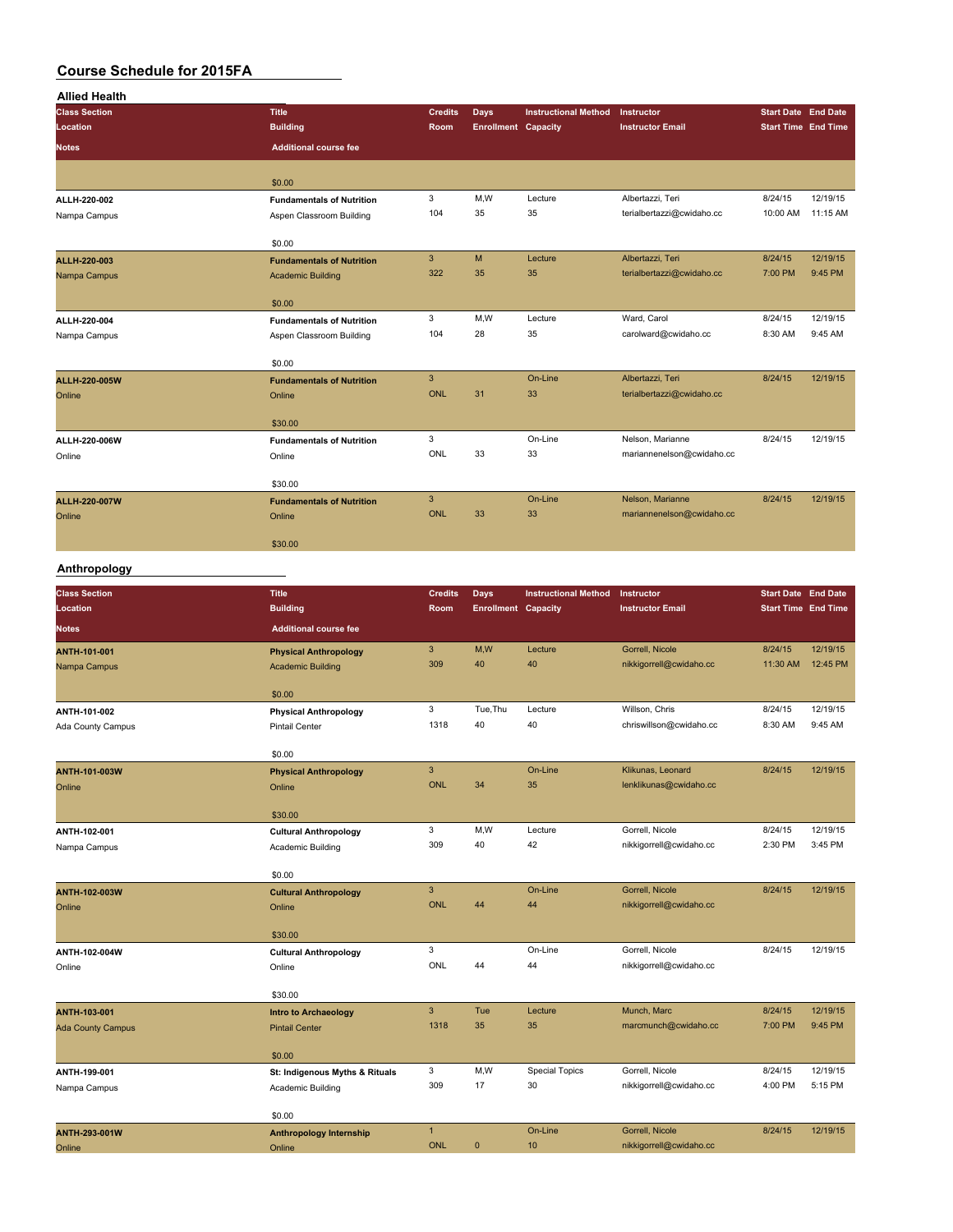| <b>Allied Health</b> |                                  |                |                            |                             |                           |                            |                            |
|----------------------|----------------------------------|----------------|----------------------------|-----------------------------|---------------------------|----------------------------|----------------------------|
| <b>Class Section</b> | <b>Title</b>                     | <b>Credits</b> | <b>Days</b>                | <b>Instructional Method</b> | Instructor                | <b>Start Date End Date</b> |                            |
| Location             | <b>Building</b>                  | Room           | <b>Enrollment Capacity</b> |                             | <b>Instructor Email</b>   |                            | <b>Start Time End Time</b> |
| <b>Notes</b>         | <b>Additional course fee</b>     |                |                            |                             |                           |                            |                            |
|                      | \$0.00                           |                |                            |                             |                           |                            |                            |
| ALLH-220-002         | <b>Fundamentals of Nutrition</b> | 3              | M,W                        | Lecture                     | Albertazzi, Teri          | 8/24/15                    | 12/19/15                   |
| Nampa Campus         | Aspen Classroom Building         | 104            | 35                         | 35                          | terialbertazzi@cwidaho.cc | 10:00 AM                   | 11:15 AM                   |
|                      | \$0.00                           |                |                            |                             |                           |                            |                            |
| ALLH-220-003         | <b>Fundamentals of Nutrition</b> | 3              | M                          | Lecture                     | Albertazzi, Teri          | 8/24/15                    | 12/19/15                   |
| Nampa Campus         | <b>Academic Building</b>         | 322            | 35                         | 35                          | terialbertazzi@cwidaho.cc | 7:00 PM                    | 9:45 PM                    |
|                      | \$0.00                           |                |                            |                             |                           |                            |                            |
| ALLH-220-004         | <b>Fundamentals of Nutrition</b> | 3              | M,W                        | Lecture                     | Ward, Carol               | 8/24/15                    | 12/19/15                   |
| Nampa Campus         | Aspen Classroom Building         | 104            | 28                         | 35                          | carolward@cwidaho.cc      | 8:30 AM                    | 9:45 AM                    |
|                      | \$0.00                           |                |                            |                             |                           |                            |                            |
| ALLH-220-005W        | <b>Fundamentals of Nutrition</b> | 3              |                            | On-Line                     | Albertazzi, Teri          | 8/24/15                    | 12/19/15                   |
| Online               | Online                           | ONL            | 31                         | 33                          | terialbertazzi@cwidaho.cc |                            |                            |
|                      | \$30.00                          |                |                            |                             |                           |                            |                            |
| ALLH-220-006W        | <b>Fundamentals of Nutrition</b> | 3              |                            | On-Line                     | Nelson, Marianne          | 8/24/15                    | 12/19/15                   |
| Online               | Online                           | ONL            | 33                         | 33                          | mariannenelson@cwidaho.cc |                            |                            |
|                      | \$30.00                          |                |                            |                             |                           |                            |                            |
| ALLH-220-007W        | <b>Fundamentals of Nutrition</b> | 3              |                            | On-Line                     | Nelson, Marianne          | 8/24/15                    | 12/19/15                   |
| Online               | Online                           | <b>ONL</b>     | 33                         | 33                          | mariannenelson@cwidaho.cc |                            |                            |
|                      | \$30.00                          |                |                            |                             |                           |                            |                            |
| Anthropology         |                                  |                |                            |                             |                           |                            |                            |

#### **Anthropology**

| <b>Class Section</b><br>Location | <b>Title</b><br><b>Building</b> | <b>Credits</b><br>Room | <b>Days</b><br><b>Enrollment Capacity</b> | <b>Instructional Method</b> | Instructor<br><b>Instructor Email</b> | <b>Start Date End Date</b><br><b>Start Time End Time</b> |          |
|----------------------------------|---------------------------------|------------------------|-------------------------------------------|-----------------------------|---------------------------------------|----------------------------------------------------------|----------|
| <b>Notes</b>                     | <b>Additional course fee</b>    |                        |                                           |                             |                                       |                                                          |          |
| ANTH-101-001                     | <b>Physical Anthropology</b>    | $\mathbf{3}$           | M,W                                       | Lecture                     | Gorrell, Nicole                       | 8/24/15                                                  | 12/19/15 |
| Nampa Campus                     | <b>Academic Building</b>        | 309                    | 40                                        | 40                          | nikkigorrell@cwidaho.cc               | 11:30 AM                                                 | 12:45 PM |
|                                  | \$0.00                          |                        |                                           |                             |                                       |                                                          |          |
| ANTH-101-002                     | <b>Physical Anthropology</b>    | 3                      | Tue, Thu                                  | Lecture                     | Willson, Chris                        | 8/24/15                                                  | 12/19/15 |
| Ada County Campus                | <b>Pintail Center</b>           | 1318                   | 40                                        | 40                          | chriswillson@cwidaho.cc               | 8:30 AM                                                  | 9:45 AM  |
|                                  | \$0.00                          |                        |                                           |                             |                                       |                                                          |          |
| ANTH-101-003W                    | <b>Physical Anthropology</b>    | $\mathbf{3}$           |                                           | On-Line                     | Klikunas, Leonard                     | 8/24/15                                                  | 12/19/15 |
| Online                           | Online                          | <b>ONL</b>             | 34                                        | 35                          | lenklikunas@cwidaho.cc                |                                                          |          |
|                                  | \$30.00                         |                        |                                           |                             |                                       |                                                          |          |
| ANTH-102-001                     | <b>Cultural Anthropology</b>    | 3                      | M,W                                       | Lecture                     | Gorrell, Nicole                       | 8/24/15                                                  | 12/19/15 |
| Nampa Campus                     | Academic Building               | 309                    | 40                                        | 42                          | nikkigorrell@cwidaho.cc               | 2:30 PM                                                  | 3:45 PM  |
|                                  | \$0.00                          |                        |                                           |                             |                                       |                                                          |          |
| <b>ANTH-102-003W</b>             | <b>Cultural Anthropology</b>    | $\mathsf 3$            |                                           | On-Line                     | Gorrell, Nicole                       | 8/24/15                                                  | 12/19/15 |
| Online                           | Online                          | ONL                    | 44                                        | 44                          | nikkigorrell@cwidaho.cc               |                                                          |          |
|                                  | \$30.00                         |                        |                                           |                             |                                       |                                                          |          |
| ANTH-102-004W                    | <b>Cultural Anthropology</b>    | 3                      |                                           | On-Line                     | Gorrell, Nicole                       | 8/24/15                                                  | 12/19/15 |
| Online                           | Online                          | ONL                    | 44                                        | 44                          | nikkigorrell@cwidaho.cc               |                                                          |          |
|                                  | \$30.00                         |                        |                                           |                             |                                       |                                                          |          |
| <b>ANTH-103-001</b>              | <b>Intro to Archaeology</b>     | $\mathbf{3}$           | Tue                                       | Lecture                     | Munch, Marc                           | 8/24/15                                                  | 12/19/15 |
| <b>Ada County Campus</b>         | <b>Pintail Center</b>           | 1318                   | 35                                        | 35                          | marcmunch@cwidaho.cc                  | 7:00 PM                                                  | 9:45 PM  |
|                                  | \$0.00                          |                        |                                           |                             |                                       |                                                          |          |
| ANTH-199-001                     | St: Indigenous Myths & Rituals  | 3                      | M,W                                       | <b>Special Topics</b>       | Gorrell, Nicole                       | 8/24/15                                                  | 12/19/15 |
| Nampa Campus                     | Academic Building               | 309                    | 17                                        | 30                          | nikkigorrell@cwidaho.cc               | 4:00 PM                                                  | 5:15 PM  |
|                                  | \$0.00                          |                        |                                           |                             |                                       |                                                          |          |
| ANTH-293-001W                    | <b>Anthropology Internship</b>  | $\mathbf{1}$           |                                           | On-Line                     | Gorrell, Nicole                       | 8/24/15                                                  | 12/19/15 |
| Online                           | Online                          | <b>ONL</b>             | $\mathbf{0}$                              | 10                          | nikkigorrell@cwidaho.cc               |                                                          |          |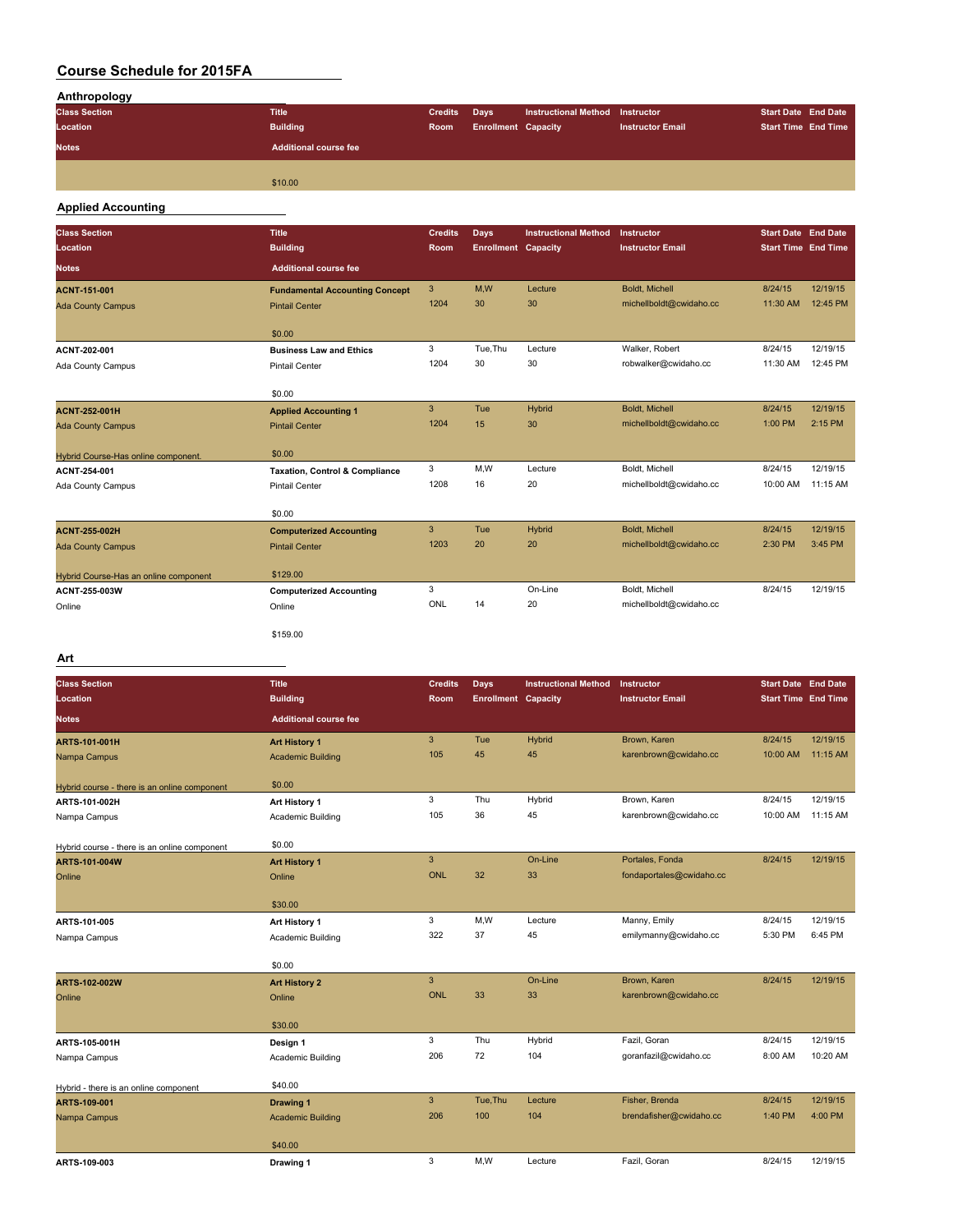| Anthropology         |                       |                |                            |                             |                         |                            |  |
|----------------------|-----------------------|----------------|----------------------------|-----------------------------|-------------------------|----------------------------|--|
| <b>Class Section</b> | <b>Title</b>          | <b>Credits</b> | <b>Days</b>                | <b>Instructional Method</b> | <b>Instructor</b>       | <b>Start Date End Date</b> |  |
| Location             | <b>Building</b>       | Room           | <b>Enrollment Capacity</b> |                             | <b>Instructor Email</b> | <b>Start Time End Time</b> |  |
| <b>Notes</b>         | Additional course fee |                |                            |                             |                         |                            |  |
|                      |                       |                |                            |                             |                         |                            |  |
|                      | \$10.00               |                |                            |                             |                         |                            |  |

#### **Applied Accounting**

| <b>Class Section</b><br>Location      | <b>Title</b><br><b>Building</b>           | <b>Credits</b><br>Room | <b>Days</b><br><b>Enrollment Capacity</b> | <b>Instructional Method</b> | Instructor<br><b>Instructor Email</b> | <b>Start Date End Date</b><br><b>Start Time End Time</b> |          |
|---------------------------------------|-------------------------------------------|------------------------|-------------------------------------------|-----------------------------|---------------------------------------|----------------------------------------------------------|----------|
| <b>Notes</b>                          | <b>Additional course fee</b>              |                        |                                           |                             |                                       |                                                          |          |
| <b>ACNT-151-001</b>                   | <b>Fundamental Accounting Concept</b>     | 3                      | M,W                                       | Lecture                     | <b>Boldt, Michell</b>                 | 8/24/15                                                  | 12/19/15 |
| <b>Ada County Campus</b>              | <b>Pintail Center</b>                     | 1204                   | 30                                        | 30                          | michellboldt@cwidaho.cc               | 11:30 AM                                                 | 12:45 PM |
|                                       | \$0.00                                    |                        |                                           |                             |                                       |                                                          |          |
| ACNT-202-001                          | <b>Business Law and Ethics</b>            | 3                      | Tue, Thu                                  | Lecture                     | Walker, Robert                        | 8/24/15                                                  | 12/19/15 |
| Ada County Campus                     | <b>Pintail Center</b>                     | 1204                   | 30                                        | 30                          | robwalker@cwidaho.cc                  | 11:30 AM                                                 | 12:45 PM |
|                                       | \$0.00                                    |                        |                                           |                             |                                       |                                                          |          |
| <b>ACNT-252-001H</b>                  | <b>Applied Accounting 1</b>               | 3                      | <b>Tue</b>                                | Hybrid                      | Boldt, Michell                        | 8/24/15                                                  | 12/19/15 |
| <b>Ada County Campus</b>              | <b>Pintail Center</b>                     | 1204                   | 15                                        | 30                          | michellboldt@cwidaho.cc               | 1:00 PM                                                  | 2:15 PM  |
| Hybrid Course-Has online component.   | \$0.00                                    |                        |                                           |                             |                                       |                                                          |          |
| ACNT-254-001                          | <b>Taxation, Control &amp; Compliance</b> | 3                      | M,W                                       | Lecture                     | Boldt, Michell                        | 8/24/15                                                  | 12/19/15 |
| Ada County Campus                     | <b>Pintail Center</b>                     | 1208                   | 16                                        | 20                          | michellboldt@cwidaho.cc               | 10:00 AM                                                 | 11:15 AM |
|                                       | \$0.00                                    |                        |                                           |                             |                                       |                                                          |          |
| <b>ACNT-255-002H</b>                  | <b>Computerized Accounting</b>            | 3                      | Tue                                       | Hybrid                      | Boldt. Michell                        | 8/24/15                                                  | 12/19/15 |
| <b>Ada County Campus</b>              | <b>Pintail Center</b>                     | 1203                   | 20                                        | 20                          | michellboldt@cwidaho.cc               | 2:30 PM                                                  | 3:45 PM  |
| Hybrid Course-Has an online component | \$129.00                                  |                        |                                           |                             |                                       |                                                          |          |
| ACNT-255-003W                         | <b>Computerized Accounting</b>            | 3                      |                                           | On-Line                     | Boldt, Michell                        | 8/24/15                                                  | 12/19/15 |
| Online                                | Online                                    | ONL                    | 14                                        | 20                          | michellboldt@cwidaho.cc               |                                                          |          |
|                                       | \$159.00                                  |                        |                                           |                             |                                       |                                                          |          |

### **Art**

| <b>Class Section</b>                         | <b>Title</b>                 | <b>Credits</b> | <b>Days</b>                | <b>Instructional Method</b> | Instructor               | <b>Start Date End Date</b> |          |
|----------------------------------------------|------------------------------|----------------|----------------------------|-----------------------------|--------------------------|----------------------------|----------|
| Location                                     | <b>Building</b>              | Room           | <b>Enrollment Capacity</b> |                             | <b>Instructor Email</b>  | <b>Start Time End Time</b> |          |
| <b>Notes</b>                                 | <b>Additional course fee</b> |                |                            |                             |                          |                            |          |
| <b>ARTS-101-001H</b>                         | <b>Art History 1</b>         | $\mathbf{3}$   | Tue                        | Hybrid                      | Brown, Karen             | 8/24/15                    | 12/19/15 |
| Nampa Campus                                 | <b>Academic Building</b>     | 105            | 45                         | 45                          | karenbrown@cwidaho.cc    | 10:00 AM                   | 11:15 AM |
| Hybrid course - there is an online component | \$0.00                       |                |                            |                             |                          |                            |          |
| ARTS-101-002H                                | Art History 1                | 3              | Thu                        | Hybrid                      | Brown, Karen             | 8/24/15                    | 12/19/15 |
| Nampa Campus                                 | Academic Building            | 105            | 36                         | 45                          | karenbrown@cwidaho.cc    | 10:00 AM                   | 11:15 AM |
| Hybrid course - there is an online component | \$0.00                       |                |                            |                             |                          |                            |          |
| <b>ARTS-101-004W</b>                         | <b>Art History 1</b>         | $\mathbf{3}$   |                            | On-Line                     | Portales, Fonda          | 8/24/15                    | 12/19/15 |
| Online                                       | Online                       | ONL            | 32                         | 33                          | fondaportales@cwidaho.cc |                            |          |
|                                              | \$30.00                      |                |                            |                             |                          |                            |          |
| ARTS-101-005                                 | Art History 1                | 3              | M,W                        | Lecture                     | Manny, Emily             | 8/24/15                    | 12/19/15 |
| Nampa Campus                                 | Academic Building            | 322            | 37                         | 45                          | emilymanny@cwidaho.cc    | 5:30 PM                    | 6:45 PM  |
|                                              | \$0.00                       |                |                            |                             |                          |                            |          |
| <b>ARTS-102-002W</b>                         | <b>Art History 2</b>         | $\mathbf{3}$   |                            | On-Line                     | Brown, Karen             | 8/24/15                    | 12/19/15 |
| Online                                       | Online                       | <b>ONL</b>     | 33                         | 33                          | karenbrown@cwidaho.cc    |                            |          |
|                                              | \$30.00                      |                |                            |                             |                          |                            |          |
| ARTS-105-001H                                | Design 1                     | 3              | Thu                        | Hybrid                      | Fazil, Goran             | 8/24/15                    | 12/19/15 |
| Nampa Campus                                 | Academic Building            | 206            | 72                         | 104                         | goranfazil@cwidaho.cc    | 8:00 AM                    | 10:20 AM |
| Hybrid - there is an online component        | \$40.00                      |                |                            |                             |                          |                            |          |
| ARTS-109-001                                 | <b>Drawing 1</b>             | 3              | Tue, Thu                   | Lecture                     | Fisher, Brenda           | 8/24/15                    | 12/19/15 |
| Nampa Campus                                 | <b>Academic Building</b>     | 206            | 100                        | 104                         | brendafisher@cwidaho.cc  | 1:40 PM                    | 4:00 PM  |
|                                              | \$40.00                      |                |                            |                             |                          |                            |          |
| ARTS-109-003                                 | Drawing 1                    | 3              | M.W                        | Lecture                     | Fazil, Goran             | 8/24/15                    | 12/19/15 |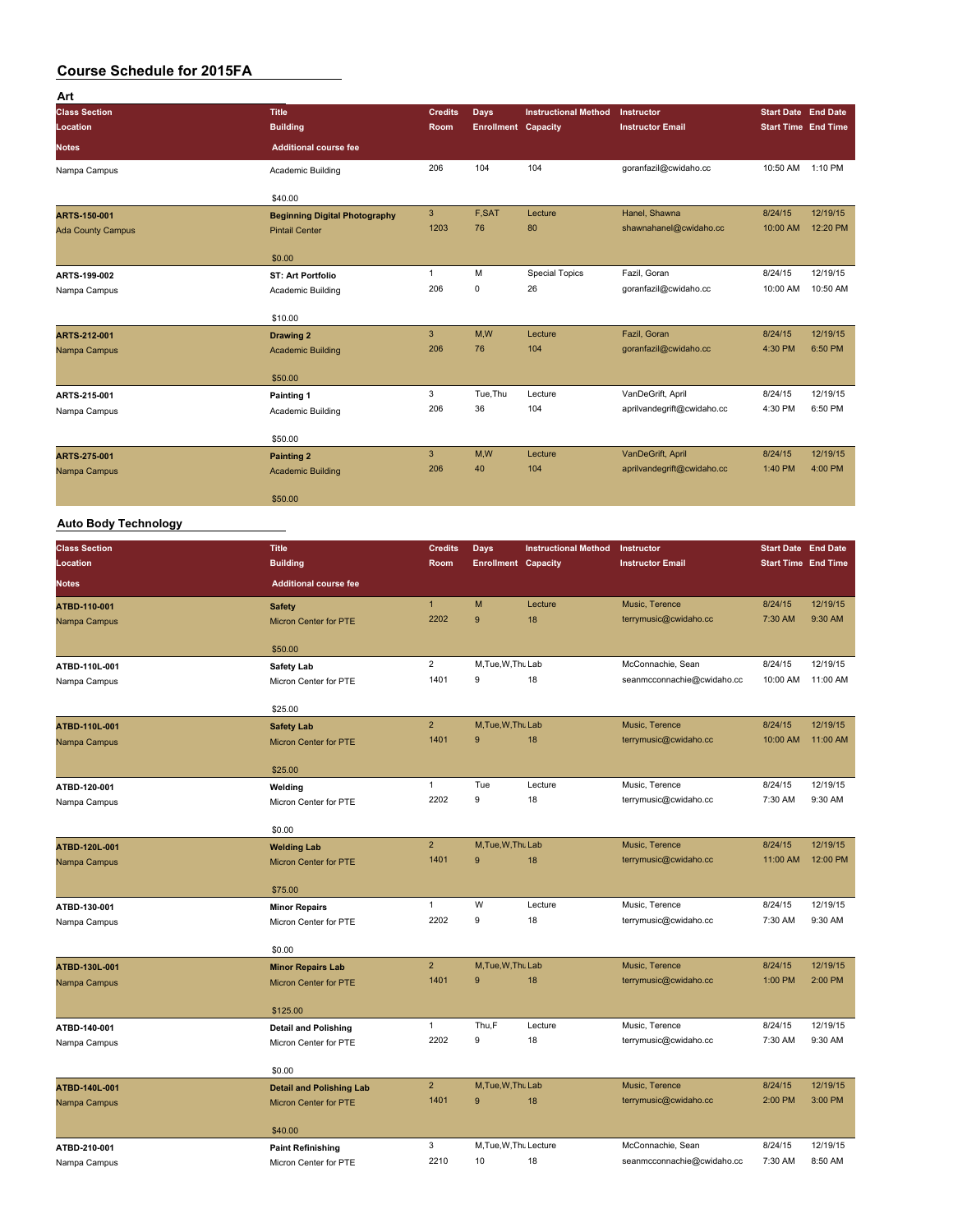| Art                      |                                      |                |                            |                             |                            |                            |          |
|--------------------------|--------------------------------------|----------------|----------------------------|-----------------------------|----------------------------|----------------------------|----------|
| <b>Class Section</b>     | <b>Title</b>                         | <b>Credits</b> | Days                       | <b>Instructional Method</b> | Instructor                 | <b>Start Date End Date</b> |          |
| Location                 | <b>Building</b>                      | Room           | <b>Enrollment Capacity</b> |                             | <b>Instructor Email</b>    | <b>Start Time End Time</b> |          |
| <b>Notes</b>             | <b>Additional course fee</b>         |                |                            |                             |                            |                            |          |
| Nampa Campus             | Academic Building                    | 206            | 104                        | 104                         | goranfazil@cwidaho.cc      | 10:50 AM 1:10 PM           |          |
|                          | \$40.00                              |                |                            |                             |                            |                            |          |
| ARTS-150-001             | <b>Beginning Digital Photography</b> | $\mathbf{3}$   | F,SAT                      | Lecture                     | Hanel, Shawna              | 8/24/15                    | 12/19/15 |
| <b>Ada County Campus</b> | <b>Pintail Center</b>                | 1203           | 76                         | 80                          | shawnahanel@cwidaho.cc     | 10:00 AM                   | 12:20 PM |
|                          | \$0.00                               |                |                            |                             |                            |                            |          |
| ARTS-199-002             | <b>ST: Art Portfolio</b>             | $\mathbf{1}$   | M                          | <b>Special Topics</b>       | Fazil, Goran               | 8/24/15                    | 12/19/15 |
| Nampa Campus             | Academic Building                    | 206            | $\mathsf 0$                | 26                          | goranfazil@cwidaho.cc      | 10:00 AM                   | 10:50 AM |
|                          | \$10.00                              |                |                            |                             |                            |                            |          |
| ARTS-212-001             | Drawing 2                            | 3              | M,W                        | Lecture                     | Fazil, Goran               | 8/24/15                    | 12/19/15 |
| Nampa Campus             | <b>Academic Building</b>             | 206            | 76                         | 104                         | goranfazil@cwidaho.cc      | 4:30 PM                    | 6:50 PM  |
|                          | \$50.00                              |                |                            |                             |                            |                            |          |
| ARTS-215-001             | Painting 1                           | 3              | Tue, Thu                   | Lecture                     | VanDeGrift, April          | 8/24/15                    | 12/19/15 |
| Nampa Campus             | Academic Building                    | 206            | 36                         | 104                         | aprilvandegrift@cwidaho.cc | 4:30 PM                    | 6:50 PM  |
|                          | \$50.00                              |                |                            |                             |                            |                            |          |
| ARTS-275-001             | <b>Painting 2</b>                    | 3              | M,W                        | Lecture                     | VanDeGrift, April          | 8/24/15                    | 12/19/15 |
| Nampa Campus             | <b>Academic Building</b>             | 206            | 40                         | 104                         | aprilvandegrift@cwidaho.cc | 1:40 PM                    | 4:00 PM  |
|                          | \$50.00                              |                |                            |                             |                            |                            |          |

## **Auto Body Technology**

| <b>Class Section</b> | <b>Title</b>                        | <b>Credits</b> | <b>Days</b>                | <b>Instructional Method</b> | Instructor                 | <b>Start Date End Date</b> |          |
|----------------------|-------------------------------------|----------------|----------------------------|-----------------------------|----------------------------|----------------------------|----------|
| Location             | <b>Building</b>                     | Room           | <b>Enrollment Capacity</b> |                             | <b>Instructor Email</b>    | <b>Start Time End Time</b> |          |
| <b>Notes</b>         | <b>Additional course fee</b>        |                |                            |                             |                            |                            |          |
| ATBD-110-001         | <b>Safety</b>                       | $\mathbf{1}$   | M                          | Lecture                     | Music, Terence             | 8/24/15                    | 12/19/15 |
| Nampa Campus         | Micron Center for PTE               | 2202           | 9                          | 18                          | terrymusic@cwidaho.cc      | 7:30 AM                    | 9:30 AM  |
|                      | \$50.00                             |                |                            |                             |                            |                            |          |
| ATBD-110L-001        | <b>Safety Lab</b>                   | $\overline{2}$ | M.Tue.W.Thu Lab            |                             | McConnachie, Sean          | 8/24/15                    | 12/19/15 |
| Nampa Campus         | Micron Center for PTE               | 1401           | 9                          | 18                          | seanmcconnachie@cwidaho.cc | 10:00 AM                   | 11:00 AM |
|                      | \$25.00                             |                |                            |                             |                            |                            |          |
| ATBD-110L-001        | <b>Safety Lab</b>                   | $\overline{2}$ | M.Tue.W.Thu Lab            |                             | Music, Terence             | 8/24/15                    | 12/19/15 |
| Nampa Campus         | Micron Center for PTE               | 1401           | 9                          | 18                          | terrymusic@cwidaho.cc      | 10:00 AM                   | 11:00 AM |
|                      | \$25.00                             |                |                            |                             |                            |                            |          |
| ATBD-120-001         | Welding                             | $\mathbf{1}$   | Tue                        | Lecture                     | Music, Terence             | 8/24/15                    | 12/19/15 |
| Nampa Campus         | Micron Center for PTE               | 2202           | 9                          | 18                          | terrymusic@cwidaho.cc      | 7:30 AM                    | 9:30 AM  |
|                      | \$0.00                              |                |                            |                             |                            |                            |          |
| ATBD-120L-001        | <b>Welding Lab</b>                  | 2 <sup>2</sup> | M.Tue.W.Thu Lab            |                             | Music, Terence             | 8/24/15                    | 12/19/15 |
| Nampa Campus         | Micron Center for PTE               | 1401           | 9                          | 18                          | terrymusic@cwidaho.cc      | 11:00 AM                   | 12:00 PM |
|                      |                                     |                |                            |                             |                            |                            |          |
| ATBD-130-001         | \$75.00<br><b>Minor Repairs</b>     | $\mathbf{1}$   | W                          | Lecture                     | Music, Terence             | 8/24/15                    | 12/19/15 |
| Nampa Campus         | Micron Center for PTE               | 2202           | 9                          | 18                          | terrymusic@cwidaho.cc      | 7:30 AM                    | 9:30 AM  |
|                      |                                     |                |                            |                             |                            |                            |          |
|                      | \$0.00                              |                |                            |                             |                            |                            |          |
| ATBD-130L-001        | <b>Minor Repairs Lab</b>            | $\overline{2}$ | M.Tue.W.Thu Lab            |                             | Music, Terence             | 8/24/15                    | 12/19/15 |
| Nampa Campus         | Micron Center for PTE               | 1401           | 9                          | 18                          | terrymusic@cwidaho.cc      | 1:00 PM                    | 2:00 PM  |
|                      | \$125.00                            |                |                            |                             |                            |                            |          |
| ATBD-140-001         | <b>Detail and Polishing</b>         | $\mathbf{1}$   | Thu,F                      | Lecture                     | Music, Terence             | 8/24/15                    | 12/19/15 |
| Nampa Campus         | Micron Center for PTE               | 2202           | 9                          | 18                          | terrymusic@cwidaho.cc      | 7:30 AM                    | 9:30 AM  |
|                      | \$0.00                              |                |                            |                             |                            |                            |          |
| ATBD-140L-001        | <b>Detail and Polishing Lab</b>     | $\overline{2}$ | M.Tue, W.Thu Lab           |                             | Music, Terence             | 8/24/15                    | 12/19/15 |
| Nampa Campus         | <b>Micron Center for PTE</b>        | 1401           | 9                          | 18                          | terrymusic@cwidaho.cc      | 2:00 PM                    | 3:00 PM  |
|                      |                                     |                |                            |                             |                            |                            |          |
| ATBD-210-001         | \$40.00<br><b>Paint Refinishing</b> | 3              | M, Tue, W, Thu Lecture     |                             | McConnachie, Sean          | 8/24/15                    | 12/19/15 |
| Nampa Campus         | Micron Center for PTE               | 2210           | 10                         | 18                          | seanmcconnachie@cwidaho.cc | 7:30 AM                    | 8:50 AM  |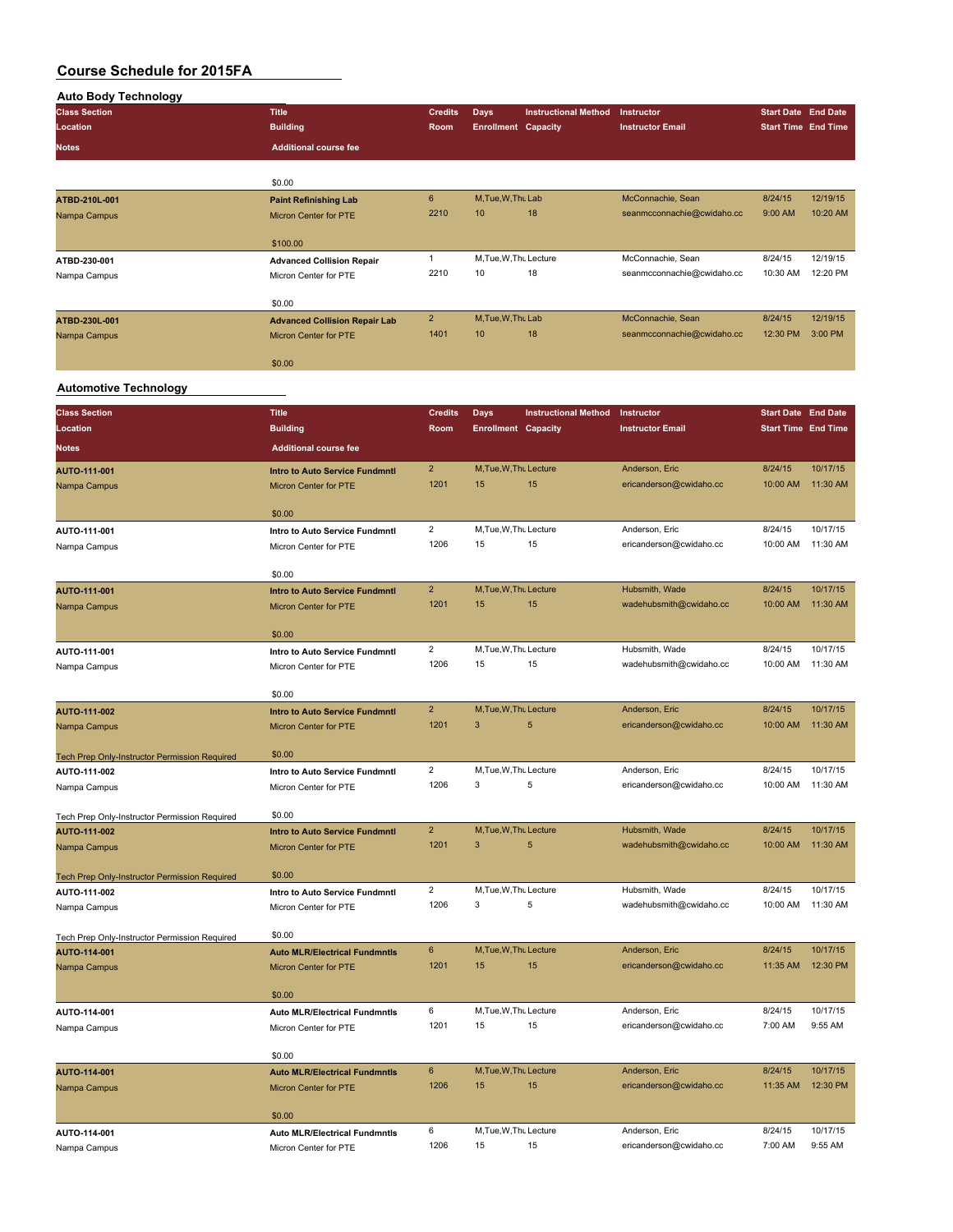| <b>Auto Body Technology</b>                   |                                                                |                         |                            |                             |                            |                            |          |
|-----------------------------------------------|----------------------------------------------------------------|-------------------------|----------------------------|-----------------------------|----------------------------|----------------------------|----------|
| <b>Class Section</b>                          | <b>Title</b>                                                   | <b>Credits</b>          | Days                       | <b>Instructional Method</b> | Instructor                 | <b>Start Date End Date</b> |          |
| <b>Location</b>                               | <b>Building</b>                                                | Room                    | <b>Enrollment Capacity</b> |                             | <b>Instructor Email</b>    | <b>Start Time End Time</b> |          |
| <b>Notes</b>                                  | <b>Additional course fee</b>                                   |                         |                            |                             |                            |                            |          |
|                                               |                                                                |                         |                            |                             |                            |                            |          |
|                                               | \$0.00                                                         |                         |                            |                             |                            |                            |          |
| ATBD-210L-001                                 | <b>Paint Refinishing Lab</b>                                   | 6                       | M, Tue, W, Thu Lab         |                             | McConnachie, Sean          | 8/24/15                    | 12/19/15 |
| Nampa Campus                                  | <b>Micron Center for PTE</b>                                   | 2210                    | 10                         | 18                          | seanmcconnachie@cwidaho.cc | 9:00 AM                    | 10:20 AM |
|                                               |                                                                |                         |                            |                             |                            |                            |          |
|                                               | \$100.00                                                       | $\mathbf{1}$            | M, Tue, W, Thu Lecture     |                             | McConnachie, Sean          | 8/24/15                    | 12/19/15 |
| ATBD-230-001<br>Nampa Campus                  | <b>Advanced Collision Repair</b><br>Micron Center for PTE      | 2210                    | 10                         | 18                          | seanmcconnachie@cwidaho.cc | 10:30 AM                   | 12:20 PM |
|                                               |                                                                |                         |                            |                             |                            |                            |          |
|                                               | \$0.00                                                         |                         |                            |                             |                            |                            |          |
| ATBD-230L-001                                 | <b>Advanced Collision Repair Lab</b>                           | $\overline{\mathbf{c}}$ | M, Tue, W, Thu Lab         |                             | McConnachie, Sean          | 8/24/15                    | 12/19/15 |
| Nampa Campus                                  | Micron Center for PTE                                          | 1401                    | 10                         | 18                          | seanmcconnachie@cwidaho.cc | 12:30 PM                   | 3:00 PM  |
|                                               | \$0.00                                                         |                         |                            |                             |                            |                            |          |
|                                               |                                                                |                         |                            |                             |                            |                            |          |
| <b>Automotive Technology</b>                  |                                                                |                         |                            |                             |                            |                            |          |
| <b>Class Section</b>                          | <b>Title</b>                                                   | <b>Credits</b>          | Days                       | <b>Instructional Method</b> | Instructor                 | <b>Start Date End Date</b> |          |
| Location                                      | <b>Building</b>                                                | Room                    | <b>Enrollment Capacity</b> |                             | <b>Instructor Email</b>    | <b>Start Time End Time</b> |          |
| Notes                                         | <b>Additional course fee</b>                                   |                         |                            |                             |                            |                            |          |
|                                               |                                                                | $\overline{2}$          | M, Tue, W, Thu Lecture     |                             | Anderson, Eric             | 8/24/15                    | 10/17/15 |
| AUTO-111-001<br>Nampa Campus                  | <b>Intro to Auto Service Fundmntl</b><br>Micron Center for PTE | 1201                    | 15                         | 15                          | ericanderson@cwidaho.cc    | 10:00 AM                   | 11:30 AM |
|                                               |                                                                |                         |                            |                             |                            |                            |          |
|                                               | \$0.00                                                         |                         |                            |                             |                            |                            |          |
| AUTO-111-001                                  | Intro to Auto Service Fundmntl                                 | $\overline{2}$          | M, Tue, W, Thu Lecture     |                             | Anderson, Eric             | 8/24/15                    | 10/17/15 |
| Nampa Campus                                  | Micron Center for PTE                                          | 1206                    | 15                         | 15                          | ericanderson@cwidaho.cc    | 10:00 AM                   | 11:30 AM |
|                                               | \$0.00                                                         |                         |                            |                             |                            |                            |          |
|                                               |                                                                | $\overline{2}$          | M, Tue, W, Thu Lecture     |                             | Hubsmith, Wade             | 8/24/15                    | 10/17/15 |
| AUTO-111-001<br>Nampa Campus                  | <b>Intro to Auto Service Fundmntl</b><br>Micron Center for PTE | 1201                    | 15                         | 15                          | wadehubsmith@cwidaho.cc    | 10:00 AM                   | 11:30 AM |
|                                               |                                                                |                         |                            |                             |                            |                            |          |
|                                               | \$0.00                                                         |                         |                            |                             |                            |                            |          |
| AUTO-111-001                                  | Intro to Auto Service Fundmntl                                 | 2                       | M, Tue, W, Thu Lecture     |                             | Hubsmith, Wade             | 8/24/15                    | 10/17/15 |
| Nampa Campus                                  | Micron Center for PTE                                          | 1206                    | 15                         | 15                          | wadehubsmith@cwidaho.cc    | 10:00 AM                   | 11:30 AM |
|                                               | \$0.00                                                         |                         |                            |                             |                            |                            |          |
| AUTO-111-002                                  | Intro to Auto Service Fundmntl                                 | $\overline{2}$          | M, Tue, W, Thu Lecture     |                             | Anderson, Eric             | 8/24/15                    | 10/17/15 |
| Nampa Campus                                  | <b>Micron Center for PTE</b>                                   | 1201                    | 3                          | 5                           | ericanderson@cwidaho.cc    | 10:00 AM                   | 11:30 AM |
|                                               |                                                                |                         |                            |                             |                            |                            |          |
| Tech Prep Only-Instructor Permission Required | \$0.00                                                         |                         |                            |                             |                            |                            |          |
| AUTO-111-002                                  | Intro to Auto Service Fundmntl                                 | 2                       | M, Tue, W, Thu Lecture     |                             | Anderson, Eric             | 8/24/15                    | 10/17/15 |
| Nampa Campus                                  | Micron Center for PTE                                          | 1206                    |                            | 5                           | ericanderson@cwidaho.cc    | 10:00 AM                   | 11:30 AM |
| Tech Prep Only-Instructor Permission Required | \$0.00                                                         |                         |                            |                             |                            |                            |          |
| AUTO-111-002                                  | <b>Intro to Auto Service Fundmntl</b>                          | $\overline{2}$          | M, Tue, W, Thu Lecture     |                             | Hubsmith, Wade             | 8/24/15                    | 10/17/15 |
| Nampa Campus                                  | Micron Center for PTE                                          | 1201                    | 3                          | $\sqrt{5}$                  | wadehubsmith@cwidaho.cc    | 10:00 AM                   | 11:30 AM |
|                                               |                                                                |                         |                            |                             |                            |                            |          |
| Tech Prep Only-Instructor Permission Required | \$0.00                                                         |                         |                            |                             |                            |                            |          |
| AUTO-111-002                                  | Intro to Auto Service Fundmntl                                 | $\overline{c}$          | M, Tue, W, Thu Lecture     |                             | Hubsmith, Wade             | 8/24/15                    | 10/17/15 |
| Nampa Campus                                  | Micron Center for PTE                                          | 1206                    | 3                          | 5                           | wadehubsmith@cwidaho.cc    | 10:00 AM                   | 11:30 AM |
| Tech Prep Only-Instructor Permission Required | \$0.00                                                         |                         |                            |                             |                            |                            |          |
| AUTO-114-001                                  | <b>Auto MLR/Electrical Fundmntls</b>                           | 6                       | M, Tue, W, Thu Lecture     |                             | Anderson, Eric             | 8/24/15                    | 10/17/15 |
| Nampa Campus                                  | <b>Micron Center for PTE</b>                                   | 1201                    | 15                         | 15                          | ericanderson@cwidaho.cc    | 11:35 AM                   | 12:30 PM |
|                                               |                                                                |                         |                            |                             |                            |                            |          |
|                                               | \$0.00                                                         |                         |                            |                             |                            |                            |          |
| AUTO-114-001                                  | <b>Auto MLR/Electrical Fundmntls</b>                           | 6                       | M, Tue, W, Thu Lecture     |                             | Anderson, Eric             | 8/24/15                    | 10/17/15 |
| Nampa Campus                                  | Micron Center for PTE                                          | 1201                    | 15                         | 15                          | ericanderson@cwidaho.cc    | 7:00 AM                    | 9:55 AM  |
|                                               | \$0.00                                                         |                         |                            |                             |                            |                            |          |
| AUTO-114-001                                  | <b>Auto MLR/Electrical Fundmntls</b>                           | 6                       | M, Tue, W, Thu Lecture     |                             | Anderson, Eric             | 8/24/15                    | 10/17/15 |
| Nampa Campus                                  | Micron Center for PTE                                          | 1206                    | 15                         | 15                          | ericanderson@cwidaho.cc    | 11:35 AM                   | 12:30 PM |
|                                               |                                                                |                         |                            |                             |                            |                            |          |
|                                               | \$0.00                                                         |                         |                            |                             |                            |                            |          |

\$0.00 **AUTO-114-001 Auto MLR/Electrical Fundmntls** 6 M,Tue,W,Thu,Lecture Anderson, Eric 8/24/15 10/17/15 Nampa Campus **Micron Center for PTE** 1206 15 15 ericanderson@cwidaho.cc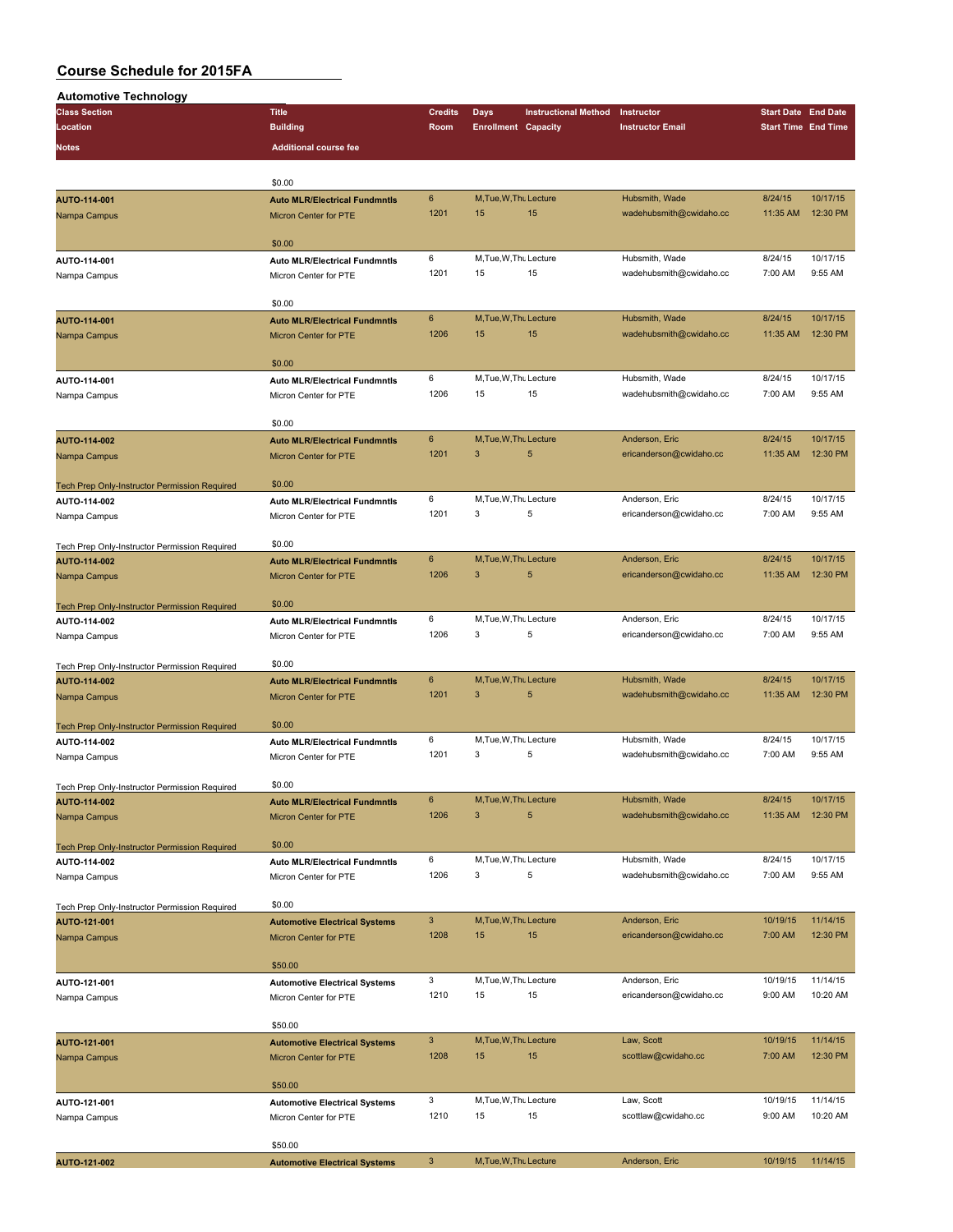| <b>Automotive Technology</b>                         |                                                               |                  |                             |                             |                                           |                            |                            |
|------------------------------------------------------|---------------------------------------------------------------|------------------|-----------------------------|-----------------------------|-------------------------------------------|----------------------------|----------------------------|
| <b>Class Section</b>                                 | <b>Title</b>                                                  | <b>Credits</b>   | Days                        | <b>Instructional Method</b> | Instructor                                | <b>Start Date End Date</b> |                            |
| Location                                             | <b>Building</b>                                               | Room             | <b>Enrollment Capacity</b>  |                             | <b>Instructor Email</b>                   |                            | <b>Start Time End Time</b> |
|                                                      | <b>Additional course fee</b>                                  |                  |                             |                             |                                           |                            |                            |
| <b>Notes</b>                                         |                                                               |                  |                             |                             |                                           |                            |                            |
|                                                      |                                                               |                  |                             |                             |                                           |                            |                            |
|                                                      | \$0.00                                                        | 6                | M, Tue, W, Thu Lecture      |                             | Hubsmith, Wade                            | 8/24/15                    | 10/17/15                   |
| AUTO-114-001                                         | <b>Auto MLR/Electrical Fundmntls</b>                          | 1201             | 15                          | 15                          | wadehubsmith@cwidaho.cc                   | 11:35 AM                   | 12:30 PM                   |
| Nampa Campus                                         | <b>Micron Center for PTE</b>                                  |                  |                             |                             |                                           |                            |                            |
|                                                      | \$0.00                                                        |                  |                             |                             |                                           |                            |                            |
| AUTO-114-001                                         | <b>Auto MLR/Electrical Fundmntls</b>                          | 6                | M, Tue, W, Thu Lecture      |                             | Hubsmith, Wade                            | 8/24/15                    | 10/17/15                   |
| Nampa Campus                                         | Micron Center for PTE                                         | 1201             | 15                          | 15                          | wadehubsmith@cwidaho.cc                   | 7:00 AM                    | 9:55 AM                    |
|                                                      |                                                               |                  |                             |                             |                                           |                            |                            |
|                                                      | \$0.00                                                        |                  |                             |                             |                                           |                            |                            |
| AUTO-114-001                                         | <b>Auto MLR/Electrical Fundmntls</b>                          | $6\phantom{1}$   | M, Tue, W, Thu Lecture      |                             | Hubsmith, Wade                            | 8/24/15                    | 10/17/15                   |
| Nampa Campus                                         | Micron Center for PTE                                         | 1206             | 15                          | 15                          | wadehubsmith@cwidaho.cc                   | 11:35 AM                   | 12:30 PM                   |
|                                                      |                                                               |                  |                             |                             |                                           |                            |                            |
|                                                      | \$0.00                                                        |                  |                             |                             |                                           |                            |                            |
| AUTO-114-001                                         | <b>Auto MLR/Electrical Fundmntls</b>                          | 6                | M, Tue, W, Thu Lecture      |                             | Hubsmith, Wade                            | 8/24/15                    | 10/17/15                   |
| Nampa Campus                                         | Micron Center for PTE                                         | 1206             | 15                          | 15                          | wadehubsmith@cwidaho.cc                   | 7:00 AM                    | 9:55 AM                    |
|                                                      |                                                               |                  |                             |                             |                                           |                            |                            |
|                                                      | \$0.00                                                        |                  |                             |                             |                                           |                            |                            |
| AUTO-114-002                                         | <b>Auto MLR/Electrical Fundmntls</b>                          | $\bf 6$          | M, Tue, W, Thu Lecture      |                             | Anderson, Eric                            | 8/24/15                    | 10/17/15                   |
| Nampa Campus                                         | <b>Micron Center for PTE</b>                                  | 1201             | 3                           | 5                           | ericanderson@cwidaho.cc                   | 11:35 AM                   | 12:30 PM                   |
|                                                      |                                                               |                  |                             |                             |                                           |                            |                            |
| Tech Prep Only-Instructor Permission Required        | \$0.00                                                        |                  |                             |                             |                                           |                            |                            |
| AUTO-114-002                                         | <b>Auto MLR/Electrical Fundmntls</b>                          | 6                | M, Tue, W, Thu Lecture      |                             | Anderson, Eric                            | 8/24/15                    | 10/17/15                   |
| Nampa Campus                                         | Micron Center for PTE                                         | 1201             | 3                           | 5                           | ericanderson@cwidaho.cc                   | 7:00 AM                    | 9:55 AM                    |
|                                                      |                                                               |                  |                             |                             |                                           |                            |                            |
| Tech Prep Only-Instructor Permission Required        | \$0.00                                                        |                  |                             |                             |                                           |                            |                            |
| AUTO-114-002                                         | <b>Auto MLR/Electrical Fundmntls</b>                          | $\boldsymbol{6}$ | M, Tue, W, Thu Lecture      |                             | Anderson, Eric                            | 8/24/15                    | 10/17/15                   |
| Nampa Campus                                         | Micron Center for PTE                                         | 1206             | 3                           | 5                           | ericanderson@cwidaho.cc                   | 11:35 AM                   | 12:30 PM                   |
|                                                      |                                                               |                  |                             |                             |                                           |                            |                            |
| <b>Tech Prep Only-Instructor Permission Required</b> | \$0.00                                                        |                  |                             |                             |                                           |                            |                            |
| AUTO-114-002                                         | <b>Auto MLR/Electrical Fundmntls</b>                          | 6                | M, Tue, W, Thu Lecture      |                             | Anderson, Eric                            | 8/24/15                    | 10/17/15                   |
| Nampa Campus                                         | Micron Center for PTE                                         | 1206             | 3                           | 5                           | ericanderson@cwidaho.cc                   | 7:00 AM                    | 9:55 AM                    |
|                                                      |                                                               |                  |                             |                             |                                           |                            |                            |
| Tech Prep Only-Instructor Permission Required        | \$0.00                                                        |                  |                             |                             |                                           |                            |                            |
| AUTO-114-002                                         | <b>Auto MLR/Electrical Fundmntls</b>                          | 6                | M, Tue, W, Thu Lecture      |                             | Hubsmith, Wade                            | 8/24/15                    | 10/17/15                   |
| Nampa Campus                                         | <b>Micron Center for PTE</b>                                  | 1201             | 3                           | 5                           | wadehubsmith@cwidaho.cc                   | 11:35 AM                   | 12:30 PM                   |
|                                                      |                                                               |                  |                             |                             |                                           |                            |                            |
| <b>Tech Prep Only-Instructor Permission Required</b> | \$0.00                                                        |                  |                             |                             |                                           |                            |                            |
| AUTO-114-002                                         | <b>Auto MLR/Electrical Fundmntls</b>                          | 6                | M, Tue, W, Thu Lecture      |                             | Hubsmith, Wade                            | 8/24/15                    | 10/17/15                   |
| Nampa Campus                                         | Micron Center for PTE                                         | 1201             | 3                           | 5                           | wadehubsmith@cwidaho.cc                   | 7:00 AM                    | 9:55 AM                    |
|                                                      | \$0.00                                                        |                  |                             |                             |                                           |                            |                            |
| Tech Prep Only-Instructor Permission Required        |                                                               |                  |                             |                             |                                           |                            |                            |
| AUTO-114-002                                         | <b>Auto MLR/Electrical Fundmntls</b>                          | 6<br>1206        | M, Tue, W, Thu Lecture<br>3 | 5                           | Hubsmith, Wade<br>wadehubsmith@cwidaho.cc | 8/24/15<br>11:35 AM        | 10/17/15<br>12:30 PM       |
| Nampa Campus                                         | Micron Center for PTE                                         |                  |                             |                             |                                           |                            |                            |
|                                                      | \$0.00                                                        |                  |                             |                             |                                           |                            |                            |
| Tech Prep Only-Instructor Permission Required        |                                                               | 6                | M, Tue, W, Thu Lecture      |                             | Hubsmith, Wade                            | 8/24/15                    | 10/17/15                   |
| AUTO-114-002                                         | <b>Auto MLR/Electrical Fundmntls</b><br>Micron Center for PTE | 1206             | 3                           | 5                           | wadehubsmith@cwidaho.cc                   | 7:00 AM                    | 9:55 AM                    |
| Nampa Campus                                         |                                                               |                  |                             |                             |                                           |                            |                            |
| Tech Prep Only-Instructor Permission Required        | \$0.00                                                        |                  |                             |                             |                                           |                            |                            |
| AUTO-121-001                                         | <b>Automotive Electrical Systems</b>                          | $\mathbf{3}$     | M, Tue, W, Thu Lecture      |                             | Anderson, Eric                            | 10/19/15                   | 11/14/15                   |
| Nampa Campus                                         | <b>Micron Center for PTE</b>                                  | 1208             | 15                          | 15                          | ericanderson@cwidaho.cc                   | 7:00 AM                    | 12:30 PM                   |
|                                                      |                                                               |                  |                             |                             |                                           |                            |                            |
|                                                      | \$50.00                                                       |                  |                             |                             |                                           |                            |                            |
| AUTO-121-001                                         | <b>Automotive Electrical Systems</b>                          | 3                | M, Tue, W, Thu Lecture      |                             | Anderson, Eric                            | 10/19/15                   | 11/14/15                   |
| Nampa Campus                                         | Micron Center for PTE                                         | 1210             | 15                          | 15                          | ericanderson@cwidaho.cc                   | 9:00 AM                    | 10:20 AM                   |
|                                                      |                                                               |                  |                             |                             |                                           |                            |                            |
|                                                      | \$50.00                                                       |                  |                             |                             |                                           |                            |                            |
| AUTO-121-001                                         | <b>Automotive Electrical Systems</b>                          | $\mathbf{3}$     | M, Tue, W, Thu Lecture      |                             | Law, Scott                                | 10/19/15                   | 11/14/15                   |
| Nampa Campus                                         | Micron Center for PTE                                         | 1208             | 15                          | 15                          | scottlaw@cwidaho.cc                       | 7:00 AM                    | 12:30 PM                   |
|                                                      |                                                               |                  |                             |                             |                                           |                            |                            |
|                                                      | \$50.00                                                       |                  |                             |                             |                                           |                            |                            |
| AUTO-121-001                                         | <b>Automotive Electrical Systems</b>                          | 3                | M, Tue, W, Thu Lecture      |                             | Law, Scott                                | 10/19/15                   | 11/14/15                   |
| Nampa Campus                                         | Micron Center for PTE                                         | 1210             | 15                          | 15                          | scottlaw@cwidaho.cc                       | 9:00 AM                    | 10:20 AM                   |
|                                                      |                                                               |                  |                             |                             |                                           |                            |                            |
|                                                      | \$50.00                                                       |                  |                             |                             |                                           |                            |                            |
| AUTO-121-002                                         | <b>Automotive Electrical Systems</b>                          | $\mathbf{3}$     | M, Tue, W, Thu Lecture      |                             | Anderson, Eric                            | 10/19/15                   | 11/14/15                   |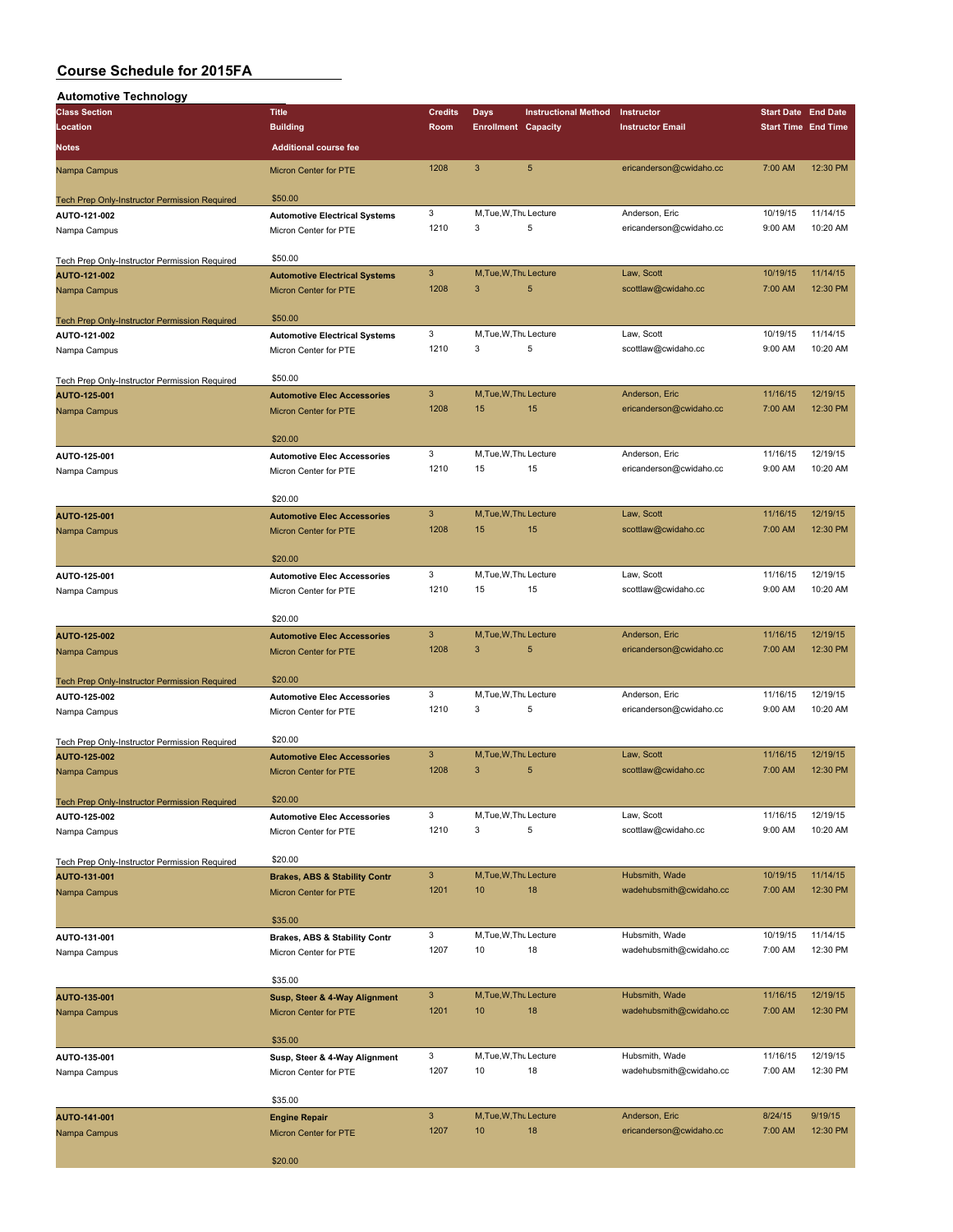| <b>Automotive Technology</b>                         |                                          |                           |                            |                             |                         |                            |          |
|------------------------------------------------------|------------------------------------------|---------------------------|----------------------------|-----------------------------|-------------------------|----------------------------|----------|
| <b>Class Section</b>                                 | <b>Title</b>                             | <b>Credits</b>            | Days                       | <b>Instructional Method</b> | Instructor              | <b>Start Date End Date</b> |          |
| Location                                             | <b>Building</b>                          | Room                      | <b>Enrollment Capacity</b> |                             | <b>Instructor Email</b> | <b>Start Time End Time</b> |          |
|                                                      |                                          |                           |                            |                             |                         |                            |          |
| <b>Notes</b>                                         | <b>Additional course fee</b>             |                           |                            |                             |                         |                            |          |
| Nampa Campus                                         | <b>Micron Center for PTE</b>             | 1208                      | $\mathbf{3}$               | $5\phantom{.0}$             | ericanderson@cwidaho.cc | 7:00 AM                    | 12:30 PM |
| <b>Tech Prep Only-Instructor Permission Required</b> | \$50.00                                  |                           |                            |                             |                         |                            |          |
| AUTO-121-002                                         | <b>Automotive Electrical Systems</b>     | 3                         | M, Tue, W, Thu Lecture     |                             | Anderson, Eric          | 10/19/15                   | 11/14/15 |
|                                                      |                                          | 1210                      | 3                          | 5                           | ericanderson@cwidaho.cc | 9:00 AM                    | 10:20 AM |
| Nampa Campus                                         | Micron Center for PTE                    |                           |                            |                             |                         |                            |          |
|                                                      |                                          |                           |                            |                             |                         |                            |          |
| Tech Prep Only-Instructor Permission Required        | \$50.00                                  |                           |                            |                             |                         |                            |          |
| AUTO-121-002                                         | <b>Automotive Electrical Systems</b>     | $\mathbf{3}$              | M, Tue, W, Thu Lecture     |                             | Law, Scott              | 10/19/15                   | 11/14/15 |
| Nampa Campus                                         | Micron Center for PTE                    | 1208                      | 3                          | 5                           | scottlaw@cwidaho.cc     | 7:00 AM                    | 12:30 PM |
|                                                      |                                          |                           |                            |                             |                         |                            |          |
| <b>Tech Prep Only-Instructor Permission Required</b> | \$50.00                                  |                           |                            |                             |                         |                            |          |
| AUTO-121-002                                         | <b>Automotive Electrical Systems</b>     | 3                         | M, Tue, W, Thu Lecture     |                             | Law, Scott              | 10/19/15                   | 11/14/15 |
| Nampa Campus                                         | Micron Center for PTE                    | 1210                      | 3                          | 5                           | scottlaw@cwidaho.cc     | 9:00 AM                    | 10:20 AM |
|                                                      |                                          |                           |                            |                             |                         |                            |          |
| Tech Prep Only-Instructor Permission Required        | \$50.00                                  |                           |                            |                             |                         |                            |          |
| AUTO-125-001                                         | <b>Automotive Elec Accessories</b>       | $\mathbf{3}$              | M, Tue, W, Thu Lecture     |                             | Anderson, Eric          | 11/16/15                   | 12/19/15 |
|                                                      |                                          | 1208                      | 15                         | 15                          | ericanderson@cwidaho.cc | 7:00 AM                    | 12:30 PM |
| Nampa Campus                                         | <b>Micron Center for PTE</b>             |                           |                            |                             |                         |                            |          |
|                                                      |                                          |                           |                            |                             |                         |                            |          |
|                                                      | \$20.00                                  |                           |                            |                             |                         |                            |          |
| AUTO-125-001                                         | <b>Automotive Elec Accessories</b>       | 3                         | M, Tue, W, Thu Lecture     |                             | Anderson, Eric          | 11/16/15                   | 12/19/15 |
| Nampa Campus                                         | Micron Center for PTE                    | 1210                      | 15                         | 15                          | ericanderson@cwidaho.cc | 9:00 AM                    | 10:20 AM |
|                                                      |                                          |                           |                            |                             |                         |                            |          |
|                                                      | \$20.00                                  |                           |                            |                             |                         |                            |          |
| AUTO-125-001                                         | <b>Automotive Elec Accessories</b>       | $\mathbf{3}$              | M, Tue, W, Thu Lecture     |                             | Law, Scott              | 11/16/15                   | 12/19/15 |
| Nampa Campus                                         | Micron Center for PTE                    | 1208                      | 15                         | 15                          | scottlaw@cwidaho.cc     | 7:00 AM                    | 12:30 PM |
|                                                      |                                          |                           |                            |                             |                         |                            |          |
|                                                      | \$20.00                                  |                           |                            |                             |                         |                            |          |
|                                                      |                                          | 3                         | M.Tue, W.Thu Lecture       |                             | Law, Scott              | 11/16/15                   | 12/19/15 |
| AUTO-125-001                                         | <b>Automotive Elec Accessories</b>       |                           |                            |                             |                         |                            |          |
| Nampa Campus                                         | Micron Center for PTE                    | 1210                      | 15                         | 15                          | scottlaw@cwidaho.cc     | 9:00 AM                    | 10:20 AM |
|                                                      |                                          |                           |                            |                             |                         |                            |          |
|                                                      | \$20.00                                  |                           |                            |                             |                         |                            |          |
| AUTO-125-002                                         | <b>Automotive Elec Accessories</b>       | $\mathbf{3}$              | M, Tue, W, Thu Lecture     |                             | Anderson, Eric          | 11/16/15                   | 12/19/15 |
| Nampa Campus                                         | Micron Center for PTE                    | 1208                      | 3                          | 5                           | ericanderson@cwidaho.cc | 7:00 AM                    | 12:30 PM |
|                                                      |                                          |                           |                            |                             |                         |                            |          |
| Tech Prep Only-Instructor Permission Required        | \$20.00                                  |                           |                            |                             |                         |                            |          |
| AUTO-125-002                                         | <b>Automotive Elec Accessories</b>       | 3                         | M, Tue, W, Thu Lecture     |                             | Anderson, Eric          | 11/16/15                   | 12/19/15 |
| Nampa Campus                                         | Micron Center for PTE                    | 1210                      | 3                          | 5                           | ericanderson@cwidaho.cc | 9:00 AM                    | 10:20 AM |
|                                                      |                                          |                           |                            |                             |                         |                            |          |
|                                                      | \$20.00                                  |                           |                            |                             |                         |                            |          |
| <b>Tech Prep Only-Instructor Permission Required</b> |                                          |                           |                            |                             |                         |                            |          |
| AUTO-125-002                                         | <b>Automotive Elec Accessories</b>       | $\mathbf{3}$              | M, Tue, W, Thu Lecture     |                             | Law, Scott              | 11/16/15                   | 12/19/15 |
| Nampa Campus                                         | Micron Center for PTE                    | 1208                      | 3                          | 5                           | scottlaw@cwidaho.cc     | 7:00 AM                    | 12:30 PM |
|                                                      |                                          |                           |                            |                             |                         |                            |          |
| <b>Tech Prep Only-Instructor Permission Required</b> | \$20.00                                  |                           |                            |                             |                         |                            |          |
| AUTO-125-002                                         | <b>Automotive Elec Accessories</b>       | 3                         | M, Tue, W, Thu Lecture     |                             | Law, Scott              | 11/16/15                   | 12/19/15 |
| Nampa Campus                                         | Micron Center for PTE                    | 1210                      | 3                          | 5                           | scottlaw@cwidaho.cc     | 9:00 AM                    | 10:20 AM |
|                                                      |                                          |                           |                            |                             |                         |                            |          |
| Tech Prep Only-Instructor Permission Required        | \$20.00                                  |                           |                            |                             |                         |                            |          |
|                                                      |                                          | $\mathbf{3}$              | M, Tue, W, Thu Lecture     |                             | Hubsmith, Wade          | 10/19/15                   | 11/14/15 |
| AUTO-131-001                                         | <b>Brakes, ABS &amp; Stability Contr</b> |                           |                            |                             |                         |                            |          |
| Nampa Campus                                         | Micron Center for PTE                    | 1201                      | 10                         | 18                          | wadehubsmith@cwidaho.cc | 7:00 AM                    | 12:30 PM |
|                                                      |                                          |                           |                            |                             |                         |                            |          |
|                                                      | \$35.00                                  |                           |                            |                             |                         |                            |          |
| AUTO-131-001                                         | <b>Brakes, ABS &amp; Stability Contr</b> | 3                         | M, Tue, W, Thu Lecture     |                             | Hubsmith, Wade          | 10/19/15                   | 11/14/15 |
| Nampa Campus                                         | Micron Center for PTE                    | 1207                      | 10                         | 18                          | wadehubsmith@cwidaho.cc | 7:00 AM                    | 12:30 PM |
|                                                      |                                          |                           |                            |                             |                         |                            |          |
|                                                      | \$35.00                                  |                           |                            |                             |                         |                            |          |
| AUTO-135-001                                         | Susp, Steer & 4-Way Alignment            | $\mathbf{3}$              | M, Tue, W, Thu Lecture     |                             | Hubsmith, Wade          | 11/16/15                   | 12/19/15 |
| Nampa Campus                                         | <b>Micron Center for PTE</b>             | 1201                      | 10                         | 18                          | wadehubsmith@cwidaho.cc | 7:00 AM                    | 12:30 PM |
|                                                      |                                          |                           |                            |                             |                         |                            |          |
|                                                      | \$35.00                                  |                           |                            |                             |                         |                            |          |
|                                                      |                                          |                           |                            |                             |                         |                            |          |
| AUTO-135-001                                         | Susp, Steer & 4-Way Alignment            | 3                         | M, Tue, W, Thu Lecture     |                             | Hubsmith, Wade          | 11/16/15                   | 12/19/15 |
| Nampa Campus                                         | Micron Center for PTE                    | 1207                      | 10                         | 18                          | wadehubsmith@cwidaho.cc | 7:00 AM                    | 12:30 PM |
|                                                      |                                          |                           |                            |                             |                         |                            |          |
|                                                      | \$35.00                                  |                           |                            |                             |                         |                            |          |
| AUTO-141-001                                         | <b>Engine Repair</b>                     | $\ensuremath{\mathsf{3}}$ | M, Tue, W, Thu Lecture     |                             | Anderson, Eric          | 8/24/15                    | 9/19/15  |
| Nampa Campus                                         | Micron Center for PTE                    | 1207                      | 10                         | 18                          | ericanderson@cwidaho.cc | 7:00 AM                    | 12:30 PM |
|                                                      |                                          |                           |                            |                             |                         |                            |          |
|                                                      | \$20.00                                  |                           |                            |                             |                         |                            |          |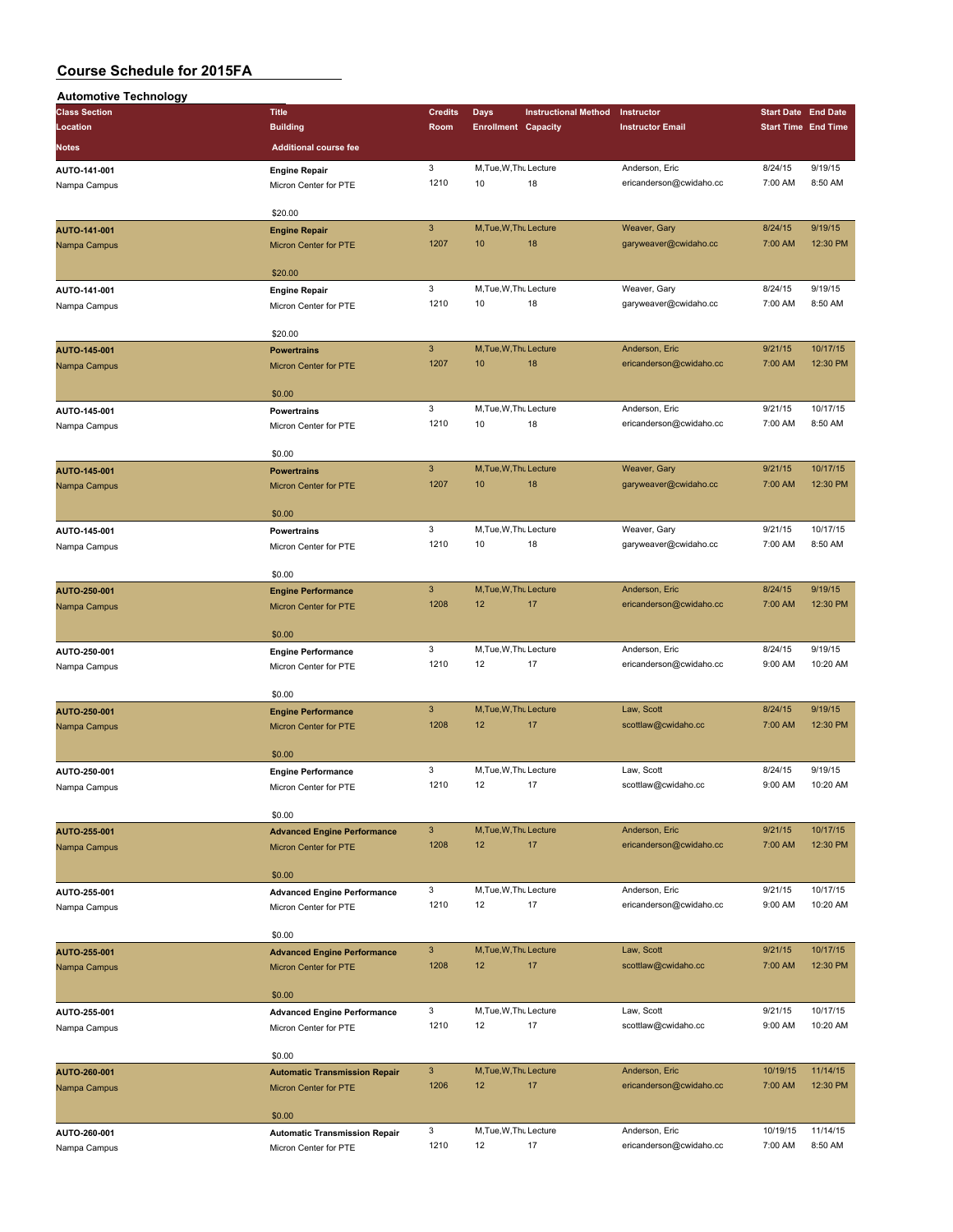| <b>Automotive Technology</b> |                                             |                           |                              |                             |                                           |                            |          |
|------------------------------|---------------------------------------------|---------------------------|------------------------------|-----------------------------|-------------------------------------------|----------------------------|----------|
| <b>Class Section</b>         | <b>Title</b>                                | <b>Credits</b>            | Days                         | <b>Instructional Method</b> | Instructor                                | <b>Start Date End Date</b> |          |
| Location                     | <b>Building</b>                             | Room                      | <b>Enrollment Capacity</b>   |                             | <b>Instructor Email</b>                   | <b>Start Time End Time</b> |          |
| Notes                        | <b>Additional course fee</b>                |                           |                              |                             |                                           |                            |          |
|                              |                                             | 3                         | M, Tue, W, Thu Lecture       |                             |                                           | 8/24/15                    | 9/19/15  |
| AUTO-141-001                 | <b>Engine Repair</b>                        | 1210                      | 10                           | 18                          | Anderson, Eric<br>ericanderson@cwidaho.cc | 7:00 AM                    | 8:50 AM  |
| Nampa Campus                 | Micron Center for PTE                       |                           |                              |                             |                                           |                            |          |
|                              | \$20.00                                     |                           |                              |                             |                                           |                            |          |
| AUTO-141-001                 | <b>Engine Repair</b>                        | $\mathbf{3}$              | M, Tue, W, Thu Lecture       |                             | Weaver, Gary                              | 8/24/15                    | 9/19/15  |
| Nampa Campus                 | Micron Center for PTE                       | 1207                      | 10                           | 18                          | garyweaver@cwidaho.cc                     | 7:00 AM                    | 12:30 PM |
|                              |                                             |                           |                              |                             |                                           |                            |          |
|                              | \$20.00                                     |                           |                              |                             |                                           |                            |          |
| AUTO-141-001                 | <b>Engine Repair</b>                        | 3                         | M, Tue, W, Thu Lecture       |                             | Weaver, Gary                              | 8/24/15                    | 9/19/15  |
| Nampa Campus                 | Micron Center for PTE                       | 1210                      | 10                           | 18                          | garyweaver@cwidaho.cc                     | 7:00 AM                    | 8:50 AM  |
|                              |                                             |                           |                              |                             |                                           |                            |          |
|                              | \$20.00                                     |                           |                              |                             |                                           |                            |          |
| AUTO-145-001                 | <b>Powertrains</b>                          | $\mathbf{3}$              | M, Tue, W, Thu Lecture       |                             | Anderson, Eric                            | 9/21/15                    | 10/17/15 |
| Nampa Campus                 | Micron Center for PTE                       | 1207                      | 10                           | 18                          | ericanderson@cwidaho.cc                   | 7:00 AM                    | 12:30 PM |
|                              |                                             |                           |                              |                             |                                           |                            |          |
|                              | \$0.00                                      |                           |                              |                             |                                           |                            |          |
| AUTO-145-001                 | <b>Powertrains</b>                          | 3                         | M, Tue, W, Thu Lecture       |                             | Anderson, Eric                            | 9/21/15                    | 10/17/15 |
| Nampa Campus                 | Micron Center for PTE                       | 1210                      | 10                           | 18                          | ericanderson@cwidaho.cc                   | 7:00 AM                    | 8:50 AM  |
|                              |                                             |                           |                              |                             |                                           |                            |          |
|                              | \$0.00                                      |                           |                              |                             |                                           |                            |          |
| AUTO-145-001                 | <b>Powertrains</b>                          | $\mathbf{3}$              | M, Tue, W, Thu Lecture       |                             | Weaver, Gary                              | 9/21/15                    | 10/17/15 |
| Nampa Campus                 | Micron Center for PTE                       | 1207                      | 10                           | 18                          | garyweaver@cwidaho.cc                     | 7:00 AM                    | 12:30 PM |
|                              | \$0.00                                      |                           |                              |                             |                                           |                            |          |
|                              |                                             | 3                         | M, Tue, W, Thu Lecture       |                             | Weaver, Gary                              | 9/21/15                    | 10/17/15 |
| AUTO-145-001                 | <b>Powertrains</b><br>Micron Center for PTE | 1210                      | 10                           | 18                          | garyweaver@cwidaho.cc                     | 7:00 AM                    | 8:50 AM  |
| Nampa Campus                 |                                             |                           |                              |                             |                                           |                            |          |
|                              | \$0.00                                      |                           |                              |                             |                                           |                            |          |
| AUTO-250-001                 | <b>Engine Performance</b>                   | $\mathbf{3}$              | M, Tue, W, Thu Lecture       |                             | Anderson, Eric                            | 8/24/15                    | 9/19/15  |
| Nampa Campus                 | Micron Center for PTE                       | 1208                      | 12                           | 17                          | ericanderson@cwidaho.cc                   | 7:00 AM                    | 12:30 PM |
|                              |                                             |                           |                              |                             |                                           |                            |          |
|                              | \$0.00                                      |                           |                              |                             |                                           |                            |          |
| AUTO-250-001                 | <b>Engine Performance</b>                   | 3                         | M, Tue, W, Thu Lecture       |                             | Anderson, Eric                            | 8/24/15                    | 9/19/15  |
| Nampa Campus                 | Micron Center for PTE                       | 1210                      | 12                           | 17                          | ericanderson@cwidaho.cc                   | 9:00 AM                    | 10:20 AM |
|                              |                                             |                           |                              |                             |                                           |                            |          |
|                              | \$0.00                                      |                           |                              |                             |                                           |                            |          |
| AUTO-250-001                 | <b>Engine Performance</b>                   | $\ensuremath{\mathsf{3}}$ | M.Tue, W.Thu Lecture         |                             | Law, Scott                                | 8/24/15                    | 9/19/15  |
| Nampa Campus                 | <b>Micron Center for PTE</b>                | 1208                      | 12                           | 17                          | scottlaw@cwidaho.cc                       | 7:00 AM                    | 12:30 PM |
|                              |                                             |                           |                              |                             |                                           |                            |          |
|                              | \$0.00                                      |                           |                              |                             |                                           |                            |          |
| AUTO-250-001                 | <b>Engine Performance</b>                   | 3                         | M, Tue, W, Thu Lecture       |                             | Law, Scott                                | 8/24/15                    | 9/19/15  |
| Nampa Campus                 | Micron Center for PTE                       | 1210                      | 12                           | 17                          | scottlaw@cwidaho.cc                       | 9:00 AM                    | 10:20 AM |
|                              |                                             |                           |                              |                             |                                           |                            |          |
|                              | \$0.00                                      | $\mathbf{3}$              |                              |                             | Anderson, Eric                            | 9/21/15                    | 10/17/15 |
| AUTO-255-001                 | <b>Advanced Engine Performance</b>          | 1208                      | M, Tue, W, Thu Lecture<br>12 | 17                          | ericanderson@cwidaho.cc                   | 7:00 AM                    | 12:30 PM |
| Nampa Campus                 | <b>Micron Center for PTE</b>                |                           |                              |                             |                                           |                            |          |
|                              | \$0.00                                      |                           |                              |                             |                                           |                            |          |
| AUTO-255-001                 | <b>Advanced Engine Performance</b>          | 3                         | M, Tue, W, Thu Lecture       |                             | Anderson, Eric                            | 9/21/15                    | 10/17/15 |
| Nampa Campus                 | Micron Center for PTE                       | 1210                      | 12                           | 17                          | ericanderson@cwidaho.cc                   | 9:00 AM                    | 10:20 AM |
|                              |                                             |                           |                              |                             |                                           |                            |          |
|                              | \$0.00                                      |                           |                              |                             |                                           |                            |          |
| AUTO-255-001                 | <b>Advanced Engine Performance</b>          | $\mathbf{3}$              | M, Tue, W, Thu Lecture       |                             | Law, Scott                                | 9/21/15                    | 10/17/15 |
| Nampa Campus                 | <b>Micron Center for PTE</b>                | 1208                      | 12                           | 17                          | scottlaw@cwidaho.cc                       | 7:00 AM                    | 12:30 PM |
|                              |                                             |                           |                              |                             |                                           |                            |          |
|                              | \$0.00                                      |                           |                              |                             |                                           |                            |          |
| AUTO-255-001                 | <b>Advanced Engine Performance</b>          | 3                         | M, Tue, W, Thu Lecture       |                             | Law, Scott                                | 9/21/15                    | 10/17/15 |
| Nampa Campus                 | Micron Center for PTE                       | 1210                      | 12                           | 17                          | scottlaw@cwidaho.cc                       | 9:00 AM                    | 10:20 AM |
|                              |                                             |                           |                              |                             |                                           |                            |          |
|                              | \$0.00                                      |                           |                              |                             |                                           |                            |          |
| AUTO-260-001                 | <b>Automatic Transmission Repair</b>        | $\mathbf{3}$              | M, Tue, W, Thu Lecture       |                             | Anderson, Eric                            | 10/19/15                   | 11/14/15 |
| Nampa Campus                 | Micron Center for PTE                       | 1206                      | 12                           | 17                          | ericanderson@cwidaho.cc                   | 7:00 AM                    | 12:30 PM |
|                              |                                             |                           |                              |                             |                                           |                            |          |
|                              | \$0.00                                      |                           |                              |                             |                                           |                            |          |
| AUTO-260-001                 | <b>Automatic Transmission Repair</b>        | 3                         | M, Tue, W, Thu Lecture       |                             | Anderson, Eric                            | 10/19/15                   | 11/14/15 |
| Nampa Campus                 | Micron Center for PTE                       | 1210                      | 12                           | 17                          | ericanderson@cwidaho.cc                   | 7:00 AM                    | 8:50 AM  |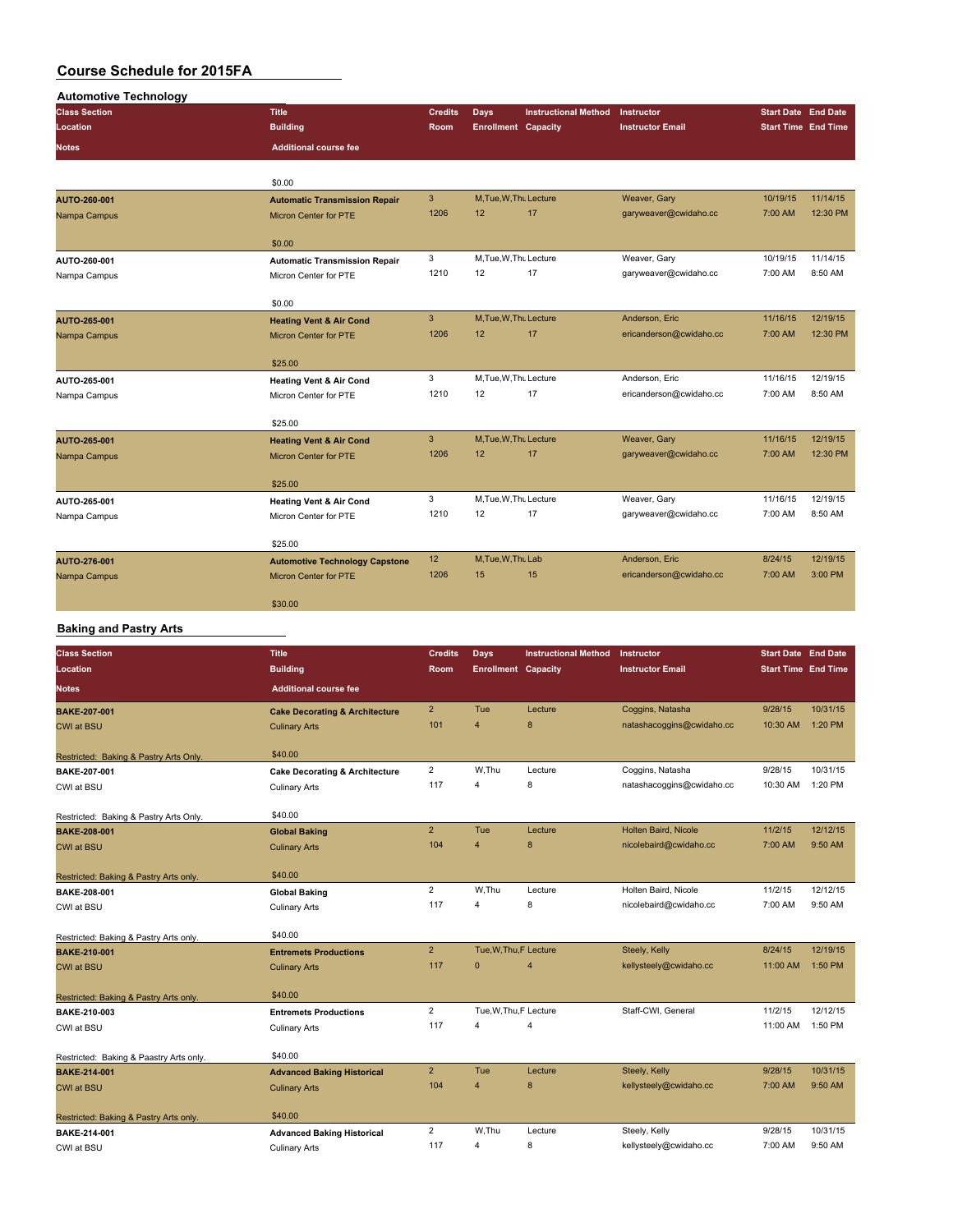| <b>Automotive Technology</b> |                                       |                |                            |                             |                         |                            |          |
|------------------------------|---------------------------------------|----------------|----------------------------|-----------------------------|-------------------------|----------------------------|----------|
| <b>Class Section</b>         | <b>Title</b>                          | <b>Credits</b> | <b>Days</b>                | <b>Instructional Method</b> | Instructor              | <b>Start Date End Date</b> |          |
| Location                     | <b>Building</b>                       | Room           | <b>Enrollment Capacity</b> |                             | <b>Instructor Email</b> | <b>Start Time End Time</b> |          |
| <b>Notes</b>                 | <b>Additional course fee</b>          |                |                            |                             |                         |                            |          |
|                              | \$0.00                                |                |                            |                             |                         |                            |          |
| AUTO-260-001                 | <b>Automatic Transmission Repair</b>  | $\mathbf{3}$   | M, Tue, W, Thu Lecture     |                             | Weaver, Gary            | 10/19/15                   | 11/14/15 |
| Nampa Campus                 | <b>Micron Center for PTE</b>          | 1206           | 12                         | 17                          | garyweaver@cwidaho.cc   | 7:00 AM                    | 12:30 PM |
|                              | \$0.00                                |                |                            |                             |                         |                            |          |
| AUTO-260-001                 | <b>Automatic Transmission Repair</b>  | 3              | M,Tue,W,Thu Lecture        |                             | Weaver, Gary            | 10/19/15                   | 11/14/15 |
| Nampa Campus                 | Micron Center for PTE                 | 1210           | 12                         | 17                          | garyweaver@cwidaho.cc   | 7:00 AM                    | 8:50 AM  |
|                              | \$0.00                                |                |                            |                             |                         |                            |          |
| AUTO-265-001                 | <b>Heating Vent &amp; Air Cond</b>    | 3              | M.Tue.W.Thu Lecture        |                             | Anderson, Eric          | 11/16/15                   | 12/19/15 |
| Nampa Campus                 | <b>Micron Center for PTE</b>          | 1206           | 12                         | 17                          | ericanderson@cwidaho.cc | 7:00 AM                    | 12:30 PM |
|                              | \$25.00                               |                |                            |                             |                         |                            |          |
| AUTO-265-001                 | <b>Heating Vent &amp; Air Cond</b>    | 3              | M, Tue, W, Thu Lecture     |                             | Anderson, Eric          | 11/16/15                   | 12/19/15 |
| Nampa Campus                 | Micron Center for PTE                 | 1210           | 12                         | 17                          | ericanderson@cwidaho.cc | 7:00 AM                    | 8:50 AM  |
|                              | \$25.00                               |                |                            |                             |                         |                            |          |
| AUTO-265-001                 | <b>Heating Vent &amp; Air Cond</b>    | 3              | M, Tue, W, Thu Lecture     |                             | Weaver, Gary            | 11/16/15                   | 12/19/15 |
| Nampa Campus                 | <b>Micron Center for PTE</b>          | 1206           | 12                         | 17                          | garyweaver@cwidaho.cc   | 7:00 AM                    | 12:30 PM |
|                              | \$25.00                               |                |                            |                             |                         |                            |          |
| AUTO-265-001                 | <b>Heating Vent &amp; Air Cond</b>    | 3              | M.Tue, W.Thu Lecture       |                             | Weaver, Gary            | 11/16/15                   | 12/19/15 |
| Nampa Campus                 | Micron Center for PTE                 | 1210           | 12                         | 17                          | garyweaver@cwidaho.cc   | 7:00 AM                    | 8:50 AM  |
|                              | \$25.00                               |                |                            |                             |                         |                            |          |
| AUTO-276-001                 | <b>Automotive Technology Capstone</b> | 12             | M, Tue, W, Thu Lab         |                             | Anderson, Eric          | 8/24/15                    | 12/19/15 |
| Nampa Campus                 | <b>Micron Center for PTE</b>          | 1206           | 15                         | 15                          | ericanderson@cwidaho.cc | 7:00 AM                    | 3:00 PM  |
|                              | \$30.00                               |                |                            |                             |                         |                            |          |

#### **Baking and Pastry Arts**

| <b>Class Section</b>                    | <b>Title</b>                              | <b>Credits</b> | Days                       | <b>Instructional Method</b> | Instructor                | <b>Start Date</b> End Date |          |
|-----------------------------------------|-------------------------------------------|----------------|----------------------------|-----------------------------|---------------------------|----------------------------|----------|
| Location                                | <b>Building</b>                           | Room           | <b>Enrollment Capacity</b> |                             | <b>Instructor Email</b>   | <b>Start Time End Time</b> |          |
| <b>Notes</b>                            | <b>Additional course fee</b>              |                |                            |                             |                           |                            |          |
| <b>BAKE-207-001</b>                     | <b>Cake Decorating &amp; Architecture</b> | $\overline{2}$ | Tue                        | Lecture                     | Coggins, Natasha          | 9/28/15                    | 10/31/15 |
| <b>CWI at BSU</b>                       | <b>Culinary Arts</b>                      | 101            | $\overline{4}$             | 8                           | natashacoggins@cwidaho.cc | 10:30 AM                   | 1:20 PM  |
|                                         |                                           |                |                            |                             |                           |                            |          |
| Restricted: Baking & Pastry Arts Only.  | \$40.00                                   |                |                            |                             |                           |                            | 10/31/15 |
| BAKE-207-001                            | <b>Cake Decorating &amp; Architecture</b> | $\overline{2}$ | W.Thu                      | Lecture                     | Coggins, Natasha          | 9/28/15                    |          |
| CWI at BSU                              | <b>Culinary Arts</b>                      | 117            | 4                          | 8                           | natashacoggins@cwidaho.cc | 10:30 AM                   | 1:20 PM  |
| Restricted: Baking & Pastry Arts Only.  | \$40.00                                   |                |                            |                             |                           |                            |          |
| <b>BAKE-208-001</b>                     | <b>Global Baking</b>                      | $\overline{2}$ | Tue                        | Lecture                     | Holten Baird, Nicole      | 11/2/15                    | 12/12/15 |
| <b>CWI at BSU</b>                       | <b>Culinary Arts</b>                      | 104            | $\overline{4}$             | 8                           | nicolebaird@cwidaho.cc    | 7:00 AM                    | 9:50 AM  |
|                                         |                                           |                |                            |                             |                           |                            |          |
| Restricted: Baking & Pastry Arts only.  | \$40.00                                   |                |                            |                             |                           |                            |          |
| BAKE-208-001                            | <b>Global Baking</b>                      | $\overline{2}$ | W.Thu                      | Lecture                     | Holten Baird, Nicole      | 11/2/15                    | 12/12/15 |
| CWI at BSU                              | <b>Culinary Arts</b>                      | 117            | $\overline{4}$             | 8                           | nicolebaird@cwidaho.cc    | 7:00 AM                    | 9:50 AM  |
| Restricted: Baking & Pastry Arts only.  | \$40.00                                   |                |                            |                             |                           |                            |          |
| BAKE-210-001                            | <b>Entremets Productions</b>              | $\overline{2}$ | Tue, W, Thu, F Lecture     |                             | Steely, Kelly             | 8/24/15                    | 12/19/15 |
| <b>CWI at BSU</b>                       | <b>Culinary Arts</b>                      | 117            | $\mathbf{0}$               | 4                           | kellysteely@cwidaho.cc    | 11:00 AM                   | 1:50 PM  |
|                                         |                                           |                |                            |                             |                           |                            |          |
| Restricted: Baking & Pastry Arts only.  | \$40.00                                   |                |                            |                             |                           |                            |          |
| BAKE-210-003                            | <b>Entremets Productions</b>              | $\overline{2}$ | Tue, W, Thu, F Lecture     |                             | Staff-CWI, General        | 11/2/15                    | 12/12/15 |
| CWI at BSU                              | <b>Culinary Arts</b>                      | 117            | 4                          | 4                           |                           | 11:00 AM                   | 1:50 PM  |
|                                         |                                           |                |                            |                             |                           |                            |          |
| Restricted: Baking & Paastry Arts only. | \$40.00                                   |                |                            |                             |                           |                            |          |
| <b>BAKE-214-001</b>                     | <b>Advanced Baking Historical</b>         | $\overline{2}$ | Tue                        | Lecture                     | Steely, Kelly             | 9/28/15                    | 10/31/15 |
| <b>CWI at BSU</b>                       | <b>Culinary Arts</b>                      | 104            | $\overline{4}$             | 8                           | kellysteely@cwidaho.cc    | 7:00 AM                    | 9:50 AM  |
| Restricted: Baking & Pastry Arts only.  | \$40.00                                   |                |                            |                             |                           |                            |          |
| BAKE-214-001                            | <b>Advanced Baking Historical</b>         | $\overline{2}$ | W.Thu                      | Lecture                     | Steely, Kelly             | 9/28/15                    | 10/31/15 |
| CWI at BSU                              | <b>Culinary Arts</b>                      | 117            | 4                          | 8                           | kellysteely@cwidaho.cc    | 7:00 AM                    | 9:50 AM  |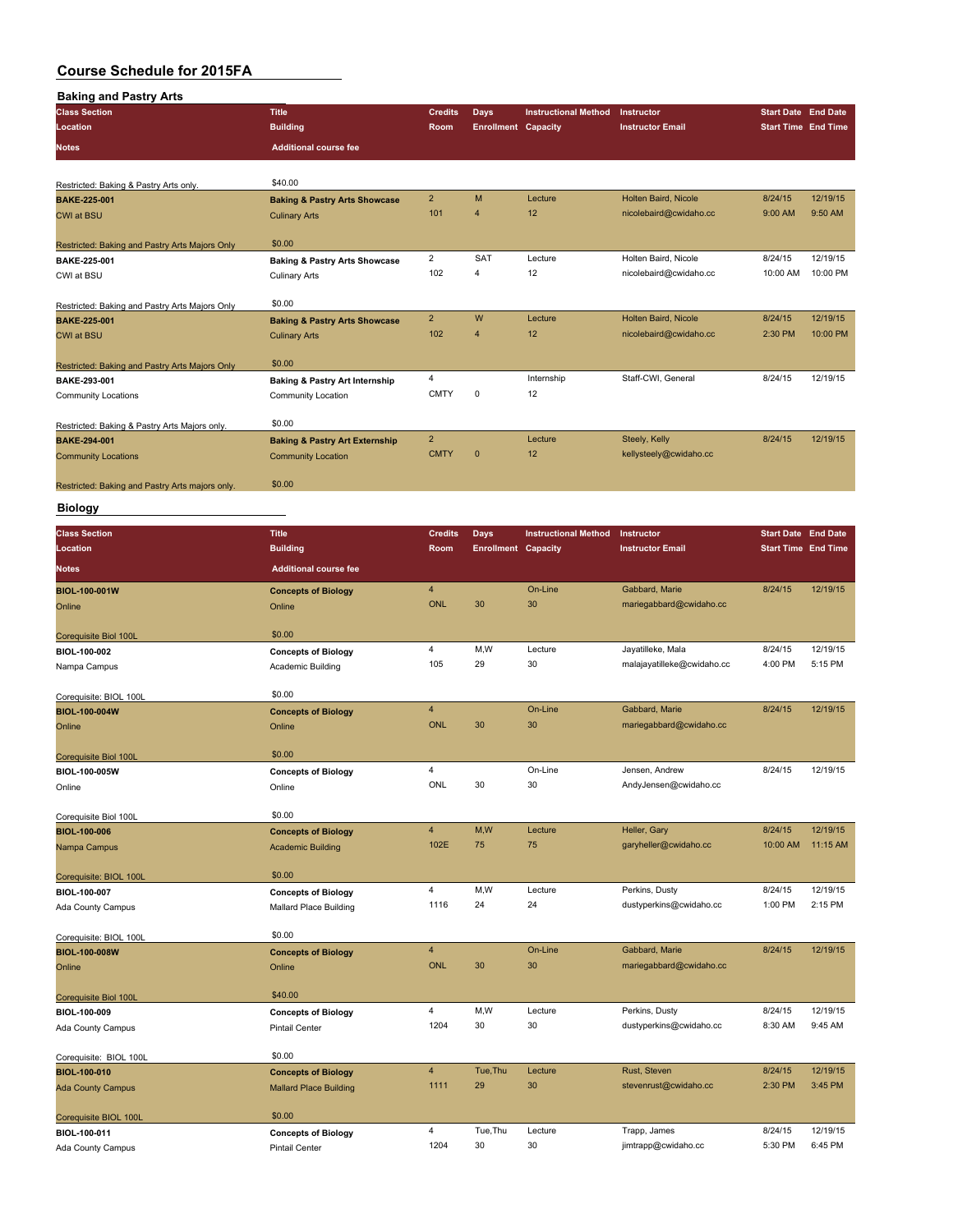| <b>Baking and Pastry Arts</b>                   |                                                      |                         |                            |                             |                            |                            |          |
|-------------------------------------------------|------------------------------------------------------|-------------------------|----------------------------|-----------------------------|----------------------------|----------------------------|----------|
| <b>Class Section</b>                            | <b>Title</b>                                         | <b>Credits</b>          | Days                       | <b>Instructional Method</b> | Instructor                 | <b>Start Date End Date</b> |          |
| Location                                        | <b>Building</b>                                      | Room                    | <b>Enrollment Capacity</b> |                             | <b>Instructor Email</b>    | <b>Start Time End Time</b> |          |
| <b>Notes</b>                                    | <b>Additional course fee</b>                         |                         |                            |                             |                            |                            |          |
|                                                 |                                                      |                         |                            |                             |                            |                            |          |
|                                                 | \$40.00                                              |                         |                            |                             |                            |                            |          |
| Restricted: Baking & Pastry Arts only.          |                                                      | $\overline{\mathbf{c}}$ | M                          | Lecture                     | Holten Baird, Nicole       | 8/24/15                    | 12/19/15 |
| <b>BAKE-225-001</b>                             | <b>Baking &amp; Pastry Arts Showcase</b>             | 101                     | $\overline{4}$             | 12                          | nicolebaird@cwidaho.cc     | 9:00 AM                    | 9:50 AM  |
| <b>CWI at BSU</b>                               | <b>Culinary Arts</b>                                 |                         |                            |                             |                            |                            |          |
| Restricted: Baking and Pastry Arts Majors Only  | \$0.00                                               |                         |                            |                             |                            |                            |          |
| BAKE-225-001                                    | <b>Baking &amp; Pastry Arts Showcase</b>             | $\overline{\mathbf{c}}$ | SAT                        | Lecture                     | Holten Baird, Nicole       | 8/24/15                    | 12/19/15 |
| CWI at BSU                                      | <b>Culinary Arts</b>                                 | 102                     | $\overline{4}$             | 12                          | nicolebaird@cwidaho.cc     | 10:00 AM                   | 10:00 PM |
|                                                 |                                                      |                         |                            |                             |                            |                            |          |
| Restricted: Baking and Pastry Arts Majors Only  | \$0.00                                               |                         |                            |                             |                            |                            |          |
| <b>BAKE-225-001</b>                             | <b>Baking &amp; Pastry Arts Showcase</b>             | $\overline{2}$          | W                          | Lecture                     | Holten Baird, Nicole       | 8/24/15                    | 12/19/15 |
| CWI at BSU                                      | <b>Culinary Arts</b>                                 | 102                     | $\overline{4}$             | 12                          | nicolebaird@cwidaho.cc     | 2:30 PM                    | 10:00 PM |
|                                                 |                                                      |                         |                            |                             |                            |                            |          |
| Restricted: Baking and Pastry Arts Majors Only  | \$0.00                                               |                         |                            |                             |                            |                            |          |
| BAKE-293-001                                    | <b>Baking &amp; Pastry Art Internship</b>            | 4                       |                            | Internship                  | Staff-CWI, General         | 8/24/15                    | 12/19/15 |
| Community Locations                             | Community Location                                   | <b>CMTY</b>             | 0                          | 12                          |                            |                            |          |
|                                                 |                                                      |                         |                            |                             |                            |                            |          |
| Restricted: Baking & Pastry Arts Majors only.   | \$0.00                                               |                         |                            |                             |                            |                            |          |
| <b>BAKE-294-001</b>                             | <b>Baking &amp; Pastry Art Externship</b>            | $\overline{2}$          |                            | Lecture                     | Steely, Kelly              | 8/24/15                    | 12/19/15 |
| <b>Community Locations</b>                      | <b>Community Location</b>                            | <b>CMTY</b>             | $\mathbf{0}$               | 12                          | kellysteely@cwidaho.cc     |                            |          |
|                                                 | \$0.00                                               |                         |                            |                             |                            |                            |          |
| Restricted: Baking and Pastry Arts majors only. |                                                      |                         |                            |                             |                            |                            |          |
| <b>Biology</b>                                  |                                                      |                         |                            |                             |                            |                            |          |
|                                                 |                                                      |                         |                            |                             | Instructor                 | <b>Start Date End Date</b> |          |
| <b>Class Section</b>                            | <b>Title</b>                                         | <b>Credits</b>          | Days                       | <b>Instructional Method</b> |                            |                            |          |
| Location                                        | <b>Building</b>                                      | Room                    | <b>Enrollment Capacity</b> |                             | <b>Instructor Email</b>    | <b>Start Time End Time</b> |          |
| Notes                                           | <b>Additional course fee</b>                         |                         |                            |                             |                            |                            |          |
| <b>BIOL-100-001W</b>                            | <b>Concepts of Biology</b>                           | $\overline{4}$          |                            | On-Line                     | Gabbard, Marie             | 8/24/15                    | 12/19/15 |
| Online                                          | Online                                               | <b>ONL</b>              | 30                         | 30                          | mariegabbard@cwidaho.cc    |                            |          |
|                                                 |                                                      |                         |                            |                             |                            |                            |          |
| Corequisite Biol 100L                           | \$0.00                                               |                         |                            |                             |                            |                            |          |
| BIOL-100-002                                    | <b>Concepts of Biology</b>                           | 4                       | M,W                        | Lecture                     | Jayatilleke, Mala          | 8/24/15                    | 12/19/15 |
| Nampa Campus                                    | Academic Building                                    | 105                     | 29                         | 30                          | malajayatilleke@cwidaho.cc | 4:00 PM                    | 5:15 PM  |
|                                                 |                                                      |                         |                            |                             |                            |                            |          |
| Corequisite: BIOL 100L                          | \$0.00                                               |                         |                            |                             |                            |                            |          |
| BIOL-100-004W                                   | <b>Concepts of Biology</b>                           | $\overline{4}$          |                            | On-Line                     | Gabbard, Marie             | 8/24/15                    | 12/19/15 |
| Online                                          | Online                                               | <b>ONL</b>              | 30                         | 30                          | mariegabbard@cwidaho.cc    |                            |          |
|                                                 |                                                      |                         |                            |                             |                            |                            |          |
| Corequisite Biol 100L                           | \$0.00                                               |                         |                            |                             |                            |                            |          |
| BIOL-100-005W                                   | <b>Concepts of Biology</b>                           | 4                       |                            | On-Line                     | Jensen, Andrew             | 8/24/15                    | 12/19/15 |
| Online                                          | Online                                               | ONL                     | 30                         | 30                          | AndyJensen@cwidaho.cc      |                            |          |
|                                                 |                                                      |                         |                            |                             |                            |                            |          |
| Corequisite Biol 100L                           | \$0.00                                               |                         |                            |                             |                            |                            | 12/19/15 |
| <b>BIOL-100-006</b>                             | <b>Concepts of Biology</b>                           | 4                       | M,W                        | Lecture                     | Heller, Gary               | 8/24/15<br>10:00 AM        |          |
| Nampa Campus                                    | <b>Academic Building</b>                             | 102E                    | 75                         | 75                          | garyheller@cwidaho.cc      |                            | 11:15 AM |
|                                                 | \$0.00                                               |                         |                            |                             |                            |                            |          |
| Corequisite: BIOL 100L                          |                                                      | 4                       | M,W                        | Lecture                     | Perkins, Dusty             | 8/24/15                    | 12/19/15 |
| BIOL-100-007                                    | <b>Concepts of Biology</b><br>Mallard Place Building | 1116                    | 24                         | 24                          | dustyperkins@cwidaho.cc    | 1:00 PM                    | 2:15 PM  |
| Ada County Campus                               |                                                      |                         |                            |                             |                            |                            |          |
| Corequisite: BIOL 100L                          | \$0.00                                               |                         |                            |                             |                            |                            |          |
| BIOL-100-008W                                   | <b>Concepts of Biology</b>                           | 4                       |                            | On-Line                     | Gabbard, Marie             | 8/24/15                    | 12/19/15 |
| Online                                          | Online                                               | ONL                     | 30                         | 30                          | mariegabbard@cwidaho.cc    |                            |          |
|                                                 |                                                      |                         |                            |                             |                            |                            |          |
| <b>Corequisite Biol 100L</b>                    | \$40.00                                              |                         |                            |                             |                            |                            |          |
| BIOL-100-009                                    | <b>Concepts of Biology</b>                           | 4                       | M, W                       | Lecture                     | Perkins, Dusty             | 8/24/15                    | 12/19/15 |
| Ada County Campus                               | <b>Pintail Center</b>                                | 1204                    | 30                         | 30                          | dustyperkins@cwidaho.cc    | 8:30 AM                    | 9:45 AM  |
|                                                 |                                                      |                         |                            |                             |                            |                            |          |
| Corequisite: BIOL 100L                          | \$0.00                                               |                         |                            |                             |                            |                            |          |
| <b>BIOL-100-010</b>                             | <b>Concepts of Biology</b>                           | $\overline{4}$          | Tue, Thu                   | Lecture                     | Rust, Steven               | 8/24/15                    | 12/19/15 |
| <b>Ada County Campus</b>                        | <b>Mallard Place Building</b>                        | 1111                    | 29                         | 30                          | stevenrust@cwidaho.cc      | 2:30 PM                    | 3:45 PM  |
|                                                 |                                                      |                         |                            |                             |                            |                            |          |
| Corequisite BIOL 100L                           | \$0.00                                               |                         |                            |                             |                            |                            |          |
| BIOL-100-011                                    | <b>Concepts of Biology</b>                           | $\overline{4}$          | Tue, Thu                   | Lecture                     | Trapp, James               | 8/24/15                    | 12/19/15 |
| Ada County Campus                               | <b>Pintail Center</b>                                | 1204                    | 30                         | 30                          | jimtrapp@cwidaho.cc        | 5:30 PM                    | 6:45 PM  |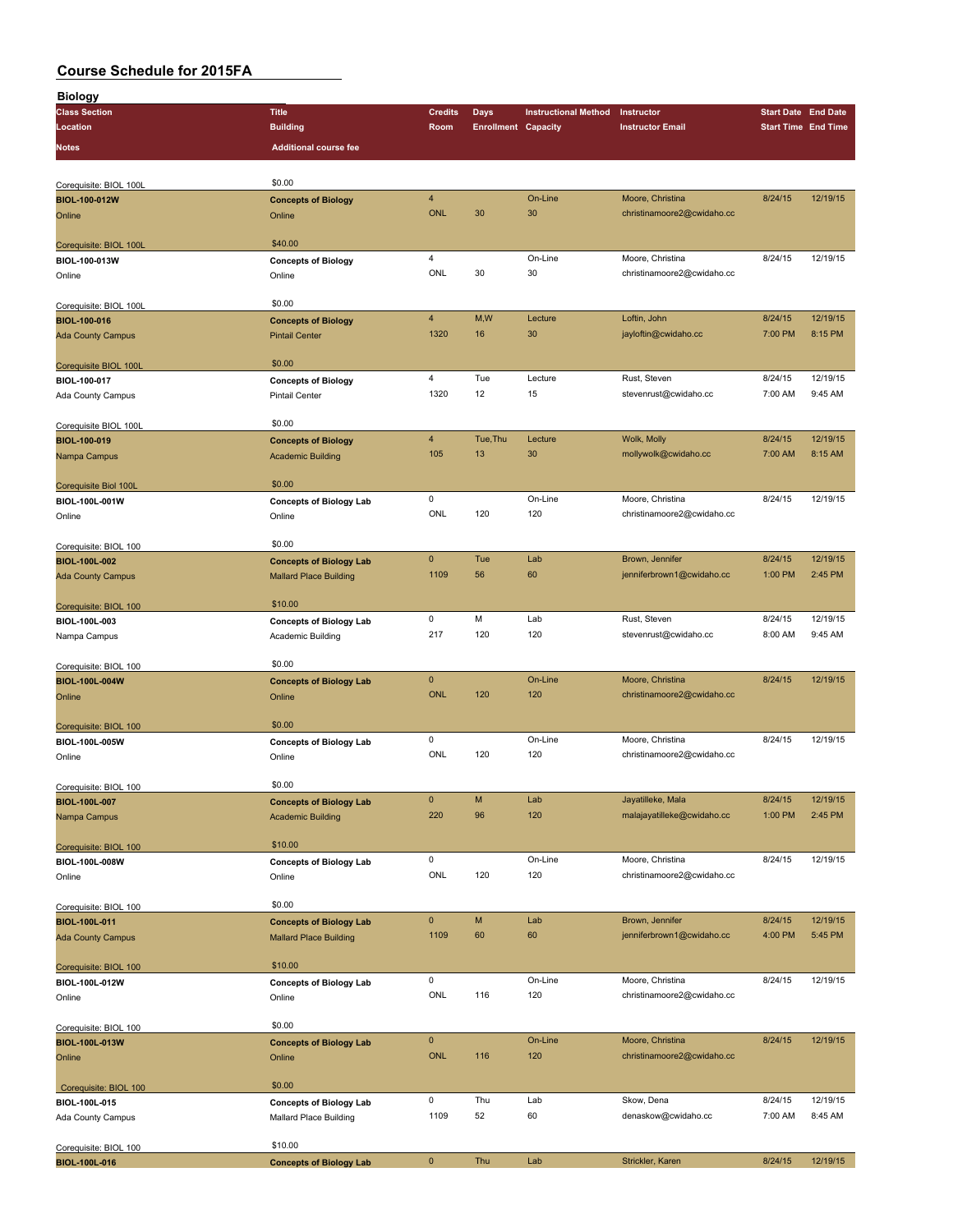| <b>Biology</b>           |                                |                |                            |                             |                            |         |                            |
|--------------------------|--------------------------------|----------------|----------------------------|-----------------------------|----------------------------|---------|----------------------------|
| <b>Class Section</b>     | <b>Title</b>                   | <b>Credits</b> | <b>Days</b>                | <b>Instructional Method</b> | Instructor                 |         | <b>Start Date End Date</b> |
| Location                 | <b>Building</b>                | Room           | <b>Enrollment Capacity</b> |                             | <b>Instructor Email</b>    |         | <b>Start Time End Time</b> |
| <b>Notes</b>             | <b>Additional course fee</b>   |                |                            |                             |                            |         |                            |
|                          |                                |                |                            |                             |                            |         |                            |
|                          |                                |                |                            |                             |                            |         |                            |
| Corequisite: BIOL 100L   | \$0.00                         |                |                            |                             |                            |         |                            |
| <b>BIOL-100-012W</b>     | <b>Concepts of Biology</b>     | 4              |                            | On-Line                     | Moore, Christina           | 8/24/15 | 12/19/15                   |
| Online                   | Online                         | <b>ONL</b>     | 30                         | 30                          | christinamoore2@cwidaho.cc |         |                            |
|                          |                                |                |                            |                             |                            |         |                            |
| Corequisite: BIOL 100L   | \$40.00                        |                |                            |                             |                            |         |                            |
| BIOL-100-013W            | <b>Concepts of Biology</b>     | 4              |                            | On-Line                     | Moore, Christina           | 8/24/15 | 12/19/15                   |
| Online                   | Online                         | <b>ONL</b>     | 30                         | 30                          | christinamoore2@cwidaho.cc |         |                            |
|                          |                                |                |                            |                             |                            |         |                            |
|                          | \$0.00                         |                |                            |                             |                            |         |                            |
| Corequisite: BIOL 100L   |                                | $\overline{4}$ | M,W                        | Lecture                     | Loftin, John               | 8/24/15 | 12/19/15                   |
| <b>BIOL-100-016</b>      | <b>Concepts of Biology</b>     |                |                            |                             |                            |         |                            |
| <b>Ada County Campus</b> | <b>Pintail Center</b>          | 1320           | 16                         | 30                          | jayloftin@cwidaho.cc       | 7:00 PM | 8:15 PM                    |
|                          |                                |                |                            |                             |                            |         |                            |
| Corequisite BIOL 100L    | \$0.00                         |                |                            |                             |                            |         |                            |
| BIOL-100-017             | <b>Concepts of Biology</b>     | $\overline{4}$ | Tue                        | Lecture                     | Rust, Steven               | 8/24/15 | 12/19/15                   |
| Ada County Campus        | <b>Pintail Center</b>          | 1320           | 12                         | 15                          | stevenrust@cwidaho.cc      | 7:00 AM | 9:45 AM                    |
|                          |                                |                |                            |                             |                            |         |                            |
| Corequisite BIOL 100L    | \$0.00                         |                |                            |                             |                            |         |                            |
| BIOL-100-019             | <b>Concepts of Biology</b>     | $\overline{4}$ | Tue, Thu                   | Lecture                     | Wolk, Molly                | 8/24/15 | 12/19/15                   |
| Nampa Campus             | <b>Academic Building</b>       | 105            | 13                         | 30                          | mollywolk@cwidaho.cc       | 7:00 AM | 8:15 AM                    |
|                          |                                |                |                            |                             |                            |         |                            |
| Corequisite Biol 100L    | \$0.00                         |                |                            |                             |                            |         |                            |
| BIOL-100L-001W           | <b>Concepts of Biology Lab</b> | 0              |                            | On-Line                     | Moore, Christina           | 8/24/15 | 12/19/15                   |
|                          |                                | ONL            | 120                        | 120                         | christinamoore2@cwidaho.cc |         |                            |
| Online                   | Online                         |                |                            |                             |                            |         |                            |
|                          |                                |                |                            |                             |                            |         |                            |
| Corequisite: BIOL 100    | \$0.00                         |                |                            |                             |                            |         |                            |
| BIOL-100L-002            | <b>Concepts of Biology Lab</b> | $\mathbf 0$    | Tue                        | Lab                         | Brown, Jennifer            | 8/24/15 | 12/19/15                   |
| <b>Ada County Campus</b> | <b>Mallard Place Building</b>  | 1109           | 56                         | 60                          | jenniferbrown1@cwidaho.cc  | 1:00 PM | 2:45 PM                    |
|                          |                                |                |                            |                             |                            |         |                            |
| Corequisite: BIOL 100    | \$10.00                        |                |                            |                             |                            |         |                            |
| BIOL-100L-003            | <b>Concepts of Biology Lab</b> | 0              | M                          | Lab                         | Rust, Steven               | 8/24/15 | 12/19/15                   |
| Nampa Campus             | Academic Building              | 217            | 120                        | 120                         | stevenrust@cwidaho.cc      | 8:00 AM | 9:45 AM                    |
|                          |                                |                |                            |                             |                            |         |                            |
| Corequisite: BIOL 100    | \$0.00                         |                |                            |                             |                            |         |                            |
| BIOL-100L-004W           | <b>Concepts of Biology Lab</b> | 0              |                            | On-Line                     | Moore, Christina           | 8/24/15 | 12/19/15                   |
| Online                   | Online                         | <b>ONL</b>     | 120                        | 120                         | christinamoore2@cwidaho.cc |         |                            |
|                          |                                |                |                            |                             |                            |         |                            |
| Corequisite: BIOL 100    | \$0.00                         |                |                            |                             |                            |         |                            |
|                          |                                | 0              |                            | On-Line                     | Moore, Christina           | 8/24/15 | 12/19/15                   |
| BIOL-100L-005W           | <b>Concepts of Biology Lab</b> | ONL            | 120                        | 120                         | christinamoore2@cwidaho.cc |         |                            |
| Online                   | Online                         |                |                            |                             |                            |         |                            |
|                          |                                |                |                            |                             |                            |         |                            |
| Corequisite: BIOL 100    | \$0.00                         |                |                            |                             |                            |         |                            |
| <b>BIOL-100L-007</b>     | <b>Concepts of Biology Lab</b> | $\pmb{0}$      | M                          | Lab                         | Jayatilleke, Mala          | 8/24/15 | 12/19/15                   |
| Nampa Campus             | <b>Academic Building</b>       | 220            | 96                         | 120                         | malajayatilleke@cwidaho.cc | 1:00 PM | 2:45 PM                    |
|                          |                                |                |                            |                             |                            |         |                            |
| Corequisite: BIOL 100    | \$10.00                        |                |                            |                             |                            |         |                            |
| BIOL-100L-008W           | <b>Concepts of Biology Lab</b> | 0              |                            | On-Line                     | Moore, Christina           | 8/24/15 | 12/19/15                   |
| Online                   | Online                         | ONL            | 120                        | 120                         | christinamoore2@cwidaho.cc |         |                            |
|                          |                                |                |                            |                             |                            |         |                            |
| Corequisite: BIOL 100    | \$0.00                         |                |                            |                             |                            |         |                            |
| BIOL-100L-011            | <b>Concepts of Biology Lab</b> | $\pmb{0}$      | M                          | Lab                         | Brown, Jennifer            | 8/24/15 | 12/19/15                   |
|                          |                                | 1109           | 60                         | 60                          | jenniferbrown1@cwidaho.cc  | 4:00 PM | 5:45 PM                    |
| <b>Ada County Campus</b> | <b>Mallard Place Building</b>  |                |                            |                             |                            |         |                            |
|                          | \$10.00                        |                |                            |                             |                            |         |                            |
| Corequisite: BIOL 100    |                                |                |                            |                             |                            |         |                            |
| BIOL-100L-012W           | <b>Concepts of Biology Lab</b> | 0              |                            | On-Line                     | Moore, Christina           | 8/24/15 | 12/19/15                   |
| Online                   | Online                         | ONL            | 116                        | 120                         | christinamoore2@cwidaho.cc |         |                            |
|                          |                                |                |                            |                             |                            |         |                            |
| Corequisite: BIOL 100    | \$0.00                         |                |                            |                             |                            |         |                            |
| BIOL-100L-013W           | <b>Concepts of Biology Lab</b> | $\pmb{0}$      |                            | On-Line                     | Moore, Christina           | 8/24/15 | 12/19/15                   |
| Online                   | Online                         | <b>ONL</b>     | 116                        | 120                         | christinamoore2@cwidaho.cc |         |                            |
|                          |                                |                |                            |                             |                            |         |                            |
| Corequisite: BIOL 100    | \$0.00                         |                |                            |                             |                            |         |                            |
| BIOL-100L-015            | <b>Concepts of Biology Lab</b> | 0              | Thu                        | Lab                         | Skow, Dena                 | 8/24/15 | 12/19/15                   |
| Ada County Campus        | Mallard Place Building         | 1109           | 52                         | 60                          | denaskow@cwidaho.cc        | 7:00 AM | 8:45 AM                    |
|                          |                                |                |                            |                             |                            |         |                            |
|                          | \$10.00                        |                |                            |                             |                            |         |                            |
| Corequisite: BIOL 100    |                                | $\pmb{0}$      | Thu                        | Lab                         | Strickler, Karen           | 8/24/15 | 12/19/15                   |
| <b>BIOL-100L-016</b>     | <b>Concepts of Biology Lab</b> |                |                            |                             |                            |         |                            |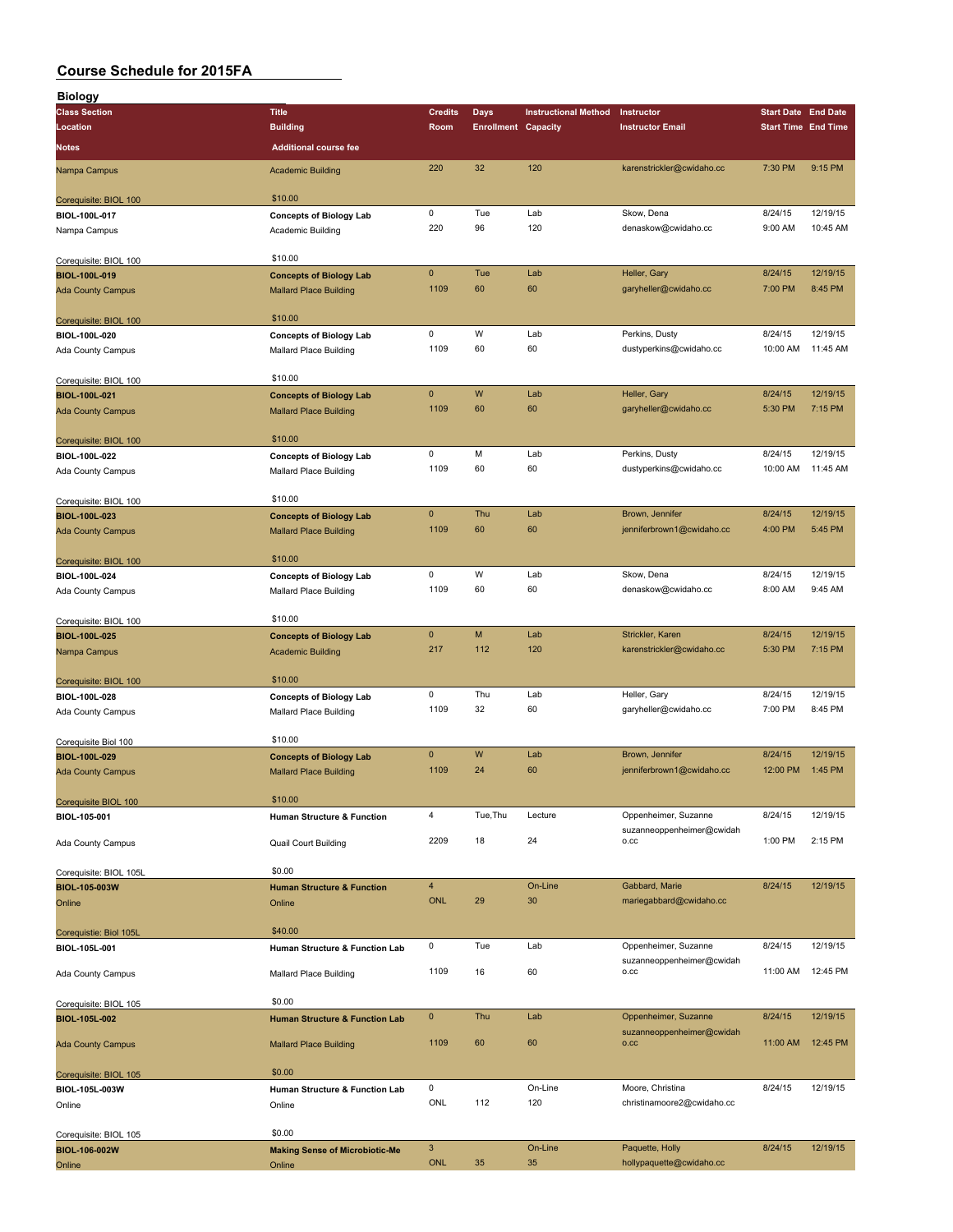| Biology                                          |                                                                 |                |                            |                             |                                   |                            |          |
|--------------------------------------------------|-----------------------------------------------------------------|----------------|----------------------------|-----------------------------|-----------------------------------|----------------------------|----------|
| <b>Class Section</b>                             | <b>Title</b>                                                    | <b>Credits</b> | Days                       | <b>Instructional Method</b> | Instructor                        | <b>Start Date End Date</b> |          |
| Location                                         | <b>Building</b>                                                 | <b>Room</b>    | <b>Enrollment Capacity</b> |                             | <b>Instructor Email</b>           | <b>Start Time End Time</b> |          |
| Notes                                            | <b>Additional course fee</b>                                    |                |                            |                             |                                   |                            |          |
| Nampa Campus                                     | <b>Academic Building</b>                                        | 220            | 32                         | 120                         | karenstrickler@cwidaho.cc         | 7:30 PM                    | 9:15 PM  |
| Corequisite: BIOL 100                            | \$10.00                                                         |                |                            |                             |                                   |                            |          |
| BIOL-100L-017                                    | <b>Concepts of Biology Lab</b>                                  | 0              | Tue                        | Lab                         | Skow, Dena                        | 8/24/15                    | 12/19/15 |
| Nampa Campus                                     | Academic Building                                               | 220            | 96                         | 120                         | denaskow@cwidaho.cc               | 9:00 AM                    | 10:45 AM |
|                                                  |                                                                 |                |                            |                             |                                   |                            |          |
| Corequisite: BIOL 100                            | \$10.00                                                         | $\mathbf 0$    | Tue                        | Lab                         | Heller, Gary                      | 8/24/15                    | 12/19/15 |
| <b>BIOL-100L-019</b><br><b>Ada County Campus</b> | <b>Concepts of Biology Lab</b><br><b>Mallard Place Building</b> | 1109           | 60                         | 60                          | garyheller@cwidaho.cc             | 7:00 PM                    | 8:45 PM  |
|                                                  |                                                                 |                |                            |                             |                                   |                            |          |
| Corequisite: BIOL 100                            | \$10.00                                                         |                |                            |                             |                                   |                            |          |
| BIOL-100L-020                                    | <b>Concepts of Biology Lab</b>                                  | 0              | W                          | Lab                         | Perkins, Dusty                    | 8/24/15                    | 12/19/15 |
| Ada County Campus                                | <b>Mallard Place Building</b>                                   | 1109           | 60                         | 60                          | dustyperkins@cwidaho.cc           | 10:00 AM                   | 11:45 AM |
| Corequisite: BIOL 100                            | \$10.00                                                         |                |                            |                             |                                   |                            |          |
| BIOL-100L-021                                    | <b>Concepts of Biology Lab</b>                                  | $\mathbf 0$    | W                          | Lab                         | Heller, Gary                      | 8/24/15                    | 12/19/15 |
| <b>Ada County Campus</b>                         | <b>Mallard Place Building</b>                                   | 1109           | 60                         | 60                          | garyheller@cwidaho.cc             | 5:30 PM                    | 7:15 PM  |
|                                                  |                                                                 |                |                            |                             |                                   |                            |          |
| Corequisite: BIOL 100                            | \$10.00                                                         | 0              | M                          | Lab                         | Perkins, Dusty                    | 8/24/15                    | 12/19/15 |
| BIOL-100L-022<br>Ada County Campus               | <b>Concepts of Biology Lab</b><br><b>Mallard Place Building</b> | 1109           | 60                         | 60                          | dustyperkins@cwidaho.cc           | 10:00 AM                   | 11:45 AM |
|                                                  |                                                                 |                |                            |                             |                                   |                            |          |
| Corequisite: BIOL 100                            | \$10.00                                                         |                |                            |                             |                                   |                            |          |
| BIOL-100L-023                                    | <b>Concepts of Biology Lab</b>                                  | 0              | Thu                        | Lab                         | Brown, Jennifer                   | 8/24/15                    | 12/19/15 |
| <b>Ada County Campus</b>                         | <b>Mallard Place Building</b>                                   | 1109           | 60                         | 60                          | jenniferbrown1@cwidaho.cc         | 4:00 PM                    | 5:45 PM  |
| Corequisite: BIOL 100                            | \$10.00                                                         |                |                            |                             |                                   |                            |          |
| BIOL-100L-024                                    | <b>Concepts of Biology Lab</b>                                  | 0              | W                          | Lab                         | Skow, Dena                        | 8/24/15                    | 12/19/15 |
| Ada County Campus                                | Mallard Place Building                                          | 1109           | 60                         | 60                          | denaskow@cwidaho.cc               | 8:00 AM                    | 9:45 AM  |
|                                                  | \$10.00                                                         |                |                            |                             |                                   |                            |          |
| Corequisite: BIOL 100<br>BIOL-100L-025           | <b>Concepts of Biology Lab</b>                                  | $\mathbf 0$    | M                          | Lab                         | Strickler, Karen                  | 8/24/15                    | 12/19/15 |
| Nampa Campus                                     | <b>Academic Building</b>                                        | 217            | 112                        | 120                         | karenstrickler@cwidaho.cc         | 5:30 PM                    | 7:15 PM  |
|                                                  |                                                                 |                |                            |                             |                                   |                            |          |
| Corequisite: BIOL 100                            | \$10.00                                                         |                |                            |                             |                                   |                            |          |
| BIOL-100L-028                                    | <b>Concepts of Biology Lab</b>                                  | 0              | Thu                        | Lab                         | Heller, Gary                      | 8/24/15                    | 12/19/15 |
| Ada County Campus                                | Mallard Place Building                                          | 1109           | 32                         | 60                          | garyheller@cwidaho.cc             | 7:00 PM                    | 8:45 PM  |
| Corequisite Biol 100                             | \$10.00                                                         |                |                            |                             |                                   |                            |          |
| <b>BIOL-100L-029</b>                             | <b>Concepts of Biology Lab</b>                                  | $\mathbf 0$    | W                          | Lab                         | Brown, Jennifer                   | 8/24/15                    | 12/19/15 |
| <b>Ada County Campus</b>                         | <b>Mallard Place Building</b>                                   | 1109           | 24                         | 60                          | jenniferbrown1@cwidaho.cc         | 12:00 PM                   | 1:45 PM  |
| Corequisite BIOL 100                             | \$10.00                                                         |                |                            |                             |                                   |                            |          |
| BIOL-105-001                                     | Human Structure & Function                                      | 4              | Tue, Thu                   | Lecture                     | Oppenheimer, Suzanne              | 8/24/15                    | 12/19/15 |
|                                                  |                                                                 | 2209           | 18                         | 24                          | suzanneoppenheimer@cwidah<br>O.CC | 1:00 PM                    | 2:15 PM  |
| Ada County Campus                                | <b>Quail Court Building</b>                                     |                |                            |                             |                                   |                            |          |
| Corequisite: BIOL 105L                           | \$0.00                                                          |                |                            |                             |                                   |                            |          |
| BIOL-105-003W                                    | <b>Human Structure &amp; Function</b>                           | $\overline{4}$ |                            | On-Line                     | Gabbard, Marie                    | 8/24/15                    | 12/19/15 |
| Online                                           | Online                                                          | <b>ONL</b>     | 29                         | 30                          | mariegabbard@cwidaho.cc           |                            |          |
| Corequistie: Biol 105L                           | \$40.00                                                         |                |                            |                             |                                   |                            |          |
| BIOL-105L-001                                    | Human Structure & Function Lab                                  | 0              | Tue                        | Lab                         | Oppenheimer, Suzanne              | 8/24/15                    | 12/19/15 |
|                                                  |                                                                 | 1109           | 16                         | 60                          | suzanneoppenheimer@cwidah<br>O.CC | 11:00 AM                   | 12:45 PM |
| Ada County Campus                                | Mallard Place Building                                          |                |                            |                             |                                   |                            |          |
| Corequisite: BIOL 105                            | \$0.00                                                          |                |                            |                             |                                   |                            |          |
| BIOL-105L-002                                    | <b>Human Structure &amp; Function Lab</b>                       | $\mathbf 0$    | Thu                        | Lab                         | Oppenheimer, Suzanne              | 8/24/15                    | 12/19/15 |
| <b>Ada County Campus</b>                         | <b>Mallard Place Building</b>                                   | 1109           | 60                         | 60                          | suzanneoppenheimer@cwidah<br>O.CC | 11:00 AM                   | 12:45 PM |
|                                                  |                                                                 |                |                            |                             |                                   |                            |          |
| Corequisite: BIOL 105                            | \$0.00                                                          | 0              |                            | On-Line                     | Moore, Christina                  | 8/24/15                    | 12/19/15 |
| BIOL-105L-003W<br>Online                         | Human Structure & Function Lab<br>Online                        | ONL            | 112                        | 120                         | christinamoore2@cwidaho.cc        |                            |          |
|                                                  |                                                                 |                |                            |                             |                                   |                            |          |
| Corequisite: BIOL 105                            | \$0.00                                                          |                |                            |                             |                                   |                            |          |
| BIOL-106-002W                                    | <b>Making Sense of Microbiotic-Me</b>                           | $\mathbf{3}$   |                            | On-Line                     | Paquette, Holly                   | 8/24/15                    | 12/19/15 |
| Online                                           | Online                                                          | <b>ONL</b>     | 35                         | 35                          | hollypaquette@cwidaho.cc          |                            |          |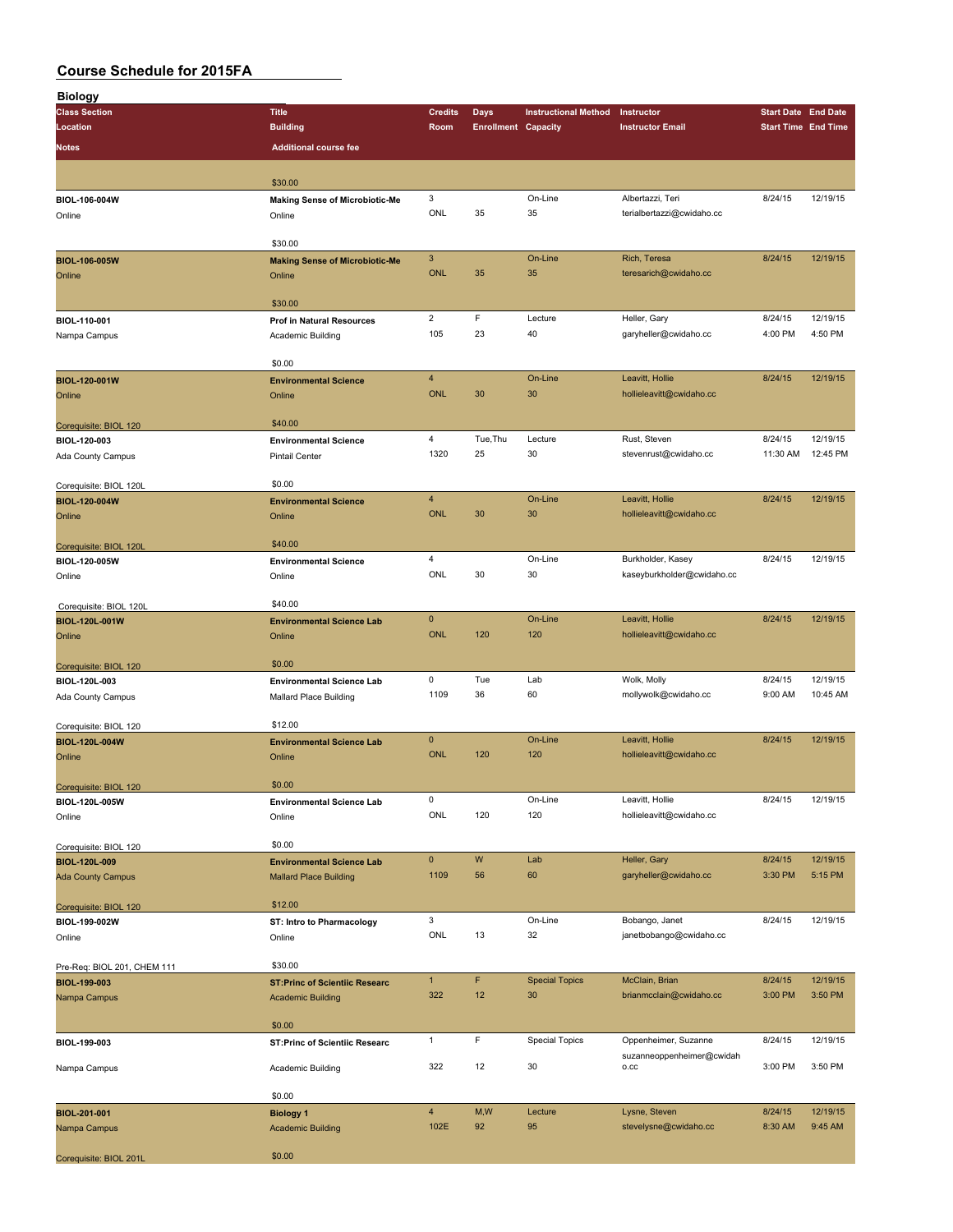| <b>Biology</b>              |                                       |                |                            |                             |                                   |                            |          |
|-----------------------------|---------------------------------------|----------------|----------------------------|-----------------------------|-----------------------------------|----------------------------|----------|
| <b>Class Section</b>        | <b>Title</b>                          | <b>Credits</b> | <b>Days</b>                | <b>Instructional Method</b> | Instructor                        | <b>Start Date End Date</b> |          |
| Location                    | <b>Building</b>                       | Room           | <b>Enrollment Capacity</b> |                             | <b>Instructor Email</b>           | <b>Start Time End Time</b> |          |
|                             |                                       |                |                            |                             |                                   |                            |          |
| Notes                       | <b>Additional course fee</b>          |                |                            |                             |                                   |                            |          |
|                             |                                       |                |                            |                             |                                   |                            |          |
|                             | \$30.00                               |                |                            |                             |                                   |                            |          |
| BIOL-106-004W               | <b>Making Sense of Microbiotic-Me</b> | 3              |                            | On-Line                     | Albertazzi, Teri                  | 8/24/15                    | 12/19/15 |
| Online                      | Online                                | ONL            | 35                         | 35                          | terialbertazzi@cwidaho.cc         |                            |          |
|                             |                                       |                |                            |                             |                                   |                            |          |
|                             | \$30.00                               |                |                            |                             |                                   |                            |          |
| <b>BIOL-106-005W</b>        | <b>Making Sense of Microbiotic-Me</b> | $\mathbf{3}$   |                            | On-Line                     | Rich, Teresa                      | 8/24/15                    | 12/19/15 |
| Online                      | Online                                | <b>ONL</b>     | 35                         | 35                          | teresarich@cwidaho.cc             |                            |          |
|                             |                                       |                |                            |                             |                                   |                            |          |
|                             | \$30.00                               |                |                            |                             |                                   |                            |          |
|                             | <b>Prof in Natural Resources</b>      | $\overline{2}$ | F                          | Lecture                     | Heller, Gary                      | 8/24/15                    | 12/19/15 |
| BIOL-110-001                |                                       | 105            | 23                         | 40                          |                                   | 4:00 PM                    | 4:50 PM  |
| Nampa Campus                | Academic Building                     |                |                            |                             | garyheller@cwidaho.cc             |                            |          |
|                             |                                       |                |                            |                             |                                   |                            |          |
|                             | \$0.00                                |                |                            |                             |                                   |                            |          |
| BIOL-120-001W               | <b>Environmental Science</b>          | $\overline{4}$ |                            | On-Line                     | Leavitt, Hollie                   | 8/24/15                    | 12/19/15 |
| Online                      | Online                                | <b>ONL</b>     | 30                         | 30                          | hollieleavitt@cwidaho.cc          |                            |          |
|                             |                                       |                |                            |                             |                                   |                            |          |
| Corequisite: BIOL 120       | \$40.00                               |                |                            |                             |                                   |                            |          |
| BIOL-120-003                | <b>Environmental Science</b>          | $\overline{4}$ | Tue, Thu                   | Lecture                     | Rust, Steven                      | 8/24/15                    | 12/19/15 |
| Ada County Campus           | <b>Pintail Center</b>                 | 1320           | 25                         | 30                          | stevenrust@cwidaho.cc             | 11:30 AM                   | 12:45 PM |
|                             |                                       |                |                            |                             |                                   |                            |          |
| Corequisite: BIOL 120L      | \$0.00                                |                |                            |                             |                                   |                            |          |
| <b>BIOL-120-004W</b>        | <b>Environmental Science</b>          | $\overline{4}$ |                            | On-Line                     | Leavitt, Hollie                   | 8/24/15                    | 12/19/15 |
|                             | Online                                | <b>ONL</b>     | 30                         | 30                          | hollieleavitt@cwidaho.cc          |                            |          |
| Online                      |                                       |                |                            |                             |                                   |                            |          |
|                             | \$40.00                               |                |                            |                             |                                   |                            |          |
| Corequisite: BIOL 120L      |                                       |                |                            |                             |                                   |                            |          |
| BIOL-120-005W               | <b>Environmental Science</b>          | 4              |                            | On-Line                     | Burkholder, Kasey                 | 8/24/15                    | 12/19/15 |
| Online                      | Online                                | ONL            | 30                         | 30                          | kaseyburkholder@cwidaho.cc        |                            |          |
|                             |                                       |                |                            |                             |                                   |                            |          |
| Corequisite: BIOL 120L      | \$40.00                               |                |                            |                             |                                   |                            |          |
| BIOL-120L-001W              | <b>Environmental Science Lab</b>      | $\mathbf 0$    |                            | On-Line                     | Leavitt, Hollie                   | 8/24/15                    | 12/19/15 |
| Online                      | Online                                | <b>ONL</b>     | 120                        | 120                         | hollieleavitt@cwidaho.cc          |                            |          |
|                             |                                       |                |                            |                             |                                   |                            |          |
| Corequisite: BIOL 120       | \$0.00                                |                |                            |                             |                                   |                            |          |
| BIOL-120L-003               | <b>Environmental Science Lab</b>      | 0              | Tue                        | Lab                         | Wolk, Molly                       | 8/24/15                    | 12/19/15 |
| Ada County Campus           | Mallard Place Building                | 1109           | 36                         | 60                          | mollywolk@cwidaho.cc              | 9:00 AM                    | 10:45 AM |
|                             |                                       |                |                            |                             |                                   |                            |          |
| Corequisite: BIOL 120       | \$12.00                               |                |                            |                             |                                   |                            |          |
| <b>BIOL-120L-004W</b>       | <b>Environmental Science Lab</b>      | $\mathbf 0$    |                            | On-Line                     | Leavitt, Hollie                   | 8/24/15                    | 12/19/15 |
|                             |                                       | <b>ONL</b>     | 120                        | 120                         | hollieleavitt@cwidaho.cc          |                            |          |
| Online                      | Online                                |                |                            |                             |                                   |                            |          |
|                             |                                       |                |                            |                             |                                   |                            |          |
| Corequisite: BIOL 120       | \$0.00                                |                |                            |                             |                                   |                            |          |
| BIOL-120L-005W              | <b>Environmental Science Lab</b>      | $\pmb{0}$      |                            | On-Line                     | Leavitt, Hollie                   | 8/24/15                    | 12/19/15 |
| Online                      | Online                                | ONL            | 120                        | 120                         | hollieleavitt@cwidaho.cc          |                            |          |
|                             |                                       |                |                            |                             |                                   |                            |          |
| Corequisite: BIOL 120       | \$0.00                                |                |                            |                             |                                   |                            |          |
| BIOL-120L-009               | <b>Environmental Science Lab</b>      | $\pmb{0}$      | W                          | Lab                         | Heller, Gary                      | 8/24/15                    | 12/19/15 |
| <b>Ada County Campus</b>    | <b>Mallard Place Building</b>         | 1109           | 56                         | 60                          | garyheller@cwidaho.cc             | 3:30 PM                    | 5:15 PM  |
|                             |                                       |                |                            |                             |                                   |                            |          |
| Corequisite: BIOL 120       | \$12.00                               |                |                            |                             |                                   |                            |          |
| BIOL-199-002W               | <b>ST: Intro to Pharmacology</b>      | 3              |                            | On-Line                     | Bobango, Janet                    | 8/24/15                    | 12/19/15 |
| Online                      | Online                                | ONL            | 13                         | 32                          | janetbobango@cwidaho.cc           |                            |          |
|                             |                                       |                |                            |                             |                                   |                            |          |
| Pre-Req: BIOL 201, CHEM 111 | \$30.00                               |                |                            |                             |                                   |                            |          |
|                             | <b>ST:Princ of Scientiic Researc</b>  | $\mathbf{1}$   | F                          | <b>Special Topics</b>       | McClain, Brian                    | 8/24/15                    | 12/19/15 |
| BIOL-199-003                |                                       | 322            | 12                         | 30                          | brianmcclain@cwidaho.cc           | 3:00 PM                    | 3:50 PM  |
| Nampa Campus                | <b>Academic Building</b>              |                |                            |                             |                                   |                            |          |
|                             |                                       |                |                            |                             |                                   |                            |          |
|                             | \$0.00                                |                |                            |                             |                                   |                            |          |
| BIOL-199-003                | <b>ST:Princ of Scientiic Researc</b>  | $\mathbf{1}$   | $\mathsf F$                | <b>Special Topics</b>       | Oppenheimer, Suzanne              | 8/24/15                    | 12/19/15 |
|                             |                                       | 322            | 12                         | 30                          | suzanneoppenheimer@cwidah<br>O.CC | 3:00 PM                    | 3:50 PM  |
| Nampa Campus                | Academic Building                     |                |                            |                             |                                   |                            |          |
|                             |                                       |                |                            |                             |                                   |                            |          |
|                             | \$0.00                                |                |                            |                             |                                   |                            |          |
| <b>BIOL-201-001</b>         | <b>Biology 1</b>                      | $\overline{4}$ | M,W                        | Lecture                     | Lysne, Steven                     | 8/24/15                    | 12/19/15 |
| Nampa Campus                | <b>Academic Building</b>              | 102E           | 92                         | 95                          | stevelysne@cwidaho.cc             | 8:30 AM                    | 9:45 AM  |
|                             |                                       |                |                            |                             |                                   |                            |          |
| Corequisite: BIOL 201L      | \$0.00                                |                |                            |                             |                                   |                            |          |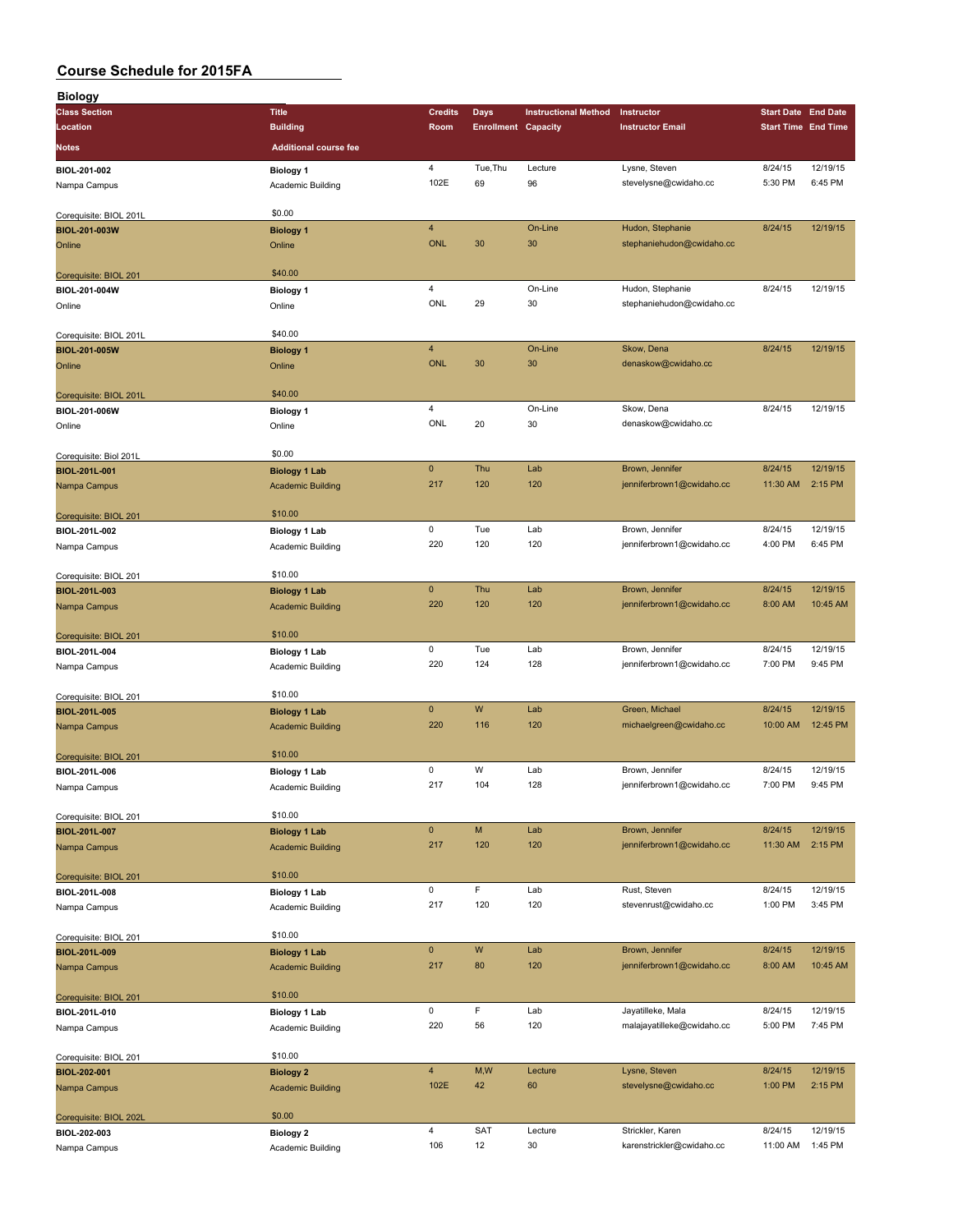| <b>Biology</b>                         |                              |                         |                            |                             |                            |                            |          |
|----------------------------------------|------------------------------|-------------------------|----------------------------|-----------------------------|----------------------------|----------------------------|----------|
| <b>Class Section</b>                   | <b>Title</b>                 | <b>Credits</b>          | Days                       | <b>Instructional Method</b> | Instructor                 | <b>Start Date End Date</b> |          |
| Location                               | <b>Building</b>              | Room                    | <b>Enrollment Capacity</b> |                             | <b>Instructor Email</b>    | <b>Start Time End Time</b> |          |
| Notes                                  | <b>Additional course fee</b> |                         |                            |                             |                            |                            |          |
|                                        |                              |                         |                            |                             |                            |                            |          |
| BIOL-201-002                           | <b>Biology 1</b>             | 4                       | Tue, Thu                   | Lecture                     | Lysne, Steven              | 8/24/15                    | 12/19/15 |
| Nampa Campus                           | Academic Building            | 102E                    | 69                         | 96                          | stevelysne@cwidaho.cc      | 5:30 PM                    | 6:45 PM  |
|                                        | \$0.00                       |                         |                            |                             |                            |                            |          |
| Corequisite: BIOL 201L                 |                              | $\overline{\mathbf{4}}$ |                            |                             |                            |                            |          |
| BIOL-201-003W                          | <b>Biology 1</b>             | <b>ONL</b>              |                            | On-Line                     | Hudon, Stephanie           | 8/24/15                    | 12/19/15 |
| Online                                 | Online                       |                         | 30                         | 30                          | stephaniehudon@cwidaho.cc  |                            |          |
|                                        | \$40.00                      |                         |                            |                             |                            |                            |          |
| Corequisite: BIOL 201<br>BIOL-201-004W |                              | $\overline{4}$          |                            | On-Line                     | Hudon, Stephanie           | 8/24/15                    | 12/19/15 |
|                                        | <b>Biology 1</b>             | ONL                     | 29                         | 30                          | stephaniehudon@cwidaho.cc  |                            |          |
| Online                                 | Online                       |                         |                            |                             |                            |                            |          |
| Corequisite: BIOL 201L                 | \$40.00                      |                         |                            |                             |                            |                            |          |
| <b>BIOL-201-005W</b>                   | <b>Biology 1</b>             | $\overline{4}$          |                            | On-Line                     | Skow, Dena                 | 8/24/15                    | 12/19/15 |
| Online                                 | Online                       | <b>ONL</b>              | 30                         | 30                          | denaskow@cwidaho.cc        |                            |          |
|                                        |                              |                         |                            |                             |                            |                            |          |
| Corequisite: BIOL 201L                 | \$40.00                      |                         |                            |                             |                            |                            |          |
| BIOL-201-006W                          | <b>Biology 1</b>             | $\overline{4}$          |                            | On-Line                     | Skow, Dena                 | 8/24/15                    | 12/19/15 |
| Online                                 | Online                       | <b>ONL</b>              | 20                         | 30                          | denaskow@cwidaho.cc        |                            |          |
|                                        |                              |                         |                            |                             |                            |                            |          |
| Corequisite: Biol 201L                 | \$0.00                       |                         |                            |                             |                            |                            |          |
| BIOL-201L-001                          | <b>Biology 1 Lab</b>         | $\pmb{0}$               | Thu                        | Lab                         | Brown, Jennifer            | 8/24/15                    | 12/19/15 |
| Nampa Campus                           | <b>Academic Building</b>     | 217                     | 120                        | 120                         | jenniferbrown1@cwidaho.cc  | 11:30 AM                   | 2:15 PM  |
|                                        |                              |                         |                            |                             |                            |                            |          |
| Corequisite: BIOL 201                  | \$10.00                      |                         |                            |                             |                            |                            |          |
| BIOL-201L-002                          | <b>Biology 1 Lab</b>         | 0                       | Tue                        | Lab                         | Brown, Jennifer            | 8/24/15                    | 12/19/15 |
| Nampa Campus                           | Academic Building            | 220                     | 120                        | 120                         | jenniferbrown1@cwidaho.cc  | 4:00 PM                    | 6:45 PM  |
|                                        |                              |                         |                            |                             |                            |                            |          |
| Corequisite: BIOL 201                  | \$10.00                      |                         |                            |                             |                            |                            |          |
| BIOL-201L-003                          | <b>Biology 1 Lab</b>         | $\mathbf 0$             | Thu                        | Lab                         | Brown, Jennifer            | 8/24/15                    | 12/19/15 |
| Nampa Campus                           | <b>Academic Building</b>     | 220                     | 120                        | 120                         | jenniferbrown1@cwidaho.cc  | 8:00 AM                    | 10:45 AM |
|                                        |                              |                         |                            |                             |                            |                            |          |
| Corequisite: BIOL 201                  | \$10.00                      |                         |                            |                             |                            |                            |          |
| BIOL-201L-004                          | <b>Biology 1 Lab</b>         | 0                       | Tue                        | Lab                         | Brown, Jennifer            | 8/24/15                    | 12/19/15 |
| Nampa Campus                           | Academic Building            | 220                     | 124                        | 128                         | jenniferbrown1@cwidaho.cc  | 7:00 PM                    | 9:45 PM  |
|                                        |                              |                         |                            |                             |                            |                            |          |
| Corequisite: BIOL 201                  | \$10.00                      | $\mathbf{0}$            | W                          | Lab                         | Green, Michael             | 8/24/15                    | 12/19/15 |
| BIOL-201L-005                          | <b>Biology 1 Lab</b>         | 220                     | 116                        | 120                         | michaelgreen@cwidaho.cc    | 10:00 AM                   | 12:45 PM |
| Nampa Campus                           | <b>Academic Building</b>     |                         |                            |                             |                            |                            |          |
| Corequisite: BIOL 201                  | \$10.00                      |                         |                            |                             |                            |                            |          |
| BIOL-201L-006                          | <b>Biology 1 Lab</b>         | 0                       | W                          | Lab                         | Brown, Jennifer            | 8/24/15                    | 12/19/15 |
| Nampa Campus                           | Academic Building            | 217                     | 104                        | 128                         | jenniferbrown1@cwidaho.cc  | 7:00 PM                    | 9:45 PM  |
|                                        |                              |                         |                            |                             |                            |                            |          |
| Corequisite: BIOL 201                  | \$10.00                      |                         |                            |                             |                            |                            |          |
| BIOL-201L-007                          | <b>Biology 1 Lab</b>         | $\pmb{0}$               | M                          | Lab                         | Brown, Jennifer            | 8/24/15                    | 12/19/15 |
| Nampa Campus                           | <b>Academic Building</b>     | 217                     | 120                        | 120                         | jenniferbrown1@cwidaho.cc  | 11:30 AM                   | 2:15 PM  |
|                                        |                              |                         |                            |                             |                            |                            |          |
| Corequisite: BIOL 201                  | \$10.00                      |                         |                            |                             |                            |                            |          |
| BIOL-201L-008                          | <b>Biology 1 Lab</b>         | 0                       | F                          | Lab                         | Rust, Steven               | 8/24/15                    | 12/19/15 |
| Nampa Campus                           | Academic Building            | 217                     | 120                        | 120                         | stevenrust@cwidaho.cc      | 1:00 PM                    | 3:45 PM  |
|                                        |                              |                         |                            |                             |                            |                            |          |
| Corequisite: BIOL 201                  | \$10.00                      |                         |                            |                             |                            |                            |          |
| BIOL-201L-009                          | <b>Biology 1 Lab</b>         | $\pmb{0}$               | W                          | Lab                         | Brown, Jennifer            | 8/24/15                    | 12/19/15 |
| Nampa Campus                           | <b>Academic Building</b>     | 217                     | 80                         | 120                         | jenniferbrown1@cwidaho.cc  | 8:00 AM                    | 10:45 AM |
|                                        |                              |                         |                            |                             |                            |                            |          |
| Corequisite: BIOL 201                  | \$10.00                      |                         |                            |                             |                            |                            |          |
| BIOL-201L-010                          | <b>Biology 1 Lab</b>         | 0                       | F                          | Lab                         | Jayatilleke, Mala          | 8/24/15                    | 12/19/15 |
| Nampa Campus                           | Academic Building            | 220                     | 56                         | 120                         | malajayatilleke@cwidaho.cc | 5:00 PM                    | 7:45 PM  |
|                                        |                              |                         |                            |                             |                            |                            |          |
| Corequisite: BIOL 201                  | \$10.00                      |                         |                            |                             |                            |                            |          |
| BIOL-202-001                           | <b>Biology 2</b>             | $\overline{4}$          | M,W                        | Lecture                     | Lysne, Steven              | 8/24/15                    | 12/19/15 |
| Nampa Campus                           | <b>Academic Building</b>     | 102E                    | 42                         | 60                          | stevelysne@cwidaho.cc      | 1:00 PM                    | 2:15 PM  |
|                                        | \$0.00                       |                         |                            |                             |                            |                            |          |
| Corequisite: BIOL 202L                 |                              | $\overline{4}$          | <b>SAT</b>                 | Lecture                     | Strickler, Karen           | 8/24/15                    | 12/19/15 |
| BIOL-202-003                           | <b>Biology 2</b>             | 106                     | 12                         | 30                          | karenstrickler@cwidaho.cc  | 11:00 AM                   | 1:45 PM  |
| Nampa Campus                           | Academic Building            |                         |                            |                             |                            |                            |          |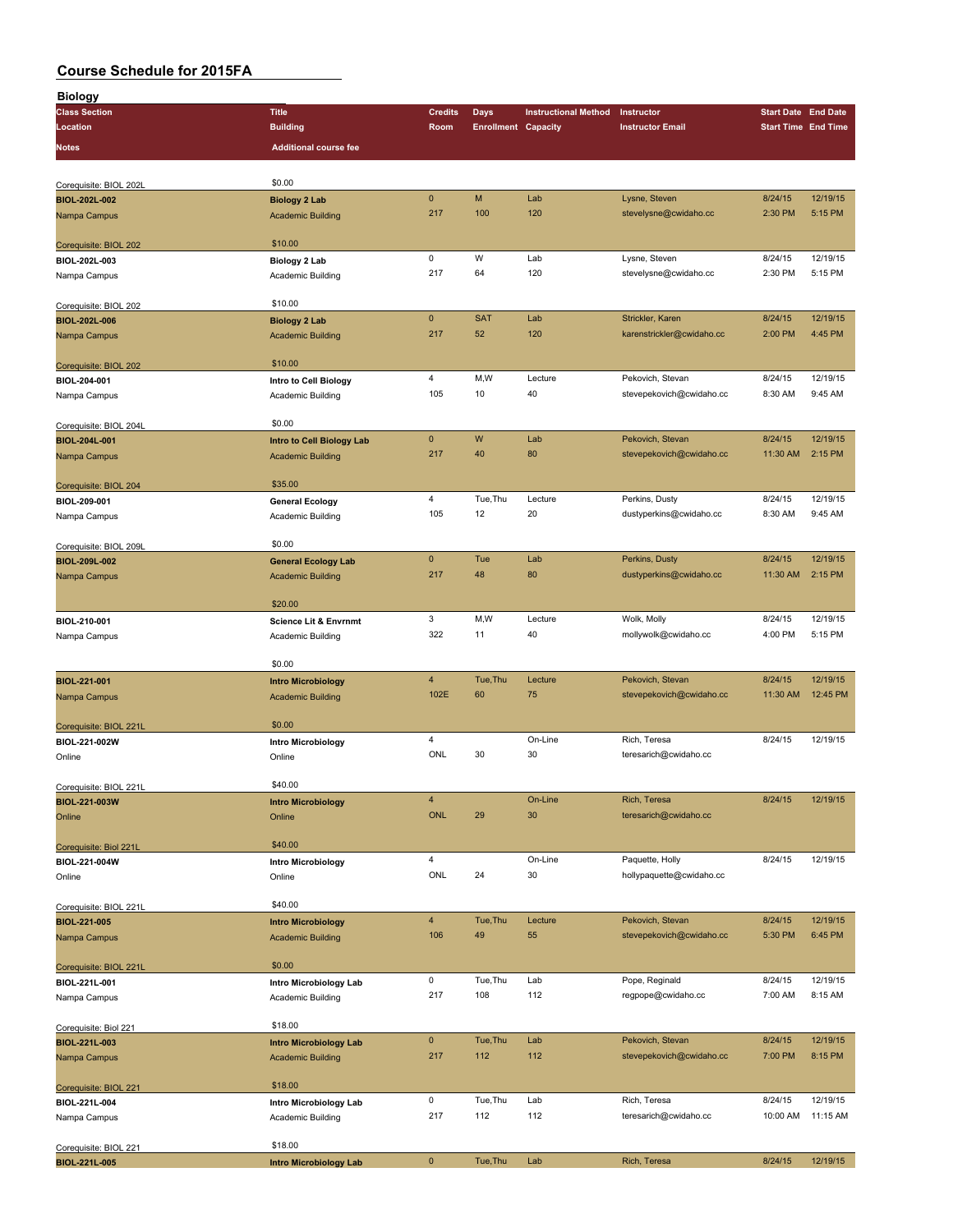| <b>Biology</b>         |                                  |                |                            |                             |                           |                            |          |
|------------------------|----------------------------------|----------------|----------------------------|-----------------------------|---------------------------|----------------------------|----------|
| <b>Class Section</b>   | <b>Title</b>                     | <b>Credits</b> | <b>Days</b>                | <b>Instructional Method</b> | Instructor                | <b>Start Date End Date</b> |          |
| Location               | <b>Building</b>                  | Room           | <b>Enrollment Capacity</b> |                             | <b>Instructor Email</b>   | <b>Start Time End Time</b> |          |
| Notes                  | <b>Additional course fee</b>     |                |                            |                             |                           |                            |          |
|                        |                                  |                |                            |                             |                           |                            |          |
|                        |                                  |                |                            |                             |                           |                            |          |
| Corequisite: BIOL 202L | \$0.00                           |                |                            |                             |                           |                            |          |
| BIOL-202L-002          | <b>Biology 2 Lab</b>             | $\mathbf 0$    | M                          | Lab                         | Lysne, Steven             | 8/24/15                    | 12/19/15 |
| Nampa Campus           | <b>Academic Building</b>         | 217            | 100                        | 120                         | stevelysne@cwidaho.cc     | 2:30 PM                    | 5:15 PM  |
|                        |                                  |                |                            |                             |                           |                            |          |
| Corequisite: BIOL 202  | \$10.00                          |                |                            |                             |                           | 8/24/15                    | 12/19/15 |
| BIOL-202L-003          | Biology 2 Lab                    | $\mathsf 0$    | W                          | Lab                         | Lysne, Steven             |                            |          |
| Nampa Campus           | Academic Building                | 217            | 64                         | 120                         | stevelysne@cwidaho.cc     | 2:30 PM                    | 5:15 PM  |
|                        |                                  |                |                            |                             |                           |                            |          |
| Corequisite: BIOL 202  | \$10.00                          |                |                            |                             |                           | 8/24/15                    | 12/19/15 |
| <b>BIOL-202L-006</b>   | <b>Biology 2 Lab</b>             | $\pmb{0}$      | <b>SAT</b>                 | Lab                         | Strickler, Karen          |                            |          |
| Nampa Campus           | <b>Academic Building</b>         | 217            | 52                         | 120                         | karenstrickler@cwidaho.cc | 2:00 PM                    | 4:45 PM  |
|                        |                                  |                |                            |                             |                           |                            |          |
| Corequisite: BIOL 202  | \$10.00                          |                |                            |                             |                           |                            |          |
| BIOL-204-001           | Intro to Cell Biology            | $\overline{4}$ | M,W                        | Lecture                     | Pekovich, Stevan          | 8/24/15                    | 12/19/15 |
| Nampa Campus           | Academic Building                | 105            | 10                         | 40                          | stevepekovich@cwidaho.cc  | 8:30 AM                    | 9:45 AM  |
|                        |                                  |                |                            |                             |                           |                            |          |
| Corequisite: BIOL 204L | \$0.00                           |                |                            |                             |                           |                            |          |
| BIOL-204L-001          | Intro to Cell Biology Lab        | $\mathbf{0}$   | W                          | Lab                         | Pekovich, Stevan          | 8/24/15                    | 12/19/15 |
| Nampa Campus           | <b>Academic Building</b>         | 217            | 40                         | 80                          | stevepekovich@cwidaho.cc  | 11:30 AM                   | 2:15 PM  |
|                        |                                  |                |                            |                             |                           |                            |          |
| Corequisite: BIOL 204  | \$35.00                          |                |                            |                             |                           |                            |          |
| BIOL-209-001           | <b>General Ecology</b>           | $\overline{4}$ | Tue, Thu                   | Lecture                     | Perkins, Dusty            | 8/24/15                    | 12/19/15 |
| Nampa Campus           | Academic Building                | 105            | 12                         | 20                          | dustyperkins@cwidaho.cc   | 8:30 AM                    | 9:45 AM  |
|                        |                                  |                |                            |                             |                           |                            |          |
| Corequisite: BIOL 209L | \$0.00                           |                |                            |                             |                           |                            |          |
| BIOL-209L-002          | <b>General Ecology Lab</b>       | $\pmb{0}$      | Tue                        | Lab                         | Perkins, Dusty            | 8/24/15                    | 12/19/15 |
| Nampa Campus           | <b>Academic Building</b>         | 217            | 48                         | 80                          | dustyperkins@cwidaho.cc   | 11:30 AM                   | 2:15 PM  |
|                        |                                  |                |                            |                             |                           |                            |          |
|                        | \$20.00                          |                |                            |                             |                           |                            |          |
| BIOL-210-001           | <b>Science Lit &amp; Envrnmt</b> | 3              | M,W                        | Lecture                     | Wolk, Molly               | 8/24/15                    | 12/19/15 |
| Nampa Campus           | Academic Building                | 322            | 11                         | 40                          | mollywolk@cwidaho.cc      | 4:00 PM                    | 5:15 PM  |
|                        |                                  |                |                            |                             |                           |                            |          |
|                        | \$0.00                           |                |                            |                             |                           |                            |          |
| BIOL-221-001           | <b>Intro Microbiology</b>        | $\overline{4}$ | Tue, Thu                   | Lecture                     | Pekovich, Stevan          | 8/24/15                    | 12/19/15 |
| Nampa Campus           | <b>Academic Building</b>         | 102E           | 60                         | 75                          | stevepekovich@cwidaho.cc  | 11:30 AM                   | 12:45 PM |
|                        |                                  |                |                            |                             |                           |                            |          |
| Corequisite: BIOL 221L | \$0.00                           |                |                            |                             |                           |                            |          |
| BIOL-221-002W          | <b>Intro Microbiology</b>        | $\overline{4}$ |                            | On-Line                     | Rich, Teresa              | 8/24/15                    | 12/19/15 |
| Online                 | Online                           | ONL            | 30                         | 30                          | teresarich@cwidaho.cc     |                            |          |
|                        |                                  |                |                            |                             |                           |                            |          |
| Corequisite: BIOL 221L | \$40.00                          |                |                            |                             |                           |                            |          |
| BIOL-221-003W          | <b>Intro Microbiology</b>        | $\overline{4}$ |                            | On-Line                     | Rich, Teresa              | 8/24/15                    | 12/19/15 |
| Online                 | Online                           | <b>ONL</b>     | 29                         | 30                          | teresarich@cwidaho.cc     |                            |          |
|                        |                                  |                |                            |                             |                           |                            |          |
| Corequisite: Biol 221L | \$40.00                          |                |                            |                             |                           |                            |          |
| BIOL-221-004W          | <b>Intro Microbiology</b>        | $\overline{4}$ |                            | On-Line                     | Paquette, Holly           | 8/24/15                    | 12/19/15 |
| Online                 | Online                           | ONL            | 24                         | 30                          | hollypaquette@cwidaho.cc  |                            |          |
|                        |                                  |                |                            |                             |                           |                            |          |
| Corequisite: BIOL 221L | \$40.00                          |                |                            |                             |                           |                            |          |
| BIOL-221-005           | <b>Intro Microbiology</b>        | $\overline{4}$ | Tue, Thu                   | Lecture                     | Pekovich, Stevan          | 8/24/15                    | 12/19/15 |
| Nampa Campus           | <b>Academic Building</b>         | 106            | 49                         | 55                          | stevepekovich@cwidaho.cc  | 5:30 PM                    | 6:45 PM  |
|                        |                                  |                |                            |                             |                           |                            |          |
| Corequisite: BIOL 221L | \$0.00                           |                |                            |                             |                           |                            |          |
| BIOL-221L-001          | Intro Microbiology Lab           | 0              | Tue, Thu                   | Lab                         | Pope, Reginald            | 8/24/15                    | 12/19/15 |
| Nampa Campus           | Academic Building                | 217            | 108                        | 112                         | regpope@cwidaho.cc        | 7:00 AM                    | 8:15 AM  |
|                        |                                  |                |                            |                             |                           |                            |          |
| Corequisite: Biol 221  | \$18.00                          |                |                            |                             |                           |                            |          |
| BIOL-221L-003          | <b>Intro Microbiology Lab</b>    | $\mathbf{0}$   | Tue, Thu                   | Lab                         | Pekovich, Stevan          | 8/24/15                    | 12/19/15 |
| Nampa Campus           | <b>Academic Building</b>         | 217            | 112                        | 112                         | stevepekovich@cwidaho.cc  | 7:00 PM                    | 8:15 PM  |
|                        |                                  |                |                            |                             |                           |                            |          |
| Corequisite: BIOL 221  | \$18.00                          |                |                            |                             |                           |                            |          |
| BIOL-221L-004          | Intro Microbiology Lab           | 0              | Tue, Thu                   | Lab                         | Rich, Teresa              | 8/24/15                    | 12/19/15 |
| Nampa Campus           | Academic Building                | 217            | 112                        | 112                         | teresarich@cwidaho.cc     | 10:00 AM                   | 11:15 AM |
|                        |                                  |                |                            |                             |                           |                            |          |
| Corequisite: BIOL 221  | \$18.00                          |                |                            |                             |                           |                            |          |
| BIOL-221L-005          | <b>Intro Microbiology Lab</b>    | $\pmb{0}$      | Tue, Thu                   | Lab                         | Rich, Teresa              | 8/24/15                    | 12/19/15 |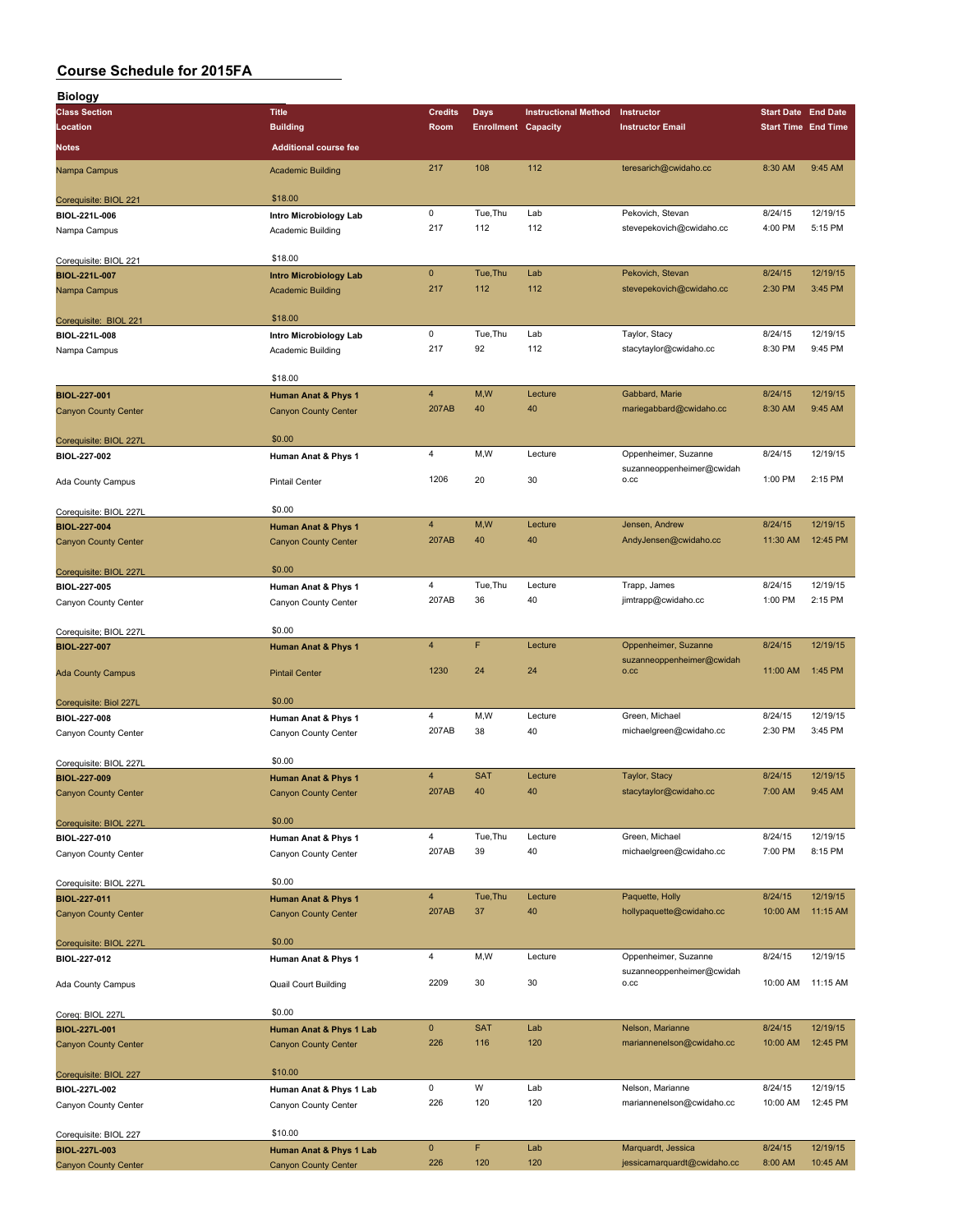| <b>Biology</b>                              |                                                               |                         |                            |                             |                                                   |                            |          |
|---------------------------------------------|---------------------------------------------------------------|-------------------------|----------------------------|-----------------------------|---------------------------------------------------|----------------------------|----------|
| <b>Class Section</b>                        | <b>Title</b>                                                  | <b>Credits</b>          | <b>Days</b>                | <b>Instructional Method</b> | Instructor                                        | <b>Start Date End Date</b> |          |
| Location                                    | <b>Building</b>                                               | Room                    | <b>Enrollment Capacity</b> |                             | <b>Instructor Email</b>                           | <b>Start Time End Time</b> |          |
|                                             | <b>Additional course fee</b>                                  |                         |                            |                             |                                                   |                            |          |
| Notes                                       |                                                               |                         |                            |                             |                                                   |                            |          |
| Nampa Campus                                | <b>Academic Building</b>                                      | 217                     | 108                        | 112                         | teresarich@cwidaho.cc                             | 8:30 AM                    | 9:45 AM  |
| Corequisite: BIOL 221                       | \$18.00                                                       |                         |                            |                             |                                                   |                            |          |
| BIOL-221L-006                               | Intro Microbiology Lab                                        | 0                       | Tue, Thu                   | Lab                         | Pekovich, Stevan                                  | 8/24/15                    | 12/19/15 |
| Nampa Campus                                | Academic Building                                             | 217                     | 112                        | 112                         | stevepekovich@cwidaho.cc                          | 4:00 PM                    | 5:15 PM  |
|                                             |                                                               |                         |                            |                             |                                                   |                            |          |
| Corequisite: BIOL 221                       | \$18.00                                                       | $\mathbf 0$             | Tue, Thu                   | Lab                         | Pekovich, Stevan                                  | 8/24/15                    | 12/19/15 |
| <b>BIOL-221L-007</b>                        | <b>Intro Microbiology Lab</b>                                 | 217                     | 112                        | 112                         | stevepekovich@cwidaho.cc                          | 2:30 PM                    | 3:45 PM  |
| Nampa Campus                                | <b>Academic Building</b>                                      |                         |                            |                             |                                                   |                            |          |
| Corequisite: BIOL 221                       | \$18.00                                                       |                         |                            |                             |                                                   |                            |          |
| BIOL-221L-008                               | Intro Microbiology Lab                                        | 0                       | Tue, Thu                   | Lab                         | Taylor, Stacy                                     | 8/24/15                    | 12/19/15 |
| Nampa Campus                                | Academic Building                                             | 217                     | 92                         | 112                         | stacytaylor@cwidaho.cc                            | 8:30 PM                    | 9:45 PM  |
|                                             | \$18.00                                                       |                         |                            |                             |                                                   |                            |          |
| BIOL-227-001                                | <b>Human Anat &amp; Phys 1</b>                                | $\overline{4}$          | M,W                        | Lecture                     | Gabbard, Marie                                    | 8/24/15                    | 12/19/15 |
| <b>Canyon County Center</b>                 | <b>Canyon County Center</b>                                   | 207AB                   | 40                         | 40                          | mariegabbard@cwidaho.cc                           | 8:30 AM                    | 9:45 AM  |
|                                             |                                                               |                         |                            |                             |                                                   |                            |          |
| Corequisite: BIOL 227L                      | \$0.00                                                        |                         |                            |                             |                                                   |                            |          |
| BIOL-227-002                                | Human Anat & Phys 1                                           | $\overline{\mathbf{4}}$ | M, W                       | Lecture                     | Oppenheimer, Suzanne<br>suzanneoppenheimer@cwidah | 8/24/15                    | 12/19/15 |
| Ada County Campus                           | <b>Pintail Center</b>                                         | 1206                    | 20                         | 30                          | O.CC                                              | 1:00 PM                    | 2:15 PM  |
|                                             |                                                               |                         |                            |                             |                                                   |                            |          |
| Corequisite: BIOL 227L                      | \$0.00                                                        |                         |                            |                             |                                                   |                            |          |
| BIOL-227-004                                | <b>Human Anat &amp; Phys 1</b>                                | $\overline{4}$          | M, W                       | Lecture                     | Jensen, Andrew                                    | 8/24/15                    | 12/19/15 |
| <b>Canyon County Center</b>                 | <b>Canyon County Center</b>                                   | 207AB                   | 40                         | 40                          | AndyJensen@cwidaho.cc                             | 11:30 AM                   | 12:45 PM |
|                                             | \$0.00                                                        |                         |                            |                             |                                                   |                            |          |
| Corequisite: BIOL 227L<br>BIOL-227-005      | Human Anat & Phys 1                                           | 4                       | Tue, Thu                   | Lecture                     | Trapp, James                                      | 8/24/15                    | 12/19/15 |
| Canyon County Center                        | Canyon County Center                                          | 207AB                   | 36                         | 40                          | jimtrapp@cwidaho.cc                               | 1:00 PM                    | 2:15 PM  |
|                                             |                                                               |                         |                            |                             |                                                   |                            |          |
| Corequisite; BIOL 227L                      | \$0.00                                                        |                         |                            |                             |                                                   |                            |          |
| BIOL-227-007                                | <b>Human Anat &amp; Phys 1</b>                                | $\overline{\mathbf{4}}$ | F                          | Lecture                     | Oppenheimer, Suzanne                              | 8/24/15                    | 12/19/15 |
|                                             | <b>Pintail Center</b>                                         | 1230                    | 24                         | 24                          | suzanneoppenheimer@cwidah<br>O.CC                 | 11:00 AM                   | 1:45 PM  |
| Ada County Campus                           |                                                               |                         |                            |                             |                                                   |                            |          |
| Corequisite: Biol 227L                      | \$0.00                                                        |                         |                            |                             |                                                   |                            |          |
| BIOL-227-008                                | Human Anat & Phys 1                                           | $\overline{4}$          | M, W                       | Lecture                     | Green, Michael                                    | 8/24/15                    | 12/19/15 |
| Canyon County Center                        | Canyon County Center                                          | 207AB                   | 38                         | 40                          | michaelgreen@cwidaho.cc                           | 2:30 PM                    | 3:45 PM  |
|                                             |                                                               |                         |                            |                             |                                                   |                            |          |
| Corequisite: BIOL 227L                      | \$0.00                                                        | $\overline{4}$          | <b>SAT</b>                 | Lecture                     | Taylor, Stacy                                     | 8/24/15                    | 12/19/15 |
| BIOL-227-009<br><b>Canyon County Center</b> | <b>Human Anat &amp; Phys 1</b><br><b>Canyon County Center</b> | 207AB                   | 40                         | 40                          | stacytaylor@cwidaho.cc                            | 7:00 AM                    | 9:45 AM  |
|                                             |                                                               |                         |                            |                             |                                                   |                            |          |
| Corequisite: BIOL 227L                      | \$0.00                                                        |                         |                            |                             |                                                   |                            |          |
| BIOL-227-010                                | Human Anat & Phys 1                                           | $\overline{4}$          | Tue, Thu                   | Lecture                     | Green, Michael                                    | 8/24/15                    | 12/19/15 |
| Canyon County Center                        | Canyon County Center                                          | 207AB                   | 39                         | 40                          | michaelgreen@cwidaho.cc                           | 7:00 PM                    | 8:15 PM  |
|                                             |                                                               |                         |                            |                             |                                                   |                            |          |
| Corequisite: BIOL 227L                      | \$0.00                                                        | $\overline{4}$          | Tue, Thu                   | Lecture                     | Paquette, Holly                                   | 8/24/15                    | 12/19/15 |
| BIOL-227-011<br>Canyon County Center        | <b>Human Anat &amp; Phys 1</b><br><b>Canyon County Center</b> | 207AB                   | 37                         | 40                          | hollypaquette@cwidaho.cc                          | 10:00 AM                   | 11:15 AM |
|                                             |                                                               |                         |                            |                             |                                                   |                            |          |
| Corequisite: BIOL 227L                      | \$0.00                                                        |                         |                            |                             |                                                   |                            |          |
| BIOL-227-012                                | Human Anat & Phys 1                                           | $\overline{4}$          | M,W                        | Lecture                     | Oppenheimer, Suzanne                              | 8/24/15                    | 12/19/15 |
| Ada County Campus                           | <b>Quail Court Building</b>                                   | 2209                    | 30                         | 30                          | suzanneoppenheimer@cwidah<br>0.CC                 | 10:00 AM                   | 11:15 AM |
|                                             |                                                               |                         |                            |                             |                                                   |                            |          |
| Coreq: BIOL 227L                            | \$0.00                                                        |                         |                            |                             |                                                   |                            |          |
| BIOL-227L-001                               | Human Anat & Phys 1 Lab                                       | $\pmb{0}$               | <b>SAT</b>                 | Lab                         | Nelson, Marianne                                  | 8/24/15                    | 12/19/15 |
| <b>Canyon County Center</b>                 | <b>Canyon County Center</b>                                   | 226                     | 116                        | 120                         | mariannenelson@cwidaho.cc                         | 10:00 AM                   | 12:45 PM |
|                                             | \$10.00                                                       |                         |                            |                             |                                                   |                            |          |
| Corequisite: BIOL 227<br>BIOL-227L-002      | Human Anat & Phys 1 Lab                                       | 0                       | W                          | Lab                         | Nelson, Marianne                                  | 8/24/15                    | 12/19/15 |
| Canyon County Center                        | Canyon County Center                                          | 226                     | 120                        | 120                         | mariannenelson@cwidaho.cc                         | 10:00 AM                   | 12:45 PM |
|                                             |                                                               |                         |                            |                             |                                                   |                            |          |
| Corequisite: BIOL 227                       | \$10.00                                                       |                         |                            |                             |                                                   |                            |          |
| BIOL-227L-003                               | Human Anat & Phys 1 Lab                                       | $\mathbf{0}$            | F                          | Lab                         | Marquardt, Jessica                                | 8/24/15                    | 12/19/15 |
| <b>Canyon County Center</b>                 | <b>Canyon County Center</b>                                   | 226                     | 120                        | 120                         | jessicamarquardt@cwidaho.cc                       | 8:00 AM                    | 10:45 AM |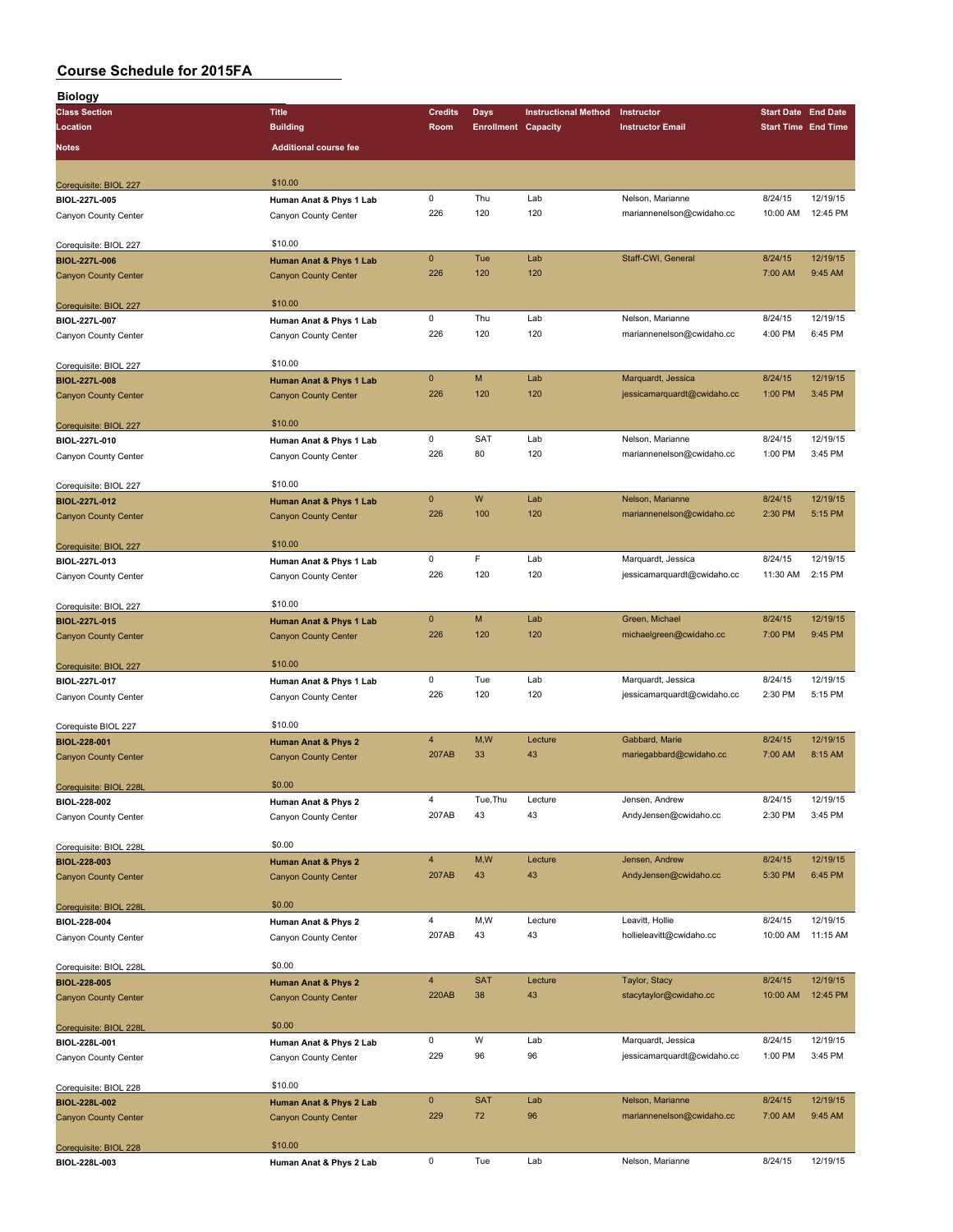| <b>Biology</b>                         |                              |                |                            |                             |                             |                            |          |
|----------------------------------------|------------------------------|----------------|----------------------------|-----------------------------|-----------------------------|----------------------------|----------|
| <b>Class Section</b>                   | <b>Title</b>                 | <b>Credits</b> | Days                       | <b>Instructional Method</b> | Instructor                  | <b>Start Date End Date</b> |          |
| Location                               | <b>Building</b>              | Room           | <b>Enrollment Capacity</b> |                             | <b>Instructor Email</b>     | <b>Start Time End Time</b> |          |
| Notes                                  | <b>Additional course fee</b> |                |                            |                             |                             |                            |          |
|                                        |                              |                |                            |                             |                             |                            |          |
|                                        |                              |                |                            |                             |                             |                            |          |
| Corequisite: BIOL 227                  | \$10.00                      |                |                            |                             |                             |                            |          |
| BIOL-227L-005                          | Human Anat & Phys 1 Lab      | 0              | Thu                        | Lab                         | Nelson, Marianne            | 8/24/15                    | 12/19/15 |
| Canyon County Center                   | Canyon County Center         | 226            | 120                        | 120                         | mariannenelson@cwidaho.cc   | 10:00 AM                   | 12:45 PM |
|                                        |                              |                |                            |                             |                             |                            |          |
| Corequisite: BIOL 227                  | \$10.00                      | $\mathbf{0}$   |                            |                             |                             | 8/24/15                    | 12/19/15 |
| BIOL-227L-006                          | Human Anat & Phys 1 Lab      | 226            | Tue                        | Lab<br>120                  | Staff-CWI, General          |                            |          |
| <b>Canyon County Center</b>            | <b>Canyon County Center</b>  |                | 120                        |                             |                             | 7:00 AM                    | 9:45 AM  |
|                                        |                              |                |                            |                             |                             |                            |          |
| Corequisite: BIOL 227                  | \$10.00                      | 0              | Thu                        | Lab                         | Nelson, Marianne            | 8/24/15                    | 12/19/15 |
| BIOL-227L-007                          | Human Anat & Phys 1 Lab      | 226            | 120                        | 120                         |                             | 4:00 PM                    | 6:45 PM  |
| Canyon County Center                   | Canyon County Center         |                |                            |                             | mariannenelson@cwidaho.cc   |                            |          |
|                                        | \$10.00                      |                |                            |                             |                             |                            |          |
| Corequisite: BIOL 227                  |                              | $\mathbf{0}$   | M                          | Lab                         | Marquardt, Jessica          | 8/24/15                    | 12/19/15 |
| BIOL-227L-008                          | Human Anat & Phys 1 Lab      | 226            | 120                        | 120                         | jessicamarquardt@cwidaho.cc | 1:00 PM                    | 3:45 PM  |
| <b>Canyon County Center</b>            | <b>Canyon County Center</b>  |                |                            |                             |                             |                            |          |
|                                        | \$10.00                      |                |                            |                             |                             |                            |          |
| Corequisite: BIOL 227                  |                              | 0              | SAT                        | Lab                         | Nelson, Marianne            | 8/24/15                    | 12/19/15 |
| BIOL-227L-010                          | Human Anat & Phys 1 Lab      | 226            | 80                         | 120                         | mariannenelson@cwidaho.cc   | 1:00 PM                    | 3:45 PM  |
| Canyon County Center                   | Canyon County Center         |                |                            |                             |                             |                            |          |
|                                        | \$10.00                      |                |                            |                             |                             |                            |          |
| Corequisite: BIOL 227                  |                              | $\mathbf 0$    | W                          | Lab                         | Nelson, Marianne            | 8/24/15                    | 12/19/15 |
| BIOL-227L-012                          | Human Anat & Phys 1 Lab      | 226            | 100                        | 120                         | mariannenelson@cwidaho.cc   | 2:30 PM                    | 5:15 PM  |
| <b>Canyon County Center</b>            | <b>Canyon County Center</b>  |                |                            |                             |                             |                            |          |
|                                        | \$10.00                      |                |                            |                             |                             |                            |          |
| Corequisite: BIOL 227                  |                              | $\mathsf 0$    | F                          | Lab                         | Marquardt, Jessica          | 8/24/15                    | 12/19/15 |
| BIOL-227L-013                          | Human Anat & Phys 1 Lab      | 226            | 120                        | 120                         | jessicamarquardt@cwidaho.cc | 11:30 AM                   | 2:15 PM  |
| Canyon County Center                   | Canyon County Center         |                |                            |                             |                             |                            |          |
|                                        | \$10.00                      |                |                            |                             |                             |                            |          |
| Corequisite: BIOL 227<br>BIOL-227L-015 | Human Anat & Phys 1 Lab      | $\mathbf 0$    | M                          | Lab                         | Green, Michael              | 8/24/15                    | 12/19/15 |
|                                        |                              | 226            | 120                        | 120                         | michaelgreen@cwidaho.cc     | 7:00 PM                    | 9:45 PM  |
| <b>Canyon County Center</b>            | <b>Canyon County Center</b>  |                |                            |                             |                             |                            |          |
| Corequisite: BIOL 227                  | \$10.00                      |                |                            |                             |                             |                            |          |
| BIOL-227L-017                          | Human Anat & Phys 1 Lab      | 0              | Tue                        | Lab                         | Marquardt, Jessica          | 8/24/15                    | 12/19/15 |
|                                        |                              | 226            | 120                        | 120                         | jessicamarquardt@cwidaho.cc | 2:30 PM                    | 5:15 PM  |
| Canyon County Center                   | Canyon County Center         |                |                            |                             |                             |                            |          |
| Corequiste BIOL 227                    | \$10.00                      |                |                            |                             |                             |                            |          |
| BIOL-228-001                           | Human Anat & Phys 2          | $\overline{4}$ | M,W                        | Lecture                     | Gabbard, Marie              | 8/24/15                    | 12/19/15 |
| <b>Canyon County Center</b>            | <b>Canyon County Center</b>  | 207AB          | 33                         | 43                          | mariegabbard@cwidaho.cc     | 7:00 AM                    | 8:15 AM  |
|                                        |                              |                |                            |                             |                             |                            |          |
| Corequisite: BIOL 228L                 | \$0.00                       |                |                            |                             |                             |                            |          |
| BIOL-228-002                           | Human Anat & Phys 2          | 4              | Tue, Thu                   | Lecture                     | Jensen, Andrew              | 8/24/15                    | 12/19/15 |
| Canyon County Center                   | Canyon County Center         | 207AB          | 43                         | 43                          | AndyJensen@cwidaho.cc       | 2:30 PM                    | 3:45 PM  |
|                                        |                              |                |                            |                             |                             |                            |          |
| Corequisite: BIOL 228L                 | \$0.00                       |                |                            |                             |                             |                            |          |
| BIOL-228-003                           | Human Anat & Phys 2          | $\overline{4}$ | M,W                        | Lecture                     | Jensen, Andrew              | 8/24/15                    | 12/19/15 |
| <b>Canyon County Center</b>            | <b>Canyon County Center</b>  | 207AB          | 43                         | 43                          | AndyJensen@cwidaho.cc       | 5:30 PM                    | 6:45 PM  |
|                                        |                              |                |                            |                             |                             |                            |          |
| Corequisite: BIOL 228L                 | \$0.00                       |                |                            |                             |                             |                            |          |
| BIOL-228-004                           | Human Anat & Phys 2          | $\overline{4}$ | M,W                        | Lecture                     | Leavitt, Hollie             | 8/24/15                    | 12/19/15 |
| Canyon County Center                   | Canyon County Center         | 207AB          | 43                         | 43                          | hollieleavitt@cwidaho.cc    | 10:00 AM                   | 11:15 AM |
|                                        |                              |                |                            |                             |                             |                            |          |
| Corequisite: BIOL 228L                 | \$0.00                       |                |                            |                             |                             |                            |          |
| BIOL-228-005                           | Human Anat & Phys 2          | $\overline{4}$ | <b>SAT</b>                 | Lecture                     | Taylor, Stacy               | 8/24/15                    | 12/19/15 |
| <b>Canyon County Center</b>            | <b>Canyon County Center</b>  | <b>220AB</b>   | 38                         | 43                          | stacytaylor@cwidaho.cc      | 10:00 AM                   | 12:45 PM |
|                                        |                              |                |                            |                             |                             |                            |          |
| Corequisite: BIOL 228L                 | \$0.00                       |                |                            |                             |                             |                            |          |
| BIOL-228L-001                          | Human Anat & Phys 2 Lab      | 0              | W                          | Lab                         | Marquardt, Jessica          | 8/24/15                    | 12/19/15 |
| Canyon County Center                   | Canyon County Center         | 229            | 96                         | 96                          | jessicamarquardt@cwidaho.cc | 1:00 PM                    | 3:45 PM  |
|                                        |                              |                |                            |                             |                             |                            |          |
| Corequisite: BIOL 228                  | \$10.00                      |                |                            |                             |                             |                            |          |
| BIOL-228L-002                          | Human Anat & Phys 2 Lab      | $\mathbf 0$    | <b>SAT</b>                 | Lab                         | Nelson, Marianne            | 8/24/15                    | 12/19/15 |
| <b>Canyon County Center</b>            | <b>Canyon County Center</b>  | 229            | 72                         | 96                          | mariannenelson@cwidaho.cc   | 7:00 AM                    | 9:45 AM  |
|                                        |                              |                |                            |                             |                             |                            |          |
| Corequisite: BIOL 228                  | \$10.00                      |                |                            |                             |                             |                            |          |
| BIOL-228L-003                          | Human Anat & Phys 2 Lab      | 0              | Tue                        | Lab                         | Nelson, Marianne            | 8/24/15                    | 12/19/15 |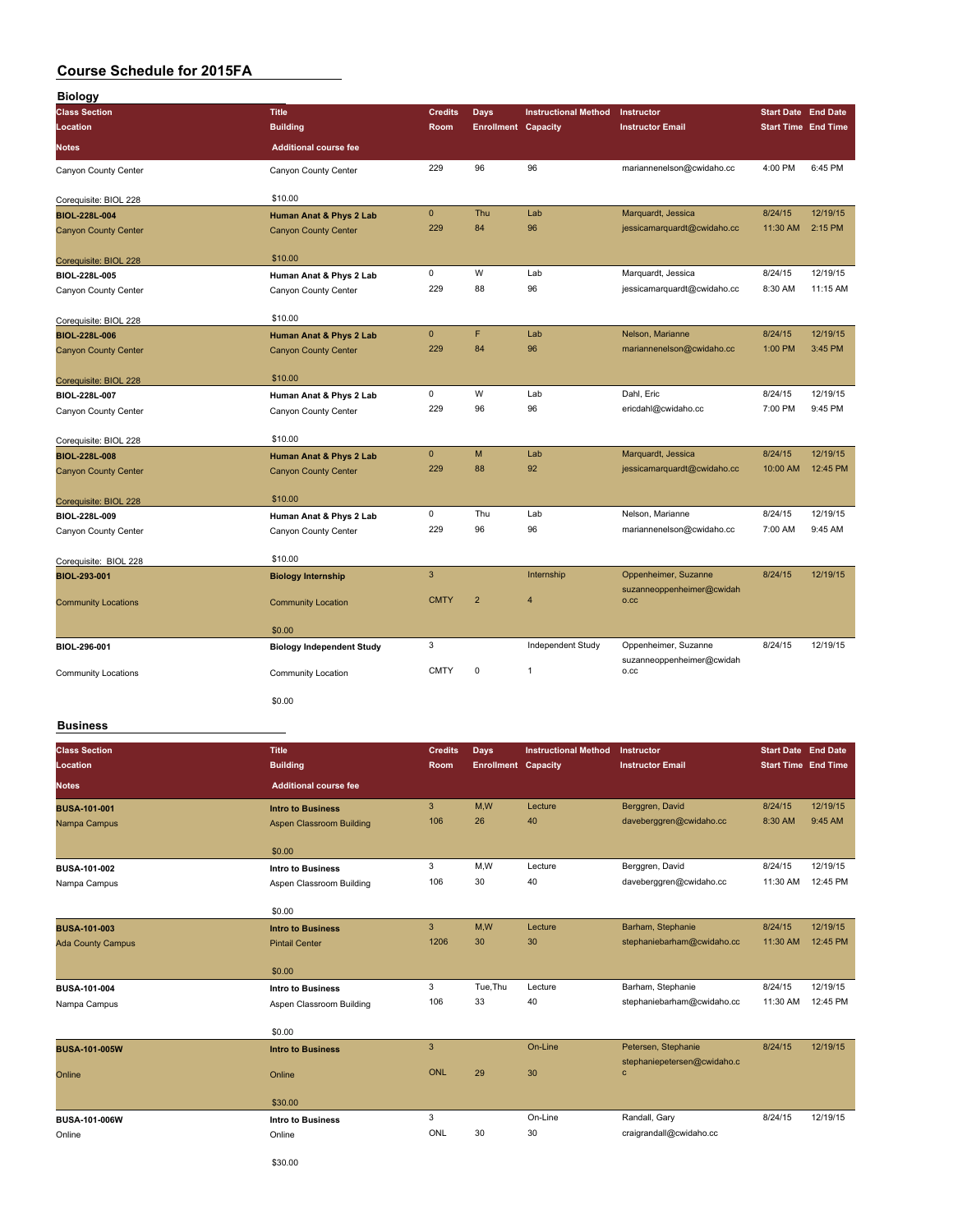| <b>Biology</b>              |                                  |                |                            |                             |                                                   |                            |          |
|-----------------------------|----------------------------------|----------------|----------------------------|-----------------------------|---------------------------------------------------|----------------------------|----------|
| <b>Class Section</b>        | <b>Title</b>                     | <b>Credits</b> | <b>Days</b>                | <b>Instructional Method</b> | Instructor                                        | <b>Start Date End Date</b> |          |
| Location                    | <b>Building</b>                  | Room           | <b>Enrollment Capacity</b> |                             | <b>Instructor Email</b>                           | <b>Start Time End Time</b> |          |
| <b>Notes</b>                | <b>Additional course fee</b>     |                |                            |                             |                                                   |                            |          |
| Canyon County Center        | Canyon County Center             | 229            | 96                         | 96                          | mariannenelson@cwidaho.cc                         | 4:00 PM                    | 6:45 PM  |
| Corequisite: BIOL 228       | \$10.00                          |                |                            |                             |                                                   |                            |          |
| <b>BIOL-228L-004</b>        | Human Anat & Phys 2 Lab          | $\mathbf 0$    | Thu                        | Lab                         | Marquardt, Jessica                                | 8/24/15                    | 12/19/15 |
| <b>Canyon County Center</b> | <b>Canyon County Center</b>      | 229            | 84                         | 96                          | jessicamarquardt@cwidaho.cc                       | 11:30 AM                   | 2:15 PM  |
| Corequisite: BIOL 228       | \$10.00                          |                |                            |                             |                                                   |                            |          |
| BIOL-228L-005               | Human Anat & Phys 2 Lab          | $\mathbf 0$    | W                          | Lab                         | Marquardt, Jessica                                | 8/24/15                    | 12/19/15 |
| Canyon County Center        | Canyon County Center             | 229            | 88                         | 96                          | jessicamarquardt@cwidaho.cc                       | 8:30 AM                    | 11:15 AM |
| Corequisite: BIOL 228       | \$10.00                          |                |                            |                             |                                                   |                            |          |
| BIOL-228L-006               | Human Anat & Phys 2 Lab          | $\mathbf{0}$   | F                          | Lab                         | Nelson, Marianne                                  | 8/24/15                    | 12/19/15 |
| <b>Canyon County Center</b> | <b>Canyon County Center</b>      | 229            | 84                         | 96                          | mariannenelson@cwidaho.cc                         | 1:00 PM                    | 3:45 PM  |
| Corequisite: BIOL 228       | \$10.00                          |                |                            |                             |                                                   |                            |          |
| BIOL-228L-007               | Human Anat & Phys 2 Lab          | $\mathbf 0$    | W                          | Lab                         | Dahl, Eric                                        | 8/24/15                    | 12/19/15 |
| Canyon County Center        | Canyon County Center             | 229            | 96                         | 96                          | ericdahl@cwidaho.cc                               | 7:00 PM                    | 9:45 PM  |
| Corequisite: BIOL 228       | \$10.00                          |                |                            |                             |                                                   |                            |          |
| <b>BIOL-228L-008</b>        | Human Anat & Phys 2 Lab          | $\mathbf 0$    | M                          | Lab                         | Marquardt, Jessica                                | 8/24/15                    | 12/19/15 |
| <b>Canyon County Center</b> | <b>Canyon County Center</b>      | 229            | 88                         | 92                          | jessicamarquardt@cwidaho.cc                       | 10:00 AM                   | 12:45 PM |
| Corequisite: BIOL 228       | \$10.00                          |                |                            |                             |                                                   |                            |          |
| BIOL-228L-009               | Human Anat & Phys 2 Lab          | $\mathbf 0$    | Thu                        | Lab                         | Nelson, Marianne                                  | 8/24/15                    | 12/19/15 |
| Canyon County Center        | Canyon County Center             | 229            | 96                         | 96                          | mariannenelson@cwidaho.cc                         | 7:00 AM                    | 9:45 AM  |
| Corequisite: BIOL 228       | \$10.00                          |                |                            |                             |                                                   |                            |          |
| BIOL-293-001                | <b>Biology Internship</b>        | $\overline{3}$ |                            | Internship                  | Oppenheimer, Suzanne<br>suzanneoppenheimer@cwidah | 8/24/15                    | 12/19/15 |
| <b>Community Locations</b>  | <b>Community Location</b>        | <b>CMTY</b>    | $\overline{2}$             | $\overline{4}$              | O.CC                                              |                            |          |
|                             | \$0.00                           |                |                            |                             |                                                   |                            |          |
| BIOL-296-001                | <b>Biology Independent Study</b> | 3              |                            | Independent Study           | Oppenheimer, Suzanne<br>suzanneoppenheimer@cwidah | 8/24/15                    | 12/19/15 |
| <b>Community Locations</b>  | Community Location               | <b>CMTY</b>    | $\pmb{0}$                  | $\mathbf{1}$                | o.cc                                              |                            |          |
|                             | \$0.00                           |                |                            |                             |                                                   |                            |          |

#### **Business**

| <b>Class Section</b><br>Location | <b>Title</b><br><b>Building</b> | <b>Credits</b><br><b>Room</b> | Days<br><b>Enrollment Capacity</b> | <b>Instructional Method</b> | Instructor<br><b>Instructor Email</b>       | <b>Start Date End Date</b><br><b>Start Time End Time</b> |          |
|----------------------------------|---------------------------------|-------------------------------|------------------------------------|-----------------------------|---------------------------------------------|----------------------------------------------------------|----------|
| <b>Notes</b>                     | <b>Additional course fee</b>    |                               |                                    |                             |                                             |                                                          |          |
| <b>BUSA-101-001</b>              | <b>Intro to Business</b>        | $\mathbf{3}$                  | M,W                                | Lecture                     | Berggren, David                             | 8/24/15                                                  | 12/19/15 |
| Nampa Campus                     | Aspen Classroom Building        | 106                           | 26                                 | 40                          | daveberggren@cwidaho.cc                     | 8:30 AM                                                  | 9:45 AM  |
|                                  | \$0.00                          |                               |                                    |                             |                                             |                                                          |          |
| BUSA-101-002                     | <b>Intro to Business</b>        | 3                             | M,W                                | Lecture                     | Berggren, David                             | 8/24/15                                                  | 12/19/15 |
| Nampa Campus                     | Aspen Classroom Building        | 106                           | 30                                 | 40                          | daveberggren@cwidaho.cc                     | 11:30 AM                                                 | 12:45 PM |
|                                  | \$0.00                          |                               |                                    |                             |                                             |                                                          |          |
| <b>BUSA-101-003</b>              | <b>Intro to Business</b>        | $\overline{3}$                | M,W                                | Lecture                     | Barham, Stephanie                           | 8/24/15                                                  | 12/19/15 |
| <b>Ada County Campus</b>         | <b>Pintail Center</b>           | 1206                          | 30                                 | 30                          | stephaniebarham@cwidaho.cc                  | 11:30 AM                                                 | 12:45 PM |
|                                  | \$0.00                          |                               |                                    |                             |                                             |                                                          |          |
| BUSA-101-004                     | <b>Intro to Business</b>        | 3                             | Tue.Thu                            | Lecture                     | Barham, Stephanie                           | 8/24/15                                                  | 12/19/15 |
| Nampa Campus                     | Aspen Classroom Building        | 106                           | 33                                 | 40                          | stephaniebarham@cwidaho.cc                  | 11:30 AM                                                 | 12:45 PM |
|                                  | \$0.00                          |                               |                                    |                             |                                             |                                                          |          |
| <b>BUSA-101-005W</b>             | <b>Intro to Business</b>        | $\mathbf{3}$                  |                                    | On-Line                     | Petersen, Stephanie                         | 8/24/15                                                  | 12/19/15 |
| Online                           | Online                          | <b>ONL</b>                    | 29                                 | 30                          | stephaniepetersen@cwidaho.c<br>$\mathbf{c}$ |                                                          |          |
|                                  | \$30.00                         |                               |                                    |                             |                                             |                                                          |          |
| BUSA-101-006W                    | <b>Intro to Business</b>        | 3                             |                                    | On-Line                     | Randall, Gary                               | 8/24/15                                                  | 12/19/15 |
| Online                           | Online                          | ONL                           | 30                                 | 30                          | craigrandall@cwidaho.cc                     |                                                          |          |
|                                  |                                 |                               |                                    |                             |                                             |                                                          |          |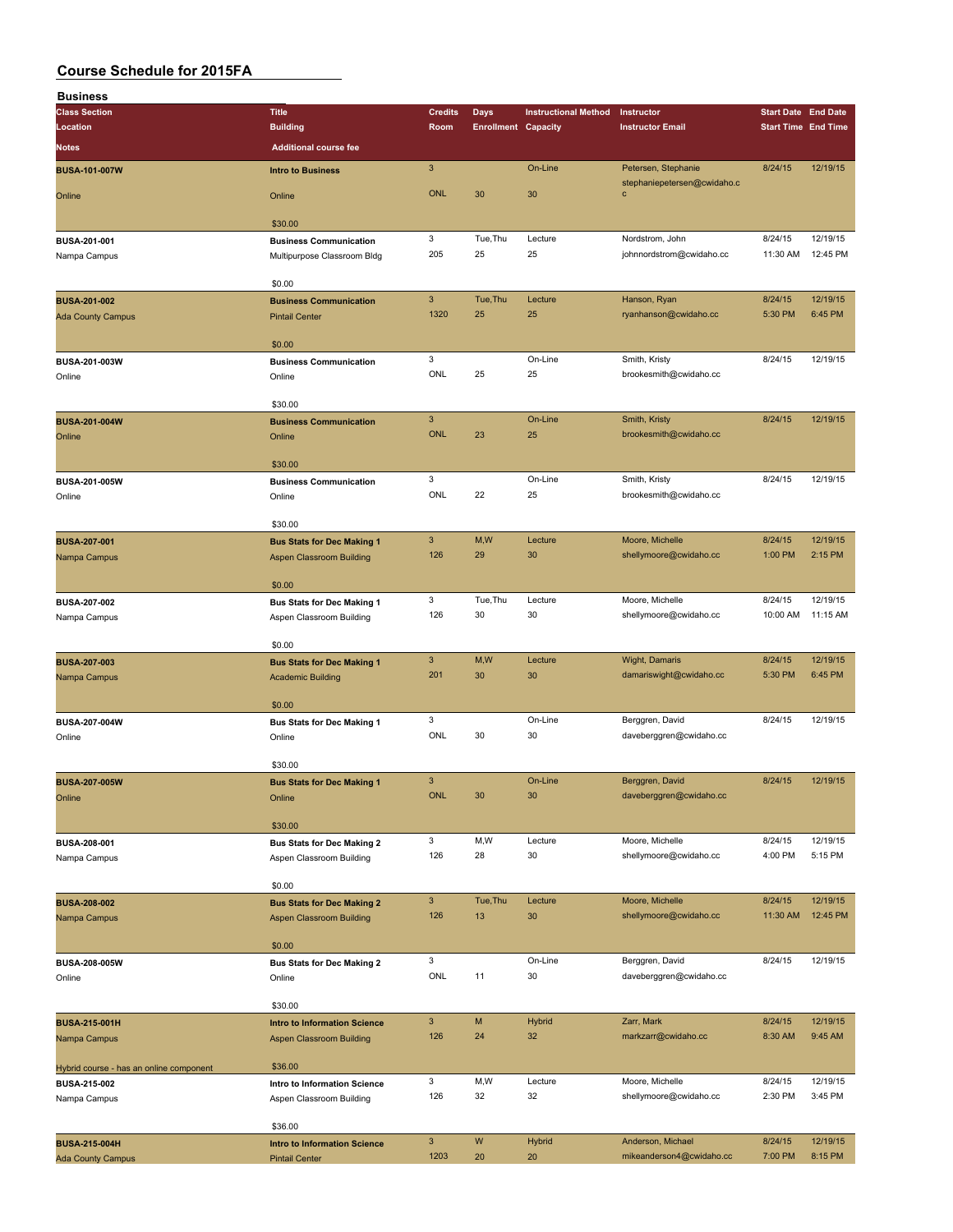| <b>Business</b>                         |                                         |                           |                            |                             |                                                    |                            |          |
|-----------------------------------------|-----------------------------------------|---------------------------|----------------------------|-----------------------------|----------------------------------------------------|----------------------------|----------|
| <b>Class Section</b>                    | <b>Title</b>                            | <b>Credits</b>            | <b>Days</b>                | <b>Instructional Method</b> | Instructor                                         | <b>Start Date End Date</b> |          |
| Location                                | <b>Building</b>                         | Room                      | <b>Enrollment Capacity</b> |                             | <b>Instructor Email</b>                            | <b>Start Time End Time</b> |          |
| Notes                                   | <b>Additional course fee</b>            |                           |                            |                             |                                                    |                            |          |
|                                         |                                         |                           |                            |                             |                                                    |                            |          |
| <b>BUSA-101-007W</b>                    | <b>Intro to Business</b>                | $\sqrt{3}$                |                            | On-Line                     | Petersen, Stephanie<br>stephaniepetersen@cwidaho.c | 8/24/15                    | 12/19/15 |
| Online                                  | Online                                  | <b>ONL</b>                | 30                         | 30                          | C                                                  |                            |          |
|                                         |                                         |                           |                            |                             |                                                    |                            |          |
|                                         | \$30.00                                 |                           |                            |                             |                                                    |                            |          |
| BUSA-201-001                            | <b>Business Communication</b>           | 3                         | Tue, Thu                   | Lecture                     | Nordstrom, John                                    | 8/24/15                    | 12/19/15 |
| Nampa Campus                            | Multipurpose Classroom Bldg             | 205                       | 25                         | 25                          | johnnordstrom@cwidaho.cc                           | 11:30 AM                   | 12:45 PM |
|                                         |                                         |                           |                            |                             |                                                    |                            |          |
|                                         | \$0.00                                  |                           |                            |                             |                                                    |                            |          |
| <b>BUSA-201-002</b>                     | <b>Business Communication</b>           | $\ensuremath{\mathsf{3}}$ | Tue, Thu                   | Lecture                     | Hanson, Ryan                                       | 8/24/15                    | 12/19/15 |
| <b>Ada County Campus</b>                | <b>Pintail Center</b>                   | 1320                      | 25                         | 25                          | ryanhanson@cwidaho.cc                              | 5:30 PM                    | 6:45 PM  |
|                                         |                                         |                           |                            |                             |                                                    |                            |          |
|                                         | \$0.00                                  |                           |                            |                             |                                                    |                            |          |
| BUSA-201-003W                           | <b>Business Communication</b>           | 3                         |                            | On-Line                     | Smith, Kristy                                      | 8/24/15                    | 12/19/15 |
| Online                                  | Online                                  | ONL                       | 25                         | 25                          | brookesmith@cwidaho.cc                             |                            |          |
|                                         |                                         |                           |                            |                             |                                                    |                            |          |
|                                         | \$30.00                                 | $\mathbf{3}$              |                            | On-Line                     |                                                    | 8/24/15                    | 12/19/15 |
| <b>BUSA-201-004W</b>                    | <b>Business Communication</b>           | <b>ONL</b>                | 23                         | 25                          | Smith, Kristy                                      |                            |          |
| Online                                  | Online                                  |                           |                            |                             | brookesmith@cwidaho.cc                             |                            |          |
|                                         | \$30.00                                 |                           |                            |                             |                                                    |                            |          |
|                                         |                                         | 3                         |                            | On-Line                     | Smith, Kristy                                      | 8/24/15                    | 12/19/15 |
| BUSA-201-005W<br>Online                 | <b>Business Communication</b><br>Online | ONL                       | 22                         | 25                          | brookesmith@cwidaho.cc                             |                            |          |
|                                         |                                         |                           |                            |                             |                                                    |                            |          |
|                                         | \$30.00                                 |                           |                            |                             |                                                    |                            |          |
| <b>BUSA-207-001</b>                     | <b>Bus Stats for Dec Making 1</b>       | $\mathbf{3}$              | M, W                       | Lecture                     | Moore, Michelle                                    | 8/24/15                    | 12/19/15 |
| Nampa Campus                            | <b>Aspen Classroom Building</b>         | 126                       | 29                         | 30                          | shellymoore@cwidaho.cc                             | 1:00 PM                    | 2:15 PM  |
|                                         |                                         |                           |                            |                             |                                                    |                            |          |
|                                         | \$0.00                                  |                           |                            |                             |                                                    |                            |          |
| <b>BUSA-207-002</b>                     | <b>Bus Stats for Dec Making 1</b>       | 3                         | Tue, Thu                   | Lecture                     | Moore, Michelle                                    | 8/24/15                    | 12/19/15 |
| Nampa Campus                            | Aspen Classroom Building                | 126                       | 30                         | 30                          | shellymoore@cwidaho.cc                             | 10:00 AM                   | 11:15 AM |
|                                         |                                         |                           |                            |                             |                                                    |                            |          |
|                                         | \$0.00                                  |                           |                            |                             |                                                    |                            |          |
| <b>BUSA-207-003</b>                     | <b>Bus Stats for Dec Making 1</b>       | $\mathbf{3}$              | M,W                        | Lecture                     | Wight, Damaris                                     | 8/24/15                    | 12/19/15 |
| Nampa Campus                            | <b>Academic Building</b>                | 201                       | 30                         | 30                          | damariswight@cwidaho.cc                            | 5:30 PM                    | 6:45 PM  |
|                                         |                                         |                           |                            |                             |                                                    |                            |          |
|                                         | \$0.00                                  |                           |                            |                             |                                                    |                            |          |
| BUSA-207-004W                           | <b>Bus Stats for Dec Making 1</b>       | 3                         |                            | On-Line                     | Berggren, David                                    | 8/24/15                    | 12/19/15 |
| Online                                  | Online                                  | ONL                       | 30                         | 30                          | daveberggren@cwidaho.cc                            |                            |          |
|                                         | \$30.00                                 |                           |                            |                             |                                                    |                            |          |
|                                         |                                         | 3                         |                            | On-Line                     | Berggren, David                                    | 8/24/15                    | 12/19/15 |
| <b>BUSA-207-005W</b>                    | <b>Bus Stats for Dec Making 1</b>       | <b>ONL</b>                | 30                         | 30                          | daveberggren@cwidaho.cc                            |                            |          |
| Online                                  | Online                                  |                           |                            |                             |                                                    |                            |          |
|                                         | \$30.00                                 |                           |                            |                             |                                                    |                            |          |
| BUSA-208-001                            | <b>Bus Stats for Dec Making 2</b>       | 3                         | M,W                        | Lecture                     | Moore, Michelle                                    | 8/24/15                    | 12/19/15 |
| Nampa Campus                            | Aspen Classroom Building                | 126                       | 28                         | 30                          | shellymoore@cwidaho.cc                             | 4:00 PM                    | 5:15 PM  |
|                                         |                                         |                           |                            |                             |                                                    |                            |          |
|                                         | \$0.00                                  |                           |                            |                             |                                                    |                            |          |
| <b>BUSA-208-002</b>                     | <b>Bus Stats for Dec Making 2</b>       | 3 <sup>2</sup>            | Tue, Thu                   | Lecture                     | Moore, Michelle                                    | 8/24/15                    | 12/19/15 |
| Nampa Campus                            | Aspen Classroom Building                | 126                       | 13                         | 30                          | shellymoore@cwidaho.cc                             | 11:30 AM                   | 12:45 PM |
|                                         |                                         |                           |                            |                             |                                                    |                            |          |
|                                         | \$0.00                                  |                           |                            |                             |                                                    |                            |          |
| <b>BUSA-208-005W</b>                    | <b>Bus Stats for Dec Making 2</b>       | 3                         |                            | On-Line                     | Berggren, David                                    | 8/24/15                    | 12/19/15 |
| Online                                  | Online                                  | ONL                       | 11                         | 30                          | daveberggren@cwidaho.cc                            |                            |          |
|                                         |                                         |                           |                            |                             |                                                    |                            |          |
|                                         | \$30.00                                 |                           |                            |                             |                                                    |                            |          |
| <b>BUSA-215-001H</b>                    | <b>Intro to Information Science</b>     | $\ensuremath{\mathsf{3}}$ | M                          | <b>Hybrid</b>               | Zarr, Mark                                         | 8/24/15                    | 12/19/15 |
| Nampa Campus                            | <b>Aspen Classroom Building</b>         | 126                       | 24                         | 32                          | markzarr@cwidaho.cc                                | 8:30 AM                    | 9:45 AM  |
|                                         |                                         |                           |                            |                             |                                                    |                            |          |
| Hybrid course - has an online component | \$36.00                                 |                           |                            |                             |                                                    |                            |          |
| BUSA-215-002                            | Intro to Information Science            | 3                         | M,W                        | Lecture                     | Moore, Michelle                                    | 8/24/15                    | 12/19/15 |
| Nampa Campus                            | Aspen Classroom Building                | 126                       | 32                         | 32                          | shellymoore@cwidaho.cc                             | 2:30 PM                    | 3:45 PM  |
|                                         | \$36.00                                 |                           |                            |                             |                                                    |                            |          |
| <b>BUSA-215-004H</b>                    | <b>Intro to Information Science</b>     | $\mathbf{3}$              | W                          | <b>Hybrid</b>               | Anderson, Michael                                  | 8/24/15                    | 12/19/15 |
| <b>Ada County Campus</b>                | <b>Pintail Center</b>                   | 1203                      | 20                         | 20                          | mikeanderson4@cwidaho.cc                           | 7:00 PM                    | 8:15 PM  |
|                                         |                                         |                           |                            |                             |                                                    |                            |          |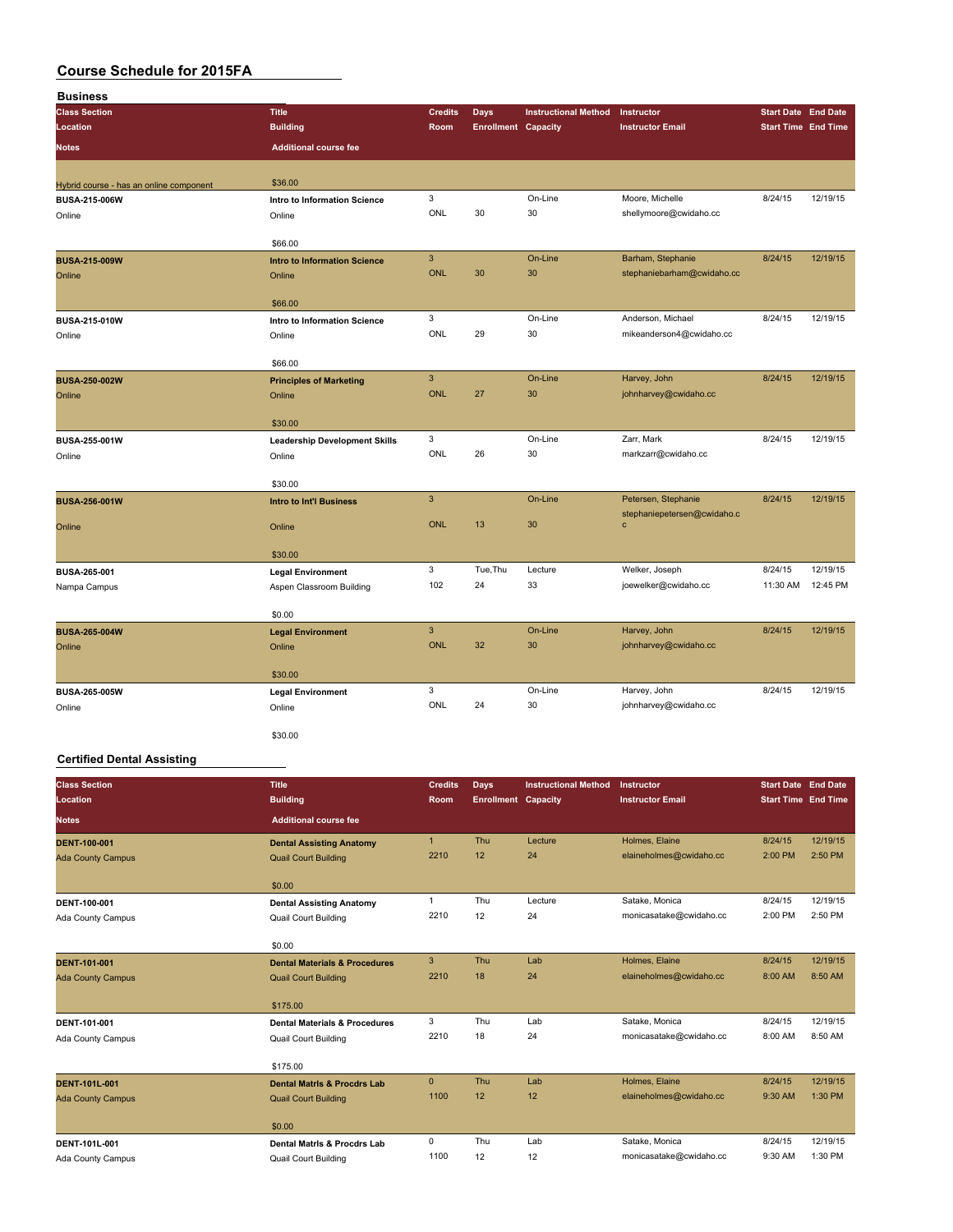| <b>Business</b>                         |                                      |                |                            |                             |                                                    |                            |                            |
|-----------------------------------------|--------------------------------------|----------------|----------------------------|-----------------------------|----------------------------------------------------|----------------------------|----------------------------|
| <b>Class Section</b>                    | <b>Title</b>                         | <b>Credits</b> | <b>Days</b>                | <b>Instructional Method</b> | Instructor                                         | <b>Start Date End Date</b> |                            |
| Location                                | <b>Building</b>                      | Room           | <b>Enrollment Capacity</b> |                             | <b>Instructor Email</b>                            |                            | <b>Start Time End Time</b> |
| Notes                                   | <b>Additional course fee</b>         |                |                            |                             |                                                    |                            |                            |
| Hybrid course - has an online component | \$36.00                              |                |                            |                             |                                                    |                            |                            |
| BUSA-215-006W                           | Intro to Information Science         | 3              |                            | On-Line                     | Moore, Michelle                                    | 8/24/15                    | 12/19/15                   |
| Online                                  | Online                               | ONL            | 30                         | 30                          | shellymoore@cwidaho.cc                             |                            |                            |
|                                         | \$66.00                              |                |                            |                             |                                                    |                            |                            |
| <b>BUSA-215-009W</b>                    | <b>Intro to Information Science</b>  | $\mathbf{3}$   |                            | On-Line                     | Barham, Stephanie                                  | 8/24/15                    | 12/19/15                   |
| Online                                  | Online                               | <b>ONL</b>     | 30                         | 30                          | stephaniebarham@cwidaho.cc                         |                            |                            |
|                                         | \$66.00                              |                |                            |                             |                                                    |                            |                            |
| BUSA-215-010W                           | Intro to Information Science         | 3              |                            | On-Line                     | Anderson, Michael                                  | 8/24/15                    | 12/19/15                   |
| Online                                  | Online                               | ONL            | 29                         | 30                          | mikeanderson4@cwidaho.cc                           |                            |                            |
|                                         | \$66.00                              |                |                            |                             |                                                    |                            |                            |
| <b>BUSA-250-002W</b>                    | <b>Principles of Marketing</b>       | $\overline{3}$ |                            | On-Line                     | Harvey, John                                       | 8/24/15                    | 12/19/15                   |
| Online                                  | Online                               | ONL            | 27                         | 30                          | johnharvey@cwidaho.cc                              |                            |                            |
|                                         | \$30.00                              |                |                            |                             |                                                    |                            |                            |
| BUSA-255-001W                           | <b>Leadership Development Skills</b> | 3              |                            | On-Line                     | Zarr, Mark                                         | 8/24/15                    | 12/19/15                   |
| Online                                  | Online                               | ONL            | 26                         | 30                          | markzarr@cwidaho.cc                                |                            |                            |
|                                         | \$30.00                              |                |                            |                             |                                                    |                            |                            |
| <b>BUSA-256-001W</b>                    | <b>Intro to Int'l Business</b>       | $\overline{3}$ |                            | On-Line                     | Petersen, Stephanie<br>stephaniepetersen@cwidaho.c | 8/24/15                    | 12/19/15                   |
| Online                                  | Online                               | <b>ONL</b>     | 13                         | 30                          | $\mathbf c$                                        |                            |                            |
|                                         | \$30.00                              |                |                            |                             |                                                    |                            |                            |
| BUSA-265-001                            | <b>Legal Environment</b>             | 3              | Tue, Thu                   | Lecture                     | Welker, Joseph                                     | 8/24/15                    | 12/19/15                   |
| Nampa Campus                            | Aspen Classroom Building             | 102            | 24                         | 33                          | joewelker@cwidaho.cc                               | 11:30 AM                   | 12:45 PM                   |
|                                         | \$0.00                               |                |                            |                             |                                                    |                            |                            |
| <b>BUSA-265-004W</b>                    | <b>Legal Environment</b>             | $\mathbf{3}$   |                            | On-Line                     | Harvey, John                                       | 8/24/15                    | 12/19/15                   |
| Online                                  | Online                               | <b>ONL</b>     | 32                         | 30                          | johnharvey@cwidaho.cc                              |                            |                            |
|                                         | \$30.00                              |                |                            |                             |                                                    |                            |                            |
| <b>BUSA-265-005W</b>                    | <b>Legal Environment</b>             | 3              |                            | On-Line                     | Harvey, John                                       | 8/24/15                    | 12/19/15                   |
| Online                                  | Online                               | ONL            | 24                         | 30                          | johnharvey@cwidaho.cc                              |                            |                            |
|                                         | \$30.00                              |                |                            |                             |                                                    |                            |                            |

#### **Certified Dental Assisting**

| <b>Class Section</b><br>Location | <b>Title</b><br><b>Building</b>          | <b>Credits</b><br>Room | Days<br><b>Enrollment Capacity</b> | <b>Instructional Method</b> | Instructor<br><b>Instructor Email</b> | <b>Start Date</b> End Date<br><b>Start Time End Time</b> |          |
|----------------------------------|------------------------------------------|------------------------|------------------------------------|-----------------------------|---------------------------------------|----------------------------------------------------------|----------|
| <b>Notes</b>                     | <b>Additional course fee</b>             |                        |                                    |                             |                                       |                                                          |          |
| <b>DENT-100-001</b>              | <b>Dental Assisting Anatomy</b>          | $\mathbf{1}$           | Thu                                | Lecture                     | Holmes, Elaine                        | 8/24/15                                                  | 12/19/15 |
| <b>Ada County Campus</b>         | <b>Quail Court Building</b>              | 2210                   | 12                                 | 24                          | elaineholmes@cwidaho.cc               | 2:00 PM                                                  | 2:50 PM  |
|                                  | \$0.00                                   |                        |                                    |                             |                                       |                                                          |          |
| DENT-100-001                     | <b>Dental Assisting Anatomy</b>          | $\mathbf{1}$           | Thu                                | Lecture                     | Satake, Monica                        | 8/24/15                                                  | 12/19/15 |
| Ada County Campus                | <b>Quail Court Building</b>              | 2210                   | 12                                 | 24                          | monicasatake@cwidaho.cc               | 2:00 PM                                                  | 2:50 PM  |
|                                  | \$0.00                                   |                        |                                    |                             |                                       |                                                          |          |
| <b>DENT-101-001</b>              | <b>Dental Materials &amp; Procedures</b> | 3                      | Thu                                | Lab                         | Holmes, Elaine                        | 8/24/15                                                  | 12/19/15 |
| <b>Ada County Campus</b>         | <b>Quail Court Building</b>              | 2210                   | 18                                 | 24                          | elaineholmes@cwidaho.cc               | 8:00 AM                                                  | 8:50 AM  |
|                                  | \$175.00                                 |                        |                                    |                             |                                       |                                                          |          |
| DENT-101-001                     | <b>Dental Materials &amp; Procedures</b> | 3                      | Thu                                | Lab                         | Satake, Monica                        | 8/24/15                                                  | 12/19/15 |
| Ada County Campus                | <b>Quail Court Building</b>              | 2210                   | 18                                 | 24                          | monicasatake@cwidaho.cc               | 8:00 AM                                                  | 8:50 AM  |
|                                  | \$175.00                                 |                        |                                    |                             |                                       |                                                          |          |
| <b>DENT-101L-001</b>             | <b>Dental Matris &amp; Procdrs Lab</b>   | $\mathbf{0}$           | Thu                                | Lab                         | Holmes, Elaine                        | 8/24/15                                                  | 12/19/15 |
| <b>Ada County Campus</b>         | <b>Quail Court Building</b>              | 1100                   | 12                                 | 12                          | elaineholmes@cwidaho.cc               | 9:30 AM                                                  | 1:30 PM  |
|                                  | \$0.00                                   |                        |                                    |                             |                                       |                                                          |          |
| DENT-101L-001                    | Dental Matris & Procdrs Lab              | 0                      | Thu                                | Lab                         | Satake, Monica                        | 8/24/15                                                  | 12/19/15 |
| Ada County Campus                | <b>Quail Court Building</b>              | 1100                   | 12                                 | 12                          | monicasatake@cwidaho.cc               | 9:30 AM                                                  | 1:30 PM  |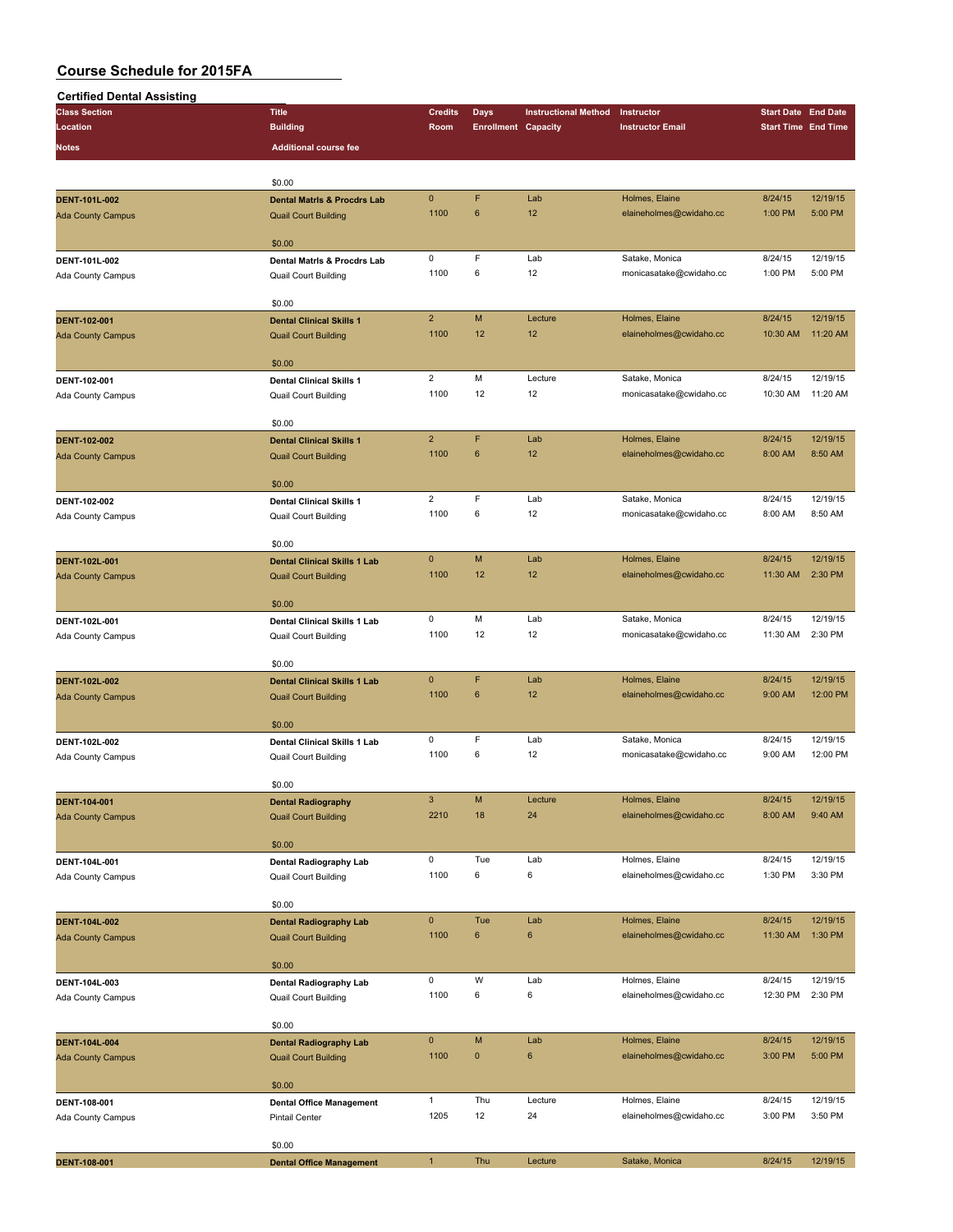| <b>Certified Dental Assisting</b>         |                                                              |                           |                            |                             |                                           |                            |                     |
|-------------------------------------------|--------------------------------------------------------------|---------------------------|----------------------------|-----------------------------|-------------------------------------------|----------------------------|---------------------|
| <b>Class Section</b>                      | <b>Title</b>                                                 | <b>Credits</b>            | <b>Days</b>                | <b>Instructional Method</b> | Instructor                                | <b>Start Date End Date</b> |                     |
| Location                                  | <b>Building</b>                                              | Room                      | <b>Enrollment Capacity</b> |                             | <b>Instructor Email</b>                   | <b>Start Time End Time</b> |                     |
| Notes                                     | <b>Additional course fee</b>                                 |                           |                            |                             |                                           |                            |                     |
|                                           | \$0.00                                                       |                           |                            |                             |                                           |                            |                     |
| DENT-101L-002                             | <b>Dental Matris &amp; Procdrs Lab</b>                       | $\pmb{0}$                 | F                          | Lab                         | Holmes, Elaine                            | 8/24/15                    | 12/19/15            |
| <b>Ada County Campus</b>                  | <b>Quail Court Building</b>                                  | 1100                      | $6\phantom{1}$             | 12                          | elaineholmes@cwidaho.cc                   | 1:00 PM                    | 5:00 PM             |
|                                           |                                                              |                           |                            |                             |                                           |                            |                     |
|                                           | \$0.00                                                       |                           |                            |                             |                                           |                            |                     |
| DENT-101L-002                             | Dental Matris & Procdrs Lab                                  | 0<br>1100                 | F<br>6                     | Lab<br>12                   | Satake, Monica<br>monicasatake@cwidaho.cc | 8/24/15<br>1:00 PM         | 12/19/15<br>5:00 PM |
| Ada County Campus                         | Quail Court Building                                         |                           |                            |                             |                                           |                            |                     |
|                                           | \$0.00                                                       |                           |                            |                             |                                           |                            |                     |
| <b>DENT-102-001</b>                       | <b>Dental Clinical Skills 1</b>                              | $\overline{2}$            | M                          | Lecture                     | Holmes, Elaine                            | 8/24/15                    | 12/19/15            |
| <b>Ada County Campus</b>                  | <b>Quail Court Building</b>                                  | 1100                      | 12                         | 12                          | elaineholmes@cwidaho.cc                   | 10:30 AM                   | 11:20 AM            |
|                                           | \$0.00                                                       |                           |                            |                             |                                           |                            |                     |
| DENT-102-001                              | <b>Dental Clinical Skills 1</b>                              | $\overline{2}$            | M                          | Lecture                     | Satake, Monica                            | 8/24/15                    | 12/19/15            |
| Ada County Campus                         | Quail Court Building                                         | 1100                      | 12                         | 12                          | monicasatake@cwidaho.cc                   | 10:30 AM                   | 11:20 AM            |
|                                           |                                                              |                           |                            |                             |                                           |                            |                     |
|                                           | \$0.00                                                       |                           |                            |                             |                                           |                            |                     |
| <b>DENT-102-002</b>                       | <b>Dental Clinical Skills 1</b>                              | $\overline{2}$            | F                          | Lab                         | Holmes, Elaine                            | 8/24/15                    | 12/19/15            |
| <b>Ada County Campus</b>                  | <b>Quail Court Building</b>                                  | 1100                      | 6                          | 12                          | elaineholmes@cwidaho.cc                   | 8:00 AM                    | 8:50 AM             |
|                                           | \$0.00                                                       |                           |                            |                             |                                           |                            |                     |
| DENT-102-002                              | <b>Dental Clinical Skills 1</b>                              | $\overline{2}$            | F                          | Lab                         | Satake, Monica                            | 8/24/15                    | 12/19/15            |
| Ada County Campus                         | Quail Court Building                                         | 1100                      | 6                          | 12                          | monicasatake@cwidaho.cc                   | 8:00 AM                    | 8:50 AM             |
|                                           |                                                              |                           |                            |                             |                                           |                            |                     |
|                                           | \$0.00<br><b>Dental Clinical Skills 1 Lab</b>                | $\mathbf{0}$              | M                          | Lab                         | Holmes, Elaine                            | 8/24/15                    | 12/19/15            |
| DENT-102L-001<br><b>Ada County Campus</b> | <b>Quail Court Building</b>                                  | 1100                      | 12                         | 12                          | elaineholmes@cwidaho.cc                   | 11:30 AM                   | 2:30 PM             |
|                                           |                                                              |                           |                            |                             |                                           |                            |                     |
|                                           | \$0.00                                                       |                           |                            |                             |                                           |                            |                     |
| DENT-102L-001                             | Dental Clinical Skills 1 Lab                                 | 0                         | M                          | Lab                         | Satake, Monica                            | 8/24/15                    | 12/19/15            |
| Ada County Campus                         | Quail Court Building                                         | 1100                      | 12                         | 12                          | monicasatake@cwidaho.cc                   | 11:30 AM                   | 2:30 PM             |
|                                           | \$0.00                                                       |                           |                            |                             |                                           |                            |                     |
| <b>DENT-102L-002</b>                      | <b>Dental Clinical Skills 1 Lab</b>                          | $\pmb{0}$                 | F                          | Lab                         | Holmes, Elaine                            | 8/24/15                    | 12/19/15            |
| <b>Ada County Campus</b>                  | <b>Quail Court Building</b>                                  | 1100                      | 6                          | 12                          | elaineholmes@cwidaho.cc                   | 9:00 AM                    | 12:00 PM            |
|                                           |                                                              |                           |                            |                             |                                           |                            |                     |
| DENT-102L-002                             | \$0.00<br>Dental Clinical Skills 1 Lab                       | 0                         | F                          | Lab                         | Satake, Monica                            | 8/24/15                    | 12/19/15            |
| Ada County Campus                         | Quail Court Building                                         | 1100                      | 6                          | 12                          | monicasatake@cwidaho.cc                   | 9:00 AM                    | 12:00 PM            |
|                                           |                                                              |                           |                            |                             |                                           |                            |                     |
|                                           | \$0.00                                                       |                           |                            |                             |                                           |                            |                     |
| DENT-104-001                              | <b>Dental Radiography</b>                                    | $\ensuremath{\mathsf{3}}$ | M                          | Lecture                     | Holmes, Elaine                            | 8/24/15                    | 12/19/15            |
| <b>Ada County Campus</b>                  | <b>Quail Court Building</b>                                  | 2210                      | 18                         | 24                          | elaineholmes@cwidaho.cc                   | 8:00 AM                    | 9:40 AM             |
|                                           | \$0.00                                                       |                           |                            |                             |                                           |                            |                     |
| DENT-104L-001                             | Dental Radiography Lab                                       | 0                         | Tue                        | Lab                         | Holmes, Elaine                            | 8/24/15                    | 12/19/15            |
| Ada County Campus                         | <b>Quail Court Building</b>                                  | 1100                      | 6                          | 6                           | elaineholmes@cwidaho.cc                   | 1:30 PM                    | 3:30 PM             |
|                                           |                                                              |                           |                            |                             |                                           |                            |                     |
|                                           | \$0.00                                                       | $\mathbf 0$               | Tue                        | Lab                         | Holmes, Elaine                            | 8/24/15                    | 12/19/15            |
| DENT-104L-002<br><b>Ada County Campus</b> | <b>Dental Radiography Lab</b><br><b>Quail Court Building</b> | 1100                      | $\bf 6$                    | 6                           | elaineholmes@cwidaho.cc                   | 11:30 AM                   | 1:30 PM             |
|                                           |                                                              |                           |                            |                             |                                           |                            |                     |
|                                           | \$0.00                                                       |                           |                            |                             |                                           |                            |                     |
| DENT-104L-003                             | Dental Radiography Lab                                       | 0                         | W                          | Lab                         | Holmes, Elaine                            | 8/24/15                    | 12/19/15            |
| Ada County Campus                         | <b>Quail Court Building</b>                                  | 1100                      | 6                          | 6                           | elaineholmes@cwidaho.cc                   | 12:30 PM                   | 2:30 PM             |
|                                           | \$0.00                                                       |                           |                            |                             |                                           |                            |                     |
| DENT-104L-004                             | <b>Dental Radiography Lab</b>                                | $\pmb{0}$                 | M                          | Lab                         | Holmes, Elaine                            | 8/24/15                    | 12/19/15            |
| <b>Ada County Campus</b>                  | <b>Quail Court Building</b>                                  | 1100                      | $\pmb{0}$                  | $\boldsymbol{6}$            | elaineholmes@cwidaho.cc                   | 3:00 PM                    | 5:00 PM             |
|                                           |                                                              |                           |                            |                             |                                           |                            |                     |
|                                           | \$0.00                                                       | $\mathbf{1}$              | Thu                        | Lecture                     | Holmes, Elaine                            | 8/24/15                    | 12/19/15            |
| DENT-108-001<br>Ada County Campus         | <b>Dental Office Management</b><br><b>Pintail Center</b>     | 1205                      | 12                         | 24                          | elaineholmes@cwidaho.cc                   | 3:00 PM                    | 3:50 PM             |
|                                           |                                                              |                           |                            |                             |                                           |                            |                     |
|                                           | \$0.00                                                       |                           |                            |                             |                                           |                            |                     |
| <b>DENT-108-001</b>                       | <b>Dental Office Management</b>                              | $\mathbf{1}$              | Thu                        | Lecture                     | Satake, Monica                            | 8/24/15                    | 12/19/15            |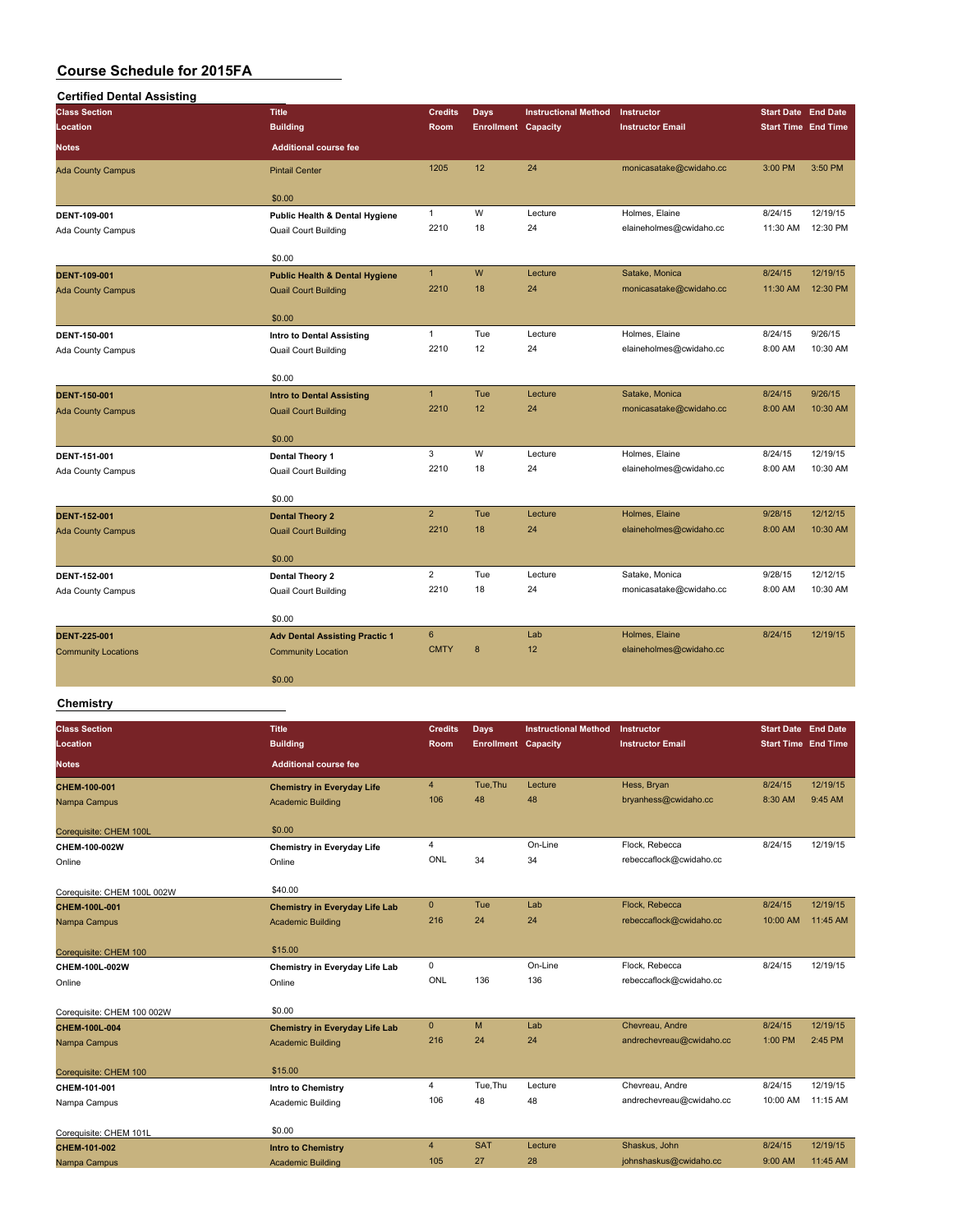| <b>Class Section</b>       | <b>Title</b>                              | <b>Credits</b> | <b>Days</b>                | <b>Instructional Method</b> | Instructor              | <b>Start Date End Date</b> |          |
|----------------------------|-------------------------------------------|----------------|----------------------------|-----------------------------|-------------------------|----------------------------|----------|
| Location                   | <b>Building</b>                           | Room           | <b>Enrollment Capacity</b> |                             | <b>Instructor Email</b> | <b>Start Time End Time</b> |          |
| <b>Notes</b>               | <b>Additional course fee</b>              |                |                            |                             |                         |                            |          |
| <b>Ada County Campus</b>   | <b>Pintail Center</b>                     | 1205           | 12                         | 24                          | monicasatake@cwidaho.cc | 3:00 PM                    | 3:50 PM  |
|                            | \$0.00                                    |                |                            |                             |                         |                            |          |
| DENT-109-001               | Public Health & Dental Hygiene            | $\mathbf{1}$   | W                          | Lecture                     | Holmes, Elaine          | 8/24/15                    | 12/19/15 |
| <b>Ada County Campus</b>   | <b>Quail Court Building</b>               | 2210           | 18                         | 24                          | elaineholmes@cwidaho.cc | 11:30 AM                   | 12:30 PM |
|                            | \$0.00                                    |                |                            |                             |                         |                            |          |
| <b>DENT-109-001</b>        | <b>Public Health &amp; Dental Hygiene</b> | $\mathbf{1}$   | W                          | Lecture                     | Satake, Monica          | 8/24/15                    | 12/19/15 |
| <b>Ada County Campus</b>   | <b>Quail Court Building</b>               | 2210           | 18                         | 24                          | monicasatake@cwidaho.cc | 11:30 AM                   | 12:30 PM |
|                            | \$0.00                                    |                |                            |                             |                         |                            |          |
| DENT-150-001               | <b>Intro to Dental Assisting</b>          | $\mathbf{1}$   | Tue                        | Lecture                     | Holmes, Elaine          | 8/24/15                    | 9/26/15  |
| <b>Ada County Campus</b>   | <b>Quail Court Building</b>               | 2210           | 12                         | 24                          | elaineholmes@cwidaho.cc | 8:00 AM                    | 10:30 AM |
|                            | \$0.00                                    |                |                            |                             |                         |                            |          |
| <b>DENT-150-001</b>        | <b>Intro to Dental Assisting</b>          | $\mathbf{1}$   | Tue                        | Lecture                     | Satake, Monica          | 8/24/15                    | 9/26/15  |
| <b>Ada County Campus</b>   | <b>Quail Court Building</b>               | 2210           | 12                         | 24                          | monicasatake@cwidaho.cc | 8:00 AM                    | 10:30 AM |
|                            | \$0.00                                    |                |                            |                             |                         |                            |          |
| DENT-151-001               | Dental Theory 1                           | 3              | W                          | Lecture                     | Holmes, Elaine          | 8/24/15                    | 12/19/15 |
| <b>Ada County Campus</b>   | <b>Quail Court Building</b>               | 2210           | 18                         | 24                          | elaineholmes@cwidaho.cc | 8:00 AM                    | 10:30 AM |
|                            | \$0.00                                    |                |                            |                             |                         |                            |          |
| <b>DENT-152-001</b>        | <b>Dental Theory 2</b>                    | $\overline{2}$ | Tue                        | Lecture                     | Holmes, Elaine          | 9/28/15                    | 12/12/15 |
| <b>Ada County Campus</b>   | <b>Quail Court Building</b>               | 2210           | 18                         | 24                          | elaineholmes@cwidaho.cc | 8:00 AM                    | 10:30 AM |
|                            | \$0.00                                    |                |                            |                             |                         |                            |          |
| DENT-152-001               | Dental Theory 2                           | $\overline{2}$ | Tue                        | Lecture                     | Satake, Monica          | 9/28/15                    | 12/12/15 |
| Ada County Campus          | Quail Court Building                      | 2210           | 18                         | 24                          | monicasatake@cwidaho.cc | 8:00 AM                    | 10:30 AM |
|                            | \$0.00                                    |                |                            |                             |                         |                            |          |
| <b>DENT-225-001</b>        | <b>Adv Dental Assisting Practic 1</b>     | $\bf 6$        |                            | Lab                         | Holmes, Elaine          | 8/24/15                    | 12/19/15 |
| <b>Community Locations</b> | <b>Community Location</b>                 | <b>CMTY</b>    | 8                          | 12                          | elaineholmes@cwidaho.cc |                            |          |
|                            | \$0.00                                    |                |                            |                             |                         |                            |          |

## **Chemistry**

| <b>Class Section</b>        | <b>Title</b>                          | <b>Credits</b> | <b>Days</b>                | <b>Instructional Method</b> | Instructor               | <b>Start Date End Date</b> |          |
|-----------------------------|---------------------------------------|----------------|----------------------------|-----------------------------|--------------------------|----------------------------|----------|
| Location                    | <b>Building</b>                       | Room           | <b>Enrollment Capacity</b> |                             | <b>Instructor Email</b>  | <b>Start Time End Time</b> |          |
| Notes                       | <b>Additional course fee</b>          |                |                            |                             |                          |                            |          |
| CHEM-100-001                | <b>Chemistry in Everyday Life</b>     | $\overline{4}$ | Tue.Thu                    | Lecture                     | Hess, Bryan              | 8/24/15                    | 12/19/15 |
| Nampa Campus                | <b>Academic Building</b>              | 106            | 48                         | 48                          | bryanhess@cwidaho.cc     | 8:30 AM                    | 9:45 AM  |
| Corequisite: CHEM 100L      | \$0.00                                |                |                            |                             |                          |                            |          |
| CHEM-100-002W               | <b>Chemistry in Everyday Life</b>     | $\overline{4}$ |                            | On-Line                     | Flock, Rebecca           | 8/24/15                    | 12/19/15 |
| Online                      | Online                                | ONL            | 34                         | 34                          | rebeccaflock@cwidaho.cc  |                            |          |
| Corequisite: CHEM 100L 002W | \$40.00                               |                |                            |                             |                          |                            |          |
| <b>CHEM-100L-001</b>        | <b>Chemistry in Everyday Life Lab</b> | $\mathbf{0}$   | Tue                        | Lab                         | Flock, Rebecca           | 8/24/15                    | 12/19/15 |
| Nampa Campus                | <b>Academic Building</b>              | 216            | 24                         | 24                          | rebeccaflock@cwidaho.cc  | 10:00 AM                   | 11:45 AM |
| Corequisite: CHEM 100       | \$15.00                               |                |                            |                             |                          |                            |          |
| CHEM-100L-002W              | Chemistry in Everyday Life Lab        | $\mathbf 0$    |                            | On-Line                     | Flock, Rebecca           | 8/24/15                    | 12/19/15 |
| Online                      | Online                                | ONL            | 136                        | 136                         | rebeccaflock@cwidaho.cc  |                            |          |
| Corequisite: CHEM 100 002W  | \$0.00                                |                |                            |                             |                          |                            |          |
| CHEM-100L-004               | <b>Chemistry in Everyday Life Lab</b> | $\mathbf{0}$   | M                          | Lab                         | Chevreau, Andre          | 8/24/15                    | 12/19/15 |
| Nampa Campus                | <b>Academic Building</b>              | 216            | 24                         | 24                          | andrechevreau@cwidaho.cc | 1:00 PM                    | 2:45 PM  |
| Corequisite: CHEM 100       | \$15.00                               |                |                            |                             |                          |                            |          |
| CHEM-101-001                | <b>Intro to Chemistry</b>             | 4              | Tue, Thu                   | Lecture                     | Chevreau, Andre          | 8/24/15                    | 12/19/15 |
| Nampa Campus                | Academic Building                     | 106            | 48                         | 48                          | andrechevreau@cwidaho.cc | 10:00 AM                   | 11:15 AM |
| Corequisite: CHEM 101L      | \$0.00                                |                |                            |                             |                          |                            |          |
| CHEM-101-002                | <b>Intro to Chemistry</b>             | $\overline{4}$ | <b>SAT</b>                 | Lecture                     | Shaskus, John            | 8/24/15                    | 12/19/15 |
| Nampa Campus                | Academic Building                     | 105            | 27                         | 28                          | johnshaskus@cwidaho.cc   | 9:00 AM                    | 11:45 AM |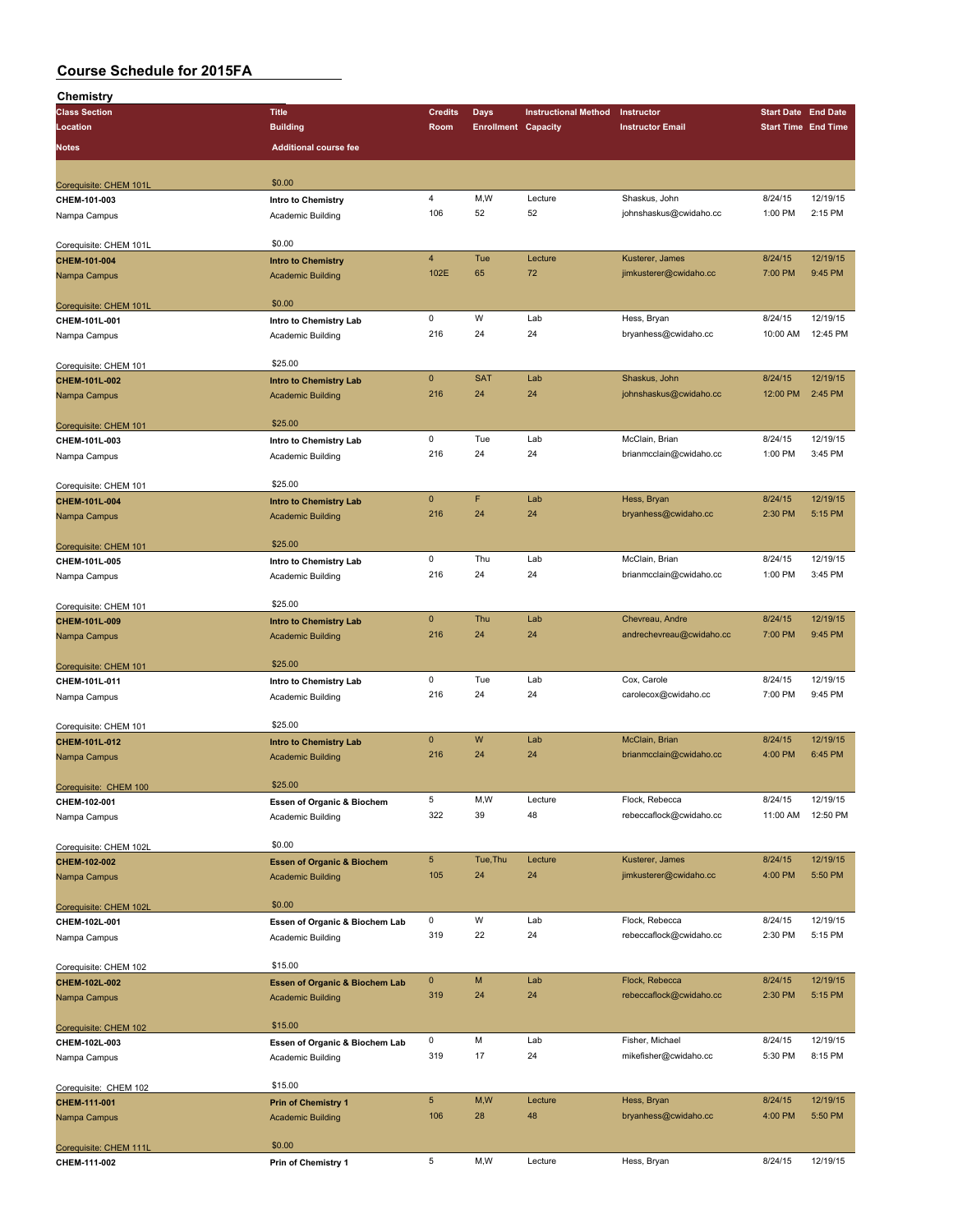| Chemistry              |                                       |                |                            |                             |                          |                            |          |
|------------------------|---------------------------------------|----------------|----------------------------|-----------------------------|--------------------------|----------------------------|----------|
| <b>Class Section</b>   | <b>Title</b>                          | <b>Credits</b> | Days                       | <b>Instructional Method</b> | Instructor               | <b>Start Date End Date</b> |          |
| Location               | <b>Building</b>                       | Room           | <b>Enrollment Capacity</b> |                             | <b>Instructor Email</b>  | <b>Start Time End Time</b> |          |
| <b>Notes</b>           | <b>Additional course fee</b>          |                |                            |                             |                          |                            |          |
|                        |                                       |                |                            |                             |                          |                            |          |
|                        |                                       |                |                            |                             |                          |                            |          |
| Corequisite: CHEM 101L | \$0.00                                |                |                            |                             |                          |                            |          |
| CHEM-101-003           | Intro to Chemistry                    | $\overline{4}$ | M,W                        | Lecture                     | Shaskus, John            | 8/24/15                    | 12/19/15 |
| Nampa Campus           | Academic Building                     | 106            | 52                         | 52                          | johnshaskus@cwidaho.cc   | 1:00 PM                    | 2:15 PM  |
|                        |                                       |                |                            |                             |                          |                            |          |
| Corequisite: CHEM 101L | \$0.00                                |                |                            |                             |                          |                            |          |
| CHEM-101-004           | <b>Intro to Chemistry</b>             | $\overline{4}$ | Tue                        | Lecture                     | Kusterer, James          | 8/24/15                    | 12/19/15 |
| Nampa Campus           | <b>Academic Building</b>              | 102E           | 65                         | 72                          | jimkusterer@cwidaho.cc   | 7:00 PM                    | 9:45 PM  |
|                        |                                       |                |                            |                             |                          |                            |          |
| Corequisite: CHEM 101L | \$0.00                                |                |                            |                             |                          |                            |          |
| CHEM-101L-001          | Intro to Chemistry Lab                | $\mathsf 0$    | W                          | Lab                         | Hess, Bryan              | 8/24/15                    | 12/19/15 |
| Nampa Campus           | Academic Building                     | 216            | 24                         | 24                          | bryanhess@cwidaho.cc     | 10:00 AM                   | 12:45 PM |
|                        |                                       |                |                            |                             |                          |                            |          |
| Corequisite: CHEM 101  | \$25.00                               |                |                            |                             |                          |                            |          |
| CHEM-101L-002          | <b>Intro to Chemistry Lab</b>         | $\mathbf{0}$   | <b>SAT</b>                 | Lab                         | Shaskus, John            | 8/24/15                    | 12/19/15 |
| Nampa Campus           | <b>Academic Building</b>              | 216            | 24                         | 24                          | johnshaskus@cwidaho.cc   | 12:00 PM                   | 2:45 PM  |
|                        |                                       |                |                            |                             |                          |                            |          |
| Corequisite: CHEM 101  | \$25.00                               |                |                            |                             |                          |                            |          |
| CHEM-101L-003          | Intro to Chemistry Lab                | 0              | Tue                        | Lab                         | McClain, Brian           | 8/24/15                    | 12/19/15 |
| Nampa Campus           | Academic Building                     | 216            | 24                         | 24                          | brianmcclain@cwidaho.cc  | 1:00 PM                    | 3:45 PM  |
|                        |                                       |                |                            |                             |                          |                            |          |
| Corequisite: CHEM 101  | \$25.00                               |                |                            |                             |                          |                            |          |
| CHEM-101L-004          | <b>Intro to Chemistry Lab</b>         | $\mathbf{0}$   | F                          | Lab                         | Hess, Bryan              | 8/24/15                    | 12/19/15 |
| Nampa Campus           | <b>Academic Building</b>              | 216            | 24                         | 24                          | bryanhess@cwidaho.cc     | 2:30 PM                    | 5:15 PM  |
|                        |                                       |                |                            |                             |                          |                            |          |
| Corequisite: CHEM 101  | \$25.00                               |                |                            |                             |                          |                            |          |
| CHEM-101L-005          | Intro to Chemistry Lab                | $\mathsf 0$    | Thu                        | Lab                         | McClain, Brian           | 8/24/15                    | 12/19/15 |
| Nampa Campus           | Academic Building                     | 216            | 24                         | 24                          | brianmcclain@cwidaho.cc  | 1:00 PM                    | 3:45 PM  |
|                        |                                       |                |                            |                             |                          |                            |          |
| Corequisite: CHEM 101  | \$25.00                               |                |                            |                             |                          |                            |          |
| CHEM-101L-009          | <b>Intro to Chemistry Lab</b>         | $\mathbf{0}$   | Thu                        | Lab                         | Chevreau, Andre          | 8/24/15                    | 12/19/15 |
| Nampa Campus           | <b>Academic Building</b>              | 216            | 24                         | 24                          | andrechevreau@cwidaho.cc | 7:00 PM                    | 9:45 PM  |
|                        |                                       |                |                            |                             |                          |                            |          |
| Corequisite: CHEM 101  | \$25.00                               |                |                            |                             |                          |                            |          |
| CHEM-101L-011          | Intro to Chemistry Lab                | $\mathsf 0$    | Tue                        | Lab                         | Cox, Carole              | 8/24/15                    | 12/19/15 |
|                        |                                       | 216            | 24                         | 24                          | carolecox@cwidaho.cc     | 7:00 PM                    | 9:45 PM  |
| Nampa Campus           | Academic Building                     |                |                            |                             |                          |                            |          |
|                        | \$25.00                               |                |                            |                             |                          |                            |          |
| Corequisite: CHEM 101  |                                       | $\mathbf 0$    | W                          | Lab                         | McClain, Brian           | 8/24/15                    | 12/19/15 |
| CHEM-101L-012          | <b>Intro to Chemistry Lab</b>         | 216            | 24                         | 24                          | brianmcclain@cwidaho.cc  | 4:00 PM                    | 6:45 PM  |
| Nampa Campus           | <b>Academic Building</b>              |                |                            |                             |                          |                            |          |
|                        | \$25.00                               |                |                            |                             |                          |                            |          |
| Corequisite: CHEM 100  |                                       |                |                            |                             |                          |                            |          |
| CHEM-102-001           | Essen of Organic & Biochem            | 5              | M,W                        | Lecture                     | Flock, Rebecca           | 8/24/15                    | 12/19/15 |
| Nampa Campus           | Academic Building                     | 322            | 39                         | 48                          | rebeccaflock@cwidaho.cc  | 11:00 AM                   | 12:50 PM |
|                        |                                       |                |                            |                             |                          |                            |          |
| Corequisite: CHEM 102L | \$0.00                                |                |                            |                             |                          |                            |          |
| CHEM-102-002           | <b>Essen of Organic &amp; Biochem</b> | $\sqrt{5}$     | Tue, Thu                   | Lecture                     | Kusterer, James          | 8/24/15                    | 12/19/15 |
| Nampa Campus           | <b>Academic Building</b>              | 105            | 24                         | 24                          | jimkusterer@cwidaho.cc   | 4:00 PM                    | 5:50 PM  |
|                        |                                       |                |                            |                             |                          |                            |          |
| Corequisite: CHEM 102L | \$0.00                                |                |                            |                             |                          |                            |          |
| CHEM-102L-001          | Essen of Organic & Biochem Lab        | 0              | W                          | Lab                         | Flock, Rebecca           | 8/24/15                    | 12/19/15 |
| Nampa Campus           | Academic Building                     | 319            | 22                         | 24                          | rebeccaflock@cwidaho.cc  | 2:30 PM                    | 5:15 PM  |
|                        |                                       |                |                            |                             |                          |                            |          |
| Corequisite: CHEM 102  | \$15.00                               |                |                            |                             |                          |                            |          |
| CHEM-102L-002          | Essen of Organic & Biochem Lab        | $\mathbf 0$    | М                          | Lab                         | Flock, Rebecca           | 8/24/15                    | 12/19/15 |
| Nampa Campus           | <b>Academic Building</b>              | 319            | 24                         | 24                          | rebeccaflock@cwidaho.cc  | 2:30 PM                    | 5:15 PM  |
|                        |                                       |                |                            |                             |                          |                            |          |
| Corequisite: CHEM 102  | \$15.00                               |                |                            |                             |                          |                            |          |
| CHEM-102L-003          | Essen of Organic & Biochem Lab        | 0              | М                          | Lab                         | Fisher, Michael          | 8/24/15                    | 12/19/15 |
| Nampa Campus           | Academic Building                     | 319            | 17                         | 24                          | mikefisher@cwidaho.cc    | 5:30 PM                    | 8:15 PM  |
|                        |                                       |                |                            |                             |                          |                            |          |
| Corequisite: CHEM 102  | \$15.00                               |                |                            |                             |                          |                            |          |
| CHEM-111-001           | <b>Prin of Chemistry 1</b>            | $\sqrt{5}$     | M, W                       | Lecture                     | Hess, Bryan              | 8/24/15                    | 12/19/15 |
| Nampa Campus           | <b>Academic Building</b>              | 106            | 28                         | 48                          | bryanhess@cwidaho.cc     | 4:00 PM                    | 5:50 PM  |
|                        |                                       |                |                            |                             |                          |                            |          |
| Corequisite: CHEM 111L | \$0.00                                |                |                            |                             |                          |                            |          |
| CHEM-111-002           | Prin of Chemistry 1                   | $\,$ 5 $\,$    | M,W                        | Lecture                     | Hess, Bryan              | 8/24/15                    | 12/19/15 |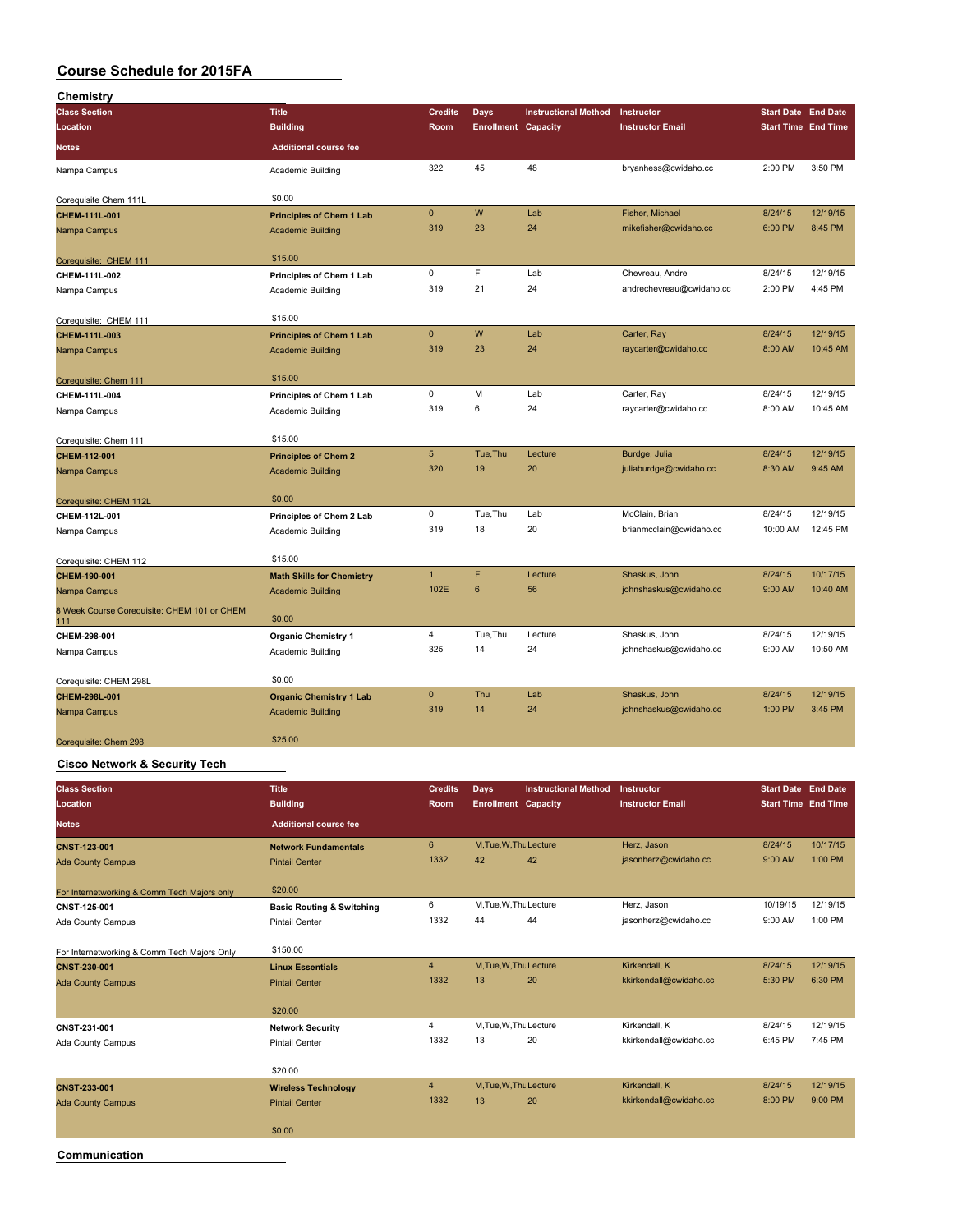| Chemistry                                          |                                  |                 |                            |                             |                          |                            |          |
|----------------------------------------------------|----------------------------------|-----------------|----------------------------|-----------------------------|--------------------------|----------------------------|----------|
| <b>Class Section</b>                               | <b>Title</b>                     | <b>Credits</b>  | <b>Days</b>                | <b>Instructional Method</b> | Instructor               | <b>Start Date End Date</b> |          |
| Location                                           | <b>Building</b>                  | Room            | <b>Enrollment Capacity</b> |                             | <b>Instructor Email</b>  | <b>Start Time End Time</b> |          |
| <b>Notes</b>                                       | <b>Additional course fee</b>     |                 |                            |                             |                          |                            |          |
| Nampa Campus                                       | <b>Academic Building</b>         | 322             | 45                         | 48                          | bryanhess@cwidaho.cc     | 2:00 PM                    | 3:50 PM  |
| Corequisite Chem 111L                              | \$0.00                           |                 |                            |                             |                          |                            |          |
| CHEM-111L-001                                      | <b>Principles of Chem 1 Lab</b>  | $\mathbf{0}$    | W                          | Lab                         | Fisher, Michael          | 8/24/15                    | 12/19/15 |
| Nampa Campus                                       | <b>Academic Building</b>         | 319             | 23                         | 24                          | mikefisher@cwidaho.cc    | 6:00 PM                    | 8:45 PM  |
| Corequisite: CHEM 111                              | \$15.00                          |                 |                            |                             |                          |                            |          |
| CHEM-111L-002                                      | Principles of Chem 1 Lab         | $\pmb{0}$       | F.                         | Lab                         | Chevreau, Andre          | 8/24/15                    | 12/19/15 |
| Nampa Campus                                       | <b>Academic Building</b>         | 319             | 21                         | 24                          | andrechevreau@cwidaho.cc | 2:00 PM                    | 4:45 PM  |
| Corequisite: CHEM 111                              | \$15.00                          |                 |                            |                             |                          |                            |          |
| CHEM-111L-003                                      | <b>Principles of Chem 1 Lab</b>  | $\mathbf{0}$    | W                          | Lab                         | Carter, Ray              | 8/24/15                    | 12/19/15 |
| Nampa Campus                                       | <b>Academic Building</b>         | 319             | 23                         | 24                          | raycarter@cwidaho.cc     | 8:00 AM                    | 10:45 AM |
| Corequisite: Chem 111                              | \$15.00                          |                 |                            |                             |                          |                            |          |
| CHEM-111L-004                                      | Principles of Chem 1 Lab         | $\mathsf 0$     | M                          | Lab                         | Carter, Ray              | 8/24/15                    | 12/19/15 |
| Nampa Campus                                       | Academic Building                | 319             | 6                          | 24                          | raycarter@cwidaho.cc     | 8:00 AM                    | 10:45 AM |
| Corequisite: Chem 111                              | \$15.00                          |                 |                            |                             |                          |                            |          |
| CHEM-112-001                                       | <b>Principles of Chem 2</b>      | $5\phantom{.0}$ | Tue, Thu                   | Lecture                     | Burdge, Julia            | 8/24/15                    | 12/19/15 |
| Nampa Campus                                       | <b>Academic Building</b>         | 320             | 19                         | 20                          | juliaburdge@cwidaho.cc   | 8:30 AM                    | 9:45 AM  |
| Corequisite: CHEM 112L                             | \$0.00                           |                 |                            |                             |                          |                            |          |
| CHEM-112L-001                                      | Principles of Chem 2 Lab         | 0               | Tue, Thu                   | Lab                         | McClain, Brian           | 8/24/15                    | 12/19/15 |
| Nampa Campus                                       | Academic Building                | 319             | 18                         | 20                          | brianmcclain@cwidaho.cc  | 10:00 AM                   | 12:45 PM |
| Corequisite: CHEM 112                              | \$15.00                          |                 |                            |                             |                          |                            |          |
| CHEM-190-001                                       | <b>Math Skills for Chemistry</b> | $\mathbf{1}$    | F                          | Lecture                     | Shaskus, John            | 8/24/15                    | 10/17/15 |
| Nampa Campus                                       | <b>Academic Building</b>         | 102E            | $6\phantom{1}$             | 56                          | johnshaskus@cwidaho.cc   | 9:00 AM                    | 10:40 AM |
| 8 Week Course Corequisite: CHEM 101 or CHEM<br>111 | \$0.00                           |                 |                            |                             |                          |                            |          |
| CHEM-298-001                                       | <b>Organic Chemistry 1</b>       | 4               | Tue, Thu                   | Lecture                     | Shaskus, John            | 8/24/15                    | 12/19/15 |
| Nampa Campus                                       | Academic Building                | 325             | 14                         | 24                          | johnshaskus@cwidaho.cc   | 9:00 AM                    | 10:50 AM |
| Corequisite: CHEM 298L                             | \$0.00                           |                 |                            |                             |                          |                            |          |
| CHEM-298L-001                                      | <b>Organic Chemistry 1 Lab</b>   | $\pmb{0}$       | Thu                        | Lab                         | Shaskus, John            | 8/24/15                    | 12/19/15 |
| Nampa Campus                                       | <b>Academic Building</b>         | 319             | 14                         | 24                          | johnshaskus@cwidaho.cc   | 1:00 PM                    | 3:45 PM  |
| Corequisite: Chem 298                              | \$25.00                          |                 |                            |                             |                          |                            |          |

#### **Cisco Network & Security Tech**

| <b>Class Section</b><br>Location            | <b>Title</b><br><b>Building</b>      | <b>Credits</b><br>Room | <b>Days</b><br><b>Enrollment Capacity</b> | <b>Instructional Method</b> | <b>Instructor</b><br><b>Instructor Email</b> | <b>Start Date End Date</b><br><b>Start Time End Time</b> |          |
|---------------------------------------------|--------------------------------------|------------------------|-------------------------------------------|-----------------------------|----------------------------------------------|----------------------------------------------------------|----------|
| <b>Notes</b>                                | <b>Additional course fee</b>         |                        |                                           |                             |                                              |                                                          |          |
| <b>CNST-123-001</b>                         | <b>Network Fundamentals</b>          | 6                      | M, Tue, W, Thu Lecture                    |                             | Herz, Jason                                  | 8/24/15                                                  | 10/17/15 |
| <b>Ada County Campus</b>                    | <b>Pintail Center</b>                | 1332                   | 42                                        | 42                          | jasonherz@cwidaho.cc                         | 9:00 AM                                                  | 1:00 PM  |
| For Internetworking & Comm Tech Majors only | \$20.00                              |                        |                                           |                             |                                              |                                                          |          |
| CNST-125-001                                | <b>Basic Routing &amp; Switching</b> | 6                      | M, Tue, W, Thu Lecture                    |                             | Herz, Jason                                  | 10/19/15                                                 | 12/19/15 |
| Ada County Campus                           | <b>Pintail Center</b>                | 1332                   | 44                                        | 44                          | jasonherz@cwidaho.cc                         | 9:00 AM                                                  | 1:00 PM  |
| For Internetworking & Comm Tech Majors Only | \$150.00                             |                        |                                           |                             |                                              |                                                          |          |
| <b>CNST-230-001</b>                         | <b>Linux Essentials</b>              | $\overline{4}$         | M, Tue, W, Thu Lecture                    |                             | Kirkendall, K                                | 8/24/15                                                  | 12/19/15 |
| <b>Ada County Campus</b>                    | <b>Pintail Center</b>                | 1332                   | 13                                        | 20                          | kkirkendall@cwidaho.cc                       | 5:30 PM                                                  | 6:30 PM  |
|                                             | \$20.00                              |                        |                                           |                             |                                              |                                                          |          |
| CNST-231-001                                | <b>Network Security</b>              | 4                      | M, Tue, W, Thu Lecture                    |                             | Kirkendall, K                                | 8/24/15                                                  | 12/19/15 |
| Ada County Campus                           | <b>Pintail Center</b>                | 1332                   | 13                                        | 20                          | kkirkendall@cwidaho.cc                       | 6:45 PM                                                  | 7:45 PM  |
|                                             | \$20.00                              |                        |                                           |                             |                                              |                                                          |          |
| CNST-233-001                                | <b>Wireless Technology</b>           | $\overline{4}$         | M, Tue, W, Thu Lecture                    |                             | Kirkendall, K                                | 8/24/15                                                  | 12/19/15 |
| <b>Ada County Campus</b>                    | <b>Pintail Center</b>                | 1332                   | 13                                        | 20                          | kkirkendall@cwidaho.cc                       | 8:00 PM                                                  | 9:00 PM  |
|                                             | \$0.00                               |                        |                                           |                             |                                              |                                                          |          |
| Communication                               |                                      |                        |                                           |                             |                                              |                                                          |          |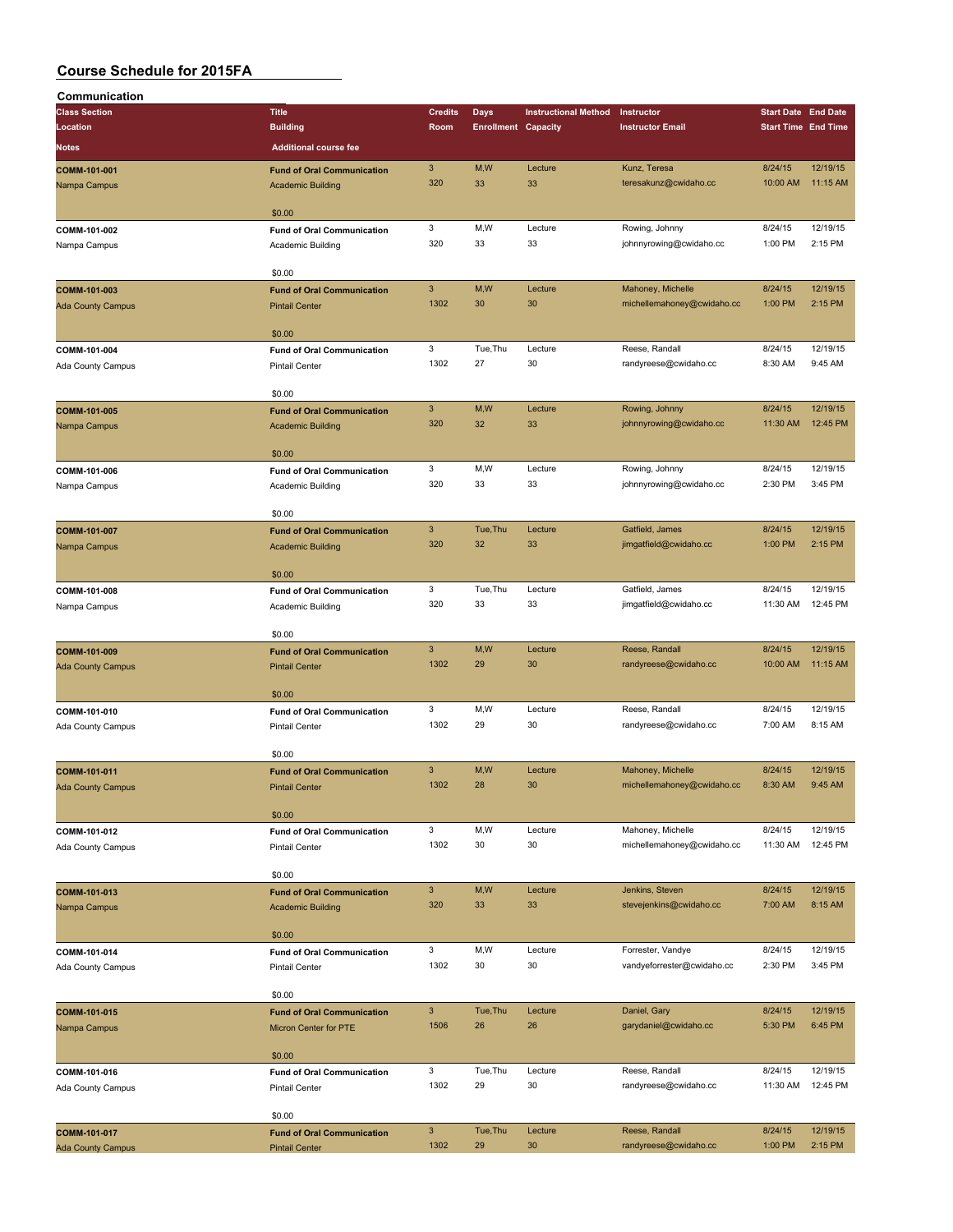| Communication            |                                   |                |                            |                             |                                           |                            |                            |
|--------------------------|-----------------------------------|----------------|----------------------------|-----------------------------|-------------------------------------------|----------------------------|----------------------------|
| <b>Class Section</b>     | <b>Title</b>                      | <b>Credits</b> | <b>Days</b>                | <b>Instructional Method</b> | Instructor                                | <b>Start Date End Date</b> |                            |
| Location                 | <b>Building</b>                   | Room           | <b>Enrollment Capacity</b> |                             | <b>Instructor Email</b>                   |                            | <b>Start Time End Time</b> |
| Notes                    | <b>Additional course fee</b>      |                |                            |                             |                                           |                            |                            |
| COMM-101-001             | <b>Fund of Oral Communication</b> | $\mathbf{3}$   | M,W                        | Lecture                     | Kunz, Teresa                              | 8/24/15                    | 12/19/15                   |
| Nampa Campus             | <b>Academic Building</b>          | 320            | 33                         | 33                          | teresakunz@cwidaho.cc                     | 10:00 AM                   | 11:15 AM                   |
|                          |                                   |                |                            |                             |                                           |                            |                            |
|                          | \$0.00                            |                |                            |                             |                                           |                            |                            |
| COMM-101-002             | <b>Fund of Oral Communication</b> | 3              | M,W                        | Lecture                     | Rowing, Johnny                            | 8/24/15                    | 12/19/15                   |
| Nampa Campus             | Academic Building                 | 320            | 33                         | 33                          | johnnyrowing@cwidaho.cc                   | 1:00 PM                    | 2:15 PM                    |
|                          |                                   |                |                            |                             |                                           |                            |                            |
|                          | \$0.00                            |                |                            |                             |                                           |                            |                            |
| COMM-101-003             | <b>Fund of Oral Communication</b> | $\mathbf{3}$   | M,W                        | Lecture                     | Mahoney, Michelle                         | 8/24/15                    | 12/19/15                   |
| <b>Ada County Campus</b> | <b>Pintail Center</b>             | 1302           | 30                         | 30                          | michellemahoney@cwidaho.cc                | 1:00 PM                    | 2:15 PM                    |
|                          |                                   |                |                            |                             |                                           |                            |                            |
|                          | \$0.00                            |                |                            |                             |                                           |                            |                            |
| COMM-101-004             | <b>Fund of Oral Communication</b> | 3              | Tue, Thu                   | Lecture                     | Reese, Randall                            | 8/24/15                    | 12/19/15                   |
| <b>Ada County Campus</b> | <b>Pintail Center</b>             | 1302           | 27                         | 30                          | randyreese@cwidaho.cc                     | 8:30 AM                    | 9:45 AM                    |
|                          |                                   |                |                            |                             |                                           |                            |                            |
|                          | \$0.00                            | $\mathbf{3}$   | M,W                        | Lecture                     |                                           | 8/24/15                    | 12/19/15                   |
| COMM-101-005             | <b>Fund of Oral Communication</b> | 320            | 32                         | 33                          | Rowing, Johnny<br>johnnyrowing@cwidaho.cc | 11:30 AM                   | 12:45 PM                   |
| Nampa Campus             | <b>Academic Building</b>          |                |                            |                             |                                           |                            |                            |
|                          | \$0.00                            |                |                            |                             |                                           |                            |                            |
| COMM-101-006             | <b>Fund of Oral Communication</b> | 3              | M,W                        | Lecture                     | Rowing, Johnny                            | 8/24/15                    | 12/19/15                   |
| Nampa Campus             | Academic Building                 | 320            | 33                         | 33                          | johnnyrowing@cwidaho.cc                   | 2:30 PM                    | 3:45 PM                    |
|                          |                                   |                |                            |                             |                                           |                            |                            |
|                          | \$0.00                            |                |                            |                             |                                           |                            |                            |
| COMM-101-007             | <b>Fund of Oral Communication</b> | $\mathbf{3}$   | Tue, Thu                   | Lecture                     | Gatfield, James                           | 8/24/15                    | 12/19/15                   |
| Nampa Campus             | <b>Academic Building</b>          | 320            | 32                         | 33                          | jimgatfield@cwidaho.cc                    | 1:00 PM                    | 2:15 PM                    |
|                          |                                   |                |                            |                             |                                           |                            |                            |
|                          | \$0.00                            |                |                            |                             |                                           |                            |                            |
| COMM-101-008             | <b>Fund of Oral Communication</b> | 3              | Tue, Thu                   | Lecture                     | Gatfield, James                           | 8/24/15                    | 12/19/15                   |
| Nampa Campus             | Academic Building                 | 320            | 33                         | 33                          | jimgatfield@cwidaho.cc                    | 11:30 AM                   | 12:45 PM                   |
|                          |                                   |                |                            |                             |                                           |                            |                            |
|                          | \$0.00                            |                |                            |                             |                                           |                            |                            |
| COMM-101-009             | <b>Fund of Oral Communication</b> | $\mathbf{3}$   | M,W                        | Lecture                     | Reese, Randall                            | 8/24/15                    | 12/19/15                   |
| <b>Ada County Campus</b> | <b>Pintail Center</b>             | 1302           | 29                         | 30                          | randyreese@cwidaho.cc                     | 10:00 AM                   | 11:15 AM                   |
|                          |                                   |                |                            |                             |                                           |                            |                            |
|                          | \$0.00                            | 3              | M,W                        | Lecture                     | Reese, Randall                            | 8/24/15                    | 12/19/15                   |
| COMM-101-010             | <b>Fund of Oral Communication</b> | 1302           | 29                         | 30                          | randyreese@cwidaho.cc                     | 7:00 AM                    | 8:15 AM                    |
| Ada County Campus        | <b>Pintail Center</b>             |                |                            |                             |                                           |                            |                            |
|                          | \$0.00                            |                |                            |                             |                                           |                            |                            |
| COMM-101-011             | <b>Fund of Oral Communication</b> | $\mathbf{3}$   | M,W                        | Lecture                     | Mahoney, Michelle                         | 8/24/15                    | 12/19/15                   |
| <b>Ada County Campus</b> | <b>Pintail Center</b>             | 1302           | 28                         | 30                          | michellemahoney@cwidaho.cc                | 8:30 AM                    | 9:45 AM                    |
|                          |                                   |                |                            |                             |                                           |                            |                            |
|                          | \$0.00                            |                |                            |                             |                                           |                            |                            |
| COMM-101-012             | <b>Fund of Oral Communication</b> | 3              | M, W                       | Lecture                     | Mahoney, Michelle                         | 8/24/15                    | 12/19/15                   |
| <b>Ada County Campus</b> | <b>Pintail Center</b>             | 1302           | 30                         | 30                          | michellemahoney@cwidaho.cc                | 11:30 AM                   | 12:45 PM                   |
|                          |                                   |                |                            |                             |                                           |                            |                            |
|                          | \$0.00                            |                |                            |                             |                                           |                            |                            |
| COMM-101-013             | <b>Fund of Oral Communication</b> | $\mathbf{3}$   | M,W                        | Lecture                     | Jenkins, Steven                           | 8/24/15                    | 12/19/15                   |
| Nampa Campus             | <b>Academic Building</b>          | 320            | 33                         | 33                          | stevejenkins@cwidaho.cc                   | 7:00 AM                    | 8:15 AM                    |
|                          |                                   |                |                            |                             |                                           |                            |                            |
|                          | \$0.00                            |                |                            |                             |                                           |                            |                            |
| COMM-101-014             | <b>Fund of Oral Communication</b> | 3              | M,W                        | Lecture                     | Forrester, Vandye                         | 8/24/15                    | 12/19/15                   |
| Ada County Campus        | <b>Pintail Center</b>             | 1302           | 30                         | 30                          | vandyeforrester@cwidaho.cc                | 2:30 PM                    | 3:45 PM                    |
|                          | \$0.00                            |                |                            |                             |                                           |                            |                            |
| COMM-101-015             | <b>Fund of Oral Communication</b> | $\mathbf{3}$   | Tue, Thu                   | Lecture                     | Daniel, Gary                              | 8/24/15                    | 12/19/15                   |
|                          |                                   | 1506           | 26                         | 26                          | garydaniel@cwidaho.cc                     | 5:30 PM                    | 6:45 PM                    |
| Nampa Campus             | Micron Center for PTE             |                |                            |                             |                                           |                            |                            |
|                          | \$0.00                            |                |                            |                             |                                           |                            |                            |
| COMM-101-016             | <b>Fund of Oral Communication</b> | 3              | Tue, Thu                   | Lecture                     | Reese, Randall                            | 8/24/15                    | 12/19/15                   |
| Ada County Campus        | <b>Pintail Center</b>             | 1302           | 29                         | 30                          | randyreese@cwidaho.cc                     | 11:30 AM                   | 12:45 PM                   |
|                          |                                   |                |                            |                             |                                           |                            |                            |
|                          | \$0.00                            |                |                            |                             |                                           |                            |                            |
| COMM-101-017             | <b>Fund of Oral Communication</b> | $\mathbf{3}$   | Tue, Thu                   | Lecture                     | Reese, Randall                            | 8/24/15                    | 12/19/15                   |
| <b>Ada County Campus</b> | <b>Pintail Center</b>             | 1302           | 29                         | 30                          | randyreese@cwidaho.cc                     | 1:00 PM                    | 2:15 PM                    |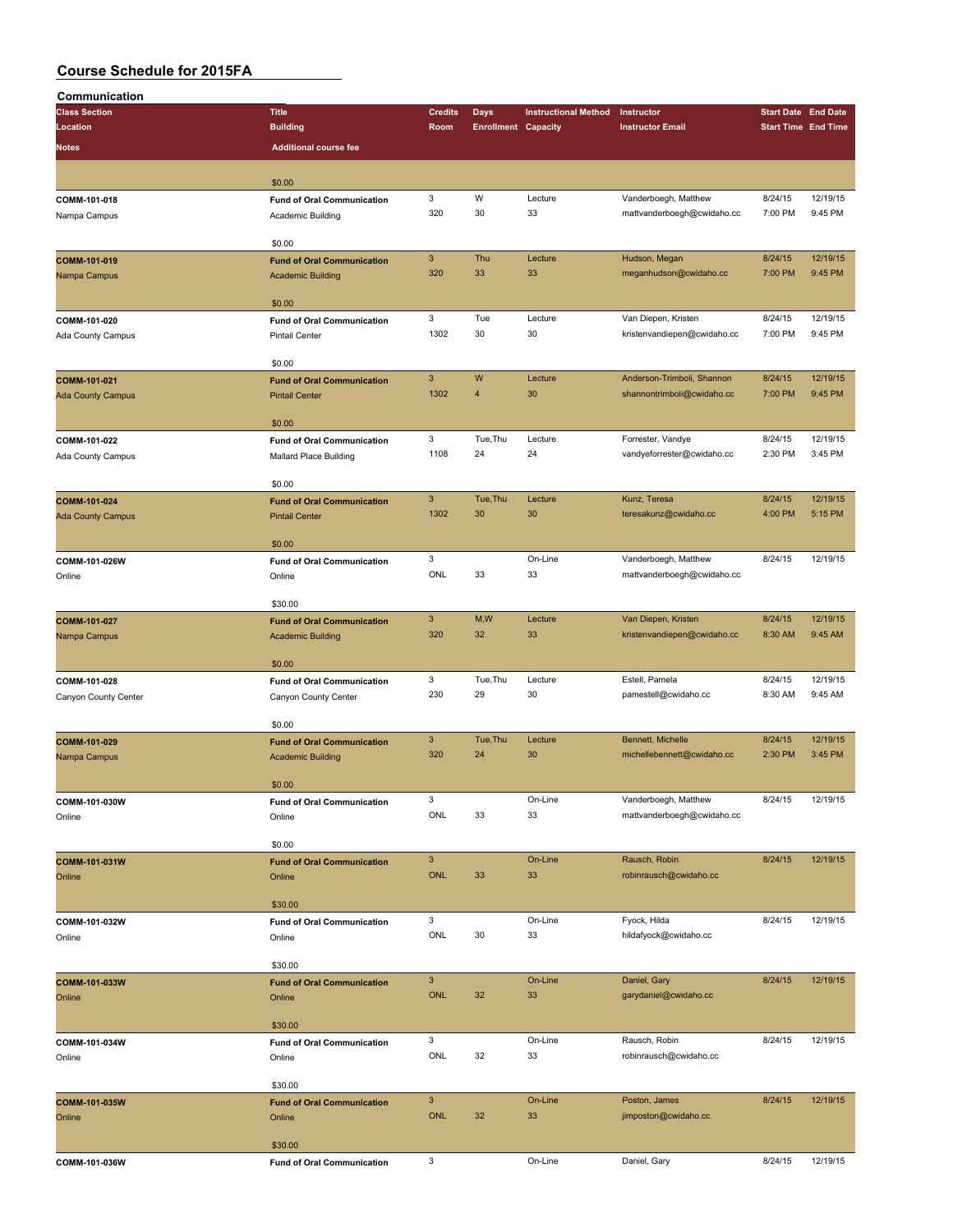| Communication            |                                             |                           |                            |                             |                                                    |         |                            |
|--------------------------|---------------------------------------------|---------------------------|----------------------------|-----------------------------|----------------------------------------------------|---------|----------------------------|
| <b>Class Section</b>     | <b>Title</b>                                | <b>Credits</b>            | Days                       | <b>Instructional Method</b> | Instructor                                         |         | <b>Start Date End Date</b> |
| Location                 | <b>Building</b>                             | Room                      | <b>Enrollment Capacity</b> |                             | <b>Instructor Email</b>                            |         | <b>Start Time End Time</b> |
| <b>Notes</b>             | <b>Additional course fee</b>                |                           |                            |                             |                                                    |         |                            |
|                          |                                             |                           |                            |                             |                                                    |         |                            |
|                          | \$0.00                                      |                           |                            |                             |                                                    |         |                            |
| COMM-101-018             | <b>Fund of Oral Communication</b>           | $\mathbf 3$               | W                          | Lecture                     | Vanderboegh, Matthew                               | 8/24/15 | 12/19/15                   |
| Nampa Campus             | Academic Building                           | 320                       | 30                         | 33                          | mattvanderboegh@cwidaho.cc                         | 7:00 PM | 9:45 PM                    |
|                          |                                             |                           |                            |                             |                                                    |         |                            |
|                          | \$0.00                                      |                           |                            |                             |                                                    |         |                            |
| COMM-101-019             | <b>Fund of Oral Communication</b>           | $\mathbf{3}$              | Thu                        | Lecture                     | Hudson, Megan                                      | 8/24/15 | 12/19/15                   |
| Nampa Campus             | <b>Academic Building</b>                    | 320                       | 33                         | 33                          | meganhudson@cwidaho.cc                             | 7:00 PM | 9:45 PM                    |
|                          | \$0.00                                      |                           |                            |                             |                                                    |         |                            |
| COMM-101-020             | <b>Fund of Oral Communication</b>           | $\mathbf 3$               | Tue                        | Lecture                     | Van Diepen, Kristen                                | 8/24/15 | 12/19/15                   |
| Ada County Campus        | <b>Pintail Center</b>                       | 1302                      | 30                         | 30                          | kristenvandiepen@cwidaho.cc                        | 7:00 PM | 9:45 PM                    |
|                          |                                             |                           |                            |                             |                                                    |         |                            |
|                          | \$0.00                                      |                           |                            |                             |                                                    |         |                            |
| COMM-101-021             | <b>Fund of Oral Communication</b>           | $\mathbf{3}$              | W                          | Lecture                     | Anderson-Trimboli, Shannon                         | 8/24/15 | 12/19/15                   |
| <b>Ada County Campus</b> | <b>Pintail Center</b>                       | 1302                      | 4                          | 30                          | shannontrimboli@cwidaho.cc                         | 7:00 PM | 9:45 PM                    |
|                          |                                             |                           |                            |                             |                                                    |         |                            |
| COMM-101-022             | \$0.00<br><b>Fund of Oral Communication</b> | $\mathbf 3$               | Tue, Thu                   | Lecture                     | Forrester, Vandye                                  | 8/24/15 | 12/19/15                   |
| Ada County Campus        | Mallard Place Building                      | 1108                      | 24                         | 24                          | vandyeforrester@cwidaho.cc                         | 2:30 PM | 3:45 PM                    |
|                          |                                             |                           |                            |                             |                                                    |         |                            |
|                          | \$0.00                                      |                           |                            |                             |                                                    |         |                            |
| COMM-101-024             | <b>Fund of Oral Communication</b>           | $\mathbf{3}$              | Tue, Thu                   | Lecture                     | Kunz, Teresa                                       | 8/24/15 | 12/19/15                   |
| <b>Ada County Campus</b> | <b>Pintail Center</b>                       | 1302                      | 30                         | 30                          | teresakunz@cwidaho.cc                              | 4:00 PM | 5:15 PM                    |
|                          |                                             |                           |                            |                             |                                                    |         |                            |
|                          | \$0.00                                      | 3                         |                            |                             |                                                    |         |                            |
| COMM-101-026W            | <b>Fund of Oral Communication</b>           | ONL                       | 33                         | On-Line<br>33               | Vanderboegh, Matthew<br>mattvanderboegh@cwidaho.cc | 8/24/15 | 12/19/15                   |
| Online                   | Online                                      |                           |                            |                             |                                                    |         |                            |
|                          | \$30.00                                     |                           |                            |                             |                                                    |         |                            |
| COMM-101-027             | <b>Fund of Oral Communication</b>           | $\ensuremath{\mathsf{3}}$ | M,W                        | Lecture                     | Van Diepen, Kristen                                | 8/24/15 | 12/19/15                   |
| Nampa Campus             | <b>Academic Building</b>                    | 320                       | 32                         | 33                          | kristenvandiepen@cwidaho.cc                        | 8:30 AM | 9:45 AM                    |
|                          |                                             |                           |                            |                             |                                                    |         |                            |
|                          | \$0.00                                      |                           |                            |                             |                                                    |         |                            |
| COMM-101-028             | <b>Fund of Oral Communication</b>           | 3                         | Tue, Thu                   | Lecture                     | Estell, Pamela                                     | 8/24/15 | 12/19/15                   |
| Canyon County Center     | Canyon County Center                        | 230                       | 29                         | 30                          | pamestell@cwidaho.cc                               | 8:30 AM | 9:45 AM                    |
|                          | \$0.00                                      |                           |                            |                             |                                                    |         |                            |
| COMM-101-029             | <b>Fund of Oral Communication</b>           | $\mathbf{3}$              | Tue, Thu                   | Lecture                     | Bennett, Michelle                                  | 8/24/15 | 12/19/15                   |
| Nampa Campus             | <b>Academic Building</b>                    | 320                       | 24                         | 30                          | michellebennett@cwidaho.cc                         | 2:30 PM | 3:45 PM                    |
|                          |                                             |                           |                            |                             |                                                    |         |                            |
|                          | \$0.00                                      |                           |                            |                             |                                                    |         |                            |
| COMM-101-030W            | <b>Fund of Oral Communication</b>           | 3                         |                            | On-Line                     | Vanderboegh, Matthew                               | 8/24/15 | 12/19/15                   |
| Online                   | Online                                      | ONL                       | 33                         | 33                          | mattvanderboegh@cwidaho.cc                         |         |                            |
|                          |                                             |                           |                            |                             |                                                    |         |                            |
|                          | \$0.00                                      | $\mathbf{3}$              |                            | On-Line                     | Rausch, Robin                                      | 8/24/15 | 12/19/15                   |
| COMM-101-031W<br>Online  | <b>Fund of Oral Communication</b><br>Online | ONL                       | 33                         | 33                          | robinrausch@cwidaho.cc                             |         |                            |
|                          |                                             |                           |                            |                             |                                                    |         |                            |
|                          | \$30.00                                     |                           |                            |                             |                                                    |         |                            |
| COMM-101-032W            | <b>Fund of Oral Communication</b>           | 3                         |                            | On-Line                     | Fyock, Hilda                                       | 8/24/15 | 12/19/15                   |
| Online                   | Online                                      | ONL                       | 30                         | 33                          | hildafyock@cwidaho.cc                              |         |                            |
|                          |                                             |                           |                            |                             |                                                    |         |                            |
|                          | \$30.00                                     |                           |                            |                             |                                                    |         |                            |
| COMM-101-033W            | <b>Fund of Oral Communication</b>           | $\mathbf{3}$              |                            | On-Line                     | Daniel, Gary                                       | 8/24/15 | 12/19/15                   |
| Online                   | Online                                      | <b>ONL</b>                | 32                         | 33                          | garydaniel@cwidaho.cc                              |         |                            |
|                          | \$30.00                                     |                           |                            |                             |                                                    |         |                            |
| COMM-101-034W            | <b>Fund of Oral Communication</b>           | 3                         |                            | On-Line                     | Rausch, Robin                                      | 8/24/15 | 12/19/15                   |
| Online                   | Online                                      | ONL                       | 32                         | 33                          | robinrausch@cwidaho.cc                             |         |                            |
|                          |                                             |                           |                            |                             |                                                    |         |                            |
|                          | \$30.00                                     |                           |                            |                             |                                                    |         |                            |
| COMM-101-035W            | <b>Fund of Oral Communication</b>           | $\ensuremath{\mathsf{3}}$ |                            | On-Line                     | Poston, James                                      | 8/24/15 | 12/19/15                   |
| Online                   | Online                                      | ONL                       | 32                         | 33                          | jimposton@cwidaho.cc                               |         |                            |
|                          |                                             |                           |                            |                             |                                                    |         |                            |
|                          | \$30.00                                     | 3                         |                            | On-Line                     | Daniel, Gary                                       | 8/24/15 | 12/19/15                   |
| COMM-101-036W            | <b>Fund of Oral Communication</b>           |                           |                            |                             |                                                    |         |                            |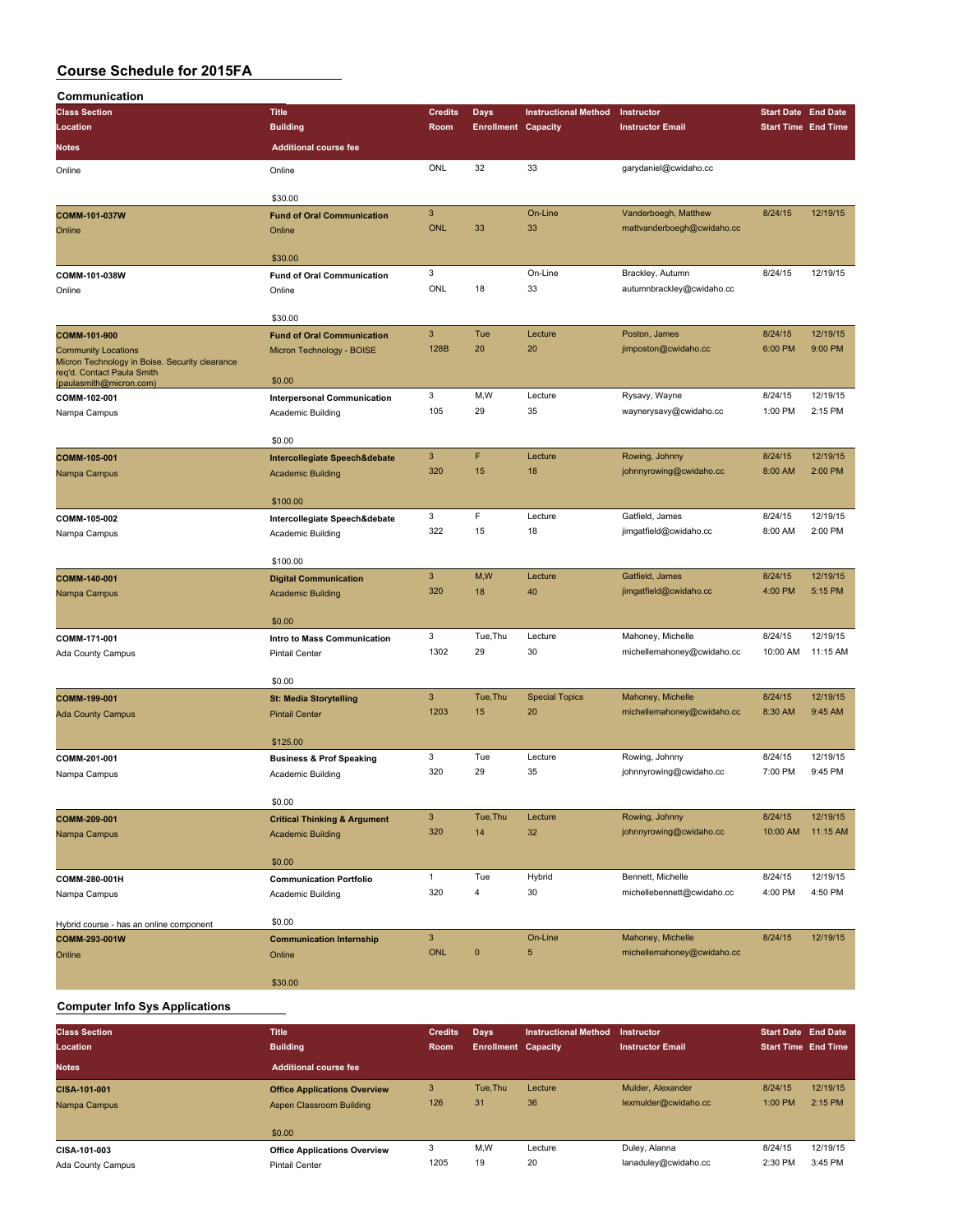| Communication                                         |                                         |                |                            |                             |                            |                            |          |
|-------------------------------------------------------|-----------------------------------------|----------------|----------------------------|-----------------------------|----------------------------|----------------------------|----------|
| <b>Class Section</b>                                  | <b>Title</b>                            | <b>Credits</b> | Days                       | <b>Instructional Method</b> | Instructor                 | <b>Start Date End Date</b> |          |
| Location                                              | <b>Building</b>                         | Room           | <b>Enrollment Capacity</b> |                             | <b>Instructor Email</b>    | <b>Start Time End Time</b> |          |
| Notes                                                 | <b>Additional course fee</b>            |                |                            |                             |                            |                            |          |
| Online                                                | Online                                  | ONL            | 32                         | 33                          | garydaniel@cwidaho.cc      |                            |          |
|                                                       |                                         |                |                            |                             |                            |                            |          |
|                                                       | \$30.00                                 |                |                            |                             |                            |                            |          |
| COMM-101-037W                                         | <b>Fund of Oral Communication</b>       | $\mathbf{3}$   |                            | On-Line                     | Vanderboegh, Matthew       | 8/24/15                    | 12/19/15 |
| Online                                                | Online                                  | <b>ONL</b>     | 33                         | 33                          | mattvanderboegh@cwidaho.cc |                            |          |
|                                                       |                                         |                |                            |                             |                            |                            |          |
|                                                       | \$30.00                                 |                |                            |                             |                            |                            |          |
| COMM-101-038W                                         | <b>Fund of Oral Communication</b>       | 3              |                            | On-Line                     | Brackley, Autumn           | 8/24/15                    | 12/19/15 |
| Online                                                | Online                                  | ONL            | 18                         | 33                          | autumnbrackley@cwidaho.cc  |                            |          |
|                                                       | \$30.00                                 |                |                            |                             |                            |                            |          |
| COMM-101-900                                          | <b>Fund of Oral Communication</b>       | $\mathbf{3}$   | Tue                        | Lecture                     | Poston, James              | 8/24/15                    | 12/19/15 |
| <b>Community Locations</b>                            | Micron Technology - BOISE               | 128B           | 20                         | 20                          | jimposton@cwidaho.cc       | 6:00 PM                    | 9:00 PM  |
| Micron Technology in Boise. Security clearance        |                                         |                |                            |                             |                            |                            |          |
| req'd. Contact Paula Smith<br>(paulasmith@micron.com) | \$0.00                                  |                |                            |                             |                            |                            |          |
| COMM-102-001                                          | <b>Interpersonal Communication</b>      | 3              | M,W                        | Lecture                     | Rysavy, Wayne              | 8/24/15                    | 12/19/15 |
| Nampa Campus                                          | Academic Building                       | 105            | 29                         | 35                          | waynerysavy@cwidaho.cc     | 1:00 PM                    | 2:15 PM  |
|                                                       |                                         |                |                            |                             |                            |                            |          |
|                                                       | \$0.00                                  |                |                            |                             |                            |                            |          |
| COMM-105-001                                          | Intercollegiate Speech&debate           | $\mathbf{3}$   | F                          | Lecture                     | Rowing, Johnny             | 8/24/15                    | 12/19/15 |
| Nampa Campus                                          | <b>Academic Building</b>                | 320            | 15                         | 18                          | johnnyrowing@cwidaho.cc    | 8:00 AM                    | 2:00 PM  |
|                                                       |                                         |                |                            |                             |                            |                            |          |
|                                                       | \$100.00                                |                |                            |                             |                            |                            |          |
| COMM-105-002                                          | Intercollegiate Speech&debate           | 3              | F                          | Lecture                     | Gatfield, James            | 8/24/15                    | 12/19/15 |
| Nampa Campus                                          | Academic Building                       | 322            | 15                         | 18                          | jimgatfield@cwidaho.cc     | 8:00 AM                    | 2:00 PM  |
|                                                       |                                         |                |                            |                             |                            |                            |          |
|                                                       | \$100.00                                |                |                            |                             |                            |                            |          |
| COMM-140-001                                          | <b>Digital Communication</b>            | $\mathbf{3}$   | M,W                        | Lecture                     | Gatfield, James            | 8/24/15                    | 12/19/15 |
| Nampa Campus                                          | <b>Academic Building</b>                | 320            | 18                         | 40                          | jimgatfield@cwidaho.cc     | 4:00 PM                    | 5:15 PM  |
|                                                       |                                         |                |                            |                             |                            |                            |          |
|                                                       | \$0.00                                  |                |                            |                             |                            |                            |          |
| COMM-171-001                                          | Intro to Mass Communication             | 3              | Tue, Thu                   | Lecture                     | Mahoney, Michelle          | 8/24/15                    | 12/19/15 |
| Ada County Campus                                     | <b>Pintail Center</b>                   | 1302           | 29                         | 30                          | michellemahoney@cwidaho.cc | 10:00 AM                   | 11:15 AM |
|                                                       |                                         |                |                            |                             |                            |                            |          |
|                                                       | \$0.00                                  |                |                            |                             |                            |                            |          |
| COMM-199-001                                          | <b>St: Media Storytelling</b>           | $\mathbf{3}$   | Tue, Thu                   | <b>Special Topics</b>       | Mahoney, Michelle          | 8/24/15                    | 12/19/15 |
| <b>Ada County Campus</b>                              | <b>Pintail Center</b>                   | 1203           | 15                         | 20                          | michellemahoney@cwidaho.cc | 8:30 AM                    | 9:45 AM  |
|                                                       |                                         |                |                            |                             |                            |                            |          |
|                                                       | \$125.00                                |                |                            |                             |                            |                            |          |
| COMM-201-001                                          | <b>Business &amp; Prof Speaking</b>     | 3              | Tue                        | Lecture                     | Rowing, Johnny             | 8/24/15                    | 12/19/15 |
| Nampa Campus                                          | Academic Building                       | 320            | 29                         | 35                          | johnnyrowing@cwidaho.cc    | 7:00 PM                    | 9:45 PM  |
|                                                       |                                         |                |                            |                             |                            |                            |          |
|                                                       | \$0.00                                  | $\mathbf{3}$   | Tue, Thu                   | Lecture                     | Rowing, Johnny             | 8/24/15                    | 12/19/15 |
| COMM-209-001                                          | <b>Critical Thinking &amp; Argument</b> | 320            | 14                         | 32                          | johnnyrowing@cwidaho.cc    | 10:00 AM                   | 11:15 AM |
| Nampa Campus                                          | <b>Academic Building</b>                |                |                            |                             |                            |                            |          |
|                                                       | \$0.00                                  |                |                            |                             |                            |                            |          |
| COMM-280-001H                                         | <b>Communication Portfolio</b>          | $\mathbf{1}$   | Tue                        | Hybrid                      | Bennett, Michelle          | 8/24/15                    | 12/19/15 |
|                                                       |                                         | 320            | $\overline{\mathbf{4}}$    | 30                          | michellebennett@cwidaho.cc | 4:00 PM                    | 4:50 PM  |
| Nampa Campus                                          | Academic Building                       |                |                            |                             |                            |                            |          |
| Hybrid course - has an online component               | \$0.00                                  |                |                            |                             |                            |                            |          |
| COMM-293-001W                                         | <b>Communication Internship</b>         | $\mathbf{3}$   |                            | On-Line                     | Mahoney, Michelle          | 8/24/15                    | 12/19/15 |
| Online                                                | Online                                  | <b>ONL</b>     | $\pmb{0}$                  | 5                           | michellemahoney@cwidaho.cc |                            |          |
|                                                       |                                         |                |                            |                             |                            |                            |          |
|                                                       | \$30.00                                 |                |                            |                             |                            |                            |          |
|                                                       |                                         |                |                            |                             |                            |                            |          |

#### **Computer Info Sys Applications**

| <b>Class Section</b><br>Location | <b>Title</b><br><b>Building</b>     | <b>Credits</b><br><b>Room</b> | Days<br><b>Enrollment Capacity</b> | <b>Instructional Method</b> | Instructor<br><b>Instructor Email</b> | <b>Start Date End Date</b><br><b>Start Time End Time</b> |          |
|----------------------------------|-------------------------------------|-------------------------------|------------------------------------|-----------------------------|---------------------------------------|----------------------------------------------------------|----------|
| <b>Notes</b>                     | <b>Additional course fee</b>        |                               |                                    |                             |                                       |                                                          |          |
| CISA-101-001                     | <b>Office Applications Overview</b> | 3                             | Tue.Thu                            | Lecture                     | Mulder, Alexander                     | 8/24/15                                                  | 12/19/15 |
| Nampa Campus                     | Aspen Classroom Building            | 126                           | 31                                 | 36                          | lexmulder@cwidaho.cc                  | 1:00 PM                                                  | 2:15 PM  |
|                                  | \$0.00                              |                               |                                    |                             |                                       |                                                          |          |
| CISA-101-003                     | <b>Office Applications Overview</b> | 3                             | M,W                                | Lecture                     | Duley, Alanna                         | 8/24/15                                                  | 12/19/15 |
| Ada County Campus                | Pintail Center                      | 1205                          | 19                                 | 20                          | lanaduley@cwidaho.cc                  | 2:30 PM                                                  | 3:45 PM  |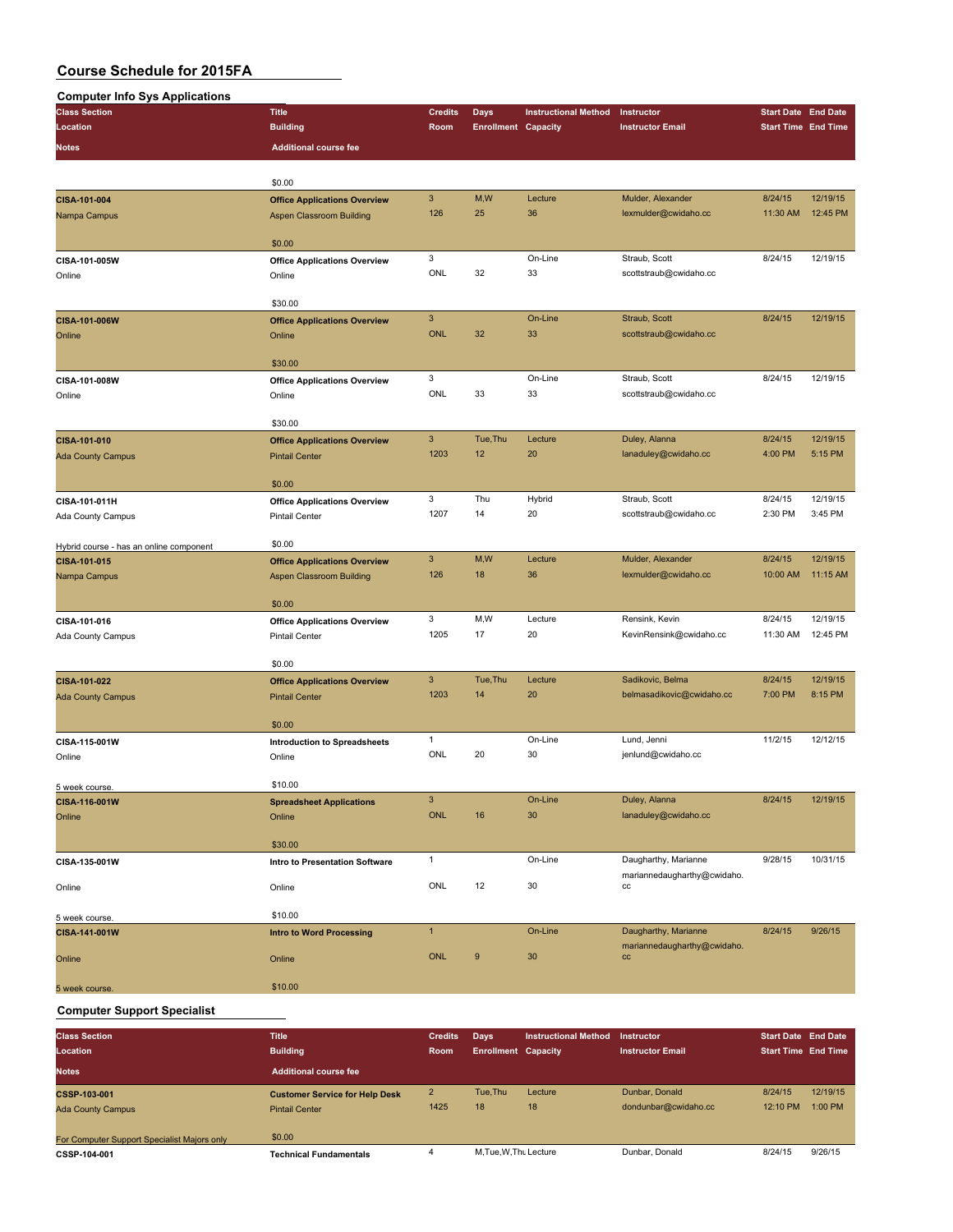| <b>Computer Info Sys Applications</b>   |                                               |                           |                            |                             |                             |                            |                      |
|-----------------------------------------|-----------------------------------------------|---------------------------|----------------------------|-----------------------------|-----------------------------|----------------------------|----------------------|
| <b>Class Section</b>                    | <b>Title</b>                                  | <b>Credits</b>            | Days                       | <b>Instructional Method</b> | Instructor                  | <b>Start Date End Date</b> |                      |
| Location                                | <b>Building</b>                               | Room                      | <b>Enrollment Capacity</b> |                             | <b>Instructor Email</b>     | <b>Start Time End Time</b> |                      |
|                                         | <b>Additional course fee</b>                  |                           |                            |                             |                             |                            |                      |
| <b>Notes</b>                            |                                               |                           |                            |                             |                             |                            |                      |
|                                         | \$0.00                                        |                           |                            |                             |                             |                            |                      |
| CISA-101-004                            | <b>Office Applications Overview</b>           | $\mathbf{3}$              | M,W                        | Lecture                     | Mulder, Alexander           | 8/24/15                    | 12/19/15             |
| Nampa Campus                            | <b>Aspen Classroom Building</b>               | 126                       | 25                         | 36                          | lexmulder@cwidaho.cc        | 11:30 AM                   | 12:45 PM             |
|                                         | \$0.00                                        |                           |                            |                             |                             |                            |                      |
|                                         |                                               | 3                         |                            | On-Line                     | Straub, Scott               | 8/24/15                    | 12/19/15             |
| CISA-101-005W                           | <b>Office Applications Overview</b>           | ONL                       | 32                         | 33                          | scottstraub@cwidaho.cc      |                            |                      |
| Online                                  | Online                                        |                           |                            |                             |                             |                            |                      |
|                                         | \$30.00                                       |                           |                            |                             |                             |                            |                      |
| CISA-101-006W                           | <b>Office Applications Overview</b>           | $\mathbf{3}$              |                            | On-Line                     | Straub, Scott               | 8/24/15                    | 12/19/15             |
| Online                                  | Online                                        | <b>ONL</b>                | 32                         | 33                          | scottstraub@cwidaho.cc      |                            |                      |
|                                         |                                               |                           |                            |                             |                             |                            |                      |
|                                         | \$30.00                                       |                           |                            |                             |                             |                            |                      |
| CISA-101-008W                           | <b>Office Applications Overview</b>           | 3                         |                            | On-Line                     | Straub, Scott               | 8/24/15                    | 12/19/15             |
| Online                                  | Online                                        | ONL                       | 33                         | 33                          | scottstraub@cwidaho.cc      |                            |                      |
|                                         | \$30.00                                       |                           |                            |                             |                             |                            |                      |
| CISA-101-010                            | <b>Office Applications Overview</b>           | $\mathbf{3}$              | Tue, Thu                   | Lecture                     | Duley, Alanna               | 8/24/15                    | 12/19/15             |
| <b>Ada County Campus</b>                | <b>Pintail Center</b>                         | 1203                      | 12                         | 20                          | lanaduley@cwidaho.cc        | 4:00 PM                    | 5:15 PM              |
|                                         |                                               |                           |                            |                             |                             |                            |                      |
|                                         | \$0.00                                        |                           |                            |                             |                             |                            |                      |
| CISA-101-011H                           | <b>Office Applications Overview</b>           | 3                         | Thu                        | Hybrid                      | Straub, Scott               | 8/24/15                    | 12/19/15             |
| Ada County Campus                       | <b>Pintail Center</b>                         | 1207                      | 14                         | 20                          | scottstraub@cwidaho.cc      | 2:30 PM                    | 3:45 PM              |
| Hybrid course - has an online component | \$0.00                                        |                           |                            |                             |                             |                            |                      |
| CISA-101-015                            | <b>Office Applications Overview</b>           | $\ensuremath{\mathsf{3}}$ | M,W                        | Lecture                     | Mulder, Alexander           | 8/24/15                    | 12/19/15             |
| Nampa Campus                            | <b>Aspen Classroom Building</b>               | 126                       | 18                         | 36                          | lexmulder@cwidaho.cc        | 10:00 AM                   | 11:15 AM             |
|                                         |                                               |                           |                            |                             |                             |                            |                      |
|                                         | \$0.00                                        |                           |                            |                             |                             |                            |                      |
| CISA-101-016                            | <b>Office Applications Overview</b>           | 3<br>1205                 | M,W                        | Lecture                     | Rensink, Kevin              | 8/24/15                    | 12/19/15<br>12:45 PM |
| Ada County Campus                       | <b>Pintail Center</b>                         |                           | 17                         | 20                          | KevinRensink@cwidaho.cc     | 11:30 AM                   |                      |
|                                         | \$0.00                                        |                           |                            |                             |                             |                            |                      |
| CISA-101-022                            | <b>Office Applications Overview</b>           | $\mathbf{3}$              | Tue, Thu                   | Lecture                     | Sadikovic, Belma            | 8/24/15                    | 12/19/15             |
| <b>Ada County Campus</b>                | <b>Pintail Center</b>                         | 1203                      | 14                         | 20                          | belmasadikovic@cwidaho.cc   | 7:00 PM                    | 8:15 PM              |
|                                         | \$0.00                                        |                           |                            |                             |                             |                            |                      |
|                                         |                                               | $\mathbf{1}$              |                            | On-Line                     | Lund, Jenni                 | 11/2/15                    | 12/12/15             |
| CISA-115-001W<br>Online                 | <b>Introduction to Spreadsheets</b><br>Online | ONL                       | 20                         | 30                          | jenlund@cwidaho.cc          |                            |                      |
|                                         |                                               |                           |                            |                             |                             |                            |                      |
| 5 week course.                          | \$10.00                                       |                           |                            |                             |                             |                            |                      |
| CISA-116-001W                           | <b>Spreadsheet Applications</b>               | $\mathbf{3}$              |                            | On-Line                     | Duley, Alanna               | 8/24/15                    | 12/19/15             |
| Online                                  | Online                                        | ONL                       | 16                         | 30                          | lanaduley@cwidaho.cc        |                            |                      |
|                                         | \$30.00                                       |                           |                            |                             |                             |                            |                      |
| CISA-135-001W                           | Intro to Presentation Software                | $\mathbf{1}$              |                            | On-Line                     | Daugharthy, Marianne        | 9/28/15                    | 10/31/15             |
|                                         |                                               |                           |                            |                             | mariannedaugharthy@cwidaho. |                            |                      |
| Online                                  | Online                                        | ONL                       | 12                         | 30                          | cc                          |                            |                      |
| 5 week course.                          | \$10.00                                       |                           |                            |                             |                             |                            |                      |
| CISA-141-001W                           | <b>Intro to Word Processing</b>               | $\mathbf{1}$              |                            | On-Line                     | Daugharthy, Marianne        | 8/24/15                    | 9/26/15              |
|                                         |                                               |                           |                            |                             | mariannedaugharthy@cwidaho. |                            |                      |
| Online                                  | Online                                        | ONL                       | $\boldsymbol{9}$           | 30                          | cc                          |                            |                      |
| 5 week course.                          | \$10.00                                       |                           |                            |                             |                             |                            |                      |
|                                         |                                               |                           |                            |                             |                             |                            |                      |

#### **Computer Support Specialist**

| <b>Class Section</b><br>Location                            | <b>Title</b><br><b>Building</b>                                | <b>Credits</b><br><b>Room</b> | Days<br><b>Enrollment Capacity</b> | Instructional Method | Instructor<br><b>Instructor Email</b>  | <b>Start Date End Date</b><br><b>Start Time End Time</b> |                       |
|-------------------------------------------------------------|----------------------------------------------------------------|-------------------------------|------------------------------------|----------------------|----------------------------------------|----------------------------------------------------------|-----------------------|
| <b>Notes</b>                                                | <b>Additional course fee</b>                                   |                               |                                    |                      |                                        |                                                          |                       |
| <b>CSSP-103-001</b><br><b>Ada County Campus</b>             | <b>Customer Service for Help Desk</b><br><b>Pintail Center</b> | 2<br>1425                     | Tue.Thu<br>18                      | Lecture<br>18        | Dunbar, Donald<br>dondunbar@cwidaho.cc | 8/24/15<br>12:10 PM                                      | 12/19/15<br>$1:00$ PM |
| For Computer Support Specialist Majors only<br>CSSP-104-001 | \$0.00<br><b>Technical Fundamentals</b>                        | 4                             | M.Tue.W.Thu Lecture                |                      | Dunbar, Donald                         | 8/24/15                                                  | 9/26/15               |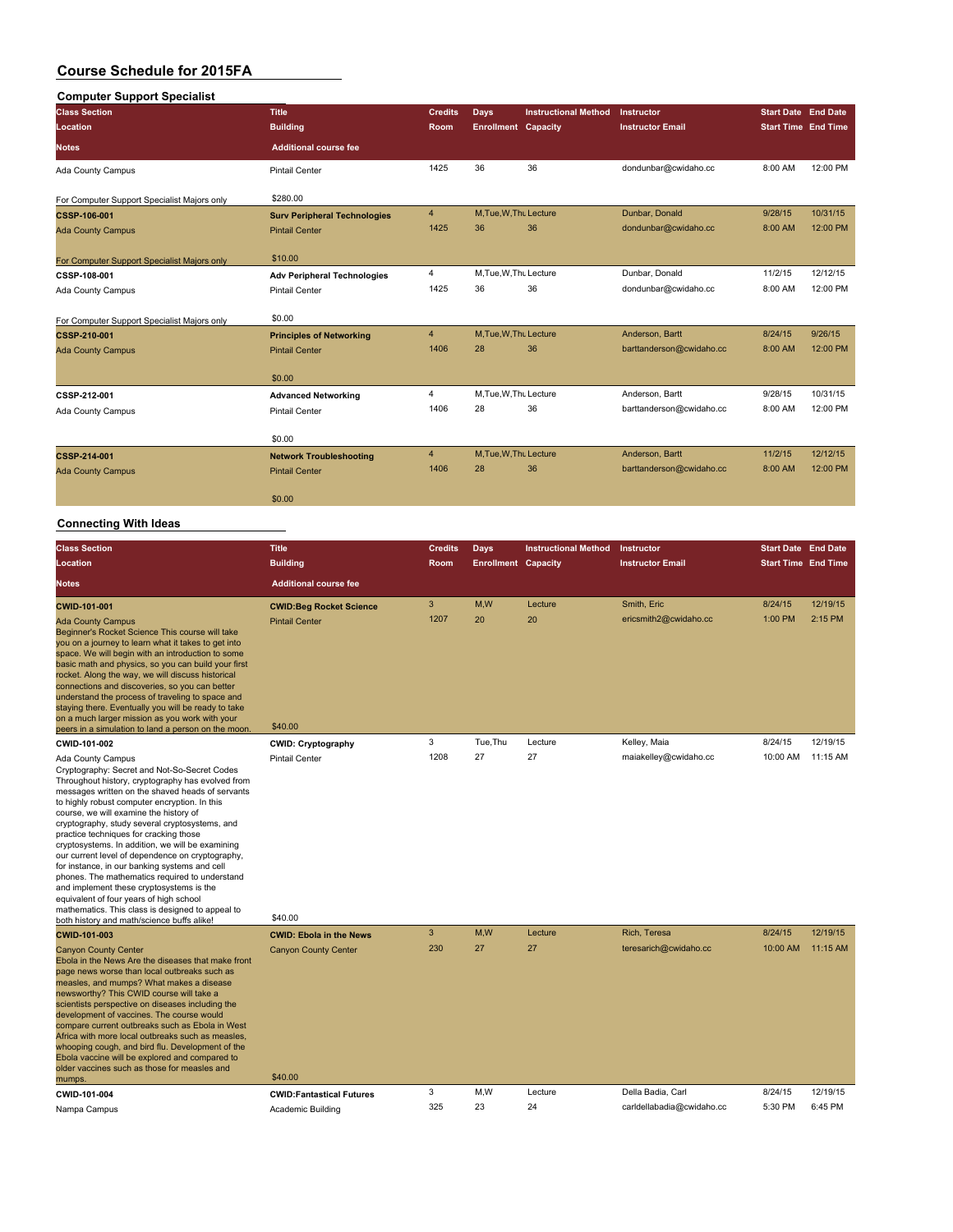## **Computer Support Specialist**

| sompater capport opeeranst<br><b>Class Section</b> | <b>Title</b>                        | <b>Credits</b> | <b>Days</b>                | <b>Instructional Method</b> | Instructor               | <b>Start Date End Date</b> |          |
|----------------------------------------------------|-------------------------------------|----------------|----------------------------|-----------------------------|--------------------------|----------------------------|----------|
| Location                                           | <b>Building</b>                     | <b>Room</b>    | <b>Enrollment Capacity</b> |                             | <b>Instructor Email</b>  | <b>Start Time End Time</b> |          |
| <b>Notes</b>                                       | <b>Additional course fee</b>        |                |                            |                             |                          |                            |          |
| Ada County Campus                                  | <b>Pintail Center</b>               | 1425           | 36                         | 36                          | dondunbar@cwidaho.cc     | 8:00 AM                    | 12:00 PM |
| For Computer Support Specialist Majors only        | \$280.00                            |                |                            |                             |                          |                            |          |
| <b>CSSP-106-001</b>                                | <b>Surv Peripheral Technologies</b> | $\overline{4}$ | M, Tue, W, Thu Lecture     |                             | Dunbar, Donald           | 9/28/15                    | 10/31/15 |
| <b>Ada County Campus</b>                           | <b>Pintail Center</b>               | 1425           | 36                         | 36                          | dondunbar@cwidaho.cc     | 8:00 AM                    | 12:00 PM |
| For Computer Support Specialist Majors only        | \$10.00                             |                |                            |                             |                          |                            |          |
| CSSP-108-001                                       | <b>Adv Peripheral Technologies</b>  | 4              | M, Tue, W, Thu Lecture     |                             | Dunbar, Donald           | 11/2/15                    | 12/12/15 |
| Ada County Campus                                  | <b>Pintail Center</b>               | 1425           | 36                         | 36                          | dondunbar@cwidaho.cc     | 8:00 AM                    | 12:00 PM |
| For Computer Support Specialist Majors only        | \$0.00                              |                |                            |                             |                          |                            |          |
| CSSP-210-001                                       | <b>Principles of Networking</b>     | $\overline{4}$ | M, Tue, W, Thu Lecture     |                             | Anderson, Bartt          | 8/24/15                    | 9/26/15  |
| <b>Ada County Campus</b>                           | <b>Pintail Center</b>               | 1406           | 28                         | 36                          | barttanderson@cwidaho.cc | 8:00 AM                    | 12:00 PM |
|                                                    | \$0.00                              |                |                            |                             |                          |                            |          |
| CSSP-212-001                                       | <b>Advanced Networking</b>          | $\overline{4}$ | M, Tue, W, Thu Lecture     |                             | Anderson, Bartt          | 9/28/15                    | 10/31/15 |
| Ada County Campus                                  | <b>Pintail Center</b>               | 1406           | 28                         | 36                          | barttanderson@cwidaho.cc | 8:00 AM                    | 12:00 PM |
|                                                    | \$0.00                              |                |                            |                             |                          |                            |          |
| <b>CSSP-214-001</b>                                | <b>Network Troubleshooting</b>      | $\overline{4}$ | M, Tue, W, Thu Lecture     |                             | Anderson, Bartt          | 11/2/15                    | 12/12/15 |
| <b>Ada County Campus</b>                           | <b>Pintail Center</b>               | 1406           | 28                         | 36                          | barttanderson@cwidaho.cc | 8:00 AM                    | 12:00 PM |
|                                                    | \$0.00                              |                |                            |                             |                          |                            |          |
|                                                    |                                     |                |                            |                             |                          |                            |          |

| <b>Class Section</b><br><b>Location</b><br><b>Notes</b>                                                                                                                                                                                                                                                                                                                                                                                                                                                                                                                                                                                                                                                                                                               | <b>Title</b><br><b>Building</b><br><b>Additional course fee</b>    | <b>Credits</b><br>Room | <b>Days</b><br><b>Enrollment Capacity</b> | <b>Instructional Method</b> | Instructor<br><b>Instructor Email</b> | <b>Start Date End Date</b><br><b>Start Time End Time</b> |                     |
|-----------------------------------------------------------------------------------------------------------------------------------------------------------------------------------------------------------------------------------------------------------------------------------------------------------------------------------------------------------------------------------------------------------------------------------------------------------------------------------------------------------------------------------------------------------------------------------------------------------------------------------------------------------------------------------------------------------------------------------------------------------------------|--------------------------------------------------------------------|------------------------|-------------------------------------------|-----------------------------|---------------------------------------|----------------------------------------------------------|---------------------|
| CWID-101-001<br><b>Ada County Campus</b><br>Beginner's Rocket Science This course will take<br>you on a journey to learn what it takes to get into<br>space. We will begin with an introduction to some<br>basic math and physics, so you can build your first<br>rocket. Along the way, we will discuss historical<br>connections and discoveries, so you can better<br>understand the process of traveling to space and<br>staying there. Eventually you will be ready to take<br>on a much larger mission as you work with your<br>peers in a simulation to land a person on the moon.                                                                                                                                                                             | <b>CWID:Beg Rocket Science</b><br><b>Pintail Center</b><br>\$40.00 | 3<br>1207              | M.W<br>20                                 | Lecture<br>20               | Smith, Eric<br>ericsmith2@cwidaho.cc  | 8/24/15<br>1:00 PM                                       | 12/19/15<br>2:15 PM |
| CWID-101-002                                                                                                                                                                                                                                                                                                                                                                                                                                                                                                                                                                                                                                                                                                                                                          | <b>CWID: Cryptography</b>                                          | 3                      | Tue, Thu                                  | Lecture                     | Kelley, Maia                          | 8/24/15                                                  | 12/19/15            |
| Ada County Campus<br>Cryptography: Secret and Not-So-Secret Codes<br>Throughout history, cryptography has evolved from<br>messages written on the shaved heads of servants<br>to highly robust computer encryption. In this<br>course, we will examine the history of<br>cryptography, study several cryptosystems, and<br>practice techniques for cracking those<br>cryptosystems. In addition, we will be examining<br>our current level of dependence on cryptography,<br>for instance, in our banking systems and cell<br>phones. The mathematics required to understand<br>and implement these cryptosystems is the<br>equivalent of four years of high school<br>mathematics. This class is designed to appeal to<br>both history and math/science buffs alike! | <b>Pintail Center</b><br>\$40.00                                   | 1208                   | 27                                        | 27                          | maiakelley@cwidaho.cc                 | 10:00 AM                                                 | 11:15 AM            |
| CWID-101-003                                                                                                                                                                                                                                                                                                                                                                                                                                                                                                                                                                                                                                                                                                                                                          | <b>CWID: Ebola in the News</b>                                     | 3                      | M,W                                       | Lecture                     | Rich, Teresa                          | 8/24/15                                                  | 12/19/15            |
| <b>Canyon County Center</b><br>Ebola in the News Are the diseases that make front<br>page news worse than local outbreaks such as<br>measles, and mumps? What makes a disease<br>newsworthy? This CWID course will take a<br>scientists perspective on diseases including the<br>development of vaccines. The course would<br>compare current outbreaks such as Ebola in West<br>Africa with more local outbreaks such as measles,<br>whooping cough, and bird flu. Development of the<br>Ebola vaccine will be explored and compared to<br>older vaccines such as those for measles and<br>mumps.                                                                                                                                                                    | <b>Canyon County Center</b><br>\$40.00                             | 230                    | 27                                        | 27                          | teresarich@cwidaho.cc                 | 10:00 AM                                                 | 11:15 AM            |
| CWID-101-004                                                                                                                                                                                                                                                                                                                                                                                                                                                                                                                                                                                                                                                                                                                                                          | <b>CWID:Fantastical Futures</b>                                    | 3                      | M.W                                       | Lecture                     | Della Badia, Carl                     | 8/24/15                                                  | 12/19/15            |
| Nampa Campus                                                                                                                                                                                                                                                                                                                                                                                                                                                                                                                                                                                                                                                                                                                                                          | Academic Building                                                  | 325                    | 23                                        | 24                          | carldellabadia@cwidaho.cc             | 5:30 PM                                                  | 6:45 PM             |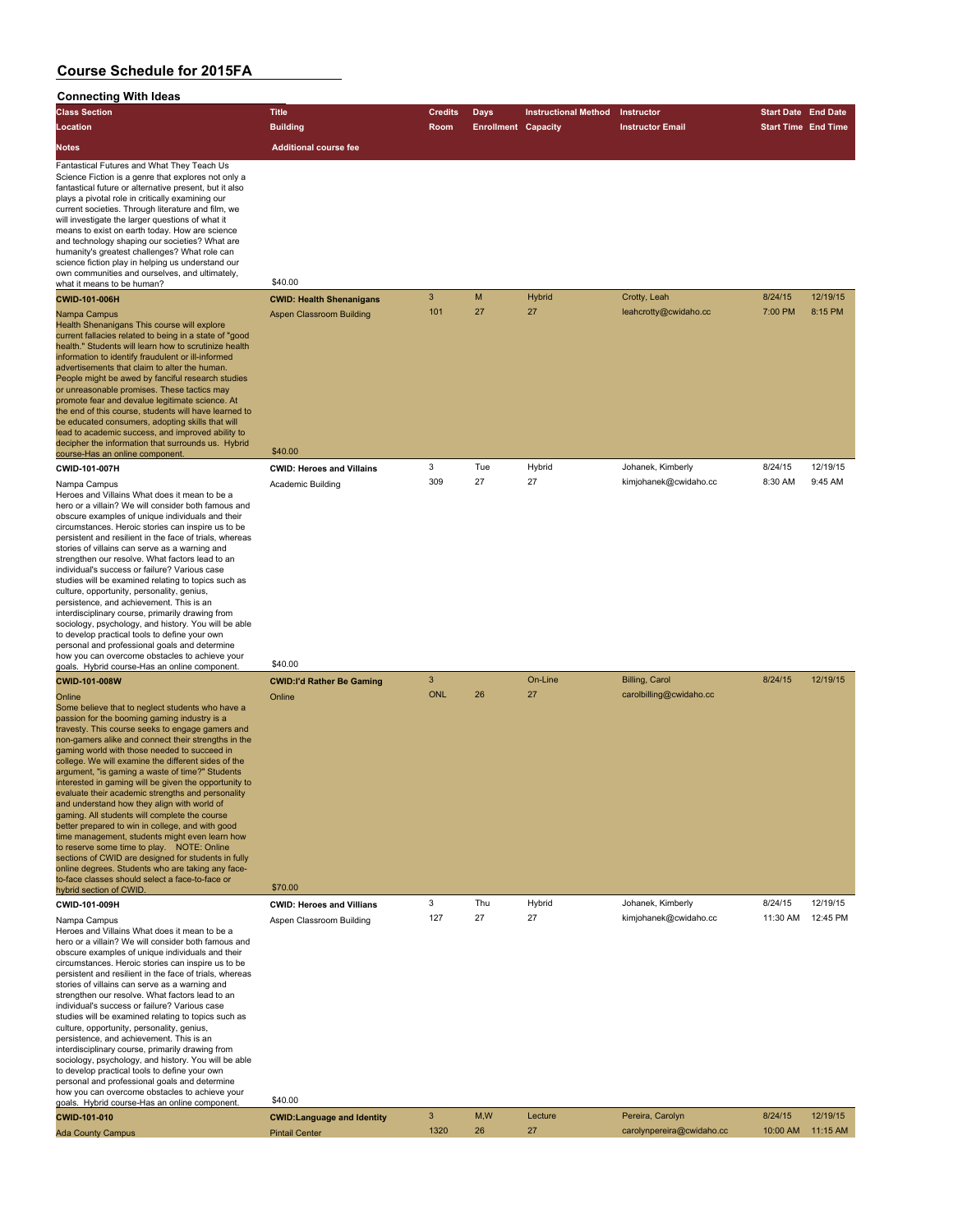| ,,,,,,,,,,,,<br><b>Class Section</b>                                                                                                                                                                                                                                                                                                                                                                                                                                                                                                                                                                                                                                                                                                                                                                                                                                                                                                        | <b>Title</b>                                          | <b>Credits</b> | Days                       | <b>Instructional Method</b> | Instructor                | <b>Start Date End Date</b> |          |
|---------------------------------------------------------------------------------------------------------------------------------------------------------------------------------------------------------------------------------------------------------------------------------------------------------------------------------------------------------------------------------------------------------------------------------------------------------------------------------------------------------------------------------------------------------------------------------------------------------------------------------------------------------------------------------------------------------------------------------------------------------------------------------------------------------------------------------------------------------------------------------------------------------------------------------------------|-------------------------------------------------------|----------------|----------------------------|-----------------------------|---------------------------|----------------------------|----------|
| Location                                                                                                                                                                                                                                                                                                                                                                                                                                                                                                                                                                                                                                                                                                                                                                                                                                                                                                                                    | <b>Building</b>                                       | Room           | <b>Enrollment Capacity</b> |                             | <b>Instructor Email</b>   | <b>Start Time End Time</b> |          |
| <b>Notes</b>                                                                                                                                                                                                                                                                                                                                                                                                                                                                                                                                                                                                                                                                                                                                                                                                                                                                                                                                | <b>Additional course fee</b>                          |                |                            |                             |                           |                            |          |
| Fantastical Futures and What They Teach Us<br>Science Fiction is a genre that explores not only a<br>fantastical future or alternative present, but it also<br>plays a pivotal role in critically examining our<br>current societies. Through literature and film, we<br>will investigate the larger questions of what it<br>means to exist on earth today. How are science<br>and technology shaping our societies? What are<br>humanity's greatest challenges? What role can<br>science fiction play in helping us understand our<br>own communities and ourselves, and ultimately,<br>what it means to be human?                                                                                                                                                                                                                                                                                                                         | \$40.00                                               |                |                            |                             |                           |                            |          |
| <b>CWID-101-006H</b>                                                                                                                                                                                                                                                                                                                                                                                                                                                                                                                                                                                                                                                                                                                                                                                                                                                                                                                        | <b>CWID: Health Shenanigans</b>                       | 3              | M                          | <b>Hybrid</b>               | Crotty, Leah              | 8/24/15                    | 12/19/15 |
| Nampa Campus<br>Health Shenanigans This course will explore<br>current fallacies related to being in a state of "good<br>health." Students will learn how to scrutinize health<br>information to identify fraudulent or ill-informed<br>advertisements that claim to alter the human.<br>People might be awed by fanciful research studies<br>or unreasonable promises. These tactics may<br>promote fear and devalue legitimate science. At<br>the end of this course, students will have learned to<br>be educated consumers, adopting skills that will<br>lead to academic success, and improved ability to<br>decipher the information that surrounds us. Hybrid                                                                                                                                                                                                                                                                        | Aspen Classroom Building                              | 101            | 27                         | 27                          | leahcrotty@cwidaho.cc     | 7:00 PM                    | 8:15 PM  |
| course-Has an online component.<br>CWID-101-007H                                                                                                                                                                                                                                                                                                                                                                                                                                                                                                                                                                                                                                                                                                                                                                                                                                                                                            | \$40.00                                               | 3              | Tue                        | Hybrid                      | Johanek, Kimberly         | 8/24/15                    | 12/19/15 |
| Nampa Campus<br>Heroes and Villains What does it mean to be a<br>hero or a villain? We will consider both famous and<br>obscure examples of unique individuals and their<br>circumstances. Heroic stories can inspire us to be<br>persistent and resilient in the face of trials, whereas<br>stories of villains can serve as a warning and<br>strengthen our resolve. What factors lead to an<br>individual's success or failure? Various case<br>studies will be examined relating to topics such as<br>culture, opportunity, personality, genius,<br>persistence, and achievement. This is an<br>interdisciplinary course, primarily drawing from<br>sociology, psychology, and history. You will be able<br>to develop practical tools to define your own<br>personal and professional goals and determine<br>how you can overcome obstacles to achieve your                                                                            | <b>CWID: Heroes and Villains</b><br>Academic Building | 309            | 27                         | 27                          | kimjohanek@cwidaho.cc     | 8:30 AM                    | 9:45 AM  |
| goals. Hybrid course-Has an online component.<br><b>CWID-101-008W</b>                                                                                                                                                                                                                                                                                                                                                                                                                                                                                                                                                                                                                                                                                                                                                                                                                                                                       | \$40.00<br><b>CWID:I'd Rather Be Gaming</b>           | 3              |                            | On-Line                     | Billing, Carol            | 8/24/15                    | 12/19/15 |
| Online<br>Some believe that to neglect students who have a<br>passion for the booming gaming industry is a<br>travesty. This course seeks to engage gamers and<br>non-gamers alike and connect their strengths in the<br>gaming world with those needed to succeed in<br>college. We will examine the different sides of the<br>argument, "is gaming a waste of time?" Students<br>interested in gaming will be given the opportunity to<br>evaluate their academic strengths and personality<br>and understand how they align with world of<br>gaming. All students will complete the course<br>better prepared to win in college, and with good<br>time management, students might even learn how<br>to reserve some time to play. NOTE: Online<br>sections of CWID are designed for students in fully<br>online degrees. Students who are taking any face-<br>to-face classes should select a face-to-face or<br>hybrid section of CWID. | Online<br>\$70.00                                     | <b>ONL</b>     | 26                         | 27                          | carolbilling@cwidaho.cc   |                            |          |
| CWID-101-009H                                                                                                                                                                                                                                                                                                                                                                                                                                                                                                                                                                                                                                                                                                                                                                                                                                                                                                                               | <b>CWID: Heroes and Villians</b>                      | 3              | Thu                        | Hybrid                      | Johanek, Kimberly         | 8/24/15                    | 12/19/15 |
| Nampa Campus<br>Heroes and Villains What does it mean to be a<br>hero or a villain? We will consider both famous and<br>obscure examples of unique individuals and their<br>circumstances. Heroic stories can inspire us to be<br>persistent and resilient in the face of trials, whereas<br>stories of villains can serve as a warning and<br>strengthen our resolve. What factors lead to an<br>individual's success or failure? Various case<br>studies will be examined relating to topics such as<br>culture, opportunity, personality, genius,<br>persistence, and achievement. This is an<br>interdisciplinary course, primarily drawing from<br>sociology, psychology, and history. You will be able<br>to develop practical tools to define your own<br>personal and professional goals and determine<br>how you can overcome obstacles to achieve your<br>goals. Hybrid course-Has an online component.                           | Aspen Classroom Building<br>\$40.00                   | 127            | 27                         | 27                          | kimjohanek@cwidaho.cc     | 11:30 AM                   | 12:45 PM |
| CWID-101-010                                                                                                                                                                                                                                                                                                                                                                                                                                                                                                                                                                                                                                                                                                                                                                                                                                                                                                                                | <b>CWID:Language and Identity</b>                     | 3              | M, W                       | Lecture                     | Pereira, Carolyn          | 8/24/15                    | 12/19/15 |
| <b>Ada County Campus</b>                                                                                                                                                                                                                                                                                                                                                                                                                                                                                                                                                                                                                                                                                                                                                                                                                                                                                                                    | <b>Pintail Center</b>                                 | 1320           | 26                         | 27                          | carolynpereira@cwidaho.cc | 10:00 AM                   | 11:15 AM |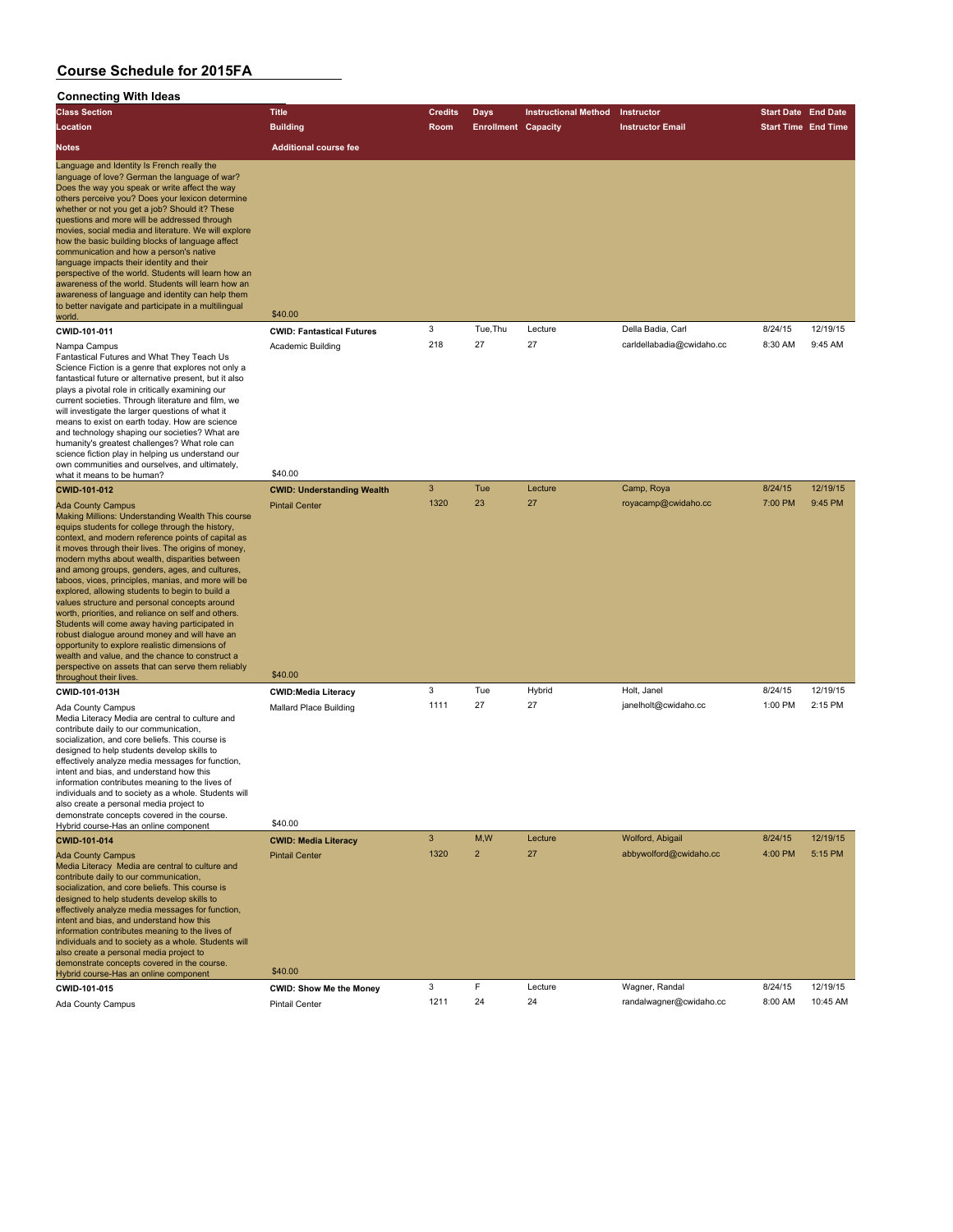| oonnoom.y<br><b>THEF RACAS</b><br><b>Class Section</b>                                                                                                                                                                                                                                                                                                                                                                                                                                                                                                                                                                                                                                                                                                                                                                             | <b>Title</b>                                                | <b>Credits</b> | Days                       | <b>Instructional Method</b> | Instructor                | <b>Start Date End Date</b> |          |
|------------------------------------------------------------------------------------------------------------------------------------------------------------------------------------------------------------------------------------------------------------------------------------------------------------------------------------------------------------------------------------------------------------------------------------------------------------------------------------------------------------------------------------------------------------------------------------------------------------------------------------------------------------------------------------------------------------------------------------------------------------------------------------------------------------------------------------|-------------------------------------------------------------|----------------|----------------------------|-----------------------------|---------------------------|----------------------------|----------|
| Location                                                                                                                                                                                                                                                                                                                                                                                                                                                                                                                                                                                                                                                                                                                                                                                                                           | <b>Building</b>                                             | Room           | <b>Enrollment Capacity</b> |                             | <b>Instructor Email</b>   | <b>Start Time End Time</b> |          |
| <b>Notes</b>                                                                                                                                                                                                                                                                                                                                                                                                                                                                                                                                                                                                                                                                                                                                                                                                                       | <b>Additional course fee</b>                                |                |                            |                             |                           |                            |          |
| Language and Identity Is French really the<br>language of love? German the language of war?<br>Does the way you speak or write affect the way<br>others perceive you? Does your lexicon determine<br>whether or not you get a job? Should it? These<br>questions and more will be addressed through<br>movies, social media and literature. We will explore<br>how the basic building blocks of language affect<br>communication and how a person's native<br>language impacts their identity and their<br>perspective of the world. Students will learn how an<br>awareness of the world. Students will learn how an<br>awareness of language and identity can help them<br>to better navigate and participate in a multilingual<br>world.                                                                                        | \$40.00                                                     |                |                            |                             |                           |                            |          |
| CWID-101-011                                                                                                                                                                                                                                                                                                                                                                                                                                                                                                                                                                                                                                                                                                                                                                                                                       | <b>CWID: Fantastical Futures</b>                            | 3              | Tue, Thu                   | Lecture                     | Della Badia, Carl         | 8/24/15                    | 12/19/15 |
| Nampa Campus<br>Fantastical Futures and What They Teach Us<br>Science Fiction is a genre that explores not only a<br>fantastical future or alternative present, but it also<br>plays a pivotal role in critically examining our<br>current societies. Through literature and film, we<br>will investigate the larger questions of what it<br>means to exist on earth today. How are science<br>and technology shaping our societies? What are<br>humanity's greatest challenges? What role can<br>science fiction play in helping us understand our<br>own communities and ourselves, and ultimately,<br>what it means to be human?                                                                                                                                                                                                | Academic Building<br>\$40.00                                | 218            | 27                         | 27                          | carldellabadia@cwidaho.cc | 8:30 AM                    | 9:45 AM  |
| <b>CWID-101-012</b>                                                                                                                                                                                                                                                                                                                                                                                                                                                                                                                                                                                                                                                                                                                                                                                                                | <b>CWID: Understanding Wealth</b>                           | 3              | Tue                        | Lecture                     | Camp, Roya                | 8/24/15                    | 12/19/15 |
| <b>Ada County Campus</b><br>Making Millions: Understanding Wealth This course<br>equips students for college through the history,<br>context, and modern reference points of capital as<br>it moves through their lives. The origins of money,<br>modern myths about wealth, disparities between<br>and among groups, genders, ages, and cultures,<br>taboos, vices, principles, manias, and more will be<br>explored, allowing students to begin to build a<br>values structure and personal concepts around<br>worth, priorities, and reliance on self and others.<br>Students will come away having participated in<br>robust dialogue around money and will have an<br>opportunity to explore realistic dimensions of<br>wealth and value, and the chance to construct a<br>perspective on assets that can serve them reliably | <b>Pintail Center</b><br>\$40.00                            | 1320           | 23                         | 27                          | royacamp@cwidaho.cc       | 7:00 PM                    | 9:45 PM  |
| throughout their lives                                                                                                                                                                                                                                                                                                                                                                                                                                                                                                                                                                                                                                                                                                                                                                                                             |                                                             | 3              | Tue                        | Hybrid                      | Holt, Janel               | 8/24/15                    | 12/19/15 |
| CWID-101-013H<br>Ada County Campus<br>Media Literacy Media are central to culture and<br>contribute daily to our communication,<br>socialization, and core beliefs. This course is<br>designed to help students develop skills to<br>effectively analyze media messages for function,<br>intent and bias, and understand how this<br>information contributes meaning to the lives of<br>individuals and to society as a whole. Students will<br>also create a personal media project to                                                                                                                                                                                                                                                                                                                                            | <b>CWID:Media Literacy</b><br><b>Mallard Place Building</b> | 1111           | 27                         | 27                          | janelholt@cwidaho.cc      | 1:00 PM                    | 2:15 PM  |
| demonstrate concepts covered in the course.<br>Hybrid course-Has an online component                                                                                                                                                                                                                                                                                                                                                                                                                                                                                                                                                                                                                                                                                                                                               | \$40.00                                                     |                |                            |                             |                           |                            |          |
| <b>CWID-101-014</b>                                                                                                                                                                                                                                                                                                                                                                                                                                                                                                                                                                                                                                                                                                                                                                                                                | <b>CWID: Media Literacy</b>                                 | $\mathbf{3}$   | M,W                        | Lecture                     | Wolford, Abigail          | 8/24/15                    | 12/19/15 |
| <b>Ada County Campus</b><br>Media Literacy Media are central to culture and<br>contribute daily to our communication,<br>socialization, and core beliefs. This course is<br>designed to help students develop skills to<br>effectively analyze media messages for function,<br>intent and bias, and understand how this<br>information contributes meaning to the lives of<br>individuals and to society as a whole. Students will<br>also create a personal media project to<br>demonstrate concepts covered in the course.<br>Hybrid course-Has an online component                                                                                                                                                                                                                                                              | <b>Pintail Center</b><br>\$40.00                            | 1320           | $\overline{2}$             | 27                          | abbywolford@cwidaho.cc    | 4:00 PM                    | 5:15 PM  |
| CWID-101-015                                                                                                                                                                                                                                                                                                                                                                                                                                                                                                                                                                                                                                                                                                                                                                                                                       | <b>CWID: Show Me the Money</b>                              | 3              | F                          | Lecture                     | Wagner, Randal            | 8/24/15                    | 12/19/15 |
| Ada County Campus                                                                                                                                                                                                                                                                                                                                                                                                                                                                                                                                                                                                                                                                                                                                                                                                                  | <b>Pintail Center</b>                                       | 1211           | 24                         | 24                          | randalwagner@cwidaho.cc   | 8:00 AM                    | 10:45 AM |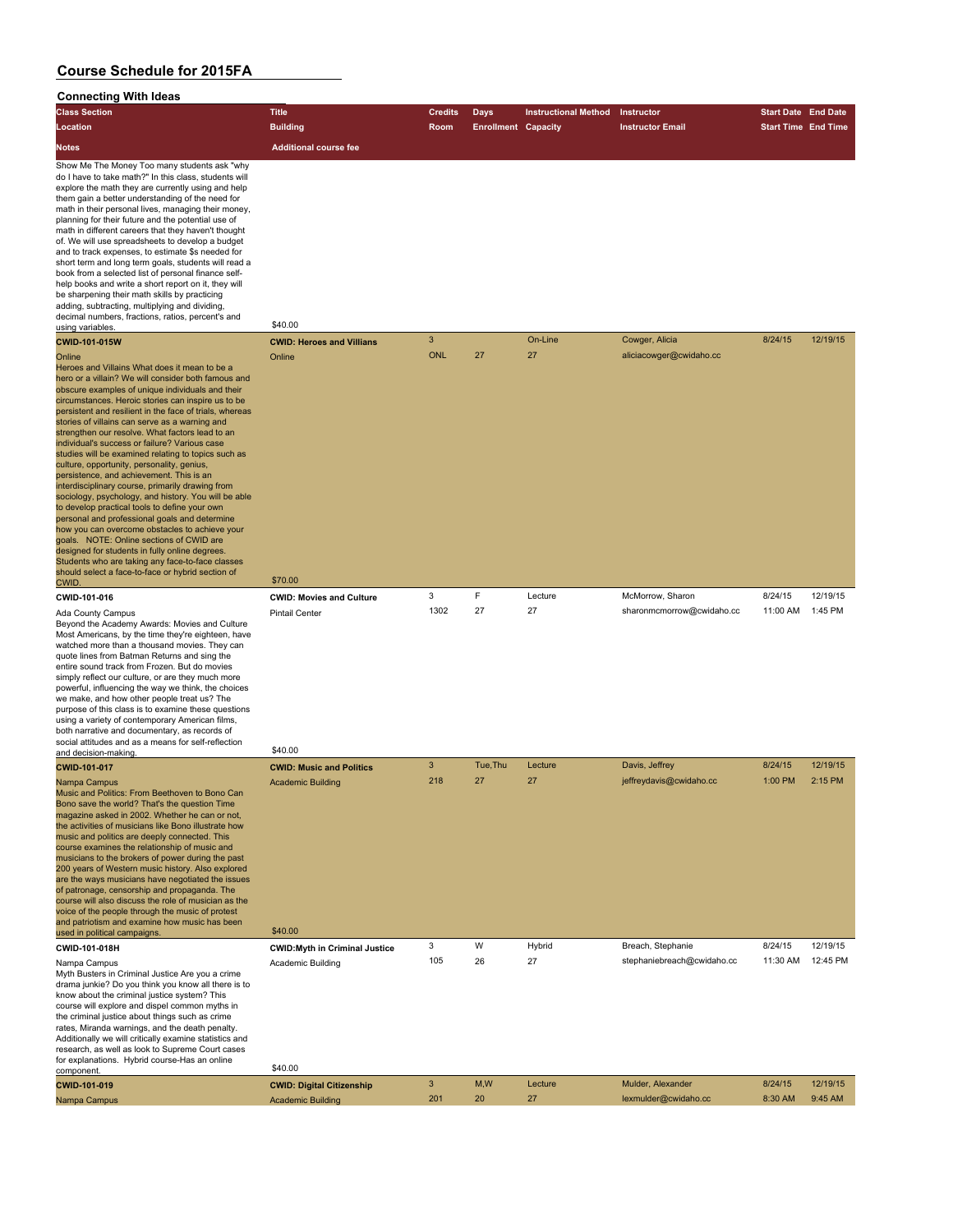| <b>Class Section</b>                                                                                                                                                                                                                                                                                                                                                                                                                                                                                                                                                                                                                                                                                                                                                                                                                                                                                                                                                                                                                                                       | <b>Title</b>                     | <b>Credits</b> | <b>Days</b>                | <b>Instructional Method</b> | Instructor                | <b>Start Date End Date</b> |          |
|----------------------------------------------------------------------------------------------------------------------------------------------------------------------------------------------------------------------------------------------------------------------------------------------------------------------------------------------------------------------------------------------------------------------------------------------------------------------------------------------------------------------------------------------------------------------------------------------------------------------------------------------------------------------------------------------------------------------------------------------------------------------------------------------------------------------------------------------------------------------------------------------------------------------------------------------------------------------------------------------------------------------------------------------------------------------------|----------------------------------|----------------|----------------------------|-----------------------------|---------------------------|----------------------------|----------|
| Location                                                                                                                                                                                                                                                                                                                                                                                                                                                                                                                                                                                                                                                                                                                                                                                                                                                                                                                                                                                                                                                                   | <b>Building</b>                  | <b>Room</b>    | <b>Enrollment Capacity</b> |                             | <b>Instructor Email</b>   | <b>Start Time End Time</b> |          |
| Notes                                                                                                                                                                                                                                                                                                                                                                                                                                                                                                                                                                                                                                                                                                                                                                                                                                                                                                                                                                                                                                                                      | <b>Additional course fee</b>     |                |                            |                             |                           |                            |          |
| Show Me The Money Too many students ask "why<br>do I have to take math?" In this class, students will<br>explore the math they are currently using and help<br>them gain a better understanding of the need for<br>math in their personal lives, managing their money,<br>planning for their future and the potential use of<br>math in different careers that they haven't thought<br>of. We will use spreadsheets to develop a budget<br>and to track expenses, to estimate \$s needed for<br>short term and long term goals, students will read a<br>book from a selected list of personal finance self-<br>help books and write a short report on it, they will<br>be sharpening their math skills by practicing<br>adding, subtracting, multiplying and dividing,<br>decimal numbers, fractions, ratios, percent's and<br>using variables.                                                                                                                                                                                                                            | \$40.00                          |                |                            |                             |                           |                            |          |
| <b>CWID-101-015W</b>                                                                                                                                                                                                                                                                                                                                                                                                                                                                                                                                                                                                                                                                                                                                                                                                                                                                                                                                                                                                                                                       | <b>CWID: Heroes and Villians</b> | 3              |                            | On-Line                     | Cowger, Alicia            | 8/24/15                    | 12/19/15 |
| Online<br>Heroes and Villains What does it mean to be a<br>hero or a villain? We will consider both famous and<br>obscure examples of unique individuals and their<br>circumstances. Heroic stories can inspire us to be<br>persistent and resilient in the face of trials, whereas<br>stories of villains can serve as a warning and<br>strengthen our resolve. What factors lead to an<br>individual's success or failure? Various case<br>studies will be examined relating to topics such as<br>culture, opportunity, personality, genius,<br>persistence, and achievement. This is an<br>interdisciplinary course, primarily drawing from<br>sociology, psychology, and history. You will be able<br>to develop practical tools to define your own<br>personal and professional goals and determine<br>how you can overcome obstacles to achieve your<br>goals. NOTE: Online sections of CWID are<br>designed for students in fully online degrees.<br>Students who are taking any face-to-face classes<br>should select a face-to-face or hybrid section of<br>CWID. | Online<br>\$70.00                | ONL            | 27                         | 27                          | aliciacowger@cwidaho.cc   |                            |          |
| CWID-101-016                                                                                                                                                                                                                                                                                                                                                                                                                                                                                                                                                                                                                                                                                                                                                                                                                                                                                                                                                                                                                                                               | <b>CWID: Movies and Culture</b>  | 3              | F.                         | Lecture                     | McMorrow, Sharon          | 8/24/15                    | 12/19/15 |
| <b>Ada County Campus</b><br>Beyond the Academy Awards: Movies and Culture<br>Most Americans, by the time they're eighteen, have<br>watched more than a thousand movies. They can                                                                                                                                                                                                                                                                                                                                                                                                                                                                                                                                                                                                                                                                                                                                                                                                                                                                                           | <b>Pintail Center</b>            | 1302           | 27                         | 27                          | sharonmcmorrow@cwidaho.cc | 11:00 AM                   | 1:45 PM  |

watched more than a thousand movies. They can<br>quote lines from Batman Returns and sing the<br>entire sound track from Frozen. But do movies<br>simply reflect our culture, or are they much more powerful, influencing the way we think, the choices<br>we make, and how other people treat us? The<br>purpose of this class is to examine these questions<br>using a variety of contemporary American films,<br>both narrative and documen social attitudes and as a means for self-reflection and decision-making. \$40.00

| <b>CWID-101-017</b>                                                                                                                                                                                                                                                                                                                                                                                                                                                                                                                                                                                                                                                                                                                     | <b>CWID: Music and Politics</b>      | 3   | Tue,Thu | Lecture | Davis, Jeffrey             | 8/24/15  | 12/19/15 |
|-----------------------------------------------------------------------------------------------------------------------------------------------------------------------------------------------------------------------------------------------------------------------------------------------------------------------------------------------------------------------------------------------------------------------------------------------------------------------------------------------------------------------------------------------------------------------------------------------------------------------------------------------------------------------------------------------------------------------------------------|--------------------------------------|-----|---------|---------|----------------------------|----------|----------|
| Nampa Campus<br>Music and Politics: From Beethoven to Bono Can<br>Bono save the world? That's the question Time<br>magazine asked in 2002. Whether he can or not.<br>the activities of musicians like Bono illustrate how<br>music and politics are deeply connected. This<br>course examines the relationship of music and<br>musicians to the brokers of power during the past<br>200 years of Western music history. Also explored<br>are the ways musicians have negotiated the issues<br>of patronage, censorship and propaganda. The<br>course will also discuss the role of musician as the<br>voice of the people through the music of protest<br>and patriotism and examine how music has been<br>used in political campaigns. | Academic Building<br>\$40.00         | 218 | 27      | 27      | jeffreydavis@cwidaho.cc    | 1:00 PM  | 2:15 PM  |
| CWID-101-018H                                                                                                                                                                                                                                                                                                                                                                                                                                                                                                                                                                                                                                                                                                                           | <b>CWID:Myth in Criminal Justice</b> | 3   | W       | Hybrid  | Breach, Stephanie          | 8/24/15  | 12/19/15 |
| Nampa Campus<br>Myth Busters in Criminal Justice Are you a crime<br>drama junkie? Do you think you know all there is to<br>know about the criminal justice system? This<br>course will explore and dispel common myths in<br>the criminal justice about things such as crime<br>rates, Miranda warnings, and the death penalty.<br>Additionally we will critically examine statistics and<br>research, as well as look to Supreme Court cases<br>for explanations. Hybrid course-Has an online                                                                                                                                                                                                                                          | Academic Building<br>\$40.00         | 105 | 26      | 27      | stephaniebreach@cwidaho.cc | 11:30 AM | 12:45 PM |
| component                                                                                                                                                                                                                                                                                                                                                                                                                                                                                                                                                                                                                                                                                                                               |                                      |     |         |         |                            |          |          |

| "<br><b>CWID-101-019</b> | <b>CWID: Digital Citizenship</b> |     | M.W | Lecture | Mulder, Alexander    | 8/24/15 | 12/19/15  |
|--------------------------|----------------------------------|-----|-----|---------|----------------------|---------|-----------|
| Nampa Campus             | <b>Academic Building</b>         | 201 | 20  |         | lexmulder@cwidaho.cc | 8:30 AM | $9:45$ AM |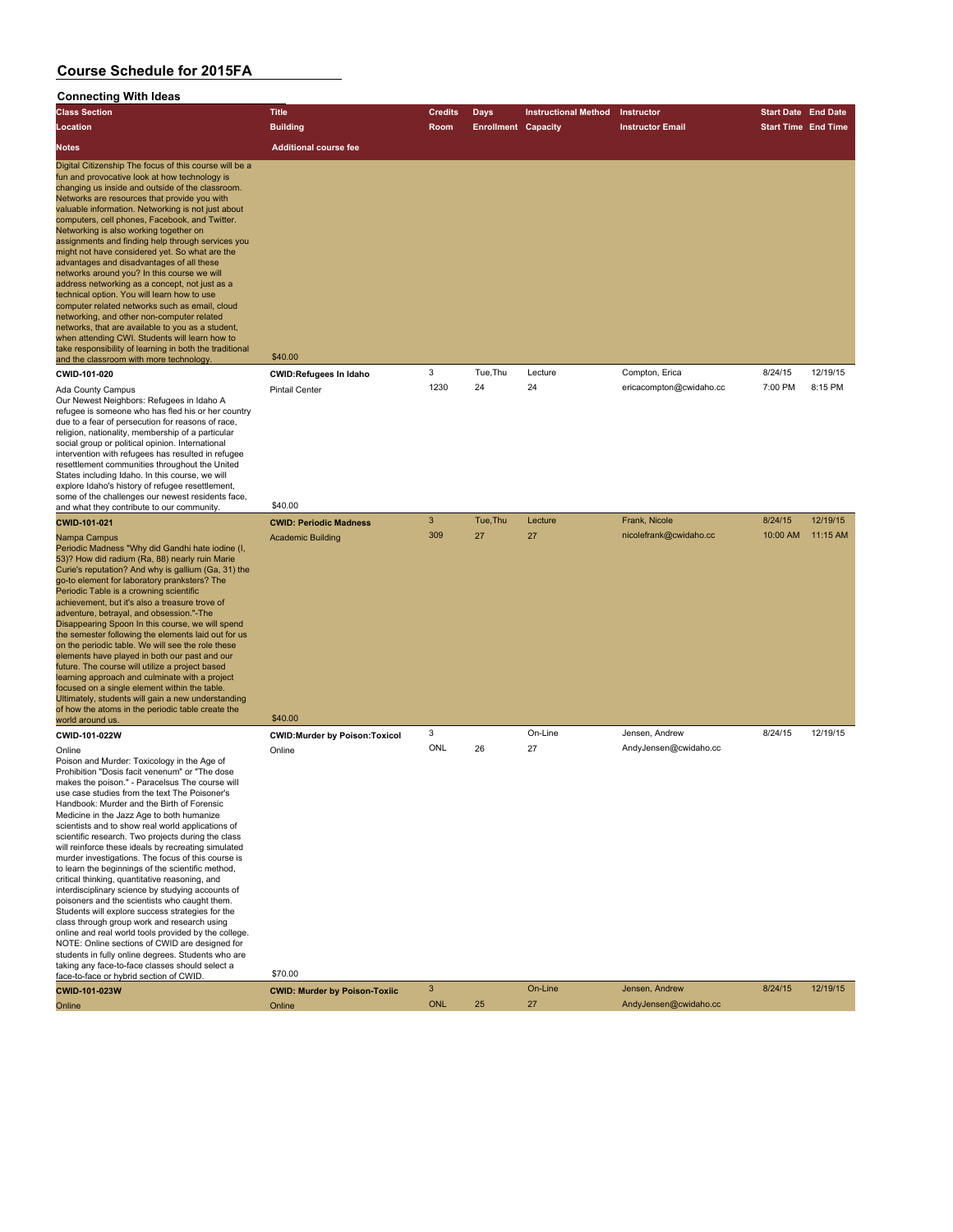| --<br><br><b>Class Section</b>                                                                                                                                                                                                                                                                                                                                                                                                                                                                                                                                                                                                                                                                                                                                                                                                                                                                                                                                                                                                                                    | <b>Title</b>                                                         | <b>Credits</b> | Days                       | <b>Instructional Method</b> | Instructor              | <b>Start Date End Date</b> |          |
|-------------------------------------------------------------------------------------------------------------------------------------------------------------------------------------------------------------------------------------------------------------------------------------------------------------------------------------------------------------------------------------------------------------------------------------------------------------------------------------------------------------------------------------------------------------------------------------------------------------------------------------------------------------------------------------------------------------------------------------------------------------------------------------------------------------------------------------------------------------------------------------------------------------------------------------------------------------------------------------------------------------------------------------------------------------------|----------------------------------------------------------------------|----------------|----------------------------|-----------------------------|-------------------------|----------------------------|----------|
| Location                                                                                                                                                                                                                                                                                                                                                                                                                                                                                                                                                                                                                                                                                                                                                                                                                                                                                                                                                                                                                                                          | <b>Building</b>                                                      | Room           | <b>Enrollment Capacity</b> |                             | <b>Instructor Email</b> | <b>Start Time End Time</b> |          |
| <b>Notes</b>                                                                                                                                                                                                                                                                                                                                                                                                                                                                                                                                                                                                                                                                                                                                                                                                                                                                                                                                                                                                                                                      | <b>Additional course fee</b>                                         |                |                            |                             |                         |                            |          |
| Digital Citizenship The focus of this course will be a<br>fun and provocative look at how technology is<br>changing us inside and outside of the classroom.<br>Networks are resources that provide you with<br>valuable information. Networking is not just about<br>computers, cell phones, Facebook, and Twitter.<br>Networking is also working together on<br>assignments and finding help through services you<br>might not have considered yet. So what are the<br>advantages and disadvantages of all these<br>networks around you? In this course we will<br>address networking as a concept, not just as a<br>technical option. You will learn how to use<br>computer related networks such as email, cloud<br>networking, and other non-computer related<br>networks, that are available to you as a student,<br>when attending CWI. Students will learn how to<br>take responsibility of learning in both the traditional<br>and the classroom with more technology                                                                                     | \$40.00                                                              |                |                            |                             |                         |                            |          |
| CWID-101-020                                                                                                                                                                                                                                                                                                                                                                                                                                                                                                                                                                                                                                                                                                                                                                                                                                                                                                                                                                                                                                                      | <b>CWID:Refugees In Idaho</b>                                        | 3              | Tue, Thu                   | Lecture                     | Compton, Erica          | 8/24/15                    | 12/19/15 |
| Ada County Campus<br>Our Newest Neighbors: Refugees in Idaho A<br>refugee is someone who has fled his or her country<br>due to a fear of persecution for reasons of race,<br>religion, nationality, membership of a particular<br>social group or political opinion. International<br>intervention with refugees has resulted in refugee<br>resettlement communities throughout the United<br>States including Idaho. In this course, we will<br>explore Idaho's history of refugee resettlement,<br>some of the challenges our newest residents face,                                                                                                                                                                                                                                                                                                                                                                                                                                                                                                            | <b>Pintail Center</b>                                                | 1230           | 24                         | 24                          | ericacompton@cwidaho.cc | 7:00 PM                    | 8:15 PM  |
| and what they contribute to our community.                                                                                                                                                                                                                                                                                                                                                                                                                                                                                                                                                                                                                                                                                                                                                                                                                                                                                                                                                                                                                        | \$40.00                                                              | $\sqrt{3}$     | Tue, Thu                   |                             | Frank, Nicole           | 8/24/15                    | 12/19/15 |
| <b>CWID-101-021</b><br>Nampa Campus<br>Periodic Madness "Why did Gandhi hate iodine (I,<br>53)? How did radium (Ra, 88) nearly ruin Marie<br>Curie's reputation? And why is gallium (Ga, 31) the<br>go-to element for laboratory pranksters? The<br>Periodic Table is a crowning scientific<br>achievement, but it's also a treasure trove of<br>adventure, betrayal, and obsession."-The<br>Disappearing Spoon In this course, we will spend<br>the semester following the elements laid out for us<br>on the periodic table. We will see the role these<br>elements have played in both our past and our<br>future. The course will utilize a project based<br>learning approach and culminate with a project<br>focused on a single element within the table.<br>Ultimately, students will gain a new understanding<br>of how the atoms in the periodic table create the<br>world around us.                                                                                                                                                                   | <b>CWID: Periodic Madness</b><br><b>Academic Building</b><br>\$40.00 | 309            | 27                         | Lecture<br>27               | nicolefrank@cwidaho.cc  | 10:00 AM                   | 11:15 AM |
| CWID-101-022W                                                                                                                                                                                                                                                                                                                                                                                                                                                                                                                                                                                                                                                                                                                                                                                                                                                                                                                                                                                                                                                     | <b>CWID:Murder by Poison:Toxicol</b>                                 | 3              |                            | On-Line                     | Jensen, Andrew          | 8/24/15                    | 12/19/15 |
| Online<br>Poison and Murder: Toxicology in the Age of<br>Prohibition "Dosis facit venenum" or "The dose<br>makes the poison." - Paracelsus The course will<br>use case studies from the text The Poisoner's<br>Handbook: Murder and the Birth of Forensic<br>Medicine in the Jazz Age to both humanize<br>scientists and to show real world applications of<br>scientific research. Two projects during the class<br>will reinforce these ideals by recreating simulated<br>murder investigations. The focus of this course is<br>to learn the beginnings of the scientific method,<br>critical thinking, quantitative reasoning, and<br>interdisciplinary science by studying accounts of<br>poisoners and the scientists who caught them.<br>Students will explore success strategies for the<br>class through group work and research using<br>online and real world tools provided by the college.<br>NOTE: Online sections of CWID are designed for<br>students in fully online degrees. Students who are<br>taking any face-to-face classes should select a | Online<br>\$70.00                                                    | ONL            | 26                         | 27                          | AndyJensen@cwidaho.cc   |                            |          |
| face-to-face or hybrid section of CWID.<br><b>CWID-101-023W</b>                                                                                                                                                                                                                                                                                                                                                                                                                                                                                                                                                                                                                                                                                                                                                                                                                                                                                                                                                                                                   |                                                                      | $\mathbf{3}$   |                            | On-Line                     | Jensen, Andrew          | 8/24/15                    | 12/19/15 |
| Online                                                                                                                                                                                                                                                                                                                                                                                                                                                                                                                                                                                                                                                                                                                                                                                                                                                                                                                                                                                                                                                            | <b>CWID: Murder by Poison-Toxiic</b><br>Online                       | <b>ONL</b>     | 25                         | 27                          | AndyJensen@cwidaho.cc   |                            |          |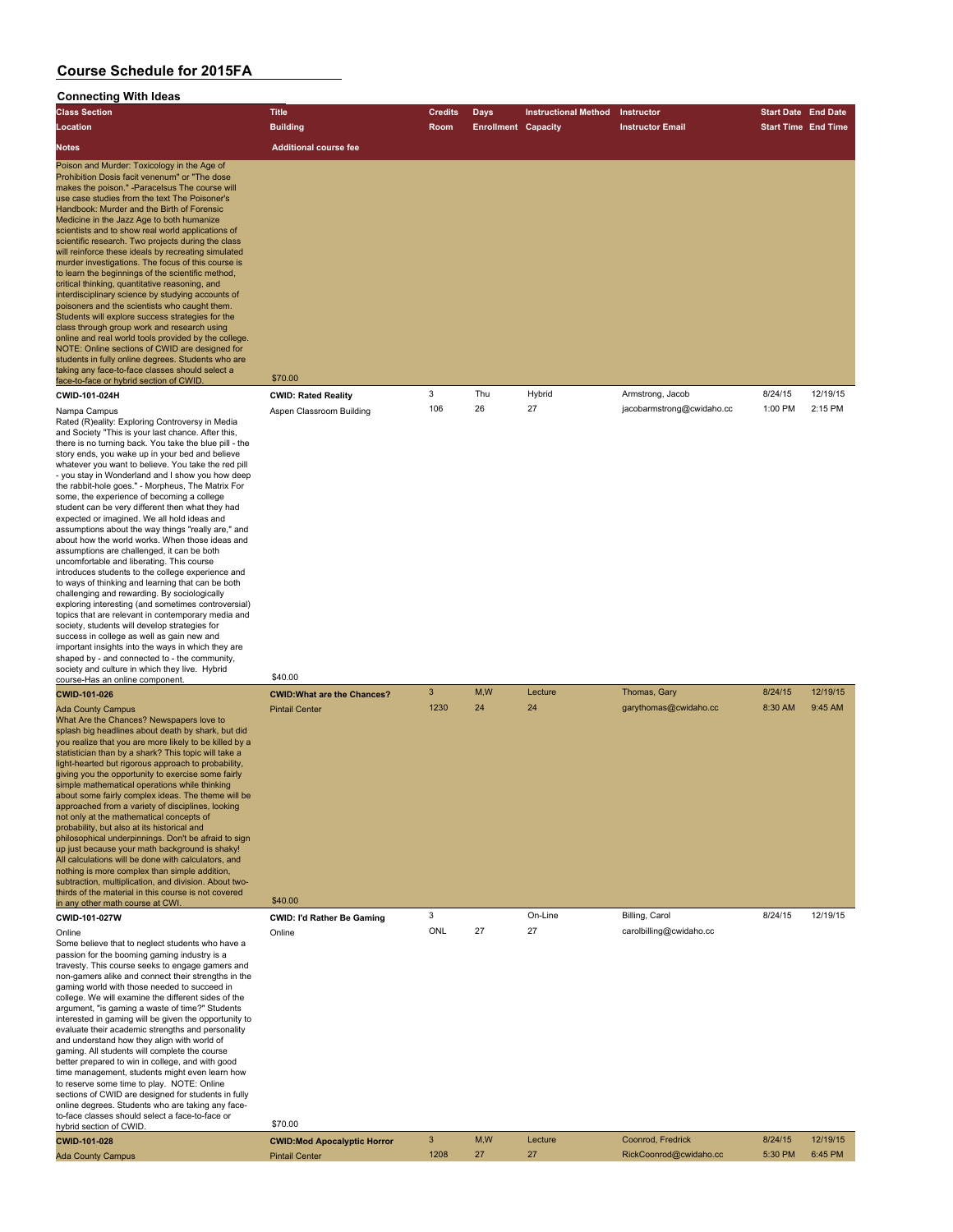| ັບບາກເບບເກາສູ<br><b>Class Section</b>                                                                                                                                                                                                                                                                                                                                                                                                                                                                                                                                                                                                                                                                                                                                                                                                                                                                                                                                                                                                                                                                                                                                                                                                | <b>Title</b>                                                           | <b>Credits</b> | Days                       | <b>Instructional Method</b> | Instructor                            | <b>Start Date End Date</b> |                     |
|--------------------------------------------------------------------------------------------------------------------------------------------------------------------------------------------------------------------------------------------------------------------------------------------------------------------------------------------------------------------------------------------------------------------------------------------------------------------------------------------------------------------------------------------------------------------------------------------------------------------------------------------------------------------------------------------------------------------------------------------------------------------------------------------------------------------------------------------------------------------------------------------------------------------------------------------------------------------------------------------------------------------------------------------------------------------------------------------------------------------------------------------------------------------------------------------------------------------------------------|------------------------------------------------------------------------|----------------|----------------------------|-----------------------------|---------------------------------------|----------------------------|---------------------|
| Location                                                                                                                                                                                                                                                                                                                                                                                                                                                                                                                                                                                                                                                                                                                                                                                                                                                                                                                                                                                                                                                                                                                                                                                                                             | <b>Building</b>                                                        | Room           | <b>Enrollment Capacity</b> |                             | <b>Instructor Email</b>               | <b>Start Time End Time</b> |                     |
|                                                                                                                                                                                                                                                                                                                                                                                                                                                                                                                                                                                                                                                                                                                                                                                                                                                                                                                                                                                                                                                                                                                                                                                                                                      | <b>Additional course fee</b>                                           |                |                            |                             |                                       |                            |                     |
| Notes                                                                                                                                                                                                                                                                                                                                                                                                                                                                                                                                                                                                                                                                                                                                                                                                                                                                                                                                                                                                                                                                                                                                                                                                                                |                                                                        |                |                            |                             |                                       |                            |                     |
| Poison and Murder: Toxicology in the Age of<br>Prohibition Dosis facit venenum" or "The dose<br>makes the poison." -Paracelsus The course will<br>use case studies from the text The Poisoner's<br>Handbook: Murder and the Birth of Forensic<br>Medicine in the Jazz Age to both humanize<br>scientists and to show real world applications of<br>scientific research. Two projects during the class<br>will reinforce these ideals by recreating simulated<br>murder investigations. The focus of this course is<br>to learn the beginnings of the scientific method,<br>critical thinking, quantitative reasoning, and<br>interdisciplinary science by studying accounts of<br>poisoners and the scientists who caught them.<br>Students will explore success strategies for the<br>class through group work and research using<br>online and real world tools provided by the college.<br>NOTE: Online sections of CWID are designed for<br>students in fully online degrees. Students who are<br>taking any face-to-face classes should select a<br>face-to-face or hybrid section of CWID                                                                                                                                      | \$70.00                                                                |                |                            |                             |                                       |                            |                     |
| CWID-101-024H                                                                                                                                                                                                                                                                                                                                                                                                                                                                                                                                                                                                                                                                                                                                                                                                                                                                                                                                                                                                                                                                                                                                                                                                                        | <b>CWID: Rated Reality</b>                                             | 3              | Thu                        | Hybrid                      | Armstrong, Jacob                      | 8/24/15                    | 12/19/15            |
| Nampa Campus<br>Rated (R)eality: Exploring Controversy in Media<br>and Society "This is your last chance. After this,<br>there is no turning back. You take the blue pill - the<br>story ends, you wake up in your bed and believe<br>whatever you want to believe. You take the red pill<br>- you stay in Wonderland and I show you how deep<br>the rabbit-hole goes." - Morpheus, The Matrix For<br>some, the experience of becoming a college<br>student can be very different then what they had<br>expected or imagined. We all hold ideas and<br>assumptions about the way things "really are," and<br>about how the world works. When those ideas and<br>assumptions are challenged, it can be both<br>uncomfortable and liberating. This course<br>introduces students to the college experience and<br>to ways of thinking and learning that can be both<br>challenging and rewarding. By sociologically<br>exploring interesting (and sometimes controversial)<br>topics that are relevant in contemporary media and<br>society, students will develop strategies for<br>success in college as well as gain new and<br>important insights into the ways in which they are<br>shaped by - and connected to - the community, | Aspen Classroom Building                                               | 106            | 26                         | 27                          | jacobarmstrong@cwidaho.cc             | 1:00 PM                    | 2:15 PM             |
| society and culture in which they live. Hybrid<br>course-Has an online component.                                                                                                                                                                                                                                                                                                                                                                                                                                                                                                                                                                                                                                                                                                                                                                                                                                                                                                                                                                                                                                                                                                                                                    | \$40.00                                                                |                |                            |                             |                                       |                            |                     |
| CWID-101-026<br><b>Ada County Campus</b><br>What Are the Chances? Newspapers love to<br>splash big headlines about death by shark, but did<br>you realize that you are more likely to be killed by a<br>statistician than by a shark? This topic will take a<br>light-hearted but rigorous approach to probability,<br>giving you the opportunity to exercise some fairly<br>simple mathematical operations while thinking<br>about some fairly complex ideas. The theme will be<br>approached from a variety of disciplines, looking<br>not only at the mathematical concepts of<br>probability, but also at its historical and<br>philosophical underpinnings. Don't be afraid to sign<br>up just because your math background is shaky!<br>All calculations will be done with calculators, and<br>nothing is more complex than simple addition,<br>subtraction, multiplication, and division. About two-<br>thirds of the material in this course is not covered<br>in any other math course at CWI.                                                                                                                                                                                                                              | <b>CWID: What are the Chances?</b><br><b>Pintail Center</b><br>\$40.00 | 3<br>1230      | M, W<br>24                 | Lecture<br>24               | Thomas, Gary<br>garythomas@cwidaho.cc | 8/24/15<br>8:30 AM         | 12/19/15<br>9:45 AM |
| CWID-101-027W                                                                                                                                                                                                                                                                                                                                                                                                                                                                                                                                                                                                                                                                                                                                                                                                                                                                                                                                                                                                                                                                                                                                                                                                                        | <b>CWID: I'd Rather Be Gaming</b>                                      | 3              |                            | On-Line                     | Billing, Carol                        | 8/24/15                    | 12/19/15            |
| Online<br>Some believe that to neglect students who have a<br>passion for the booming gaming industry is a<br>travesty. This course seeks to engage gamers and<br>non-gamers alike and connect their strengths in the<br>gaming world with those needed to succeed in<br>college. We will examine the different sides of the<br>argument, "is gaming a waste of time?" Students<br>interested in gaming will be given the opportunity to<br>evaluate their academic strengths and personality<br>and understand how they align with world of<br>gaming. All students will complete the course<br>better prepared to win in college, and with good<br>time management, students might even learn how<br>to reserve some time to play. NOTE: Online<br>sections of CWID are designed for students in fully<br>online degrees. Students who are taking any face-<br>to-face classes should select a face-to-face or                                                                                                                                                                                                                                                                                                                     | Online                                                                 | ONL            | 27                         | 27                          | carolbilling@cwidaho.cc               |                            |                     |
| hybrid section of CWID.                                                                                                                                                                                                                                                                                                                                                                                                                                                                                                                                                                                                                                                                                                                                                                                                                                                                                                                                                                                                                                                                                                                                                                                                              | \$70.00                                                                |                |                            |                             |                                       |                            |                     |
| CWID-101-028                                                                                                                                                                                                                                                                                                                                                                                                                                                                                                                                                                                                                                                                                                                                                                                                                                                                                                                                                                                                                                                                                                                                                                                                                         | <b>CWID:Mod Apocalyptic Horror</b>                                     | 3              | M,W                        | Lecture                     | Coonrod, Fredrick                     | 8/24/15                    | 12/19/15            |
| <b>Ada County Campus</b>                                                                                                                                                                                                                                                                                                                                                                                                                                                                                                                                                                                                                                                                                                                                                                                                                                                                                                                                                                                                                                                                                                                                                                                                             | <b>Pintail Center</b>                                                  | 1208           | 27                         | 27                          | RickCoonrod@cwidaho.cc                | 5:30 PM                    | 6:45 PM             |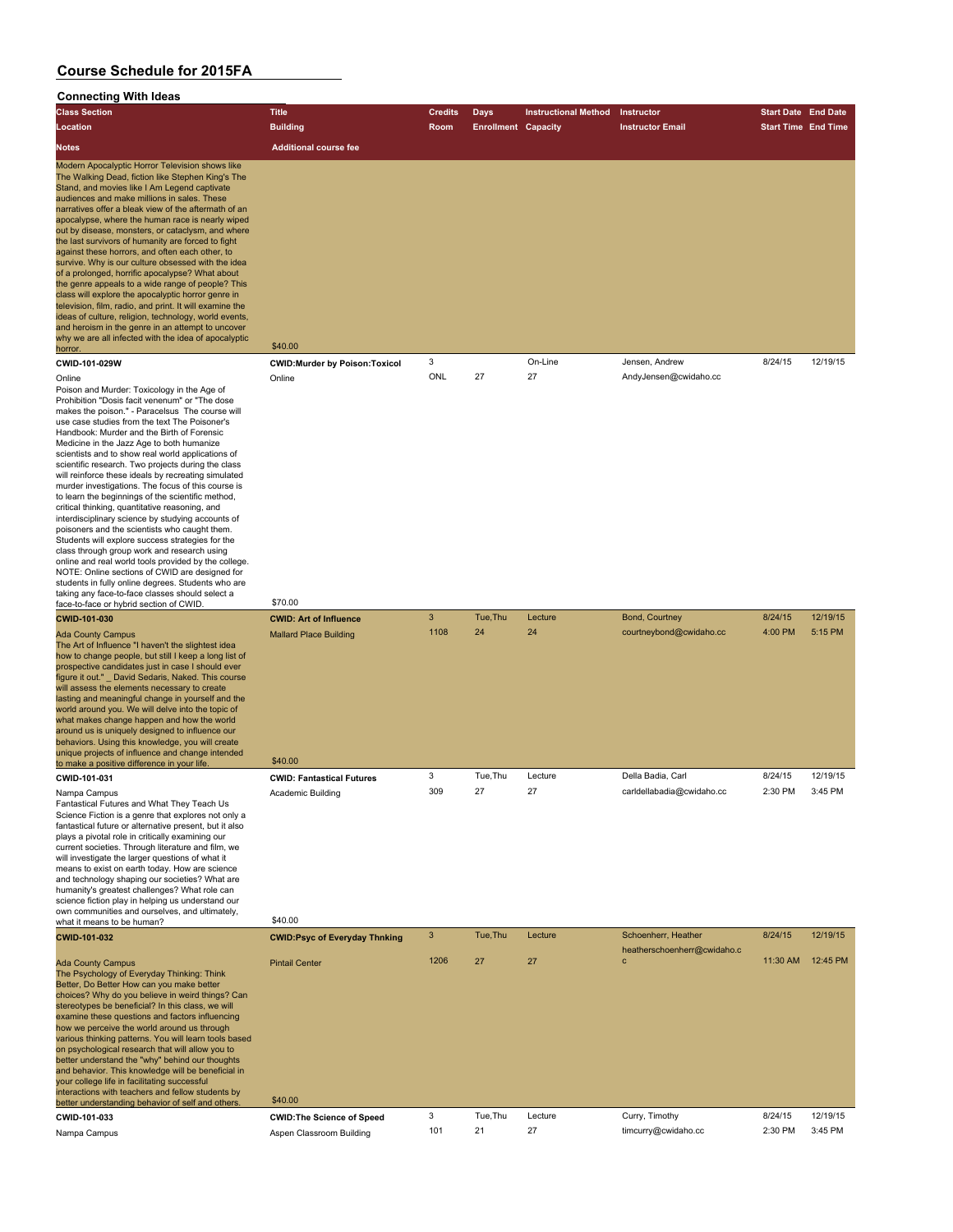#### **Connecting With Ideas**

| <b>Class Section</b>                                                                                                                                                                                                                                                                                                                                                                                                                                                                                                                                                                                                                                                                                                                                                                                                                                                                                                                                                                                                                                              | <b>Title</b>                                                              | <b>Credits</b> | Days                       | <b>Instructional Method</b> | Instructor                                         | <b>Start Date End Date</b> |          |
|-------------------------------------------------------------------------------------------------------------------------------------------------------------------------------------------------------------------------------------------------------------------------------------------------------------------------------------------------------------------------------------------------------------------------------------------------------------------------------------------------------------------------------------------------------------------------------------------------------------------------------------------------------------------------------------------------------------------------------------------------------------------------------------------------------------------------------------------------------------------------------------------------------------------------------------------------------------------------------------------------------------------------------------------------------------------|---------------------------------------------------------------------------|----------------|----------------------------|-----------------------------|----------------------------------------------------|----------------------------|----------|
| Location                                                                                                                                                                                                                                                                                                                                                                                                                                                                                                                                                                                                                                                                                                                                                                                                                                                                                                                                                                                                                                                          | <b>Building</b>                                                           | Room           | <b>Enrollment Capacity</b> |                             | <b>Instructor Email</b>                            | <b>Start Time End Time</b> |          |
| Notes                                                                                                                                                                                                                                                                                                                                                                                                                                                                                                                                                                                                                                                                                                                                                                                                                                                                                                                                                                                                                                                             | <b>Additional course fee</b>                                              |                |                            |                             |                                                    |                            |          |
| Modern Apocalyptic Horror Television shows like<br>The Walking Dead, fiction like Stephen King's The<br>Stand, and movies like I Am Legend captivate<br>audiences and make millions in sales. These<br>narratives offer a bleak view of the aftermath of an<br>apocalypse, where the human race is nearly wiped<br>out by disease, monsters, or cataclysm, and where<br>the last survivors of humanity are forced to fight<br>against these horrors, and often each other, to<br>survive. Why is our culture obsessed with the idea<br>of a prolonged, horrific apocalypse? What about<br>the genre appeals to a wide range of people? This<br>class will explore the apocalyptic horror genre in<br>television, film, radio, and print. It will examine the<br>ideas of culture, religion, technology, world events,<br>and heroism in the genre in an attempt to uncover<br>why we are all infected with the idea of apocalyptic<br><u>horror.</u>                                                                                                              | \$40.00                                                                   |                |                            |                             |                                                    |                            |          |
| CWID-101-029W                                                                                                                                                                                                                                                                                                                                                                                                                                                                                                                                                                                                                                                                                                                                                                                                                                                                                                                                                                                                                                                     | <b>CWID:Murder by Poison:Toxicol</b>                                      | 3              |                            | On-Line                     | Jensen, Andrew                                     | 8/24/15                    | 12/19/15 |
| Online<br>Poison and Murder: Toxicology in the Age of<br>Prohibition "Dosis facit venenum" or "The dose<br>makes the poison." - Paracelsus The course will<br>use case studies from the text The Poisoner's<br>Handbook: Murder and the Birth of Forensic<br>Medicine in the Jazz Age to both humanize<br>scientists and to show real world applications of<br>scientific research. Two projects during the class<br>will reinforce these ideals by recreating simulated<br>murder investigations. The focus of this course is<br>to learn the beginnings of the scientific method,<br>critical thinking, quantitative reasoning, and<br>interdisciplinary science by studying accounts of<br>poisoners and the scientists who caught them.<br>Students will explore success strategies for the<br>class through group work and research using<br>online and real world tools provided by the college.<br>NOTE: Online sections of CWID are designed for<br>students in fully online degrees. Students who are<br>taking any face-to-face classes should select a | Online                                                                    | ONL            | 27                         | 27                          | AndyJensen@cwidaho.cc                              |                            |          |
| face-to-face or hybrid section of CWID.<br>CWID-101-030                                                                                                                                                                                                                                                                                                                                                                                                                                                                                                                                                                                                                                                                                                                                                                                                                                                                                                                                                                                                           | \$70.00                                                                   | 3              | Tue, Thu                   | Lecture                     | Bond, Courtney                                     | 8/24/15                    | 12/19/15 |
| Ada County Campus<br>The Art of Influence "I haven't the slightest idea<br>how to change people, but still I keep a long list of<br>prospective candidates just in case I should ever<br>figure it out." _ David Sedaris, Naked. This course<br>will assess the elements necessary to create<br>lasting and meaningful change in yourself and the<br>world around you. We will delve into the topic of<br>what makes change happen and how the world<br>around us is uniquely designed to influence our<br>behaviors. Using this knowledge, you will create<br>unique projects of influence and change intended<br>to make a positive difference in your life.                                                                                                                                                                                                                                                                                                                                                                                                    | <b>CWID: Art of Influence</b><br><b>Mallard Place Building</b><br>\$40.00 | 1108           | 24                         | 24                          | courtneybond@cwidaho.cc                            | 4:00 PM                    | 5:15 PM  |
| CWID-101-031                                                                                                                                                                                                                                                                                                                                                                                                                                                                                                                                                                                                                                                                                                                                                                                                                                                                                                                                                                                                                                                      | <b>CWID: Fantastical Futures</b>                                          | 3              | Tue, Thu                   | Lecture                     | Della Badia, Carl                                  | 8/24/15                    | 12/19/15 |
| Nampa Campus<br>Fantastical Futures and What They Teach Us<br>Science Fiction is a genre that explores not only a<br>fantastical future or alternative present, but it also<br>plays a pivotal role in critically examining our<br>current societies. Through literature and film, we<br>will investigate the larger questions of what it<br>means to exist on earth today. How are science<br>and technology shaping our societies? What are<br>humanity's greatest challenges? What role can<br>science fiction play in helping us understand our<br>own communities and ourselves, and ultimately,                                                                                                                                                                                                                                                                                                                                                                                                                                                             | Academic Building                                                         | 309            | 27                         | 27                          | carldellabadia@cwidaho.cc                          | 2:30 PM                    | 3:45 PM  |
| what it means to be human?                                                                                                                                                                                                                                                                                                                                                                                                                                                                                                                                                                                                                                                                                                                                                                                                                                                                                                                                                                                                                                        | \$40.00                                                                   |                |                            |                             |                                                    |                            |          |
| CWID-101-032                                                                                                                                                                                                                                                                                                                                                                                                                                                                                                                                                                                                                                                                                                                                                                                                                                                                                                                                                                                                                                                      | <b>CWID:Psyc of Everyday Thnking</b>                                      | 3              | Tue, Thu                   | Lecture                     | Schoenherr, Heather<br>heatherschoenherr@cwidaho.c | 8/24/15                    | 12/19/15 |
| <b>Ada County Campus</b><br>The Psychology of Everyday Thinking: Think<br>Better, Do Better How can you make better<br>choices? Why do you believe in weird things? Can<br>stereotypes be beneficial? In this class, we will<br>examine these questions and factors influencing<br>how we perceive the world around us through<br>various thinking patterns. You will learn tools based<br>on psychological research that will allow you to<br>better understand the "why" behind our thoughts<br>and behavior. This knowledge will be beneficial in<br>your college life in facilitating successful<br>interactions with teachers and fellow students by                                                                                                                                                                                                                                                                                                                                                                                                         | <b>Pintail Center</b><br>\$40.00                                          | 1206           | 27                         | 27                          | C                                                  | 11:30 AM                   | 12:45 PM |
| better understanding behavior of self and others.<br>CWID-101-033                                                                                                                                                                                                                                                                                                                                                                                                                                                                                                                                                                                                                                                                                                                                                                                                                                                                                                                                                                                                 |                                                                           | 3              | Tue, Thu                   | Lecture                     | Curry, Timothy                                     | 8/24/15                    | 12/19/15 |
|                                                                                                                                                                                                                                                                                                                                                                                                                                                                                                                                                                                                                                                                                                                                                                                                                                                                                                                                                                                                                                                                   | <b>CWID: The Science of Speed</b>                                         |                |                            |                             |                                                    |                            |          |

Nampa Campus Aspen Classroom Building 101 21 27 timcurry@cwidaho.cc 2:30 PM 3:45 PM 2:45 PM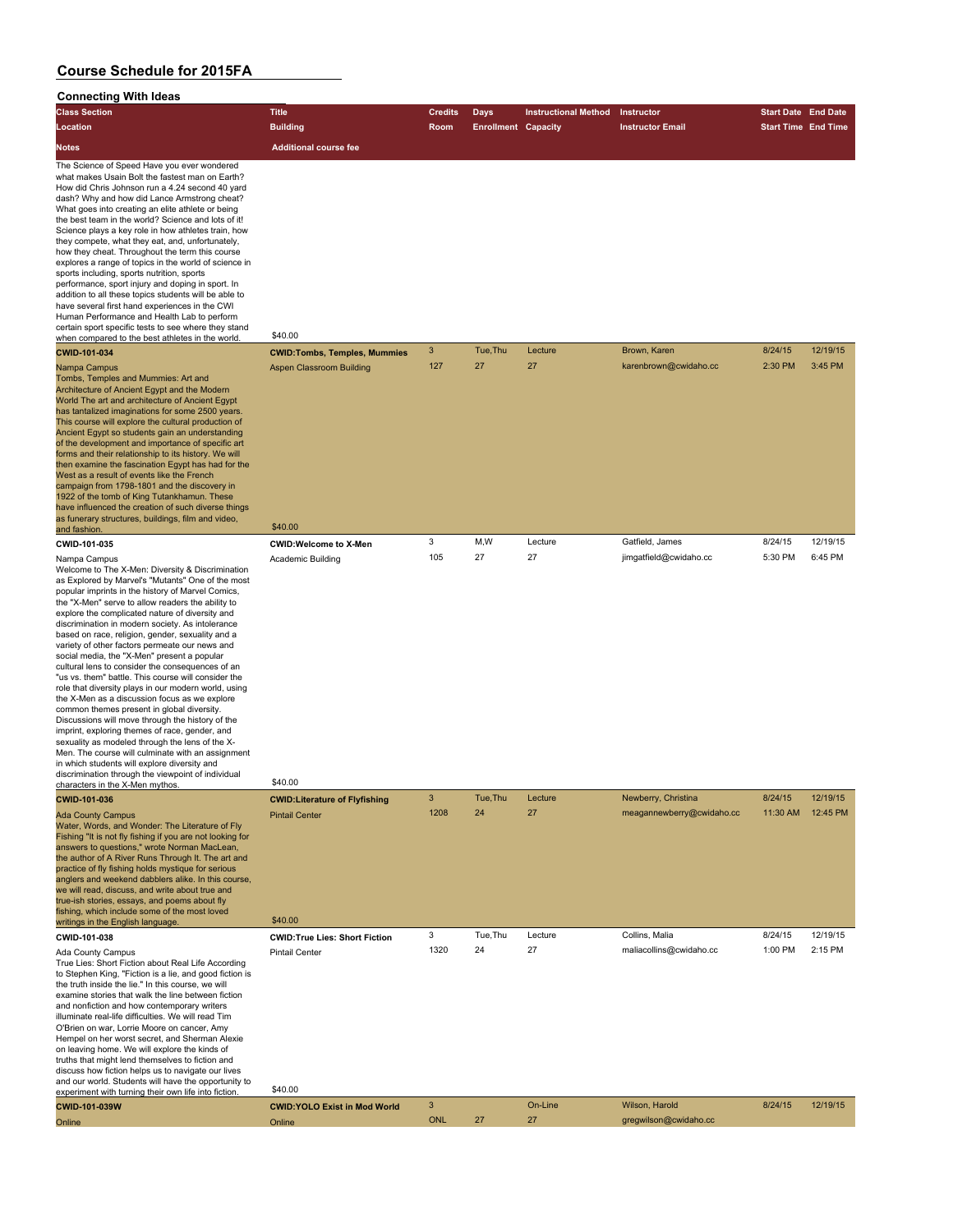| <b>Connecting With Ideas</b>                                                                                                                                                                                                                                                                                                                                                                                                                                                                                                                                                                                                                                                                                                                                                                                                                                                                                                                                                                                                                                                                                         |                                                  |                        |                                           |                             |                                       |                                                          |                     |
|----------------------------------------------------------------------------------------------------------------------------------------------------------------------------------------------------------------------------------------------------------------------------------------------------------------------------------------------------------------------------------------------------------------------------------------------------------------------------------------------------------------------------------------------------------------------------------------------------------------------------------------------------------------------------------------------------------------------------------------------------------------------------------------------------------------------------------------------------------------------------------------------------------------------------------------------------------------------------------------------------------------------------------------------------------------------------------------------------------------------|--------------------------------------------------|------------------------|-------------------------------------------|-----------------------------|---------------------------------------|----------------------------------------------------------|---------------------|
| <b>Class Section</b><br>Location                                                                                                                                                                                                                                                                                                                                                                                                                                                                                                                                                                                                                                                                                                                                                                                                                                                                                                                                                                                                                                                                                     | <b>Title</b><br><b>Building</b>                  | <b>Credits</b><br>Room | <b>Days</b><br><b>Enrollment Capacity</b> | <b>Instructional Method</b> | Instructor<br><b>Instructor Email</b> | <b>Start Date End Date</b><br><b>Start Time End Time</b> |                     |
| <b>Notes</b>                                                                                                                                                                                                                                                                                                                                                                                                                                                                                                                                                                                                                                                                                                                                                                                                                                                                                                                                                                                                                                                                                                         | <b>Additional course fee</b>                     |                        |                                           |                             |                                       |                                                          |                     |
| The Science of Speed Have you ever wondered<br>what makes Usain Bolt the fastest man on Earth?<br>How did Chris Johnson run a 4.24 second 40 yard<br>dash? Why and how did Lance Armstrong cheat?<br>What goes into creating an elite athlete or being<br>the best team in the world? Science and lots of it!<br>Science plays a key role in how athletes train, how<br>they compete, what they eat, and, unfortunately,<br>how they cheat. Throughout the term this course<br>explores a range of topics in the world of science in<br>sports including, sports nutrition, sports<br>performance, sport injury and doping in sport. In<br>addition to all these topics students will be able to<br>have several first hand experiences in the CWI<br>Human Performance and Health Lab to perform<br>certain sport specific tests to see where they stand<br>when compared to the best athletes in the world.                                                                                                                                                                                                        | \$40.00                                          |                        |                                           |                             |                                       |                                                          |                     |
| CWID-101-034                                                                                                                                                                                                                                                                                                                                                                                                                                                                                                                                                                                                                                                                                                                                                                                                                                                                                                                                                                                                                                                                                                         | <b>CWID: Tombs, Temples, Mummies</b>             | $\mathbf{3}$<br>127    | Tue, Thu<br>27                            | Lecture<br>27               | Brown, Karen<br>karenbrown@cwidaho.cc | 8/24/15<br>2:30 PM                                       | 12/19/15<br>3:45 PM |
| Nampa Campus<br>Tombs, Temples and Mummies: Art and<br>Architecture of Ancient Egypt and the Modern<br>World The art and architecture of Ancient Egypt<br>has tantalized imaginations for some 2500 years.<br>This course will explore the cultural production of<br>Ancient Egypt so students gain an understanding<br>of the development and importance of specific art<br>forms and their relationship to its history. We will<br>then examine the fascination Egypt has had for the<br>West as a result of events like the French<br>campaign from 1798-1801 and the discovery in<br>1922 of the tomb of King Tutankhamun. These<br>have influenced the creation of such diverse things<br>as funerary structures, buildings, film and video,<br>and fashion.                                                                                                                                                                                                                                                                                                                                                    | <b>Aspen Classroom Building</b><br>\$40.00       |                        |                                           |                             |                                       |                                                          |                     |
| CWID-101-035                                                                                                                                                                                                                                                                                                                                                                                                                                                                                                                                                                                                                                                                                                                                                                                                                                                                                                                                                                                                                                                                                                         | <b>CWID:Welcome to X-Men</b>                     | 3                      | M,W                                       | Lecture                     | Gatfield, James                       | 8/24/15                                                  | 12/19/15            |
| Nampa Campus<br>Welcome to The X-Men: Diversity & Discrimination<br>as Explored by Marvel's "Mutants" One of the most<br>popular imprints in the history of Marvel Comics,<br>the "X-Men" serve to allow readers the ability to<br>explore the complicated nature of diversity and<br>discrimination in modern society. As intolerance<br>based on race, religion, gender, sexuality and a<br>variety of other factors permeate our news and<br>social media, the "X-Men" present a popular<br>cultural lens to consider the consequences of an<br>"us vs. them" battle. This course will consider the<br>role that diversity plays in our modern world, using<br>the X-Men as a discussion focus as we explore<br>common themes present in global diversity.<br>Discussions will move through the history of the<br>imprint, exploring themes of race, gender, and<br>sexuality as modeled through the lens of the X-<br>Men. The course will culminate with an assignment<br>in which students will explore diversity and<br>discrimination through the viewpoint of individual<br>characters in the X-Men mythos. | Academic Building<br>\$40.00                     | 105                    | 27                                        | 27                          | jimgatfield@cwidaho.cc                | 5:30 PM                                                  | 6:45 PM             |
| CWID-101-036                                                                                                                                                                                                                                                                                                                                                                                                                                                                                                                                                                                                                                                                                                                                                                                                                                                                                                                                                                                                                                                                                                         | <b>CWID:Literature of Flyfishing</b>             | 3                      | Tue, Thu                                  | Lecture                     | Newberry, Christina                   | 8/24/15                                                  | 12/19/15            |
| <b>Ada County Campus</b><br>Water, Words, and Wonder: The Literature of Fly<br>Fishing "It is not fly fishing if you are not looking for<br>answers to questions," wrote Norman MacLean,<br>the author of A River Runs Through It. The art and<br>practice of fly fishing holds mystique for serious<br>anglers and weekend dabblers alike. In this course,<br>we will read, discuss, and write about true and<br>true-ish stories, essays, and poems about fly<br>fishing, which include some of the most loved                                                                                                                                                                                                                                                                                                                                                                                                                                                                                                                                                                                                     | <b>Pintail Center</b>                            | 1208                   | 24                                        | 27                          | meagannewberry@cwidaho.cc             | 11:30 AM                                                 | 12:45 PM            |
| writings in the English language.<br>CWID-101-038                                                                                                                                                                                                                                                                                                                                                                                                                                                                                                                                                                                                                                                                                                                                                                                                                                                                                                                                                                                                                                                                    | \$40.00<br><b>CWID: True Lies: Short Fiction</b> | 3                      | Tue, Thu                                  | Lecture                     | Collins, Malia                        | 8/24/15                                                  | 12/19/15            |
| Ada County Campus<br>True Lies: Short Fiction about Real Life According<br>to Stephen King, "Fiction is a lie, and good fiction is<br>the truth inside the lie." In this course, we will<br>examine stories that walk the line between fiction<br>and nonfiction and how contemporary writers<br>illuminate real-life difficulties. We will read Tim<br>O'Brien on war, Lorrie Moore on cancer, Amy<br>Hempel on her worst secret, and Sherman Alexie<br>on leaving home. We will explore the kinds of<br>truths that might lend themselves to fiction and<br>discuss how fiction helps us to navigate our lives<br>and our world. Students will have the opportunity to<br>experiment with turning their own life into fiction.                                                                                                                                                                                                                                                                                                                                                                                     | <b>Pintail Center</b><br>\$40.00                 | 1320                   | 24                                        | 27                          | maliacollins@cwidaho.cc               | 1:00 PM                                                  | 2:15 PM             |

**CWID-101-039W CWID:YOLO Exist in Mod World** 3 On-Line Wilson, Harold 8/24/15 12/19/15

Online Contract Contract Contract Contract Contract Contract Contract Contract Contract Contract Contract Contract Contract Contract Contract Contract Contract Contract Contract Contract Contract Contract Contract Contract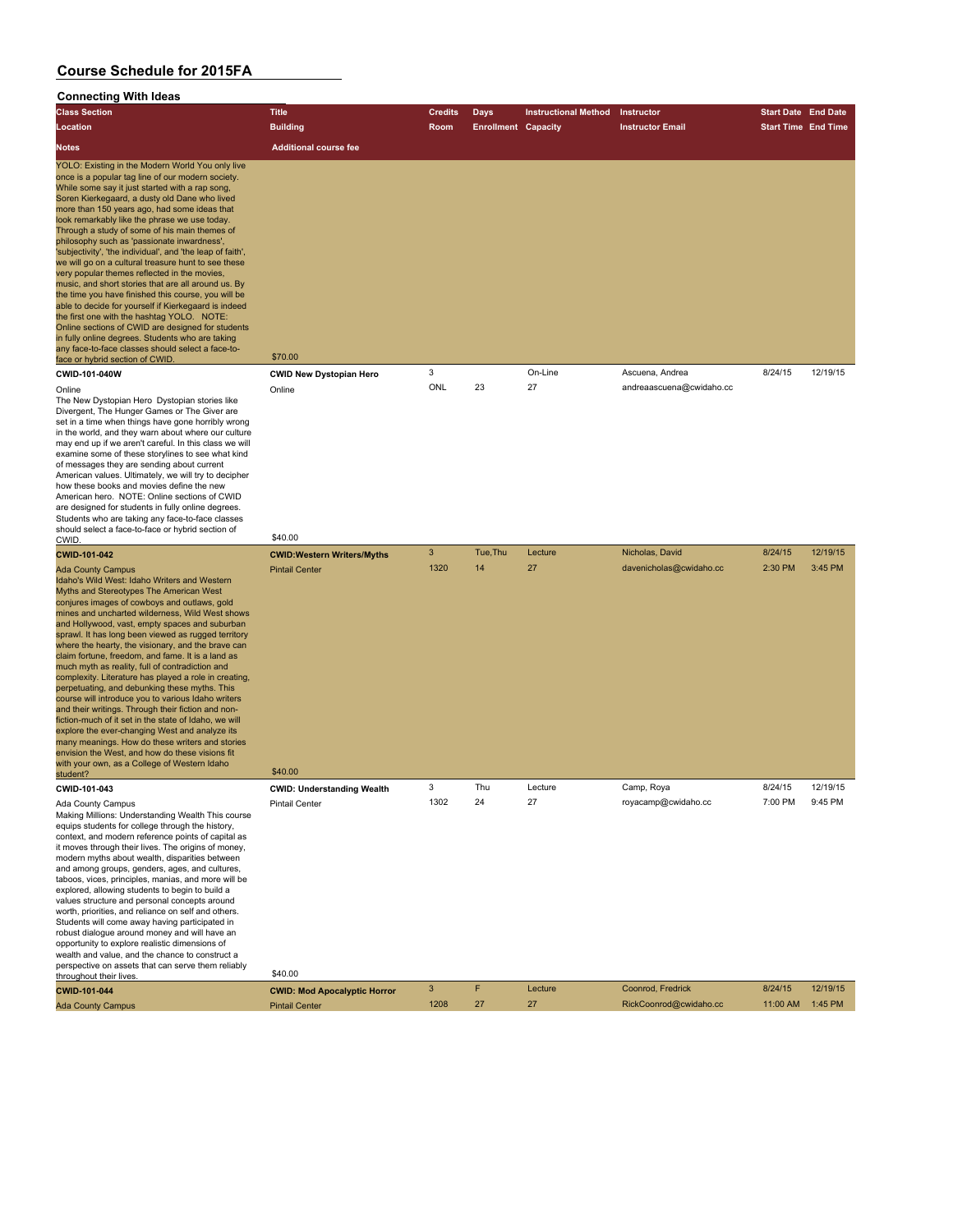#### **Connecting With Ideas**

| <b>Class Section</b>                                                                                                                                                                                                                                                                                                                                                                                                                                                                                                                                                                                                                                                                                                                                                                                                                                                                                                                                                                                 | <b>Title</b>                       | <b>Credits</b> | <b>Days</b>                | <b>Instructional Method</b> | Instructor               | <b>Start Date End Date</b> |          |
|------------------------------------------------------------------------------------------------------------------------------------------------------------------------------------------------------------------------------------------------------------------------------------------------------------------------------------------------------------------------------------------------------------------------------------------------------------------------------------------------------------------------------------------------------------------------------------------------------------------------------------------------------------------------------------------------------------------------------------------------------------------------------------------------------------------------------------------------------------------------------------------------------------------------------------------------------------------------------------------------------|------------------------------------|----------------|----------------------------|-----------------------------|--------------------------|----------------------------|----------|
| Location                                                                                                                                                                                                                                                                                                                                                                                                                                                                                                                                                                                                                                                                                                                                                                                                                                                                                                                                                                                             | <b>Building</b>                    | <b>Room</b>    | <b>Enrollment Capacity</b> |                             | <b>Instructor Email</b>  | <b>Start Time End Time</b> |          |
| <b>Notes</b>                                                                                                                                                                                                                                                                                                                                                                                                                                                                                                                                                                                                                                                                                                                                                                                                                                                                                                                                                                                         | <b>Additional course fee</b>       |                |                            |                             |                          |                            |          |
| YOLO: Existing in the Modern World You only live<br>once is a popular tag line of our modern society.<br>While some say it just started with a rap song,<br>Soren Kierkegaard, a dusty old Dane who lived<br>more than 150 years ago, had some ideas that<br>look remarkably like the phrase we use today.<br>Through a study of some of his main themes of<br>philosophy such as 'passionate inwardness',<br>'subjectivity', 'the individual', and 'the leap of faith',<br>we will go on a cultural treasure hunt to see these<br>very popular themes reflected in the movies.<br>music, and short stories that are all around us. By<br>the time you have finished this course, you will be<br>able to decide for yourself if Kierkegaard is indeed<br>the first one with the hashtag YOLO. NOTE:<br>Online sections of CWID are designed for students<br>in fully online degrees. Students who are taking<br>any face-to-face classes should select a face-to-<br>face or hybrid section of CWID. | \$70.00                            |                |                            |                             |                          |                            |          |
| CWID-101-040W                                                                                                                                                                                                                                                                                                                                                                                                                                                                                                                                                                                                                                                                                                                                                                                                                                                                                                                                                                                        | <b>CWID New Dystopian Hero</b>     | 3              |                            | On-Line                     | Ascuena, Andrea          | 8/24/15                    | 12/19/15 |
| Online<br>The New Dystopian Hero Dystopian stories like<br>Divergent, The Hunger Games or The Giver are<br>set in a time when things have gone horribly wrong<br>in the world, and they warn about where our culture<br>may end up if we aren't careful. In this class we will<br>examine some of these storylines to see what kind<br>of messages they are sending about current<br>American values. Ultimately, we will try to decipher<br>how these books and movies define the new<br>American hero. NOTE: Online sections of CWID<br>are designed for students in fully online degrees.<br>Students who are taking any face-to-face classes<br>should select a face-to-face or hybrid section of<br>CWID.                                                                                                                                                                                                                                                                                       | Online<br>\$40.00                  | ONL            | 23                         | 27                          | andreaascuena@cwidaho.cc |                            |          |
| CWID-101-042                                                                                                                                                                                                                                                                                                                                                                                                                                                                                                                                                                                                                                                                                                                                                                                                                                                                                                                                                                                         | <b>CWID: Western Writers/Myths</b> | 3              | Tue.Thu                    | Lecture                     | Nicholas, David          | 8/24/15                    | 12/19/15 |
| <b>Ada County Campus</b><br>Idaho's Wild West: Idaho Writers and Western<br>Myths and Stereotypes The American West                                                                                                                                                                                                                                                                                                                                                                                                                                                                                                                                                                                                                                                                                                                                                                                                                                                                                  | <b>Pintail Center</b>              | 1320           | 14                         | 27                          | davenicholas@cwidaho.cc  | 2:30 PM                    | 3:45 PM  |

Myths and Stereotypes The American West conjures images of cowboys and outlaws, gold mines and uncharted wilderness, Wild West shows and Hollywood, vast, empty spaces and suburban sprawl. It has long been viewed as rugged territory where the hearty, the visionary, and the brave can claim fortune, freedom, and fame. It is a land as much myth as reality, full of contradiction and complexity. Literature has played a role in creating, perpetuating, and debunking these myths. This course will introduce you to various Idaho writers and their writings. Through their fiction and non-fiction-much of it set in the state of Idaho, we will explore the ever-changing West and analyze its many meanings. How do these writers and stories envision the West, and how do these visions fit with your own, as a College of Western Idaho with your own, as a college of western identity and the \$40.00 student?

Making Millions: Understanding Wealth This course equips students for college through the history, context, and modern reference points of capital as it moves through their lives. The origins of money, modern myths about wealth, disparities between and among groups, genders, ages, and cultures, taboos, vices, principles, manias, and more will be explored, allowing students to begin to build a values structure and personal concepts around worth, priorities, and reliance on self and others. Students will come away having participated in robust dialogue around money and will have an opportunity to explore realistic dimensions of wealth and value, and the chance to construct a perspective on assets that can serve them reliably perspective on assets that can serve them reliably<br>throughout their lives. \$40.00

**CWID-101-043 CWID: Understanding Wealth** 3 Thu Lecture Camp, Roya 8/24/15 12/19/15 Ada County Campus **Ada County Campus** Pintail Center 1302 24 27 royacamp@cwidaho.cc

| <b>CWID-101-044</b>      | <b>CWID: Mod Apocalyptic Horror</b> |      | Lecture | Coonrod, Fredrick      | 8/24/15          | 12/19/15 |
|--------------------------|-------------------------------------|------|---------|------------------------|------------------|----------|
| <b>Ada County Campus</b> | <b>Pintail Center</b>               | 1208 |         | RickCoonrod@cwidaho.cc | 11:00 AM 1:45 PM |          |
|                          |                                     |      |         |                        |                  |          |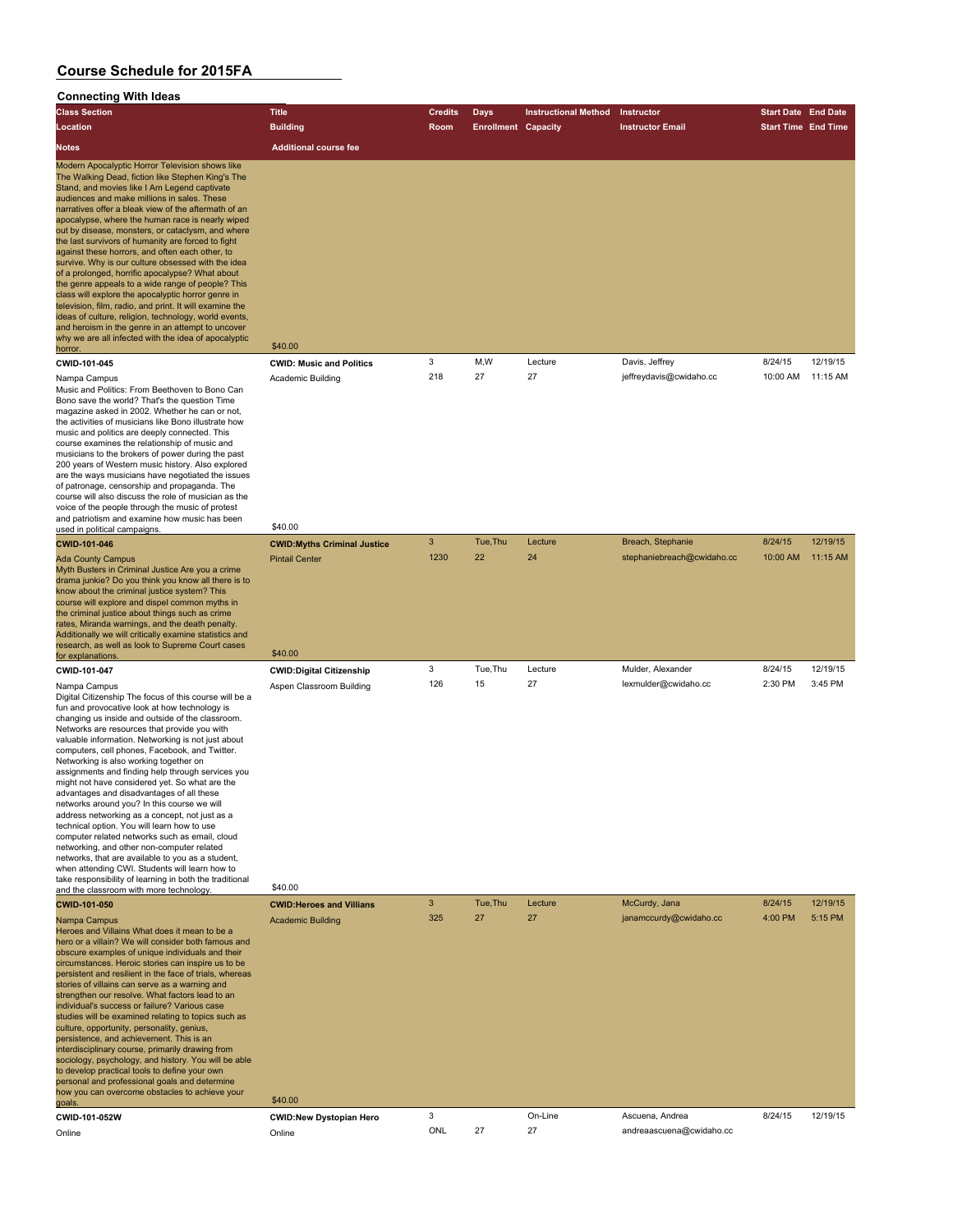#### **Connecting With Ideas**

| oonnecung with ideas<br><b>Class Section</b>                                                                                                                                                                                                                                                                                                                                                                                                                                                                                                                                                                                                                                                                                                                                                                                                                                                                                                                                                                   | <b>Title</b>                                                           | <b>Credits</b> | <b>Days</b>                | <b>Instructional Method</b> | Instructor                                | <b>Start Date End Date</b> |                     |
|----------------------------------------------------------------------------------------------------------------------------------------------------------------------------------------------------------------------------------------------------------------------------------------------------------------------------------------------------------------------------------------------------------------------------------------------------------------------------------------------------------------------------------------------------------------------------------------------------------------------------------------------------------------------------------------------------------------------------------------------------------------------------------------------------------------------------------------------------------------------------------------------------------------------------------------------------------------------------------------------------------------|------------------------------------------------------------------------|----------------|----------------------------|-----------------------------|-------------------------------------------|----------------------------|---------------------|
| Location                                                                                                                                                                                                                                                                                                                                                                                                                                                                                                                                                                                                                                                                                                                                                                                                                                                                                                                                                                                                       | <b>Building</b>                                                        | Room           | <b>Enrollment Capacity</b> |                             | <b>Instructor Email</b>                   | <b>Start Time End Time</b> |                     |
| <b>Notes</b>                                                                                                                                                                                                                                                                                                                                                                                                                                                                                                                                                                                                                                                                                                                                                                                                                                                                                                                                                                                                   | <b>Additional course fee</b>                                           |                |                            |                             |                                           |                            |                     |
| Modern Apocalyptic Horror Television shows like<br>The Walking Dead, fiction like Stephen King's The<br>Stand, and movies like I Am Legend captivate<br>audiences and make millions in sales. These<br>narratives offer a bleak view of the aftermath of an<br>apocalypse, where the human race is nearly wiped<br>out by disease, monsters, or cataclysm, and where<br>the last survivors of humanity are forced to fight<br>against these horrors, and often each other, to<br>survive. Why is our culture obsessed with the idea<br>of a prolonged, horrific apocalypse? What about<br>the genre appeals to a wide range of people? This<br>class will explore the apocalyptic horror genre in<br>television, film, radio, and print. It will examine the<br>ideas of culture, religion, technology, world events,<br>and heroism in the genre in an attempt to uncover<br>why we are all infected with the idea of apocalyptic<br>horror.                                                                  | \$40.00                                                                |                |                            |                             |                                           |                            |                     |
| CWID-101-045                                                                                                                                                                                                                                                                                                                                                                                                                                                                                                                                                                                                                                                                                                                                                                                                                                                                                                                                                                                                   | <b>CWID: Music and Politics</b>                                        | 3              | M,W                        | Lecture                     | Davis, Jeffrey                            | 8/24/15                    | 12/19/15            |
| Nampa Campus<br>Music and Politics: From Beethoven to Bono Can<br>Bono save the world? That's the question Time<br>magazine asked in 2002. Whether he can or not,<br>the activities of musicians like Bono illustrate how<br>music and politics are deeply connected. This<br>course examines the relationship of music and<br>musicians to the brokers of power during the past<br>200 years of Western music history. Also explored<br>are the ways musicians have negotiated the issues<br>of patronage, censorship and propaganda. The<br>course will also discuss the role of musician as the<br>voice of the people through the music of protest<br>and patriotism and examine how music has been                                                                                                                                                                                                                                                                                                        | Academic Building<br>\$40.00                                           | 218            | 27                         | 27                          | jeffreydavis@cwidaho.cc                   | 10:00 AM                   | 11:15 AM            |
| used in political campaigns.<br>CWID-101-046                                                                                                                                                                                                                                                                                                                                                                                                                                                                                                                                                                                                                                                                                                                                                                                                                                                                                                                                                                   | <b>CWID:Myths Criminal Justice</b>                                     | $\mathbf{3}$   | Tue, Thu                   | Lecture                     | Breach, Stephanie                         | 8/24/15                    | 12/19/15            |
| <b>Ada County Campus</b><br>Myth Busters in Criminal Justice Are you a crime<br>drama junkie? Do you think you know all there is to<br>know about the criminal justice system? This<br>course will explore and dispel common myths in<br>the criminal justice about things such as crime<br>rates, Miranda warnings, and the death penalty.<br>Additionally we will critically examine statistics and<br>research, as well as look to Supreme Court cases                                                                                                                                                                                                                                                                                                                                                                                                                                                                                                                                                      | <b>Pintail Center</b>                                                  | 1230           | 22                         | 24                          | stephaniebreach@cwidaho.cc                | 10:00 AM                   | 11:15 AM            |
| for explanations                                                                                                                                                                                                                                                                                                                                                                                                                                                                                                                                                                                                                                                                                                                                                                                                                                                                                                                                                                                               | \$40.00                                                                |                |                            |                             |                                           |                            |                     |
| CWID-101-047<br>Nampa Campus<br>Digital Citizenship The focus of this course will be a<br>fun and provocative look at how technology is<br>changing us inside and outside of the classroom.<br>Networks are resources that provide you with<br>valuable information. Networking is not just about<br>computers, cell phones, Facebook, and Twitter.<br>Networking is also working together on<br>assignments and finding help through services you<br>might not have considered yet. So what are the<br>advantages and disadvantages of all these<br>networks around you? In this course we will<br>address networking as a concept, not just as a<br>technical option. You will learn how to use<br>computer related networks such as email, cloud<br>networking, and other non-computer related<br>networks, that are available to you as a student,<br>when attending CWI. Students will learn how to<br>take responsibility of learning in both the traditional<br>and the classroom with more technology. | <b>CWID:Digital Citizenship</b><br>Aspen Classroom Building<br>\$40.00 | 3<br>126       | Tue, Thu<br>15             | Lecture<br>27               | Mulder, Alexander<br>lexmulder@cwidaho.cc | 8/24/15<br>2:30 PM         | 12/19/15<br>3:45 PM |
| CWID-101-050                                                                                                                                                                                                                                                                                                                                                                                                                                                                                                                                                                                                                                                                                                                                                                                                                                                                                                                                                                                                   | <b>CWID:Heroes and Villians</b>                                        | $\mathbf{3}$   | Tue, Thu                   | Lecture                     | McCurdy, Jana                             | 8/24/15                    | 12/19/15            |
| Nampa Campus<br>Heroes and Villains What does it mean to be a<br>hero or a villain? We will consider both famous and<br>obscure examples of unique individuals and their<br>circumstances. Heroic stories can inspire us to be<br>persistent and resilient in the face of trials, whereas<br>stories of villains can serve as a warning and<br>strengthen our resolve. What factors lead to an<br>individual's success or failure? Various case<br>studies will be examined relating to topics such as<br>culture, opportunity, personality, genius,<br>persistence, and achievement. This is an<br>interdisciplinary course, primarily drawing from<br>sociology, psychology, and history. You will be able<br>to develop practical tools to define your own<br>personal and professional goals and determine<br>how you can overcome obstacles to achieve your<br>goals.                                                                                                                                     | <b>Academic Building</b><br>\$40.00                                    | 325            | 27                         | 27                          | janamccurdy@cwidaho.cc                    | 4:00 PM                    | 5:15 PM             |
| CWID-101-052W                                                                                                                                                                                                                                                                                                                                                                                                                                                                                                                                                                                                                                                                                                                                                                                                                                                                                                                                                                                                  | <b>CWID:New Dystopian Hero</b>                                         | 3              |                            | On-Line                     | Ascuena, Andrea                           | 8/24/15                    | 12/19/15            |
| Online                                                                                                                                                                                                                                                                                                                                                                                                                                                                                                                                                                                                                                                                                                                                                                                                                                                                                                                                                                                                         | Online                                                                 | ONL            | 27                         | 27                          | andreaascuena@cwidaho.cc                  |                            |                     |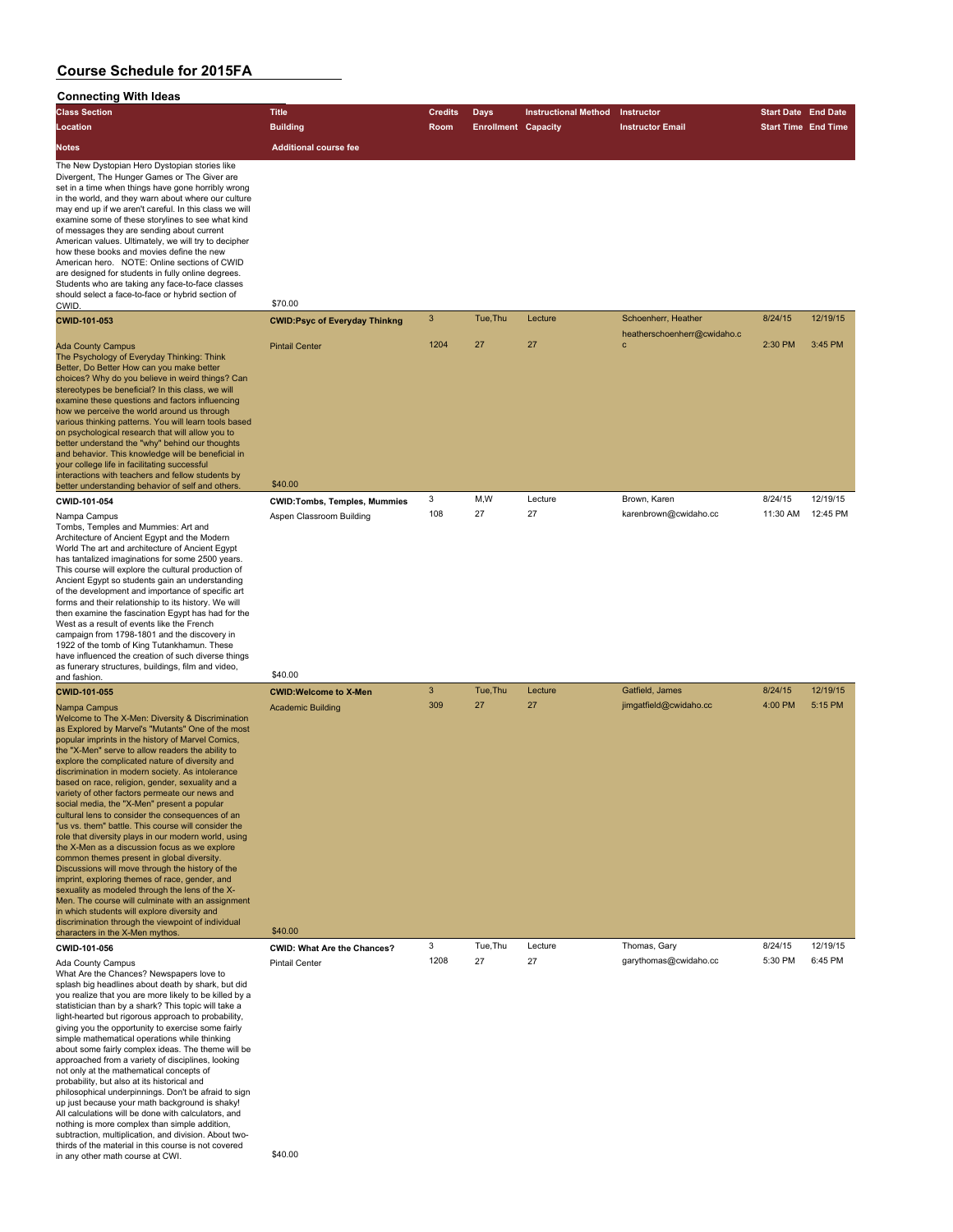#### **Connecting With Ideas**

| <b>Class Section</b>                                                                                                                                                                                                                                                                                                                                                                                                                                                                                                                                                                                                                                                                                                                                                                                                                                                                                                                                                                                                                                                                                                                 | <b>Title</b>                                                         | <b>Credits</b>                   | <b>Days</b>                | <b>Instructional Method</b> | Instructor                                 | <b>Start Date End Date</b> |                      |
|--------------------------------------------------------------------------------------------------------------------------------------------------------------------------------------------------------------------------------------------------------------------------------------------------------------------------------------------------------------------------------------------------------------------------------------------------------------------------------------------------------------------------------------------------------------------------------------------------------------------------------------------------------------------------------------------------------------------------------------------------------------------------------------------------------------------------------------------------------------------------------------------------------------------------------------------------------------------------------------------------------------------------------------------------------------------------------------------------------------------------------------|----------------------------------------------------------------------|----------------------------------|----------------------------|-----------------------------|--------------------------------------------|----------------------------|----------------------|
| Location                                                                                                                                                                                                                                                                                                                                                                                                                                                                                                                                                                                                                                                                                                                                                                                                                                                                                                                                                                                                                                                                                                                             | <b>Building</b>                                                      | Room                             | <b>Enrollment Capacity</b> |                             | <b>Instructor Email</b>                    | <b>Start Time End Time</b> |                      |
| <b>Notes</b>                                                                                                                                                                                                                                                                                                                                                                                                                                                                                                                                                                                                                                                                                                                                                                                                                                                                                                                                                                                                                                                                                                                         | <b>Additional course fee</b>                                         |                                  |                            |                             |                                            |                            |                      |
| The New Dystopian Hero Dystopian stories like<br>Divergent, The Hunger Games or The Giver are<br>set in a time when things have gone horribly wrong<br>in the world, and they warn about where our culture<br>may end up if we aren't careful. In this class we will<br>examine some of these storylines to see what kind<br>of messages they are sending about current<br>American values. Ultimately, we will try to decipher<br>how these books and movies define the new<br>American hero. NOTE: Online sections of CWID<br>are designed for students in fully online degrees.<br>Students who are taking any face-to-face classes<br>should select a face-to-face or hybrid section of<br>CWID.                                                                                                                                                                                                                                                                                                                                                                                                                                 | \$70.00                                                              |                                  |                            |                             |                                            |                            |                      |
| CWID-101-053                                                                                                                                                                                                                                                                                                                                                                                                                                                                                                                                                                                                                                                                                                                                                                                                                                                                                                                                                                                                                                                                                                                         | <b>CWID:Psyc of Everyday Thinkng</b>                                 | $\mathbf{3}$                     | Tue, Thu                   | Lecture                     | Schoenherr, Heather                        | 8/24/15                    | 12/19/15             |
| <b>Ada County Campus</b><br>The Psychology of Everyday Thinking: Think<br>Better, Do Better How can you make better<br>choices? Why do you believe in weird things? Can<br>stereotypes be beneficial? In this class, we will<br>examine these questions and factors influencing<br>how we perceive the world around us through<br>various thinking patterns. You will learn tools based<br>on psychological research that will allow you to<br>better understand the "why" behind our thoughts<br>and behavior. This knowledge will be beneficial in<br>your college life in facilitating successful<br>interactions with teachers and fellow students by                                                                                                                                                                                                                                                                                                                                                                                                                                                                            | <b>Pintail Center</b>                                                | 1204                             | 27                         | 27                          | heatherschoenherr@cwidaho.c<br>$\mathbf c$ | 2:30 PM                    | 3:45 PM              |
| better understanding behavior of self and others.                                                                                                                                                                                                                                                                                                                                                                                                                                                                                                                                                                                                                                                                                                                                                                                                                                                                                                                                                                                                                                                                                    | \$40.00                                                              |                                  |                            |                             |                                            |                            |                      |
| CWID-101-054<br>Nampa Campus<br>Tombs, Temples and Mummies: Art and<br>Architecture of Ancient Egypt and the Modern<br>World The art and architecture of Ancient Egypt<br>has tantalized imaginations for some 2500 years.<br>This course will explore the cultural production of<br>Ancient Egypt so students gain an understanding<br>of the development and importance of specific art<br>forms and their relationship to its history. We will<br>then examine the fascination Egypt has had for the<br>West as a result of events like the French<br>campaign from 1798-1801 and the discovery in<br>1922 of the tomb of King Tutankhamun. These<br>have influenced the creation of such diverse things                                                                                                                                                                                                                                                                                                                                                                                                                          | <b>CWID:Tombs, Temples, Mummies</b><br>Aspen Classroom Building      | 3<br>108                         | M,W<br>27                  | Lecture<br>27               | Brown, Karen<br>karenbrown@cwidaho.cc      | 8/24/15<br>11:30 AM        | 12/19/15<br>12:45 PM |
| as funerary structures, buildings, film and video,                                                                                                                                                                                                                                                                                                                                                                                                                                                                                                                                                                                                                                                                                                                                                                                                                                                                                                                                                                                                                                                                                   |                                                                      |                                  |                            |                             |                                            |                            |                      |
| and fashion.                                                                                                                                                                                                                                                                                                                                                                                                                                                                                                                                                                                                                                                                                                                                                                                                                                                                                                                                                                                                                                                                                                                         | \$40.00                                                              |                                  |                            |                             |                                            |                            |                      |
| CWID-101-055<br>Nampa Campus<br>Welcome to The X-Men: Diversity & Discrimination<br>as Explored by Marvel's "Mutants" One of the most<br>popular imprints in the history of Marvel Comics,<br>the "X-Men" serve to allow readers the ability to<br>explore the complicated nature of diversity and<br>discrimination in modern society. As intolerance<br>based on race, religion, gender, sexuality and a<br>variety of other factors permeate our news and<br>social media, the "X-Men" present a popular<br>cultural lens to consider the consequences of an<br>"us vs. them" battle. This course will consider the<br>role that diversity plays in our modern world, using<br>the X-Men as a discussion focus as we explore<br>common themes present in global diversity.<br>Discussions will move through the history of the<br>imprint, exploring themes of race, gender, and<br>sexuality as modeled through the lens of the X-<br>Men. The course will culminate with an assignment<br>in which students will explore diversity and<br>discrimination through the viewpoint of individual<br>characters in the X-Men mythos. | <b>CWID: Welcome to X-Men</b><br><b>Academic Building</b><br>\$40.00 | $\ensuremath{\mathsf{3}}$<br>309 | Tue, Thu<br>27             | Lecture<br>27               | Gatfield, James<br>jimgatfield@cwidaho.cc  | 8/24/15<br>4:00 PM         | 12/19/15<br>5:15 PM  |
| CWID-101-056                                                                                                                                                                                                                                                                                                                                                                                                                                                                                                                                                                                                                                                                                                                                                                                                                                                                                                                                                                                                                                                                                                                         | <b>CWID: What Are the Chances?</b>                                   | 3                                | Tue, Thu                   | Lecture                     | Thomas, Gary                               | 8/24/15                    | 12/19/15             |
| Ada County Campus<br>What Are the Chances? Newspapers love to<br>splash big headlines about death by shark, but did<br>you realize that you are more likely to be killed by a<br>statistician than by a shark? This topic will take a<br>light-hearted but rigorous approach to probability,<br>giving you the opportunity to exercise some fairly<br>simple mathematical operations while thinking<br>about some fairly complex ideas. The theme will be<br>approached from a variety of disciplines, looking<br>not only at the mathematical concepts of<br>probability, but also at its historical and<br>philosophical underpinnings. Don't be afraid to sign<br>up just because your math background is shaky!<br>All calculations will be done with calculators, and<br>nothing is more complex than simple addition,<br>subtraction, multiplication, and division. About two-<br>thirds of the material in this course is not covered<br>in any other math course at CWI.                                                                                                                                                     | <b>Pintail Center</b><br>\$40.00                                     | 1208                             | 27                         | 27                          | garythomas@cwidaho.cc                      | 5:30 PM                    | 6:45 PM              |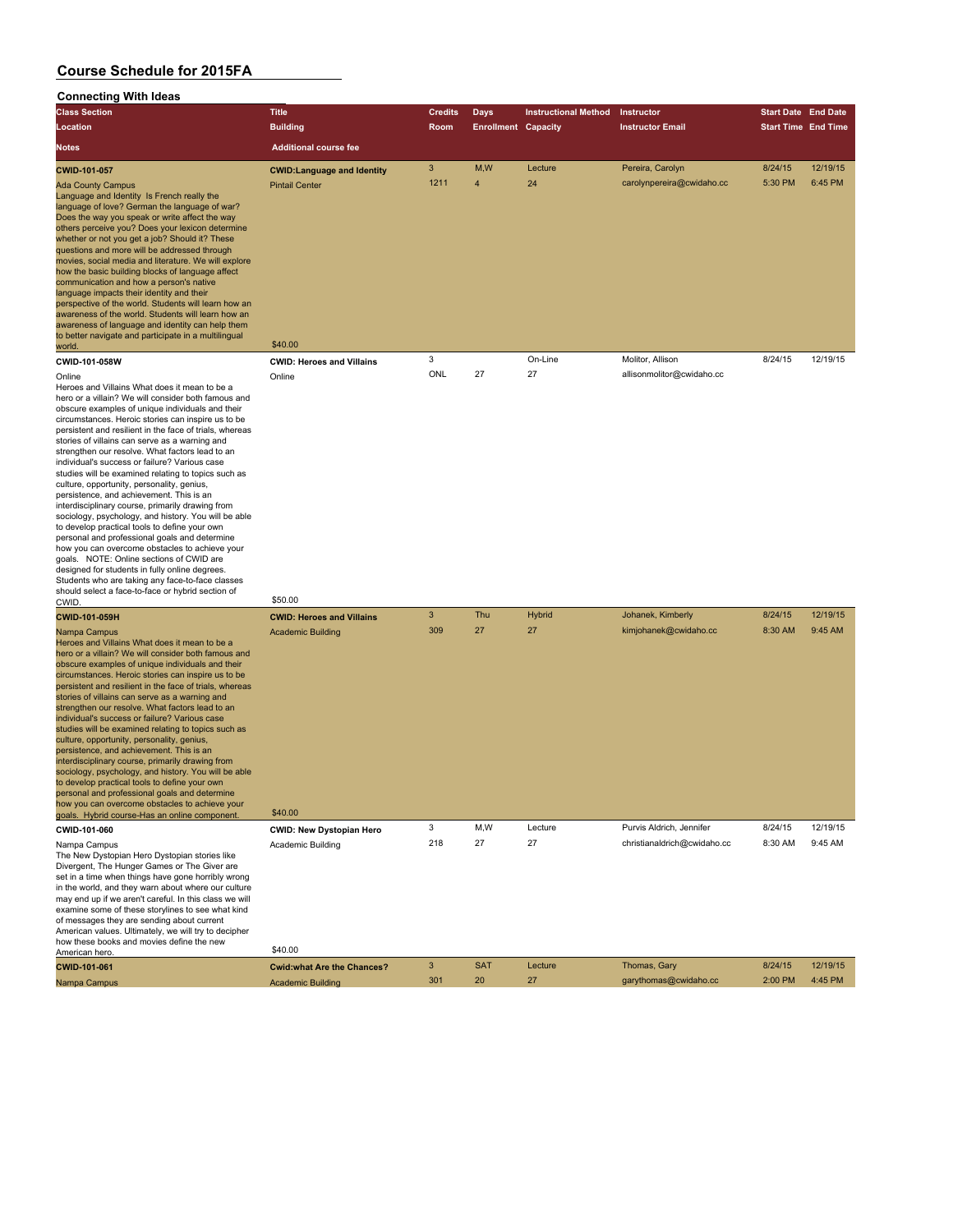| Connecting with ideas                                                                                                                                                                                                                                                                                                                                                                                                                                                                                                                                                                                                                                                                                                                                                                                                                                                                                                                                                                                                                                            |                                                               |                     |                            |                             |                                       |                            |          |
|------------------------------------------------------------------------------------------------------------------------------------------------------------------------------------------------------------------------------------------------------------------------------------------------------------------------------------------------------------------------------------------------------------------------------------------------------------------------------------------------------------------------------------------------------------------------------------------------------------------------------------------------------------------------------------------------------------------------------------------------------------------------------------------------------------------------------------------------------------------------------------------------------------------------------------------------------------------------------------------------------------------------------------------------------------------|---------------------------------------------------------------|---------------------|----------------------------|-----------------------------|---------------------------------------|----------------------------|----------|
| <b>Class Section</b>                                                                                                                                                                                                                                                                                                                                                                                                                                                                                                                                                                                                                                                                                                                                                                                                                                                                                                                                                                                                                                             | <b>Title</b>                                                  | <b>Credits</b>      | <b>Days</b>                | <b>Instructional Method</b> | Instructor                            | <b>Start Date End Date</b> |          |
| <b>Location</b>                                                                                                                                                                                                                                                                                                                                                                                                                                                                                                                                                                                                                                                                                                                                                                                                                                                                                                                                                                                                                                                  | <b>Building</b>                                               | Room                | <b>Enrollment Capacity</b> |                             | <b>Instructor Email</b>               | <b>Start Time End Time</b> |          |
| Notes                                                                                                                                                                                                                                                                                                                                                                                                                                                                                                                                                                                                                                                                                                                                                                                                                                                                                                                                                                                                                                                            | <b>Additional course fee</b>                                  |                     |                            |                             |                                       |                            |          |
| <b>CWID-101-057</b>                                                                                                                                                                                                                                                                                                                                                                                                                                                                                                                                                                                                                                                                                                                                                                                                                                                                                                                                                                                                                                              | <b>CWID:Language and Identity</b>                             | $\mathbf{3}$        | M,W                        | Lecture                     | Pereira, Carolyn                      | 8/24/15                    | 12/19/15 |
| <b>Ada County Campus</b><br>Language and Identity Is French really the<br>language of love? German the language of war?<br>Does the way you speak or write affect the way<br>others perceive you? Does your lexicon determine<br>whether or not you get a job? Should it? These<br>questions and more will be addressed through<br>movies, social media and literature. We will explore<br>how the basic building blocks of language affect<br>communication and how a person's native<br>language impacts their identity and their<br>perspective of the world. Students will learn how an<br>awareness of the world. Students will learn how an<br>awareness of language and identity can help them<br>to better navigate and participate in a multilingual<br>world.                                                                                                                                                                                                                                                                                          | <b>Pintail Center</b><br>\$40.00                              | 1211                | $\overline{4}$             | 24                          | carolynpereira@cwidaho.cc             | 5:30 PM                    | 6:45 PM  |
| CWID-101-058W                                                                                                                                                                                                                                                                                                                                                                                                                                                                                                                                                                                                                                                                                                                                                                                                                                                                                                                                                                                                                                                    | <b>CWID: Heroes and Villains</b>                              | 3                   |                            | On-Line                     | Molitor, Allison                      | 8/24/15                    | 12/19/15 |
| Online                                                                                                                                                                                                                                                                                                                                                                                                                                                                                                                                                                                                                                                                                                                                                                                                                                                                                                                                                                                                                                                           | Online                                                        | ONL                 | 27                         | 27                          | allisonmolitor@cwidaho.cc             |                            |          |
| Heroes and Villains What does it mean to be a<br>hero or a villain? We will consider both famous and<br>obscure examples of unique individuals and their<br>circumstances. Heroic stories can inspire us to be<br>persistent and resilient in the face of trials, whereas<br>stories of villains can serve as a warning and<br>strengthen our resolve. What factors lead to an<br>individual's success or failure? Various case<br>studies will be examined relating to topics such as<br>culture, opportunity, personality, genius,<br>persistence, and achievement. This is an<br>interdisciplinary course, primarily drawing from<br>sociology, psychology, and history. You will be able<br>to develop practical tools to define your own<br>personal and professional goals and determine<br>how you can overcome obstacles to achieve your<br>goals. NOTE: Online sections of CWID are<br>designed for students in fully online degrees.<br>Students who are taking any face-to-face classes<br>should select a face-to-face or hybrid section of<br>CWID. | \$50.00                                                       |                     |                            |                             |                                       |                            |          |
| CWID-101-059H                                                                                                                                                                                                                                                                                                                                                                                                                                                                                                                                                                                                                                                                                                                                                                                                                                                                                                                                                                                                                                                    | <b>CWID: Heroes and Villains</b>                              | $\mathbf{3}$        | Thu                        | Hybrid                      | Johanek, Kimberly                     | 8/24/15                    | 12/19/15 |
| Nampa Campus<br>Heroes and Villains What does it mean to be a<br>hero or a villain? We will consider both famous and<br>obscure examples of unique individuals and their<br>circumstances. Heroic stories can inspire us to be<br>persistent and resilient in the face of trials, whereas<br>stories of villains can serve as a warning and<br>strengthen our resolve. What factors lead to an<br>individual's success or failure? Various case<br>studies will be examined relating to topics such as<br>culture, opportunity, personality, genius,<br>persistence, and achievement. This is an<br>interdisciplinary course, primarily drawing from<br>sociology, psychology, and history. You will be able<br>to develop practical tools to define your own<br>personal and professional goals and determine<br>how you can overcome obstacles to achieve your<br>goals. Hybrid course-Has an online component.                                                                                                                                                | <b>Academic Building</b><br>\$40.00                           | 309                 | 27                         | 27                          | kimjohanek@cwidaho.cc                 | 8:30 AM                    | 9:45 AM  |
| CWID-101-060                                                                                                                                                                                                                                                                                                                                                                                                                                                                                                                                                                                                                                                                                                                                                                                                                                                                                                                                                                                                                                                     | <b>CWID: New Dystopian Hero</b>                               | 3                   | M,W                        | Lecture                     | Purvis Aldrich, Jennifer              | 8/24/15                    | 12/19/15 |
| Nampa Campus<br>The New Dystopian Hero Dystopian stories like<br>Divergent, The Hunger Games or The Giver are<br>set in a time when things have gone horribly wrong<br>in the world, and they warn about where our culture<br>may end up if we aren't careful. In this class we will<br>examine some of these storylines to see what kind<br>of messages they are sending about current<br>American values. Ultimately, we will try to decipher<br>how these books and movies define the new                                                                                                                                                                                                                                                                                                                                                                                                                                                                                                                                                                     | Academic Building                                             | 218                 | 27                         | 27                          | christianaldrich@cwidaho.cc           | 8:30 AM                    | 9:45 AM  |
| American hero.                                                                                                                                                                                                                                                                                                                                                                                                                                                                                                                                                                                                                                                                                                                                                                                                                                                                                                                                                                                                                                                   | \$40.00                                                       |                     |                            |                             |                                       |                            | 12/19/15 |
| CWID-101-061<br>Nampa Campus                                                                                                                                                                                                                                                                                                                                                                                                                                                                                                                                                                                                                                                                                                                                                                                                                                                                                                                                                                                                                                     | <b>Cwid:what Are the Chances?</b><br><b>Academic Building</b> | $\mathbf{3}$<br>301 | <b>SAT</b><br>20           | Lecture<br>27               | Thomas, Gary<br>garythomas@cwidaho.cc | 8/24/15<br>2:00 PM         | 4:45 PM  |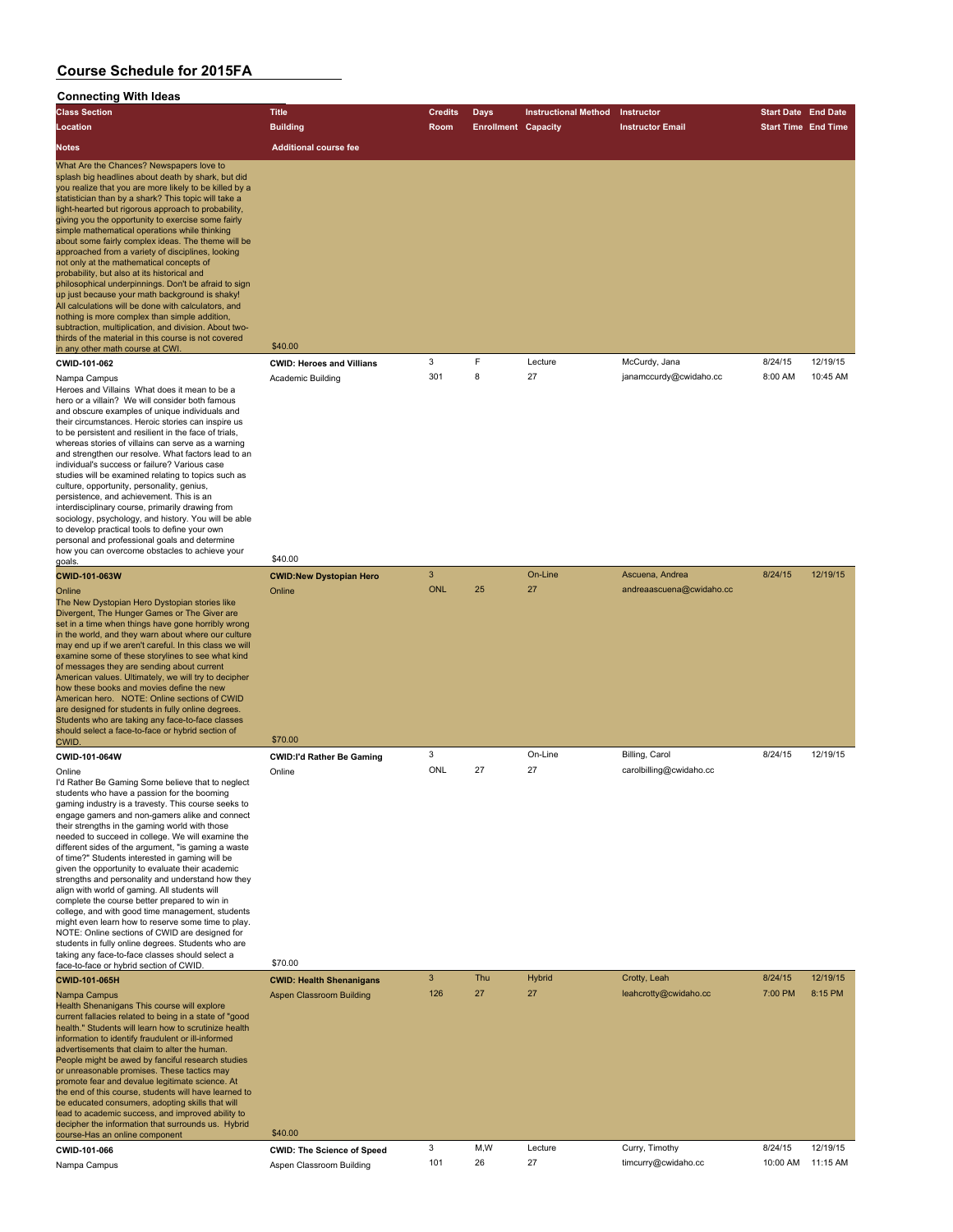#### **Connecting With Ideas**

| <b>Class Section</b>                                                                                                                                                                                                                                                                                                                                                                                                                                                                                                                                                                                                                                                                                                                                                                                                                                                                                                                                        | <b>Title</b>                     | <b>Credits</b> | Days                       | <b>Instructional Method</b> | <b>Instructor</b>       | <b>Start Date End Date</b> |          |
|-------------------------------------------------------------------------------------------------------------------------------------------------------------------------------------------------------------------------------------------------------------------------------------------------------------------------------------------------------------------------------------------------------------------------------------------------------------------------------------------------------------------------------------------------------------------------------------------------------------------------------------------------------------------------------------------------------------------------------------------------------------------------------------------------------------------------------------------------------------------------------------------------------------------------------------------------------------|----------------------------------|----------------|----------------------------|-----------------------------|-------------------------|----------------------------|----------|
| Location                                                                                                                                                                                                                                                                                                                                                                                                                                                                                                                                                                                                                                                                                                                                                                                                                                                                                                                                                    | <b>Building</b>                  | Room           | <b>Enrollment Capacity</b> |                             | <b>Instructor Email</b> | <b>Start Time End Time</b> |          |
| <b>Notes</b>                                                                                                                                                                                                                                                                                                                                                                                                                                                                                                                                                                                                                                                                                                                                                                                                                                                                                                                                                | <b>Additional course fee</b>     |                |                            |                             |                         |                            |          |
| What Are the Chances? Newspapers love to<br>splash big headlines about death by shark, but did<br>you realize that you are more likely to be killed by a<br>statistician than by a shark? This topic will take a<br>light-hearted but rigorous approach to probability.<br>giving you the opportunity to exercise some fairly<br>simple mathematical operations while thinking<br>about some fairly complex ideas. The theme will be<br>approached from a variety of disciplines, looking<br>not only at the mathematical concepts of<br>probability, but also at its historical and<br>philosophical underpinnings. Don't be afraid to sign<br>up just because your math background is shaky!<br>All calculations will be done with calculators, and<br>nothing is more complex than simple addition,<br>subtraction, multiplication, and division. About two-<br>thirds of the material in this course is not covered<br>in any other math course at CWI. | \$40.00                          |                |                            |                             |                         |                            |          |
| CWID-101-062                                                                                                                                                                                                                                                                                                                                                                                                                                                                                                                                                                                                                                                                                                                                                                                                                                                                                                                                                | <b>CWID: Heroes and Villians</b> | 3              | F                          | Lecture                     | McCurdy, Jana           | 8/24/15                    | 12/19/15 |
| Nampa Campus<br>Herees and Villains, What does it mean to be a                                                                                                                                                                                                                                                                                                                                                                                                                                                                                                                                                                                                                                                                                                                                                                                                                                                                                              | Academic Building                | 301            | 8                          | 27                          | janamccurdy@cwidaho.cc  | 8:00 AM                    | 10:45 AM |

Heroes and Villains What does it mean to be a hero or a villain? We will consider both famous and obscure examples of unique individuals and their circumstances. Heroic stories can inspire us to be persistent and resilient in the face of trials, whereas stories of villains can serve as a warning and strengthen our resolve. What factors lead to an individual's success or failure? Various case studies will be examined relating to topics such as culture, opportunity, personality, genius, persistence, and achievement. This is an interdisciplinary course, primarily drawing from sociology, psychology, and history. You will be able to develop practical tools to define your own personal and professional goals and determine how you can overcome obstacles to achieve your<br>goals. goals. \$40.00

I'd Rather Be Gaming Some believe that to neglect students who have a passion for the booming gaming industry is a travesty. This course seeks to engage gamers and non-gamers alike and connect their strengths in the gaming world with those needed to succeed in college. We will examine the different sides of the argument, "is gaming a waste of time?" Students interested in gaming will be given the opportunity to evaluate their academic strengths and personality and understand how they align with world of gaming. All students will complete the course better prepared to win in college, and with good time management, students might even learn how to reserve some time to play. NOTE: Online sections of CWID are designed for students in fully online degrees. Students who are taking any face-to-face classes should select a

face-to-face or hybrid section of CWID. \$70.00 **CWID-101-065H CWID: Health Shenanigans** 3 Thu Hybrid Crotty, Leah 8/24/15 12/19/15 Nampa Campus Aspen Classroom Building 126 27 27 27 leahcrotty@cwidaho.cc 7:00 PM 8:15 PM 8:15 PM Health Shenanigans This course will explore current fallacies related to being in a state of "good health." Students will learn how to scrutinize health information to identify fraudulent or ill-informed advertisements that claim to alter the human. People might be awed by fanciful research studies or unreasonable promises. These tactics may promote fear and devalue legitimate science. At the end of this course, students will have learned to be educated consumers, adopting skills that will lead to academic success, and improved ability to decipher the information that surrounds us. Hybrid course-Has an online component \$40.00 **CWID-101-066 CWID: The Science of Speed** 3 M,W Lecture Curry, Timothy 8/24/15 12/19/15 Nampa Campus **Aspen Classroom Building** 101 26 27 timcurry@cwidaho.cc 10:00 AM 11:15 AM

| CWID-101-063W                                                                                                                                                                                                                                                                                                                                                                                                                                                                                                                                                                                                                                                                                                  | <b>CWID:New Dystopian Hero</b>   | 3          |    | On-Line | Ascuena, Andrea          | 8/24/15 | 12/19/15 |
|----------------------------------------------------------------------------------------------------------------------------------------------------------------------------------------------------------------------------------------------------------------------------------------------------------------------------------------------------------------------------------------------------------------------------------------------------------------------------------------------------------------------------------------------------------------------------------------------------------------------------------------------------------------------------------------------------------------|----------------------------------|------------|----|---------|--------------------------|---------|----------|
| Online<br>The New Dystopian Hero Dystopian stories like<br>Divergent, The Hunger Games or The Giver are<br>set in a time when things have gone horribly wrong<br>in the world, and they warn about where our culture<br>may end up if we aren't careful. In this class we will<br>examine some of these storylines to see what kind<br>of messages they are sending about current<br>American values. Ultimately, we will try to decipher<br>how these books and movies define the new<br>American hero. NOTE: Online sections of CWID<br>are designed for students in fully online degrees.<br>Students who are taking any face-to-face classes<br>should select a face-to-face or hybrid section of<br>CWID. | Online<br>\$70.00                | <b>ONL</b> | 25 | 27      | andreaascuena@cwidaho.cc |         |          |
| CWID-101-064W                                                                                                                                                                                                                                                                                                                                                                                                                                                                                                                                                                                                                                                                                                  | <b>CWID:I'd Rather Be Gaming</b> | 3          |    | On-Line | Billing, Carol           | 8/24/15 | 12/19/15 |
| Online<br>I'd Rather Be Gaming Some believe that to neglect<br>students who have a passion for the booming<br>gaming industry is a travesty. This course seeks to<br>engage gamers and non-gamers alike and connect<br>their strenaths in the aamina world with those                                                                                                                                                                                                                                                                                                                                                                                                                                          | Online                           | ONL        | 27 | 27      | carolbilling@cwidaho.cc  |         |          |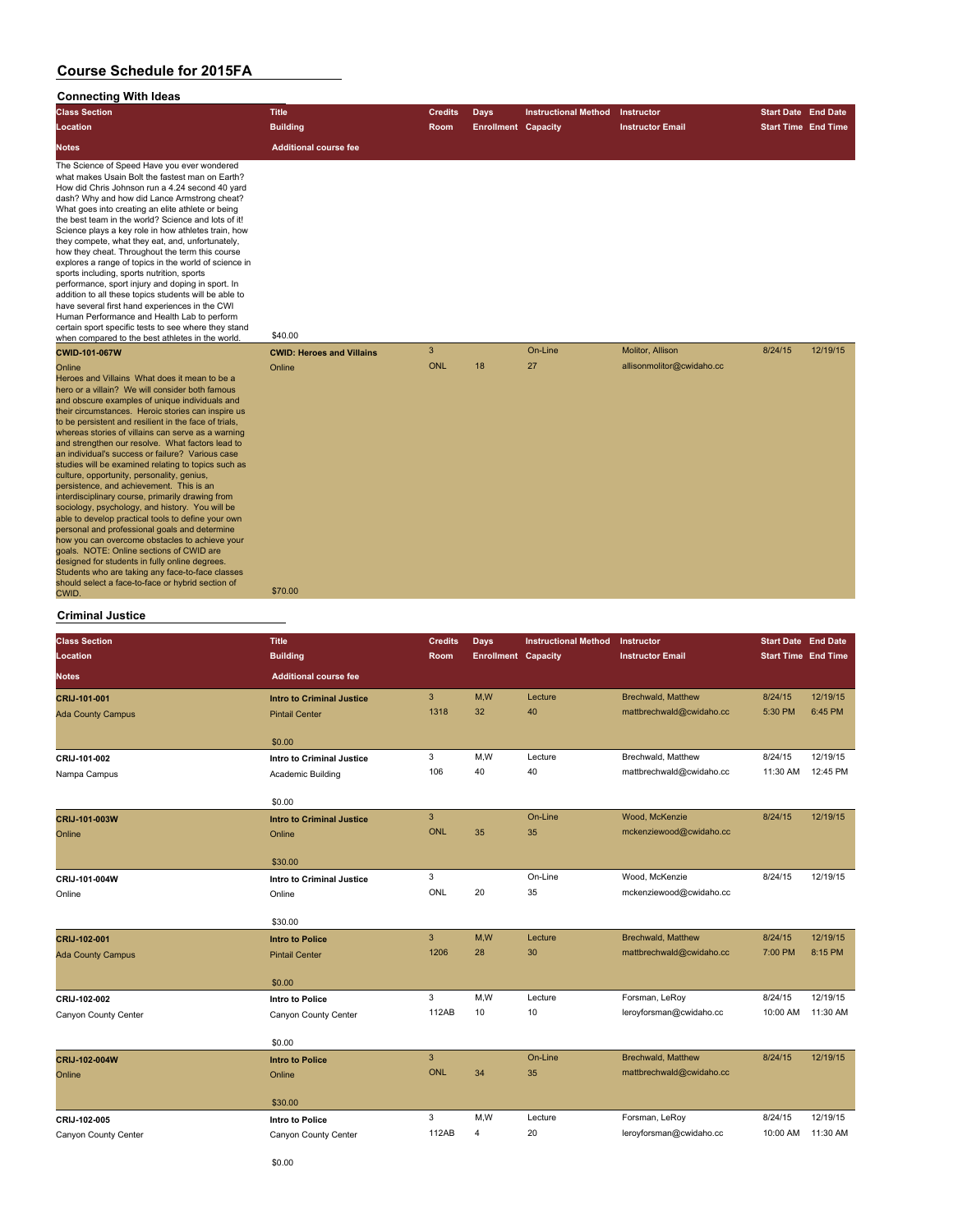#### **Connecting With Ideas**

| Comnecting With Ideas                                                                                                                                                                                                                                                                                                                                                                                                                                                                                                                                                                                                                                                                                                                                                                                                                                                                                                                                                                                                                                                      |                                  |                |                            |                             |                           |                            |          |
|----------------------------------------------------------------------------------------------------------------------------------------------------------------------------------------------------------------------------------------------------------------------------------------------------------------------------------------------------------------------------------------------------------------------------------------------------------------------------------------------------------------------------------------------------------------------------------------------------------------------------------------------------------------------------------------------------------------------------------------------------------------------------------------------------------------------------------------------------------------------------------------------------------------------------------------------------------------------------------------------------------------------------------------------------------------------------|----------------------------------|----------------|----------------------------|-----------------------------|---------------------------|----------------------------|----------|
| <b>Class Section</b>                                                                                                                                                                                                                                                                                                                                                                                                                                                                                                                                                                                                                                                                                                                                                                                                                                                                                                                                                                                                                                                       | <b>Title</b>                     | <b>Credits</b> | <b>Days</b>                | <b>Instructional Method</b> | Instructor                | <b>Start Date End Date</b> |          |
| Location                                                                                                                                                                                                                                                                                                                                                                                                                                                                                                                                                                                                                                                                                                                                                                                                                                                                                                                                                                                                                                                                   | <b>Building</b>                  | Room           | <b>Enrollment Capacity</b> |                             | <b>Instructor Email</b>   | <b>Start Time End Time</b> |          |
| <b>Notes</b>                                                                                                                                                                                                                                                                                                                                                                                                                                                                                                                                                                                                                                                                                                                                                                                                                                                                                                                                                                                                                                                               | <b>Additional course fee</b>     |                |                            |                             |                           |                            |          |
| The Science of Speed Have you ever wondered<br>what makes Usain Bolt the fastest man on Earth?<br>How did Chris Johnson run a 4.24 second 40 yard<br>dash? Why and how did Lance Armstrong cheat?<br>What goes into creating an elite athlete or being<br>the best team in the world? Science and lots of it!<br>Science plays a key role in how athletes train, how<br>they compete, what they eat, and, unfortunately,<br>how they cheat. Throughout the term this course<br>explores a range of topics in the world of science in<br>sports including, sports nutrition, sports<br>performance, sport injury and doping in sport. In<br>addition to all these topics students will be able to<br>have several first hand experiences in the CWI<br>Human Performance and Health Lab to perform<br>certain sport specific tests to see where they stand<br>when compared to the best athletes in the world.                                                                                                                                                              | \$40.00                          |                |                            |                             |                           |                            |          |
| <b>CWID-101-067W</b>                                                                                                                                                                                                                                                                                                                                                                                                                                                                                                                                                                                                                                                                                                                                                                                                                                                                                                                                                                                                                                                       | <b>CWID: Heroes and Villains</b> | $\mathbf{3}$   |                            | On-Line                     | Molitor, Allison          | 8/24/15                    | 12/19/15 |
| Online<br>Heroes and Villains What does it mean to be a<br>hero or a villain? We will consider both famous<br>and obscure examples of unique individuals and<br>their circumstances. Heroic stories can inspire us<br>to be persistent and resilient in the face of trials,<br>whereas stories of villains can serve as a warning<br>and strengthen our resolve. What factors lead to<br>an individual's success or failure? Various case<br>studies will be examined relating to topics such as<br>culture, opportunity, personality, genius,<br>persistence, and achievement. This is an<br>interdisciplinary course, primarily drawing from<br>sociology, psychology, and history. You will be<br>able to develop practical tools to define your own<br>personal and professional goals and determine<br>how you can overcome obstacles to achieve your<br>goals. NOTE: Online sections of CWID are<br>designed for students in fully online degrees.<br>Students who are taking any face-to-face classes<br>should select a face-to-face or hybrid section of<br>CWID. | Online<br>\$70.00                | <b>ONL</b>     | 18                         | 27                          | allisonmolitor@cwidaho.cc |                            |          |

#### **Criminal Justice**

| <b>Class Section</b>     | <b>Title</b>                     | <b>Credits</b> | Days                       | <b>Instructional Method</b> | Instructor                | <b>Start Date End Date</b> |          |
|--------------------------|----------------------------------|----------------|----------------------------|-----------------------------|---------------------------|----------------------------|----------|
| Location                 | <b>Building</b>                  | Room           | <b>Enrollment Capacity</b> |                             | <b>Instructor Email</b>   | <b>Start Time End Time</b> |          |
| <b>Notes</b>             | <b>Additional course fee</b>     |                |                            |                             |                           |                            |          |
| CRIJ-101-001             | <b>Intro to Criminal Justice</b> | 3              | M,W                        | Lecture                     | <b>Brechwald, Matthew</b> | 8/24/15                    | 12/19/15 |
| <b>Ada County Campus</b> | <b>Pintail Center</b>            | 1318           | 32                         | 40                          | mattbrechwald@cwidaho.cc  | 5:30 PM                    | 6:45 PM  |
|                          | \$0.00                           |                |                            |                             |                           |                            |          |
| CRIJ-101-002             | <b>Intro to Criminal Justice</b> | 3              | M,W                        | Lecture                     | Brechwald, Matthew        | 8/24/15                    | 12/19/15 |
| Nampa Campus             | Academic Building                | 106            | 40                         | 40                          | mattbrechwald@cwidaho.cc  | 11:30 AM                   | 12:45 PM |
|                          | \$0.00                           |                |                            |                             |                           |                            |          |
| CRIJ-101-003W            | <b>Intro to Criminal Justice</b> | 3              |                            | On-Line                     | Wood, McKenzie            | 8/24/15                    | 12/19/15 |
| Online                   | Online                           | <b>ONL</b>     | 35                         | 35                          | mckenziewood@cwidaho.cc   |                            |          |
|                          | \$30.00                          |                |                            |                             |                           |                            |          |
| CRIJ-101-004W            | <b>Intro to Criminal Justice</b> | 3              |                            | On-Line                     | Wood, McKenzie            | 8/24/15                    | 12/19/15 |
| Online                   | Online                           | ONL            | 20                         | 35                          | mckenziewood@cwidaho.cc   |                            |          |
|                          | \$30.00                          |                |                            |                             |                           |                            |          |
| CRIJ-102-001             | <b>Intro to Police</b>           | 3              | M,W                        | Lecture                     | <b>Brechwald, Matthew</b> | 8/24/15                    | 12/19/15 |
| <b>Ada County Campus</b> | <b>Pintail Center</b>            | 1206           | 28                         | 30                          | mattbrechwald@cwidaho.cc  | 7:00 PM                    | 8:15 PM  |
|                          | \$0.00                           |                |                            |                             |                           |                            |          |
| CRIJ-102-002             | <b>Intro to Police</b>           | 3              | M,W                        | Lecture                     | Forsman, LeRoy            | 8/24/15                    | 12/19/15 |
| Canyon County Center     | Canyon County Center             | 112AB          | 10                         | 10                          | leroyforsman@cwidaho.cc   | 10:00 AM                   | 11:30 AM |
|                          | \$0.00                           |                |                            |                             |                           |                            |          |
| CRIJ-102-004W            | <b>Intro to Police</b>           | 3              |                            | On-Line                     | Brechwald, Matthew        | 8/24/15                    | 12/19/15 |
| Online                   | Online                           | <b>ONL</b>     | 34                         | 35                          | mattbrechwald@cwidaho.cc  |                            |          |
|                          | \$30.00                          |                |                            |                             |                           |                            |          |
| CRIJ-102-005             | Intro to Police                  | 3              | M,W                        | Lecture                     | Forsman, LeRoy            | 8/24/15                    | 12/19/15 |
| Canyon County Center     | Canyon County Center             | 112AB          | 4                          | 20                          | leroyforsman@cwidaho.cc   | 10:00 AM                   | 11:30 AM |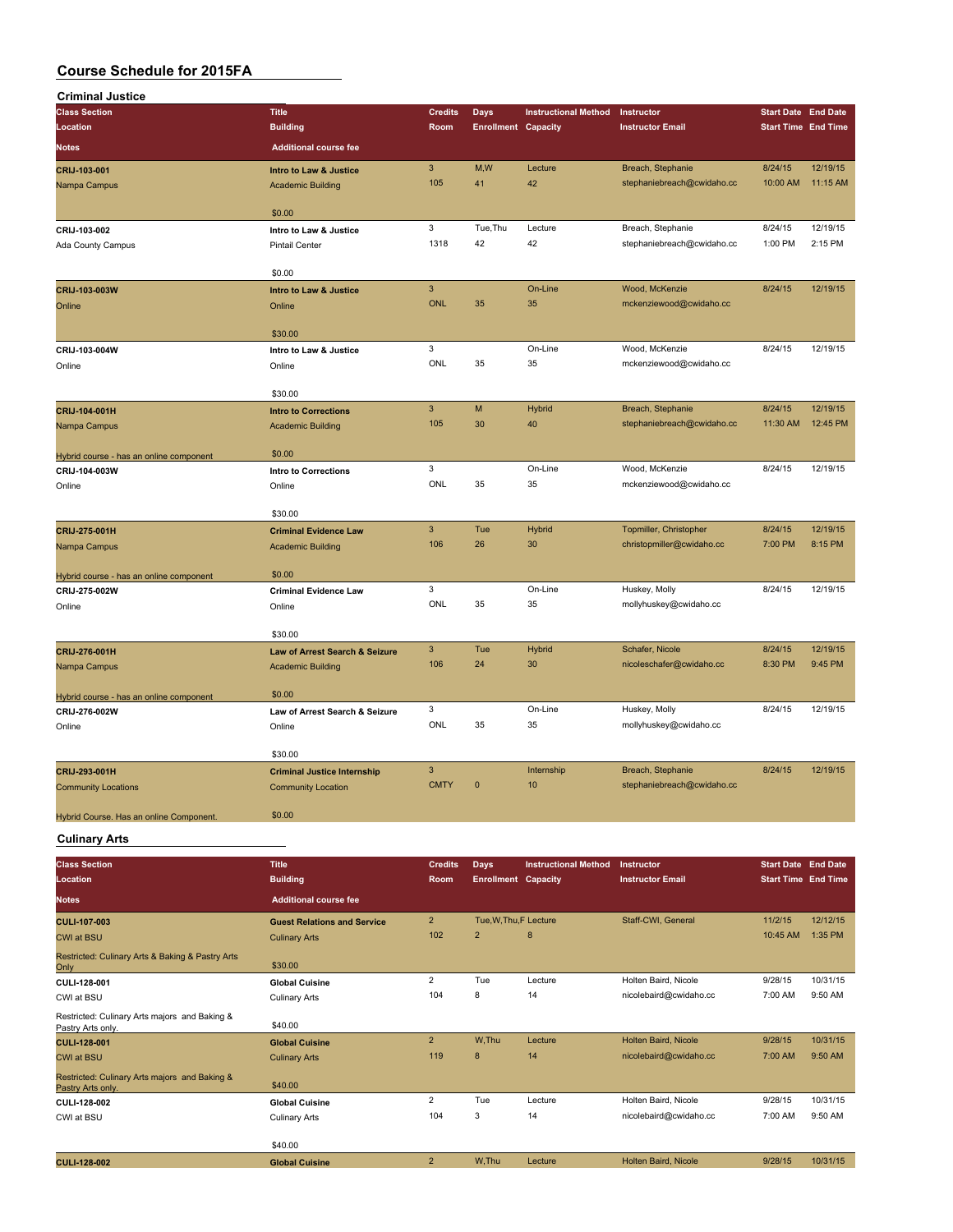| <b>Criminal Justice</b>                 |                                                            |                           |                            |                             |                            |                            |                      |
|-----------------------------------------|------------------------------------------------------------|---------------------------|----------------------------|-----------------------------|----------------------------|----------------------------|----------------------|
| <b>Class Section</b>                    | <b>Title</b>                                               | <b>Credits</b>            | Days                       | <b>Instructional Method</b> | Instructor                 | <b>Start Date End Date</b> |                      |
| Location                                | <b>Building</b>                                            | Room                      | <b>Enrollment Capacity</b> |                             | <b>Instructor Email</b>    | <b>Start Time End Time</b> |                      |
| Notes                                   | <b>Additional course fee</b>                               |                           |                            |                             |                            |                            |                      |
| CRIJ-103-001                            | Intro to Law & Justice                                     | $\overline{3}$            | M,W                        | Lecture                     | Breach, Stephanie          | 8/24/15                    | 12/19/15             |
| Nampa Campus                            | <b>Academic Building</b>                                   | 105                       | 41                         | 42                          | stephaniebreach@cwidaho.cc | 10:00 AM                   | 11:15 AM             |
|                                         | \$0.00                                                     |                           |                            |                             |                            |                            |                      |
| CRIJ-103-002                            | Intro to Law & Justice                                     | 3                         | Tue, Thu                   | Lecture                     | Breach, Stephanie          | 8/24/15                    | 12/19/15             |
| Ada County Campus                       | <b>Pintail Center</b>                                      | 1318                      | 42                         | 42                          | stephaniebreach@cwidaho.cc | 1:00 PM                    | 2:15 PM              |
|                                         | \$0.00                                                     |                           |                            |                             |                            |                            |                      |
| CRIJ-103-003W                           | Intro to Law & Justice                                     | $\overline{3}$            |                            | On-Line                     | Wood, McKenzie             | 8/24/15                    | 12/19/15             |
| Online                                  | Online                                                     | ONL                       | 35                         | 35                          | mckenziewood@cwidaho.cc    |                            |                      |
|                                         | \$30.00                                                    |                           |                            |                             |                            |                            |                      |
| CRIJ-103-004W                           | Intro to Law & Justice                                     | 3                         |                            | On-Line                     | Wood, McKenzie             | 8/24/15                    | 12/19/15             |
| Online                                  | Online                                                     | ONL                       | 35                         | 35                          | mckenziewood@cwidaho.cc    |                            |                      |
|                                         |                                                            |                           |                            |                             |                            |                            |                      |
|                                         | \$30.00                                                    |                           |                            |                             |                            |                            |                      |
| CRIJ-104-001H                           | <b>Intro to Corrections</b>                                | $\mathbf{3}$<br>105       | M<br>30                    | <b>Hybrid</b><br>40         | Breach, Stephanie          | 8/24/15<br>11:30 AM        | 12/19/15<br>12:45 PM |
| Nampa Campus                            | <b>Academic Building</b>                                   |                           |                            |                             | stephaniebreach@cwidaho.cc |                            |                      |
| Hybrid course - has an online component | \$0.00                                                     |                           |                            |                             |                            |                            |                      |
| CRIJ-104-003W                           | <b>Intro to Corrections</b>                                | 3                         |                            | On-Line                     | Wood, McKenzie             | 8/24/15                    | 12/19/15             |
| Online                                  | Online                                                     | ONL                       | 35                         | 35                          | mckenziewood@cwidaho.cc    |                            |                      |
|                                         | \$30.00                                                    |                           |                            |                             |                            |                            |                      |
| CRIJ-275-001H                           | <b>Criminal Evidence Law</b>                               | $\ensuremath{\mathsf{3}}$ | Tue                        | Hybrid                      | Topmiller, Christopher     | 8/24/15                    | 12/19/15             |
| Nampa Campus                            | <b>Academic Building</b>                                   | 106                       | 26                         | 30                          | christopmiller@cwidaho.cc  | 7:00 PM                    | 8:15 PM              |
| Hybrid course - has an online component | \$0.00                                                     |                           |                            |                             |                            |                            |                      |
| CRIJ-275-002W                           | <b>Criminal Evidence Law</b>                               | 3                         |                            | On-Line                     | Huskey, Molly              | 8/24/15                    | 12/19/15             |
| Online                                  | Online                                                     | ONL                       | 35                         | 35                          | mollyhuskey@cwidaho.cc     |                            |                      |
|                                         |                                                            |                           |                            |                             |                            |                            |                      |
|                                         | \$30.00                                                    | $\mathbf{3}$              | Tue                        | <b>Hybrid</b>               | Schafer, Nicole            | 8/24/15                    | 12/19/15             |
| CRIJ-276-001H                           | Law of Arrest Search & Seizure<br><b>Academic Building</b> | 106                       | 24                         | 30                          | nicoleschafer@cwidaho.cc   | 8:30 PM                    | 9:45 PM              |
| Nampa Campus                            |                                                            |                           |                            |                             |                            |                            |                      |
| Hybrid course - has an online component | \$0.00                                                     |                           |                            |                             |                            |                            |                      |
| CRIJ-276-002W                           | Law of Arrest Search & Seizure                             | 3                         |                            | On-Line                     | Huskey, Molly              | 8/24/15                    | 12/19/15             |
| Online                                  | Online                                                     | ONL                       | 35                         | 35                          | mollyhuskey@cwidaho.cc     |                            |                      |
|                                         | \$30.00                                                    |                           |                            |                             |                            |                            |                      |
| CRIJ-293-001H                           | <b>Criminal Justice Internship</b>                         | 3                         |                            | Internship                  | Breach, Stephanie          | 8/24/15                    | 12/19/15             |
| <b>Community Locations</b>              | <b>Community Location</b>                                  | <b>CMTY</b>               | $\pmb{0}$                  | 10                          | stephaniebreach@cwidaho.cc |                            |                      |
|                                         |                                                            |                           |                            |                             |                            |                            |                      |
| Hybrid Course. Has an online Component. | \$0.00                                                     |                           |                            |                             |                            |                            |                      |

**Culinary Arts**

| <b>Class Section</b>                                               | <b>Title</b>                       | <b>Credits</b> | <b>Days</b>                | <b>Instructional Method</b> | Instructor                  | <b>Start Date End Date</b> |          |
|--------------------------------------------------------------------|------------------------------------|----------------|----------------------------|-----------------------------|-----------------------------|----------------------------|----------|
| Location                                                           | <b>Building</b>                    | Room           | <b>Enrollment Capacity</b> |                             | <b>Instructor Email</b>     | <b>Start Time End Time</b> |          |
| <b>Notes</b>                                                       | <b>Additional course fee</b>       |                |                            |                             |                             |                            |          |
| <b>CULI-107-003</b>                                                | <b>Guest Relations and Service</b> | $\overline{2}$ | Tue, W, Thu, F Lecture     |                             | Staff-CWI, General          | 11/2/15                    | 12/12/15 |
| <b>CWI at BSU</b>                                                  | <b>Culinary Arts</b>               | 102            | $\overline{2}$             | 8                           |                             | 10:45 AM                   | 1:35 PM  |
| Restricted: Culinary Arts & Baking & Pastry Arts<br>Only           | \$30.00                            |                |                            |                             |                             |                            |          |
| CULI-128-001                                                       | <b>Global Cuisine</b>              | $\overline{2}$ | Tue                        | Lecture                     | Holten Baird, Nicole        | 9/28/15                    | 10/31/15 |
| CWI at BSU                                                         | <b>Culinary Arts</b>               | 104            | 8                          | 14                          | nicolebaird@cwidaho.cc      | 7:00 AM                    | 9:50 AM  |
| Restricted: Culinary Arts majors and Baking &<br>Pastry Arts only. | \$40.00                            |                |                            |                             |                             |                            |          |
| <b>CULI-128-001</b>                                                | <b>Global Cuisine</b>              | $\overline{2}$ | W.Thu                      | Lecture                     | Holten Baird, Nicole        | 9/28/15                    | 10/31/15 |
| <b>CWI at BSU</b>                                                  | <b>Culinary Arts</b>               | 119            | 8                          | 14                          | nicolebaird@cwidaho.cc      | 7:00 AM                    | 9:50 AM  |
| Restricted: Culinary Arts majors and Baking &<br>Pastry Arts only. | \$40.00                            |                |                            |                             |                             |                            |          |
| CULI-128-002                                                       | <b>Global Cuisine</b>              | $\overline{2}$ | Tue                        | Lecture                     | Holten Baird, Nicole        | 9/28/15                    | 10/31/15 |
| CWI at BSU                                                         | <b>Culinary Arts</b>               | 104            | 3                          | 14                          | nicolebaird@cwidaho.cc      | 7:00 AM                    | 9:50 AM  |
|                                                                    | \$40.00                            |                |                            |                             |                             |                            |          |
| <b>CULI-128-002</b>                                                | <b>Global Cuisine</b>              | $\overline{2}$ | W.Thu                      | Lecture                     | <b>Holten Baird, Nicole</b> | 9/28/15                    | 10/31/15 |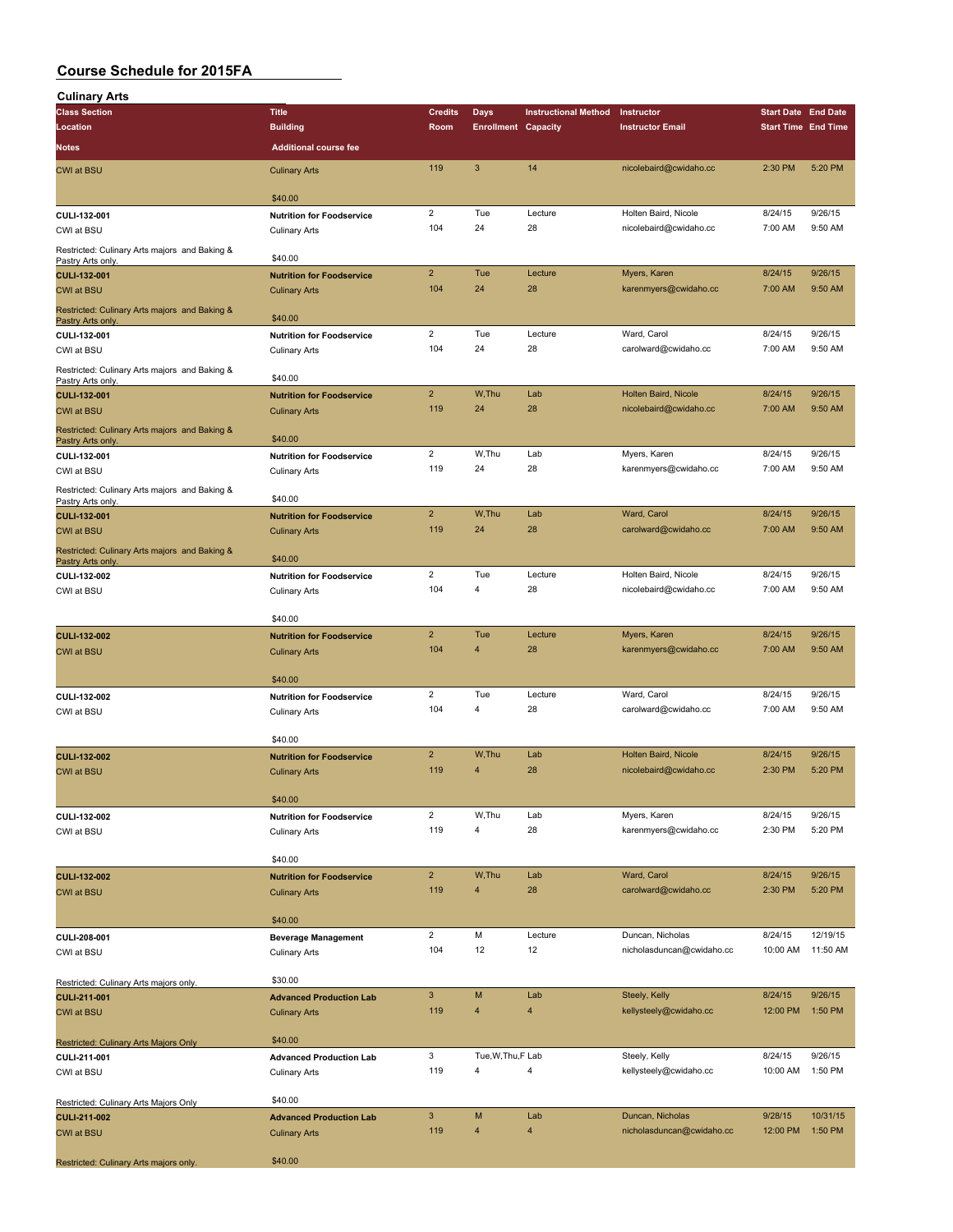| <b>Culinary Arts</b>                                              |                                                          |                       |                            |                             |                                                |                            |                    |
|-------------------------------------------------------------------|----------------------------------------------------------|-----------------------|----------------------------|-----------------------------|------------------------------------------------|----------------------------|--------------------|
| <b>Class Section</b>                                              | <b>Title</b>                                             | <b>Credits</b>        | <b>Days</b>                | <b>Instructional Method</b> | Instructor                                     | <b>Start Date End Date</b> |                    |
| Location                                                          | <b>Building</b>                                          | Room                  | <b>Enrollment Capacity</b> |                             | <b>Instructor Email</b>                        | <b>Start Time End Time</b> |                    |
| Notes                                                             | <b>Additional course fee</b>                             |                       |                            |                             |                                                |                            |                    |
| <b>CWI at BSU</b>                                                 | <b>Culinary Arts</b>                                     | 119                   | 3                          | 14                          | nicolebaird@cwidaho.cc                         | 2:30 PM                    | 5:20 PM            |
|                                                                   | \$40.00                                                  |                       |                            |                             |                                                |                            |                    |
| CULI-132-001                                                      | <b>Nutrition for Foodservice</b>                         | $\overline{2}$        | Tue                        | Lecture                     | Holten Baird, Nicole                           | 8/24/15                    | 9/26/15            |
| CWI at BSU                                                        | <b>Culinary Arts</b>                                     | 104                   | 24                         | 28                          | nicolebaird@cwidaho.cc                         | 7:00 AM                    | 9:50 AM            |
| Restricted: Culinary Arts majors and Baking &                     | \$40.00                                                  |                       |                            |                             |                                                |                            |                    |
| Pastry Arts only.<br><b>CULI-132-001</b>                          | <b>Nutrition for Foodservice</b>                         | $\overline{2}$        | Tue                        | Lecture                     | Myers, Karen                                   | 8/24/15                    | 9/26/15            |
| <b>CWI at BSU</b>                                                 | <b>Culinary Arts</b>                                     | 104                   | 24                         | 28                          | karenmyers@cwidaho.cc                          | 7:00 AM                    | 9:50 AM            |
| Restricted: Culinary Arts majors and Baking &<br>Pastry Arts only | \$40.00                                                  |                       |                            |                             |                                                |                            |                    |
| CULI-132-001                                                      | <b>Nutrition for Foodservice</b>                         | $\overline{2}$        | Tue                        | Lecture                     | Ward, Carol                                    | 8/24/15                    | 9/26/15            |
| CWI at BSU                                                        | <b>Culinary Arts</b>                                     | 104                   | 24                         | 28                          | carolward@cwidaho.cc                           | 7:00 AM                    | 9:50 AM            |
| Restricted: Culinary Arts majors and Baking &<br>Pastry Arts only | \$40.00                                                  |                       |                            |                             |                                                |                            |                    |
| CULI-132-001                                                      | <b>Nutrition for Foodservice</b>                         | $\overline{2}$<br>119 | W.Thu<br>24                | Lab<br>28                   | Holten Baird, Nicole<br>nicolebaird@cwidaho.cc | 8/24/15                    | 9/26/15<br>9:50 AM |
| <b>CWI at BSU</b>                                                 | <b>Culinary Arts</b>                                     |                       |                            |                             |                                                | 7:00 AM                    |                    |
| Restricted: Culinary Arts majors and Baking &<br>Pastry Arts only | \$40.00                                                  |                       |                            |                             |                                                |                            |                    |
| CULI-132-001                                                      | <b>Nutrition for Foodservice</b>                         | $\overline{2}$        | W.Thu                      | Lab                         | Myers, Karen                                   | 8/24/15                    | 9/26/15            |
| CWI at BSU                                                        | <b>Culinary Arts</b>                                     | 119                   | 24                         | 28                          | karenmyers@cwidaho.cc                          | 7:00 AM                    | 9:50 AM            |
| Restricted: Culinary Arts majors and Baking &<br>Pastry Arts only | \$40.00                                                  |                       |                            |                             |                                                |                            |                    |
| <b>CULI-132-001</b>                                               | <b>Nutrition for Foodservice</b>                         | $\overline{2}$        | W.Thu                      | Lab                         | Ward, Carol                                    | 8/24/15                    | 9/26/15            |
| <b>CWI at BSU</b>                                                 | <b>Culinary Arts</b>                                     | 119                   | 24                         | 28                          | carolward@cwidaho.cc                           | 7:00 AM                    | 9:50 AM            |
| Restricted: Culinary Arts majors and Baking &<br>Pastry Arts only | \$40.00                                                  |                       |                            |                             |                                                |                            |                    |
| CULI-132-002                                                      | <b>Nutrition for Foodservice</b>                         | $\overline{2}$        | Tue                        | Lecture                     | Holten Baird, Nicole                           | 8/24/15                    | 9/26/15            |
| CWI at BSU                                                        | <b>Culinary Arts</b>                                     | 104                   | 4                          | 28                          | nicolebaird@cwidaho.cc                         | 7:00 AM                    | 9:50 AM            |
|                                                                   | \$40.00                                                  |                       |                            |                             |                                                |                            |                    |
| <b>CULI-132-002</b>                                               | <b>Nutrition for Foodservice</b>                         | $\overline{2}$        | Tue                        | Lecture                     | Myers, Karen                                   | 8/24/15                    | 9/26/15            |
| CWI at BSU                                                        | <b>Culinary Arts</b>                                     | 104                   | 4                          | 28                          | karenmyers@cwidaho.cc                          | 7:00 AM                    | 9:50 AM            |
|                                                                   |                                                          |                       |                            |                             |                                                |                            |                    |
| CULI-132-002                                                      | \$40.00<br><b>Nutrition for Foodservice</b>              | $\overline{2}$        | Tue                        | Lecture                     | Ward, Carol                                    | 8/24/15                    | 9/26/15            |
| CWI at BSU                                                        | <b>Culinary Arts</b>                                     | 104                   | $\overline{4}$             | 28                          | carolward@cwidaho.cc                           | 7:00 AM                    | 9:50 AM            |
|                                                                   |                                                          |                       |                            |                             |                                                |                            |                    |
|                                                                   | \$40.00                                                  | $\overline{2}$        | W.Thu                      | Lab                         | Holten Baird, Nicole                           | 8/24/15                    | 9/26/15            |
| <b>CULI-132-002</b><br><b>CWI at BSU</b>                          | <b>Nutrition for Foodservice</b><br><b>Culinary Arts</b> | 119                   | $\overline{4}$             | 28                          | nicolebaird@cwidaho.cc                         | 2:30 PM                    | 5:20 PM            |
|                                                                   |                                                          |                       |                            |                             |                                                |                            |                    |
|                                                                   | \$40.00                                                  |                       |                            |                             |                                                |                            |                    |
| CULI-132-002                                                      | <b>Nutrition for Foodservice</b>                         | $\overline{2}$<br>119 | W,Thu<br>4                 | Lab<br>28                   | Myers, Karen<br>karenmyers@cwidaho.cc          | 8/24/15<br>2:30 PM         | 9/26/15<br>5:20 PM |
| CWI at BSU                                                        | <b>Culinary Arts</b>                                     |                       |                            |                             |                                                |                            |                    |
|                                                                   | \$40.00                                                  |                       |                            |                             |                                                |                            |                    |
| <b>CULI-132-002</b>                                               | <b>Nutrition for Foodservice</b>                         | $\overline{2}$        | W,Thu                      | Lab                         | Ward, Carol                                    | 8/24/15                    | 9/26/15            |
| CWI at BSU                                                        | <b>Culinary Arts</b>                                     | 119                   | $\overline{4}$             | 28                          | carolward@cwidaho.cc                           | 2:30 PM                    | 5:20 PM            |
|                                                                   | \$40.00                                                  |                       |                            |                             |                                                |                            |                    |
| CULI-208-001                                                      | <b>Beverage Management</b>                               | $\overline{2}$        | M                          | Lecture                     | Duncan, Nicholas                               | 8/24/15                    | 12/19/15           |
| CWI at BSU                                                        | <b>Culinary Arts</b>                                     | 104                   | 12                         | 12                          | nicholasduncan@cwidaho.cc                      | 10:00 AM                   | 11:50 AM           |
| Restricted: Culinary Arts majors only.                            | \$30.00                                                  |                       |                            |                             |                                                |                            |                    |
| <b>CULI-211-001</b>                                               | <b>Advanced Production Lab</b>                           | $\mathbf{3}$          | M                          | Lab                         | Steely, Kelly                                  | 8/24/15                    | 9/26/15            |
| <b>CWI at BSU</b>                                                 | <b>Culinary Arts</b>                                     | 119                   | $\overline{4}$             | $\overline{\mathbf{4}}$     | kellysteely@cwidaho.cc                         | 12:00 PM                   | 1:50 PM            |
|                                                                   | \$40.00                                                  |                       |                            |                             |                                                |                            |                    |
| Restricted: Culinary Arts Majors Only<br>CULI-211-001             | <b>Advanced Production Lab</b>                           | 3                     | Tue, W, Thu, F Lab         |                             | Steely, Kelly                                  | 8/24/15                    | 9/26/15            |
| CWI at BSU                                                        | <b>Culinary Arts</b>                                     | 119                   | $\overline{\mathbf{4}}$    | 4                           | kellysteely@cwidaho.cc                         | 10:00 AM                   | 1:50 PM            |
|                                                                   |                                                          |                       |                            |                             |                                                |                            |                    |
| Restricted: Culinary Arts Majors Only<br><b>CULI-211-002</b>      | \$40.00<br><b>Advanced Production Lab</b>                | $\mathbf{3}$          | M                          | Lab                         | Duncan, Nicholas                               | 9/28/15                    | 10/31/15           |
| <b>CWI at BSU</b>                                                 | <b>Culinary Arts</b>                                     | 119                   | $\overline{4}$             | 4                           | nicholasduncan@cwidaho.cc                      | 12:00 PM                   | 1:50 PM            |
|                                                                   |                                                          |                       |                            |                             |                                                |                            |                    |
| Restricted: Culinary Arts majors only.                            | \$40.00                                                  |                       |                            |                             |                                                |                            |                    |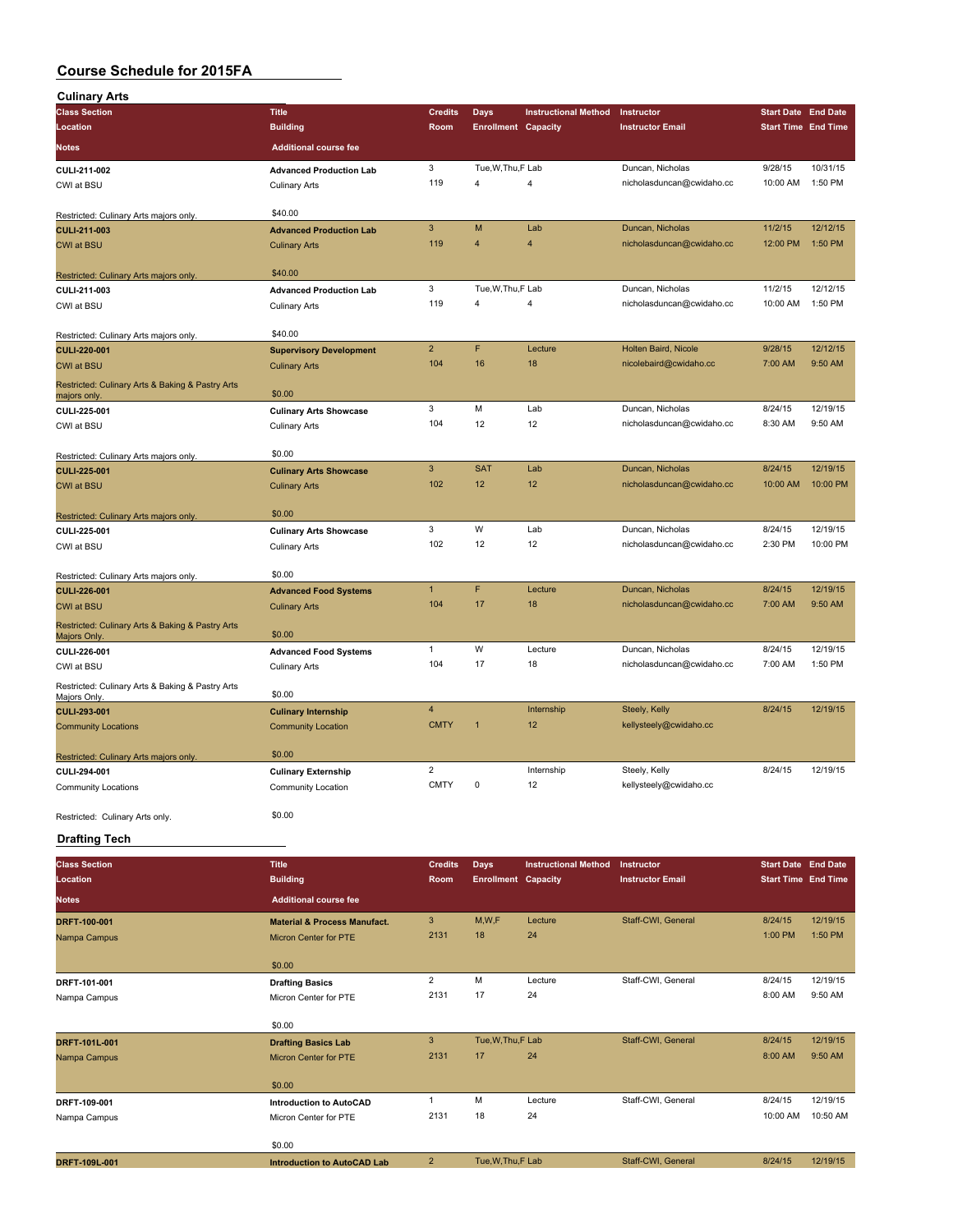| <b>Culinary Arts</b>                                          |                                                         |                  |                            |                             |                                         |                            |                     |
|---------------------------------------------------------------|---------------------------------------------------------|------------------|----------------------------|-----------------------------|-----------------------------------------|----------------------------|---------------------|
| <b>Class Section</b>                                          | <b>Title</b>                                            | <b>Credits</b>   | Days                       | <b>Instructional Method</b> | Instructor                              | <b>Start Date End Date</b> |                     |
| Location                                                      | <b>Building</b>                                         | Room             | <b>Enrollment Capacity</b> |                             | <b>Instructor Email</b>                 | <b>Start Time End Time</b> |                     |
| <b>Notes</b>                                                  | <b>Additional course fee</b>                            |                  |                            |                             |                                         |                            |                     |
| CULI-211-002                                                  | <b>Advanced Production Lab</b>                          | 3                | Tue, W, Thu, F Lab         |                             | Duncan, Nicholas                        | 9/28/15                    | 10/31/15            |
| CWI at BSU                                                    | <b>Culinary Arts</b>                                    | 119              | 4                          | 4                           | nicholasduncan@cwidaho.cc               | 10:00 AM                   | 1:50 PM             |
| Restricted: Culinary Arts majors only.                        | \$40.00                                                 |                  |                            |                             |                                         |                            |                     |
| <b>CULI-211-003</b>                                           | <b>Advanced Production Lab</b>                          | 3                | M                          | Lab                         | Duncan, Nicholas                        | 11/2/15                    | 12/12/15            |
| <b>CWI at BSU</b>                                             | <b>Culinary Arts</b>                                    | 119              | 4                          | 4                           | nicholasduncan@cwidaho.cc               | 12:00 PM                   | 1:50 PM             |
|                                                               | \$40.00                                                 |                  |                            |                             |                                         |                            |                     |
| Restricted: Culinary Arts majors only<br>CULI-211-003         | <b>Advanced Production Lab</b>                          | 3                | Tue, W, Thu, F Lab         |                             | Duncan, Nicholas                        | 11/2/15                    | 12/12/15            |
| CWI at BSU                                                    | <b>Culinary Arts</b>                                    | 119              | 4                          | 4                           | nicholasduncan@cwidaho.cc               | 10:00 AM                   | 1:50 PM             |
|                                                               |                                                         |                  |                            |                             |                                         |                            |                     |
| Restricted: Culinary Arts majors only.                        | \$40.00                                                 | $\overline{2}$   | F                          | Lecture                     | Holten Baird, Nicole                    | 9/28/15                    | 12/12/15            |
| <b>CULI-220-001</b><br><b>CWI at BSU</b>                      | <b>Supervisory Development</b><br><b>Culinary Arts</b>  | 104              | 16                         | 18                          | nicolebaird@cwidaho.cc                  | 7:00 AM                    | 9:50 AM             |
| Restricted: Culinary Arts & Baking & Pastry Arts              |                                                         |                  |                            |                             |                                         |                            |                     |
| majors only                                                   | \$0.00                                                  |                  |                            |                             |                                         |                            |                     |
| CULI-225-001                                                  | <b>Culinary Arts Showcase</b>                           | 3<br>104         | M<br>12                    | Lab<br>12                   | Duncan, Nicholas                        | 8/24/15<br>8:30 AM         | 12/19/15<br>9:50 AM |
| CWI at BSU                                                    | <b>Culinary Arts</b>                                    |                  |                            |                             | nicholasduncan@cwidaho.cc               |                            |                     |
| Restricted: Culinary Arts majors only.                        | \$0.00                                                  |                  |                            |                             |                                         |                            |                     |
| <b>CULI-225-001</b>                                           | <b>Culinary Arts Showcase</b>                           | $\mathbf{3}$     | <b>SAT</b>                 | Lab                         | Duncan, Nicholas                        | 8/24/15                    | 12/19/15            |
| <b>CWI at BSU</b>                                             | <b>Culinary Arts</b>                                    | 102              | 12                         | 12                          | nicholasduncan@cwidaho.cc               | 10:00 AM                   | 10:00 PM            |
| Restricted: Culinary Arts majors only.                        | \$0.00                                                  |                  |                            |                             |                                         |                            |                     |
| CULI-225-001                                                  | <b>Culinary Arts Showcase</b>                           | 3                | W                          | Lab                         | Duncan, Nicholas                        | 8/24/15                    | 12/19/15            |
| CWI at BSU                                                    | <b>Culinary Arts</b>                                    | 102              | 12                         | 12                          | nicholasduncan@cwidaho.cc               | 2:30 PM                    | 10:00 PM            |
|                                                               | \$0.00                                                  |                  |                            |                             |                                         |                            |                     |
| Restricted: Culinary Arts majors only.<br><b>CULI-226-001</b> | <b>Advanced Food Systems</b>                            | $\mathbf{1}$     | F                          | Lecture                     | Duncan, Nicholas                        | 8/24/15                    | 12/19/15            |
| <b>CWI at BSU</b>                                             | <b>Culinary Arts</b>                                    | 104              | 17                         | 18                          | nicholasduncan@cwidaho.cc               | 7:00 AM                    | 9:50 AM             |
| Restricted: Culinary Arts & Baking & Pastry Arts              |                                                         |                  |                            |                             |                                         |                            |                     |
| Majors Only.                                                  | \$0.00                                                  | $\mathbf{1}$     | W                          | Lecture                     | Duncan, Nicholas                        | 8/24/15                    | 12/19/15            |
| CULI-226-001<br>CWI at BSU                                    | <b>Advanced Food Systems</b><br><b>Culinary Arts</b>    | 104              | 17                         | 18                          | nicholasduncan@cwidaho.cc               | 7:00 AM                    | 1:50 PM             |
| Restricted: Culinary Arts & Baking & Pastry Arts              |                                                         |                  |                            |                             |                                         |                            |                     |
| Majors Only.                                                  | \$0.00                                                  |                  |                            |                             |                                         |                            |                     |
| <b>CULI-293-001</b>                                           | <b>Culinary Internship</b>                              | 4<br><b>CMTY</b> |                            | Internship<br>12            | Steely, Kelly<br>kellysteely@cwidaho.cc | 8/24/15                    | 12/19/15            |
| <b>Community Locations</b>                                    | <b>Community Location</b>                               |                  |                            |                             |                                         |                            |                     |
| Restricted: Culinary Arts majors only.                        | \$0.00                                                  |                  |                            |                             |                                         |                            |                     |
| CULI-294-001                                                  | <b>Culinary Externship</b>                              | 2                |                            | Internship                  | Steely, Kelly                           | 8/24/15                    | 12/19/15            |
| Community Locations                                           | Community Location                                      | <b>CMTY</b>      | 0                          | 12                          | kellysteely@cwidaho.cc                  |                            |                     |
| Restricted: Culinary Arts only.                               | \$0.00                                                  |                  |                            |                             |                                         |                            |                     |
| <b>Drafting Tech</b>                                          |                                                         |                  |                            |                             |                                         |                            |                     |
|                                                               |                                                         |                  |                            |                             |                                         |                            |                     |
| <b>Class Section</b>                                          | <b>Title</b>                                            | <b>Credits</b>   | <b>Days</b>                | <b>Instructional Method</b> | Instructor                              | <b>Start Date End Date</b> |                     |
| Location                                                      | <b>Building</b>                                         | Room             | <b>Enrollment Capacity</b> |                             | <b>Instructor Email</b>                 | <b>Start Time</b> End Time |                     |
| <b>Notes</b>                                                  | <b>Additional course fee</b>                            |                  |                            |                             |                                         |                            |                     |
| DRFT-100-001                                                  | <b>Material &amp; Process Manufact.</b>                 | $\mathbf{3}$     | M,W,F                      | Lecture                     | Staff-CWI, General                      | 8/24/15                    | 12/19/15            |
| Nampa Campus                                                  | Micron Center for PTE                                   | 2131             | 18                         | 24                          |                                         | 1:00 PM                    | 1:50 PM             |
|                                                               | \$0.00                                                  |                  |                            |                             |                                         |                            |                     |
| DRFT-101-001                                                  | <b>Drafting Basics</b>                                  | $\overline{2}$   | M                          | Lecture                     | Staff-CWI, General                      | 8/24/15                    | 12/19/15            |
| Nampa Campus                                                  | Micron Center for PTE                                   | 2131             | 17                         | 24                          |                                         | 8:00 AM                    | 9:50 AM             |
|                                                               | \$0.00                                                  |                  |                            |                             |                                         |                            |                     |
| DRFT-101L-001                                                 | <b>Drafting Basics Lab</b>                              | 3                | Tue, W, Thu, F Lab         |                             | Staff-CWI, General                      | 8/24/15                    | 12/19/15            |
| Nampa Campus                                                  | Micron Center for PTE                                   | 2131             | 17                         | 24                          |                                         | 8:00 AM                    | 9:50 AM             |
|                                                               |                                                         |                  |                            |                             |                                         |                            |                     |
|                                                               | \$0.00                                                  | 1                | M                          | Lecture                     | Staff-CWI, General                      |                            | 12/19/15            |
| DRFT-109-001<br>Nampa Campus                                  | <b>Introduction to AutoCAD</b><br>Micron Center for PTE | 2131             | 18                         | 24                          |                                         | 8/24/15<br>10:00 AM        | 10:50 AM            |
|                                                               |                                                         |                  |                            |                             |                                         |                            |                     |
|                                                               | \$0.00                                                  |                  |                            |                             |                                         |                            |                     |

**DRFT-109L-001 Introduction to AutoCAD Lab** 2 Tue,W,Thu,F Lab Staff-CWI, General 8/24/15 12/19/15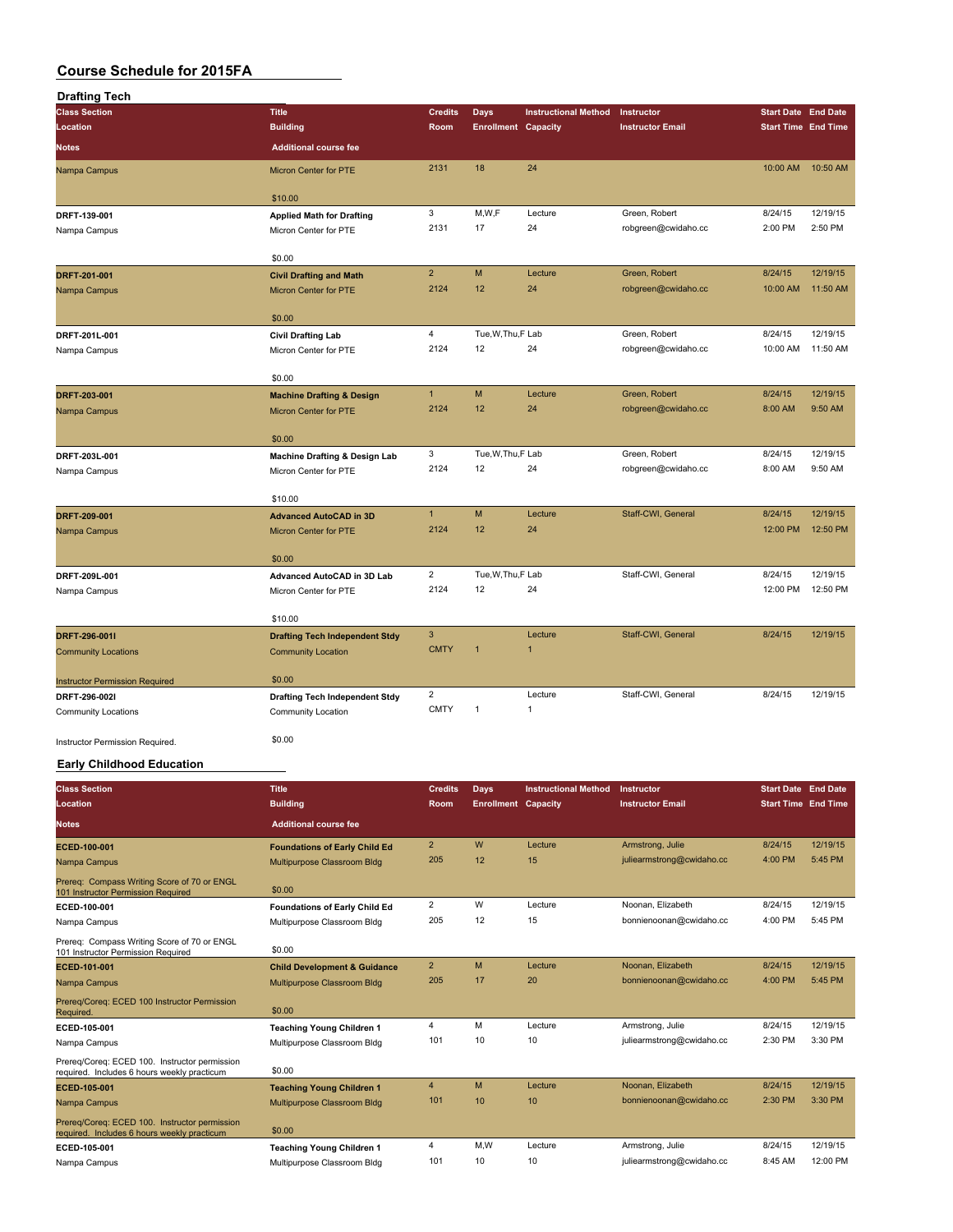| <b>Drafting Tech</b>                  |                                          |                |                            |                             |                         |                            |          |
|---------------------------------------|------------------------------------------|----------------|----------------------------|-----------------------------|-------------------------|----------------------------|----------|
| <b>Class Section</b>                  | <b>Title</b>                             | <b>Credits</b> | <b>Days</b>                | <b>Instructional Method</b> | Instructor              | <b>Start Date End Date</b> |          |
| <b>Location</b>                       | <b>Building</b>                          | Room           | <b>Enrollment Capacity</b> |                             | <b>Instructor Email</b> | <b>Start Time End Time</b> |          |
| <b>Notes</b>                          | <b>Additional course fee</b>             |                |                            |                             |                         |                            |          |
| Nampa Campus                          | <b>Micron Center for PTE</b>             | 2131           | 18                         | 24                          |                         | 10:00 AM                   | 10:50 AM |
|                                       | \$10.00                                  |                |                            |                             |                         |                            |          |
| DRFT-139-001                          | <b>Applied Math for Drafting</b>         | 3              | M,W,F                      | Lecture                     | Green, Robert           | 8/24/15                    | 12/19/15 |
| Nampa Campus                          | Micron Center for PTE                    | 2131           | 17                         | 24                          | robgreen@cwidaho.cc     | 2:00 PM                    | 2:50 PM  |
|                                       | \$0.00                                   |                |                            |                             |                         |                            |          |
| DRFT-201-001                          | <b>Civil Drafting and Math</b>           | $\overline{2}$ | M                          | Lecture                     | Green, Robert           | 8/24/15                    | 12/19/15 |
| Nampa Campus                          | Micron Center for PTE                    | 2124           | 12                         | 24                          | robgreen@cwidaho.cc     | 10:00 AM                   | 11:50 AM |
|                                       | \$0.00                                   |                |                            |                             |                         |                            |          |
| DRFT-201L-001                         | <b>Civil Drafting Lab</b>                | $\overline{4}$ | Tue, W, Thu, F Lab         |                             | Green, Robert           | 8/24/15                    | 12/19/15 |
| Nampa Campus                          | Micron Center for PTE                    | 2124           | 12                         | 24                          | robgreen@cwidaho.cc     | 10:00 AM                   | 11:50 AM |
|                                       | \$0.00                                   |                |                            |                             |                         |                            |          |
| DRFT-203-001                          | <b>Machine Drafting &amp; Design</b>     | $\mathbf{1}$   | M                          | Lecture                     | Green, Robert           | 8/24/15                    | 12/19/15 |
| Nampa Campus                          | <b>Micron Center for PTE</b>             | 2124           | 12                         | 24                          | robgreen@cwidaho.cc     | 8:00 AM                    | 9:50 AM  |
|                                       | \$0.00                                   |                |                            |                             |                         |                            |          |
| DRFT-203L-001                         | <b>Machine Drafting &amp; Design Lab</b> | 3              | Tue, W, Thu, F Lab         |                             | Green, Robert           | 8/24/15                    | 12/19/15 |
| Nampa Campus                          | Micron Center for PTE                    | 2124           | 12                         | 24                          | robgreen@cwidaho.cc     | 8:00 AM                    | 9:50 AM  |
|                                       | \$10.00                                  |                |                            |                             |                         |                            |          |
| DRFT-209-001                          | <b>Advanced AutoCAD in 3D</b>            | $\mathbf{1}$   | M                          | Lecture                     | Staff-CWI, General      | 8/24/15                    | 12/19/15 |
| Nampa Campus                          | Micron Center for PTE                    | 2124           | 12                         | 24                          |                         | 12:00 PM                   | 12:50 PM |
|                                       | \$0.00                                   |                |                            |                             |                         |                            |          |
| DRFT-209L-001                         | Advanced AutoCAD in 3D Lab               | $\overline{2}$ | Tue, W, Thu, F Lab         |                             | Staff-CWI, General      | 8/24/15                    | 12/19/15 |
| Nampa Campus                          | Micron Center for PTE                    | 2124           | 12                         | 24                          |                         | 12:00 PM                   | 12:50 PM |
|                                       |                                          |                |                            |                             |                         |                            |          |
|                                       | \$10.00                                  |                |                            |                             |                         |                            |          |
| DRFT-296-001I                         | <b>Drafting Tech Independent Stdy</b>    | 3              |                            | Lecture                     | Staff-CWI, General      | 8/24/15                    | 12/19/15 |
| <b>Community Locations</b>            | <b>Community Location</b>                | <b>CMTY</b>    | 1                          | $\mathbf{1}$                |                         |                            |          |
| <b>Instructor Permission Required</b> | \$0.00                                   |                |                            |                             |                         |                            |          |
| DRFT-296-0021                         | <b>Drafting Tech Independent Stdy</b>    | $\overline{2}$ |                            | Lecture                     | Staff-CWI, General      | 8/24/15                    | 12/19/15 |
| <b>Community Locations</b>            | Community Location                       | <b>CMTY</b>    | $\mathbf{1}$               | $\mathbf{1}$                |                         |                            |          |
| Instructor Permission Required.       | \$0.00                                   |                |                            |                             |                         |                            |          |

#### **Early Childhood Education**

| <b>Class Section</b>                                                                         | <b>Title</b>                            | <b>Credits</b> | Days                       | <b>Instructional Method</b> | Instructor                | <b>Start Date End Date</b> |          |
|----------------------------------------------------------------------------------------------|-----------------------------------------|----------------|----------------------------|-----------------------------|---------------------------|----------------------------|----------|
| Location                                                                                     | <b>Building</b>                         | <b>Room</b>    | <b>Enrollment Capacity</b> |                             | <b>Instructor Email</b>   | <b>Start Time End Time</b> |          |
| <b>Notes</b>                                                                                 | <b>Additional course fee</b>            |                |                            |                             |                           |                            |          |
| ECED-100-001                                                                                 | <b>Foundations of Early Child Ed</b>    | $\overline{2}$ | W                          | Lecture                     | Armstrong, Julie          | 8/24/15                    | 12/19/15 |
| Nampa Campus                                                                                 | Multipurpose Classroom Bldg             | 205            | 12                         | 15                          | juliearmstrong@cwidaho.cc | 4:00 PM                    | 5:45 PM  |
| Prereg: Compass Writing Score of 70 or ENGL<br>101 Instructor Permission Required            | \$0.00                                  |                |                            |                             |                           |                            |          |
| ECED-100-001                                                                                 | <b>Foundations of Early Child Ed</b>    | $\overline{2}$ | W                          | Lecture                     | Noonan, Elizabeth         | 8/24/15                    | 12/19/15 |
| Nampa Campus                                                                                 | Multipurpose Classroom Bldg             | 205            | 12                         | 15                          | bonnienoonan@cwidaho.cc   | 4:00 PM                    | 5:45 PM  |
| Prereg: Compass Writing Score of 70 or ENGL<br>101 Instructor Permission Required            | \$0.00                                  |                |                            |                             |                           |                            |          |
| ECED-101-001                                                                                 | <b>Child Development &amp; Guidance</b> | $\overline{2}$ | M                          | Lecture                     | Noonan, Elizabeth         | 8/24/15                    | 12/19/15 |
| Nampa Campus                                                                                 | Multipurpose Classroom Bldg             | 205            | 17                         | 20                          | bonnienoonan@cwidaho.cc   | 4:00 PM                    | 5:45 PM  |
| Prereg/Coreg: ECED 100 Instructor Permission<br>Required.                                    | \$0.00                                  |                |                            |                             |                           |                            |          |
| ECED-105-001                                                                                 | <b>Teaching Young Children 1</b>        | 4              | M                          | Lecture                     | Armstrong, Julie          | 8/24/15                    | 12/19/15 |
| Nampa Campus                                                                                 | Multipurpose Classroom Bldg             | 101            | 10                         | 10                          | juliearmstrong@cwidaho.cc | 2:30 PM                    | 3:30 PM  |
| Prereg/Coreg: ECED 100. Instructor permission<br>required. Includes 6 hours weekly practicum | \$0.00                                  |                |                            |                             |                           |                            |          |
| ECED-105-001                                                                                 | <b>Teaching Young Children 1</b>        | $\overline{4}$ | M                          | Lecture                     | Noonan, Elizabeth         | 8/24/15                    | 12/19/15 |
| Nampa Campus                                                                                 | Multipurpose Classroom Bldg             | 101            | 10                         | 10                          | bonnienoonan@cwidaho.cc   | 2:30 PM                    | 3:30 PM  |
| Prereg/Coreg: ECED 100. Instructor permission<br>required. Includes 6 hours weekly practicum | \$0.00                                  |                |                            |                             |                           |                            |          |
| ECED-105-001                                                                                 | <b>Teaching Young Children 1</b>        | 4              | M.W                        | Lecture                     | Armstrong, Julie          | 8/24/15                    | 12/19/15 |
| Nampa Campus                                                                                 | Multipurpose Classroom Bldg             | 101            | 10                         | 10                          | juliearmstrong@cwidaho.cc | 8:45 AM                    | 12:00 PM |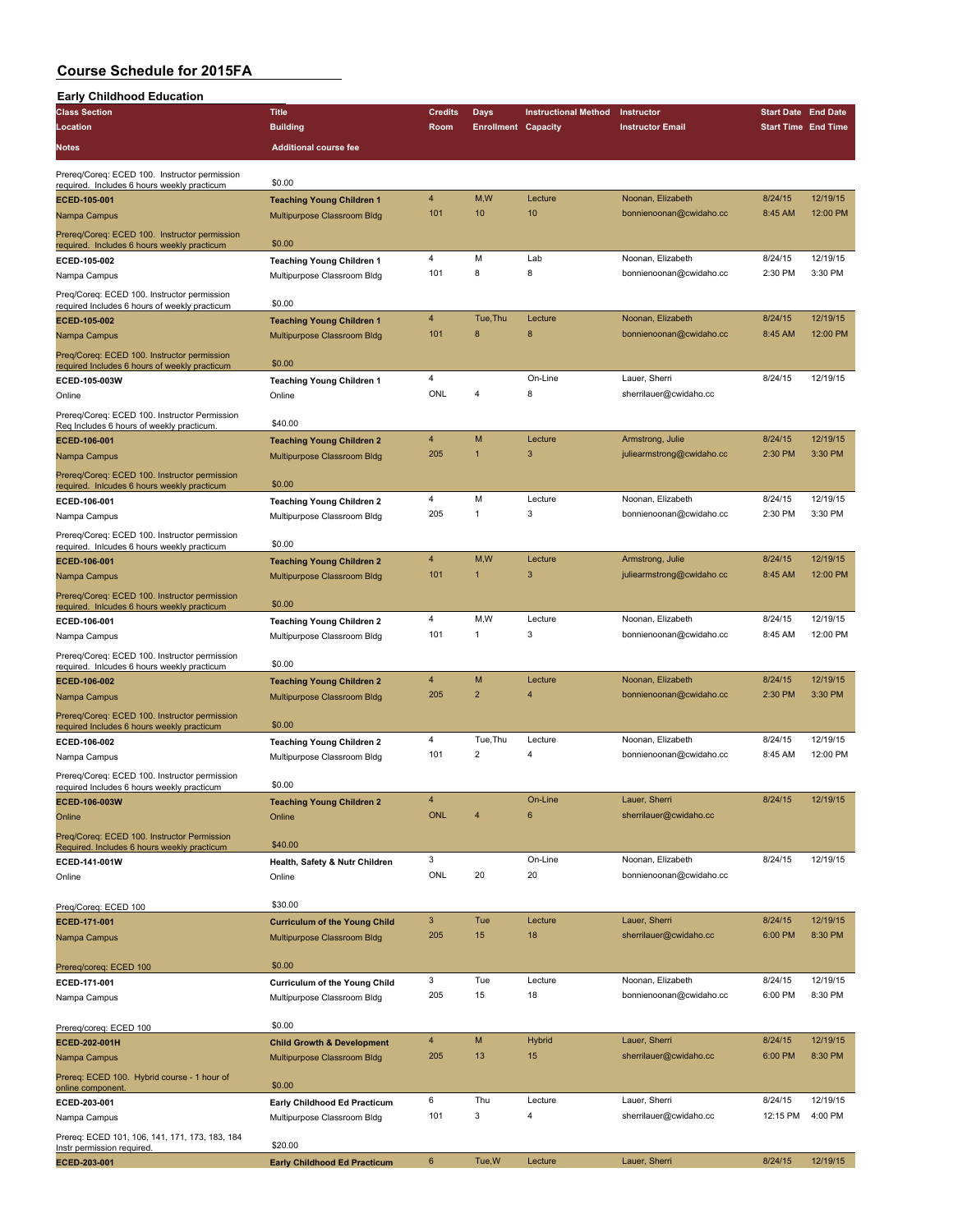#### **Course Schedule for 2015FA Early Childhood Education**

 $\overline{\phantom{a}}$ 

| <b>Early Childhood Education</b>                                                             |                                                                 |                              |                            |                             |                                              |                            |                     |
|----------------------------------------------------------------------------------------------|-----------------------------------------------------------------|------------------------------|----------------------------|-----------------------------|----------------------------------------------|----------------------------|---------------------|
| <b>Class Section</b>                                                                         | <b>Title</b>                                                    | <b>Credits</b>               | Days                       | <b>Instructional Method</b> | Instructor                                   | <b>Start Date End Date</b> |                     |
| Location                                                                                     | <b>Building</b>                                                 | Room                         | <b>Enrollment Capacity</b> |                             | <b>Instructor Email</b>                      | <b>Start Time End Time</b> |                     |
| <b>Notes</b>                                                                                 | <b>Additional course fee</b>                                    |                              |                            |                             |                                              |                            |                     |
| Prereq/Coreq: ECED 100. Instructor permission<br>required. Includes 6 hours weekly practicum | \$0.00                                                          |                              |                            |                             |                                              |                            |                     |
| ECED-105-001                                                                                 | <b>Teaching Young Children 1</b>                                | 4                            | M,W                        | Lecture                     | Noonan, Elizabeth                            | 8/24/15                    | 12/19/15            |
| Nampa Campus                                                                                 | Multipurpose Classroom Bldg                                     | 101                          | 10                         | 10                          | bonnienoonan@cwidaho.cc                      | 8:45 AM                    | 12:00 PM            |
| Prereq/Coreq: ECED 100. Instructor permission                                                | \$0.00                                                          |                              |                            |                             |                                              |                            |                     |
| required. Includes 6 hours weekly practicum<br>ECED-105-002                                  | <b>Teaching Young Children 1</b>                                | 4                            | M                          | Lab                         | Noonan, Elizabeth                            | 8/24/15                    | 12/19/15            |
| Nampa Campus                                                                                 | Multipurpose Classroom Bldg                                     | 101                          | 8                          | 8                           | bonnienoonan@cwidaho.cc                      | 2:30 PM                    | 3:30 PM             |
| Preq/Coreq: ECED 100. Instructor permission                                                  |                                                                 |                              |                            |                             |                                              |                            |                     |
| required Includes 6 hours of weekly practicum                                                | \$0.00                                                          | 4                            | Tue, Thu                   | Lecture                     | Noonan, Elizabeth                            | 8/24/15                    | 12/19/15            |
| ECED-105-002<br>Nampa Campus                                                                 | <b>Teaching Young Children 1</b><br>Multipurpose Classroom Bldg | 101                          | 8                          | 8                           | bonnienoonan@cwidaho.cc                      | 8:45 AM                    | 12:00 PM            |
|                                                                                              |                                                                 |                              |                            |                             |                                              |                            |                     |
| Preq/Coreq: ECED 100. Instructor permission<br>required Includes 6 hours of weekly practicum | \$0.00                                                          |                              |                            |                             |                                              |                            |                     |
| ECED-105-003W                                                                                | <b>Teaching Young Children 1</b>                                | 4                            |                            | On-Line                     | Lauer, Sherri                                | 8/24/15                    | 12/19/15            |
| Online                                                                                       | Online                                                          | ONL                          | 4                          | 8                           | sherrilauer@cwidaho.cc                       |                            |                     |
| Prereq/Coreq: ECED 100. Instructor Permission                                                |                                                                 |                              |                            |                             |                                              |                            |                     |
| Req Includes 6 hours of weekly practicum.                                                    | \$40.00                                                         | 4                            | M                          | Lecture                     | Armstrong, Julie                             | 8/24/15                    | 12/19/15            |
| ECED-106-001                                                                                 | <b>Teaching Young Children 2</b>                                | 205                          | $\overline{1}$             | 3                           | juliearmstrong@cwidaho.cc                    | 2:30 PM                    | 3:30 PM             |
| Nampa Campus                                                                                 | Multipurpose Classroom Bldg                                     |                              |                            |                             |                                              |                            |                     |
| Prereq/Coreq: ECED 100. Instructor permission<br>required. Inlcudes 6 hours weekly practicum | \$0.00                                                          |                              |                            |                             |                                              |                            |                     |
| ECED-106-001                                                                                 | <b>Teaching Young Children 2</b>                                | 4                            | M                          | Lecture                     | Noonan, Elizabeth                            | 8/24/15                    | 12/19/15            |
| Nampa Campus                                                                                 | Multipurpose Classroom Bldg                                     | 205                          | $\mathbf{1}$               | 3                           | bonnienoonan@cwidaho.cc                      | 2:30 PM                    | 3:30 PM             |
| Prereq/Coreq: ECED 100. Instructor permission                                                |                                                                 |                              |                            |                             |                                              |                            |                     |
| required. Inlcudes 6 hours weekly practicum                                                  | \$0.00                                                          | 4                            | M,W                        | Lecture                     | Armstrong, Julie                             | 8/24/15                    | 12/19/15            |
| ECED-106-001                                                                                 | <b>Teaching Young Children 2</b><br>Multipurpose Classroom Bldg | 101                          | $\mathbf{1}$               | 3                           | juliearmstrong@cwidaho.cc                    | 8:45 AM                    | 12:00 PM            |
| Nampa Campus                                                                                 |                                                                 |                              |                            |                             |                                              |                            |                     |
| Prereq/Coreq: ECED 100. Instructor permission<br>required. Inlcudes 6 hours weekly practicum | \$0.00                                                          |                              |                            |                             |                                              |                            |                     |
| ECED-106-001                                                                                 | <b>Teaching Young Children 2</b>                                | 4                            | M, W                       | Lecture                     | Noonan, Elizabeth                            | 8/24/15                    | 12/19/15            |
| Nampa Campus                                                                                 | Multipurpose Classroom Bldg                                     | 101                          | 1                          | 3                           | bonnienoonan@cwidaho.cc                      | 8:45 AM                    | 12:00 PM            |
| Prereq/Coreq: ECED 100. Instructor permission                                                |                                                                 |                              |                            |                             |                                              |                            |                     |
| required. Inlcudes 6 hours weekly practicum                                                  | \$0.00                                                          |                              |                            |                             |                                              |                            |                     |
| ECED-106-002                                                                                 | <b>Teaching Young Children 2</b>                                | 4<br>205                     | M<br>$\overline{2}$        | Lecture<br>4                | Noonan, Elizabeth<br>bonnienoonan@cwidaho.cc | 8/24/15<br>2:30 PM         | 12/19/15<br>3:30 PM |
| Nampa Campus                                                                                 | Multipurpose Classroom Bldg                                     |                              |                            |                             |                                              |                            |                     |
| Prereq/Coreq: ECED 100. Instructor permission<br>required Includes 6 hours weekly practicum  | \$0.00                                                          |                              |                            |                             |                                              |                            |                     |
| ECED-106-002                                                                                 | <b>Teaching Young Children 2</b>                                | 4                            | Tue, Thu                   | Lecture                     | Noonan, Elizabeth                            | 8/24/15                    | 12/19/15            |
| Nampa Campus                                                                                 | Multipurpose Classroom Bldg                                     | 101                          | $\overline{2}$             | 4                           | bonnienoonan@cwidaho.cc                      | 8:45 AM                    | 12:00 PM            |
| Prereq/Coreq: ECED 100. Instructor permission                                                |                                                                 |                              |                            |                             |                                              |                            |                     |
| required Includes 6 hours weekly practicum                                                   | \$0.00                                                          |                              |                            |                             |                                              |                            |                     |
| ECED-106-003W                                                                                | <b>Teaching Young Children 2</b>                                | $\overline{4}$<br><b>ONL</b> | $\overline{4}$             | On-Line<br>6                | Lauer, Sherri                                | 8/24/15                    | 12/19/15            |
| Online                                                                                       | Online                                                          |                              |                            |                             | sherrilauer@cwidaho.cc                       |                            |                     |
| Preg/Coreg: ECED 100. Instructor Permission<br>Required. Includes 6 hours weekly practicum   | \$40.00                                                         |                              |                            |                             |                                              |                            |                     |
| ECED-141-001W                                                                                | Health, Safety & Nutr Children                                  | 3                            |                            | On-Line                     | Noonan, Elizabeth                            | 8/24/15                    | 12/19/15            |
| Online                                                                                       | Online                                                          | ONL                          | 20                         | 20                          | bonnienoonan@cwidaho.cc                      |                            |                     |
|                                                                                              |                                                                 |                              |                            |                             |                                              |                            |                     |
| Preq/Coreq: ECED 100                                                                         | \$30.00                                                         |                              |                            |                             |                                              |                            |                     |
| ECED-171-001                                                                                 | <b>Curriculum of the Young Child</b>                            | 3                            | Tue                        | Lecture                     | Lauer, Sherri                                | 8/24/15                    | 12/19/15            |
| Nampa Campus                                                                                 | Multipurpose Classroom Bldg                                     | 205                          | 15                         | 18                          | sherrilauer@cwidaho.cc                       | 6:00 PM                    | 8:30 PM             |
| Prereq/coreq: ECED 100                                                                       | \$0.00                                                          |                              |                            |                             |                                              |                            |                     |
| ECED-171-001                                                                                 | <b>Curriculum of the Young Child</b>                            | 3                            | Tue                        | Lecture                     | Noonan, Elizabeth                            | 8/24/15                    | 12/19/15            |
| Nampa Campus                                                                                 | Multipurpose Classroom Bldg                                     | 205                          | 15                         | 18                          | bonnienoonan@cwidaho.cc                      | 6:00 PM                    | 8:30 PM             |
|                                                                                              |                                                                 |                              |                            |                             |                                              |                            |                     |
| Prereq/coreq: ECED 100                                                                       | \$0.00                                                          |                              |                            |                             |                                              |                            |                     |
| ECED-202-001H                                                                                | <b>Child Growth &amp; Development</b>                           | 4                            | M                          | <b>Hybrid</b>               | Lauer, Sherri                                | 8/24/15                    | 12/19/15            |
| Nampa Campus                                                                                 | Multipurpose Classroom Bldg                                     | 205                          | 13                         | 15                          | sherrilauer@cwidaho.cc                       | 6:00 PM                    | 8:30 PM             |
| Prereq: ECED 100. Hybrid course - 1 hour of                                                  |                                                                 |                              |                            |                             |                                              |                            |                     |
| online component.<br>ECED-203-001                                                            | \$0.00<br>Early Childhood Ed Practicum                          | 6                            | Thu                        | Lecture                     | Lauer, Sherri                                | 8/24/15                    | 12/19/15            |
| Nampa Campus                                                                                 | Multipurpose Classroom Bldg                                     | 101                          | 3                          | 4                           | sherrilauer@cwidaho.cc                       | 12:15 PM                   | 4:00 PM             |
|                                                                                              |                                                                 |                              |                            |                             |                                              |                            |                     |
| Prereq: ECED 101, 106, 141, 171, 173, 183, 184<br>Instr permission required.                 | \$20.00                                                         |                              |                            |                             |                                              |                            |                     |
| ECED-203-001                                                                                 | <b>Early Childhood Ed Practicum</b>                             | $\boldsymbol{6}$             | Tue, W                     | Lecture                     | Lauer, Sherri                                | 8/24/15                    | 12/19/15            |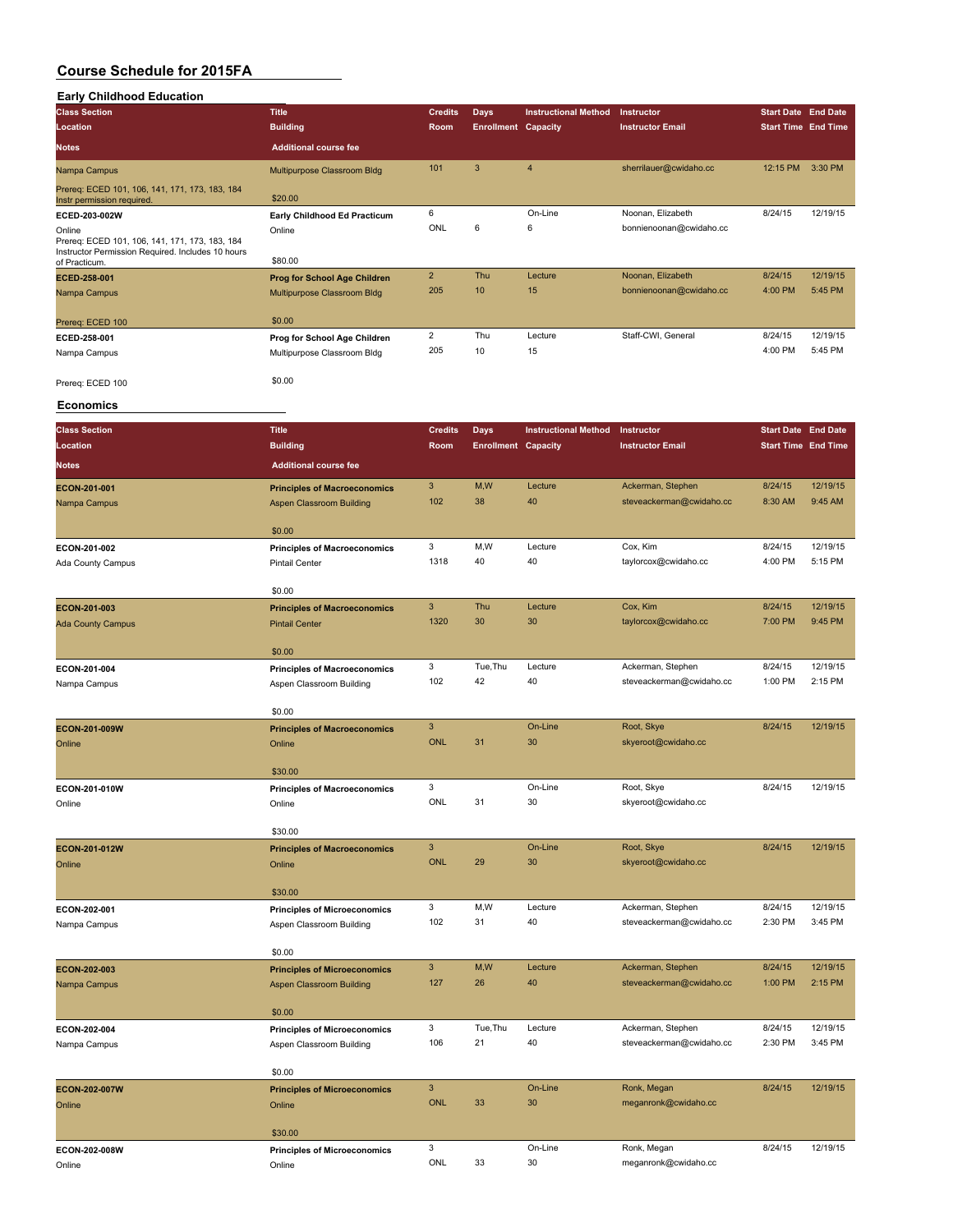| <b>Early Childhood Education</b>                         |                                                                    |                |                            |                             |                                              |                            |          |
|----------------------------------------------------------|--------------------------------------------------------------------|----------------|----------------------------|-----------------------------|----------------------------------------------|----------------------------|----------|
| <b>Class Section</b>                                     | <b>Title</b>                                                       | <b>Credits</b> | <b>Days</b>                | <b>Instructional Method</b> | Instructor                                   | <b>Start Date End Date</b> |          |
| Location                                                 | <b>Building</b>                                                    | Room           | <b>Enrollment Capacity</b> |                             | <b>Instructor Email</b>                      | <b>Start Time End Time</b> |          |
| Notes                                                    | <b>Additional course fee</b>                                       |                |                            |                             |                                              |                            |          |
| Nampa Campus                                             | Multipurpose Classroom Bldg                                        | 101            | $\mathbf{3}$               | $\overline{\mathbf{4}}$     | sherrilauer@cwidaho.cc                       | 12:15 PM 3:30 PM           |          |
| Prereq: ECED 101, 106, 141, 171, 173, 183, 184           |                                                                    |                |                            |                             |                                              |                            |          |
| Instr permission required                                | \$20.00                                                            |                |                            |                             |                                              |                            |          |
| ECED-203-002W                                            | Early Childhood Ed Practicum                                       | 6              |                            | On-Line                     | Noonan, Elizabeth                            | 8/24/15                    | 12/19/15 |
| Online<br>Prereq: ECED 101, 106, 141, 171, 173, 183, 184 | Online                                                             | ONL            | 6                          | 6                           | bonnienoonan@cwidaho.cc                      |                            |          |
| Instructor Permission Required. Includes 10 hours        |                                                                    |                |                            |                             |                                              |                            |          |
| of Practicum.                                            | \$80.00                                                            | $\overline{2}$ |                            |                             |                                              | 8/24/15                    | 12/19/15 |
| ECED-258-001<br>Nampa Campus                             | <b>Prog for School Age Children</b><br>Multipurpose Classroom Bldg | 205            | Thu<br>10                  | Lecture<br>15               | Noonan, Elizabeth<br>bonnienoonan@cwidaho.cc | 4:00 PM                    | 5:45 PM  |
|                                                          |                                                                    |                |                            |                             |                                              |                            |          |
| Prereq: ECED 100                                         | \$0.00                                                             |                |                            |                             |                                              |                            |          |
| ECED-258-001                                             | Prog for School Age Children                                       | $\overline{2}$ | Thu                        | Lecture                     | Staff-CWI, General                           | 8/24/15                    | 12/19/15 |
| Nampa Campus                                             | Multipurpose Classroom Bldg                                        | 205            | 10                         | 15                          |                                              | 4:00 PM                    | 5:45 PM  |
|                                                          |                                                                    |                |                            |                             |                                              |                            |          |
| Prereq: ECED 100                                         | \$0.00                                                             |                |                            |                             |                                              |                            |          |
| <b>Economics</b>                                         |                                                                    |                |                            |                             |                                              |                            |          |
| <b>Class Section</b>                                     | <b>Title</b>                                                       | <b>Credits</b> | <b>Days</b>                | <b>Instructional Method</b> | Instructor                                   | <b>Start Date End Date</b> |          |
| Location                                                 | <b>Building</b>                                                    | Room           | <b>Enrollment Capacity</b> |                             | <b>Instructor Email</b>                      | <b>Start Time End Time</b> |          |
|                                                          |                                                                    |                |                            |                             |                                              |                            |          |
| Notes                                                    | <b>Additional course fee</b>                                       |                |                            |                             |                                              |                            |          |
| ECON-201-001                                             | <b>Principles of Macroeconomics</b>                                | $\mathbf{3}$   | M,W                        | Lecture                     | Ackerman, Stephen                            | 8/24/15                    | 12/19/15 |
| Nampa Campus                                             | <b>Aspen Classroom Building</b>                                    | 102            | 38                         | 40                          | steveackerman@cwidaho.cc                     | 8:30 AM                    | 9:45 AM  |
|                                                          | \$0.00                                                             |                |                            |                             |                                              |                            |          |
| ECON-201-002                                             | <b>Principles of Macroeconomics</b>                                | 3              | M,W                        | Lecture                     | Cox, Kim                                     | 8/24/15                    | 12/19/15 |
| Ada County Campus                                        | <b>Pintail Center</b>                                              | 1318           | 40                         | 40                          | taylorcox@cwidaho.cc                         | 4:00 PM                    | 5:15 PM  |
|                                                          |                                                                    |                |                            |                             |                                              |                            |          |
|                                                          | \$0.00                                                             |                |                            |                             |                                              |                            |          |
| ECON-201-003                                             | <b>Principles of Macroeconomics</b>                                | $\mathbf{3}$   | Thu                        | Lecture                     | Cox, Kim                                     | 8/24/15                    | 12/19/15 |
| <b>Ada County Campus</b>                                 | <b>Pintail Center</b>                                              | 1320           | 30                         | 30                          | taylorcox@cwidaho.cc                         | 7:00 PM                    | 9:45 PM  |
|                                                          | \$0.00                                                             |                |                            |                             |                                              |                            |          |
| ECON-201-004                                             | <b>Principles of Macroeconomics</b>                                | 3              | Tue, Thu                   | Lecture                     | Ackerman, Stephen                            | 8/24/15                    | 12/19/15 |
| Nampa Campus                                             | Aspen Classroom Building                                           | 102            | 42                         | 40                          | steveackerman@cwidaho.cc                     | 1:00 PM                    | 2:15 PM  |
|                                                          |                                                                    |                |                            |                             |                                              |                            |          |
|                                                          | \$0.00                                                             |                |                            |                             |                                              |                            |          |
| ECON-201-009W                                            | <b>Principles of Macroeconomics</b>                                | $\mathbf{3}$   |                            | On-Line                     | Root, Skye                                   | 8/24/15                    | 12/19/15 |
| Online                                                   | Online                                                             | <b>ONL</b>     | 31                         | 30                          | skyeroot@cwidaho.cc                          |                            |          |
|                                                          | \$30.00                                                            |                |                            |                             |                                              |                            |          |
| ECON-201-010W                                            | <b>Principles of Macroeconomics</b>                                | 3              |                            | On-Line                     | Root, Skye                                   | 8/24/15                    | 12/19/15 |
| Online                                                   | Online                                                             | ONL            | 31                         | 30                          | skyeroot@cwidaho.cc                          |                            |          |
|                                                          |                                                                    |                |                            |                             |                                              |                            |          |
|                                                          | \$30.00                                                            |                |                            |                             |                                              |                            |          |
| ECON-201-012W                                            | <b>Principles of Macroeconomics</b>                                | $\mathsf 3$    |                            | On-Line                     | Root, Skye                                   | 8/24/15                    | 12/19/15 |
| Online                                                   | Online                                                             | <b>ONL</b>     | 29                         | 30                          | skyeroot@cwidaho.cc                          |                            |          |
|                                                          | \$30.00                                                            |                |                            |                             |                                              |                            |          |
| ECON-202-001                                             | <b>Principles of Microeconomics</b>                                | 3              | M,W                        | Lecture                     | Ackerman, Stephen                            | 8/24/15                    | 12/19/15 |
| Nampa Campus                                             | Aspen Classroom Building                                           | 102            | 31                         | 40                          | steveackerman@cwidaho.cc                     | 2:30 PM                    | 3:45 PM  |
|                                                          |                                                                    |                |                            |                             |                                              |                            |          |
|                                                          | \$0.00                                                             |                |                            |                             |                                              |                            |          |
| ECON-202-003                                             | <b>Principles of Microeconomics</b>                                | $\mathbf{3}$   | M,W                        | Lecture                     | Ackerman, Stephen                            | 8/24/15                    | 12/19/15 |
| Nampa Campus                                             | Aspen Classroom Building                                           | 127            | 26                         | 40                          | steveackerman@cwidaho.cc                     | 1:00 PM                    | 2:15 PM  |
|                                                          | \$0.00                                                             |                |                            |                             |                                              |                            |          |
| ECON-202-004                                             | <b>Principles of Microeconomics</b>                                | 3              | Tue, Thu                   | Lecture                     | Ackerman, Stephen                            | 8/24/15                    | 12/19/15 |
| Nampa Campus                                             | Aspen Classroom Building                                           | 106            | 21                         | 40                          | steveackerman@cwidaho.cc                     | 2:30 PM                    | 3:45 PM  |
|                                                          |                                                                    |                |                            |                             |                                              |                            |          |
|                                                          | \$0.00                                                             |                |                            |                             |                                              |                            |          |
| ECON-202-007W                                            | <b>Principles of Microeconomics</b>                                | $\mathbf{3}$   |                            | On-Line                     | Ronk, Megan                                  | 8/24/15                    | 12/19/15 |
| Online                                                   | Online                                                             | <b>ONL</b>     | 33                         | 30                          | meganronk@cwidaho.cc                         |                            |          |
|                                                          |                                                                    |                |                            |                             |                                              |                            |          |
| ECON-202-008W                                            | \$30.00                                                            | 3              |                            | On-Line                     | Ronk, Megan                                  | 8/24/15                    | 12/19/15 |
| Online                                                   | <b>Principles of Microeconomics</b><br>Online                      | ONL            | 33                         | 30                          | meganronk@cwidaho.cc                         |                            |          |
|                                                          |                                                                    |                |                            |                             |                                              |                            |          |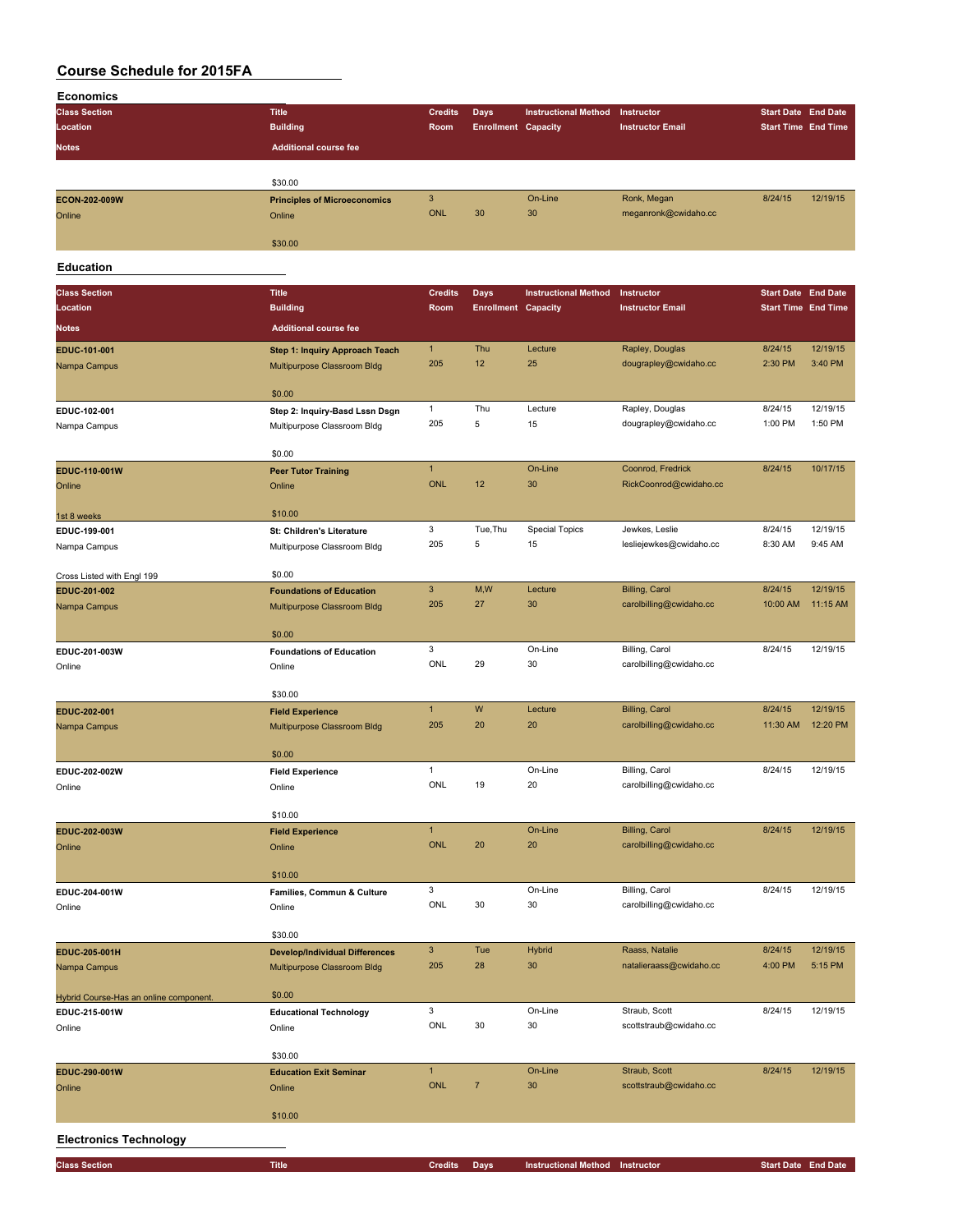| <b>Economics</b>                       |                                       |                     |                            |                                 |                                                  |                            |                     |
|----------------------------------------|---------------------------------------|---------------------|----------------------------|---------------------------------|--------------------------------------------------|----------------------------|---------------------|
| <b>Class Section</b>                   | <b>Title</b>                          | <b>Credits</b>      | <b>Days</b>                | <b>Instructional Method</b>     | Instructor                                       | <b>Start Date End Date</b> |                     |
| Location                               | <b>Building</b>                       | Room                | <b>Enrollment Capacity</b> |                                 | <b>Instructor Email</b>                          | <b>Start Time End Time</b> |                     |
| Notes                                  | <b>Additional course fee</b>          |                     |                            |                                 |                                                  |                            |                     |
|                                        |                                       |                     |                            |                                 |                                                  |                            |                     |
|                                        | \$30.00                               |                     |                            |                                 |                                                  |                            |                     |
| ECON-202-009W                          | <b>Principles of Microeconomics</b>   | $\mathbf{3}$        |                            | On-Line                         | Ronk, Megan                                      | 8/24/15                    | 12/19/15            |
| Online                                 | Online                                | <b>ONL</b>          | 30                         | 30                              | meganronk@cwidaho.cc                             |                            |                     |
|                                        |                                       |                     |                            |                                 |                                                  |                            |                     |
|                                        | \$30.00                               |                     |                            |                                 |                                                  |                            |                     |
|                                        |                                       |                     |                            |                                 |                                                  |                            |                     |
| <b>Education</b>                       |                                       |                     |                            |                                 |                                                  |                            |                     |
| <b>Class Section</b>                   | <b>Title</b>                          | <b>Credits</b>      | <b>Days</b>                | <b>Instructional Method</b>     | Instructor                                       | <b>Start Date End Date</b> |                     |
| Location                               | <b>Building</b>                       | Room                | <b>Enrollment Capacity</b> |                                 | <b>Instructor Email</b>                          | <b>Start Time End Time</b> |                     |
| <b>Notes</b>                           | <b>Additional course fee</b>          |                     |                            |                                 |                                                  |                            |                     |
|                                        |                                       |                     |                            |                                 |                                                  |                            |                     |
| EDUC-101-001                           | <b>Step 1: Inquiry Approach Teach</b> | $\mathbf{1}$        | Thu                        | Lecture                         | Rapley, Douglas                                  | 8/24/15                    | 12/19/15            |
| Nampa Campus                           | Multipurpose Classroom Bldg           | 205                 | 12                         | 25                              | dougrapley@cwidaho.cc                            | 2:30 PM                    | 3:40 PM             |
|                                        |                                       |                     |                            |                                 |                                                  |                            |                     |
|                                        | \$0.00                                |                     |                            |                                 |                                                  |                            |                     |
| EDUC-102-001                           | Step 2: Inquiry-Basd Lssn Dsgn        | $\mathbf{1}$<br>205 | Thu<br>5                   | Lecture<br>15                   | Rapley, Douglas                                  | 8/24/15                    | 12/19/15<br>1:50 PM |
| Nampa Campus                           | Multipurpose Classroom Bldg           |                     |                            |                                 | dougrapley@cwidaho.cc                            | 1:00 PM                    |                     |
|                                        | \$0.00                                |                     |                            |                                 |                                                  |                            |                     |
| EDUC-110-001W                          | <b>Peer Tutor Training</b>            | $\mathbf{1}$        |                            | On-Line                         | Coonrod, Fredrick                                | 8/24/15                    | 10/17/15            |
| Online                                 | Online                                | <b>ONL</b>          | 12                         | 30                              | RickCoonrod@cwidaho.cc                           |                            |                     |
|                                        |                                       |                     |                            |                                 |                                                  |                            |                     |
| 1st 8 weeks                            | \$10.00                               |                     |                            |                                 |                                                  |                            |                     |
| EDUC-199-001                           | St: Children's Literature             | 3                   | Tue, Thu                   | <b>Special Topics</b>           | Jewkes, Leslie                                   | 8/24/15                    | 12/19/15            |
| Nampa Campus                           | Multipurpose Classroom Bldg           | 205                 | 5                          | 15                              | lesliejewkes@cwidaho.cc                          | 8:30 AM                    | 9:45 AM             |
|                                        |                                       |                     |                            |                                 |                                                  |                            |                     |
| Cross Listed with Engl 199             | \$0.00                                |                     |                            |                                 |                                                  |                            |                     |
| EDUC-201-002                           | <b>Foundations of Education</b>       | $\mathbf{3}$        | M,W                        | Lecture                         | <b>Billing, Carol</b>                            | 8/24/15                    | 12/19/15            |
| Nampa Campus                           | Multipurpose Classroom Bldg           | 205                 | 27                         | 30                              | carolbilling@cwidaho.cc                          | 10:00 AM                   | 11:15 AM            |
|                                        |                                       |                     |                            |                                 |                                                  |                            |                     |
|                                        | \$0.00                                |                     |                            |                                 |                                                  |                            |                     |
| EDUC-201-003W                          | <b>Foundations of Education</b>       | 3                   |                            | On-Line                         | Billing, Carol                                   | 8/24/15                    | 12/19/15            |
| Online                                 | Online                                | ONL                 | 29                         | 30                              | carolbilling@cwidaho.cc                          |                            |                     |
|                                        |                                       |                     |                            |                                 |                                                  |                            |                     |
|                                        | \$30.00                               | $\mathbf{1}$        | W                          | Lecture                         |                                                  |                            | 12/19/15            |
| EDUC-202-001                           | <b>Field Experience</b>               | 205                 | 20                         | 20                              | <b>Billing, Carol</b><br>carolbilling@cwidaho.cc | 8/24/15<br>11:30 AM        | 12:20 PM            |
| Nampa Campus                           | Multipurpose Classroom Bldg           |                     |                            |                                 |                                                  |                            |                     |
|                                        | \$0.00                                |                     |                            |                                 |                                                  |                            |                     |
| EDUC-202-002W                          | <b>Field Experience</b>               | $\mathbf{1}$        |                            | On-Line                         | Billing, Carol                                   | 8/24/15                    | 12/19/15            |
| Online                                 | Online                                | <b>ONL</b>          | 19                         | 20                              | carolbilling@cwidaho.cc                          |                            |                     |
|                                        |                                       |                     |                            |                                 |                                                  |                            |                     |
|                                        | \$10.00                               |                     |                            |                                 |                                                  |                            |                     |
| EDUC-202-003W                          | <b>Field Experience</b>               | $\mathbf{1}$        |                            | On-Line                         | Billing, Carol                                   | 8/24/15                    | 12/19/15            |
| Online                                 | Online                                | <b>ONL</b>          | 20                         | 20                              | carolbilling@cwidaho.cc                          |                            |                     |
|                                        |                                       |                     |                            |                                 |                                                  |                            |                     |
|                                        | \$10.00                               |                     |                            |                                 |                                                  |                            |                     |
| EDUC-204-001W                          | Families, Commun & Culture            | 3                   |                            | On-Line                         | Billing, Carol                                   | 8/24/15                    | 12/19/15            |
| Online                                 | Online                                | ONL                 | 30                         | 30                              | carolbilling@cwidaho.cc                          |                            |                     |
|                                        |                                       |                     |                            |                                 |                                                  |                            |                     |
|                                        | \$30.00                               |                     |                            |                                 |                                                  |                            |                     |
| EDUC-205-001H                          | <b>Develop/Individual Differences</b> | $\mathbf{3}$        | Tue                        | <b>Hybrid</b>                   | Raass, Natalie                                   | 8/24/15                    | 12/19/15            |
| Nampa Campus                           | Multipurpose Classroom Bldg           | 205                 | 28                         | 30                              | natalieraass@cwidaho.cc                          | 4:00 PM                    | 5:15 PM             |
|                                        |                                       |                     |                            |                                 |                                                  |                            |                     |
| Hybrid Course-Has an online component. | \$0.00                                | 3                   |                            | On-Line                         | Straub, Scott                                    | 8/24/15                    | 12/19/15            |
| EDUC-215-001W                          | <b>Educational Technology</b>         | ONL                 | 30                         | 30                              | scottstraub@cwidaho.cc                           |                            |                     |
| Online                                 | Online                                |                     |                            |                                 |                                                  |                            |                     |
|                                        | \$30.00                               |                     |                            |                                 |                                                  |                            |                     |
| EDUC-290-001W                          | <b>Education Exit Seminar</b>         | $\overline{1}$      |                            | On-Line                         | Straub, Scott                                    | 8/24/15                    | 12/19/15            |
| Online                                 | Online                                | <b>ONL</b>          | $\overline{7}$             | 30                              | scottstraub@cwidaho.cc                           |                            |                     |
|                                        |                                       |                     |                            |                                 |                                                  |                            |                     |
|                                        | \$10.00                               |                     |                            |                                 |                                                  |                            |                     |
|                                        |                                       |                     |                            |                                 |                                                  |                            |                     |
| <b>Electronics Technology</b>          |                                       |                     |                            |                                 |                                                  |                            |                     |
| <b>Class Section</b>                   | <b>Title</b>                          | Credits Days        |                            | Instructional Method Instructor |                                                  | <b>Start Date End Date</b> |                     |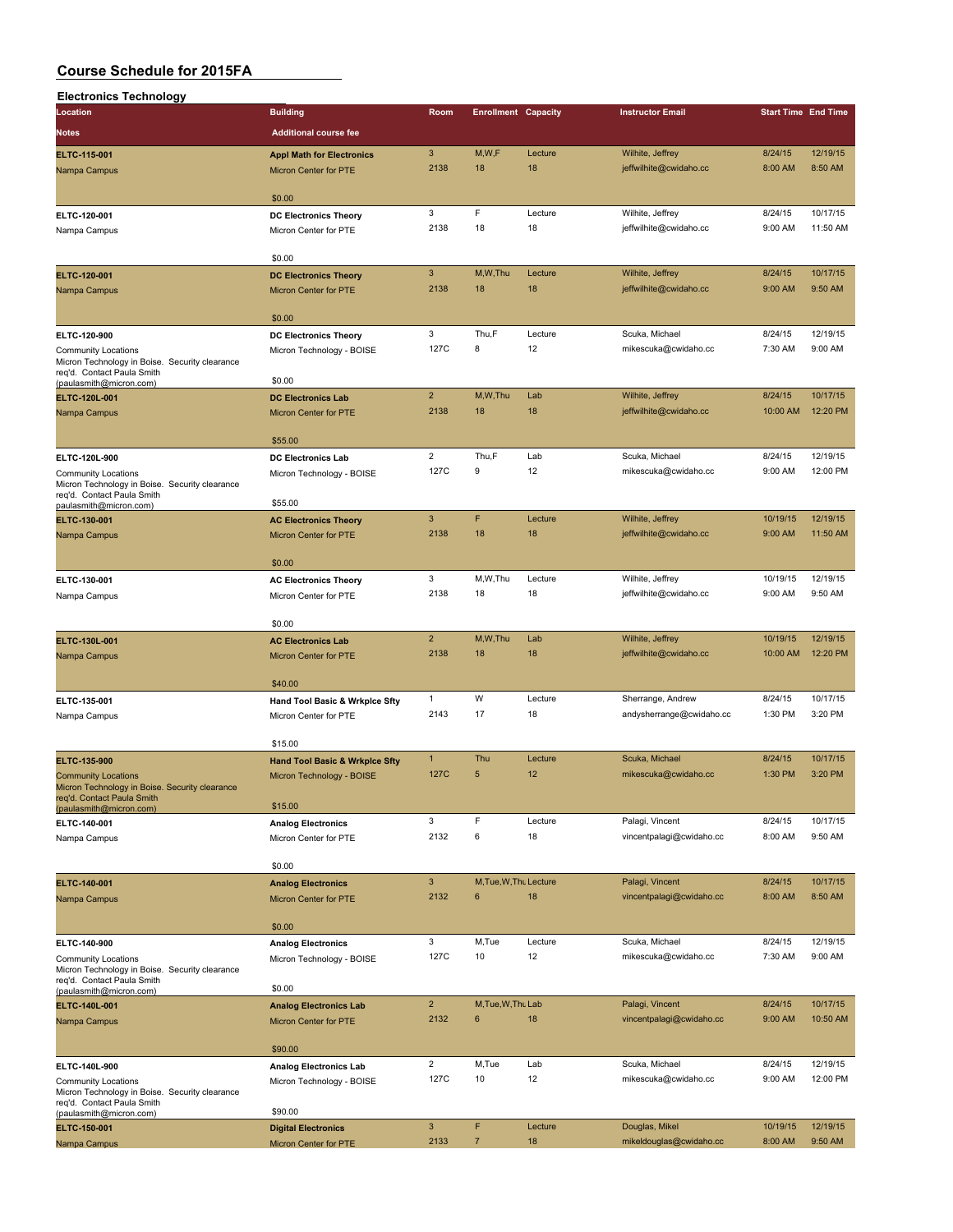| <b>Electronics Technology</b>                                                |                                                    |                         |                        |                            |                          |          |                            |
|------------------------------------------------------------------------------|----------------------------------------------------|-------------------------|------------------------|----------------------------|--------------------------|----------|----------------------------|
| Location                                                                     | <b>Building</b>                                    | Room                    |                        | <b>Enrollment Capacity</b> | <b>Instructor Email</b>  |          | <b>Start Time End Time</b> |
| Notes                                                                        | <b>Additional course fee</b>                       |                         |                        |                            |                          |          |                            |
|                                                                              |                                                    |                         |                        |                            |                          |          |                            |
| ELTC-115-001                                                                 | <b>Appl Math for Electronics</b>                   | 3                       | M, W, F                | Lecture                    | Wilhite, Jeffrey         | 8/24/15  | 12/19/15                   |
| Nampa Campus                                                                 | Micron Center for PTE                              | 2138                    | 18                     | 18                         | jeffwilhite@cwidaho.cc   | 8:00 AM  | 8:50 AM                    |
|                                                                              | \$0.00                                             |                         |                        |                            |                          |          |                            |
|                                                                              |                                                    | 3                       | F                      | Lecture                    | Wilhite, Jeffrey         | 8/24/15  | 10/17/15                   |
| ELTC-120-001                                                                 | <b>DC Electronics Theory</b>                       | 2138                    | 18                     | 18                         | jeffwilhite@cwidaho.cc   | 9:00 AM  | 11:50 AM                   |
| Nampa Campus                                                                 | Micron Center for PTE                              |                         |                        |                            |                          |          |                            |
|                                                                              | \$0.00                                             |                         |                        |                            |                          |          |                            |
| ELTC-120-001                                                                 | <b>DC Electronics Theory</b>                       | 3                       | M,W,Thu                | Lecture                    | Wilhite, Jeffrey         | 8/24/15  | 10/17/15                   |
| Nampa Campus                                                                 | <b>Micron Center for PTE</b>                       | 2138                    | 18                     | 18                         | jeffwilhite@cwidaho.cc   | 9:00 AM  | 9:50 AM                    |
|                                                                              |                                                    |                         |                        |                            |                          |          |                            |
|                                                                              | \$0.00                                             |                         |                        |                            |                          |          |                            |
| ELTC-120-900                                                                 | <b>DC Electronics Theory</b>                       | 3                       | Thu,F                  | Lecture                    | Scuka, Michael           | 8/24/15  | 12/19/15                   |
| <b>Community Locations</b>                                                   | Micron Technology - BOISE                          | 127C                    | 8                      | 12                         | mikescuka@cwidaho.cc     | 7:30 AM  | 9:00 AM                    |
| Micron Technology in Boise. Security clearance                               |                                                    |                         |                        |                            |                          |          |                            |
| req'd. Contact Paula Smith<br>(paulasmith@micron.com)                        | \$0.00                                             |                         |                        |                            |                          |          |                            |
| ELTC-120L-001                                                                | <b>DC Electronics Lab</b>                          | $\overline{2}$          | M,W,Thu                | Lab                        | Wilhite, Jeffrey         | 8/24/15  | 10/17/15                   |
| Nampa Campus                                                                 | Micron Center for PTE                              | 2138                    | 18                     | 18                         | jeffwilhite@cwidaho.cc   | 10:00 AM | 12:20 PM                   |
|                                                                              |                                                    |                         |                        |                            |                          |          |                            |
|                                                                              | \$55.00                                            |                         |                        |                            |                          |          |                            |
| ELTC-120L-900                                                                | <b>DC Electronics Lab</b>                          | $\overline{\mathbf{c}}$ | Thu,F                  | Lab                        | Scuka, Michael           | 8/24/15  | 12/19/15                   |
| <b>Community Locations</b>                                                   | Micron Technology - BOISE                          | 127C                    | 9                      | 12                         | mikescuka@cwidaho.cc     | 9:00 AM  | 12:00 PM                   |
| Micron Technology in Boise. Security clearance                               |                                                    |                         |                        |                            |                          |          |                            |
| req'd. Contact Paula Smith<br>paulasmith@micron.com)                         | \$55.00                                            |                         |                        |                            |                          |          |                            |
| ELTC-130-001                                                                 | <b>AC Electronics Theory</b>                       | 3                       | F                      | Lecture                    | Wilhite, Jeffrey         | 10/19/15 | 12/19/15                   |
| Nampa Campus                                                                 | <b>Micron Center for PTE</b>                       | 2138                    | 18                     | 18                         | jeffwilhite@cwidaho.cc   | 9:00 AM  | 11:50 AM                   |
|                                                                              |                                                    |                         |                        |                            |                          |          |                            |
|                                                                              | \$0.00                                             |                         |                        |                            |                          |          |                            |
| ELTC-130-001                                                                 | <b>AC Electronics Theory</b>                       | 3                       | M,W,Thu                | Lecture                    | Wilhite, Jeffrey         | 10/19/15 | 12/19/15                   |
| Nampa Campus                                                                 | Micron Center for PTE                              | 2138                    | 18                     | 18                         | jeffwilhite@cwidaho.cc   | 9:00 AM  | 9:50 AM                    |
|                                                                              |                                                    |                         |                        |                            |                          |          |                            |
|                                                                              | \$0.00                                             |                         |                        |                            |                          |          |                            |
| ELTC-130L-001                                                                | <b>AC Electronics Lab</b>                          | $\overline{2}$          | M,W,Thu                | Lab                        | Wilhite, Jeffrey         | 10/19/15 | 12/19/15                   |
| Nampa Campus                                                                 | Micron Center for PTE                              | 2138                    | 18                     | 18                         | jeffwilhite@cwidaho.cc   | 10:00 AM | 12:20 PM                   |
|                                                                              |                                                    |                         |                        |                            |                          |          |                            |
|                                                                              | \$40.00                                            |                         |                        |                            |                          |          |                            |
| ELTC-135-001                                                                 | Hand Tool Basic & Wrkplce Sfty                     | 1                       | W                      | Lecture                    | Sherrange, Andrew        | 8/24/15  | 10/17/15                   |
| Nampa Campus                                                                 | Micron Center for PTE                              | 2143                    | 17                     | 18                         | andysherrange@cwidaho.cc | 1:30 PM  | 3:20 PM                    |
|                                                                              | \$15.00                                            |                         |                        |                            |                          |          |                            |
|                                                                              |                                                    | $\mathbf{1}$            | Thu                    | Lecture                    | Scuka, Michael           | 8/24/15  | 10/17/15                   |
| ELTC-135-900                                                                 | <b>Hand Tool Basic &amp; Wrkplce Sfty</b>          | 127C                    | 5                      | 12                         | mikescuka@cwidaho.cc     | 1:30 PM  | 3:20 PM                    |
| <b>Community Locations</b><br>Micron Technology in Boise. Security clearance | Micron Technology - BOISE                          |                         |                        |                            |                          |          |                            |
| req'd. Contact Paula Smith                                                   |                                                    |                         |                        |                            |                          |          |                            |
| (paulasmith@micron.com)                                                      | \$15.00                                            | 3                       | F                      | Lecture                    | Palagi, Vincent          | 8/24/15  | 10/17/15                   |
| ELTC-140-001                                                                 | <b>Analog Electronics</b>                          | 2132                    | 6                      | 18                         |                          | 8:00 AM  | 9:50 AM                    |
| Nampa Campus                                                                 | Micron Center for PTE                              |                         |                        |                            | vincentpalagi@cwidaho.cc |          |                            |
|                                                                              | \$0.00                                             |                         |                        |                            |                          |          |                            |
|                                                                              |                                                    | 3                       | M, Tue, W, Thu Lecture |                            | Palagi, Vincent          | 8/24/15  | 10/17/15                   |
| ELTC-140-001                                                                 | <b>Analog Electronics</b><br>Micron Center for PTE | 2132                    | 6                      | 18                         | vincentpalagi@cwidaho.cc | 8:00 AM  | 8:50 AM                    |
| Nampa Campus                                                                 |                                                    |                         |                        |                            |                          |          |                            |
|                                                                              | \$0.00                                             |                         |                        |                            |                          |          |                            |
| ELTC-140-900                                                                 | <b>Analog Electronics</b>                          | 3                       | M,Tue                  | Lecture                    | Scuka, Michael           | 8/24/15  | 12/19/15                   |
| Community Locations                                                          | Micron Technology - BOISE                          | 127C                    | 10                     | 12                         | mikescuka@cwidaho.cc     | 7:30 AM  | 9:00 AM                    |
| Micron Technology in Boise. Security clearance                               |                                                    |                         |                        |                            |                          |          |                            |
| req'd. Contact Paula Smith                                                   | \$0.00                                             |                         |                        |                            |                          |          |                            |
| (paulasmith@micron.com)<br>ELTC-140L-001                                     | <b>Analog Electronics Lab</b>                      | $\overline{2}$          | M, Tue, W, Thu Lab     |                            | Palagi, Vincent          | 8/24/15  | 10/17/15                   |
| Nampa Campus                                                                 | Micron Center for PTE                              | 2132                    | $\bf 6$                | 18                         | vincentpalagi@cwidaho.cc | 9:00 AM  | 10:50 AM                   |
|                                                                              |                                                    |                         |                        |                            |                          |          |                            |
|                                                                              | \$90.00                                            |                         |                        |                            |                          |          |                            |
| ELTC-140L-900                                                                | <b>Analog Electronics Lab</b>                      | $\overline{2}$          | M,Tue                  | Lab                        | Scuka, Michael           | 8/24/15  | 12/19/15                   |
| <b>Community Locations</b>                                                   | Micron Technology - BOISE                          | 127C                    | 10                     | 12                         | mikescuka@cwidaho.cc     | 9:00 AM  | 12:00 PM                   |
| Micron Technology in Boise. Security clearance                               |                                                    |                         |                        |                            |                          |          |                            |
| req'd. Contact Paula Smith<br>(paulasmith@micron.com)                        | \$90.00                                            |                         |                        |                            |                          |          |                            |
| ELTC-150-001                                                                 | <b>Digital Electronics</b>                         | $\mathbf{3}$            | F                      | Lecture                    | Douglas, Mikel           | 10/19/15 | 12/19/15                   |
| Nampa Campus                                                                 | Micron Center for PTE                              | 2133                    | $\overline{7}$         | 18                         | mikeldouglas@cwidaho.cc  | 8:00 AM  | 9:50 AM                    |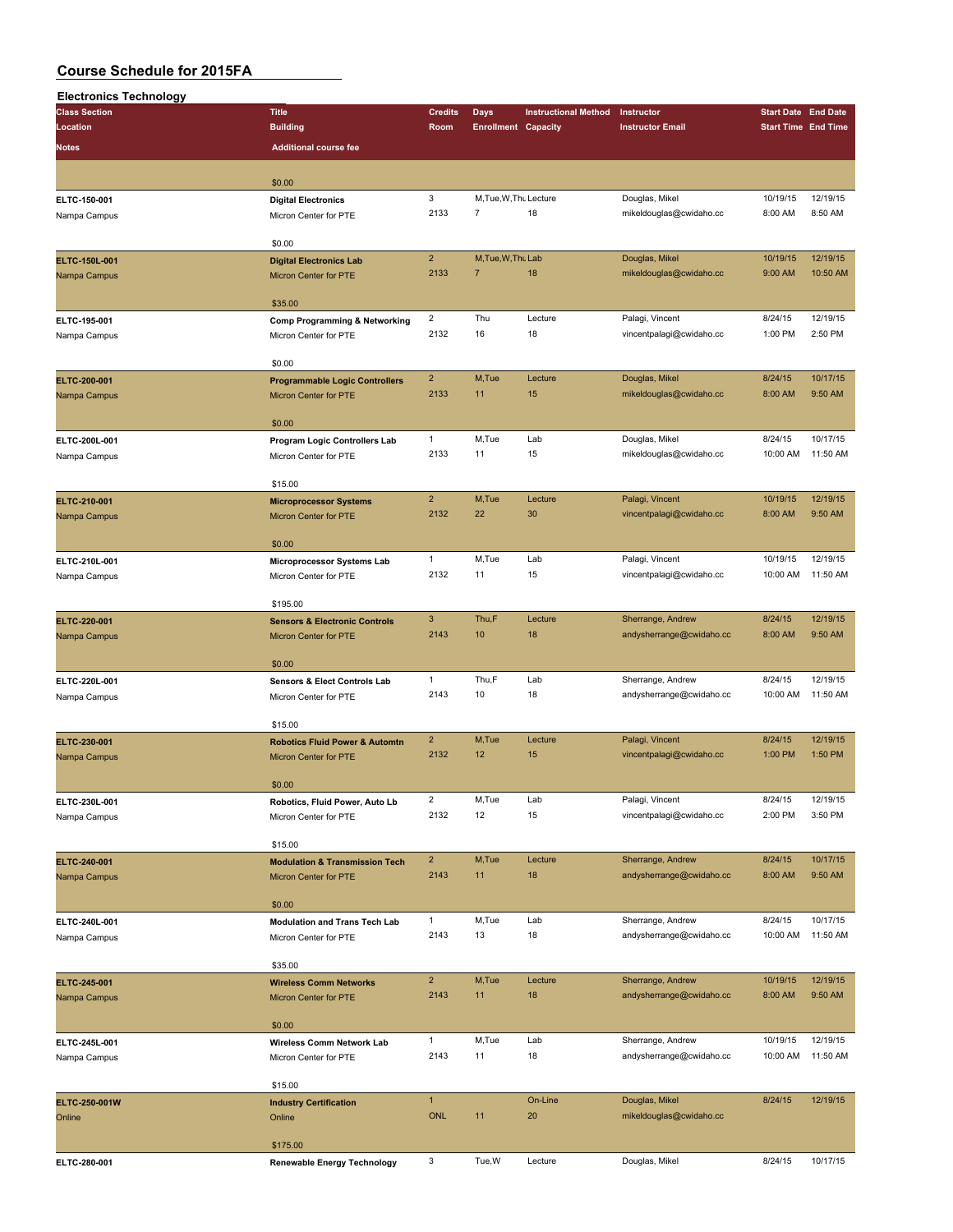| <b>Electronics Technology</b> |                                                               |                           |                                          |                             |                          |                            |                            |
|-------------------------------|---------------------------------------------------------------|---------------------------|------------------------------------------|-----------------------------|--------------------------|----------------------------|----------------------------|
| <b>Class Section</b>          | <b>Title</b>                                                  | <b>Credits</b>            | Days                                     | <b>Instructional Method</b> | Instructor               | <b>Start Date End Date</b> |                            |
| Location                      | <b>Building</b>                                               | Room                      | <b>Enrollment Capacity</b>               |                             | <b>Instructor Email</b>  |                            | <b>Start Time End Time</b> |
| Notes                         | <b>Additional course fee</b>                                  |                           |                                          |                             |                          |                            |                            |
|                               |                                                               |                           |                                          |                             |                          |                            |                            |
|                               |                                                               |                           |                                          |                             |                          |                            |                            |
|                               | \$0.00                                                        | 3                         |                                          |                             |                          |                            | 12/19/15                   |
| ELTC-150-001                  | <b>Digital Electronics</b>                                    | 2133                      | M, Tue, W, Thu Lecture<br>$\overline{7}$ | 18                          | Douglas, Mikel           | 10/19/15                   | 8:50 AM                    |
| Nampa Campus                  | Micron Center for PTE                                         |                           |                                          |                             | mikeldouglas@cwidaho.cc  | 8:00 AM                    |                            |
|                               | \$0.00                                                        |                           |                                          |                             |                          |                            |                            |
| ELTC-150L-001                 | <b>Digital Electronics Lab</b>                                | $\overline{2}$            | M, Tue, W, Thu Lab                       |                             | Douglas, Mikel           | 10/19/15                   | 12/19/15                   |
| Nampa Campus                  | Micron Center for PTE                                         | 2133                      | $\overline{7}$                           | 18                          | mikeldouglas@cwidaho.cc  | 9:00 AM                    | 10:50 AM                   |
|                               |                                                               |                           |                                          |                             |                          |                            |                            |
|                               | \$35.00                                                       |                           |                                          |                             |                          |                            |                            |
| ELTC-195-001                  | Comp Programming & Networking                                 | $\overline{2}$            | Thu                                      | Lecture                     | Palagi, Vincent          | 8/24/15                    | 12/19/15                   |
| Nampa Campus                  | Micron Center for PTE                                         | 2132                      | 16                                       | 18                          | vincentpalagi@cwidaho.cc | 1:00 PM                    | 2:50 PM                    |
|                               |                                                               |                           |                                          |                             |                          |                            |                            |
|                               | \$0.00                                                        |                           |                                          |                             |                          |                            |                            |
| ELTC-200-001                  | <b>Programmable Logic Controllers</b>                         | $\overline{2}$            | M,Tue                                    | Lecture                     | Douglas, Mikel           | 8/24/15                    | 10/17/15                   |
| Nampa Campus                  | <b>Micron Center for PTE</b>                                  | 2133                      | 11                                       | 15                          | mikeldouglas@cwidaho.cc  | 8:00 AM                    | 9:50 AM                    |
|                               |                                                               |                           |                                          |                             |                          |                            |                            |
|                               | \$0.00                                                        |                           |                                          |                             |                          |                            |                            |
| ELTC-200L-001                 | Program Logic Controllers Lab                                 | $\mathbf{1}$              | M,Tue                                    | Lab                         | Douglas, Mikel           | 8/24/15                    | 10/17/15                   |
| Nampa Campus                  | Micron Center for PTE                                         | 2133                      | 11                                       | 15                          | mikeldouglas@cwidaho.cc  | 10:00 AM                   | 11:50 AM                   |
|                               | \$15.00                                                       |                           |                                          |                             |                          |                            |                            |
|                               |                                                               | $\overline{2}$            | M,Tue                                    | Lecture                     | Palagi, Vincent          | 10/19/15                   | 12/19/15                   |
| ELTC-210-001                  | <b>Microprocessor Systems</b><br><b>Micron Center for PTE</b> | 2132                      | 22                                       | 30                          | vincentpalagi@cwidaho.cc | 8:00 AM                    | 9:50 AM                    |
| Nampa Campus                  |                                                               |                           |                                          |                             |                          |                            |                            |
|                               | \$0.00                                                        |                           |                                          |                             |                          |                            |                            |
| ELTC-210L-001                 | Microprocessor Systems Lab                                    | $\mathbf{1}$              | M.Tue                                    | Lab                         | Palagi, Vincent          | 10/19/15                   | 12/19/15                   |
| Nampa Campus                  | Micron Center for PTE                                         | 2132                      | 11                                       | 15                          | vincentpalagi@cwidaho.cc | 10:00 AM                   | 11:50 AM                   |
|                               |                                                               |                           |                                          |                             |                          |                            |                            |
|                               | \$195.00                                                      |                           |                                          |                             |                          |                            |                            |
| ELTC-220-001                  | <b>Sensors &amp; Electronic Controls</b>                      | $\ensuremath{\mathsf{3}}$ | Thu,F                                    | Lecture                     | Sherrange, Andrew        | 8/24/15                    | 12/19/15                   |
| Nampa Campus                  | <b>Micron Center for PTE</b>                                  | 2143                      | 10                                       | 18                          | andysherrange@cwidaho.cc | 8:00 AM                    | 9:50 AM                    |
|                               |                                                               |                           |                                          |                             |                          |                            |                            |
|                               | \$0.00                                                        |                           |                                          |                             |                          |                            |                            |
| ELTC-220L-001                 | Sensors & Elect Controls Lab                                  | $\mathbf{1}$              | Thu,F                                    | Lab                         | Sherrange, Andrew        | 8/24/15                    | 12/19/15                   |
| Nampa Campus                  | Micron Center for PTE                                         | 2143                      | 10                                       | 18                          | andysherrange@cwidaho.cc | 10:00 AM                   | 11:50 AM                   |
|                               | \$15.00                                                       |                           |                                          |                             |                          |                            |                            |
| ELTC-230-001                  | <b>Robotics Fluid Power &amp; Automtn</b>                     | $\overline{2}$            | M,Tue                                    | Lecture                     | Palagi, Vincent          | 8/24/15                    | 12/19/15                   |
| Nampa Campus                  | Micron Center for PTE                                         | 2132                      | 12                                       | 15                          | vincentpalagi@cwidaho.cc | 1:00 PM                    | 1:50 PM                    |
|                               |                                                               |                           |                                          |                             |                          |                            |                            |
|                               | \$0.00                                                        |                           |                                          |                             |                          |                            |                            |
| ELTC-230L-001                 | Robotics, Fluid Power, Auto Lb                                | $\overline{c}$            | M,Tue                                    | Lab                         | Palagi, Vincent          | 8/24/15                    | 12/19/15                   |
| Nampa Campus                  | Micron Center for PTE                                         | 2132                      | 12                                       | 15                          | vincentpalagi@cwidaho.cc | 2:00 PM                    | 3:50 PM                    |
|                               |                                                               |                           |                                          |                             |                          |                            |                            |
|                               | \$15.00                                                       |                           |                                          |                             |                          |                            |                            |
| ELTC-240-001                  | <b>Modulation &amp; Transmission Tech</b>                     | $\overline{2}$            | M,Tue                                    | Lecture                     | Sherrange, Andrew        | 8/24/15                    | 10/17/15                   |
| Nampa Campus                  | <b>Micron Center for PTE</b>                                  | 2143                      | 11                                       | 18                          | andysherrange@cwidaho.cc | 8:00 AM                    | 9:50 AM                    |
|                               | \$0.00                                                        |                           |                                          |                             |                          |                            |                            |
| ELTC-240L-001                 |                                                               | $\mathbf{1}$              | M,Tue                                    | Lab                         | Sherrange, Andrew        | 8/24/15                    | 10/17/15                   |
| Nampa Campus                  | <b>Modulation and Trans Tech Lab</b><br>Micron Center for PTE | 2143                      | 13                                       | 18                          | andysherrange@cwidaho.cc | 10:00 AM                   | 11:50 AM                   |
|                               |                                                               |                           |                                          |                             |                          |                            |                            |
|                               | \$35.00                                                       |                           |                                          |                             |                          |                            |                            |
| ELTC-245-001                  | <b>Wireless Comm Networks</b>                                 | $\overline{2}$            | M,Tue                                    | Lecture                     | Sherrange, Andrew        | 10/19/15                   | 12/19/15                   |
| Nampa Campus                  | Micron Center for PTE                                         | 2143                      | 11                                       | 18                          | andysherrange@cwidaho.cc | 8:00 AM                    | 9:50 AM                    |
|                               |                                                               |                           |                                          |                             |                          |                            |                            |
|                               | \$0.00                                                        |                           |                                          |                             |                          |                            |                            |
| ELTC-245L-001                 | Wireless Comm Network Lab                                     | $\mathbf{1}$              | M,Tue                                    | Lab                         | Sherrange, Andrew        | 10/19/15                   | 12/19/15                   |
| Nampa Campus                  | Micron Center for PTE                                         | 2143                      | 11                                       | 18                          | andysherrange@cwidaho.cc | 10:00 AM                   | 11:50 AM                   |
|                               |                                                               |                           |                                          |                             |                          |                            |                            |
|                               | \$15.00                                                       | $\mathbf{1}$              |                                          | On-Line                     | Douglas, Mikel           | 8/24/15                    | 12/19/15                   |
| ELTC-250-001W                 | <b>Industry Certification</b>                                 | <b>ONL</b>                | 11                                       | 20                          | mikeldouglas@cwidaho.cc  |                            |                            |
| Online                        | Online                                                        |                           |                                          |                             |                          |                            |                            |
|                               | \$175.00                                                      |                           |                                          |                             |                          |                            |                            |
| ELTC-280-001                  | Renewable Energy Technology                                   | 3                         | Tue, W                                   | Lecture                     | Douglas, Mikel           | 8/24/15                    | 10/17/15                   |
|                               |                                                               |                           |                                          |                             |                          |                            |                            |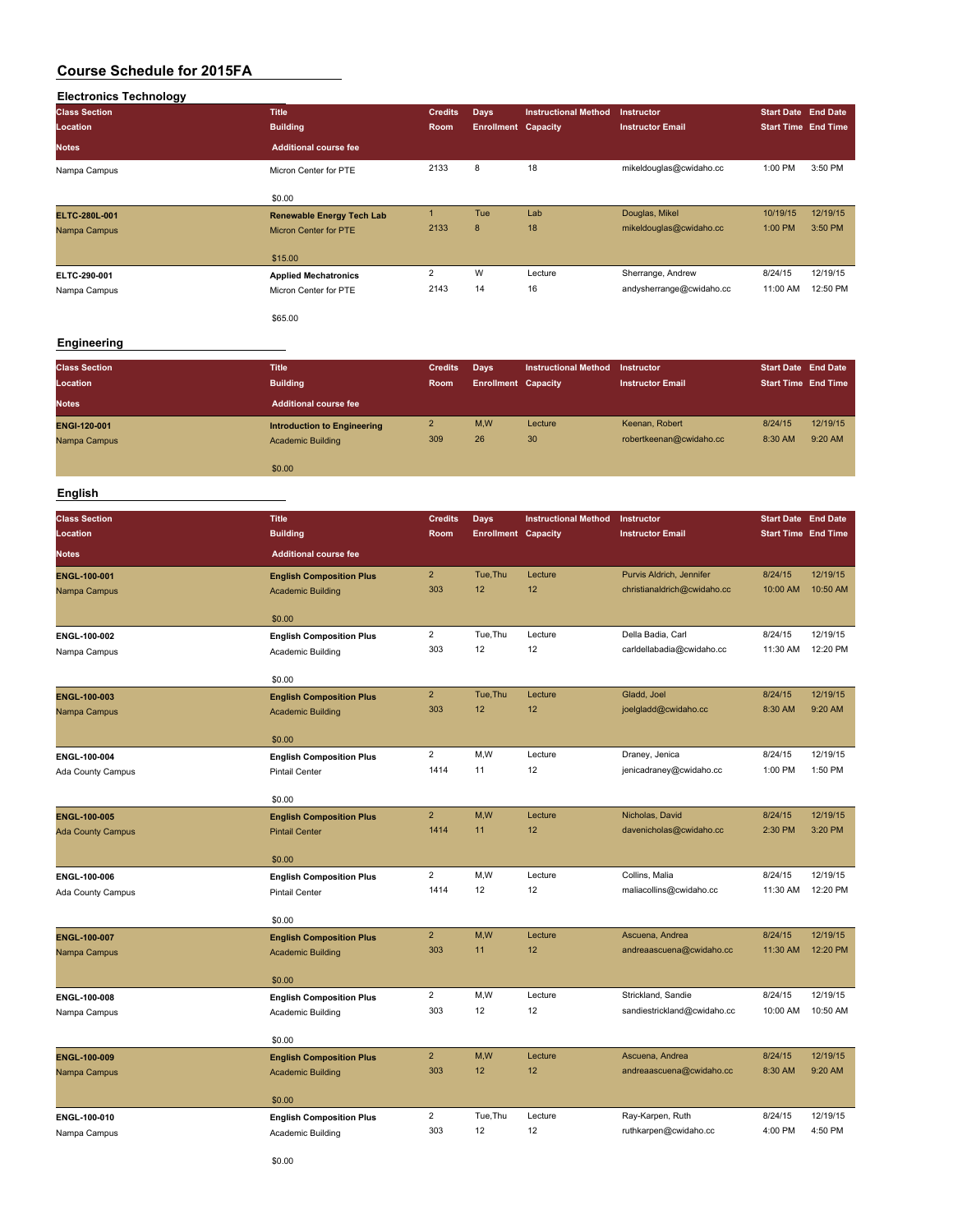| <b>Electronics Technology</b> |                                  |                |                            |                             |                          |                            |          |
|-------------------------------|----------------------------------|----------------|----------------------------|-----------------------------|--------------------------|----------------------------|----------|
| <b>Class Section</b>          | <b>Title</b>                     | <b>Credits</b> | <b>Days</b>                | <b>Instructional Method</b> | Instructor               | <b>Start Date End Date</b> |          |
| Location                      | <b>Building</b>                  | Room           | <b>Enrollment Capacity</b> |                             | <b>Instructor Email</b>  | <b>Start Time End Time</b> |          |
| <b>Notes</b>                  | <b>Additional course fee</b>     |                |                            |                             |                          |                            |          |
| Nampa Campus                  | Micron Center for PTE            | 2133           | 8                          | 18                          | mikeldouglas@cwidaho.cc  | 1:00 PM                    | 3:50 PM  |
|                               | \$0.00                           |                |                            |                             |                          |                            |          |
| ELTC-280L-001                 | <b>Renewable Energy Tech Lab</b> | $\blacksquare$ | Tue                        | Lab                         | Douglas, Mikel           | 10/19/15                   | 12/19/15 |
| Nampa Campus                  | Micron Center for PTE            | 2133           | 8                          | 18                          | mikeldouglas@cwidaho.cc  | 1:00 PM                    | 3:50 PM  |
|                               | \$15.00                          |                |                            |                             |                          |                            |          |
| ELTC-290-001                  | <b>Applied Mechatronics</b>      | $\overline{2}$ | W                          | Lecture                     | Sherrange, Andrew        | 8/24/15                    | 12/19/15 |
| Nampa Campus                  | Micron Center for PTE            | 2143           | 14                         | 16                          | andysherrange@cwidaho.cc | 11:00 AM                   | 12:50 PM |
|                               | \$65.00                          |                |                            |                             |                          |                            |          |

#### **Engineering**

| <b>Class Section</b> | <b>Title</b>                       | <b>Credits</b> | Days                       | <b>Instructional Method</b> | Instructor              | <b>Start Date End Date</b> |          |
|----------------------|------------------------------------|----------------|----------------------------|-----------------------------|-------------------------|----------------------------|----------|
| Location             | <b>Building</b>                    | Room           | <b>Enrollment Capacity</b> |                             | <b>Instructor Email</b> | <b>Start Time End Time</b> |          |
| <b>Notes</b>         | <b>Additional course fee</b>       |                |                            |                             |                         |                            |          |
| ENGI-120-001         | <b>Introduction to Engineering</b> | $\overline{2}$ | M,W                        | Lecture                     | Keenan, Robert          | 8/24/15                    | 12/19/15 |
| Nampa Campus         | <b>Academic Building</b>           | 309            | 26                         | 30                          | robertkeenan@cwidaho.cc | 8:30 AM                    | 9:20 AM  |
|                      | \$0.00                             |                |                            |                             |                         |                            |          |
|                      |                                    |                |                            |                             |                         |                            |          |

# **English**

| <b>Class Section</b>     | <b>Title</b>                    | <b>Credits</b>        | <b>Days</b>                | <b>Instructional Method</b> | Instructor                  | <b>Start Date End Date</b> |          |
|--------------------------|---------------------------------|-----------------------|----------------------------|-----------------------------|-----------------------------|----------------------------|----------|
| Location                 | <b>Building</b>                 | Room                  | <b>Enrollment Capacity</b> |                             | <b>Instructor Email</b>     | <b>Start Time End Time</b> |          |
| <b>Notes</b>             | <b>Additional course fee</b>    |                       |                            |                             |                             |                            |          |
| ENGL-100-001             | <b>English Composition Plus</b> | $\overline{2}$        | Tue, Thu                   | Lecture                     | Purvis Aldrich, Jennifer    | 8/24/15                    | 12/19/15 |
| Nampa Campus             | <b>Academic Building</b>        | 303                   | 12                         | 12                          | christianaldrich@cwidaho.cc | 10:00 AM                   | 10:50 AM |
|                          |                                 |                       |                            |                             |                             |                            |          |
|                          | \$0.00                          |                       | Tue, Thu                   | Lecture                     |                             | 8/24/15                    | 12/19/15 |
| ENGL-100-002             | <b>English Composition Plus</b> | $\overline{2}$<br>303 | 12                         | 12                          | Della Badia, Carl           | 11:30 AM                   | 12:20 PM |
| Nampa Campus             | Academic Building               |                       |                            |                             | carldellabadia@cwidaho.cc   |                            |          |
|                          | \$0.00                          |                       |                            |                             |                             |                            |          |
| ENGL-100-003             | <b>English Composition Plus</b> | $\overline{2}$        | Tue, Thu                   | Lecture                     | Gladd, Joel                 | 8/24/15                    | 12/19/15 |
| Nampa Campus             | <b>Academic Building</b>        | 303                   | 12                         | 12                          | joelgladd@cwidaho.cc        | 8:30 AM                    | 9:20 AM  |
|                          | \$0.00                          |                       |                            |                             |                             |                            |          |
| ENGL-100-004             | <b>English Composition Plus</b> | $\overline{2}$        | M, W                       | Lecture                     | Draney, Jenica              | 8/24/15                    | 12/19/15 |
| Ada County Campus        | Pintail Center                  | 1414                  | 11                         | 12                          | jenicadraney@cwidaho.cc     | 1:00 PM                    | 1:50 PM  |
|                          |                                 |                       |                            |                             |                             |                            |          |
|                          | \$0.00                          |                       |                            |                             |                             |                            |          |
| <b>ENGL-100-005</b>      | <b>English Composition Plus</b> | $\overline{2}$        | M,W                        | Lecture                     | Nicholas, David             | 8/24/15                    | 12/19/15 |
| <b>Ada County Campus</b> | <b>Pintail Center</b>           | 1414                  | 11                         | 12                          | davenicholas@cwidaho.cc     | 2:30 PM                    | 3:20 PM  |
|                          | \$0.00                          |                       |                            |                             |                             |                            |          |
| ENGL-100-006             | <b>English Composition Plus</b> | $\overline{2}$        | M, W                       | Lecture                     | Collins, Malia              | 8/24/15                    | 12/19/15 |
| Ada County Campus        | Pintail Center                  | 1414                  | 12                         | 12                          | maliacollins@cwidaho.cc     | 11:30 AM                   | 12:20 PM |
|                          |                                 |                       |                            |                             |                             |                            |          |
|                          | \$0.00                          |                       |                            |                             |                             |                            |          |
| <b>ENGL-100-007</b>      | <b>English Composition Plus</b> | $\overline{2}$        | M,W                        | Lecture                     | Ascuena, Andrea             | 8/24/15                    | 12/19/15 |
| Nampa Campus             | <b>Academic Building</b>        | 303                   | 11                         | 12                          | andreaascuena@cwidaho.cc    | 11:30 AM                   | 12:20 PM |
|                          | \$0.00                          |                       |                            |                             |                             |                            |          |
| ENGL-100-008             | <b>English Composition Plus</b> | $\overline{2}$        | M,W                        | Lecture                     | Strickland, Sandie          | 8/24/15                    | 12/19/15 |
| Nampa Campus             | Academic Building               | 303                   | 12                         | 12                          | sandiestrickland@cwidaho.cc | 10:00 AM                   | 10:50 AM |
|                          |                                 |                       |                            |                             |                             |                            |          |
|                          | \$0.00                          |                       |                            |                             |                             |                            |          |
| ENGL-100-009             | <b>English Composition Plus</b> | $\overline{2}$        | M,W                        | Lecture                     | Ascuena, Andrea             | 8/24/15                    | 12/19/15 |
| Nampa Campus             | <b>Academic Building</b>        | 303                   | 12                         | 12                          | andreaascuena@cwidaho.cc    | 8:30 AM                    | 9:20 AM  |
|                          | \$0.00                          |                       |                            |                             |                             |                            |          |
| ENGL-100-010             | <b>English Composition Plus</b> | $\overline{2}$        | Tue, Thu                   | Lecture                     | Ray-Karpen, Ruth            | 8/24/15                    | 12/19/15 |
| Nampa Campus             | Academic Building               | 303                   | 12                         | 12                          | ruthkarpen@cwidaho.cc       | 4:00 PM                    | 4:50 PM  |
|                          |                                 |                       |                            |                             |                             |                            |          |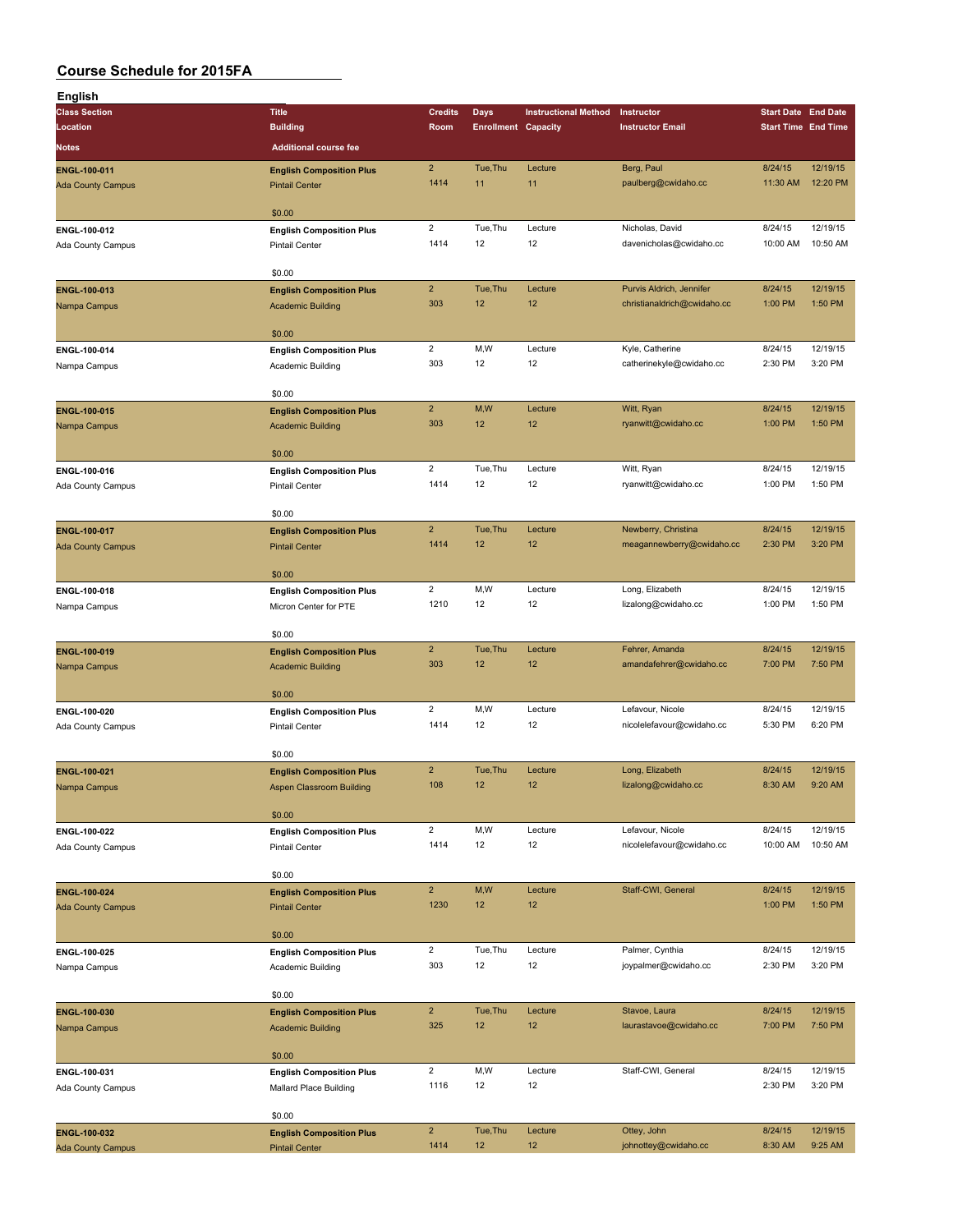| English                      |                                                          |                         |                            |                             |                                            |                     |                            |
|------------------------------|----------------------------------------------------------|-------------------------|----------------------------|-----------------------------|--------------------------------------------|---------------------|----------------------------|
| <b>Class Section</b>         | <b>Title</b>                                             | <b>Credits</b>          | <b>Days</b>                | <b>Instructional Method</b> | Instructor                                 |                     | <b>Start Date End Date</b> |
| Location                     | <b>Building</b>                                          | Room                    | <b>Enrollment Capacity</b> |                             | <b>Instructor Email</b>                    |                     | <b>Start Time End Time</b> |
| Notes                        | <b>Additional course fee</b>                             |                         |                            |                             |                                            |                     |                            |
| ENGL-100-011                 | <b>English Composition Plus</b>                          | $\overline{2}$          | Tue, Thu                   | Lecture                     | Berg, Paul                                 | 8/24/15             | 12/19/15                   |
| <b>Ada County Campus</b>     | <b>Pintail Center</b>                                    | 1414                    | 11                         | 11                          | paulberg@cwidaho.cc                        | 11:30 AM            | 12:20 PM                   |
|                              |                                                          |                         |                            |                             |                                            |                     |                            |
|                              | \$0.00                                                   |                         |                            |                             |                                            |                     |                            |
| ENGL-100-012                 | <b>English Composition Plus</b>                          | $\overline{2}$<br>1414  | Tue, Thu<br>12             | Lecture<br>12               | Nicholas, David<br>davenicholas@cwidaho.cc | 8/24/15<br>10:00 AM | 12/19/15<br>10:50 AM       |
| Ada County Campus            | <b>Pintail Center</b>                                    |                         |                            |                             |                                            |                     |                            |
|                              | \$0.00                                                   |                         |                            |                             |                                            |                     |                            |
| ENGL-100-013                 | <b>English Composition Plus</b>                          | $\overline{2}$          | Tue, Thu                   | Lecture                     | Purvis Aldrich, Jennifer                   | 8/24/15             | 12/19/15                   |
| Nampa Campus                 | <b>Academic Building</b>                                 | 303                     | 12                         | 12                          | christianaldrich@cwidaho.cc                | 1:00 PM             | 1:50 PM                    |
|                              |                                                          |                         |                            |                             |                                            |                     |                            |
|                              | \$0.00                                                   |                         |                            |                             |                                            |                     |                            |
| ENGL-100-014                 | <b>English Composition Plus</b>                          | $\overline{2}$          | M,W                        | Lecture                     | Kyle, Catherine                            | 8/24/15             | 12/19/15<br>3:20 PM        |
| Nampa Campus                 | Academic Building                                        | 303                     | 12                         | 12                          | catherinekyle@cwidaho.cc                   | 2:30 PM             |                            |
|                              | \$0.00                                                   |                         |                            |                             |                                            |                     |                            |
| ENGL-100-015                 | <b>English Composition Plus</b>                          | $\overline{2}$          | M,W                        | Lecture                     | Witt, Ryan                                 | 8/24/15             | 12/19/15                   |
| Nampa Campus                 | <b>Academic Building</b>                                 | 303                     | 12                         | 12                          | ryanwitt@cwidaho.cc                        | 1:00 PM             | 1:50 PM                    |
|                              |                                                          |                         |                            |                             |                                            |                     |                            |
|                              | \$0.00                                                   |                         |                            |                             |                                            |                     |                            |
| ENGL-100-016                 | <b>English Composition Plus</b>                          | $\overline{2}$          | Tue, Thu                   | Lecture                     | Witt, Ryan                                 | 8/24/15             | 12/19/15                   |
| Ada County Campus            | <b>Pintail Center</b>                                    | 1414                    | 12                         | 12                          | ryanwitt@cwidaho.cc                        | 1:00 PM             | 1:50 PM                    |
|                              | \$0.00                                                   |                         |                            |                             |                                            |                     |                            |
| ENGL-100-017                 | <b>English Composition Plus</b>                          | $\overline{2}$          | Tue, Thu                   | Lecture                     | Newberry, Christina                        | 8/24/15             | 12/19/15                   |
| <b>Ada County Campus</b>     | <b>Pintail Center</b>                                    | 1414                    | 12                         | 12                          | meagannewberry@cwidaho.cc                  | 2:30 PM             | 3:20 PM                    |
|                              |                                                          |                         |                            |                             |                                            |                     |                            |
|                              | \$0.00                                                   |                         |                            |                             |                                            |                     |                            |
| ENGL-100-018                 | <b>English Composition Plus</b>                          | $\overline{2}$          | M,W                        | Lecture                     | Long, Elizabeth                            | 8/24/15             | 12/19/15                   |
| Nampa Campus                 | Micron Center for PTE                                    | 1210                    | 12                         | 12                          | lizalong@cwidaho.cc                        | 1:00 PM             | 1:50 PM                    |
|                              | \$0.00                                                   |                         |                            |                             |                                            |                     |                            |
|                              | <b>English Composition Plus</b>                          | $\overline{2}$          | Tue, Thu                   | Lecture                     | Fehrer, Amanda                             | 8/24/15             | 12/19/15                   |
| ENGL-100-019<br>Nampa Campus | <b>Academic Building</b>                                 | 303                     | 12                         | 12                          | amandafehrer@cwidaho.cc                    | 7:00 PM             | 7:50 PM                    |
|                              |                                                          |                         |                            |                             |                                            |                     |                            |
|                              | \$0.00                                                   |                         |                            |                             |                                            |                     |                            |
| ENGL-100-020                 | <b>English Composition Plus</b>                          | $\overline{2}$          | M,W                        | Lecture                     | Lefavour, Nicole                           | 8/24/15             | 12/19/15                   |
| Ada County Campus            | <b>Pintail Center</b>                                    | 1414                    | 12                         | 12                          | nicolelefavour@cwidaho.cc                  | 5:30 PM             | 6:20 PM                    |
|                              | \$0.00                                                   |                         |                            |                             |                                            |                     |                            |
| ENGL-100-021                 | <b>English Composition Plus</b>                          | $\overline{2}$          | Tue, Thu                   | Lecture                     | Long, Elizabeth                            | 8/24/15             | 12/19/15                   |
| Nampa Campus                 | Aspen Classroom Building                                 | 108                     | 12                         | 12                          | lizalong@cwidaho.cc                        | 8:30 AM             | 9:20 AM                    |
|                              |                                                          |                         |                            |                             |                                            |                     |                            |
|                              | \$0.00                                                   |                         |                            |                             |                                            |                     |                            |
| ENGL-100-022                 | <b>English Composition Plus</b>                          | $\overline{a}$          | M,W                        | Lecture                     | Lefavour, Nicole                           | 8/24/15             | 12/19/15                   |
| Ada County Campus            | Pintail Center                                           | 1414                    | 12                         | 12                          | nicolelefavour@cwidaho.cc                  | 10:00 AM            | 10:50 AM                   |
|                              | \$0.00                                                   |                         |                            |                             |                                            |                     |                            |
| ENGL-100-024                 | <b>English Composition Plus</b>                          | $\overline{2}$          | M, W                       | Lecture                     | Staff-CWI, General                         | 8/24/15             | 12/19/15                   |
| <b>Ada County Campus</b>     | <b>Pintail Center</b>                                    | 1230                    | 12                         | 12                          |                                            | 1:00 PM             | 1:50 PM                    |
|                              |                                                          |                         |                            |                             |                                            |                     |                            |
|                              | \$0.00                                                   |                         |                            |                             |                                            |                     |                            |
| ENGL-100-025                 | <b>English Composition Plus</b>                          | $\overline{\mathbf{c}}$ | Tue, Thu                   | Lecture                     | Palmer, Cynthia                            | 8/24/15             | 12/19/15                   |
| Nampa Campus                 | Academic Building                                        | 303                     | 12                         | 12                          | joypalmer@cwidaho.cc                       | 2:30 PM             | 3:20 PM                    |
|                              | \$0.00                                                   |                         |                            |                             |                                            |                     |                            |
| ENGL-100-030                 | <b>English Composition Plus</b>                          | $\overline{2}$          | Tue, Thu                   | Lecture                     | Stavoe, Laura                              | 8/24/15             | 12/19/15                   |
| Nampa Campus                 | <b>Academic Building</b>                                 | 325                     | 12                         | 12                          | laurastavoe@cwidaho.cc                     | 7:00 PM             | 7:50 PM                    |
|                              |                                                          |                         |                            |                             |                                            |                     |                            |
|                              | \$0.00                                                   |                         |                            |                             |                                            |                     |                            |
| ENGL-100-031                 | <b>English Composition Plus</b>                          | $\overline{2}$          | M,W                        | Lecture                     | Staff-CWI, General                         | 8/24/15             | 12/19/15                   |
| Ada County Campus            | Mallard Place Building                                   | 1116                    | 12                         | 12                          |                                            | 2:30 PM             | 3:20 PM                    |
|                              | \$0.00                                                   |                         |                            |                             |                                            |                     |                            |
| ENGL-100-032                 |                                                          | $\overline{2}$          | Tue, Thu                   | Lecture                     | Ottey, John                                | 8/24/15             | 12/19/15                   |
| <b>Ada County Campus</b>     | <b>English Composition Plus</b><br><b>Pintail Center</b> | 1414                    | 12                         | 12                          | johnottey@cwidaho.cc                       | 8:30 AM             | 9:25 AM                    |
|                              |                                                          |                         |                            |                             |                                            |                     |                            |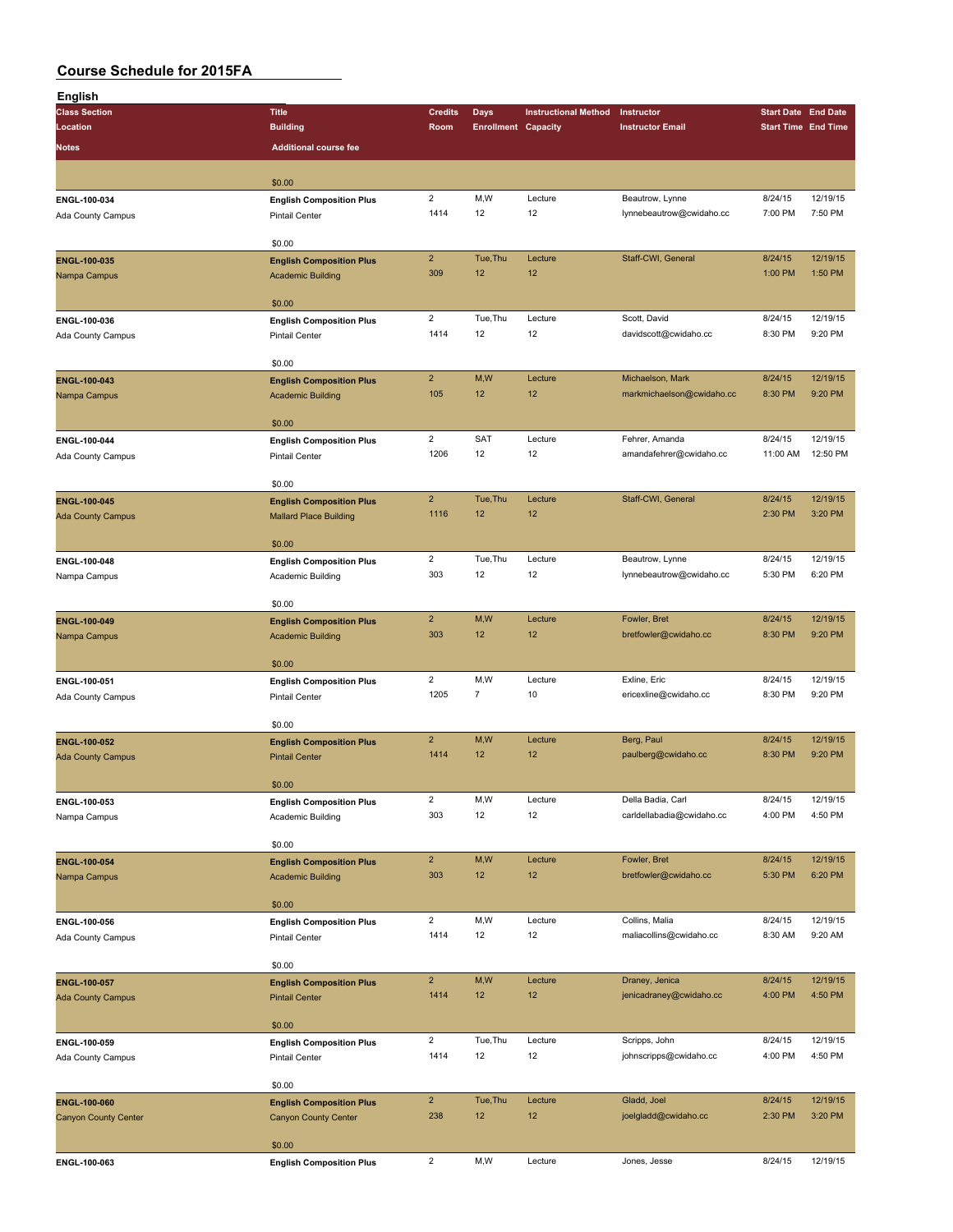| English                                     |                                                                |                        |                            |                             |                                           |                    |                            |
|---------------------------------------------|----------------------------------------------------------------|------------------------|----------------------------|-----------------------------|-------------------------------------------|--------------------|----------------------------|
| <b>Class Section</b>                        | <b>Title</b>                                                   | <b>Credits</b>         | <b>Days</b>                | <b>Instructional Method</b> | Instructor                                |                    | <b>Start Date End Date</b> |
| Location                                    | <b>Building</b>                                                | Room                   | <b>Enrollment Capacity</b> |                             | <b>Instructor Email</b>                   |                    | <b>Start Time End Time</b> |
| <b>Notes</b>                                | <b>Additional course fee</b>                                   |                        |                            |                             |                                           |                    |                            |
|                                             |                                                                |                        |                            |                             |                                           |                    |                            |
|                                             | \$0.00                                                         |                        |                            |                             |                                           |                    |                            |
| ENGL-100-034                                | <b>English Composition Plus</b>                                | $\overline{2}$         | M, W                       | Lecture                     | Beautrow, Lynne                           | 8/24/15            | 12/19/15                   |
| Ada County Campus                           | <b>Pintail Center</b>                                          | 1414                   | 12                         | 12                          | lynnebeautrow@cwidaho.cc                  | 7:00 PM            | 7:50 PM                    |
|                                             | \$0.00                                                         |                        |                            |                             |                                           |                    |                            |
| ENGL-100-035                                | <b>English Composition Plus</b>                                | $\overline{2}$         | Tue, Thu                   | Lecture                     | Staff-CWI, General                        | 8/24/15            | 12/19/15                   |
| Nampa Campus                                | <b>Academic Building</b>                                       | 309                    | 12                         | 12                          |                                           | 1:00 PM            | 1:50 PM                    |
|                                             |                                                                |                        |                            |                             |                                           |                    |                            |
|                                             | \$0.00                                                         |                        |                            |                             |                                           |                    |                            |
| ENGL-100-036                                | <b>English Composition Plus</b>                                | $\overline{2}$         | Tue, Thu                   | Lecture                     | Scott, David                              | 8/24/15            | 12/19/15                   |
| Ada County Campus                           | <b>Pintail Center</b>                                          | 1414                   | 12                         | 12                          | davidscott@cwidaho.cc                     | 8:30 PM            | 9:20 PM                    |
|                                             |                                                                |                        |                            |                             |                                           |                    |                            |
|                                             | \$0.00                                                         | $\overline{2}$         | M,W                        | Lecture                     | Michaelson, Mark                          | 8/24/15            | 12/19/15                   |
| ENGL-100-043<br>Nampa Campus                | <b>English Composition Plus</b><br><b>Academic Building</b>    | 105                    | 12                         | 12                          | markmichaelson@cwidaho.cc                 | 8:30 PM            | 9:20 PM                    |
|                                             |                                                                |                        |                            |                             |                                           |                    |                            |
|                                             | \$0.00                                                         |                        |                            |                             |                                           |                    |                            |
| ENGL-100-044                                | <b>English Composition Plus</b>                                | $\overline{c}$         | <b>SAT</b>                 | Lecture                     | Fehrer, Amanda                            | 8/24/15            | 12/19/15                   |
| Ada County Campus                           | <b>Pintail Center</b>                                          | 1206                   | 12                         | 12                          | amandafehrer@cwidaho.cc                   | 11:00 AM           | 12:50 PM                   |
|                                             |                                                                |                        |                            |                             |                                           |                    |                            |
|                                             | \$0.00                                                         |                        |                            |                             |                                           |                    |                            |
| ENGL-100-045                                | <b>English Composition Plus</b>                                | $\overline{2}$<br>1116 | Tue, Thu<br>12             | Lecture<br>12               | Staff-CWI, General                        | 8/24/15<br>2:30 PM | 12/19/15<br>3:20 PM        |
| <b>Ada County Campus</b>                    | <b>Mallard Place Building</b>                                  |                        |                            |                             |                                           |                    |                            |
|                                             | \$0.00                                                         |                        |                            |                             |                                           |                    |                            |
| ENGL-100-048                                | <b>English Composition Plus</b>                                | $\overline{2}$         | Tue, Thu                   | Lecture                     | Beautrow, Lynne                           | 8/24/15            | 12/19/15                   |
| Nampa Campus                                | Academic Building                                              | 303                    | 12                         | 12                          | lynnebeautrow@cwidaho.cc                  | 5:30 PM            | 6:20 PM                    |
|                                             |                                                                |                        |                            |                             |                                           |                    |                            |
|                                             | \$0.00                                                         |                        |                            |                             |                                           |                    |                            |
| ENGL-100-049                                | <b>English Composition Plus</b>                                | $\mathbf 2$            | M,W                        | Lecture                     | Fowler, Bret                              | 8/24/15            | 12/19/15                   |
| Nampa Campus                                | <b>Academic Building</b>                                       | 303                    | 12                         | 12                          | bretfowler@cwidaho.cc                     | 8:30 PM            | 9:20 PM                    |
|                                             | \$0.00                                                         |                        |                            |                             |                                           |                    |                            |
| ENGL-100-051                                | <b>English Composition Plus</b>                                | $\overline{2}$         | M,W                        | Lecture                     | Exline, Eric                              | 8/24/15            | 12/19/15                   |
| Ada County Campus                           | Pintail Center                                                 | 1205                   | $\overline{7}$             | 10                          | ericexline@cwidaho.cc                     | 8:30 PM            | 9:20 PM                    |
|                                             |                                                                |                        |                            |                             |                                           |                    |                            |
|                                             | \$0.00                                                         |                        |                            |                             |                                           |                    |                            |
| ENGL-100-052                                | <b>English Composition Plus</b>                                | $\overline{2}$         | M,W                        | Lecture                     | Berg, Paul                                | 8/24/15            | 12/19/15                   |
| <b>Ada County Campus</b>                    | <b>Pintail Center</b>                                          | 1414                   | 12                         | 12                          | paulberg@cwidaho.cc                       | 8:30 PM            | 9:20 PM                    |
|                                             |                                                                |                        |                            |                             |                                           |                    |                            |
|                                             | \$0.00                                                         | $\overline{2}$         | M,W                        | Lecture                     | Della Badia, Carl                         | 8/24/15            | 12/19/15                   |
| ENGL-100-053<br>Nampa Campus                | <b>English Composition Plus</b><br>Academic Building           | 303                    | 12                         | 12                          | carldellabadia@cwidaho.cc                 | 4:00 PM            | 4:50 PM                    |
|                                             |                                                                |                        |                            |                             |                                           |                    |                            |
|                                             | \$0.00                                                         |                        |                            |                             |                                           |                    |                            |
| ENGL-100-054                                | <b>English Composition Plus</b>                                | $\overline{2}$         | M,W                        | Lecture                     | Fowler, Bret                              | 8/24/15            | 12/19/15                   |
| Nampa Campus                                | <b>Academic Building</b>                                       | 303                    | 12                         | 12                          | bretfowler@cwidaho.cc                     | 5:30 PM            | 6:20 PM                    |
|                                             |                                                                |                        |                            |                             |                                           |                    |                            |
|                                             | \$0.00                                                         |                        |                            |                             |                                           |                    |                            |
| ENGL-100-056                                | <b>English Composition Plus</b>                                | $\overline{2}$<br>1414 | M,W<br>12                  | Lecture<br>12               | Collins, Malia<br>maliacollins@cwidaho.cc | 8/24/15<br>8:30 AM | 12/19/15<br>9:20 AM        |
| Ada County Campus                           | Pintail Center                                                 |                        |                            |                             |                                           |                    |                            |
|                                             | \$0.00                                                         |                        |                            |                             |                                           |                    |                            |
| <b>ENGL-100-057</b>                         | <b>English Composition Plus</b>                                | $\overline{2}$         | M,W                        | Lecture                     | Draney, Jenica                            | 8/24/15            | 12/19/15                   |
| <b>Ada County Campus</b>                    | <b>Pintail Center</b>                                          | 1414                   | 12                         | 12                          | jenicadraney@cwidaho.cc                   | 4:00 PM            | 4:50 PM                    |
|                                             |                                                                |                        |                            |                             |                                           |                    |                            |
|                                             | \$0.00                                                         |                        |                            |                             |                                           |                    |                            |
| ENGL-100-059                                | <b>English Composition Plus</b>                                | $\overline{c}$         | Tue, Thu                   | Lecture                     | Scripps, John                             | 8/24/15            | 12/19/15                   |
| Ada County Campus                           | Pintail Center                                                 | 1414                   | 12                         | 12                          | johnscripps@cwidaho.cc                    | 4:00 PM            | 4:50 PM                    |
|                                             |                                                                |                        |                            |                             |                                           |                    |                            |
|                                             | \$0.00                                                         | $\overline{2}$         | Tue, Thu                   | Lecture                     | Gladd, Joel                               | 8/24/15            | 12/19/15                   |
| ENGL-100-060<br><b>Canyon County Center</b> | <b>English Composition Plus</b><br><b>Canyon County Center</b> | 238                    | 12                         | 12                          | joelgladd@cwidaho.cc                      | 2:30 PM            | 3:20 PM                    |
|                                             |                                                                |                        |                            |                             |                                           |                    |                            |
|                                             | \$0.00                                                         |                        |                            |                             |                                           |                    |                            |
| ENGL-100-063                                | <b>English Composition Plus</b>                                | $\overline{2}$         | M,W                        | Lecture                     | Jones, Jesse                              | 8/24/15            | 12/19/15                   |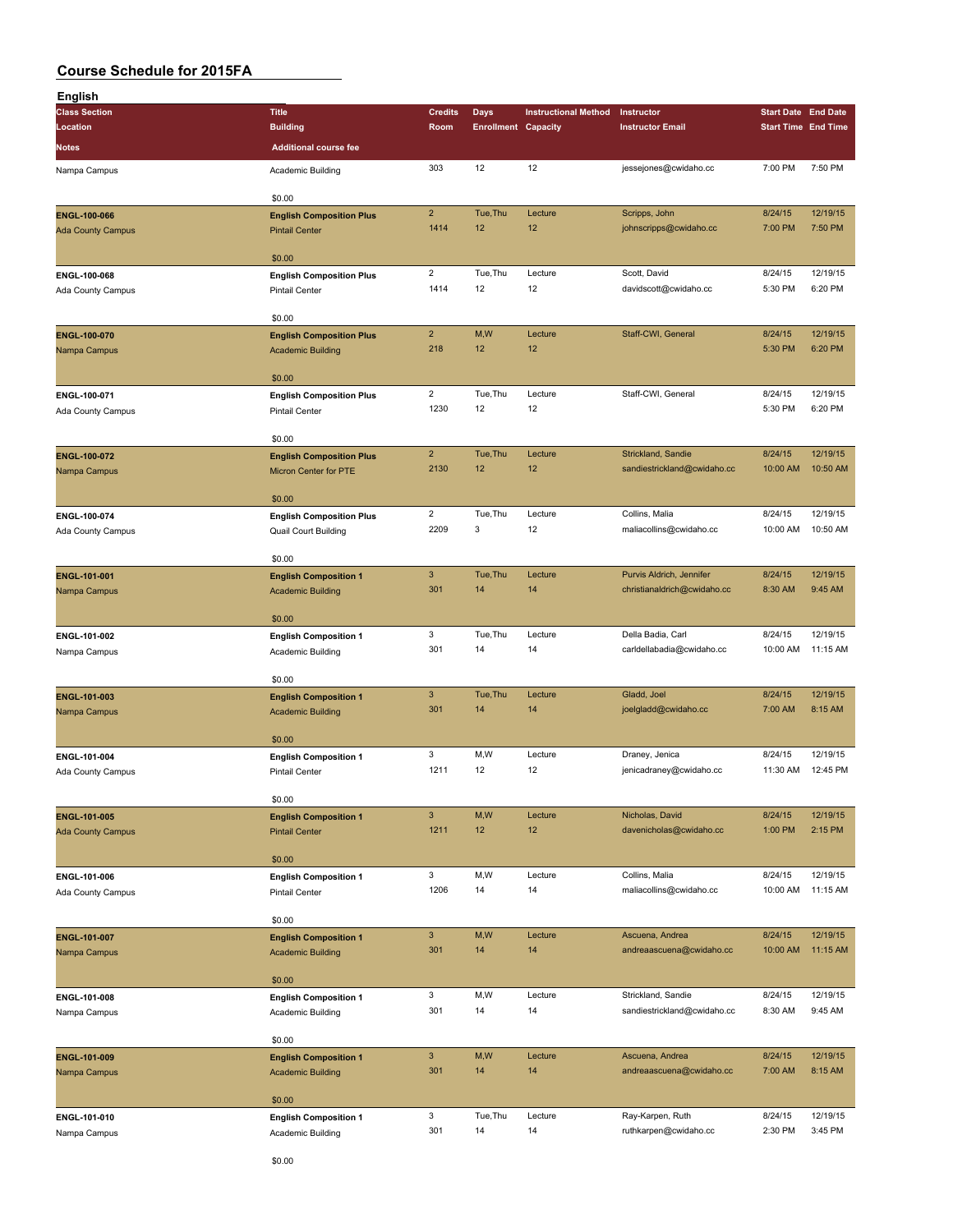| English                  |                                 |                           |                            |                             |                             |                            |          |
|--------------------------|---------------------------------|---------------------------|----------------------------|-----------------------------|-----------------------------|----------------------------|----------|
| <b>Class Section</b>     | <b>Title</b>                    | <b>Credits</b>            | Days                       | <b>Instructional Method</b> | Instructor                  | <b>Start Date End Date</b> |          |
| Location                 | <b>Building</b>                 | Room                      | <b>Enrollment Capacity</b> |                             | <b>Instructor Email</b>     | <b>Start Time End Time</b> |          |
| <b>Notes</b>             | <b>Additional course fee</b>    |                           |                            |                             |                             |                            |          |
|                          |                                 |                           |                            |                             |                             |                            |          |
| Nampa Campus             | Academic Building               | 303                       | 12                         | 12                          | jessejones@cwidaho.cc       | 7:00 PM                    | 7:50 PM  |
|                          |                                 |                           |                            |                             |                             |                            |          |
|                          | \$0.00                          |                           |                            |                             |                             |                            |          |
| ENGL-100-066             | <b>English Composition Plus</b> | $\mathbf 2$               | Tue, Thu                   | Lecture                     | Scripps, John               | 8/24/15                    | 12/19/15 |
| <b>Ada County Campus</b> | <b>Pintail Center</b>           | 1414                      | 12                         | 12                          | johnscripps@cwidaho.cc      | 7:00 PM                    | 7:50 PM  |
|                          |                                 |                           |                            |                             |                             |                            |          |
|                          | \$0.00                          |                           |                            |                             |                             |                            |          |
| ENGL-100-068             | <b>English Composition Plus</b> | $\overline{2}$            | Tue, Thu                   | Lecture                     | Scott, David                | 8/24/15                    | 12/19/15 |
| Ada County Campus        | <b>Pintail Center</b>           | 1414                      | 12                         | 12                          | davidscott@cwidaho.cc       | 5:30 PM                    | 6:20 PM  |
|                          |                                 |                           |                            |                             |                             |                            |          |
|                          | \$0.00                          |                           |                            |                             |                             |                            |          |
| ENGL-100-070             | <b>English Composition Plus</b> | $\overline{2}$            | M,W                        | Lecture                     | Staff-CWI, General          | 8/24/15                    | 12/19/15 |
| Nampa Campus             | <b>Academic Building</b>        | 218                       | 12                         | 12                          |                             | 5:30 PM                    | 6:20 PM  |
|                          |                                 |                           |                            |                             |                             |                            |          |
|                          | \$0.00                          |                           |                            |                             |                             |                            |          |
| ENGL-100-071             | <b>English Composition Plus</b> | $\overline{2}$            | Tue, Thu                   | Lecture                     | Staff-CWI, General          | 8/24/15                    | 12/19/15 |
| <b>Ada County Campus</b> | Pintail Center                  | 1230                      | 12                         | 12                          |                             | 5:30 PM                    | 6:20 PM  |
|                          |                                 |                           |                            |                             |                             |                            |          |
|                          | \$0.00                          |                           |                            |                             |                             |                            |          |
| ENGL-100-072             | <b>English Composition Plus</b> | $\overline{2}$            | Tue.Thu                    | Lecture                     | Strickland, Sandie          | 8/24/15                    | 12/19/15 |
| Nampa Campus             | Micron Center for PTE           | 2130                      | 12                         | 12                          | sandiestrickland@cwidaho.cc | 10:00 AM                   | 10:50 AM |
|                          |                                 |                           |                            |                             |                             |                            |          |
|                          | \$0.00                          |                           |                            |                             |                             |                            |          |
| ENGL-100-074             | <b>English Composition Plus</b> | $\overline{2}$            | Tue, Thu                   | Lecture                     | Collins, Malia              | 8/24/15                    | 12/19/15 |
| Ada County Campus        | Quail Court Building            | 2209                      | 3                          | 12                          | maliacollins@cwidaho.cc     | 10:00 AM                   | 10:50 AM |
|                          |                                 |                           |                            |                             |                             |                            |          |
|                          | \$0.00                          |                           |                            |                             |                             |                            |          |
| ENGL-101-001             | <b>English Composition 1</b>    | $\ensuremath{\mathsf{3}}$ | Tue, Thu                   | Lecture                     | Purvis Aldrich, Jennifer    | 8/24/15                    | 12/19/15 |
| Nampa Campus             | <b>Academic Building</b>        | 301                       | 14                         | 14                          | christianaldrich@cwidaho.cc | 8:30 AM                    | 9:45 AM  |
|                          |                                 |                           |                            |                             |                             |                            |          |
|                          | \$0.00                          |                           |                            |                             |                             |                            |          |
| ENGL-101-002             | <b>English Composition 1</b>    | 3                         | Tue, Thu                   | Lecture                     | Della Badia, Carl           | 8/24/15                    | 12/19/15 |
| Nampa Campus             | Academic Building               | 301                       | 14                         | 14                          | carldellabadia@cwidaho.cc   | 10:00 AM                   | 11:15 AM |
|                          |                                 |                           |                            |                             |                             |                            |          |
|                          | \$0.00                          |                           |                            |                             |                             |                            |          |
| ENGL-101-003             | <b>English Composition 1</b>    | $\mathbf{3}$              | Tue, Thu                   | Lecture                     | Gladd, Joel                 | 8/24/15                    | 12/19/15 |
| Nampa Campus             | <b>Academic Building</b>        | 301                       | 14                         | 14                          | joelgladd@cwidaho.cc        | 7:00 AM                    | 8:15 AM  |
|                          |                                 |                           |                            |                             |                             |                            |          |
|                          | \$0.00                          |                           |                            |                             |                             |                            |          |
| ENGL-101-004             | <b>English Composition 1</b>    | 3                         | M,W                        | Lecture                     | Draney, Jenica              | 8/24/15                    | 12/19/15 |
| Ada County Campus        | <b>Pintail Center</b>           | 1211                      | 12                         | 12                          | jenicadraney@cwidaho.cc     | 11:30 AM                   | 12:45 PM |
|                          |                                 |                           |                            |                             |                             |                            |          |
|                          | \$0.00                          |                           |                            |                             |                             |                            |          |
| ENGL-101-005             | <b>English Composition 1</b>    | $\ensuremath{\mathsf{3}}$ | M,W                        | Lecture                     | Nicholas, David             | 8/24/15                    | 12/19/15 |
| <b>Ada County Campus</b> | <b>Pintail Center</b>           | 1211                      | 12                         | 12                          | davenicholas@cwidaho.cc     | 1:00 PM                    | 2:15 PM  |
|                          |                                 |                           |                            |                             |                             |                            |          |
|                          | \$0.00                          |                           |                            |                             |                             |                            |          |
| ENGL-101-006             | <b>English Composition 1</b>    | 3                         | M,W                        | Lecture                     | Collins, Malia              | 8/24/15                    | 12/19/15 |
| Ada County Campus        | Pintail Center                  | 1206                      | 14                         | 14                          | maliacollins@cwidaho.cc     | 10:00 AM                   | 11:15 AM |
|                          |                                 |                           |                            |                             |                             |                            |          |
|                          | \$0.00                          |                           |                            |                             |                             |                            |          |
| ENGL-101-007             | <b>English Composition 1</b>    | $\ensuremath{\mathsf{3}}$ | M,W                        | Lecture                     | Ascuena, Andrea             | 8/24/15                    | 12/19/15 |
| Nampa Campus             | <b>Academic Building</b>        | 301                       | 14                         | 14                          | andreaascuena@cwidaho.cc    | 10:00 AM                   | 11:15 AM |
|                          |                                 |                           |                            |                             |                             |                            |          |
|                          | \$0.00                          |                           |                            |                             |                             |                            |          |
| ENGL-101-008             | <b>English Composition 1</b>    | $\mathbf 3$               | M, W                       | Lecture                     | Strickland, Sandie          | 8/24/15                    | 12/19/15 |
| Nampa Campus             | Academic Building               | 301                       | 14                         | 14                          | sandiestrickland@cwidaho.cc | 8:30 AM                    | 9:45 AM  |
|                          |                                 |                           |                            |                             |                             |                            |          |
|                          | \$0.00                          |                           |                            |                             |                             |                            |          |
| ENGL-101-009             | <b>English Composition 1</b>    | $\ensuremath{\mathsf{3}}$ | M,W                        | Lecture                     | Ascuena, Andrea             | 8/24/15                    | 12/19/15 |
| Nampa Campus             | <b>Academic Building</b>        | 301                       | 14                         | 14                          | andreaascuena@cwidaho.cc    | 7:00 AM                    | 8:15 AM  |
|                          |                                 |                           |                            |                             |                             |                            |          |
|                          | \$0.00                          |                           |                            |                             |                             |                            |          |
| ENGL-101-010             | <b>English Composition 1</b>    | 3                         | Tue, Thu                   | Lecture                     | Ray-Karpen, Ruth            | 8/24/15                    | 12/19/15 |
| Nampa Campus             | Academic Building               | 301                       | 14                         | 14                          | ruthkarpen@cwidaho.cc       | 2:30 PM                    | 3:45 PM  |
|                          |                                 |                           |                            |                             |                             |                            |          |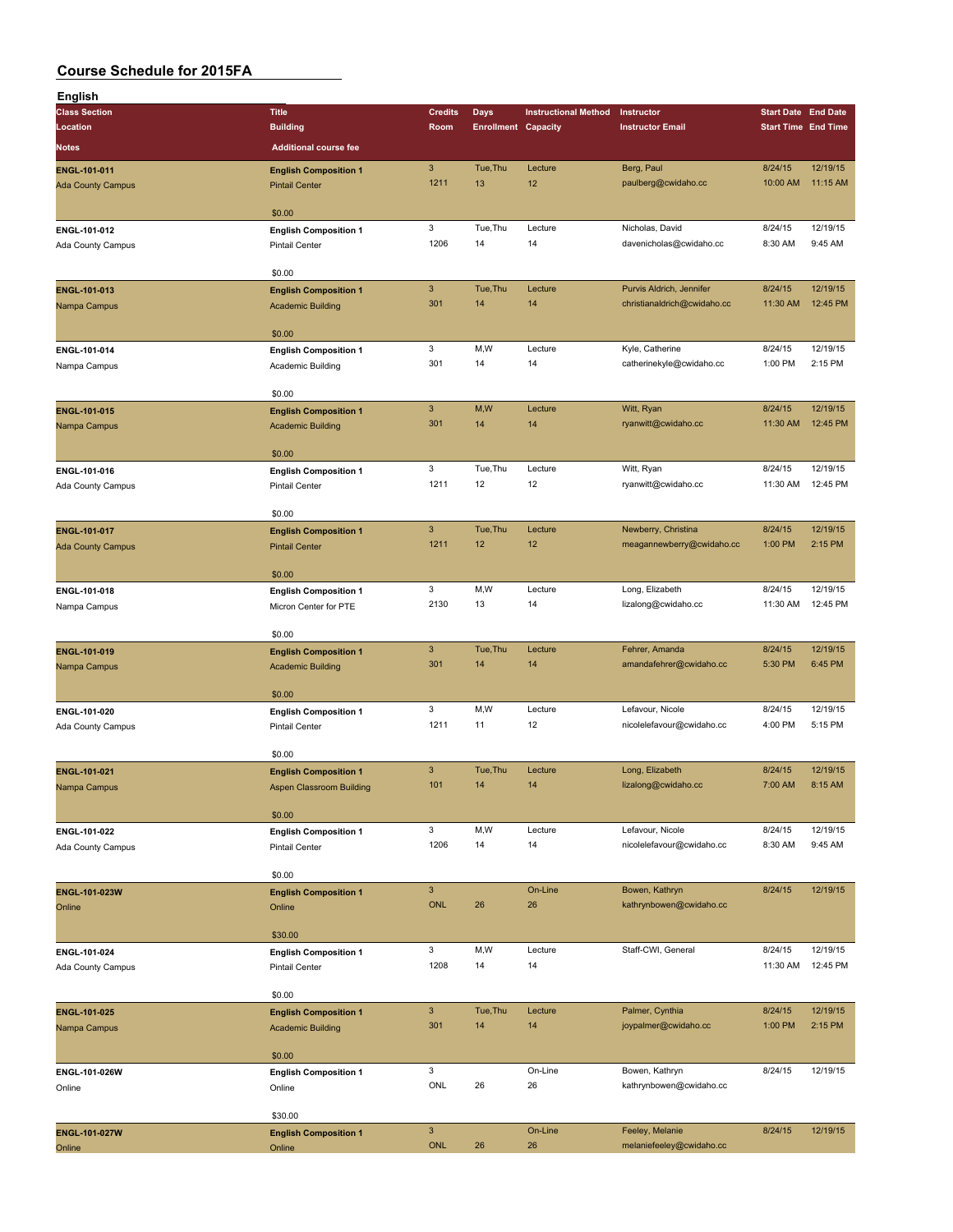| English                  |                              |                           |                            |                             |                             |                            |          |
|--------------------------|------------------------------|---------------------------|----------------------------|-----------------------------|-----------------------------|----------------------------|----------|
| <b>Class Section</b>     | <b>Title</b>                 | <b>Credits</b>            | Days                       | <b>Instructional Method</b> | Instructor                  | <b>Start Date End Date</b> |          |
| Location                 | <b>Building</b>              | Room                      | <b>Enrollment Capacity</b> |                             | <b>Instructor Email</b>     | <b>Start Time End Time</b> |          |
| <b>Notes</b>             | <b>Additional course fee</b> |                           |                            |                             |                             |                            |          |
|                          |                              |                           |                            |                             |                             |                            |          |
| ENGL-101-011             | <b>English Composition 1</b> | $\ensuremath{\mathsf{3}}$ | Tue, Thu                   | Lecture                     | Berg, Paul                  | 8/24/15                    | 12/19/15 |
| <b>Ada County Campus</b> | <b>Pintail Center</b>        | 1211                      | 13                         | 12                          | paulberg@cwidaho.cc         | 10:00 AM                   | 11:15 AM |
|                          |                              |                           |                            |                             |                             |                            |          |
|                          | \$0.00                       |                           |                            |                             |                             |                            |          |
| ENGL-101-012             | <b>English Composition 1</b> | 3                         | Tue, Thu                   | Lecture                     | Nicholas, David             | 8/24/15                    | 12/19/15 |
| <b>Ada County Campus</b> | <b>Pintail Center</b>        | 1206                      | 14                         | 14                          | davenicholas@cwidaho.cc     | 8:30 AM                    | 9:45 AM  |
|                          |                              |                           |                            |                             |                             |                            |          |
|                          | \$0.00                       |                           |                            |                             |                             |                            |          |
| ENGL-101-013             | <b>English Composition 1</b> | $\mathbf{3}$              | Tue, Thu                   | Lecture                     | Purvis Aldrich, Jennifer    | 8/24/15                    | 12/19/15 |
| Nampa Campus             | <b>Academic Building</b>     | 301                       | 14                         | 14                          | christianaldrich@cwidaho.cc | 11:30 AM                   | 12:45 PM |
|                          |                              |                           |                            |                             |                             |                            |          |
|                          | \$0.00                       |                           |                            |                             |                             |                            |          |
| ENGL-101-014             | <b>English Composition 1</b> | 3                         | M,W                        | Lecture                     | Kyle, Catherine             | 8/24/15                    | 12/19/15 |
| Nampa Campus             | Academic Building            | 301                       | 14                         | 14                          | catherinekyle@cwidaho.cc    | 1:00 PM                    | 2:15 PM  |
|                          |                              |                           |                            |                             |                             |                            |          |
|                          | \$0.00                       |                           |                            |                             |                             |                            |          |
| ENGL-101-015             | <b>English Composition 1</b> | $\mathbf{3}$              | M,W                        | Lecture                     | Witt, Ryan                  | 8/24/15                    | 12/19/15 |
| Nampa Campus             | <b>Academic Building</b>     | 301                       | 14                         | 14                          | ryanwitt@cwidaho.cc         | 11:30 AM                   | 12:45 PM |
|                          |                              |                           |                            |                             |                             |                            |          |
|                          | \$0.00                       |                           |                            |                             |                             |                            |          |
| ENGL-101-016             | <b>English Composition 1</b> | 3                         | Tue, Thu                   | Lecture                     | Witt, Ryan                  | 8/24/15                    | 12/19/15 |
| Ada County Campus        | <b>Pintail Center</b>        | 1211                      | 12                         | 12                          | ryanwitt@cwidaho.cc         | 11:30 AM                   | 12:45 PM |
|                          |                              |                           |                            |                             |                             |                            |          |
|                          | \$0.00                       |                           |                            |                             |                             |                            |          |
| ENGL-101-017             | <b>English Composition 1</b> | $\mathbf{3}$              | Tue, Thu                   | Lecture                     | Newberry, Christina         | 8/24/15                    | 12/19/15 |
| <b>Ada County Campus</b> | <b>Pintail Center</b>        | 1211                      | 12                         | 12                          | meagannewberry@cwidaho.cc   | 1:00 PM                    | 2:15 PM  |
|                          |                              |                           |                            |                             |                             |                            |          |
|                          | \$0.00                       |                           |                            |                             |                             |                            |          |
|                          |                              | 3                         | M, W                       | Lecture                     | Long, Elizabeth             | 8/24/15                    | 12/19/15 |
| ENGL-101-018             | <b>English Composition 1</b> | 2130                      | 13                         | 14                          | lizalong@cwidaho.cc         | 11:30 AM                   | 12:45 PM |
| Nampa Campus             | Micron Center for PTE        |                           |                            |                             |                             |                            |          |
|                          | \$0.00                       |                           |                            |                             |                             |                            |          |
|                          |                              | $\mathsf 3$               | Tue, Thu                   | Lecture                     | Fehrer, Amanda              | 8/24/15                    | 12/19/15 |
| ENGL-101-019             | <b>English Composition 1</b> |                           |                            |                             |                             |                            |          |
| Nampa Campus             | <b>Academic Building</b>     | 301                       | 14                         | 14                          | amandafehrer@cwidaho.cc     | 5:30 PM                    | 6:45 PM  |
|                          |                              |                           |                            |                             |                             |                            |          |
|                          | \$0.00                       |                           |                            |                             |                             |                            |          |
| ENGL-101-020             | <b>English Composition 1</b> | 3                         | M, W                       | Lecture                     | Lefavour, Nicole            | 8/24/15                    | 12/19/15 |
| Ada County Campus        | <b>Pintail Center</b>        | 1211                      | 11                         | 12                          | nicolelefavour@cwidaho.cc   | 4:00 PM                    | 5:15 PM  |
|                          |                              |                           |                            |                             |                             |                            |          |
|                          | \$0.00                       |                           |                            |                             |                             |                            |          |
| ENGL-101-021             | <b>English Composition 1</b> | $\mathbf{3}$              | Tue, Thu                   | Lecture                     | Long, Elizabeth             | 8/24/15                    | 12/19/15 |
| Nampa Campus             | Aspen Classroom Building     | 101                       | 14                         | 14                          | lizalong@cwidaho.cc         | 7:00 AM                    | 8:15 AM  |
|                          |                              |                           |                            |                             |                             |                            |          |
|                          | \$0.00                       |                           |                            |                             |                             |                            |          |
| ENGL-101-022             | <b>English Composition 1</b> | 3                         | M,W                        | Lecture                     | Lefavour, Nicole            | 8/24/15                    | 12/19/15 |
| Ada County Campus        | Pintail Center               | 1206                      | 14                         | 14                          | nicolelefavour@cwidaho.cc   | 8:30 AM                    | 9:45 AM  |
|                          |                              |                           |                            |                             |                             |                            |          |
|                          | \$0.00                       |                           |                            |                             |                             |                            |          |
| ENGL-101-023W            | <b>English Composition 1</b> | $\mathbf{3}$              |                            | On-Line                     | Bowen, Kathryn              | 8/24/15                    | 12/19/15 |
| Online                   | Online                       | <b>ONL</b>                | 26                         | 26                          | kathrynbowen@cwidaho.cc     |                            |          |
|                          |                              |                           |                            |                             |                             |                            |          |
|                          | \$30.00                      |                           |                            |                             |                             |                            |          |
| ENGL-101-024             | <b>English Composition 1</b> | 3                         | M, W                       | Lecture                     | Staff-CWI, General          | 8/24/15                    | 12/19/15 |
| Ada County Campus        | <b>Pintail Center</b>        | 1208                      | 14                         | 14                          |                             | 11:30 AM                   | 12:45 PM |
|                          |                              |                           |                            |                             |                             |                            |          |
|                          | \$0.00                       |                           |                            |                             |                             |                            |          |
| ENGL-101-025             | <b>English Composition 1</b> | $\mathbf{3}$              | Tue, Thu                   | Lecture                     | Palmer, Cynthia             | 8/24/15                    | 12/19/15 |
| Nampa Campus             | <b>Academic Building</b>     | 301                       | 14                         | 14                          | joypalmer@cwidaho.cc        | 1:00 PM                    | 2:15 PM  |
|                          |                              |                           |                            |                             |                             |                            |          |
|                          | \$0.00                       |                           |                            |                             |                             |                            |          |
| ENGL-101-026W            |                              | 3                         |                            | On-Line                     | Bowen, Kathryn              | 8/24/15                    | 12/19/15 |
|                          | <b>English Composition 1</b> | ONL                       | 26                         | 26                          | kathrynbowen@cwidaho.cc     |                            |          |
| Online                   | Online                       |                           |                            |                             |                             |                            |          |
|                          | \$30.00                      |                           |                            |                             |                             |                            |          |
|                          |                              |                           |                            |                             |                             |                            |          |
| <b>ENGL-101-027W</b>     | <b>English Composition 1</b> | $\mathbf{3}$              |                            | On-Line                     | Feeley, Melanie             | 8/24/15                    | 12/19/15 |
| Online                   | Online                       | <b>ONL</b>                | 26                         | 26                          | melaniefeeley@cwidaho.cc    |                            |          |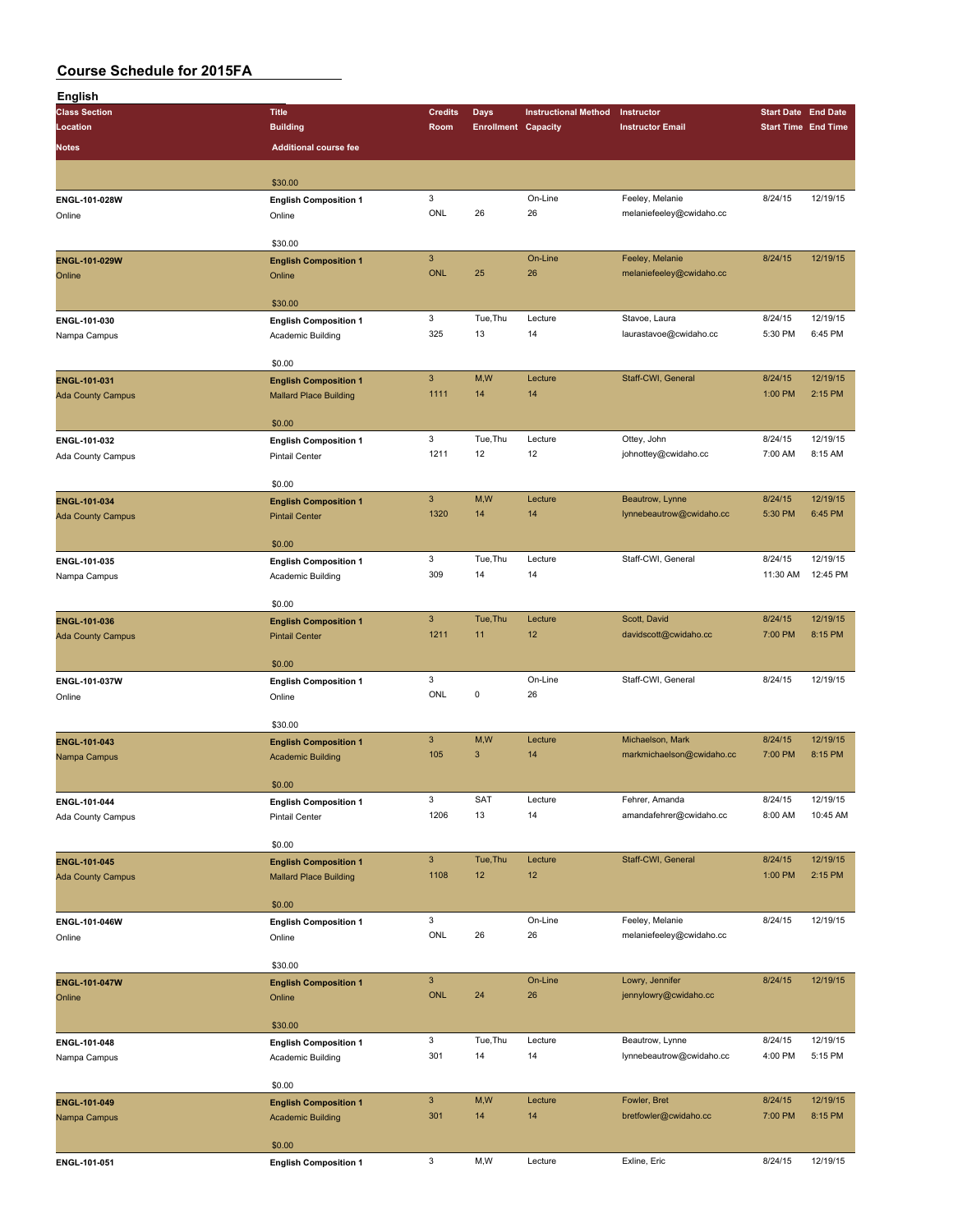| English                                                                                                                                                                                                                                                                               |                               |                           |                            |                             |                                           |                            |                      |
|---------------------------------------------------------------------------------------------------------------------------------------------------------------------------------------------------------------------------------------------------------------------------------------|-------------------------------|---------------------------|----------------------------|-----------------------------|-------------------------------------------|----------------------------|----------------------|
| <b>Class Section</b>                                                                                                                                                                                                                                                                  | <b>Title</b>                  | <b>Credits</b>            | Days                       | <b>Instructional Method</b> | Instructor                                | <b>Start Date End Date</b> |                      |
| Location                                                                                                                                                                                                                                                                              | <b>Building</b>               | Room                      | <b>Enrollment Capacity</b> |                             | <b>Instructor Email</b>                   | <b>Start Time End Time</b> |                      |
| <b>Notes</b>                                                                                                                                                                                                                                                                          | <b>Additional course fee</b>  |                           |                            |                             |                                           |                            |                      |
|                                                                                                                                                                                                                                                                                       |                               |                           |                            |                             |                                           |                            |                      |
|                                                                                                                                                                                                                                                                                       |                               |                           |                            |                             |                                           |                            |                      |
|                                                                                                                                                                                                                                                                                       | \$30.00                       |                           |                            |                             | Feeley, Melanie                           |                            |                      |
| ENGL-101-028W                                                                                                                                                                                                                                                                         | <b>English Composition 1</b>  | 3<br>ONL                  | 26                         | On-Line<br>26               |                                           | 8/24/15                    | 12/19/15             |
| Online                                                                                                                                                                                                                                                                                | Online                        |                           |                            |                             | melaniefeeley@cwidaho.cc                  |                            |                      |
|                                                                                                                                                                                                                                                                                       | \$30.00                       |                           |                            |                             |                                           |                            |                      |
|                                                                                                                                                                                                                                                                                       |                               | $\mathbf{3}$              |                            | On-Line                     | Feeley, Melanie                           | 8/24/15                    | 12/19/15             |
|                                                                                                                                                                                                                                                                                       | <b>English Composition 1</b>  | <b>ONL</b>                | 25                         | 26                          | melaniefeeley@cwidaho.cc                  |                            |                      |
|                                                                                                                                                                                                                                                                                       | Online                        |                           |                            |                             |                                           |                            |                      |
|                                                                                                                                                                                                                                                                                       | \$30.00                       |                           |                            |                             |                                           |                            |                      |
|                                                                                                                                                                                                                                                                                       | <b>English Composition 1</b>  | 3                         | Tue, Thu                   | Lecture                     | Stavoe, Laura                             | 8/24/15                    | 12/19/15             |
|                                                                                                                                                                                                                                                                                       | Academic Building             | 325                       | 13                         | 14                          | laurastavoe@cwidaho.cc                    | 5:30 PM                    | 6:45 PM              |
|                                                                                                                                                                                                                                                                                       |                               |                           |                            |                             |                                           |                            |                      |
|                                                                                                                                                                                                                                                                                       | \$0.00                        |                           |                            |                             |                                           |                            |                      |
|                                                                                                                                                                                                                                                                                       | <b>English Composition 1</b>  | $\ensuremath{\mathsf{3}}$ | M,W                        | Lecture                     | Staff-CWI, General                        | 8/24/15                    | 12/19/15             |
|                                                                                                                                                                                                                                                                                       | <b>Mallard Place Building</b> | 1111                      | 14                         | 14                          |                                           | 1:00 PM                    | 2:15 PM              |
|                                                                                                                                                                                                                                                                                       |                               |                           |                            |                             |                                           |                            |                      |
|                                                                                                                                                                                                                                                                                       | \$0.00                        |                           |                            |                             |                                           |                            |                      |
|                                                                                                                                                                                                                                                                                       | <b>English Composition 1</b>  | 3                         | Tue, Thu                   | Lecture                     | Ottey, John                               | 8/24/15                    | 12/19/15             |
|                                                                                                                                                                                                                                                                                       | <b>Pintail Center</b>         | 1211                      | 12                         | 12                          | johnottey@cwidaho.cc                      | 7:00 AM                    | 8:15 AM              |
|                                                                                                                                                                                                                                                                                       |                               |                           |                            |                             |                                           |                            |                      |
|                                                                                                                                                                                                                                                                                       | \$0.00                        |                           |                            |                             |                                           |                            |                      |
| ENGL-101-034                                                                                                                                                                                                                                                                          | <b>English Composition 1</b>  | $\mathbf{3}$              | M,W                        | Lecture                     | Beautrow, Lynne                           | 8/24/15                    | 12/19/15             |
| <b>Ada County Campus</b>                                                                                                                                                                                                                                                              | <b>Pintail Center</b>         | 1320                      | 14                         | 14                          | lynnebeautrow@cwidaho.cc                  | 5:30 PM                    | 6:45 PM              |
|                                                                                                                                                                                                                                                                                       |                               |                           |                            |                             |                                           |                            |                      |
|                                                                                                                                                                                                                                                                                       | \$0.00                        |                           |                            |                             |                                           |                            |                      |
| ENGL-101-035                                                                                                                                                                                                                                                                          | <b>English Composition 1</b>  | $\mathbf 3$               | Tue, Thu                   | Lecture                     | Staff-CWI, General                        | 8/24/15                    | 12/19/15             |
| Nampa Campus                                                                                                                                                                                                                                                                          | Academic Building             | 309                       | 14                         | 14                          |                                           | 11:30 AM                   | 12:45 PM             |
|                                                                                                                                                                                                                                                                                       |                               |                           |                            |                             |                                           |                            |                      |
|                                                                                                                                                                                                                                                                                       | \$0.00                        |                           |                            |                             |                                           |                            |                      |
| ENGL-101-036                                                                                                                                                                                                                                                                          | <b>English Composition 1</b>  | $\mathbf{3}$              | Tue, Thu                   | Lecture                     | Scott, David                              | 8/24/15                    | 12/19/15             |
| <b>Ada County Campus</b>                                                                                                                                                                                                                                                              | <b>Pintail Center</b>         | 1211                      | 11                         | 12                          | davidscott@cwidaho.cc                     | 7:00 PM                    | 8:15 PM              |
|                                                                                                                                                                                                                                                                                       |                               |                           |                            |                             |                                           |                            |                      |
|                                                                                                                                                                                                                                                                                       | \$0.00                        |                           |                            |                             |                                           |                            |                      |
| ENGL-101-037W                                                                                                                                                                                                                                                                         | <b>English Composition 1</b>  | $\mathbf 3$               |                            | On-Line                     | Staff-CWI, General                        | 8/24/15                    | 12/19/15             |
| Online                                                                                                                                                                                                                                                                                | Online                        | ONL                       | 0                          | 26                          |                                           |                            |                      |
|                                                                                                                                                                                                                                                                                       |                               |                           |                            |                             |                                           |                            |                      |
|                                                                                                                                                                                                                                                                                       | \$30.00                       |                           |                            |                             |                                           |                            |                      |
| ENGL-101-043                                                                                                                                                                                                                                                                          | <b>English Composition 1</b>  | $\mathbf{3}$              | M,W                        | Lecture                     | Michaelson, Mark                          | 8/24/15                    | 12/19/15             |
|                                                                                                                                                                                                                                                                                       | <b>Academic Building</b>      | 105                       | 3                          | 14                          | markmichaelson@cwidaho.cc                 | 7:00 PM                    | 8:15 PM              |
|                                                                                                                                                                                                                                                                                       | \$0.00                        |                           |                            |                             |                                           |                            |                      |
|                                                                                                                                                                                                                                                                                       |                               | $\ensuremath{\mathsf{3}}$ |                            |                             |                                           |                            |                      |
|                                                                                                                                                                                                                                                                                       | <b>English Composition 1</b>  | 1206                      | SAT<br>13                  | Lecture<br>14               | Fehrer, Amanda<br>amandafehrer@cwidaho.cc | 8/24/15<br>8:00 AM         | 12/19/15<br>10:45 AM |
|                                                                                                                                                                                                                                                                                       | Pintail Center                |                           |                            |                             |                                           |                            |                      |
| ENGL-101-029W<br>Online<br>ENGL-101-030<br>Nampa Campus<br>ENGL-101-031<br><b>Ada County Campus</b><br>ENGL-101-032<br>Ada County Campus<br>Nampa Campus<br>ENGL-101-044<br>Ada County Campus<br>ENGL-101-045<br><b>Ada County Campus</b><br>ENGL-101-046W<br>Online<br>ENGL-101-047W | \$0.00                        |                           |                            |                             |                                           |                            |                      |
|                                                                                                                                                                                                                                                                                       |                               | $\mathbf{3}$              | Tue, Thu                   | Lecture                     | Staff-CWI, General                        | 8/24/15                    | 12/19/15             |
|                                                                                                                                                                                                                                                                                       | <b>English Composition 1</b>  | 1108                      | 12                         | 12                          |                                           | 1:00 PM                    | 2:15 PM              |
|                                                                                                                                                                                                                                                                                       | <b>Mallard Place Building</b> |                           |                            |                             |                                           |                            |                      |
|                                                                                                                                                                                                                                                                                       | \$0.00                        |                           |                            |                             |                                           |                            |                      |
|                                                                                                                                                                                                                                                                                       | <b>English Composition 1</b>  | 3                         |                            | On-Line                     | Feeley, Melanie                           | 8/24/15                    | 12/19/15             |
|                                                                                                                                                                                                                                                                                       | Online                        | ONL                       | 26                         | 26                          | melaniefeeley@cwidaho.cc                  |                            |                      |
|                                                                                                                                                                                                                                                                                       |                               |                           |                            |                             |                                           |                            |                      |
|                                                                                                                                                                                                                                                                                       | \$30.00                       |                           |                            |                             |                                           |                            |                      |
|                                                                                                                                                                                                                                                                                       | <b>English Composition 1</b>  | $\mathbf{3}$              |                            | On-Line                     | Lowry, Jennifer                           | 8/24/15                    | 12/19/15             |
| Online                                                                                                                                                                                                                                                                                | Online                        | <b>ONL</b>                | 24                         | 26                          | jennylowry@cwidaho.cc                     |                            |                      |
|                                                                                                                                                                                                                                                                                       |                               |                           |                            |                             |                                           |                            |                      |
|                                                                                                                                                                                                                                                                                       | \$30.00                       |                           |                            |                             |                                           |                            |                      |
| ENGL-101-048                                                                                                                                                                                                                                                                          | <b>English Composition 1</b>  | 3                         | Tue, Thu                   | Lecture                     | Beautrow, Lynne                           | 8/24/15                    | 12/19/15             |
| Nampa Campus                                                                                                                                                                                                                                                                          | Academic Building             | 301                       | 14                         | 14                          | lynnebeautrow@cwidaho.cc                  | 4:00 PM                    | 5:15 PM              |
|                                                                                                                                                                                                                                                                                       |                               |                           |                            |                             |                                           |                            |                      |
|                                                                                                                                                                                                                                                                                       | \$0.00                        |                           |                            |                             |                                           |                            |                      |
| ENGL-101-049                                                                                                                                                                                                                                                                          | <b>English Composition 1</b>  | $\mathbf{3}$              | M,W                        | Lecture                     | Fowler, Bret                              | 8/24/15                    | 12/19/15             |
| Nampa Campus                                                                                                                                                                                                                                                                          | <b>Academic Building</b>      | 301                       | 14                         | 14                          | bretfowler@cwidaho.cc                     | 7:00 PM                    | 8:15 PM              |
|                                                                                                                                                                                                                                                                                       |                               |                           |                            |                             |                                           |                            |                      |
|                                                                                                                                                                                                                                                                                       | \$0.00                        |                           |                            |                             |                                           |                            |                      |
| ENGL-101-051                                                                                                                                                                                                                                                                          | <b>English Composition 1</b>  | $\mathbf 3$               | M,W                        | Lecture                     | Exline, Eric                              | 8/24/15                    | 12/19/15             |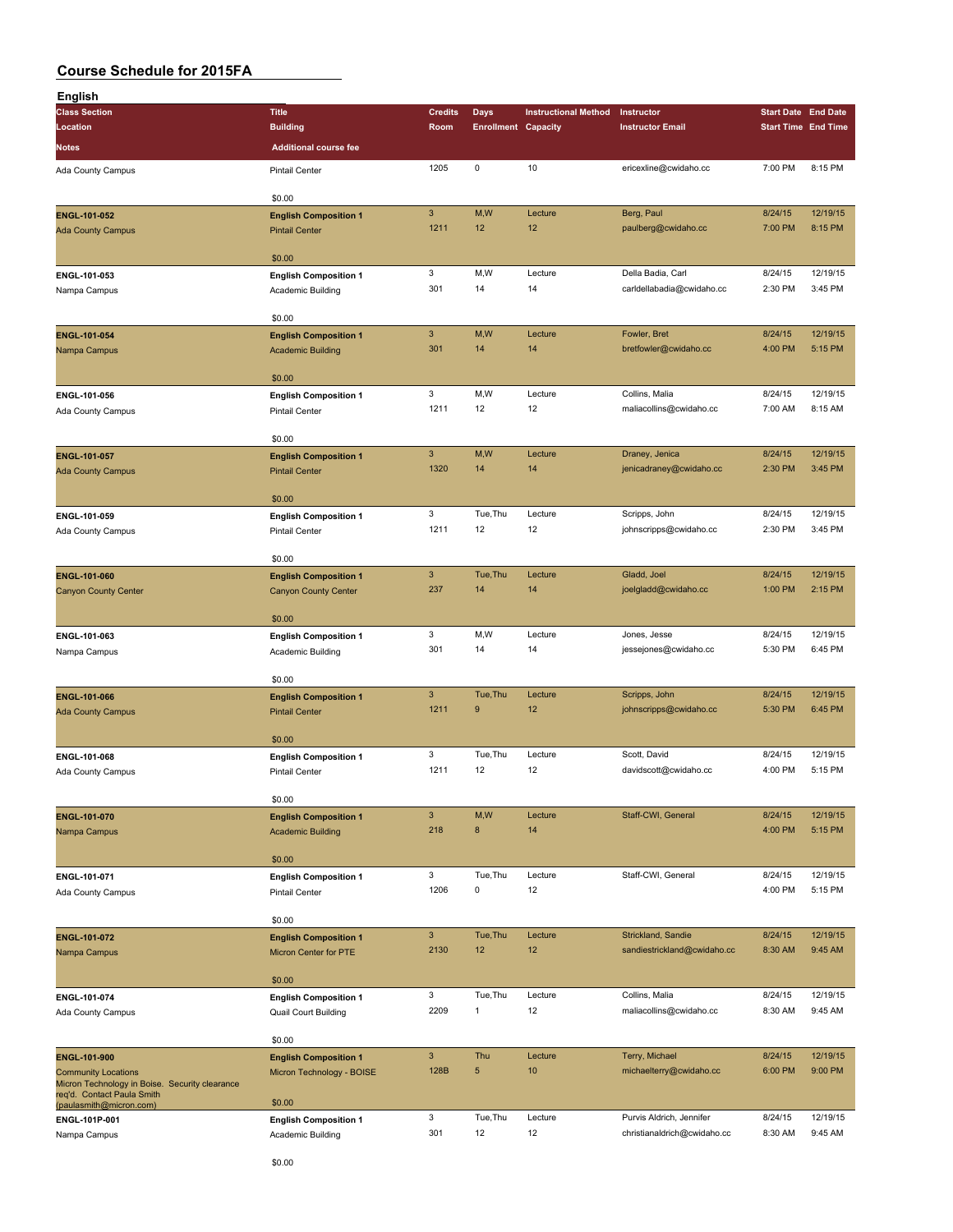| English                                               |                                                       |                           |                            |                             |                                         |                                                                                                                                                                                                                                                                                                               |          |
|-------------------------------------------------------|-------------------------------------------------------|---------------------------|----------------------------|-----------------------------|-----------------------------------------|---------------------------------------------------------------------------------------------------------------------------------------------------------------------------------------------------------------------------------------------------------------------------------------------------------------|----------|
| <b>Class Section</b>                                  | <b>Title</b>                                          | <b>Credits</b>            | Days                       | <b>Instructional Method</b> | Instructor                              | <b>Start Date End Date</b>                                                                                                                                                                                                                                                                                    |          |
| Location                                              | <b>Building</b>                                       | Room                      | <b>Enrollment Capacity</b> |                             | <b>Instructor Email</b>                 |                                                                                                                                                                                                                                                                                                               |          |
| Notes                                                 | <b>Additional course fee</b>                          |                           |                            |                             |                                         |                                                                                                                                                                                                                                                                                                               |          |
|                                                       |                                                       | 1205                      | $\mathsf 0$                | 10                          | ericexline@cwidaho.cc                   |                                                                                                                                                                                                                                                                                                               | 8:15 PM  |
| Ada County Campus                                     | <b>Pintail Center</b>                                 |                           |                            |                             |                                         |                                                                                                                                                                                                                                                                                                               |          |
|                                                       | \$0.00                                                |                           |                            |                             |                                         |                                                                                                                                                                                                                                                                                                               |          |
| ENGL-101-052                                          | <b>English Composition 1</b>                          | $\ensuremath{\mathsf{3}}$ | M,W                        | Lecture                     | Berg, Paul                              |                                                                                                                                                                                                                                                                                                               | 12/19/15 |
| <b>Ada County Campus</b>                              | <b>Pintail Center</b>                                 | 1211                      | 12                         | 12                          | paulberg@cwidaho.cc                     |                                                                                                                                                                                                                                                                                                               | 8:15 PM  |
|                                                       |                                                       |                           |                            |                             |                                         |                                                                                                                                                                                                                                                                                                               |          |
|                                                       | \$0.00                                                |                           |                            |                             |                                         |                                                                                                                                                                                                                                                                                                               |          |
| ENGL-101-053                                          | <b>English Composition 1</b>                          | 3                         | M,W                        | Lecture                     | Della Badia, Carl                       | 8/24/15                                                                                                                                                                                                                                                                                                       | 12/19/15 |
| Nampa Campus                                          | Academic Building                                     | 301                       | 14                         | 14                          | carldellabadia@cwidaho.cc               | 2:30 PM                                                                                                                                                                                                                                                                                                       | 3:45 PM  |
|                                                       |                                                       |                           |                            |                             |                                         |                                                                                                                                                                                                                                                                                                               |          |
|                                                       | \$0.00                                                |                           |                            |                             |                                         |                                                                                                                                                                                                                                                                                                               |          |
| ENGL-101-054                                          | <b>English Composition 1</b>                          | $\ensuremath{\mathsf{3}}$ | M,W                        | Lecture                     | Fowler, Bret                            | 8/24/15                                                                                                                                                                                                                                                                                                       | 12/19/15 |
| Nampa Campus                                          | <b>Academic Building</b>                              | 301                       | 14                         | 14                          | bretfowler@cwidaho.cc                   | 4:00 PM                                                                                                                                                                                                                                                                                                       | 5:15 PM  |
|                                                       |                                                       |                           |                            |                             |                                         |                                                                                                                                                                                                                                                                                                               |          |
|                                                       | \$0.00                                                |                           |                            |                             |                                         |                                                                                                                                                                                                                                                                                                               |          |
| ENGL-101-056                                          | <b>English Composition 1</b>                          | 3                         | M, W                       | Lecture                     | Collins, Malia                          | 8/24/15                                                                                                                                                                                                                                                                                                       | 12/19/15 |
| Ada County Campus                                     | <b>Pintail Center</b>                                 | 1211                      | 12                         | 12                          | maliacollins@cwidaho.cc                 |                                                                                                                                                                                                                                                                                                               | 8:15 AM  |
|                                                       |                                                       |                           |                            |                             |                                         |                                                                                                                                                                                                                                                                                                               |          |
|                                                       | \$0.00                                                |                           |                            |                             |                                         |                                                                                                                                                                                                                                                                                                               |          |
| ENGL-101-057                                          | <b>English Composition 1</b>                          | $\mathbf{3}$              | M,W                        | Lecture                     | Draney, Jenica                          |                                                                                                                                                                                                                                                                                                               | 12/19/15 |
| <b>Ada County Campus</b>                              | <b>Pintail Center</b>                                 | 1320                      | 14                         | 14                          | jenicadraney@cwidaho.cc                 |                                                                                                                                                                                                                                                                                                               | 3:45 PM  |
|                                                       |                                                       |                           |                            |                             |                                         |                                                                                                                                                                                                                                                                                                               |          |
|                                                       | \$0.00                                                | 3                         | Tue, Thu                   | Lecture                     |                                         |                                                                                                                                                                                                                                                                                                               | 12/19/15 |
| ENGL-101-059                                          | <b>English Composition 1</b>                          | 1211                      | 12                         | 12                          | Scripps, John<br>johnscripps@cwidaho.cc |                                                                                                                                                                                                                                                                                                               | 3:45 PM  |
| Ada County Campus                                     | Pintail Center                                        |                           |                            |                             |                                         |                                                                                                                                                                                                                                                                                                               |          |
|                                                       | \$0.00                                                |                           |                            |                             |                                         |                                                                                                                                                                                                                                                                                                               |          |
|                                                       |                                                       | $\ensuremath{\mathsf{3}}$ | Tue, Thu                   | Lecture                     | Gladd, Joel                             |                                                                                                                                                                                                                                                                                                               | 12/19/15 |
| ENGL-101-060                                          | <b>English Composition 1</b>                          | 237                       | 14                         | 14                          | joelgladd@cwidaho.cc                    |                                                                                                                                                                                                                                                                                                               | 2:15 PM  |
| <b>Canyon County Center</b>                           | <b>Canyon County Center</b>                           |                           |                            |                             |                                         |                                                                                                                                                                                                                                                                                                               |          |
|                                                       | \$0.00                                                |                           |                            |                             |                                         |                                                                                                                                                                                                                                                                                                               |          |
| ENGL-101-063                                          | <b>English Composition 1</b>                          | 3                         | M, W                       | Lecture                     | Jones, Jesse                            | 8/24/15                                                                                                                                                                                                                                                                                                       | 12/19/15 |
| Nampa Campus                                          | Academic Building                                     | 301                       | 14                         | 14                          | jessejones@cwidaho.cc                   | 5:30 PM                                                                                                                                                                                                                                                                                                       | 6:45 PM  |
|                                                       |                                                       |                           |                            |                             |                                         |                                                                                                                                                                                                                                                                                                               |          |
|                                                       | \$0.00                                                |                           |                            |                             |                                         |                                                                                                                                                                                                                                                                                                               |          |
| ENGL-101-066                                          | <b>English Composition 1</b>                          | $\ensuremath{\mathsf{3}}$ | Tue, Thu                   | Lecture                     | Scripps, John                           | 8/24/15                                                                                                                                                                                                                                                                                                       | 12/19/15 |
| <b>Ada County Campus</b>                              | <b>Pintail Center</b>                                 | 1211                      | 9                          | 12                          | johnscripps@cwidaho.cc                  | <b>Start Time End Time</b><br>7:00 PM<br>8/24/15<br>7:00 PM<br>7:00 AM<br>8/24/15<br>2:30 PM<br>8/24/15<br>2:30 PM<br>8/24/15<br>1:00 PM<br>5:30 PM<br>8/24/15<br>4:00 PM<br>8/24/15<br>4:00 PM<br>8/24/15<br>4:00 PM<br>8/24/15<br>8:30 AM<br>8/24/15<br>8:30 AM<br>8/24/15<br>6:00 PM<br>8/24/15<br>8:30 AM | 6:45 PM  |
|                                                       |                                                       |                           |                            |                             |                                         |                                                                                                                                                                                                                                                                                                               |          |
|                                                       | \$0.00                                                |                           |                            |                             |                                         |                                                                                                                                                                                                                                                                                                               |          |
| ENGL-101-068                                          | <b>English Composition 1</b>                          | 3                         | Tue, Thu                   | Lecture                     | Scott, David                            |                                                                                                                                                                                                                                                                                                               | 12/19/15 |
| Ada County Campus                                     | <b>Pintail Center</b>                                 | 1211                      | 12                         | 12                          | davidscott@cwidaho.cc                   |                                                                                                                                                                                                                                                                                                               | 5:15 PM  |
|                                                       |                                                       |                           |                            |                             |                                         |                                                                                                                                                                                                                                                                                                               |          |
|                                                       | \$0.00                                                |                           |                            |                             |                                         |                                                                                                                                                                                                                                                                                                               |          |
| ENGL-101-070                                          | <b>English Composition 1</b>                          | $\ensuremath{\mathsf{3}}$ | M,W                        | Lecture                     | Staff-CWI, General                      |                                                                                                                                                                                                                                                                                                               | 12/19/15 |
| Nampa Campus                                          | <b>Academic Building</b>                              | 218                       | 8                          | 14                          |                                         |                                                                                                                                                                                                                                                                                                               | 5:15 PM  |
|                                                       |                                                       |                           |                            |                             |                                         |                                                                                                                                                                                                                                                                                                               |          |
|                                                       | \$0.00                                                |                           |                            |                             |                                         |                                                                                                                                                                                                                                                                                                               |          |
| ENGL-101-071                                          | <b>English Composition 1</b>                          | 3                         | Tue, Thu                   | Lecture                     | Staff-CWI, General                      |                                                                                                                                                                                                                                                                                                               | 12/19/15 |
| Ada County Campus                                     | <b>Pintail Center</b>                                 | 1206                      | 0                          | 12                          |                                         |                                                                                                                                                                                                                                                                                                               | 5:15 PM  |
|                                                       | \$0.00                                                |                           |                            |                             |                                         |                                                                                                                                                                                                                                                                                                               |          |
|                                                       |                                                       | $\mathbf{3}$              | Tue, Thu                   | Lecture                     | Strickland, Sandie                      |                                                                                                                                                                                                                                                                                                               | 12/19/15 |
| ENGL-101-072                                          | <b>English Composition 1</b><br>Micron Center for PTE | 2130                      | 12                         | 12                          | sandiestrickland@cwidaho.cc             |                                                                                                                                                                                                                                                                                                               | 9:45 AM  |
| Nampa Campus                                          |                                                       |                           |                            |                             |                                         |                                                                                                                                                                                                                                                                                                               |          |
|                                                       | \$0.00                                                |                           |                            |                             |                                         |                                                                                                                                                                                                                                                                                                               |          |
| ENGL-101-074                                          | <b>English Composition 1</b>                          | 3                         | Tue, Thu                   | Lecture                     | Collins, Malia                          |                                                                                                                                                                                                                                                                                                               | 12/19/15 |
| Ada County Campus                                     | Quail Court Building                                  | 2209                      | 1                          | 12                          | maliacollins@cwidaho.cc                 |                                                                                                                                                                                                                                                                                                               | 9:45 AM  |
|                                                       |                                                       |                           |                            |                             |                                         |                                                                                                                                                                                                                                                                                                               |          |
|                                                       | \$0.00                                                |                           |                            |                             |                                         |                                                                                                                                                                                                                                                                                                               |          |
| ENGL-101-900                                          | <b>English Composition 1</b>                          | $\ensuremath{\mathsf{3}}$ | Thu                        | Lecture                     | Terry, Michael                          |                                                                                                                                                                                                                                                                                                               | 12/19/15 |
| <b>Community Locations</b>                            | Micron Technology - BOISE                             | 128B                      | 5                          | 10                          | michaelterry@cwidaho.cc                 |                                                                                                                                                                                                                                                                                                               | 9:00 PM  |
| Micron Technology in Boise. Security clearance        |                                                       |                           |                            |                             |                                         |                                                                                                                                                                                                                                                                                                               |          |
| req'd. Contact Paula Smith<br>(paulasmith@micron.com) | \$0.00                                                |                           |                            |                             |                                         |                                                                                                                                                                                                                                                                                                               |          |
| ENGL-101P-001                                         | <b>English Composition 1</b>                          | 3                         | Tue, Thu                   | Lecture                     | Purvis Aldrich, Jennifer                |                                                                                                                                                                                                                                                                                                               | 12/19/15 |
| Nampa Campus                                          | Academic Building                                     | 301                       | 12                         | 12                          | christianaldrich@cwidaho.cc             |                                                                                                                                                                                                                                                                                                               | 9:45 AM  |
|                                                       |                                                       |                           |                            |                             |                                         |                                                                                                                                                                                                                                                                                                               |          |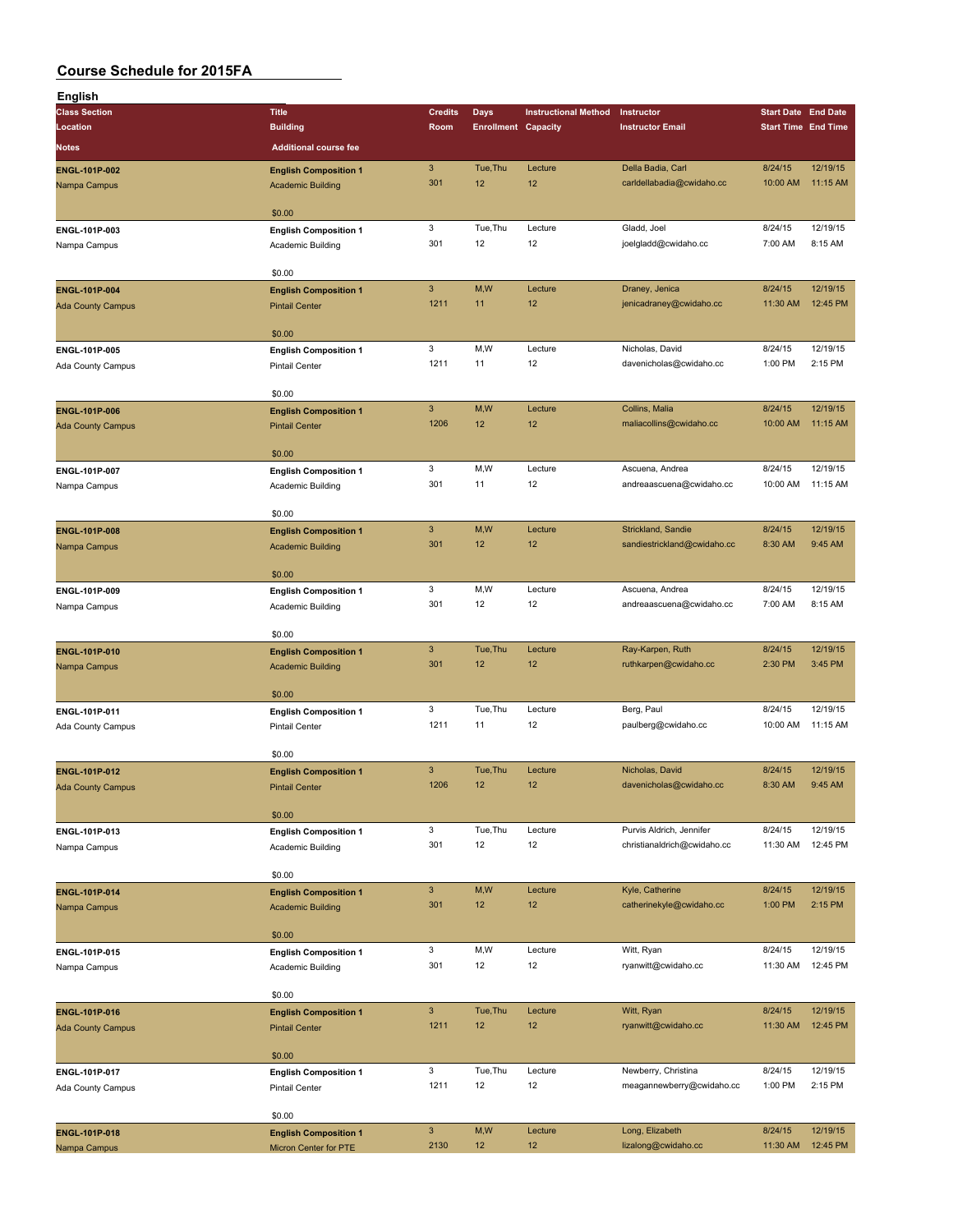| English                  |                              |                |                            |                             |                             |                            |          |
|--------------------------|------------------------------|----------------|----------------------------|-----------------------------|-----------------------------|----------------------------|----------|
| <b>Class Section</b>     | <b>Title</b>                 | <b>Credits</b> | <b>Days</b>                | <b>Instructional Method</b> | Instructor                  | <b>Start Date End Date</b> |          |
| Location                 | <b>Building</b>              | Room           | <b>Enrollment Capacity</b> |                             | <b>Instructor Email</b>     | <b>Start Time End Time</b> |          |
| Notes                    | <b>Additional course fee</b> |                |                            |                             |                             |                            |          |
|                          |                              |                |                            |                             |                             |                            |          |
| <b>ENGL-101P-002</b>     | <b>English Composition 1</b> | $\mathbf{3}$   | Tue, Thu                   | Lecture                     | Della Badia, Carl           | 8/24/15                    | 12/19/15 |
| Nampa Campus             | <b>Academic Building</b>     | 301            | 12                         | 12                          | carldellabadia@cwidaho.cc   | 10:00 AM                   | 11:15 AM |
|                          |                              |                |                            |                             |                             |                            |          |
|                          | \$0.00                       |                |                            |                             |                             |                            |          |
| ENGL-101P-003            | <b>English Composition 1</b> | 3              | Tue, Thu                   | Lecture                     | Gladd, Joel                 | 8/24/15                    | 12/19/15 |
| Nampa Campus             | Academic Building            | 301            | 12                         | 12                          | joelgladd@cwidaho.cc        | 7:00 AM                    | 8:15 AM  |
|                          |                              |                |                            |                             |                             |                            |          |
|                          | \$0.00                       |                |                            |                             |                             |                            |          |
|                          |                              | $\mathsf 3$    | M,W                        | Lecture                     |                             | 8/24/15                    | 12/19/15 |
| ENGL-101P-004            | <b>English Composition 1</b> |                |                            |                             | Draney, Jenica              |                            |          |
| <b>Ada County Campus</b> | <b>Pintail Center</b>        | 1211           | 11                         | 12                          | jenicadraney@cwidaho.cc     | 11:30 AM                   | 12:45 PM |
|                          |                              |                |                            |                             |                             |                            |          |
|                          | \$0.00                       |                |                            |                             |                             |                            |          |
| ENGL-101P-005            | <b>English Composition 1</b> | 3              | M,W                        | Lecture                     | Nicholas, David             | 8/24/15                    | 12/19/15 |
| Ada County Campus        | <b>Pintail Center</b>        | 1211           | 11                         | 12                          | davenicholas@cwidaho.cc     | 1:00 PM                    | 2:15 PM  |
|                          |                              |                |                            |                             |                             |                            |          |
|                          | \$0.00                       |                |                            |                             |                             |                            |          |
| ENGL-101P-006            | <b>English Composition 1</b> | $\mathbf{3}$   | M,W                        | Lecture                     | Collins, Malia              | 8/24/15                    | 12/19/15 |
| <b>Ada County Campus</b> | <b>Pintail Center</b>        | 1206           | 12                         | 12                          | maliacollins@cwidaho.cc     | 10:00 AM                   | 11:15 AM |
|                          |                              |                |                            |                             |                             |                            |          |
|                          | \$0.00                       |                |                            |                             |                             |                            |          |
|                          |                              | 3              | M,W                        | Lecture                     | Ascuena, Andrea             | 8/24/15                    | 12/19/15 |
| ENGL-101P-007            | <b>English Composition 1</b> |                |                            | 12                          |                             |                            |          |
| Nampa Campus             | Academic Building            | 301            | 11                         |                             | andreaascuena@cwidaho.cc    | 10:00 AM                   | 11:15 AM |
|                          |                              |                |                            |                             |                             |                            |          |
|                          | \$0.00                       |                |                            |                             |                             |                            |          |
| <b>ENGL-101P-008</b>     | <b>English Composition 1</b> | $\mathbf{3}$   | M,W                        | Lecture                     | Strickland, Sandie          | 8/24/15                    | 12/19/15 |
| Nampa Campus             | <b>Academic Building</b>     | 301            | 12                         | 12                          | sandiestrickland@cwidaho.cc | 8:30 AM                    | 9:45 AM  |
|                          |                              |                |                            |                             |                             |                            |          |
|                          | \$0.00                       |                |                            |                             |                             |                            |          |
| ENGL-101P-009            | <b>English Composition 1</b> | 3              | M, W                       | Lecture                     | Ascuena, Andrea             | 8/24/15                    | 12/19/15 |
| Nampa Campus             | Academic Building            | 301            | 12                         | 12                          | andreaascuena@cwidaho.cc    | 7:00 AM                    | 8:15 AM  |
|                          |                              |                |                            |                             |                             |                            |          |
|                          | \$0.00                       |                |                            |                             |                             |                            |          |
| ENGL-101P-010            | <b>English Composition 1</b> | $\mathbf{3}$   | Tue, Thu                   | Lecture                     | Ray-Karpen, Ruth            | 8/24/15                    | 12/19/15 |
|                          |                              | 301            | 12                         | 12                          | ruthkarpen@cwidaho.cc       | 2:30 PM                    | 3:45 PM  |
| Nampa Campus             | <b>Academic Building</b>     |                |                            |                             |                             |                            |          |
|                          |                              |                |                            |                             |                             |                            |          |
|                          | \$0.00                       |                |                            |                             |                             |                            |          |
| ENGL-101P-011            | <b>English Composition 1</b> | 3              | Tue, Thu                   | Lecture                     | Berg, Paul                  | 8/24/15                    | 12/19/15 |
| Ada County Campus        | <b>Pintail Center</b>        | 1211           | 11                         | 12                          | paulberg@cwidaho.cc         | 10:00 AM                   | 11:15 AM |
|                          |                              |                |                            |                             |                             |                            |          |
|                          | \$0.00                       |                |                            |                             |                             |                            |          |
| <b>ENGL-101P-012</b>     | <b>English Composition 1</b> | $\mathbf{3}$   | Tue, Thu                   | Lecture                     | Nicholas, David             | 8/24/15                    | 12/19/15 |
| <b>Ada County Campus</b> | <b>Pintail Center</b>        | 1206           | 12                         | 12                          | davenicholas@cwidaho.cc     | 8:30 AM                    | 9:45 AM  |
|                          |                              |                |                            |                             |                             |                            |          |
|                          | \$0.00                       |                |                            |                             |                             |                            |          |
| ENGL-101P-013            | <b>English Composition 1</b> | 3              | Tue, Thu                   | Lecture                     | Purvis Aldrich, Jennifer    | 8/24/15                    | 12/19/15 |
|                          | Academic Building            | 301            | 12                         | 12                          | christianaldrich@cwidaho.cc | 11:30 AM                   | 12:45 PM |
| Nampa Campus             |                              |                |                            |                             |                             |                            |          |
|                          | \$0.00                       |                |                            |                             |                             |                            |          |
|                          |                              | $\mathbf{3}$   |                            |                             |                             |                            |          |
| ENGL-101P-014            | <b>English Composition 1</b> |                | M,W                        | Lecture                     | Kyle, Catherine             | 8/24/15                    | 12/19/15 |
| Nampa Campus             | <b>Academic Building</b>     | 301            | 12                         | 12                          | catherinekyle@cwidaho.cc    | 1:00 PM                    | 2:15 PM  |
|                          |                              |                |                            |                             |                             |                            |          |
|                          | \$0.00                       |                |                            |                             |                             |                            |          |
| ENGL-101P-015            | <b>English Composition 1</b> | 3              | M,W                        | Lecture                     | Witt, Ryan                  | 8/24/15                    | 12/19/15 |
| Nampa Campus             | Academic Building            | 301            | 12                         | 12                          | ryanwitt@cwidaho.cc         | 11:30 AM                   | 12:45 PM |
|                          |                              |                |                            |                             |                             |                            |          |
|                          | \$0.00                       |                |                            |                             |                             |                            |          |
| ENGL-101P-016            | <b>English Composition 1</b> | $\mathbf{3}$   | Tue, Thu                   | Lecture                     | Witt, Ryan                  | 8/24/15                    | 12/19/15 |
| <b>Ada County Campus</b> | <b>Pintail Center</b>        | 1211           | 12                         | 12                          | ryanwitt@cwidaho.cc         | 11:30 AM                   | 12:45 PM |
|                          |                              |                |                            |                             |                             |                            |          |
|                          | \$0.00                       |                |                            |                             |                             |                            |          |
|                          |                              | 3              | Tue, Thu                   | Lecture                     | Newberry, Christina         | 8/24/15                    | 12/19/15 |
| ENGL-101P-017            | <b>English Composition 1</b> |                |                            |                             |                             |                            |          |
| Ada County Campus        | <b>Pintail Center</b>        | 1211           | 12                         | 12                          | meagannewberry@cwidaho.cc   | 1:00 PM                    | 2:15 PM  |
|                          |                              |                |                            |                             |                             |                            |          |
|                          | \$0.00                       |                |                            |                             |                             |                            |          |
| ENGL-101P-018            | <b>English Composition 1</b> | $\mathbf{3}$   | M,W                        | Lecture                     | Long, Elizabeth             | 8/24/15                    | 12/19/15 |
| Nampa Campus             | Micron Center for PTE        | 2130           | 12                         | 12                          | lizalong@cwidaho.cc         | 11:30 AM                   | 12:45 PM |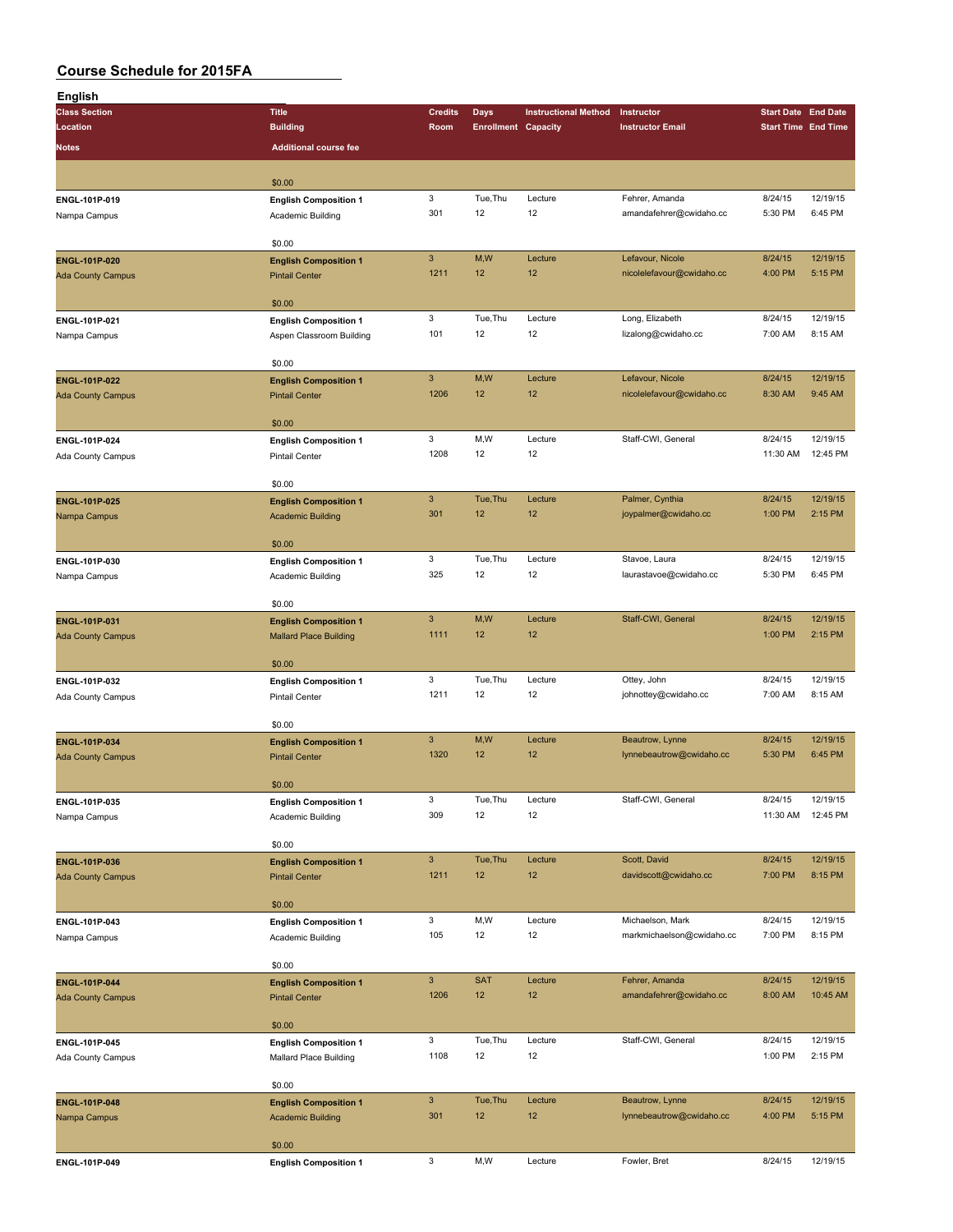| English                       |                                                       |                                   |                            |                             |                                               |                    |                            |
|-------------------------------|-------------------------------------------------------|-----------------------------------|----------------------------|-----------------------------|-----------------------------------------------|--------------------|----------------------------|
| <b>Class Section</b>          | <b>Title</b>                                          | <b>Credits</b>                    | <b>Days</b>                | <b>Instructional Method</b> | Instructor                                    |                    | <b>Start Date End Date</b> |
| Location                      | <b>Building</b>                                       | Room                              | <b>Enrollment Capacity</b> |                             | <b>Instructor Email</b>                       |                    | <b>Start Time End Time</b> |
| <b>Notes</b>                  | <b>Additional course fee</b>                          |                                   |                            |                             |                                               |                    |                            |
|                               |                                                       |                                   |                            |                             |                                               |                    |                            |
|                               | \$0.00                                                |                                   |                            |                             |                                               |                    |                            |
| ENGL-101P-019                 | <b>English Composition 1</b>                          | 3                                 | Tue, Thu                   | Lecture                     | Fehrer, Amanda                                | 8/24/15            | 12/19/15                   |
| Nampa Campus                  | Academic Building                                     | 301                               | 12                         | 12                          | amandafehrer@cwidaho.cc                       | 5:30 PM            | 6:45 PM                    |
|                               |                                                       |                                   |                            |                             |                                               |                    |                            |
|                               | \$0.00                                                | $\mathbf{3}$                      | M,W                        | Lecture                     | Lefavour, Nicole                              | 8/24/15            | 12/19/15                   |
| <b>ENGL-101P-020</b>          | <b>English Composition 1</b><br><b>Pintail Center</b> | 1211                              | 12                         | 12                          | nicolelefavour@cwidaho.cc                     | 4:00 PM            | 5:15 PM                    |
| <b>Ada County Campus</b>      |                                                       |                                   |                            |                             |                                               |                    |                            |
|                               | \$0.00                                                |                                   |                            |                             |                                               |                    |                            |
| ENGL-101P-021                 | <b>English Composition 1</b>                          | $\mathbf 3$                       | Tue, Thu                   | Lecture                     | Long, Elizabeth                               | 8/24/15            | 12/19/15                   |
| Nampa Campus                  | Aspen Classroom Building                              | 101                               | 12                         | 12                          | lizalong@cwidaho.cc                           | 7:00 AM            | 8:15 AM                    |
|                               |                                                       |                                   |                            |                             |                                               |                    |                            |
|                               | \$0.00                                                |                                   |                            |                             |                                               |                    |                            |
| ENGL-101P-022                 | <b>English Composition 1</b>                          | $\ensuremath{\mathsf{3}}$<br>1206 | M,W<br>12                  | Lecture<br>12               | Lefavour, Nicole<br>nicolelefavour@cwidaho.cc | 8/24/15<br>8:30 AM | 12/19/15<br>9:45 AM        |
| <b>Ada County Campus</b>      | <b>Pintail Center</b>                                 |                                   |                            |                             |                                               |                    |                            |
|                               | \$0.00                                                |                                   |                            |                             |                                               |                    |                            |
| ENGL-101P-024                 | <b>English Composition 1</b>                          | $\mathbf 3$                       | M,W                        | Lecture                     | Staff-CWI, General                            | 8/24/15            | 12/19/15                   |
| Ada County Campus             | Pintail Center                                        | 1208                              | 12                         | 12                          |                                               | 11:30 AM           | 12:45 PM                   |
|                               |                                                       |                                   |                            |                             |                                               |                    |                            |
|                               | \$0.00                                                |                                   |                            |                             |                                               |                    |                            |
| <b>ENGL-101P-025</b>          | <b>English Composition 1</b>                          | $\mathbf{3}$                      | Tue, Thu                   | Lecture                     | Palmer, Cynthia                               | 8/24/15            | 12/19/15                   |
| Nampa Campus                  | <b>Academic Building</b>                              | 301                               | 12                         | 12                          | joypalmer@cwidaho.cc                          | 1:00 PM            | 2:15 PM                    |
|                               | \$0.00                                                |                                   |                            |                             |                                               |                    |                            |
| ENGL-101P-030                 | <b>English Composition 1</b>                          | 3                                 | Tue, Thu                   | Lecture                     | Stavoe, Laura                                 | 8/24/15            | 12/19/15                   |
| Nampa Campus                  | Academic Building                                     | 325                               | 12                         | 12                          | laurastavoe@cwidaho.cc                        | 5:30 PM            | 6:45 PM                    |
|                               |                                                       |                                   |                            |                             |                                               |                    |                            |
|                               | \$0.00                                                |                                   |                            |                             |                                               |                    |                            |
| ENGL-101P-031                 | <b>English Composition 1</b>                          | $\ensuremath{\mathsf{3}}$         | M,W                        | Lecture                     | Staff-CWI, General                            | 8/24/15            | 12/19/15                   |
| <b>Ada County Campus</b>      | <b>Mallard Place Building</b>                         | 1111                              | 12                         | 12                          |                                               | 1:00 PM            | 2:15 PM                    |
|                               | \$0.00                                                |                                   |                            |                             |                                               |                    |                            |
| ENGL-101P-032                 | <b>English Composition 1</b>                          | $\mathbf 3$                       | Tue, Thu                   | Lecture                     | Ottey, John                                   | 8/24/15            | 12/19/15                   |
| Ada County Campus             | <b>Pintail Center</b>                                 | 1211                              | 12                         | 12                          | johnottey@cwidaho.cc                          | 7:00 AM            | 8:15 AM                    |
|                               |                                                       |                                   |                            |                             |                                               |                    |                            |
|                               | \$0.00                                                |                                   |                            |                             |                                               |                    |                            |
| ENGL-101P-034                 | <b>English Composition 1</b>                          | $\mathbf{3}$                      | M,W                        | Lecture                     | Beautrow, Lynne                               | 8/24/15            | 12/19/15                   |
| <b>Ada County Campus</b>      | <b>Pintail Center</b>                                 | 1320                              | 12                         | 12                          | lynnebeautrow@cwidaho.cc                      | 5:30 PM            | 6:45 PM                    |
|                               | \$0.00                                                |                                   |                            |                             |                                               |                    |                            |
|                               |                                                       | 3                                 | Tue, Thu                   | Lecture                     | Staff-CWI, General                            | 8/24/15            | 12/19/15                   |
| ENGL-101P-035<br>Nampa Campus | <b>English Composition 1</b><br>Academic Building     | 309                               | 12                         | 12                          |                                               | 11:30 AM           | 12:45 PM                   |
|                               |                                                       |                                   |                            |                             |                                               |                    |                            |
|                               | \$0.00                                                |                                   |                            |                             |                                               |                    |                            |
| ENGL-101P-036                 | <b>English Composition 1</b>                          | $\mathbf{3}$                      | Tue, Thu                   | Lecture                     | Scott, David                                  | 8/24/15            | 12/19/15                   |
| <b>Ada County Campus</b>      | <b>Pintail Center</b>                                 | 1211                              | 12                         | 12                          | davidscott@cwidaho.cc                         | 7:00 PM            | 8:15 PM                    |
|                               |                                                       |                                   |                            |                             |                                               |                    |                            |
|                               | \$0.00                                                |                                   |                            |                             |                                               |                    | 12/19/15                   |
| ENGL-101P-043                 | <b>English Composition 1</b>                          | 3<br>105                          | M,W<br>12                  | Lecture<br>12               | Michaelson, Mark<br>markmichaelson@cwidaho.cc | 8/24/15<br>7:00 PM | 8:15 PM                    |
| Nampa Campus                  | Academic Building                                     |                                   |                            |                             |                                               |                    |                            |
|                               | \$0.00                                                |                                   |                            |                             |                                               |                    |                            |
| ENGL-101P-044                 | <b>English Composition 1</b>                          | $\ensuremath{\mathsf{3}}$         | <b>SAT</b>                 | Lecture                     | Fehrer, Amanda                                | 8/24/15            | 12/19/15                   |
| <b>Ada County Campus</b>      | <b>Pintail Center</b>                                 | 1206                              | 12                         | 12                          | amandafehrer@cwidaho.cc                       | 8:00 AM            | 10:45 AM                   |
|                               |                                                       |                                   |                            |                             |                                               |                    |                            |
|                               | \$0.00                                                |                                   |                            |                             |                                               |                    |                            |
| ENGL-101P-045                 | <b>English Composition 1</b>                          | 3                                 | Tue, Thu                   | Lecture<br>12               | Staff-CWI, General                            | 8/24/15            | 12/19/15                   |
| Ada County Campus             | Mallard Place Building                                | 1108                              | 12                         |                             |                                               | 1:00 PM            | 2:15 PM                    |
|                               | \$0.00                                                |                                   |                            |                             |                                               |                    |                            |
| <b>ENGL-101P-048</b>          | <b>English Composition 1</b>                          | $\ensuremath{\mathsf{3}}$         | Tue, Thu                   | Lecture                     | Beautrow, Lynne                               | 8/24/15            | 12/19/15                   |
| Nampa Campus                  | <b>Academic Building</b>                              | 301                               | 12                         | 12                          | lynnebeautrow@cwidaho.cc                      | 4:00 PM            | 5:15 PM                    |
|                               |                                                       |                                   |                            |                             |                                               |                    |                            |
|                               | \$0.00                                                |                                   |                            |                             |                                               |                    |                            |
| ENGL-101P-049                 | <b>English Composition 1</b>                          | $\mathbf 3$                       | M,W                        | Lecture                     | Fowler, Bret                                  | 8/24/15            | 12/19/15                   |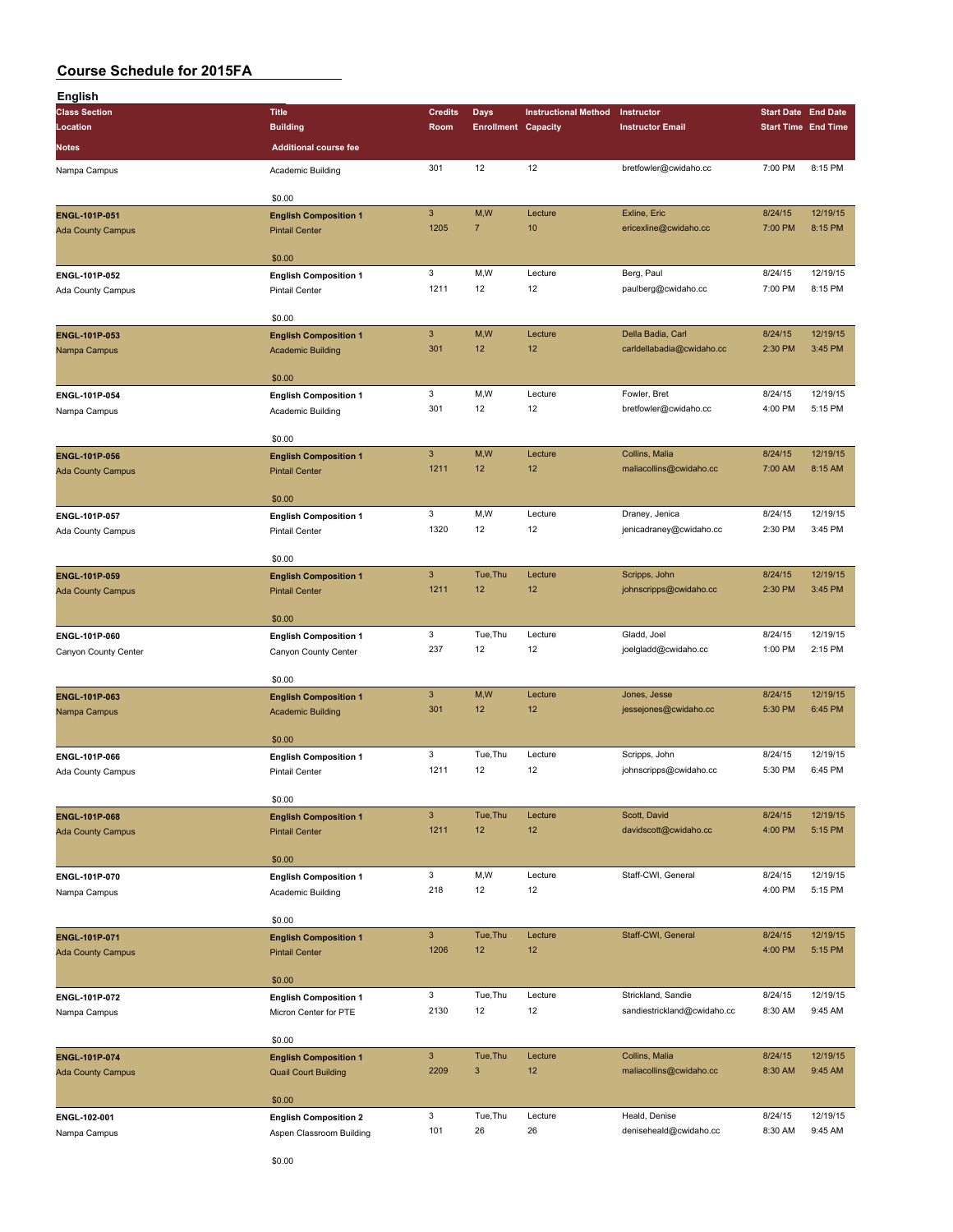| English                                                                                                                                                                                                                                                                                                                                                                                                                                                                                                                                                                                                                                                                                                                                                                                                                                                                                                                                                                  |                                                                                    |                                                                                                                                                                                                                                                                                                                                                                                                                                                                                                                                                                                                                                                                                                                                                                                                                                                                                                                                                                                                                                                                                                                                                                                                                                                                                                                                                                                   |                |                             |                                                                                                                                                                              |                                                                        |                     |
|--------------------------------------------------------------------------------------------------------------------------------------------------------------------------------------------------------------------------------------------------------------------------------------------------------------------------------------------------------------------------------------------------------------------------------------------------------------------------------------------------------------------------------------------------------------------------------------------------------------------------------------------------------------------------------------------------------------------------------------------------------------------------------------------------------------------------------------------------------------------------------------------------------------------------------------------------------------------------|------------------------------------------------------------------------------------|-----------------------------------------------------------------------------------------------------------------------------------------------------------------------------------------------------------------------------------------------------------------------------------------------------------------------------------------------------------------------------------------------------------------------------------------------------------------------------------------------------------------------------------------------------------------------------------------------------------------------------------------------------------------------------------------------------------------------------------------------------------------------------------------------------------------------------------------------------------------------------------------------------------------------------------------------------------------------------------------------------------------------------------------------------------------------------------------------------------------------------------------------------------------------------------------------------------------------------------------------------------------------------------------------------------------------------------------------------------------------------------|----------------|-----------------------------|------------------------------------------------------------------------------------------------------------------------------------------------------------------------------|------------------------------------------------------------------------|---------------------|
| <b>Class Section</b>                                                                                                                                                                                                                                                                                                                                                                                                                                                                                                                                                                                                                                                                                                                                                                                                                                                                                                                                                     | <b>Title</b>                                                                       | <b>Credits</b>                                                                                                                                                                                                                                                                                                                                                                                                                                                                                                                                                                                                                                                                                                                                                                                                                                                                                                                                                                                                                                                                                                                                                                                                                                                                                                                                                                    | Days           | <b>Instructional Method</b> | Instructor                                                                                                                                                                   | <b>Start Date End Date</b>                                             |                     |
| Location                                                                                                                                                                                                                                                                                                                                                                                                                                                                                                                                                                                                                                                                                                                                                                                                                                                                                                                                                                 | <b>Building</b>                                                                    | Room                                                                                                                                                                                                                                                                                                                                                                                                                                                                                                                                                                                                                                                                                                                                                                                                                                                                                                                                                                                                                                                                                                                                                                                                                                                                                                                                                                              |                |                             | <b>Instructor Email</b>                                                                                                                                                      |                                                                        |                     |
| Notes                                                                                                                                                                                                                                                                                                                                                                                                                                                                                                                                                                                                                                                                                                                                                                                                                                                                                                                                                                    | <b>Additional course fee</b>                                                       |                                                                                                                                                                                                                                                                                                                                                                                                                                                                                                                                                                                                                                                                                                                                                                                                                                                                                                                                                                                                                                                                                                                                                                                                                                                                                                                                                                                   |                |                             |                                                                                                                                                                              |                                                                        |                     |
| Nampa Campus                                                                                                                                                                                                                                                                                                                                                                                                                                                                                                                                                                                                                                                                                                                                                                                                                                                                                                                                                             | Academic Building                                                                  | 301                                                                                                                                                                                                                                                                                                                                                                                                                                                                                                                                                                                                                                                                                                                                                                                                                                                                                                                                                                                                                                                                                                                                                                                                                                                                                                                                                                               | 12             | 12                          | bretfowler@cwidaho.cc                                                                                                                                                        | 7:00 PM                                                                | 8:15 PM             |
|                                                                                                                                                                                                                                                                                                                                                                                                                                                                                                                                                                                                                                                                                                                                                                                                                                                                                                                                                                          |                                                                                    |                                                                                                                                                                                                                                                                                                                                                                                                                                                                                                                                                                                                                                                                                                                                                                                                                                                                                                                                                                                                                                                                                                                                                                                                                                                                                                                                                                                   |                |                             |                                                                                                                                                                              |                                                                        |                     |
|                                                                                                                                                                                                                                                                                                                                                                                                                                                                                                                                                                                                                                                                                                                                                                                                                                                                                                                                                                          | \$0.00                                                                             |                                                                                                                                                                                                                                                                                                                                                                                                                                                                                                                                                                                                                                                                                                                                                                                                                                                                                                                                                                                                                                                                                                                                                                                                                                                                                                                                                                                   |                |                             |                                                                                                                                                                              |                                                                        |                     |
| ENGL-101P-051                                                                                                                                                                                                                                                                                                                                                                                                                                                                                                                                                                                                                                                                                                                                                                                                                                                                                                                                                            | <b>English Composition 1</b>                                                       | $\mathbf{3}$                                                                                                                                                                                                                                                                                                                                                                                                                                                                                                                                                                                                                                                                                                                                                                                                                                                                                                                                                                                                                                                                                                                                                                                                                                                                                                                                                                      | M,W            | Lecture                     | Exline, Eric                                                                                                                                                                 | 8/24/15                                                                | 12/19/15            |
| <b>Ada County Campus</b>                                                                                                                                                                                                                                                                                                                                                                                                                                                                                                                                                                                                                                                                                                                                                                                                                                                                                                                                                 | <b>Pintail Center</b>                                                              | 1205                                                                                                                                                                                                                                                                                                                                                                                                                                                                                                                                                                                                                                                                                                                                                                                                                                                                                                                                                                                                                                                                                                                                                                                                                                                                                                                                                                              | $\overline{7}$ | 10                          | ericexline@cwidaho.cc                                                                                                                                                        | 7:00 PM                                                                | 8:15 PM             |
|                                                                                                                                                                                                                                                                                                                                                                                                                                                                                                                                                                                                                                                                                                                                                                                                                                                                                                                                                                          |                                                                                    |                                                                                                                                                                                                                                                                                                                                                                                                                                                                                                                                                                                                                                                                                                                                                                                                                                                                                                                                                                                                                                                                                                                                                                                                                                                                                                                                                                                   |                |                             |                                                                                                                                                                              |                                                                        |                     |
|                                                                                                                                                                                                                                                                                                                                                                                                                                                                                                                                                                                                                                                                                                                                                                                                                                                                                                                                                                          | \$0.00                                                                             |                                                                                                                                                                                                                                                                                                                                                                                                                                                                                                                                                                                                                                                                                                                                                                                                                                                                                                                                                                                                                                                                                                                                                                                                                                                                                                                                                                                   |                |                             |                                                                                                                                                                              |                                                                        |                     |
| ENGL-101P-052                                                                                                                                                                                                                                                                                                                                                                                                                                                                                                                                                                                                                                                                                                                                                                                                                                                                                                                                                            |                                                                                    |                                                                                                                                                                                                                                                                                                                                                                                                                                                                                                                                                                                                                                                                                                                                                                                                                                                                                                                                                                                                                                                                                                                                                                                                                                                                                                                                                                                   |                |                             |                                                                                                                                                                              |                                                                        | 12/19/15<br>8:15 PM |
| Ada County Campus                                                                                                                                                                                                                                                                                                                                                                                                                                                                                                                                                                                                                                                                                                                                                                                                                                                                                                                                                        |                                                                                    |                                                                                                                                                                                                                                                                                                                                                                                                                                                                                                                                                                                                                                                                                                                                                                                                                                                                                                                                                                                                                                                                                                                                                                                                                                                                                                                                                                                   |                |                             |                                                                                                                                                                              |                                                                        |                     |
|                                                                                                                                                                                                                                                                                                                                                                                                                                                                                                                                                                                                                                                                                                                                                                                                                                                                                                                                                                          | \$0.00                                                                             |                                                                                                                                                                                                                                                                                                                                                                                                                                                                                                                                                                                                                                                                                                                                                                                                                                                                                                                                                                                                                                                                                                                                                                                                                                                                                                                                                                                   |                |                             |                                                                                                                                                                              |                                                                        |                     |
|                                                                                                                                                                                                                                                                                                                                                                                                                                                                                                                                                                                                                                                                                                                                                                                                                                                                                                                                                                          |                                                                                    | $\mathbf{3}$                                                                                                                                                                                                                                                                                                                                                                                                                                                                                                                                                                                                                                                                                                                                                                                                                                                                                                                                                                                                                                                                                                                                                                                                                                                                                                                                                                      | M,W            | Lecture                     | Della Badia, Carl                                                                                                                                                            | 8/24/15                                                                | 12/19/15            |
| Nampa Campus                                                                                                                                                                                                                                                                                                                                                                                                                                                                                                                                                                                                                                                                                                                                                                                                                                                                                                                                                             | <b>Academic Building</b>                                                           | 301                                                                                                                                                                                                                                                                                                                                                                                                                                                                                                                                                                                                                                                                                                                                                                                                                                                                                                                                                                                                                                                                                                                                                                                                                                                                                                                                                                               | 12             | 12                          | carldellabadia@cwidaho.cc                                                                                                                                                    | 2:30 PM                                                                | 3:45 PM             |
|                                                                                                                                                                                                                                                                                                                                                                                                                                                                                                                                                                                                                                                                                                                                                                                                                                                                                                                                                                          |                                                                                    |                                                                                                                                                                                                                                                                                                                                                                                                                                                                                                                                                                                                                                                                                                                                                                                                                                                                                                                                                                                                                                                                                                                                                                                                                                                                                                                                                                                   |                |                             |                                                                                                                                                                              |                                                                        |                     |
|                                                                                                                                                                                                                                                                                                                                                                                                                                                                                                                                                                                                                                                                                                                                                                                                                                                                                                                                                                          | \$0.00                                                                             |                                                                                                                                                                                                                                                                                                                                                                                                                                                                                                                                                                                                                                                                                                                                                                                                                                                                                                                                                                                                                                                                                                                                                                                                                                                                                                                                                                                   |                |                             |                                                                                                                                                                              |                                                                        |                     |
| ENGL-101P-054                                                                                                                                                                                                                                                                                                                                                                                                                                                                                                                                                                                                                                                                                                                                                                                                                                                                                                                                                            | <b>English Composition 1</b>                                                       |                                                                                                                                                                                                                                                                                                                                                                                                                                                                                                                                                                                                                                                                                                                                                                                                                                                                                                                                                                                                                                                                                                                                                                                                                                                                                                                                                                                   |                | Lecture                     | Fowler, Bret                                                                                                                                                                 | 8/24/15                                                                | 12/19/15            |
| Nampa Campus                                                                                                                                                                                                                                                                                                                                                                                                                                                                                                                                                                                                                                                                                                                                                                                                                                                                                                                                                             | Academic Building                                                                  |                                                                                                                                                                                                                                                                                                                                                                                                                                                                                                                                                                                                                                                                                                                                                                                                                                                                                                                                                                                                                                                                                                                                                                                                                                                                                                                                                                                   |                |                             |                                                                                                                                                                              |                                                                        | 5:15 PM             |
|                                                                                                                                                                                                                                                                                                                                                                                                                                                                                                                                                                                                                                                                                                                                                                                                                                                                                                                                                                          |                                                                                    | <b>Enrollment Capacity</b><br>3<br>M,W<br>Lecture<br>Berg, Paul<br><b>English Composition 1</b><br>1211<br>12<br>12<br>paulberg@cwidaho.cc<br><b>Pintail Center</b><br>3<br>M, W<br>12<br>12<br>301<br>bretfowler@cwidaho.cc<br>$\mathbf{3}$<br>M,W<br>Collins, Malia<br>Lecture<br>1211<br>12<br>12<br>maliacollins@cwidaho.cc<br>3<br>M,W<br>Lecture<br>Draney, Jenica<br>1320<br>12<br>12<br>jenicadraney@cwidaho.cc<br>$\mathbf{3}$<br>Tue, Thu<br>Scripps, John<br>Lecture<br>1211<br>12<br>12<br>johnscripps@cwidaho.cc<br>3<br>Tue, Thu<br>Lecture<br>Gladd, Joel<br>237<br>12<br>12<br>joelgladd@cwidaho.cc<br>$\mathbf{3}$<br>M,W<br>Jones, Jesse<br>Lecture<br>12<br>12<br>301<br>jessejones@cwidaho.cc<br>3<br>Tue, Thu<br>Scripps, John<br>Lecture<br>1211<br>12<br>12<br>johnscripps@cwidaho.cc<br>$\mathsf 3$<br>Tue, Thu<br>Scott, David<br>Lecture<br>1211<br>12<br>davidscott@cwidaho.cc<br>12<br>3<br>M,W<br>Lecture<br>Staff-CWI, General<br>218<br>12<br>12<br>$\mathbf{3}$<br>Tue, Thu<br>Staff-CWI, General<br>Lecture<br>1206<br>12<br>12<br>3<br>Tue, Thu<br>Lecture<br>Strickland, Sandie<br>12<br>2130<br>12<br>sandiestrickland@cwidaho.cc<br>$\mathbf{3}$<br>Tue, Thu<br>Collins, Malia<br>Lecture<br>12<br>2209<br>$\mathbf{3}$<br>maliacollins@cwidaho.cc<br>3<br>Tue, Thu<br>Lecture<br>Heald, Denise<br>101<br>26<br>26<br>deniseheald@cwidaho.cc |                |                             |                                                                                                                                                                              |                                                                        |                     |
|                                                                                                                                                                                                                                                                                                                                                                                                                                                                                                                                                                                                                                                                                                                                                                                                                                                                                                                                                                          |                                                                                    |                                                                                                                                                                                                                                                                                                                                                                                                                                                                                                                                                                                                                                                                                                                                                                                                                                                                                                                                                                                                                                                                                                                                                                                                                                                                                                                                                                                   |                |                             |                                                                                                                                                                              |                                                                        | 12/19/15            |
|                                                                                                                                                                                                                                                                                                                                                                                                                                                                                                                                                                                                                                                                                                                                                                                                                                                                                                                                                                          |                                                                                    |                                                                                                                                                                                                                                                                                                                                                                                                                                                                                                                                                                                                                                                                                                                                                                                                                                                                                                                                                                                                                                                                                                                                                                                                                                                                                                                                                                                   |                |                             |                                                                                                                                                                              | 7:00 AM                                                                | 8:15 AM             |
|                                                                                                                                                                                                                                                                                                                                                                                                                                                                                                                                                                                                                                                                                                                                                                                                                                                                                                                                                                          |                                                                                    |                                                                                                                                                                                                                                                                                                                                                                                                                                                                                                                                                                                                                                                                                                                                                                                                                                                                                                                                                                                                                                                                                                                                                                                                                                                                                                                                                                                   |                |                             |                                                                                                                                                                              |                                                                        |                     |
|                                                                                                                                                                                                                                                                                                                                                                                                                                                                                                                                                                                                                                                                                                                                                                                                                                                                                                                                                                          | \$0.00                                                                             |                                                                                                                                                                                                                                                                                                                                                                                                                                                                                                                                                                                                                                                                                                                                                                                                                                                                                                                                                                                                                                                                                                                                                                                                                                                                                                                                                                                   |                |                             |                                                                                                                                                                              |                                                                        |                     |
| ENGL-101P-057                                                                                                                                                                                                                                                                                                                                                                                                                                                                                                                                                                                                                                                                                                                                                                                                                                                                                                                                                            | <b>English Composition 1</b>                                                       |                                                                                                                                                                                                                                                                                                                                                                                                                                                                                                                                                                                                                                                                                                                                                                                                                                                                                                                                                                                                                                                                                                                                                                                                                                                                                                                                                                                   |                |                             |                                                                                                                                                                              | 8/24/15                                                                | 12/19/15            |
| Ada County Campus                                                                                                                                                                                                                                                                                                                                                                                                                                                                                                                                                                                                                                                                                                                                                                                                                                                                                                                                                        | <b>Pintail Center</b>                                                              |                                                                                                                                                                                                                                                                                                                                                                                                                                                                                                                                                                                                                                                                                                                                                                                                                                                                                                                                                                                                                                                                                                                                                                                                                                                                                                                                                                                   |                |                             |                                                                                                                                                                              | 2:30 PM                                                                | 3:45 PM             |
|                                                                                                                                                                                                                                                                                                                                                                                                                                                                                                                                                                                                                                                                                                                                                                                                                                                                                                                                                                          |                                                                                    |                                                                                                                                                                                                                                                                                                                                                                                                                                                                                                                                                                                                                                                                                                                                                                                                                                                                                                                                                                                                                                                                                                                                                                                                                                                                                                                                                                                   |                |                             |                                                                                                                                                                              |                                                                        |                     |
|                                                                                                                                                                                                                                                                                                                                                                                                                                                                                                                                                                                                                                                                                                                                                                                                                                                                                                                                                                          |                                                                                    |                                                                                                                                                                                                                                                                                                                                                                                                                                                                                                                                                                                                                                                                                                                                                                                                                                                                                                                                                                                                                                                                                                                                                                                                                                                                                                                                                                                   |                |                             |                                                                                                                                                                              |                                                                        |                     |
|                                                                                                                                                                                                                                                                                                                                                                                                                                                                                                                                                                                                                                                                                                                                                                                                                                                                                                                                                                          |                                                                                    |                                                                                                                                                                                                                                                                                                                                                                                                                                                                                                                                                                                                                                                                                                                                                                                                                                                                                                                                                                                                                                                                                                                                                                                                                                                                                                                                                                                   |                |                             |                                                                                                                                                                              |                                                                        | 12/19/15<br>3:45 PM |
|                                                                                                                                                                                                                                                                                                                                                                                                                                                                                                                                                                                                                                                                                                                                                                                                                                                                                                                                                                          |                                                                                    |                                                                                                                                                                                                                                                                                                                                                                                                                                                                                                                                                                                                                                                                                                                                                                                                                                                                                                                                                                                                                                                                                                                                                                                                                                                                                                                                                                                   |                |                             |                                                                                                                                                                              |                                                                        |                     |
|                                                                                                                                                                                                                                                                                                                                                                                                                                                                                                                                                                                                                                                                                                                                                                                                                                                                                                                                                                          |                                                                                    |                                                                                                                                                                                                                                                                                                                                                                                                                                                                                                                                                                                                                                                                                                                                                                                                                                                                                                                                                                                                                                                                                                                                                                                                                                                                                                                                                                                   |                |                             |                                                                                                                                                                              |                                                                        |                     |
|                                                                                                                                                                                                                                                                                                                                                                                                                                                                                                                                                                                                                                                                                                                                                                                                                                                                                                                                                                          |                                                                                    |                                                                                                                                                                                                                                                                                                                                                                                                                                                                                                                                                                                                                                                                                                                                                                                                                                                                                                                                                                                                                                                                                                                                                                                                                                                                                                                                                                                   |                |                             |                                                                                                                                                                              | 8/24/15                                                                | 12/19/15            |
| Canyon County Center                                                                                                                                                                                                                                                                                                                                                                                                                                                                                                                                                                                                                                                                                                                                                                                                                                                                                                                                                     | Canyon County Center                                                               |                                                                                                                                                                                                                                                                                                                                                                                                                                                                                                                                                                                                                                                                                                                                                                                                                                                                                                                                                                                                                                                                                                                                                                                                                                                                                                                                                                                   |                |                             |                                                                                                                                                                              | 1:00 PM                                                                | 2:15 PM             |
|                                                                                                                                                                                                                                                                                                                                                                                                                                                                                                                                                                                                                                                                                                                                                                                                                                                                                                                                                                          |                                                                                    |                                                                                                                                                                                                                                                                                                                                                                                                                                                                                                                                                                                                                                                                                                                                                                                                                                                                                                                                                                                                                                                                                                                                                                                                                                                                                                                                                                                   |                |                             |                                                                                                                                                                              |                                                                        |                     |
|                                                                                                                                                                                                                                                                                                                                                                                                                                                                                                                                                                                                                                                                                                                                                                                                                                                                                                                                                                          | \$0.00                                                                             |                                                                                                                                                                                                                                                                                                                                                                                                                                                                                                                                                                                                                                                                                                                                                                                                                                                                                                                                                                                                                                                                                                                                                                                                                                                                                                                                                                                   |                |                             |                                                                                                                                                                              |                                                                        |                     |
| ENGL-101P-063                                                                                                                                                                                                                                                                                                                                                                                                                                                                                                                                                                                                                                                                                                                                                                                                                                                                                                                                                            | <b>English Composition 1</b><br>8/24/15<br><b>English Composition 1</b><br>5:30 PM |                                                                                                                                                                                                                                                                                                                                                                                                                                                                                                                                                                                                                                                                                                                                                                                                                                                                                                                                                                                                                                                                                                                                                                                                                                                                                                                                                                                   | 12/19/15       |                             |                                                                                                                                                                              |                                                                        |                     |
| Nampa Campus                                                                                                                                                                                                                                                                                                                                                                                                                                                                                                                                                                                                                                                                                                                                                                                                                                                                                                                                                             | <b>Academic Building</b>                                                           |                                                                                                                                                                                                                                                                                                                                                                                                                                                                                                                                                                                                                                                                                                                                                                                                                                                                                                                                                                                                                                                                                                                                                                                                                                                                                                                                                                                   |                |                             | 8/24/15<br>7:00 PM<br>4:00 PM<br>8/24/15<br>8/24/15<br>2:30 PM<br>8/24/15<br>5:30 PM<br>8/24/15<br>4:00 PM<br>8/24/15<br>4:00 PM<br>8/24/15<br>4:00 PM<br>8/24/15<br>8:30 AM | 6:45 PM                                                                |                     |
|                                                                                                                                                                                                                                                                                                                                                                                                                                                                                                                                                                                                                                                                                                                                                                                                                                                                                                                                                                          |                                                                                    |                                                                                                                                                                                                                                                                                                                                                                                                                                                                                                                                                                                                                                                                                                                                                                                                                                                                                                                                                                                                                                                                                                                                                                                                                                                                                                                                                                                   |                |                             |                                                                                                                                                                              |                                                                        |                     |
|                                                                                                                                                                                                                                                                                                                                                                                                                                                                                                                                                                                                                                                                                                                                                                                                                                                                                                                                                                          |                                                                                    |                                                                                                                                                                                                                                                                                                                                                                                                                                                                                                                                                                                                                                                                                                                                                                                                                                                                                                                                                                                                                                                                                                                                                                                                                                                                                                                                                                                   |                |                             |                                                                                                                                                                              |                                                                        | 12/19/15            |
|                                                                                                                                                                                                                                                                                                                                                                                                                                                                                                                                                                                                                                                                                                                                                                                                                                                                                                                                                                          |                                                                                    |                                                                                                                                                                                                                                                                                                                                                                                                                                                                                                                                                                                                                                                                                                                                                                                                                                                                                                                                                                                                                                                                                                                                                                                                                                                                                                                                                                                   |                |                             |                                                                                                                                                                              | 6:45 PM                                                                |                     |
|                                                                                                                                                                                                                                                                                                                                                                                                                                                                                                                                                                                                                                                                                                                                                                                                                                                                                                                                                                          |                                                                                    |                                                                                                                                                                                                                                                                                                                                                                                                                                                                                                                                                                                                                                                                                                                                                                                                                                                                                                                                                                                                                                                                                                                                                                                                                                                                                                                                                                                   |                |                             |                                                                                                                                                                              | <b>Start Time End Time</b><br>8/24/15<br>8:30 AM<br>8/24/15<br>8:30 AM |                     |
|                                                                                                                                                                                                                                                                                                                                                                                                                                                                                                                                                                                                                                                                                                                                                                                                                                                                                                                                                                          | \$0.00                                                                             |                                                                                                                                                                                                                                                                                                                                                                                                                                                                                                                                                                                                                                                                                                                                                                                                                                                                                                                                                                                                                                                                                                                                                                                                                                                                                                                                                                                   |                |                             |                                                                                                                                                                              |                                                                        |                     |
| ENGL-101P-068                                                                                                                                                                                                                                                                                                                                                                                                                                                                                                                                                                                                                                                                                                                                                                                                                                                                                                                                                            | <b>English Composition 1</b>                                                       |                                                                                                                                                                                                                                                                                                                                                                                                                                                                                                                                                                                                                                                                                                                                                                                                                                                                                                                                                                                                                                                                                                                                                                                                                                                                                                                                                                                   |                |                             |                                                                                                                                                                              |                                                                        | 12/19/15            |
| <b>Ada County Campus</b>                                                                                                                                                                                                                                                                                                                                                                                                                                                                                                                                                                                                                                                                                                                                                                                                                                                                                                                                                 | <b>Pintail Center</b>                                                              |                                                                                                                                                                                                                                                                                                                                                                                                                                                                                                                                                                                                                                                                                                                                                                                                                                                                                                                                                                                                                                                                                                                                                                                                                                                                                                                                                                                   |                |                             |                                                                                                                                                                              |                                                                        | 5:15 PM             |
|                                                                                                                                                                                                                                                                                                                                                                                                                                                                                                                                                                                                                                                                                                                                                                                                                                                                                                                                                                          |                                                                                    |                                                                                                                                                                                                                                                                                                                                                                                                                                                                                                                                                                                                                                                                                                                                                                                                                                                                                                                                                                                                                                                                                                                                                                                                                                                                                                                                                                                   |                |                             |                                                                                                                                                                              |                                                                        |                     |
|                                                                                                                                                                                                                                                                                                                                                                                                                                                                                                                                                                                                                                                                                                                                                                                                                                                                                                                                                                          |                                                                                    |                                                                                                                                                                                                                                                                                                                                                                                                                                                                                                                                                                                                                                                                                                                                                                                                                                                                                                                                                                                                                                                                                                                                                                                                                                                                                                                                                                                   |                |                             |                                                                                                                                                                              |                                                                        |                     |
|                                                                                                                                                                                                                                                                                                                                                                                                                                                                                                                                                                                                                                                                                                                                                                                                                                                                                                                                                                          |                                                                                    |                                                                                                                                                                                                                                                                                                                                                                                                                                                                                                                                                                                                                                                                                                                                                                                                                                                                                                                                                                                                                                                                                                                                                                                                                                                                                                                                                                                   |                |                             |                                                                                                                                                                              |                                                                        | 12/19/15<br>5:15 PM |
| ENGL-101P-053<br><b>English Composition 1</b><br>\$0.00<br><b>ENGL-101P-056</b><br><b>English Composition 1</b><br><b>Pintail Center</b><br><b>Ada County Campus</b><br>\$0.00<br>ENGL-101P-059<br><b>English Composition 1</b><br><b>Pintail Center</b><br><b>Ada County Campus</b><br>\$0.00<br>ENGL-101P-060<br>\$0.00<br>ENGL-101P-066<br><b>English Composition 1</b><br>Ada County Campus<br><b>Pintail Center</b><br>\$0.00<br>ENGL-101P-070<br><b>English Composition 1</b><br>Nampa Campus<br>Academic Building<br>\$0.00<br>ENGL-101P-071<br><b>English Composition 1</b><br><b>Pintail Center</b><br><b>Ada County Campus</b><br>\$0.00<br><b>English Composition 1</b><br>ENGL-101P-072<br>Micron Center for PTE<br>Nampa Campus<br>\$0.00<br>ENGL-101P-074<br><b>English Composition 1</b><br><b>Quail Court Building</b><br><b>Ada County Campus</b><br>\$0.00<br>ENGL-102-001<br><b>English Composition 2</b><br>Nampa Campus<br>Aspen Classroom Building |                                                                                    |                                                                                                                                                                                                                                                                                                                                                                                                                                                                                                                                                                                                                                                                                                                                                                                                                                                                                                                                                                                                                                                                                                                                                                                                                                                                                                                                                                                   |                |                             |                                                                                                                                                                              |                                                                        |                     |
|                                                                                                                                                                                                                                                                                                                                                                                                                                                                                                                                                                                                                                                                                                                                                                                                                                                                                                                                                                          |                                                                                    |                                                                                                                                                                                                                                                                                                                                                                                                                                                                                                                                                                                                                                                                                                                                                                                                                                                                                                                                                                                                                                                                                                                                                                                                                                                                                                                                                                                   |                |                             |                                                                                                                                                                              |                                                                        |                     |
|                                                                                                                                                                                                                                                                                                                                                                                                                                                                                                                                                                                                                                                                                                                                                                                                                                                                                                                                                                          |                                                                                    |                                                                                                                                                                                                                                                                                                                                                                                                                                                                                                                                                                                                                                                                                                                                                                                                                                                                                                                                                                                                                                                                                                                                                                                                                                                                                                                                                                                   |                |                             |                                                                                                                                                                              |                                                                        | 12/19/15            |
|                                                                                                                                                                                                                                                                                                                                                                                                                                                                                                                                                                                                                                                                                                                                                                                                                                                                                                                                                                          |                                                                                    |                                                                                                                                                                                                                                                                                                                                                                                                                                                                                                                                                                                                                                                                                                                                                                                                                                                                                                                                                                                                                                                                                                                                                                                                                                                                                                                                                                                   |                |                             |                                                                                                                                                                              |                                                                        | 5:15 PM             |
|                                                                                                                                                                                                                                                                                                                                                                                                                                                                                                                                                                                                                                                                                                                                                                                                                                                                                                                                                                          |                                                                                    |                                                                                                                                                                                                                                                                                                                                                                                                                                                                                                                                                                                                                                                                                                                                                                                                                                                                                                                                                                                                                                                                                                                                                                                                                                                                                                                                                                                   |                |                             |                                                                                                                                                                              |                                                                        |                     |
|                                                                                                                                                                                                                                                                                                                                                                                                                                                                                                                                                                                                                                                                                                                                                                                                                                                                                                                                                                          |                                                                                    |                                                                                                                                                                                                                                                                                                                                                                                                                                                                                                                                                                                                                                                                                                                                                                                                                                                                                                                                                                                                                                                                                                                                                                                                                                                                                                                                                                                   |                |                             |                                                                                                                                                                              |                                                                        |                     |
|                                                                                                                                                                                                                                                                                                                                                                                                                                                                                                                                                                                                                                                                                                                                                                                                                                                                                                                                                                          |                                                                                    |                                                                                                                                                                                                                                                                                                                                                                                                                                                                                                                                                                                                                                                                                                                                                                                                                                                                                                                                                                                                                                                                                                                                                                                                                                                                                                                                                                                   |                |                             |                                                                                                                                                                              |                                                                        | 12/19/15            |
|                                                                                                                                                                                                                                                                                                                                                                                                                                                                                                                                                                                                                                                                                                                                                                                                                                                                                                                                                                          |                                                                                    |                                                                                                                                                                                                                                                                                                                                                                                                                                                                                                                                                                                                                                                                                                                                                                                                                                                                                                                                                                                                                                                                                                                                                                                                                                                                                                                                                                                   |                |                             |                                                                                                                                                                              |                                                                        | 9:45 AM             |
|                                                                                                                                                                                                                                                                                                                                                                                                                                                                                                                                                                                                                                                                                                                                                                                                                                                                                                                                                                          |                                                                                    |                                                                                                                                                                                                                                                                                                                                                                                                                                                                                                                                                                                                                                                                                                                                                                                                                                                                                                                                                                                                                                                                                                                                                                                                                                                                                                                                                                                   |                |                             |                                                                                                                                                                              |                                                                        |                     |
|                                                                                                                                                                                                                                                                                                                                                                                                                                                                                                                                                                                                                                                                                                                                                                                                                                                                                                                                                                          |                                                                                    |                                                                                                                                                                                                                                                                                                                                                                                                                                                                                                                                                                                                                                                                                                                                                                                                                                                                                                                                                                                                                                                                                                                                                                                                                                                                                                                                                                                   |                |                             |                                                                                                                                                                              |                                                                        | 12/19/15            |
|                                                                                                                                                                                                                                                                                                                                                                                                                                                                                                                                                                                                                                                                                                                                                                                                                                                                                                                                                                          |                                                                                    |                                                                                                                                                                                                                                                                                                                                                                                                                                                                                                                                                                                                                                                                                                                                                                                                                                                                                                                                                                                                                                                                                                                                                                                                                                                                                                                                                                                   |                |                             |                                                                                                                                                                              |                                                                        | 9:45 AM             |
|                                                                                                                                                                                                                                                                                                                                                                                                                                                                                                                                                                                                                                                                                                                                                                                                                                                                                                                                                                          |                                                                                    |                                                                                                                                                                                                                                                                                                                                                                                                                                                                                                                                                                                                                                                                                                                                                                                                                                                                                                                                                                                                                                                                                                                                                                                                                                                                                                                                                                                   |                |                             |                                                                                                                                                                              |                                                                        |                     |
|                                                                                                                                                                                                                                                                                                                                                                                                                                                                                                                                                                                                                                                                                                                                                                                                                                                                                                                                                                          |                                                                                    |                                                                                                                                                                                                                                                                                                                                                                                                                                                                                                                                                                                                                                                                                                                                                                                                                                                                                                                                                                                                                                                                                                                                                                                                                                                                                                                                                                                   |                |                             |                                                                                                                                                                              |                                                                        |                     |
|                                                                                                                                                                                                                                                                                                                                                                                                                                                                                                                                                                                                                                                                                                                                                                                                                                                                                                                                                                          |                                                                                    |                                                                                                                                                                                                                                                                                                                                                                                                                                                                                                                                                                                                                                                                                                                                                                                                                                                                                                                                                                                                                                                                                                                                                                                                                                                                                                                                                                                   |                |                             |                                                                                                                                                                              |                                                                        | 12/19/15            |
|                                                                                                                                                                                                                                                                                                                                                                                                                                                                                                                                                                                                                                                                                                                                                                                                                                                                                                                                                                          |                                                                                    |                                                                                                                                                                                                                                                                                                                                                                                                                                                                                                                                                                                                                                                                                                                                                                                                                                                                                                                                                                                                                                                                                                                                                                                                                                                                                                                                                                                   |                |                             |                                                                                                                                                                              |                                                                        | 9:45 AM             |
|                                                                                                                                                                                                                                                                                                                                                                                                                                                                                                                                                                                                                                                                                                                                                                                                                                                                                                                                                                          |                                                                                    |                                                                                                                                                                                                                                                                                                                                                                                                                                                                                                                                                                                                                                                                                                                                                                                                                                                                                                                                                                                                                                                                                                                                                                                                                                                                                                                                                                                   |                |                             |                                                                                                                                                                              |                                                                        |                     |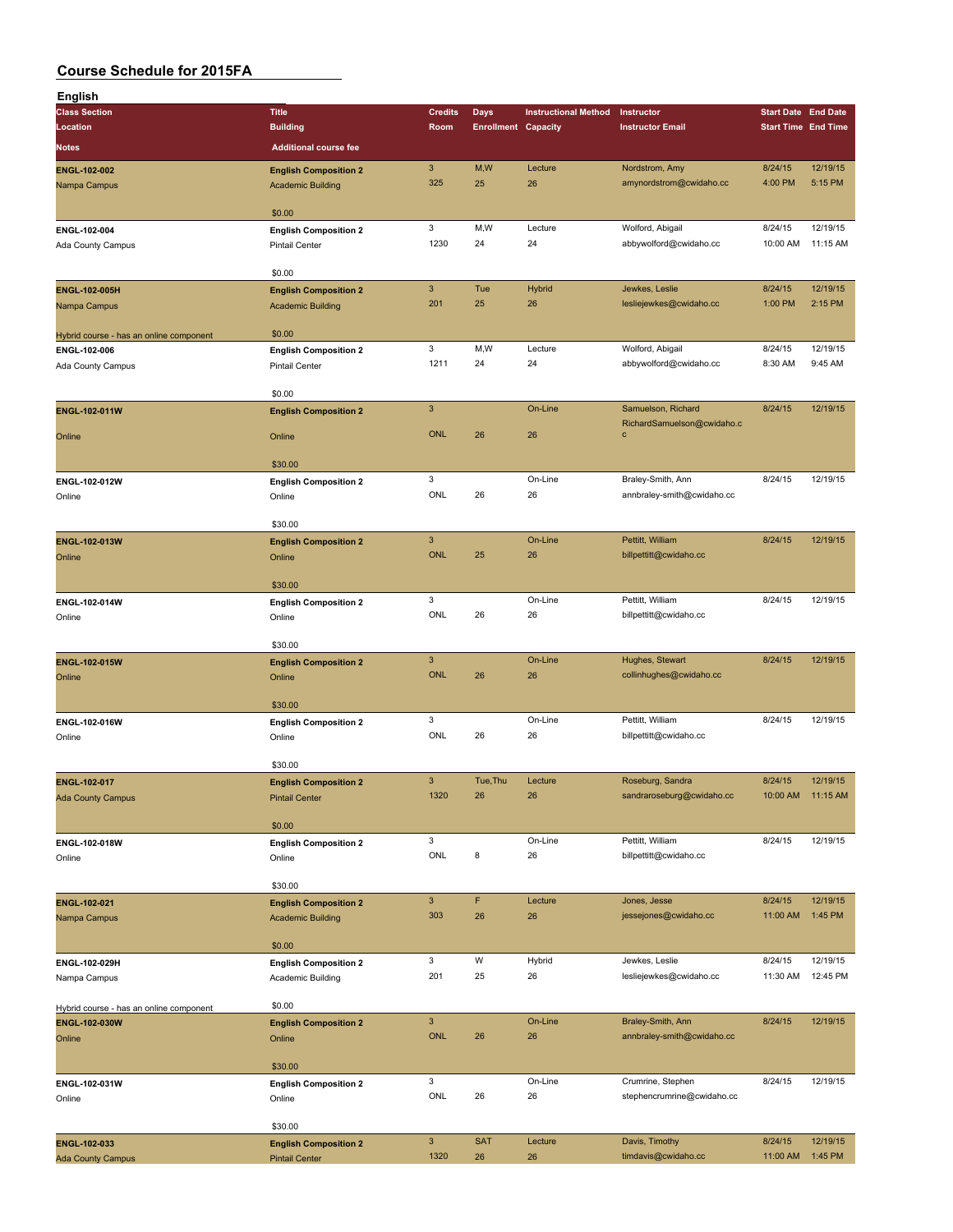| English                                  |                                                       |                     |                            |                             |                                       |                            |                     |
|------------------------------------------|-------------------------------------------------------|---------------------|----------------------------|-----------------------------|---------------------------------------|----------------------------|---------------------|
| <b>Class Section</b>                     | <b>Title</b>                                          | <b>Credits</b>      | Days                       | <b>Instructional Method</b> | Instructor                            | <b>Start Date End Date</b> |                     |
| Location                                 | <b>Building</b>                                       | Room                | <b>Enrollment Capacity</b> |                             | <b>Instructor Email</b>               | <b>Start Time End Time</b> |                     |
| <b>Notes</b>                             | <b>Additional course fee</b>                          |                     |                            |                             |                                       |                            |                     |
| ENGL-102-002                             | <b>English Composition 2</b>                          | $\mathbf{3}$        | M,W                        | Lecture                     | Nordstrom, Amy                        | 8/24/15                    | 12/19/15            |
| Nampa Campus                             | <b>Academic Building</b>                              | 325                 | 25                         | 26                          | amynordstrom@cwidaho.cc               | 4:00 PM                    | 5:15 PM             |
|                                          |                                                       |                     |                            |                             |                                       |                            |                     |
|                                          | \$0.00                                                |                     |                            |                             |                                       |                            |                     |
| ENGL-102-004                             | <b>English Composition 2</b>                          | 3                   | M,W                        | Lecture                     | Wolford, Abigail                      | 8/24/15                    | 12/19/15            |
| Ada County Campus                        | <b>Pintail Center</b>                                 | 1230                | 24                         | 24                          | abbywolford@cwidaho.cc                | 10:00 AM                   | 11:15 AM            |
|                                          |                                                       |                     |                            |                             |                                       |                            |                     |
|                                          | \$0.00                                                |                     |                            |                             |                                       |                            |                     |
| ENGL-102-005H                            | <b>English Composition 2</b>                          | $\mathbf{3}$        | Tue                        | <b>Hybrid</b>               | Jewkes, Leslie                        | 8/24/15                    | 12/19/15            |
| Nampa Campus                             | <b>Academic Building</b>                              | 201                 | 25                         | 26                          | lesliejewkes@cwidaho.cc               | 1:00 PM                    | 2:15 PM             |
|                                          |                                                       |                     |                            |                             |                                       |                            |                     |
| Hybrid course - has an online component  | \$0.00                                                | 3                   | M,W                        | Lecture                     | Wolford, Abigail                      | 8/24/15                    | 12/19/15            |
| ENGL-102-006                             | <b>English Composition 2</b>                          | 1211                | 24                         | 24                          | abbywolford@cwidaho.cc                | 8:30 AM                    | 9:45 AM             |
| Ada County Campus                        | <b>Pintail Center</b>                                 |                     |                            |                             |                                       |                            |                     |
|                                          | \$0.00                                                |                     |                            |                             |                                       |                            |                     |
| ENGL-102-011W                            | <b>English Composition 2</b>                          | $\mathsf 3$         |                            | On-Line                     | Samuelson, Richard                    | 8/24/15                    | 12/19/15            |
|                                          |                                                       |                     |                            |                             | RichardSamuelson@cwidaho.c            |                            |                     |
| Online                                   | Online                                                | <b>ONL</b>          | 26                         | 26                          | $\mathbf{C}$                          |                            |                     |
|                                          |                                                       |                     |                            |                             |                                       |                            |                     |
|                                          | \$30.00                                               |                     |                            |                             |                                       |                            |                     |
| ENGL-102-012W                            | <b>English Composition 2</b>                          | 3<br>ONL            |                            | On-Line                     | Braley-Smith, Ann                     | 8/24/15                    | 12/19/15            |
| Online                                   | Online                                                |                     | 26                         | 26                          | annbraley-smith@cwidaho.cc            |                            |                     |
|                                          | \$30.00                                               |                     |                            |                             |                                       |                            |                     |
| ENGL-102-013W                            | <b>English Composition 2</b>                          | $\mathbf{3}$        |                            | On-Line                     | Pettitt, William                      | 8/24/15                    | 12/19/15            |
| Online                                   | Online                                                | <b>ONL</b>          | 25                         | 26                          | billpettitt@cwidaho.cc                |                            |                     |
|                                          |                                                       |                     |                            |                             |                                       |                            |                     |
|                                          | \$30.00                                               |                     |                            |                             |                                       |                            |                     |
| ENGL-102-014W                            | <b>English Composition 2</b>                          | 3                   |                            | On-Line                     | Pettitt, William                      | 8/24/15                    | 12/19/15            |
| Online                                   | Online                                                | ONL                 | 26                         | 26                          | billpettitt@cwidaho.cc                |                            |                     |
|                                          |                                                       |                     |                            |                             |                                       |                            |                     |
|                                          | \$30.00                                               |                     |                            |                             |                                       |                            |                     |
| <b>ENGL-102-015W</b>                     | <b>English Composition 2</b>                          | $\mathbf{3}$        |                            | On-Line                     | Hughes, Stewart                       | 8/24/15                    | 12/19/15            |
| Online                                   | Online                                                | <b>ONL</b>          | 26                         | 26                          | collinhughes@cwidaho.cc               |                            |                     |
|                                          |                                                       |                     |                            |                             |                                       |                            |                     |
|                                          | \$30.00                                               | 3                   |                            | On-Line                     | Pettitt, William                      | 8/24/15                    | 12/19/15            |
| ENGL-102-016W<br>Online                  | <b>English Composition 2</b><br>Online                | ONL                 | 26                         | 26                          | billpettitt@cwidaho.cc                |                            |                     |
|                                          |                                                       |                     |                            |                             |                                       |                            |                     |
|                                          | \$30.00                                               |                     |                            |                             |                                       |                            |                     |
| <b>ENGL-102-017</b>                      | <b>English Composition 2</b>                          | $\mathbf{3}$        | Tue, Thu                   | Lecture                     | Roseburg, Sandra                      | 8/24/15                    | 12/19/15            |
| <b>Ada County Campus</b>                 | <b>Pintail Center</b>                                 | 1320                | 26                         | 26                          | sandraroseburg@cwidaho.cc             |                            | 10:00 AM 11:15 AM   |
|                                          |                                                       |                     |                            |                             |                                       |                            |                     |
|                                          | \$0.00                                                |                     |                            |                             |                                       |                            |                     |
| ENGL-102-018W                            | <b>English Composition 2</b>                          | 3                   |                            | On-Line                     | Pettitt, William                      | 8/24/15                    | 12/19/15            |
| Online                                   | Online                                                | ONL                 | 8                          | 26                          | billpettitt@cwidaho.cc                |                            |                     |
|                                          |                                                       |                     |                            |                             |                                       |                            |                     |
|                                          | \$30.00                                               |                     | F                          |                             |                                       |                            |                     |
| ENGL-102-021                             | <b>English Composition 2</b>                          | $\mathbf{3}$<br>303 | 26                         | Lecture<br>26               | Jones, Jesse<br>jessejones@cwidaho.cc | 8/24/15<br>11:00 AM        | 12/19/15<br>1:45 PM |
| Nampa Campus                             | <b>Academic Building</b>                              |                     |                            |                             |                                       |                            |                     |
|                                          | \$0.00                                                |                     |                            |                             |                                       |                            |                     |
| ENGL-102-029H                            | <b>English Composition 2</b>                          | 3                   | W                          | Hybrid                      | Jewkes, Leslie                        | 8/24/15                    | 12/19/15            |
| Nampa Campus                             | Academic Building                                     | 201                 | 25                         | 26                          | lesliejewkes@cwidaho.cc               | 11:30 AM                   | 12:45 PM            |
|                                          |                                                       |                     |                            |                             |                                       |                            |                     |
| Hybrid course - has an online component  | \$0.00                                                |                     |                            |                             |                                       |                            |                     |
| ENGL-102-030W                            | <b>English Composition 2</b>                          | $\mathbf{3}$        |                            | On-Line                     | Braley-Smith, Ann                     | 8/24/15                    | 12/19/15            |
| Online                                   | Online                                                | <b>ONL</b>          | 26                         | 26                          | annbraley-smith@cwidaho.cc            |                            |                     |
|                                          |                                                       |                     |                            |                             |                                       |                            |                     |
|                                          | \$30.00                                               |                     |                            |                             |                                       |                            |                     |
| ENGL-102-031W                            | <b>English Composition 2</b>                          | 3                   |                            | On-Line                     | Crumrine, Stephen                     | 8/24/15                    | 12/19/15            |
| Online                                   | Online                                                | ONL                 | 26                         | 26                          | stephencrumrine@cwidaho.cc            |                            |                     |
|                                          |                                                       |                     |                            |                             |                                       |                            |                     |
|                                          | \$30.00                                               | $\mathbf{3}$        | <b>SAT</b>                 | Lecture                     | Davis, Timothy                        | 8/24/15                    | 12/19/15            |
| ENGL-102-033<br><b>Ada County Campus</b> | <b>English Composition 2</b><br><b>Pintail Center</b> | 1320                | 26                         | 26                          | timdavis@cwidaho.cc                   | 11:00 AM                   | 1:45 PM             |
|                                          |                                                       |                     |                            |                             |                                       |                            |                     |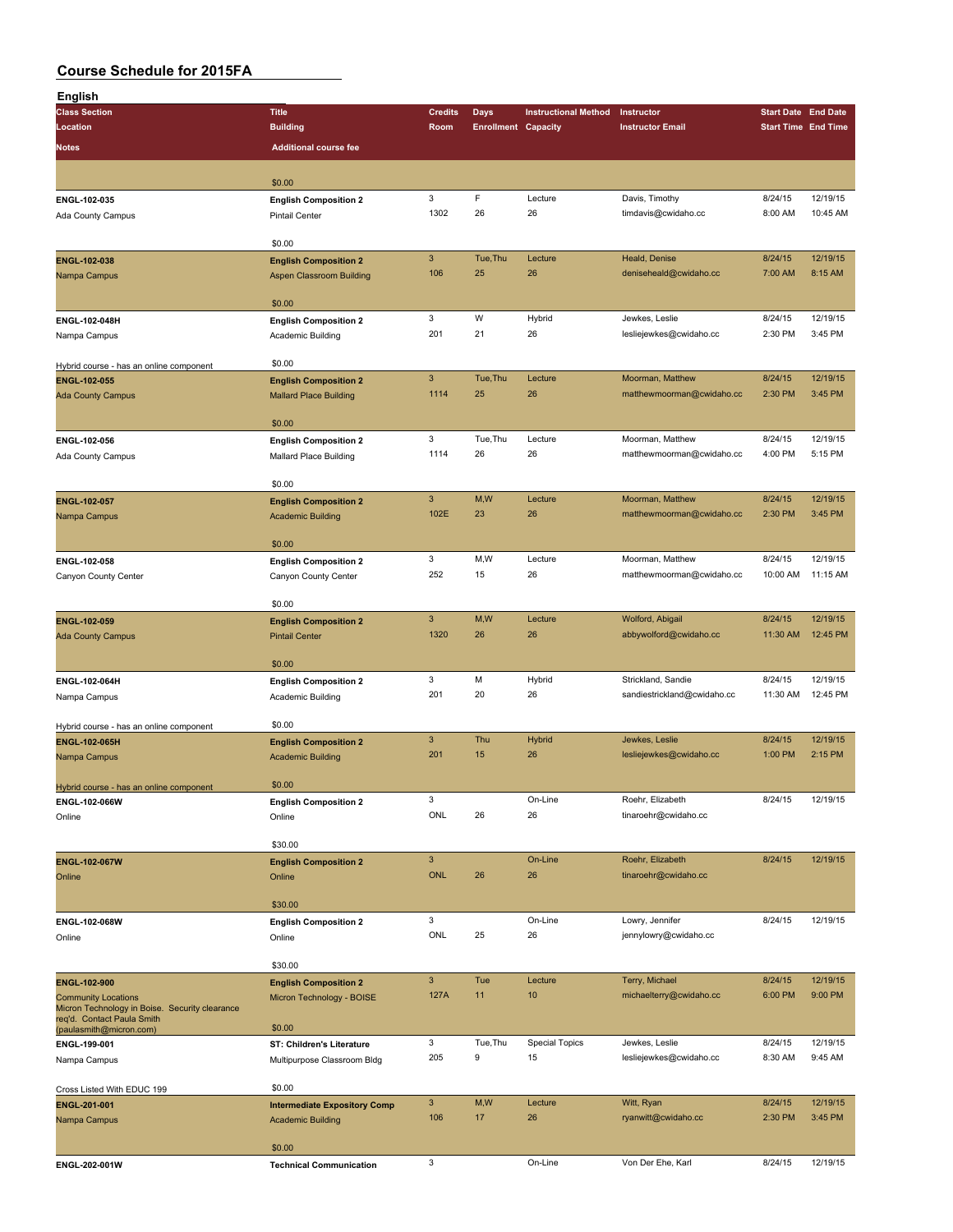| English                                                                      |                                                               |                                   |                            |                             |                                               |                            |                     |
|------------------------------------------------------------------------------|---------------------------------------------------------------|-----------------------------------|----------------------------|-----------------------------|-----------------------------------------------|----------------------------|---------------------|
| <b>Class Section</b>                                                         | <b>Title</b>                                                  | <b>Credits</b>                    | Days                       | <b>Instructional Method</b> | Instructor                                    | <b>Start Date End Date</b> |                     |
| Location                                                                     | <b>Building</b>                                               | Room                              | <b>Enrollment Capacity</b> |                             | <b>Instructor Email</b>                       | <b>Start Time End Time</b> |                     |
| <b>Notes</b>                                                                 | <b>Additional course fee</b>                                  |                                   |                            |                             |                                               |                            |                     |
|                                                                              |                                                               |                                   |                            |                             |                                               |                            |                     |
|                                                                              | \$0.00                                                        |                                   |                            |                             |                                               |                            |                     |
| ENGL-102-035                                                                 | <b>English Composition 2</b>                                  | 3                                 | F                          | Lecture                     | Davis, Timothy                                | 8/24/15                    | 12/19/15            |
| Ada County Campus                                                            | <b>Pintail Center</b>                                         | 1302                              | 26                         | 26                          | timdavis@cwidaho.cc                           | 8:00 AM                    | 10:45 AM            |
|                                                                              |                                                               |                                   |                            |                             |                                               |                            |                     |
|                                                                              | \$0.00                                                        | $\mathbf{3}$                      | Tue, Thu                   | Lecture                     | Heald, Denise                                 | 8/24/15                    | 12/19/15            |
| ENGL-102-038<br>Nampa Campus                                                 | <b>English Composition 2</b><br>Aspen Classroom Building      | 106                               | 25                         | 26                          | deniseheald@cwidaho.cc                        | 7:00 AM                    | 8:15 AM             |
|                                                                              |                                                               |                                   |                            |                             |                                               |                            |                     |
|                                                                              | \$0.00                                                        |                                   |                            |                             |                                               |                            |                     |
| ENGL-102-048H                                                                | <b>English Composition 2</b>                                  | $\mathbf 3$                       | W                          | Hybrid                      | Jewkes, Leslie                                | 8/24/15                    | 12/19/15            |
| Nampa Campus                                                                 | Academic Building                                             | 201                               | 21                         | 26                          | lesliejewkes@cwidaho.cc                       | 2:30 PM                    | 3:45 PM             |
|                                                                              |                                                               |                                   |                            |                             |                                               |                            |                     |
| Hybrid course - has an online component                                      | \$0.00                                                        | $\ensuremath{\mathsf{3}}$         | Tue, Thu                   | Lecture                     | Moorman, Matthew                              | 8/24/15                    | 12/19/15            |
| ENGL-102-055                                                                 | <b>English Composition 2</b><br><b>Mallard Place Building</b> | 1114                              | 25                         | 26                          | matthewmoorman@cwidaho.cc                     | 2:30 PM                    | 3:45 PM             |
| <b>Ada County Campus</b>                                                     |                                                               |                                   |                            |                             |                                               |                            |                     |
|                                                                              | \$0.00                                                        |                                   |                            |                             |                                               |                            |                     |
| ENGL-102-056                                                                 | <b>English Composition 2</b>                                  | 3                                 | Tue, Thu                   | Lecture                     | Moorman, Matthew                              | 8/24/15                    | 12/19/15            |
| Ada County Campus                                                            | Mallard Place Building                                        | 1114                              | 26                         | 26                          | matthewmoorman@cwidaho.cc                     | 4:00 PM                    | 5:15 PM             |
|                                                                              |                                                               |                                   |                            |                             |                                               |                            |                     |
|                                                                              | \$0.00                                                        |                                   |                            |                             |                                               |                            |                     |
| <b>ENGL-102-057</b>                                                          | <b>English Composition 2</b>                                  | $\ensuremath{\mathsf{3}}$<br>102E | M, W<br>23                 | Lecture<br>26               | Moorman, Matthew<br>matthewmoorman@cwidaho.cc | 8/24/15<br>2:30 PM         | 12/19/15<br>3:45 PM |
| Nampa Campus                                                                 | <b>Academic Building</b>                                      |                                   |                            |                             |                                               |                            |                     |
|                                                                              | \$0.00                                                        |                                   |                            |                             |                                               |                            |                     |
| ENGL-102-058                                                                 | <b>English Composition 2</b>                                  | 3                                 | M,W                        | Lecture                     | Moorman, Matthew                              | 8/24/15                    | 12/19/15            |
| Canyon County Center                                                         | Canyon County Center                                          | 252                               | 15                         | 26                          | matthewmoorman@cwidaho.cc                     | 10:00 AM                   | 11:15 AM            |
|                                                                              |                                                               |                                   |                            |                             |                                               |                            |                     |
|                                                                              | \$0.00                                                        |                                   |                            |                             |                                               |                            |                     |
| ENGL-102-059                                                                 | <b>English Composition 2</b>                                  | $\mathbf{3}$                      | M,W                        | Lecture                     | Wolford, Abigail                              | 8/24/15                    | 12/19/15            |
| <b>Ada County Campus</b>                                                     | <b>Pintail Center</b>                                         | 1320                              | 26                         | 26                          | abbywolford@cwidaho.cc                        | 11:30 AM                   | 12:45 PM            |
|                                                                              | \$0.00                                                        |                                   |                            |                             |                                               |                            |                     |
| ENGL-102-064H                                                                | <b>English Composition 2</b>                                  | $\mathbf 3$                       | М                          | Hybrid                      | Strickland, Sandie                            | 8/24/15                    | 12/19/15            |
| Nampa Campus                                                                 | Academic Building                                             | 201                               | 20                         | 26                          | sandiestrickland@cwidaho.cc                   | 11:30 AM                   | 12:45 PM            |
|                                                                              |                                                               |                                   |                            |                             |                                               |                            |                     |
| Hybrid course - has an online component                                      | \$0.00                                                        |                                   |                            |                             |                                               |                            |                     |
| <b>ENGL-102-065H</b>                                                         | <b>English Composition 2</b>                                  | $\mathbf{3}$                      | Thu                        | <b>Hybrid</b>               | Jewkes, Leslie                                | 8/24/15                    | 12/19/15            |
| Nampa Campus                                                                 | <b>Academic Building</b>                                      | 201                               | 15                         | 26                          | lesliejewkes@cwidaho.cc                       | 1:00 PM                    | 2:15 PM             |
|                                                                              |                                                               |                                   |                            |                             |                                               |                            |                     |
| Hybrid course - has an online component                                      | \$0.00                                                        | $\mathbf 3$                       |                            | On-Line                     | Roehr, Elizabeth                              | 8/24/15                    | 12/19/15            |
| ENGL-102-066W<br>Online                                                      | <b>English Composition 2</b><br>Online                        | ONL                               | 26                         | 26                          | tinaroehr@cwidaho.cc                          |                            |                     |
|                                                                              |                                                               |                                   |                            |                             |                                               |                            |                     |
|                                                                              | \$30.00                                                       |                                   |                            |                             |                                               |                            |                     |
| <b>ENGL-102-067W</b>                                                         | <b>English Composition 2</b>                                  | $\ensuremath{\mathsf{3}}$         |                            | On-Line                     | Roehr, Elizabeth                              | 8/24/15                    | 12/19/15            |
| Online                                                                       | Online                                                        | <b>ONL</b>                        | 26                         | 26                          | tinaroehr@cwidaho.cc                          |                            |                     |
|                                                                              |                                                               |                                   |                            |                             |                                               |                            |                     |
|                                                                              | \$30.00                                                       |                                   |                            |                             |                                               |                            |                     |
| ENGL-102-068W                                                                | <b>English Composition 2</b>                                  | 3<br>ONL                          | 25                         | On-Line<br>26               | Lowry, Jennifer<br>jennylowry@cwidaho.cc      | 8/24/15                    | 12/19/15            |
| Online                                                                       | Online                                                        |                                   |                            |                             |                                               |                            |                     |
|                                                                              | \$30.00                                                       |                                   |                            |                             |                                               |                            |                     |
| ENGL-102-900                                                                 | <b>English Composition 2</b>                                  | $\mathbf{3}$                      | Tue                        | Lecture                     | Terry, Michael                                | 8/24/15                    | 12/19/15            |
| <b>Community Locations</b>                                                   | Micron Technology - BOISE                                     | 127A                              | 11                         | 10                          | michaelterry@cwidaho.cc                       | 6:00 PM                    | 9:00 PM             |
| Micron Technology in Boise. Security clearance<br>req'd. Contact Paula Smith |                                                               |                                   |                            |                             |                                               |                            |                     |
| (paulasmith@micron.com)                                                      | \$0.00                                                        |                                   |                            |                             |                                               |                            |                     |
| ENGL-199-001                                                                 | ST: Children's Literature                                     | 3                                 | Tue, Thu                   | <b>Special Topics</b>       | Jewkes, Leslie                                | 8/24/15                    | 12/19/15            |
| Nampa Campus                                                                 | Multipurpose Classroom Bldg                                   | 205                               | 9                          | 15                          | lesliejewkes@cwidaho.cc                       | 8:30 AM                    | 9:45 AM             |
|                                                                              |                                                               |                                   |                            |                             |                                               |                            |                     |
| Cross Listed With EDUC 199                                                   | \$0.00                                                        | $\mathbf{3}$                      | M,W                        | Lecture                     |                                               | 8/24/15                    | 12/19/15            |
| ENGL-201-001                                                                 | <b>Intermediate Expository Comp</b>                           | 106                               | 17                         | 26                          | Witt, Ryan<br>ryanwitt@cwidaho.cc             | 2:30 PM                    | 3:45 PM             |
| Nampa Campus                                                                 | <b>Academic Building</b>                                      |                                   |                            |                             |                                               |                            |                     |
|                                                                              | \$0.00                                                        |                                   |                            |                             |                                               |                            |                     |
| ENGL-202-001W                                                                | <b>Technical Communication</b>                                | 3                                 |                            | On-Line                     | Von Der Ehe, Karl                             | 8/24/15                    | 12/19/15            |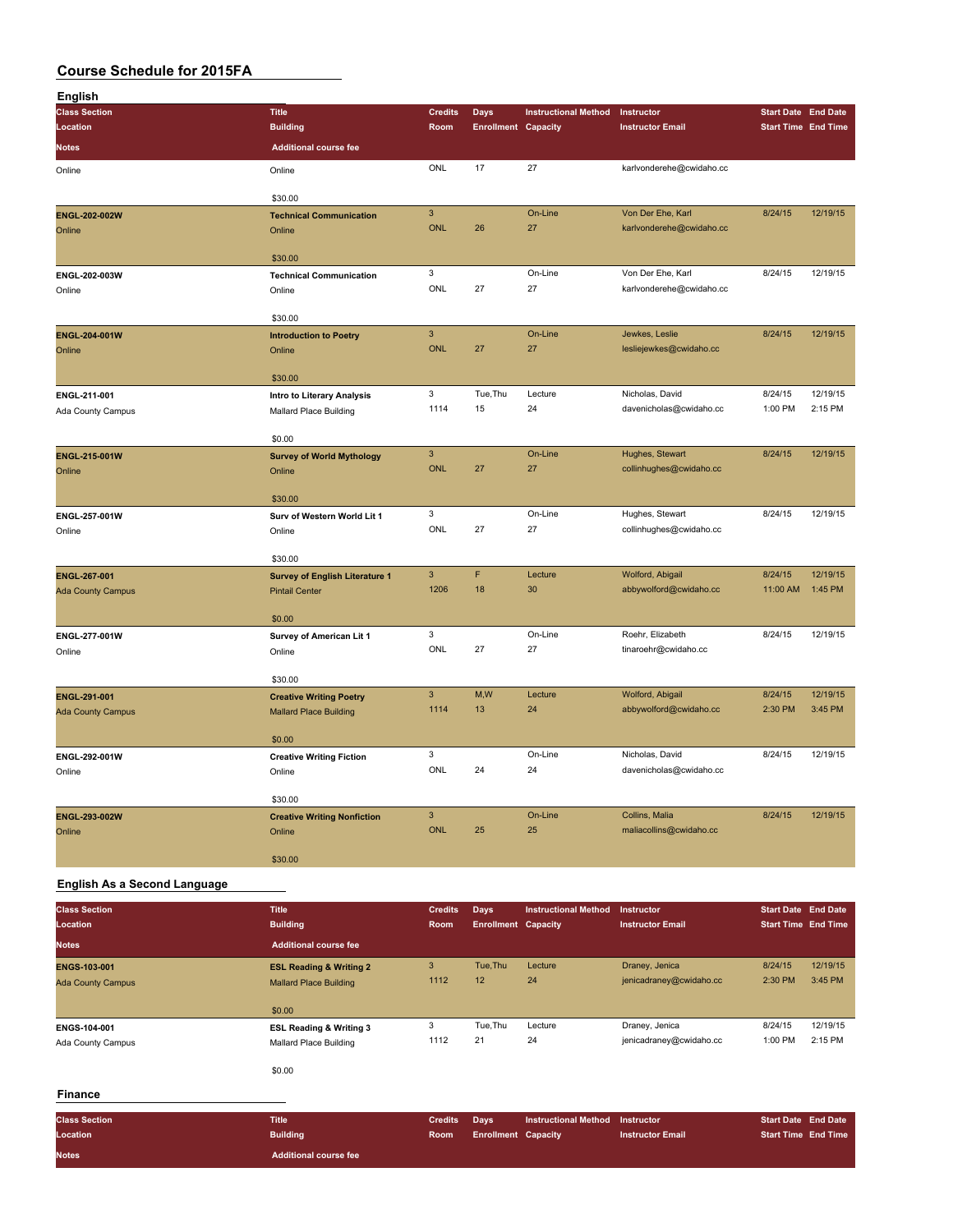| <b>English</b>           |                                                                |                           |                            |                             |                          |                            |          |
|--------------------------|----------------------------------------------------------------|---------------------------|----------------------------|-----------------------------|--------------------------|----------------------------|----------|
| <b>Class Section</b>     | <b>Title</b>                                                   | <b>Credits</b>            | <b>Days</b>                | <b>Instructional Method</b> | Instructor               | <b>Start Date</b> End Date |          |
| Location                 | <b>Building</b>                                                | Room                      | <b>Enrollment Capacity</b> |                             | <b>Instructor Email</b>  | <b>Start Time End Time</b> |          |
| <b>Notes</b>             | <b>Additional course fee</b>                                   |                           |                            |                             |                          |                            |          |
| Online                   | Online                                                         | ONL                       | 17                         | 27                          | karlvonderehe@cwidaho.cc |                            |          |
|                          | \$30.00                                                        |                           |                            |                             |                          |                            |          |
| ENGL-202-002W            | <b>Technical Communication</b>                                 | $\mathbf{3}$              |                            | On-Line                     | Von Der Ehe, Karl        | 8/24/15                    | 12/19/15 |
| Online                   | Online                                                         | <b>ONL</b>                | 26                         | 27                          | karlvonderehe@cwidaho.cc |                            |          |
|                          | \$30.00                                                        |                           |                            |                             |                          |                            |          |
| ENGL-202-003W            | <b>Technical Communication</b>                                 | 3                         |                            | On-Line                     | Von Der Ehe, Karl        | 8/24/15                    | 12/19/15 |
| Online                   | Online                                                         | ONL                       | 27                         | 27                          | karlvonderehe@cwidaho.cc |                            |          |
|                          |                                                                |                           |                            |                             |                          |                            |          |
| ENGL-204-001W            | \$30.00<br><b>Introduction to Poetry</b>                       | $\mathbf{3}$              |                            | On-Line                     | Jewkes, Leslie           | 8/24/15                    | 12/19/15 |
| Online                   | Online                                                         | ONL                       | 27                         | 27                          | lesliejewkes@cwidaho.cc  |                            |          |
|                          |                                                                |                           |                            |                             |                          |                            |          |
|                          | \$30.00                                                        |                           |                            |                             |                          |                            |          |
| ENGL-211-001             | Intro to Literary Analysis                                     | 3                         | Tue, Thu                   | Lecture                     | Nicholas, David          | 8/24/15                    | 12/19/15 |
| Ada County Campus        | <b>Mallard Place Building</b>                                  | 1114                      | 15                         | 24                          | davenicholas@cwidaho.cc  | 1:00 PM                    | 2:15 PM  |
|                          | \$0.00                                                         |                           |                            |                             |                          |                            |          |
| ENGL-215-001W            | <b>Survey of World Mythology</b>                               | $\ensuremath{\mathsf{3}}$ |                            | On-Line                     | Hughes, Stewart          | 8/24/15                    | 12/19/15 |
| Online                   | Online                                                         | <b>ONL</b>                | 27                         | 27                          | collinhughes@cwidaho.cc  |                            |          |
|                          | \$30.00                                                        |                           |                            |                             |                          |                            |          |
| ENGL-257-001W            | Surv of Western World Lit 1                                    | 3                         |                            | On-Line                     | Hughes, Stewart          | 8/24/15                    | 12/19/15 |
| Online                   | Online                                                         | ONL                       | 27                         | 27                          | collinhughes@cwidaho.cc  |                            |          |
|                          |                                                                |                           |                            |                             |                          |                            |          |
| <b>ENGL-267-001</b>      | \$30.00                                                        | $\mathbf{3}$              | F                          | Lecture                     | Wolford, Abigail         | 8/24/15                    | 12/19/15 |
| <b>Ada County Campus</b> | <b>Survey of English Literature 1</b><br><b>Pintail Center</b> | 1206                      | 18                         | 30                          | abbywolford@cwidaho.cc   | 11:00 AM                   | 1:45 PM  |
|                          |                                                                |                           |                            |                             |                          |                            |          |
|                          | \$0.00                                                         |                           |                            |                             |                          |                            |          |
| ENGL-277-001W            | Survey of American Lit 1                                       | 3                         |                            | On-Line                     | Roehr, Elizabeth         | 8/24/15                    | 12/19/15 |
| Online                   | Online                                                         | ONL                       | 27                         | 27                          | tinaroehr@cwidaho.cc     |                            |          |
|                          | \$30.00                                                        |                           |                            |                             |                          |                            |          |
| ENGL-291-001             | <b>Creative Writing Poetry</b>                                 | $\mathsf 3$               | M,W                        | Lecture                     | Wolford, Abigail         | 8/24/15                    | 12/19/15 |
| <b>Ada County Campus</b> | <b>Mallard Place Building</b>                                  | 1114                      | 13                         | 24                          | abbywolford@cwidaho.cc   | 2:30 PM                    | 3:45 PM  |
|                          | \$0.00                                                         |                           |                            |                             |                          |                            |          |
| ENGL-292-001W            | <b>Creative Writing Fiction</b>                                | 3                         |                            | On-Line                     | Nicholas, David          | 8/24/15                    | 12/19/15 |
| Online                   | Online                                                         | ONL                       | 24                         | 24                          | davenicholas@cwidaho.cc  |                            |          |
|                          |                                                                |                           |                            |                             |                          |                            |          |
| ENGL-293-002W            | \$30.00                                                        | $\ensuremath{\mathsf{3}}$ |                            | On-Line                     | Collins, Malia           | 8/24/15                    | 12/19/15 |
| Online                   | <b>Creative Writing Nonfiction</b><br>Online                   | ONL                       | 25                         | 25                          | maliacollins@cwidaho.cc  |                            |          |
|                          |                                                                |                           |                            |                             |                          |                            |          |
|                          | \$30.00                                                        |                           |                            |                             |                          |                            |          |

#### **English As a Second Language**

| <b>Class Section</b><br>Location | <b>Title</b><br><b>Building</b>    | <b>Credits</b><br>Room | <b>Days</b><br><b>Enrollment Capacity</b> | <b>Instructional Method</b> | Instructor<br><b>Instructor Email</b> | <b>Start Date End Date</b><br><b>Start Time End Time</b> |          |
|----------------------------------|------------------------------------|------------------------|-------------------------------------------|-----------------------------|---------------------------------------|----------------------------------------------------------|----------|
| <b>Notes</b>                     | <b>Additional course fee</b>       |                        |                                           |                             |                                       |                                                          |          |
| <b>ENGS-103-001</b>              | <b>ESL Reading &amp; Writing 2</b> | 3                      | Tue, Thu                                  | Lecture                     | Draney, Jenica                        | 8/24/15                                                  | 12/19/15 |
| <b>Ada County Campus</b>         | <b>Mallard Place Building</b>      | 1112                   | 12                                        | 24                          | jenicadraney@cwidaho.cc               | 2:30 PM                                                  | 3:45 PM  |
|                                  | \$0.00                             |                        |                                           |                             |                                       |                                                          |          |
| ENGS-104-001                     | <b>ESL Reading &amp; Writing 3</b> | 3                      | Tue, Thu                                  | Lecture                     | Draney, Jenica                        | 8/24/15                                                  | 12/19/15 |
| Ada County Campus                | Mallard Place Building             | 1112                   | 21                                        | 24                          | jenicadraney@cwidaho.cc               | 1:00 PM                                                  | 2:15 PM  |
|                                  | \$0.00                             |                        |                                           |                             |                                       |                                                          |          |
| Finance                          |                                    |                        |                                           |                             |                                       |                                                          |          |
| <b>Class Section</b>             | <b>Title</b>                       | <b>Credits</b>         | <b>Days</b>                               | <b>Instructional Method</b> | Instructor                            | <b>Start Date End Date</b>                               |          |

| <b>Class Section</b> | Title :                      | Credits Davs |                            | Instructional Method Instructor |                         | <b>Start Date End Date</b> |
|----------------------|------------------------------|--------------|----------------------------|---------------------------------|-------------------------|----------------------------|
| Location             | <b>Building</b>              | <b>Room</b>  | <b>Enrollment Capacity</b> |                                 | <b>Instructor Email</b> | <b>Start Time End Time</b> |
| <b>Notes</b>         | <b>Additional course fee</b> |              |                            |                                 |                         |                            |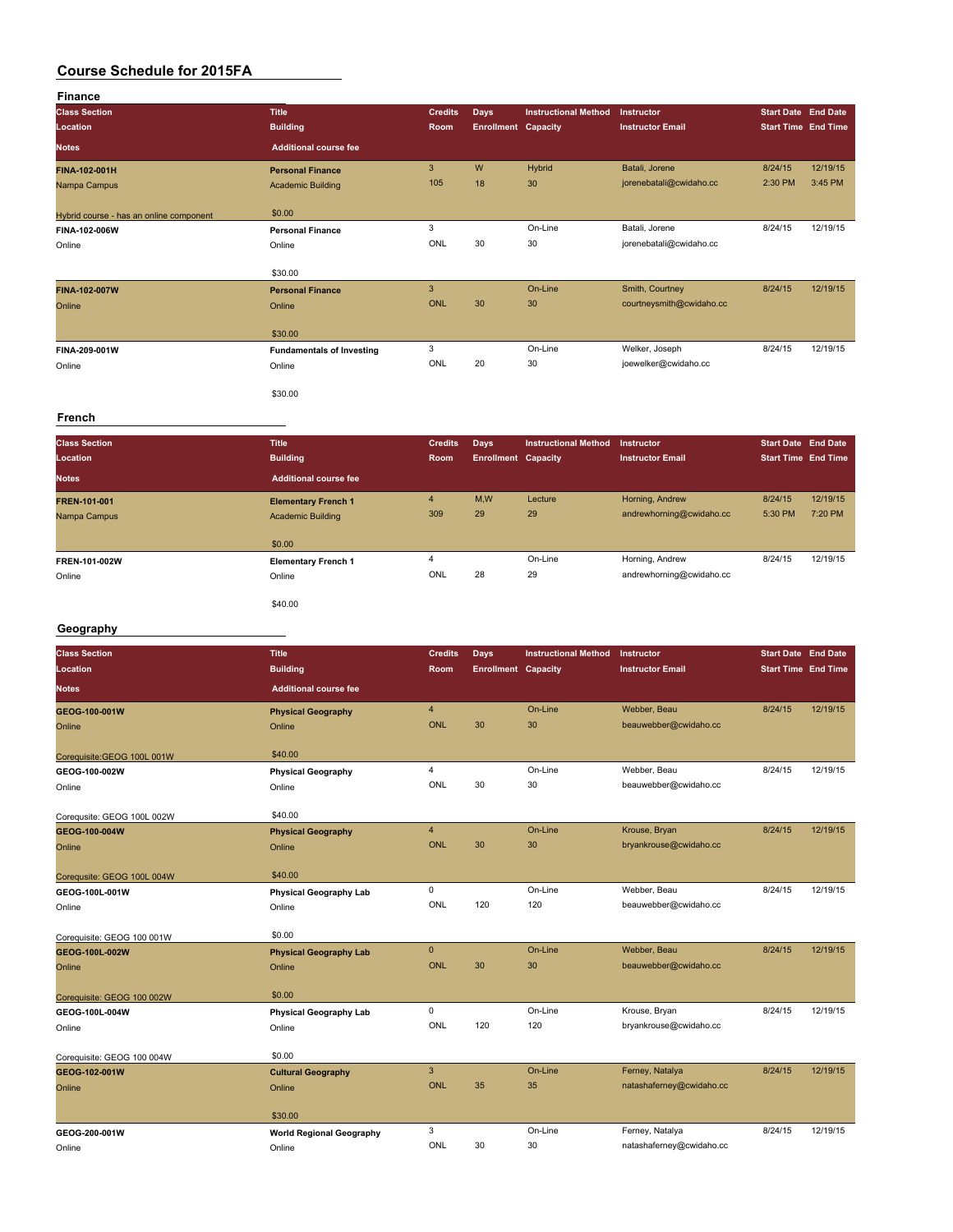| <b>Finance</b>                          |                                  |                |                            |                             |                          |         |                            |
|-----------------------------------------|----------------------------------|----------------|----------------------------|-----------------------------|--------------------------|---------|----------------------------|
| <b>Class Section</b>                    | <b>Title</b>                     | <b>Credits</b> | <b>Days</b>                | <b>Instructional Method</b> | Instructor               |         | <b>Start Date End Date</b> |
| Location                                | <b>Building</b>                  | Room           | <b>Enrollment Capacity</b> |                             | <b>Instructor Email</b>  |         | <b>Start Time</b> End Time |
| <b>Notes</b>                            | <b>Additional course fee</b>     |                |                            |                             |                          |         |                            |
| <b>FINA-102-001H</b>                    | <b>Personal Finance</b>          | 3              | W                          | <b>Hybrid</b>               | Batali, Jorene           | 8/24/15 | 12/19/15                   |
| Nampa Campus                            | <b>Academic Building</b>         | 105            | 18                         | 30                          | jorenebatali@cwidaho.cc  | 2:30 PM | 3:45 PM                    |
| Hybrid course - has an online component | \$0.00                           |                |                            |                             |                          |         |                            |
| FINA-102-006W                           | <b>Personal Finance</b>          | 3              |                            | On-Line                     | Batali, Jorene           | 8/24/15 | 12/19/15                   |
| Online                                  | Online                           | ONL            | 30                         | 30                          | jorenebatali@cwidaho.cc  |         |                            |
|                                         | \$30.00                          |                |                            |                             |                          |         |                            |
| <b>FINA-102-007W</b>                    | <b>Personal Finance</b>          | 3              |                            | On-Line                     | Smith, Courtney          | 8/24/15 | 12/19/15                   |
| Online                                  | Online                           | <b>ONL</b>     | 30                         | 30                          | courtneysmith@cwidaho.cc |         |                            |
|                                         | \$30.00                          |                |                            |                             |                          |         |                            |
| FINA-209-001W                           | <b>Fundamentals of Investing</b> | 3              |                            | On-Line                     | Welker, Joseph           | 8/24/15 | 12/19/15                   |
| Online                                  | Online                           | ONL            | 20                         | 30                          | joewelker@cwidaho.cc     |         |                            |
|                                         | \$30.00                          |                |                            |                             |                          |         |                            |

#### **French**

| <b>Class Section</b><br>Location<br><b>Notes</b> | <b>Title</b><br><b>Building</b><br>Additional course fee         | <b>Credits</b><br><b>Room</b>  | Days<br><b>Enrollment Capacity</b> | <b>Instructional Method</b> | Instructor<br><b>Instructor Email</b>       | <b>Start Date End Date</b><br><b>Start Time End Time</b> |                     |
|--------------------------------------------------|------------------------------------------------------------------|--------------------------------|------------------------------------|-----------------------------|---------------------------------------------|----------------------------------------------------------|---------------------|
| FREN-101-001<br>Nampa Campus                     | <b>Elementary French 1</b><br><b>Academic Building</b><br>\$0.00 | 4<br>309                       | M,W<br>29                          | Lecture<br>29               | Horning, Andrew<br>andrewhorning@cwidaho.cc | 8/24/15<br>5:30 PM                                       | 12/19/15<br>7:20 PM |
| FREN-101-002W<br>Online                          | <b>Elementary French 1</b><br>Online<br>\$40.00                  | $\overline{\mathbf{4}}$<br>ONL | 28                                 | On-Line<br>29               | Horning, Andrew<br>andrewhorning@cwidaho.cc | 8/24/15                                                  | 12/19/15            |

#### **Geography**

| <b>Class Section</b>        | <b>Title</b>                    | <b>Credits</b>          | Days                       | <b>Instructional Method</b> | Instructor               | <b>Start Date End Date</b> |          |
|-----------------------------|---------------------------------|-------------------------|----------------------------|-----------------------------|--------------------------|----------------------------|----------|
| Location                    | <b>Building</b>                 | Room                    | <b>Enrollment Capacity</b> |                             | <b>Instructor Email</b>  | <b>Start Time End Time</b> |          |
| <b>Notes</b>                | <b>Additional course fee</b>    |                         |                            |                             |                          |                            |          |
| GEOG-100-001W               | <b>Physical Geography</b>       | $\overline{4}$          |                            | On-Line                     | Webber, Beau             | 8/24/15                    | 12/19/15 |
| Online                      | Online                          | <b>ONL</b>              | 30                         | 30                          | beauwebber@cwidaho.cc    |                            |          |
| Corequisite: GEOG 100L 001W | \$40.00                         |                         |                            |                             |                          |                            |          |
| GEOG-100-002W               | <b>Physical Geography</b>       | $\overline{\mathbf{4}}$ |                            | On-Line                     | Webber, Beau             | 8/24/15                    | 12/19/15 |
| Online                      | Online                          | ONL                     | 30                         | 30                          | beauwebber@cwidaho.cc    |                            |          |
| Corequsite: GEOG 100L 002W  | \$40.00                         |                         |                            |                             |                          |                            |          |
| GEOG-100-004W               | <b>Physical Geography</b>       | $\overline{4}$          |                            | On-Line                     | Krouse, Bryan            | 8/24/15                    | 12/19/15 |
| Online                      | Online                          | <b>ONL</b>              | 30                         | 30                          | bryankrouse@cwidaho.cc   |                            |          |
| Corequsite: GEOG 100L 004W  | \$40.00                         |                         |                            |                             |                          |                            |          |
| GEOG-100L-001W              | <b>Physical Geography Lab</b>   | 0                       |                            | On-Line                     | Webber, Beau             | 8/24/15                    | 12/19/15 |
| Online                      | Online                          | ONL                     | 120                        | 120                         | beauwebber@cwidaho.cc    |                            |          |
| Corequisite: GEOG 100 001W  | \$0.00                          |                         |                            |                             |                          |                            |          |
| GEOG-100L-002W              | <b>Physical Geography Lab</b>   | $\pmb{0}$               |                            | On-Line                     | Webber, Beau             | 8/24/15                    | 12/19/15 |
| Online                      | Online                          | <b>ONL</b>              | 30                         | 30                          | beauwebber@cwidaho.cc    |                            |          |
| Corequisite: GEOG 100 002W  | \$0.00                          |                         |                            |                             |                          |                            |          |
| GEOG-100L-004W              | <b>Physical Geography Lab</b>   | $\mathbf 0$             |                            | On-Line                     | Krouse, Bryan            | 8/24/15                    | 12/19/15 |
| Online                      | Online                          | ONL                     | 120                        | 120                         | bryankrouse@cwidaho.cc   |                            |          |
| Corequisite: GEOG 100 004W  | \$0.00                          |                         |                            |                             |                          |                            |          |
| GEOG-102-001W               | <b>Cultural Geography</b>       | 3                       |                            | On-Line                     | Ferney, Natalya          | 8/24/15                    | 12/19/15 |
| Online                      | Online                          | <b>ONL</b>              | 35                         | 35                          | natashaferney@cwidaho.cc |                            |          |
|                             | \$30.00                         |                         |                            |                             |                          |                            |          |
| GEOG-200-001W               | <b>World Regional Geography</b> | 3                       |                            | On-Line                     | Ferney, Natalya          | 8/24/15                    | 12/19/15 |
| Online                      | Online                          | ONL                     | 30                         | 30                          | natashaferney@cwidaho.cc |                            |          |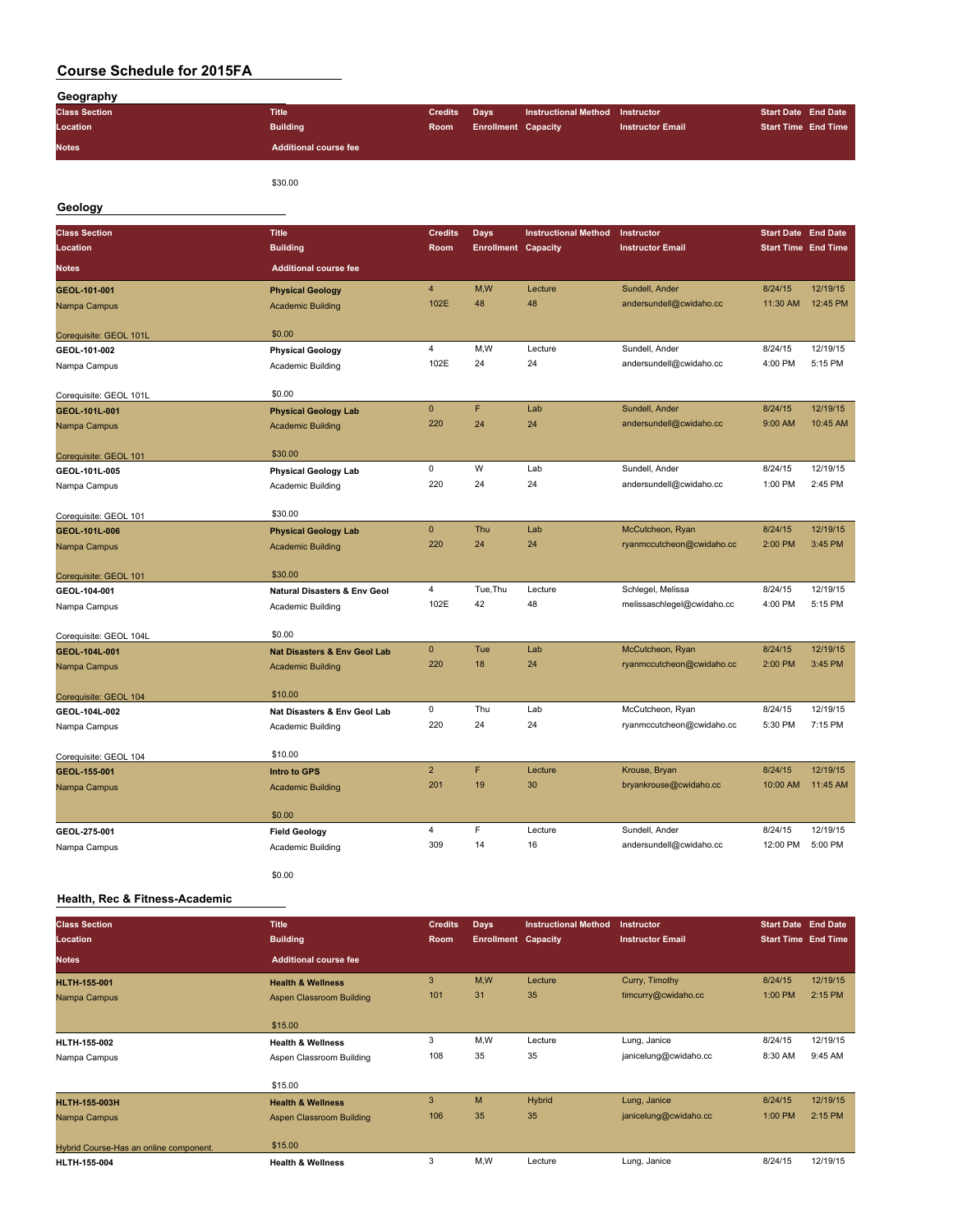| Geography                     |                                                  |                         |                            |                             |                            |                            |          |
|-------------------------------|--------------------------------------------------|-------------------------|----------------------------|-----------------------------|----------------------------|----------------------------|----------|
| <b>Class Section</b>          | <b>Title</b>                                     | <b>Credits</b>          | <b>Days</b>                | <b>Instructional Method</b> | Instructor                 | <b>Start Date End Date</b> |          |
| Location                      | <b>Building</b>                                  | Room                    | <b>Enrollment Capacity</b> |                             | <b>Instructor Email</b>    | <b>Start Time End Time</b> |          |
| <b>Notes</b>                  | <b>Additional course fee</b>                     |                         |                            |                             |                            |                            |          |
|                               | \$30.00                                          |                         |                            |                             |                            |                            |          |
| Geology                       |                                                  |                         |                            |                             |                            |                            |          |
| <b>Class Section</b>          | <b>Title</b>                                     | <b>Credits</b>          | <b>Days</b>                | <b>Instructional Method</b> | Instructor                 | <b>Start Date End Date</b> |          |
| Location                      | <b>Building</b>                                  | Room                    | <b>Enrollment Capacity</b> |                             | <b>Instructor Email</b>    | <b>Start Time End Time</b> |          |
| <b>Notes</b>                  | <b>Additional course fee</b>                     |                         |                            |                             |                            |                            |          |
| GEOL-101-001                  | <b>Physical Geology</b>                          | $\overline{\mathbf{4}}$ | M,W                        | Lecture                     | Sundell, Ander             | 8/24/15                    | 12/19/15 |
| Nampa Campus                  | <b>Academic Building</b>                         | 102E                    | 48                         | 48                          | andersundell@cwidaho.cc    | 11:30 AM                   | 12:45 PM |
| Corequisite: GEOL 101L        | \$0.00                                           |                         |                            |                             |                            |                            |          |
| GEOL-101-002                  | <b>Physical Geology</b>                          | $\overline{4}$          | M,W                        | Lecture                     | Sundell, Ander             | 8/24/15                    | 12/19/15 |
| Nampa Campus                  | Academic Building                                | 102E                    | 24                         | 24                          | andersundell@cwidaho.cc    | 4:00 PM                    | 5:15 PM  |
| Corequisite: GEOL 101L        | \$0.00                                           |                         |                            |                             |                            |                            |          |
| GEOL-101L-001                 | <b>Physical Geology Lab</b>                      | $\mathbf 0$             | F                          | Lab                         | Sundell, Ander             | 8/24/15                    | 12/19/15 |
| Nampa Campus                  | <b>Academic Building</b>                         | 220                     | 24                         | 24                          | andersundell@cwidaho.cc    | 9:00 AM                    | 10:45 AM |
|                               | \$30.00                                          |                         |                            |                             |                            |                            |          |
| Corequisite: GEOL 101         |                                                  | $\mathsf 0$             | W                          | Lab                         | Sundell, Ander             | 8/24/15                    | 12/19/15 |
| GEOL-101L-005<br>Nampa Campus | <b>Physical Geology Lab</b><br>Academic Building | 220                     | 24                         | 24                          | andersundell@cwidaho.cc    | 1:00 PM                    | 2:45 PM  |
|                               |                                                  |                         |                            |                             |                            |                            |          |
| Corequisite: GEOL 101         | \$30.00                                          |                         |                            |                             |                            |                            |          |
| GEOL-101L-006                 | <b>Physical Geology Lab</b>                      | $\pmb{0}$               | Thu                        | Lab                         | McCutcheon, Ryan           | 8/24/15                    | 12/19/15 |
| Nampa Campus                  | <b>Academic Building</b>                         | 220                     | 24                         | 24                          | ryanmccutcheon@cwidaho.cc  | 2:00 PM                    | 3:45 PM  |
| Corequisite: GEOL 101         | \$30.00                                          |                         |                            |                             |                            |                            |          |
| GEOL-104-001                  | <b>Natural Disasters &amp; Env Geol</b>          | $\overline{4}$          | Tue, Thu                   | Lecture                     | Schlegel, Melissa          | 8/24/15                    | 12/19/15 |
| Nampa Campus                  | Academic Building                                | 102E                    | 42                         | 48                          | melissaschlegel@cwidaho.cc | 4:00 PM                    | 5:15 PM  |
| Corequisite: GEOL 104L        | \$0.00                                           |                         |                            |                             |                            |                            |          |
| GEOL-104L-001                 | Nat Disasters & Env Geol Lab                     | $\mathbf{0}$            | Tue                        | Lab                         | McCutcheon, Ryan           | 8/24/15                    | 12/19/15 |
| Nampa Campus                  | <b>Academic Building</b>                         | 220                     | 18                         | 24                          | ryanmccutcheon@cwidaho.cc  | 2:00 PM                    | 3:45 PM  |
| Corequisite: GEOL 104         | \$10.00                                          |                         |                            |                             |                            |                            |          |
| GEOL-104L-002                 | Nat Disasters & Env Geol Lab                     | $\pmb{0}$               | Thu                        | Lab                         | McCutcheon, Ryan           | 8/24/15                    | 12/19/15 |
| Nampa Campus                  | Academic Building                                | 220                     | 24                         | 24                          | ryanmccutcheon@cwidaho.cc  | 5:30 PM                    | 7:15 PM  |
| Corequisite: GEOL 104         | \$10.00                                          |                         |                            |                             |                            |                            |          |
| GEOL-155-001                  | <b>Intro to GPS</b>                              | $\overline{2}$          | F                          | Lecture                     | Krouse, Bryan              | 8/24/15                    | 12/19/15 |
| Nampa Campus                  | <b>Academic Building</b>                         | 201                     | 19                         | 30                          | bryankrouse@cwidaho.cc     | 10:00 AM                   | 11:45 AM |
|                               | \$0.00                                           |                         |                            |                             |                            |                            |          |
| GEOL-275-001                  | <b>Field Geology</b>                             | $\overline{4}$          | $\mathsf F$                | Lecture                     | Sundell, Ander             | 8/24/15                    | 12/19/15 |
| Nampa Campus                  | Academic Building                                | 309                     | 14                         | 16                          | andersundell@cwidaho.cc    | 12:00 PM                   | 5:00 PM  |
|                               |                                                  |                         |                            |                             |                            |                            |          |
|                               | \$0.00                                           |                         |                            |                             |                            |                            |          |

#### **Health, Rec & Fitness-Academic**

| <b>Class Section</b>                   | <b>Title</b>                 | <b>Credits</b> | <b>Days</b>                | <b>Instructional Method</b> | <b>Instructor</b>       | <b>Start Date End Date</b> |          |
|----------------------------------------|------------------------------|----------------|----------------------------|-----------------------------|-------------------------|----------------------------|----------|
| Location                               | <b>Building</b>              | Room           | <b>Enrollment Capacity</b> |                             | <b>Instructor Email</b> | <b>Start Time End Time</b> |          |
| <b>Notes</b>                           | <b>Additional course fee</b> |                |                            |                             |                         |                            |          |
| <b>HLTH-155-001</b>                    | <b>Health &amp; Wellness</b> | 3              | M,W                        | Lecture                     | Curry, Timothy          | 8/24/15                    | 12/19/15 |
| Nampa Campus                           | Aspen Classroom Building     | 101            | 31                         | 35                          | timcurry@cwidaho.cc     | 1:00 PM                    | 2:15 PM  |
|                                        |                              |                |                            |                             |                         |                            |          |
|                                        | \$15.00                      |                |                            |                             |                         |                            |          |
| HLTH-155-002                           | <b>Health &amp; Wellness</b> | 3              | M,W                        | Lecture                     | Lung, Janice            | 8/24/15                    | 12/19/15 |
| Nampa Campus                           | Aspen Classroom Building     | 108            | 35                         | 35                          | janicelung@cwidaho.cc   | 8:30 AM                    | 9:45 AM  |
|                                        |                              |                |                            |                             |                         |                            |          |
|                                        | \$15.00                      |                |                            |                             |                         |                            |          |
| <b>HLTH-155-003H</b>                   | <b>Health &amp; Wellness</b> | 3              | M                          | Hybrid                      | Lung, Janice            | 8/24/15                    | 12/19/15 |
| Nampa Campus                           | Aspen Classroom Building     | 106            | 35                         | 35                          | janicelung@cwidaho.cc   | 1:00 PM                    | 2:15 PM  |
|                                        |                              |                |                            |                             |                         |                            |          |
| Hybrid Course-Has an online component. | \$15.00                      |                |                            |                             |                         |                            |          |
| HLTH-155-004                           | <b>Health &amp; Wellness</b> | 3              | M,W                        | Lecture                     | Lung, Janice            | 8/24/15                    | 12/19/15 |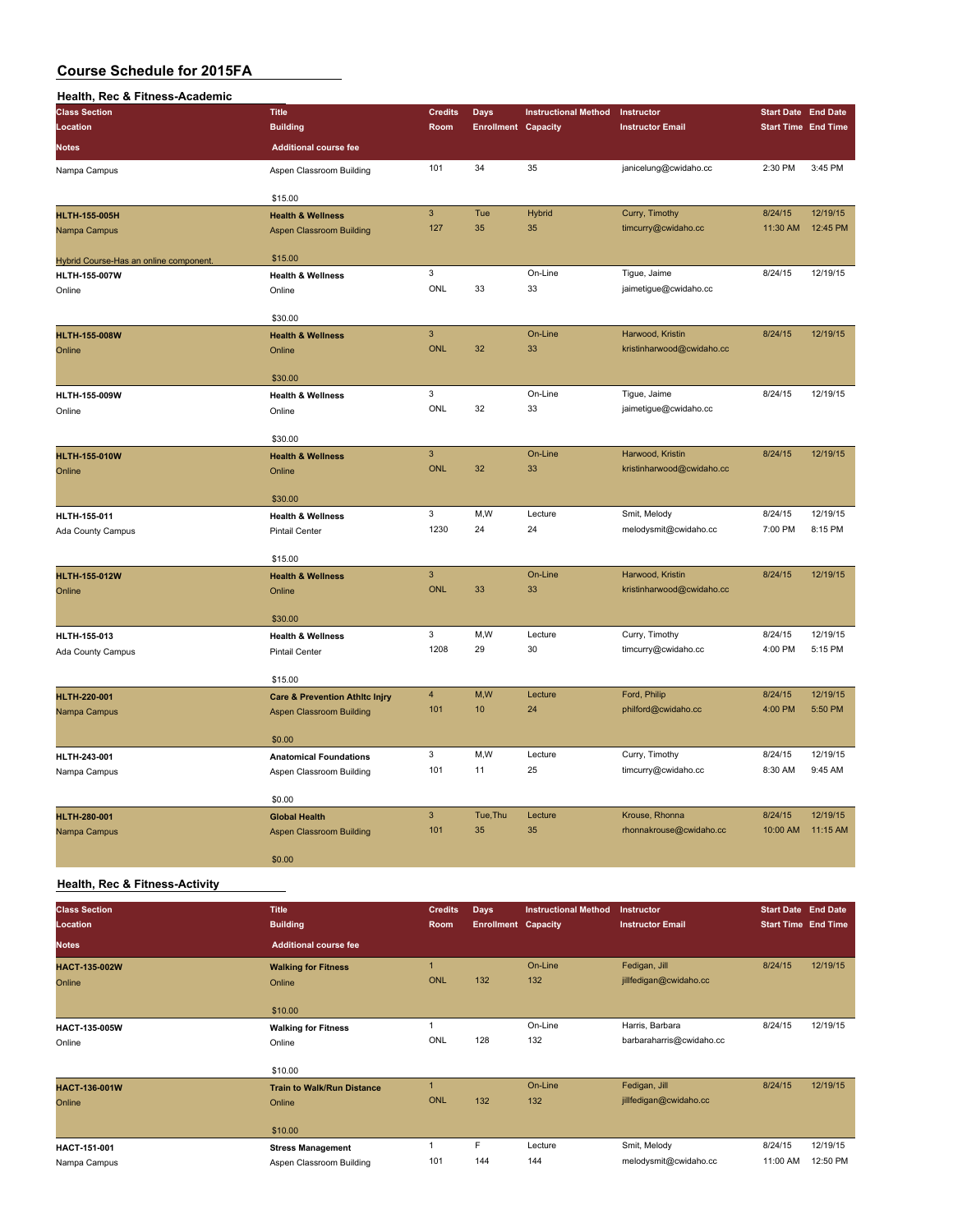#### **Health, Rec & Fitness-Academic**

| <b>Class Section</b>                   | <b>Title</b>                                          | <b>Credits</b>          | Days                       | <b>Instructional Method</b> | Instructor                            | <b>Start Date End Date</b> |          |
|----------------------------------------|-------------------------------------------------------|-------------------------|----------------------------|-----------------------------|---------------------------------------|----------------------------|----------|
| Location                               | <b>Building</b>                                       | Room                    | <b>Enrollment Capacity</b> |                             | <b>Instructor Email</b>               | <b>Start Time End Time</b> |          |
| <b>Notes</b>                           | <b>Additional course fee</b>                          |                         |                            |                             |                                       |                            |          |
| Nampa Campus                           | Aspen Classroom Building                              | 101                     | 34                         | 35                          | janicelung@cwidaho.cc                 | 2:30 PM                    | 3:45 PM  |
|                                        | \$15.00                                               |                         |                            |                             |                                       |                            |          |
| <b>HLTH-155-005H</b>                   | <b>Health &amp; Wellness</b>                          | $\mathbf{3}$            | Tue                        | <b>Hybrid</b>               | Curry, Timothy                        | 8/24/15                    | 12/19/15 |
| Nampa Campus                           | Aspen Classroom Building                              | 127                     | 35                         | 35                          | timcurry@cwidaho.cc                   | 11:30 AM                   | 12:45 PM |
|                                        |                                                       |                         |                            |                             |                                       |                            |          |
| Hybrid Course-Has an online component. | \$15.00                                               | 3                       |                            | On-Line                     | Tigue, Jaime                          | 8/24/15                    | 12/19/15 |
| <b>HLTH-155-007W</b><br>Online         | <b>Health &amp; Wellness</b><br>Online                | ONL                     | 33                         | 33                          | jaimetigue@cwidaho.cc                 |                            |          |
|                                        |                                                       |                         |                            |                             |                                       |                            |          |
|                                        | \$30.00                                               |                         |                            |                             |                                       |                            |          |
| <b>HLTH-155-008W</b>                   | <b>Health &amp; Wellness</b>                          | $\mathsf 3$             |                            | On-Line                     | Harwood, Kristin                      | 8/24/15                    | 12/19/15 |
| Online                                 | Online                                                | <b>ONL</b>              | 32                         | 33                          | kristinharwood@cwidaho.cc             |                            |          |
|                                        |                                                       |                         |                            |                             |                                       |                            |          |
|                                        | \$30.00                                               | 3                       |                            | On-Line                     |                                       | 8/24/15                    | 12/19/15 |
| HLTH-155-009W                          | <b>Health &amp; Wellness</b>                          | ONL                     | 32                         | 33                          | Tigue, Jaime<br>jaimetigue@cwidaho.cc |                            |          |
| Online                                 | Online                                                |                         |                            |                             |                                       |                            |          |
|                                        | \$30.00                                               |                         |                            |                             |                                       |                            |          |
| <b>HLTH-155-010W</b>                   | <b>Health &amp; Wellness</b>                          | $\mathsf 3$             |                            | On-Line                     | Harwood, Kristin                      | 8/24/15                    | 12/19/15 |
| Online                                 | Online                                                | <b>ONL</b>              | 32                         | 33                          | kristinharwood@cwidaho.cc             |                            |          |
|                                        |                                                       |                         |                            |                             |                                       |                            |          |
|                                        | \$30.00                                               | $\mathbf 3$             | M,W                        | Lecture                     |                                       |                            | 12/19/15 |
| HLTH-155-011                           | <b>Health &amp; Wellness</b>                          | 1230                    | 24                         | 24                          | Smit, Melody<br>melodysmit@cwidaho.cc | 8/24/15<br>7:00 PM         | 8:15 PM  |
| Ada County Campus                      | Pintail Center                                        |                         |                            |                             |                                       |                            |          |
|                                        | \$15.00                                               |                         |                            |                             |                                       |                            |          |
| <b>HLTH-155-012W</b>                   | <b>Health &amp; Wellness</b>                          | $\mathsf 3$             |                            | On-Line                     | Harwood, Kristin                      | 8/24/15                    | 12/19/15 |
| Online                                 | Online                                                | <b>ONL</b>              | 33                         | 33                          | kristinharwood@cwidaho.cc             |                            |          |
|                                        |                                                       |                         |                            |                             |                                       |                            |          |
|                                        | \$30.00                                               | 3                       | M,W                        | Lecture                     | Curry, Timothy                        | 8/24/15                    | 12/19/15 |
| HLTH-155-013                           | <b>Health &amp; Wellness</b><br><b>Pintail Center</b> | 1208                    | 29                         | 30                          | timcurry@cwidaho.cc                   | 4:00 PM                    | 5:15 PM  |
| Ada County Campus                      |                                                       |                         |                            |                             |                                       |                            |          |
|                                        | \$15.00                                               |                         |                            |                             |                                       |                            |          |
| <b>HLTH-220-001</b>                    | <b>Care &amp; Prevention Athltc Injry</b>             | $\overline{\mathbf{4}}$ | M,W                        | Lecture                     | Ford, Philip                          | 8/24/15                    | 12/19/15 |
| Nampa Campus                           | <b>Aspen Classroom Building</b>                       | 101                     | 10                         | 24                          | philford@cwidaho.cc                   | 4:00 PM                    | 5:50 PM  |
|                                        |                                                       |                         |                            |                             |                                       |                            |          |
|                                        | \$0.00                                                | 3                       | M,W                        | Lecture                     | Curry, Timothy                        | 8/24/15                    | 12/19/15 |
| HLTH-243-001                           | <b>Anatomical Foundations</b>                         | 101                     | 11                         | 25                          | timcurry@cwidaho.cc                   | 8:30 AM                    | 9:45 AM  |
| Nampa Campus                           | Aspen Classroom Building                              |                         |                            |                             |                                       |                            |          |
|                                        | \$0.00                                                |                         |                            |                             |                                       |                            |          |
| HLTH-280-001                           | <b>Global Health</b>                                  | $\mathbf{3}$            | Tue, Thu                   | Lecture                     | Krouse, Rhonna                        | 8/24/15                    | 12/19/15 |
| Nampa Campus                           | <b>Aspen Classroom Building</b>                       | 101                     | 35                         | 35                          | rhonnakrouse@cwidaho.cc               | 10:00 AM                   | 11:15 AM |
|                                        |                                                       |                         |                            |                             |                                       |                            |          |
|                                        | \$0.00                                                |                         |                            |                             |                                       |                            |          |

#### **Health, Rec & Fitness-Activity**

| <b>Class Section</b><br>Location | <b>Title</b><br><b>Building</b>   | <b>Credits</b><br>Room | <b>Days</b><br><b>Enrollment Capacity</b> | <b>Instructional Method</b> | Instructor<br><b>Instructor Email</b> | <b>Start Date End Date</b><br><b>Start Time End Time</b> |          |
|----------------------------------|-----------------------------------|------------------------|-------------------------------------------|-----------------------------|---------------------------------------|----------------------------------------------------------|----------|
| <b>Notes</b>                     | <b>Additional course fee</b>      |                        |                                           |                             |                                       |                                                          |          |
| HACT-135-002W                    | <b>Walking for Fitness</b>        | $\overline{1}$         |                                           | On-Line                     | Fedigan, Jill                         | 8/24/15                                                  | 12/19/15 |
| Online                           | Online                            | <b>ONL</b>             | 132                                       | 132                         | jillfedigan@cwidaho.cc                |                                                          |          |
|                                  | \$10.00                           |                        |                                           |                             |                                       |                                                          |          |
| HACT-135-005W                    | <b>Walking for Fitness</b>        |                        |                                           | On-Line                     | Harris, Barbara                       | 8/24/15                                                  | 12/19/15 |
| Online                           | Online                            | ONL                    | 128                                       | 132                         | barbaraharris@cwidaho.cc              |                                                          |          |
|                                  | \$10.00                           |                        |                                           |                             |                                       |                                                          |          |
| HACT-136-001W                    | <b>Train to Walk/Run Distance</b> | $\overline{1}$         |                                           | On-Line                     | Fedigan, Jill                         | 8/24/15                                                  | 12/19/15 |
| Online                           | Online                            | <b>ONL</b>             | 132                                       | 132                         | jillfedigan@cwidaho.cc                |                                                          |          |
|                                  | \$10.00                           |                        |                                           |                             |                                       |                                                          |          |
| HACT-151-001                     | <b>Stress Management</b>          |                        | F                                         | Lecture                     | Smit, Melody                          | 8/24/15                                                  | 12/19/15 |
| Nampa Campus                     | Aspen Classroom Building          | 101                    | 144                                       | 144                         | melodysmit@cwidaho.cc                 | 11:00 AM                                                 | 12:50 PM |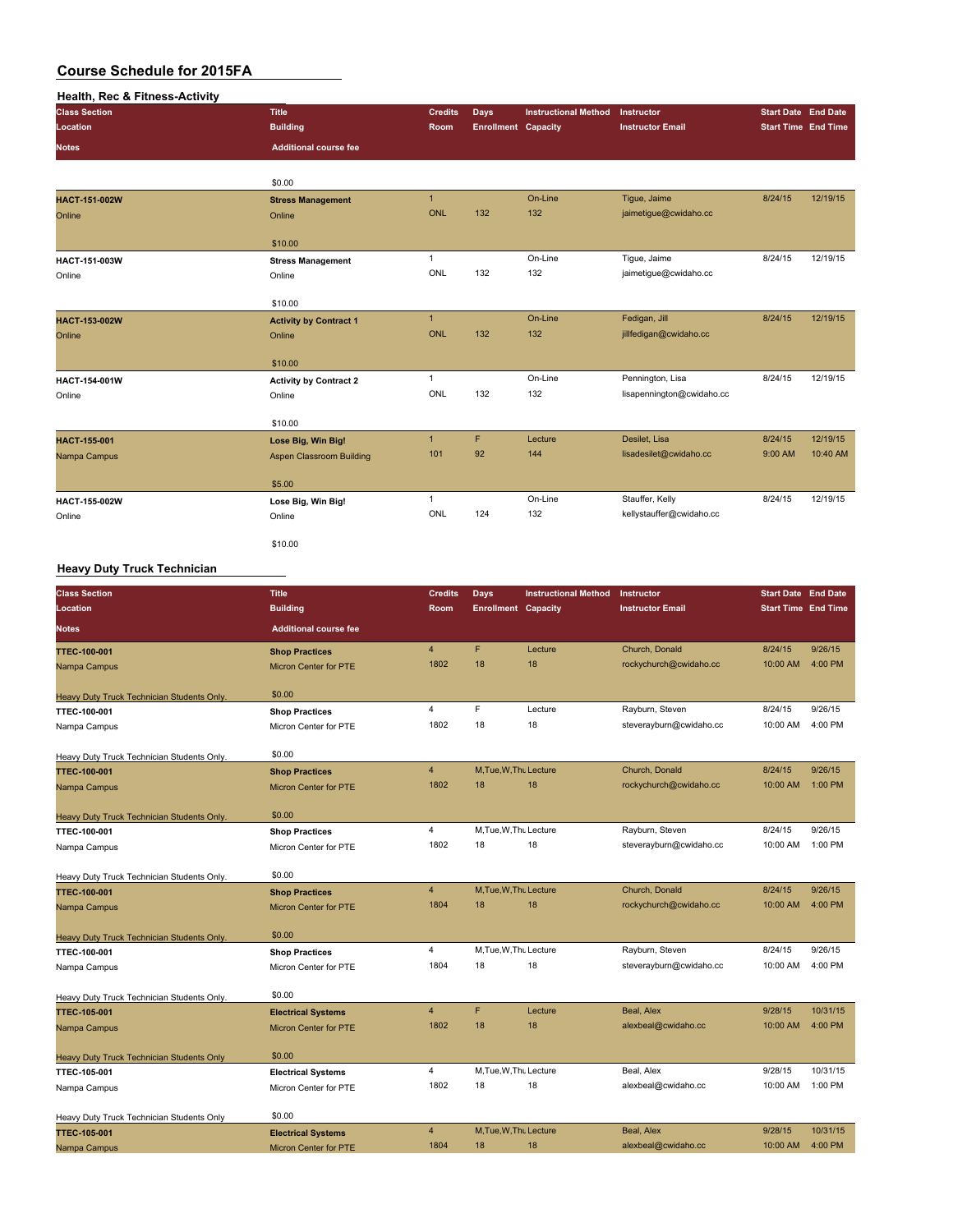| Health, Rec & Fitness-Activity |                                    |                |                            |                             |                           |                            |          |
|--------------------------------|------------------------------------|----------------|----------------------------|-----------------------------|---------------------------|----------------------------|----------|
| <b>Class Section</b>           | <b>Title</b>                       | <b>Credits</b> | Days                       | <b>Instructional Method</b> | Instructor                | <b>Start Date End Date</b> |          |
| Location                       | <b>Building</b>                    | Room           | <b>Enrollment Capacity</b> |                             | <b>Instructor Email</b>   | <b>Start Time End Time</b> |          |
| <b>Notes</b>                   | <b>Additional course fee</b>       |                |                            |                             |                           |                            |          |
|                                | \$0.00                             |                |                            |                             |                           |                            |          |
| HACT-151-002W                  |                                    | $\mathbf{1}$   |                            | On-Line                     | Tigue, Jaime              | 8/24/15                    | 12/19/15 |
|                                | <b>Stress Management</b><br>Online | <b>ONL</b>     | 132                        | 132                         | jaimetigue@cwidaho.cc     |                            |          |
| Online                         |                                    |                |                            |                             |                           |                            |          |
|                                | \$10.00                            |                |                            |                             |                           |                            |          |
| HACT-151-003W                  | <b>Stress Management</b>           | $\mathbf{1}$   |                            | On-Line                     | Tique, Jaime              | 8/24/15                    | 12/19/15 |
| Online                         | Online                             | ONL            | 132                        | 132                         | jaimetigue@cwidaho.cc     |                            |          |
|                                |                                    |                |                            |                             |                           |                            |          |
|                                | \$10.00                            |                |                            |                             |                           |                            |          |
| HACT-153-002W                  | <b>Activity by Contract 1</b>      | $\mathbf{1}$   |                            | On-Line                     | Fedigan, Jill             | 8/24/15                    | 12/19/15 |
| Online                         | Online                             | <b>ONL</b>     | 132                        | 132                         | jillfedigan@cwidaho.cc    |                            |          |
|                                |                                    |                |                            |                             |                           |                            |          |
|                                | \$10.00                            |                |                            |                             |                           |                            |          |
| HACT-154-001W                  | <b>Activity by Contract 2</b>      | $\mathbf{1}$   |                            | On-Line                     | Pennington, Lisa          | 8/24/15                    | 12/19/15 |
| Online                         | Online                             | ONL            | 132                        | 132                         | lisapennington@cwidaho.cc |                            |          |
|                                |                                    |                |                            |                             |                           |                            |          |
|                                | \$10.00                            |                |                            |                             |                           |                            |          |
| HACT-155-001                   | Lose Big, Win Big!                 | $\mathbf{1}$   | F                          | Lecture                     | Desilet, Lisa             | 8/24/15                    | 12/19/15 |
| Nampa Campus                   | <b>Aspen Classroom Building</b>    | 101            | 92                         | 144                         | lisadesilet@cwidaho.cc    | 9:00 AM                    | 10:40 AM |
|                                | \$5.00                             |                |                            |                             |                           |                            |          |
| HACT-155-002W                  | Lose Big, Win Big!                 | $\mathbf{1}$   |                            | On-Line                     | Stauffer, Kelly           | 8/24/15                    | 12/19/15 |
| Online                         | Online                             | ONL            | 124                        | 132                         | kellystauffer@cwidaho.cc  |                            |          |
|                                |                                    |                |                            |                             |                           |                            |          |
|                                | \$10.00                            |                |                            |                             |                           |                            |          |

#### **Heavy Duty Truck Technician**

| <b>Class Section</b>                             | <b>Title</b>                 | <b>Credits</b> | <b>Days</b>                | <b>Instructional Method</b> | Instructor              | <b>Start Date End Date</b> |          |
|--------------------------------------------------|------------------------------|----------------|----------------------------|-----------------------------|-------------------------|----------------------------|----------|
| Location                                         | <b>Building</b>              | Room           | <b>Enrollment Capacity</b> |                             | <b>Instructor Email</b> | <b>Start Time End Time</b> |          |
| <b>Notes</b>                                     | <b>Additional course fee</b> |                |                            |                             |                         |                            |          |
| <b>TTEC-100-001</b>                              | <b>Shop Practices</b>        | $\overline{4}$ | F                          | Lecture                     | Church, Donald          | 8/24/15                    | 9/26/15  |
| Nampa Campus                                     | <b>Micron Center for PTE</b> | 1802           | 18                         | 18                          | rockychurch@cwidaho.cc  | 10:00 AM                   | 4:00 PM  |
| Heavy Duty Truck Technician Students Only.       | \$0.00                       |                |                            |                             |                         |                            |          |
| <b>TTEC-100-001</b>                              | <b>Shop Practices</b>        | 4              | F                          | Lecture                     | Rayburn, Steven         | 8/24/15                    | 9/26/15  |
| Nampa Campus                                     | Micron Center for PTE        | 1802           | 18                         | 18                          | steverayburn@cwidaho.cc | 10:00 AM                   | 4:00 PM  |
| Heavy Duty Truck Technician Students Only.       | \$0.00                       |                |                            |                             |                         |                            |          |
| <b>TTEC-100-001</b>                              | <b>Shop Practices</b>        | $\overline{4}$ | M, Tue, W, Thu Lecture     |                             | Church, Donald          | 8/24/15                    | 9/26/15  |
| Nampa Campus                                     | <b>Micron Center for PTE</b> | 1802           | 18                         | 18                          | rockychurch@cwidaho.cc  | 10:00 AM                   | 1:00 PM  |
| Heavy Duty Truck Technician Students Only.       | \$0.00                       |                |                            |                             |                         |                            |          |
| <b>TTEC-100-001</b>                              | <b>Shop Practices</b>        | 4              | M.Tue, W.Thu Lecture       |                             | Rayburn, Steven         | 8/24/15                    | 9/26/15  |
| Nampa Campus                                     | Micron Center for PTE        | 1802           | 18                         | 18                          | steverayburn@cwidaho.cc | 10:00 AM                   | 1:00 PM  |
| Heavy Duty Truck Technician Students Only.       | \$0.00                       |                |                            |                             |                         |                            |          |
| <b>TTEC-100-001</b>                              | <b>Shop Practices</b>        | $\overline{4}$ | M, Tue, W, Thu Lecture     |                             | Church, Donald          | 8/24/15                    | 9/26/15  |
| Nampa Campus                                     | <b>Micron Center for PTE</b> | 1804           | 18                         | 18                          | rockychurch@cwidaho.cc  | 10:00 AM                   | 4:00 PM  |
| Heavy Duty Truck Technician Students Only.       | \$0.00                       |                |                            |                             |                         |                            |          |
| TTEC-100-001                                     | <b>Shop Practices</b>        | 4              | M.Tue, W.Th. Lecture       |                             | Rayburn, Steven         | 8/24/15                    | 9/26/15  |
| Nampa Campus                                     | Micron Center for PTE        | 1804           | 18                         | 18                          | steverayburn@cwidaho.cc | 10:00 AM                   | 4:00 PM  |
| Heavy Duty Truck Technician Students Only.       | \$0.00                       |                |                            |                             |                         |                            |          |
| <b>TTEC-105-001</b>                              | <b>Electrical Systems</b>    | $\overline{4}$ | F                          | Lecture                     | Beal, Alex              | 9/28/15                    | 10/31/15 |
| Nampa Campus                                     | <b>Micron Center for PTE</b> | 1802           | 18                         | 18                          | alexbeal@cwidaho.cc     | 10:00 AM                   | 4:00 PM  |
| <b>Heavy Duty Truck Technician Students Only</b> | \$0.00                       |                |                            |                             |                         |                            |          |
| TTEC-105-001                                     | <b>Electrical Systems</b>    | 4              | M, Tue, W, Thu Lecture     |                             | Beal, Alex              | 9/28/15                    | 10/31/15 |
| Nampa Campus                                     | Micron Center for PTE        | 1802           | 18                         | 18                          | alexbeal@cwidaho.cc     | 10:00 AM                   | 1:00 PM  |
| Heavy Duty Truck Technician Students Only        | \$0.00                       |                |                            |                             |                         |                            |          |
| <b>TTEC-105-001</b>                              | <b>Electrical Systems</b>    | $\overline{4}$ | M, Tue, W, Thu Lecture     |                             | Beal, Alex              | 9/28/15                    | 10/31/15 |
| Nampa Campus                                     | <b>Micron Center for PTE</b> | 1804           | 18                         | 18                          | alexbeal@cwidaho.cc     | 10:00 AM                   | 4:00 PM  |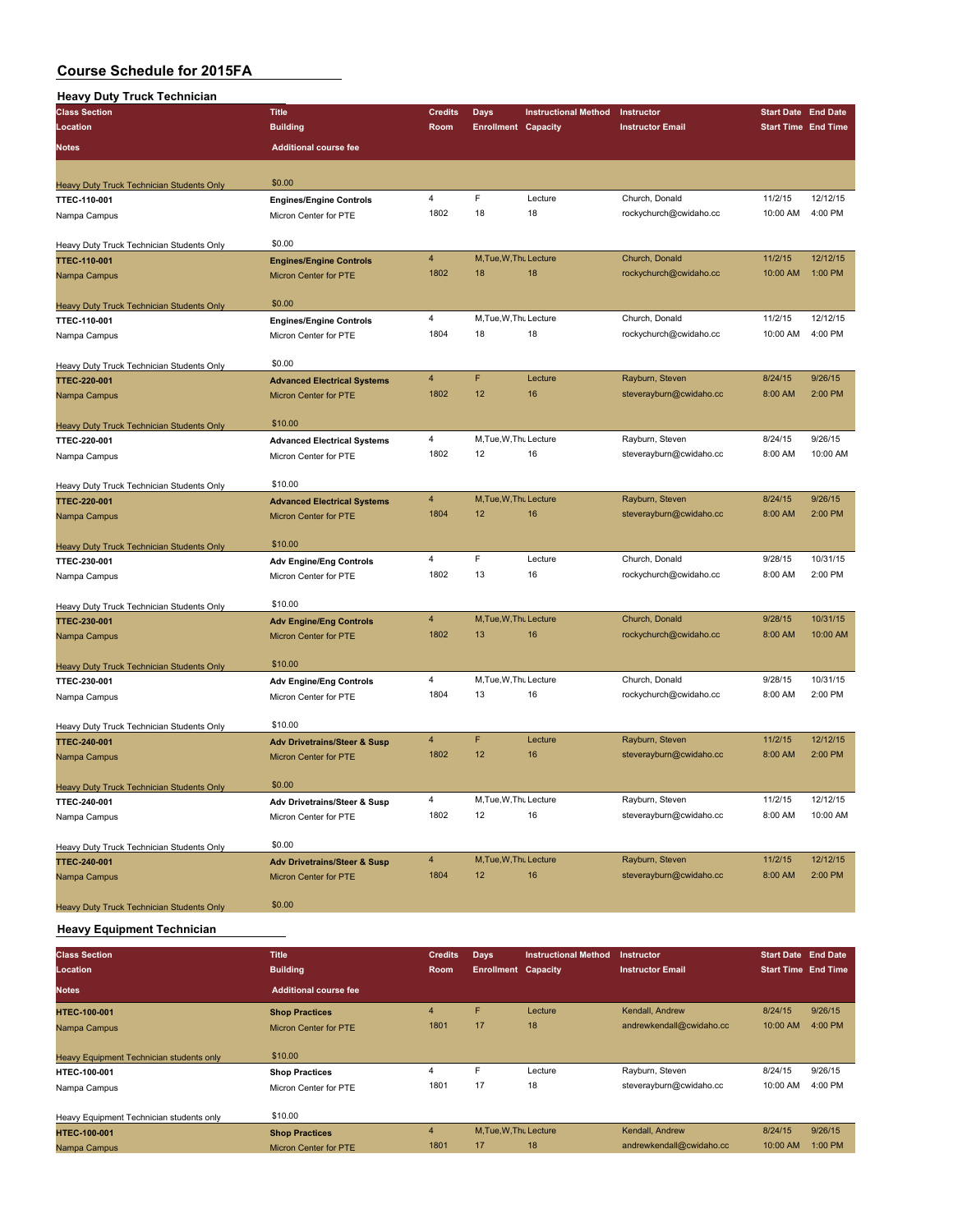| <br>.<br><b>Class Section</b>                    | <b>Title</b>                            | <b>Credits</b> | <b>Days</b>                | <b>Instructional Method</b> | Instructor                                 | <b>Start Date End Date</b> |          |
|--------------------------------------------------|-----------------------------------------|----------------|----------------------------|-----------------------------|--------------------------------------------|----------------------------|----------|
| Location                                         | <b>Building</b>                         | Room           | <b>Enrollment Capacity</b> |                             | <b>Instructor Email</b>                    | <b>Start Time End Time</b> |          |
| <b>Notes</b>                                     | <b>Additional course fee</b>            |                |                            |                             |                                            |                            |          |
|                                                  |                                         |                |                            |                             |                                            |                            |          |
| Heavy Duty Truck Technician Students Only        | \$0.00                                  |                |                            |                             |                                            |                            |          |
| TTEC-110-001                                     | <b>Engines/Engine Controls</b>          | 4              | F                          | Lecture                     | Church, Donald                             | 11/2/15                    | 12/12/15 |
| Nampa Campus                                     | Micron Center for PTE                   | 1802           | 18                         | 18                          | rockychurch@cwidaho.cc                     | 10:00 AM                   | 4:00 PM  |
|                                                  |                                         |                |                            |                             |                                            |                            |          |
| Heavy Duty Truck Technician Students Only        | \$0.00                                  |                |                            |                             |                                            |                            |          |
| <b>TTEC-110-001</b>                              | <b>Engines/Engine Controls</b>          | 4              | M, Tue, W, Thu Lecture     |                             | Church, Donald                             | 11/2/15                    | 12/12/15 |
| Nampa Campus                                     | <b>Micron Center for PTE</b>            | 1802           | 18                         | 18                          | rockychurch@cwidaho.cc                     | 10:00 AM                   | 1:00 PM  |
| <b>Heavy Duty Truck Technician Students Only</b> | \$0.00                                  |                |                            |                             |                                            |                            |          |
| TTEC-110-001                                     | <b>Engines/Engine Controls</b>          | 4              | M, Tue, W, Thu Lecture     |                             | Church, Donald                             | 11/2/15                    | 12/12/15 |
| Nampa Campus                                     | Micron Center for PTE                   | 1804           | 18                         | 18                          | rockychurch@cwidaho.cc                     | 10:00 AM                   | 4:00 PM  |
|                                                  |                                         |                |                            |                             |                                            |                            |          |
| Heavy Duty Truck Technician Students Only        | \$0.00                                  |                |                            |                             |                                            |                            |          |
| <b>TTEC-220-001</b>                              | <b>Advanced Electrical Systems</b>      | 4              | F                          | Lecture                     | Rayburn, Steven                            | 8/24/15                    | 9/26/15  |
| Nampa Campus                                     | Micron Center for PTE                   | 1802           | 12                         | 16                          | steverayburn@cwidaho.cc                    | 8:00 AM                    | 2:00 PM  |
| Heavy Duty Truck Technician Students Only        | \$10.00                                 |                |                            |                             |                                            |                            |          |
| TTEC-220-001                                     | <b>Advanced Electrical Systems</b>      | 4              | M, Tue, W, Thu Lecture     |                             | Rayburn, Steven                            | 8/24/15                    | 9/26/15  |
| Nampa Campus                                     | Micron Center for PTE                   | 1802           | 12                         | 16                          | steverayburn@cwidaho.cc                    | 8:00 AM                    | 10:00 AM |
|                                                  |                                         |                |                            |                             |                                            |                            |          |
| Heavy Duty Truck Technician Students Only        | \$10.00                                 |                |                            |                             |                                            |                            |          |
| <b>TTEC-220-001</b>                              | <b>Advanced Electrical Systems</b>      | $\overline{4}$ | M, Tue, W, Thu Lecture     |                             | Rayburn, Steven                            | 8/24/15                    | 9/26/15  |
| Nampa Campus                                     | <b>Micron Center for PTE</b>            | 1804           | 12                         | 16                          | steverayburn@cwidaho.cc                    | 8:00 AM                    | 2:00 PM  |
| Heavy Duty Truck Technician Students Only        | \$10.00                                 |                |                            |                             |                                            |                            |          |
| TTEC-230-001                                     | <b>Adv Engine/Eng Controls</b>          | 4              | F                          | Lecture                     | Church, Donald                             | 9/28/15                    | 10/31/15 |
| Nampa Campus                                     | Micron Center for PTE                   | 1802           | 13                         | 16                          | rockychurch@cwidaho.cc                     | 8:00 AM                    | 2:00 PM  |
|                                                  |                                         |                |                            |                             |                                            |                            |          |
| <b>Heavy Duty Truck Technician Students Only</b> | \$10.00                                 |                |                            |                             |                                            |                            |          |
| <b>TTEC-230-001</b>                              | <b>Adv Engine/Eng Controls</b>          | 4              | M, Tue, W, Thu Lecture     |                             | Church, Donald                             | 9/28/15                    | 10/31/15 |
| Nampa Campus                                     | <b>Micron Center for PTE</b>            | 1802           | 13                         | 16                          | rockychurch@cwidaho.cc                     | 8:00 AM                    | 10:00 AM |
| <b>Heavy Duty Truck Technician Students Only</b> | \$10.00                                 |                |                            |                             |                                            |                            |          |
| TTEC-230-001                                     | <b>Adv Engine/Eng Controls</b>          | 4              | M, Tue, W, Thu Lecture     |                             | Church, Donald                             | 9/28/15                    | 10/31/15 |
| Nampa Campus                                     | Micron Center for PTE                   | 1804           | 13                         | 16                          | rockychurch@cwidaho.cc                     | 8:00 AM                    | 2:00 PM  |
|                                                  |                                         |                |                            |                             |                                            |                            |          |
| Heavy Duty Truck Technician Students Only        | \$10.00                                 |                |                            |                             |                                            |                            |          |
| TTEC-240-001                                     | <b>Adv Drivetrains/Steer &amp; Susp</b> | 4              | F                          | Lecture                     | Rayburn, Steven                            | 11/2/15                    | 12/12/15 |
| Nampa Campus                                     | <b>Micron Center for PTE</b>            | 1802           | 12                         | 16                          | steverayburn@cwidaho.cc                    | 8:00 AM                    | 2:00 PM  |
| Heavy Duty Truck Technician Students Only        | \$0.00                                  |                |                            |                             |                                            |                            |          |
| TTEC-240-001                                     | <b>Adv Drivetrains/Steer &amp; Susp</b> | 4              | M, Tue, W, Thu Lecture     |                             | Rayburn, Steven                            | 11/2/15                    | 12/12/15 |
| Nampa Campus                                     | Micron Center for PTE                   | 1802           | 12                         | 16                          | steverayburn@cwidaho.cc                    | 8:00 AM                    | 10:00 AM |
|                                                  |                                         |                |                            |                             |                                            |                            |          |
| Heavy Duty Truck Technician Students Only        | \$0.00                                  | 4              | M, Tue, W, Thu Lecture     |                             |                                            | 11/2/15                    | 12/12/15 |
| TTEC-240-001                                     | <b>Adv Drivetrains/Steer &amp; Susp</b> | 1804           | 12                         | 16                          | Rayburn, Steven<br>steverayburn@cwidaho.cc | 8:00 AM                    | 2:00 PM  |
| Nampa Campus                                     | Micron Center for PTE                   |                |                            |                             |                                            |                            |          |
| Heavy Duty Truck Technician Students Only        | \$0.00                                  |                |                            |                             |                                            |                            |          |

#### **Heavy Equipment Technician**

| <b>Class Section</b>                            | <b>Title</b>                 | <b>Credits</b>          | <b>Days</b>                | <b>Instructional Method</b> | Instructor               | <b>Start Date End Date</b> |         |
|-------------------------------------------------|------------------------------|-------------------------|----------------------------|-----------------------------|--------------------------|----------------------------|---------|
| Location                                        | <b>Building</b>              | <b>Room</b>             | <b>Enrollment Capacity</b> |                             | <b>Instructor Email</b>  | <b>Start Time End Time</b> |         |
| <b>Notes</b>                                    | <b>Additional course fee</b> |                         |                            |                             |                          |                            |         |
| <b>HTEC-100-001</b>                             | <b>Shop Practices</b>        | $\overline{4}$          | F                          | Lecture                     | Kendall, Andrew          | 8/24/15                    | 9/26/15 |
| Nampa Campus                                    | <b>Micron Center for PTE</b> | 1801                    | 17                         | 18                          | andrewkendall@cwidaho.cc | 10:00 AM                   | 4:00 PM |
|                                                 |                              |                         |                            |                             |                          |                            |         |
| <b>Heavy Equipment Technician students only</b> | \$10.00                      |                         |                            |                             |                          |                            |         |
| <b>HTEC-100-001</b>                             | <b>Shop Practices</b>        | $\overline{\mathbf{4}}$ | E                          | Lecture                     | Rayburn, Steven          | 8/24/15                    | 9/26/15 |
| Nampa Campus                                    | Micron Center for PTE        | 1801                    | 17                         | 18                          | steverayburn@cwidaho.cc  | 10:00 AM                   | 4:00 PM |
|                                                 |                              |                         |                            |                             |                          |                            |         |
| Heavy Equipment Technician students only        | \$10.00                      |                         |                            |                             |                          |                            |         |
| <b>HTEC-100-001</b>                             | <b>Shop Practices</b>        | $\overline{4}$          | M, Tue, W, Thu Lecture     |                             | Kendall, Andrew          | 8/24/15                    | 9/26/15 |
| Nampa Campus                                    | <b>Micron Center for PTE</b> | 1801                    | 17                         | 18                          | andrewkendall@cwidaho.cc | 10:00 AM                   | 1:00 PM |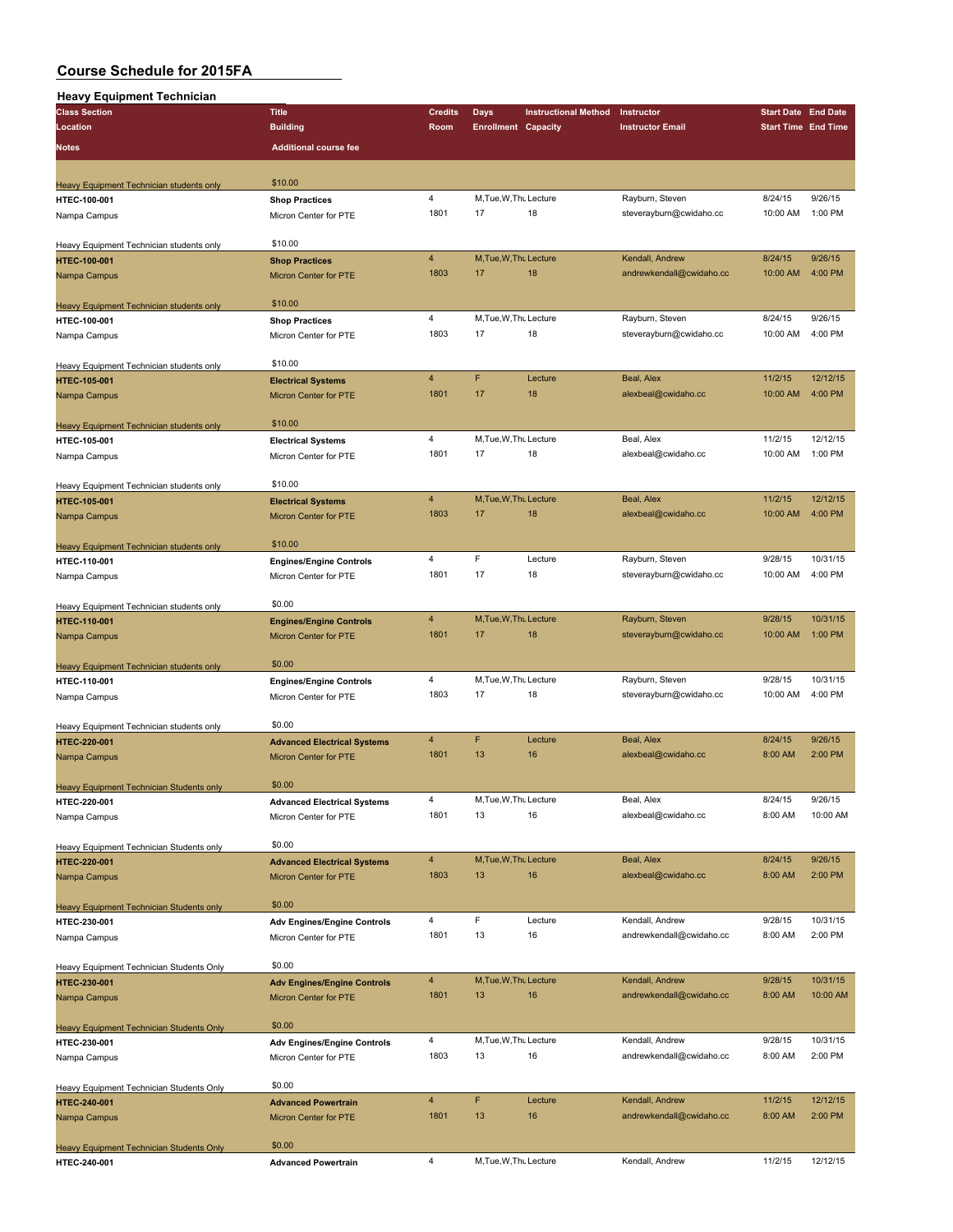#### **Heavy Equipment Technician**

| <b>Class Section</b>                                            | <b>Title</b>                       | <b>Credits</b>          | <b>Days</b>                  | <b>Instructional Method</b> | Instructor               | <b>Start Date End Date</b> |          |
|-----------------------------------------------------------------|------------------------------------|-------------------------|------------------------------|-----------------------------|--------------------------|----------------------------|----------|
| Location                                                        | <b>Building</b>                    | Room                    | <b>Enrollment Capacity</b>   |                             | <b>Instructor Email</b>  | <b>Start Time End Time</b> |          |
|                                                                 |                                    |                         |                              |                             |                          |                            |          |
| Notes                                                           | <b>Additional course fee</b>       |                         |                              |                             |                          |                            |          |
|                                                                 |                                    |                         |                              |                             |                          |                            |          |
| Heavy Equipment Technician students only                        | \$10.00                            |                         |                              |                             |                          |                            |          |
| HTEC-100-001                                                    | <b>Shop Practices</b>              | 4                       | M, Tue, W, Thu Lecture       |                             | Rayburn, Steven          | 8/24/15                    | 9/26/15  |
| Nampa Campus                                                    | Micron Center for PTE              | 1801                    | 17                           | 18                          | steverayburn@cwidaho.cc  | 10:00 AM                   | 1:00 PM  |
|                                                                 |                                    |                         |                              |                             |                          |                            |          |
| Heavy Equipment Technician students only                        | \$10.00                            |                         |                              |                             |                          |                            |          |
| HTEC-100-001                                                    | <b>Shop Practices</b>              | $\overline{4}$          | M, Tue, W, Thu Lecture       |                             | Kendall, Andrew          | 8/24/15                    | 9/26/15  |
| Nampa Campus                                                    | Micron Center for PTE              | 1803                    | 17                           | 18                          | andrewkendall@cwidaho.cc | 10:00 AM                   | 4:00 PM  |
|                                                                 |                                    |                         |                              |                             |                          |                            |          |
| Heavy Equipment Technician students only                        | \$10.00                            |                         |                              |                             |                          |                            |          |
| HTEC-100-001                                                    | <b>Shop Practices</b>              | $\overline{4}$          | M, Tue, W, Thu Lecture       |                             | Rayburn, Steven          | 8/24/15                    | 9/26/15  |
| Nampa Campus                                                    | Micron Center for PTE              | 1803                    | 17                           | 18                          | steverayburn@cwidaho.cc  | 10:00 AM                   | 4:00 PM  |
|                                                                 |                                    |                         |                              |                             |                          |                            |          |
| Heavy Equipment Technician students only                        | \$10.00                            |                         |                              |                             |                          |                            |          |
| HTEC-105-001                                                    | <b>Electrical Systems</b>          | $\overline{4}$          | F                            | Lecture                     | Beal, Alex               | 11/2/15                    | 12/12/15 |
| Nampa Campus                                                    | Micron Center for PTE              | 1801                    | 17                           | 18                          | alexbeal@cwidaho.cc      | 10:00 AM                   | 4:00 PM  |
|                                                                 |                                    |                         |                              |                             |                          |                            |          |
| Heavy Equipment Technician students only                        | \$10.00                            |                         |                              |                             |                          |                            |          |
| HTEC-105-001                                                    | <b>Electrical Systems</b>          | $\overline{\mathbf{4}}$ | M.Tue.W.Tht Lecture          |                             | Beal, Alex               | 11/2/15                    | 12/12/15 |
| Nampa Campus                                                    | Micron Center for PTE              | 1801                    | 17                           | 18                          | alexbeal@cwidaho.cc      | 10:00 AM                   | 1:00 PM  |
|                                                                 |                                    |                         |                              |                             |                          |                            |          |
| Heavy Equipment Technician students only                        | \$10.00                            | $\overline{4}$          |                              |                             | Beal, Alex               | 11/2/15                    | 12/12/15 |
| <b>HTEC-105-001</b>                                             | <b>Electrical Systems</b>          | 1803                    | M, Tue, W, Thu Lecture<br>17 | 18                          |                          | 10:00 AM                   | 4:00 PM  |
| Nampa Campus                                                    | <b>Micron Center for PTE</b>       |                         |                              |                             | alexbeal@cwidaho.cc      |                            |          |
|                                                                 | \$10.00                            |                         |                              |                             |                          |                            |          |
| Heavy Equipment Technician students only                        |                                    | $\overline{4}$          | F                            | Lecture                     | Rayburn, Steven          | 9/28/15                    | 10/31/15 |
| HTEC-110-001                                                    | <b>Engines/Engine Controls</b>     | 1801                    | 17                           | 18                          | steverayburn@cwidaho.cc  | 10:00 AM                   | 4:00 PM  |
| Nampa Campus                                                    | Micron Center for PTE              |                         |                              |                             |                          |                            |          |
|                                                                 | \$0.00                             |                         |                              |                             |                          |                            |          |
| Heavy Equipment Technician students only<br>HTEC-110-001        | <b>Engines/Engine Controls</b>     | $\overline{4}$          | M, Tue, W, Thu Lecture       |                             | Rayburn, Steven          | 9/28/15                    | 10/31/15 |
| Nampa Campus                                                    | Micron Center for PTE              | 1801                    | 17                           | 18                          | steverayburn@cwidaho.cc  | 10:00 AM                   | 1:00 PM  |
|                                                                 |                                    |                         |                              |                             |                          |                            |          |
| Heavy Equipment Technician students only                        | \$0.00                             |                         |                              |                             |                          |                            |          |
| HTEC-110-001                                                    | <b>Engines/Engine Controls</b>     | $\overline{\mathbf{4}}$ | M, Tue, W, Thu Lecture       |                             | Rayburn, Steven          | 9/28/15                    | 10/31/15 |
| Nampa Campus                                                    | Micron Center for PTE              | 1803                    | 17                           | 18                          | steverayburn@cwidaho.cc  | 10:00 AM                   | 4:00 PM  |
|                                                                 |                                    |                         |                              |                             |                          |                            |          |
| Heavy Equipment Technician students only                        | \$0.00                             |                         |                              |                             |                          |                            |          |
| HTEC-220-001                                                    | <b>Advanced Electrical Systems</b> | $\overline{4}$          | F                            | Lecture                     | Beal, Alex               | 8/24/15                    | 9/26/15  |
| Nampa Campus                                                    | Micron Center for PTE              | 1801                    | 13                           | 16                          | alexbeal@cwidaho.cc      | 8:00 AM                    | 2:00 PM  |
|                                                                 |                                    |                         |                              |                             |                          |                            |          |
| <b>Heavy Equipment Technician Students only</b>                 | \$0.00                             |                         |                              |                             |                          |                            |          |
| <b>HTEC-220-001</b>                                             | <b>Advanced Electrical Systems</b> | 4                       | M, Tue, W, Thu Lecture       |                             | Beal, Alex               | 8/24/15                    | 9/26/15  |
| Nampa Campus                                                    | Micron Center for PTE              | 1801                    | 13                           | 16                          | alexbeal@cwidaho.cc      | 8:00 AM                    | 10:00 AM |
|                                                                 |                                    |                         |                              |                             |                          |                            |          |
| Heavy Equipment Technician Students only                        | \$0.00                             |                         |                              |                             |                          |                            |          |
| HTEC-220-001                                                    | <b>Advanced Electrical Systems</b> | 4                       | M, Tue, W, Thu Lecture       |                             | Beal, Alex               | 8/24/15                    | 9/26/15  |
| Nampa Campus                                                    | Micron Center for PTE              | 1803                    | 13                           | 16                          | alexbeal@cwidaho.cc      | 8:00 AM                    | 2:00 PM  |
|                                                                 |                                    |                         |                              |                             |                          |                            |          |
| <b>Heavy Equipment Technician Students only</b>                 | \$0.00                             |                         |                              |                             |                          |                            |          |
| HTEC-230-001                                                    | <b>Adv Engines/Engine Controls</b> | 4                       | F                            | Lecture                     | Kendall, Andrew          | 9/28/15                    | 10/31/15 |
| Nampa Campus                                                    | Micron Center for PTE              | 1801                    | 13                           | 16                          | andrewkendall@cwidaho.cc | 8:00 AM                    | 2:00 PM  |
|                                                                 |                                    |                         |                              |                             |                          |                            |          |
| Heavy Equipment Technician Students Only                        | \$0.00                             |                         |                              |                             |                          |                            |          |
| HTEC-230-001                                                    | <b>Adv Engines/Engine Controls</b> | $\overline{\mathbf{4}}$ | M, Tue, W, Thu Lecture       |                             | Kendall, Andrew          | 9/28/15                    | 10/31/15 |
| Nampa Campus                                                    | Micron Center for PTE              | 1801                    | 13                           | 16                          | andrewkendall@cwidaho.cc | 8:00 AM                    | 10:00 AM |
|                                                                 |                                    |                         |                              |                             |                          |                            |          |
| Heavy Equipment Technician Students Only                        | \$0.00                             |                         |                              |                             |                          |                            |          |
| HTEC-230-001                                                    | <b>Adv Engines/Engine Controls</b> | 4                       | M, Tue, W, Thu Lecture       |                             | Kendall, Andrew          | 9/28/15                    | 10/31/15 |
| Nampa Campus                                                    | Micron Center for PTE              | 1803                    | 13                           | 16                          | andrewkendall@cwidaho.cc | 8:00 AM                    | 2:00 PM  |
|                                                                 |                                    |                         |                              |                             |                          |                            |          |
| Heavy Equipment Technician Students Only                        | \$0.00                             | $\overline{4}$          | F                            | Lecture                     | Kendall, Andrew          | 11/2/15                    | 12/12/15 |
| HTEC-240-001                                                    | <b>Advanced Powertrain</b>         | 1801                    | 13                           | 16                          | andrewkendall@cwidaho.cc | 8:00 AM                    | 2:00 PM  |
| Nampa Campus                                                    | Micron Center for PTE              |                         |                              |                             |                          |                            |          |
|                                                                 | \$0.00                             |                         |                              |                             |                          |                            |          |
| <b>Heavy Equipment Technician Students Only</b><br>HTEC-240-001 | <b>Advanced Powertrain</b>         | 4                       | M, Tue, W, Thu Lecture       |                             | Kendall, Andrew          | 11/2/15                    | 12/12/15 |
|                                                                 |                                    |                         |                              |                             |                          |                            |          |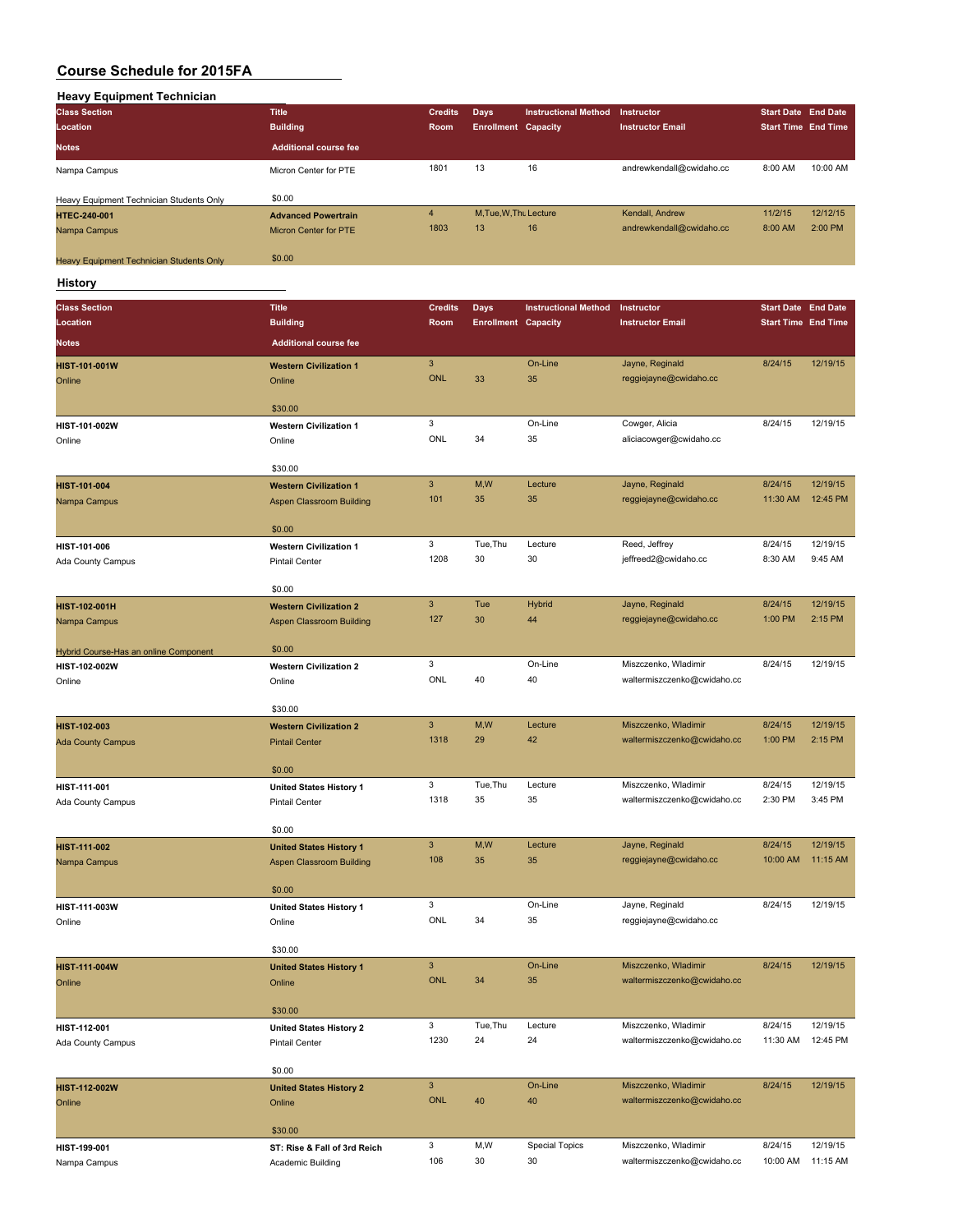| <b>Heavy Equipment Technician</b>               |                              |                |                            |                             |                          |                            |          |
|-------------------------------------------------|------------------------------|----------------|----------------------------|-----------------------------|--------------------------|----------------------------|----------|
| <b>Class Section</b>                            | <b>Title</b>                 | <b>Credits</b> | <b>Days</b>                | <b>Instructional Method</b> | Instructor               | <b>Start Date End Date</b> |          |
| Location                                        | <b>Building</b>              | Room           | <b>Enrollment Capacity</b> |                             | <b>Instructor Email</b>  | <b>Start Time End Time</b> |          |
| <b>Notes</b>                                    | <b>Additional course fee</b> |                |                            |                             |                          |                            |          |
| Nampa Campus                                    | Micron Center for PTE        | 1801           | 13                         | 16                          | andrewkendall@cwidaho.cc | 8:00 AM                    | 10:00 AM |
|                                                 |                              |                |                            |                             |                          |                            |          |
| Heavy Equipment Technician Students Only        | \$0.00                       |                |                            |                             |                          |                            |          |
| <b>HTEC-240-001</b>                             | <b>Advanced Powertrain</b>   | $\overline{4}$ | M, Tue, W, Thu Lecture     |                             | Kendall, Andrew          | 11/2/15                    | 12/12/15 |
| Nampa Campus                                    | <b>Micron Center for PTE</b> | 1803           | 13                         | 16                          | andrewkendall@cwidaho.cc | 8:00 AM                    | 2:00 PM  |
|                                                 |                              |                |                            |                             |                          |                            |          |
| <b>Heavy Equipment Technician Students Only</b> | \$0.00                       |                |                            |                             |                          |                            |          |

**History**

| <b>Class Section</b>                  | <b>Title</b>                    | <b>Credits</b>            | Days                       | <b>Instructional Method</b> | Instructor                  | <b>Start Date End Date</b> |          |
|---------------------------------------|---------------------------------|---------------------------|----------------------------|-----------------------------|-----------------------------|----------------------------|----------|
| Location                              | <b>Building</b>                 | Room                      | <b>Enrollment Capacity</b> |                             | <b>Instructor Email</b>     | <b>Start Time End Time</b> |          |
| <b>Notes</b>                          | <b>Additional course fee</b>    |                           |                            |                             |                             |                            |          |
|                                       |                                 |                           |                            |                             |                             |                            |          |
| HIST-101-001W                         | <b>Western Civilization 1</b>   | $\mathbf{3}$              |                            | On-Line                     | Jayne, Reginald             | 8/24/15                    | 12/19/15 |
| Online                                | Online                          | <b>ONL</b>                | 33                         | 35                          | reggiejayne@cwidaho.cc      |                            |          |
|                                       | \$30.00                         |                           |                            |                             |                             |                            |          |
|                                       |                                 | 3                         |                            | On-Line                     | Cowger, Alicia              | 8/24/15                    | 12/19/15 |
| HIST-101-002W                         | <b>Western Civilization 1</b>   | ONL                       | 34                         | 35                          | aliciacowger@cwidaho.cc     |                            |          |
| Online                                | Online                          |                           |                            |                             |                             |                            |          |
|                                       | \$30.00                         |                           |                            |                             |                             |                            |          |
| HIST-101-004                          | <b>Western Civilization 1</b>   | $\overline{3}$            | M,W                        | Lecture                     | Jayne, Reginald             | 8/24/15                    | 12/19/15 |
| Nampa Campus                          | <b>Aspen Classroom Building</b> | 101                       | 35                         | 35                          | reggiejayne@cwidaho.cc      | 11:30 AM                   | 12:45 PM |
|                                       |                                 |                           |                            |                             |                             |                            |          |
|                                       | \$0.00                          |                           |                            |                             |                             |                            |          |
| HIST-101-006                          | <b>Western Civilization 1</b>   | 3                         | Tue, Thu                   | Lecture                     | Reed, Jeffrey               | 8/24/15                    | 12/19/15 |
| Ada County Campus                     | <b>Pintail Center</b>           | 1208                      | 30                         | 30                          | jeffreed2@cwidaho.cc        | 8:30 AM                    | 9:45 AM  |
|                                       |                                 |                           |                            |                             |                             |                            |          |
|                                       | \$0.00                          |                           |                            |                             |                             |                            |          |
| HIST-102-001H                         | <b>Western Civilization 2</b>   | $\overline{3}$            | Tue                        | <b>Hybrid</b>               | Jayne, Reginald             | 8/24/15                    | 12/19/15 |
| Nampa Campus                          | Aspen Classroom Building        | 127                       | 30                         | 44                          | reggiejayne@cwidaho.cc      | 1:00 PM                    | 2:15 PM  |
|                                       |                                 |                           |                            |                             |                             |                            |          |
| Hybrid Course-Has an online Component | \$0.00                          |                           |                            |                             |                             |                            |          |
| HIST-102-002W                         | <b>Western Civilization 2</b>   | 3                         |                            | On-Line                     | Miszczenko, Wladimir        | 8/24/15                    | 12/19/15 |
| Online                                | Online                          | <b>ONL</b>                | 40                         | 40                          | waltermiszczenko@cwidaho.cc |                            |          |
|                                       |                                 |                           |                            |                             |                             |                            |          |
|                                       | \$30.00                         |                           |                            |                             |                             |                            |          |
| HIST-102-003                          | <b>Western Civilization 2</b>   | $\ensuremath{\mathsf{3}}$ | M,W                        | Lecture                     | Miszczenko, Wladimir        | 8/24/15                    | 12/19/15 |
| <b>Ada County Campus</b>              | <b>Pintail Center</b>           | 1318                      | 29                         | 42                          | waltermiszczenko@cwidaho.cc | 1:00 PM                    | 2:15 PM  |
|                                       |                                 |                           |                            |                             |                             |                            |          |
|                                       | \$0.00                          |                           |                            |                             |                             |                            |          |
| HIST-111-001                          | <b>United States History 1</b>  | 3                         | Tue, Thu                   | Lecture                     | Miszczenko, Wladimir        | 8/24/15                    | 12/19/15 |
| Ada County Campus                     | <b>Pintail Center</b>           | 1318                      | 35                         | 35                          | waltermiszczenko@cwidaho.cc | 2:30 PM                    | 3:45 PM  |
|                                       | \$0.00                          |                           |                            |                             |                             |                            |          |
|                                       |                                 | $\overline{3}$            | M,W                        | Lecture                     | Jayne, Reginald             | 8/24/15                    | 12/19/15 |
| HIST-111-002                          | <b>United States History 1</b>  | 108                       | 35                         | 35                          |                             | 10:00 AM                   | 11:15 AM |
| Nampa Campus                          | <b>Aspen Classroom Building</b> |                           |                            |                             | reggiejayne@cwidaho.cc      |                            |          |
|                                       | \$0.00                          |                           |                            |                             |                             |                            |          |
| HIST-111-003W                         | <b>United States History 1</b>  | 3                         |                            | On-Line                     | Jayne, Reginald             | 8/24/15                    | 12/19/15 |
| Online                                | Online                          | <b>ONL</b>                | 34                         | 35                          | reggiejayne@cwidaho.cc      |                            |          |
|                                       |                                 |                           |                            |                             |                             |                            |          |
|                                       | \$30.00                         |                           |                            |                             |                             |                            |          |
| HIST-111-004W                         | <b>United States History 1</b>  | $\mathbf{3}$              |                            | On-Line                     | Miszczenko, Wladimir        | 8/24/15                    | 12/19/15 |
| Online                                | Online                          | <b>ONL</b>                | 34                         | 35                          | waltermiszczenko@cwidaho.cc |                            |          |
|                                       |                                 |                           |                            |                             |                             |                            |          |
|                                       | \$30.00                         |                           |                            |                             |                             |                            |          |
| HIST-112-001                          | <b>United States History 2</b>  | 3                         | Tue, Thu                   | Lecture                     | Miszczenko, Wladimir        | 8/24/15                    | 12/19/15 |
| Ada County Campus                     | Pintail Center                  | 1230                      | 24                         | 24                          | waltermiszczenko@cwidaho.cc | 11:30 AM                   | 12:45 PM |
|                                       |                                 |                           |                            |                             |                             |                            |          |
|                                       | \$0.00                          |                           |                            |                             |                             |                            |          |
| HIST-112-002W                         | <b>United States History 2</b>  | $\mathbf{3}$              |                            | On-Line                     | Miszczenko, Wladimir        | 8/24/15                    | 12/19/15 |
| Online                                | Online                          | <b>ONL</b>                | 40                         | 40                          | waltermiszczenko@cwidaho.cc |                            |          |
|                                       |                                 |                           |                            |                             |                             |                            |          |
|                                       | \$30.00                         |                           |                            |                             |                             |                            |          |
| HIST-199-001                          | ST: Rise & Fall of 3rd Reich    | 3                         | M, W                       | <b>Special Topics</b>       | Miszczenko, Wladimir        | 8/24/15                    | 12/19/15 |
| Nampa Campus                          | Academic Building               | 106                       | 30                         | 30                          | waltermiszczenko@cwidaho.cc | 10:00 AM                   | 11:15 AM |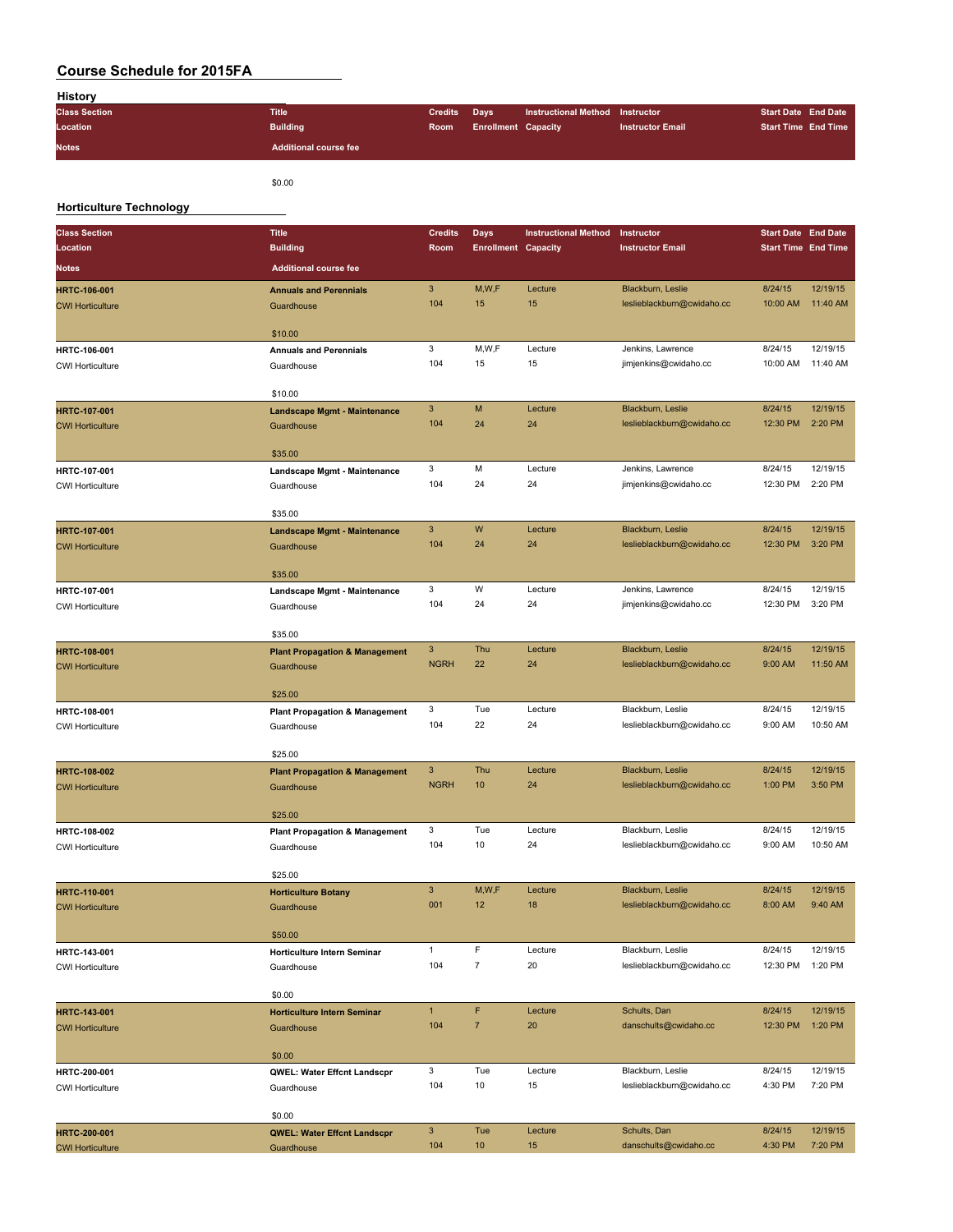| <b>History</b>       |                              |                |                            |                                 |                         |                            |  |
|----------------------|------------------------------|----------------|----------------------------|---------------------------------|-------------------------|----------------------------|--|
| <b>Class Section</b> | <b>Title</b>                 | <b>Credits</b> | <b>Davs</b>                | Instructional Method Instructor |                         | <b>Start Date End Date</b> |  |
| Location             | <b>Building</b>              | <b>Room</b>    | <b>Enrollment Capacity</b> |                                 | <b>Instructor Email</b> | <b>Start Time End Time</b> |  |
| <b>Notes</b>         | <b>Additional course fee</b> |                |                            |                                 |                         |                            |  |

\$0.00

### **Horticulture Technology**

| <b>Class Section</b>                           | <b>Title</b>                                            | <b>Credits</b>      | <b>Days</b>                | <b>Instructional Method</b> | Instructor                                      | <b>Start Date End Date</b> |          |
|------------------------------------------------|---------------------------------------------------------|---------------------|----------------------------|-----------------------------|-------------------------------------------------|----------------------------|----------|
| Location                                       | <b>Building</b>                                         | Room                | <b>Enrollment Capacity</b> |                             | <b>Instructor Email</b>                         | <b>Start Time End Time</b> |          |
| Notes                                          | <b>Additional course fee</b>                            |                     |                            |                             |                                                 |                            |          |
| <b>HRTC-106-001</b>                            | <b>Annuals and Perennials</b>                           | $\mathbf{3}$        | M,W,F                      | Lecture                     | Blackburn, Leslie                               | 8/24/15                    | 12/19/15 |
| <b>CWI Horticulture</b>                        | Guardhouse                                              | 104                 | 15                         | 15                          | leslieblackburn@cwidaho.cc                      | 10:00 AM                   | 11:40 AM |
|                                                |                                                         |                     |                            |                             |                                                 |                            |          |
|                                                | \$10.00                                                 |                     |                            |                             |                                                 |                            |          |
| HRTC-106-001                                   | <b>Annuals and Perennials</b>                           | 3                   | M,W,F                      | Lecture                     | Jenkins, Lawrence                               | 8/24/15                    | 12/19/15 |
| <b>CWI Horticulture</b>                        | Guardhouse                                              | 104                 | 15                         | 15                          | jimjenkins@cwidaho.cc                           | 10:00 AM                   | 11:40 AM |
|                                                | \$10.00                                                 |                     |                            |                             |                                                 |                            |          |
| <b>HRTC-107-001</b>                            | <b>Landscape Mgmt - Maintenance</b>                     | $\mathbf{3}$        | M                          | Lecture                     | Blackburn, Leslie                               | 8/24/15                    | 12/19/15 |
| <b>CWI Horticulture</b>                        | Guardhouse                                              | 104                 | 24                         | 24                          | leslieblackburn@cwidaho.cc                      | 12:30 PM                   | 2:20 PM  |
|                                                |                                                         |                     |                            |                             |                                                 |                            |          |
|                                                | \$35.00                                                 |                     |                            |                             |                                                 |                            |          |
| HRTC-107-001                                   | Landscape Mgmt - Maintenance                            | 3                   | M                          | Lecture                     | Jenkins, Lawrence                               | 8/24/15                    | 12/19/15 |
| <b>CWI Horticulture</b>                        | Guardhouse                                              | 104                 | 24                         | 24                          | jimjenkins@cwidaho.cc                           | 12:30 PM                   | 2:20 PM  |
|                                                | \$35.00                                                 |                     |                            |                             |                                                 |                            |          |
| <b>HRTC-107-001</b>                            | Landscape Mgmt - Maintenance                            | 3                   | W                          | Lecture                     | Blackburn, Leslie                               | 8/24/15                    | 12/19/15 |
| <b>CWI Horticulture</b>                        | Guardhouse                                              | 104                 | 24                         | 24                          | leslieblackburn@cwidaho.cc                      | 12:30 PM                   | 3:20 PM  |
|                                                | \$35.00                                                 |                     |                            |                             |                                                 |                            |          |
| HRTC-107-001                                   | Landscape Mgmt - Maintenance                            | 3                   | W                          | Lecture                     | Jenkins, Lawrence                               | 8/24/15                    | 12/19/15 |
| <b>CWI Horticulture</b>                        | Guardhouse                                              | 104                 | 24                         | 24                          | jimjenkins@cwidaho.cc                           | 12:30 PM                   | 3:20 PM  |
|                                                |                                                         |                     |                            |                             |                                                 |                            |          |
|                                                | \$35.00                                                 |                     |                            |                             |                                                 |                            |          |
| <b>HRTC-108-001</b>                            | <b>Plant Propagation &amp; Management</b>               | 3                   | Thu                        | Lecture                     | Blackburn, Leslie                               | 8/24/15                    | 12/19/15 |
| <b>CWI Horticulture</b>                        | Guardhouse                                              | <b>NGRH</b>         | 22                         | 24                          | leslieblackburn@cwidaho.cc                      | 9:00 AM                    | 11:50 AM |
|                                                | \$25.00                                                 |                     |                            |                             |                                                 |                            |          |
| <b>HRTC-108-001</b>                            | <b>Plant Propagation &amp; Management</b>               | 3                   | Tue                        | Lecture                     | Blackburn, Leslie                               | 8/24/15                    | 12/19/15 |
| <b>CWI Horticulture</b>                        | Guardhouse                                              | 104                 | 22                         | 24                          | leslieblackburn@cwidaho.cc                      | 9:00 AM                    | 10:50 AM |
|                                                |                                                         |                     |                            |                             |                                                 |                            |          |
|                                                | \$25.00                                                 | 3                   | Thu                        | Lecture                     | Blackburn, Leslie                               | 8/24/15                    | 12/19/15 |
| HRTC-108-002<br><b>CWI Horticulture</b>        | <b>Plant Propagation &amp; Management</b><br>Guardhouse | <b>NGRH</b>         | 10                         | 24                          | leslieblackburn@cwidaho.cc                      | 1:00 PM                    | 3:50 PM  |
|                                                |                                                         |                     |                            |                             |                                                 |                            |          |
|                                                | \$25.00                                                 |                     |                            |                             |                                                 |                            |          |
| HRTC-108-002                                   | <b>Plant Propagation &amp; Management</b>               | 3                   | Tue                        | Lecture                     | Blackburn, Leslie                               | 8/24/15                    | 12/19/15 |
| <b>CWI Horticulture</b>                        | Guardhouse                                              | 104                 | 10                         | 24                          | leslieblackburn@cwidaho.cc                      | 9:00 AM                    | 10:50 AM |
|                                                | \$25.00                                                 |                     |                            |                             |                                                 |                            |          |
| <b>HRTC-110-001</b>                            | <b>Horticulture Botany</b>                              | 3                   | M, W, F                    | Lecture                     | Blackburn, Leslie                               | 8/24/15                    | 12/19/15 |
| <b>CWI Horticulture</b>                        | Guardhouse                                              | 001                 | 12                         | 18                          | leslieblackburn@cwidaho.cc                      | 8:00 AM                    | 9:40 AM  |
|                                                |                                                         |                     |                            |                             |                                                 |                            |          |
|                                                | \$50.00                                                 |                     | F                          | Lecture                     |                                                 |                            | 12/19/15 |
| HRTC-143-001<br><b>CWI Horticulture</b>        | <b>Horticulture Intern Seminar</b>                      | $\mathbf{1}$<br>104 | $\sqrt{7}$                 | 20                          | Blackburn, Leslie<br>leslieblackburn@cwidaho.cc | 8/24/15<br>12:30 PM        | 1:20 PM  |
|                                                | Guardhouse                                              |                     |                            |                             |                                                 |                            |          |
|                                                | \$0.00                                                  |                     |                            |                             |                                                 |                            |          |
| <b>HRTC-143-001</b>                            | <b>Horticulture Intern Seminar</b>                      | $\mathbf{1}$        | F                          | Lecture                     | Schults, Dan                                    | 8/24/15                    | 12/19/15 |
| <b>CWI Horticulture</b>                        | Guardhouse                                              | 104                 | $\overline{7}$             | 20                          | danschults@cwidaho.cc                           | 12:30 PM                   | 1:20 PM  |
|                                                | \$0.00                                                  |                     |                            |                             |                                                 |                            |          |
| HRTC-200-001                                   | QWEL: Water Effcnt Landscpr                             | 3                   | Tue                        | Lecture                     | Blackburn, Leslie                               | 8/24/15                    | 12/19/15 |
| <b>CWI Horticulture</b>                        | Guardhouse                                              | 104                 | 10                         | 15                          | leslieblackburn@cwidaho.cc                      | 4:30 PM                    | 7:20 PM  |
|                                                |                                                         |                     |                            |                             |                                                 |                            |          |
|                                                | \$0.00                                                  | $\mathbf{3}$        | Tue                        | Lecture                     | Schults, Dan                                    | 8/24/15                    | 12/19/15 |
| <b>HRTC-200-001</b><br><b>CWI Horticulture</b> | <b>QWEL: Water Effcnt Landscpr</b><br>Guardhouse        | 104                 | 10                         | $15\,$                      | danschults@cwidaho.cc                           | 4:30 PM                    | 7:20 PM  |
|                                                |                                                         |                     |                            |                             |                                                 |                            |          |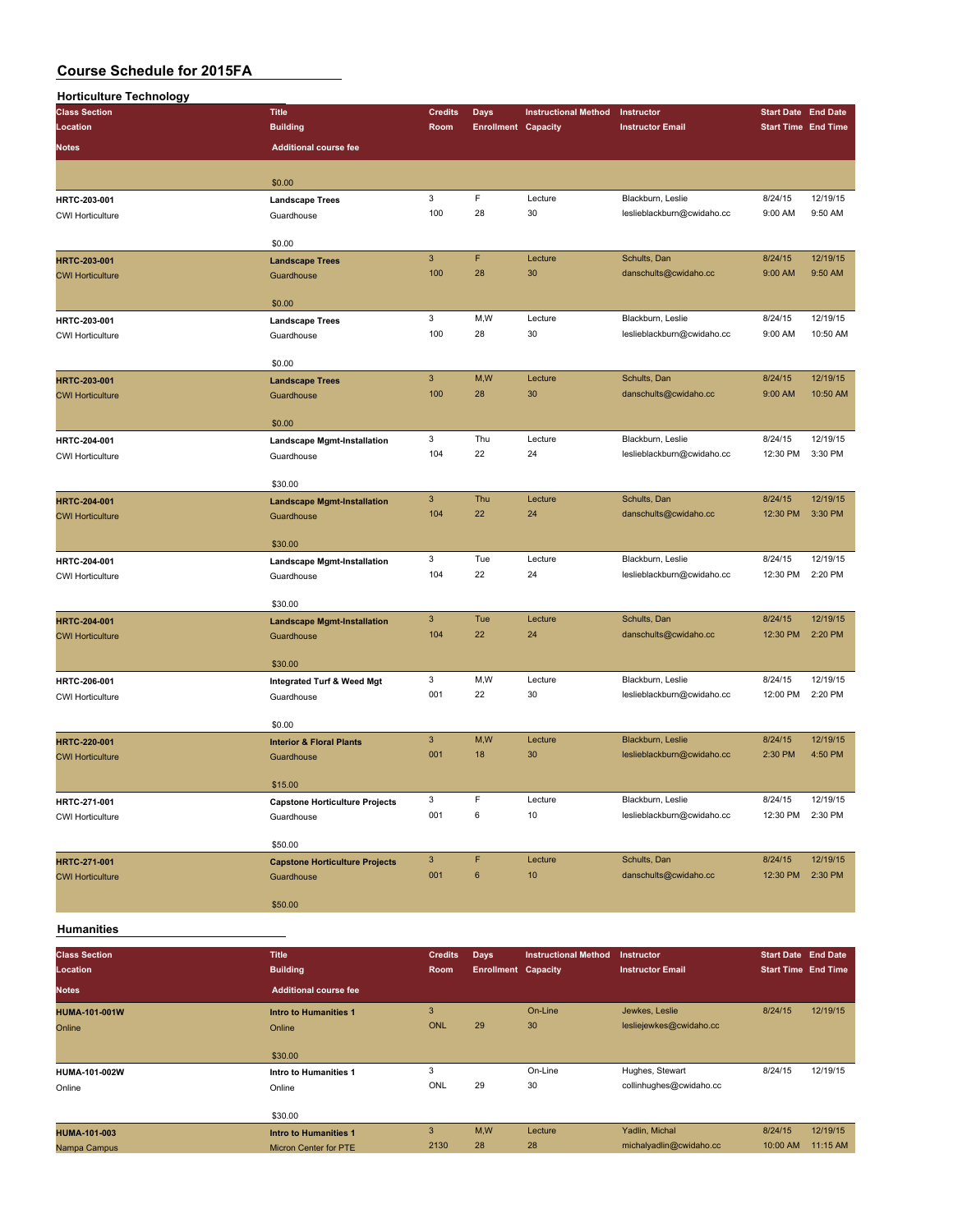| <b>Horticulture Technology</b> |                                               |                |                            |                             |                            |                                                                                                                                                                                                                                                                                                        |                     |
|--------------------------------|-----------------------------------------------|----------------|----------------------------|-----------------------------|----------------------------|--------------------------------------------------------------------------------------------------------------------------------------------------------------------------------------------------------------------------------------------------------------------------------------------------------|---------------------|
| <b>Class Section</b>           | <b>Title</b>                                  | <b>Credits</b> | Days                       | <b>Instructional Method</b> | Instructor                 |                                                                                                                                                                                                                                                                                                        |                     |
| Location                       | <b>Building</b>                               | Room           | <b>Enrollment Capacity</b> |                             | <b>Instructor Email</b>    |                                                                                                                                                                                                                                                                                                        |                     |
| Notes                          | <b>Additional course fee</b>                  |                |                            |                             |                            |                                                                                                                                                                                                                                                                                                        |                     |
|                                | \$0.00                                        |                |                            |                             |                            |                                                                                                                                                                                                                                                                                                        |                     |
| HRTC-203-001                   | <b>Landscape Trees</b>                        | 3              | F                          | Lecture                     | Blackburn, Leslie          | 8/24/15                                                                                                                                                                                                                                                                                                | 12/19/15            |
| <b>CWI Horticulture</b>        | Guardhouse                                    | 100            | 28                         | 30                          | leslieblackburn@cwidaho.cc | 9:00 AM                                                                                                                                                                                                                                                                                                | 9:50 AM             |
|                                |                                               |                |                            |                             |                            |                                                                                                                                                                                                                                                                                                        |                     |
|                                | \$0.00                                        |                |                            |                             |                            |                                                                                                                                                                                                                                                                                                        |                     |
| HRTC-203-001                   | <b>Landscape Trees</b>                        | $\mathbf{3}$   | F                          | Lecture                     | Schults, Dan               |                                                                                                                                                                                                                                                                                                        | 12/19/15            |
| <b>CWI Horticulture</b>        | Guardhouse                                    | 100            | 28                         | 30                          | danschults@cwidaho.cc      |                                                                                                                                                                                                                                                                                                        | 9:50 AM             |
|                                | \$0.00                                        |                |                            |                             |                            |                                                                                                                                                                                                                                                                                                        |                     |
| HRTC-203-001                   | <b>Landscape Trees</b>                        | 3              | M,W                        | Lecture                     | Blackburn, Leslie          | 8/24/15                                                                                                                                                                                                                                                                                                | 12/19/15            |
| <b>CWI Horticulture</b>        | Guardhouse                                    | 100            | 28                         | 30                          | leslieblackburn@cwidaho.cc | <b>Start Date End Date</b><br><b>Start Time End Time</b><br>8/24/15<br>9:00 AM<br>9:00 AM<br>8/24/15<br>9:00 AM<br>8/24/15<br>12:30 PM<br>8/24/15<br>12:30 PM<br>8/24/15<br>12:30 PM<br>8/24/15<br>12:30 PM<br>8/24/15<br>12:00 PM<br>8/24/15<br>2:30 PM<br>8/24/15<br>12:30 PM<br>8/24/15<br>12:30 PM | 10:50 AM            |
|                                |                                               |                |                            |                             |                            |                                                                                                                                                                                                                                                                                                        |                     |
|                                | \$0.00                                        | $\mathbf{3}$   | M,W                        | Lecture                     | Schults, Dan               |                                                                                                                                                                                                                                                                                                        | 12/19/15            |
| HRTC-203-001                   | <b>Landscape Trees</b>                        | 100            | 28                         | 30                          | danschults@cwidaho.cc      |                                                                                                                                                                                                                                                                                                        | 10:50 AM            |
| <b>CWI Horticulture</b>        | Guardhouse                                    |                |                            |                             |                            |                                                                                                                                                                                                                                                                                                        |                     |
|                                | \$0.00                                        |                |                            |                             |                            |                                                                                                                                                                                                                                                                                                        |                     |
| HRTC-204-001                   | <b>Landscape Mgmt-Installation</b>            | 3              | Thu                        | Lecture                     | Blackburn, Leslie          |                                                                                                                                                                                                                                                                                                        | 12/19/15            |
| <b>CWI Horticulture</b>        | Guardhouse                                    | 104            | 22                         | 24                          | leslieblackburn@cwidaho.cc |                                                                                                                                                                                                                                                                                                        | 3:30 PM             |
|                                |                                               |                |                            |                             |                            |                                                                                                                                                                                                                                                                                                        |                     |
| <b>HRTC-204-001</b>            | \$30.00<br><b>Landscape Mgmt-Installation</b> | $\mathbf{3}$   | Thu                        | Lecture                     | Schults, Dan               |                                                                                                                                                                                                                                                                                                        | 12/19/15            |
| <b>CWI Horticulture</b>        | Guardhouse                                    | 104            | 22                         | 24                          | danschults@cwidaho.cc      |                                                                                                                                                                                                                                                                                                        | 3:30 PM             |
|                                |                                               |                |                            |                             |                            |                                                                                                                                                                                                                                                                                                        |                     |
|                                | \$30.00                                       |                |                            |                             |                            |                                                                                                                                                                                                                                                                                                        |                     |
| HRTC-204-001                   | <b>Landscape Mgmt-Installation</b>            | 3              | Tue                        | Lecture                     | Blackburn, Leslie          |                                                                                                                                                                                                                                                                                                        | 12/19/15            |
| <b>CWI Horticulture</b>        | Guardhouse                                    | 104            | 22                         | 24                          | leslieblackburn@cwidaho.cc |                                                                                                                                                                                                                                                                                                        | 2:20 PM             |
|                                | \$30.00                                       |                |                            |                             |                            |                                                                                                                                                                                                                                                                                                        |                     |
| HRTC-204-001                   | <b>Landscape Mgmt-Installation</b>            | $\mathbf{3}$   | Tue                        | Lecture                     | Schults, Dan               |                                                                                                                                                                                                                                                                                                        | 12/19/15            |
| <b>CWI Horticulture</b>        | Guardhouse                                    | 104            | 22                         | 24                          | danschults@cwidaho.cc      |                                                                                                                                                                                                                                                                                                        | 2:20 PM             |
|                                |                                               |                |                            |                             |                            |                                                                                                                                                                                                                                                                                                        |                     |
|                                | \$30.00                                       |                |                            |                             |                            |                                                                                                                                                                                                                                                                                                        |                     |
| HRTC-206-001                   | Integrated Turf & Weed Mgt                    | 3<br>001       | M,W<br>22                  | Lecture                     | Blackburn, Leslie          |                                                                                                                                                                                                                                                                                                        | 12/19/15<br>2:20 PM |
| <b>CWI Horticulture</b>        | Guardhouse                                    |                |                            | 30                          | leslieblackburn@cwidaho.cc |                                                                                                                                                                                                                                                                                                        |                     |
|                                | \$0.00                                        |                |                            |                             |                            |                                                                                                                                                                                                                                                                                                        |                     |
| <b>HRTC-220-001</b>            | <b>Interior &amp; Floral Plants</b>           | $\mathbf{3}$   | M,W                        | Lecture                     | Blackburn, Leslie          |                                                                                                                                                                                                                                                                                                        | 12/19/15            |
| <b>CWI Horticulture</b>        | Guardhouse                                    | 001            | 18                         | 30                          | leslieblackburn@cwidaho.cc |                                                                                                                                                                                                                                                                                                        | 4:50 PM             |
|                                | \$15.00                                       |                |                            |                             |                            |                                                                                                                                                                                                                                                                                                        |                     |
| HRTC-271-001                   | <b>Capstone Horticulture Projects</b>         | 3              | F                          | Lecture                     | Blackburn, Leslie          |                                                                                                                                                                                                                                                                                                        | 12/19/15            |
| <b>CWI Horticulture</b>        | Guardhouse                                    | 001            | 6                          | 10                          | leslieblackburn@cwidaho.cc |                                                                                                                                                                                                                                                                                                        | 2:30 PM             |
|                                |                                               |                |                            |                             |                            |                                                                                                                                                                                                                                                                                                        |                     |
|                                | \$50.00                                       |                |                            |                             |                            |                                                                                                                                                                                                                                                                                                        |                     |
| <b>HRTC-271-001</b>            | <b>Capstone Horticulture Projects</b>         | $\mathbf{3}$   | F                          | Lecture                     | Schults, Dan               |                                                                                                                                                                                                                                                                                                        | 12/19/15            |
| <b>CWI Horticulture</b>        | Guardhouse                                    | 001            | $\bf 6$                    | 10                          | danschults@cwidaho.cc      |                                                                                                                                                                                                                                                                                                        | 2:30 PM             |
|                                | \$50.00                                       |                |                            |                             |                            |                                                                                                                                                                                                                                                                                                        |                     |
|                                |                                               |                |                            |                             |                            |                                                                                                                                                                                                                                                                                                        |                     |

**Humanities**

| <b>Class Section</b><br>Location | <b>Title</b><br><b>Building</b> | <b>Credits</b><br>Room | <b>Days</b><br><b>Enrollment Capacity</b> | <b>Instructional Method</b> | Instructor<br><b>Instructor Email</b> | <b>Start Date End Date</b><br><b>Start Time End Time</b> |          |
|----------------------------------|---------------------------------|------------------------|-------------------------------------------|-----------------------------|---------------------------------------|----------------------------------------------------------|----------|
| <b>Notes</b>                     | <b>Additional course fee</b>    |                        |                                           |                             |                                       |                                                          |          |
| <b>HUMA-101-001W</b>             | <b>Intro to Humanities 1</b>    | 3                      |                                           | On-Line                     | Jewkes, Leslie                        | 8/24/15                                                  | 12/19/15 |
| Online                           | Online                          | <b>ONL</b>             | 29                                        | 30                          | lesliejewkes@cwidaho.cc               |                                                          |          |
|                                  | \$30.00                         |                        |                                           |                             |                                       |                                                          |          |
| HUMA-101-002W                    | Intro to Humanities 1           | 3                      |                                           | On-Line                     | Hughes, Stewart                       | 8/24/15                                                  | 12/19/15 |
| Online                           | Online                          | ONL                    | 29                                        | 30                          | collinhughes@cwidaho.cc               |                                                          |          |
|                                  | \$30.00                         |                        |                                           |                             |                                       |                                                          |          |
| <b>HUMA-101-003</b>              | <b>Intro to Humanities 1</b>    | 3                      | M,W                                       | Lecture                     | Yadlin, Michal                        | 8/24/15                                                  | 12/19/15 |
| Nampa Campus                     | Micron Center for PTE           | 2130                   | 28                                        | 28                          | michalyadlin@cwidaho.cc               | 10:00 AM                                                 | 11:15 AM |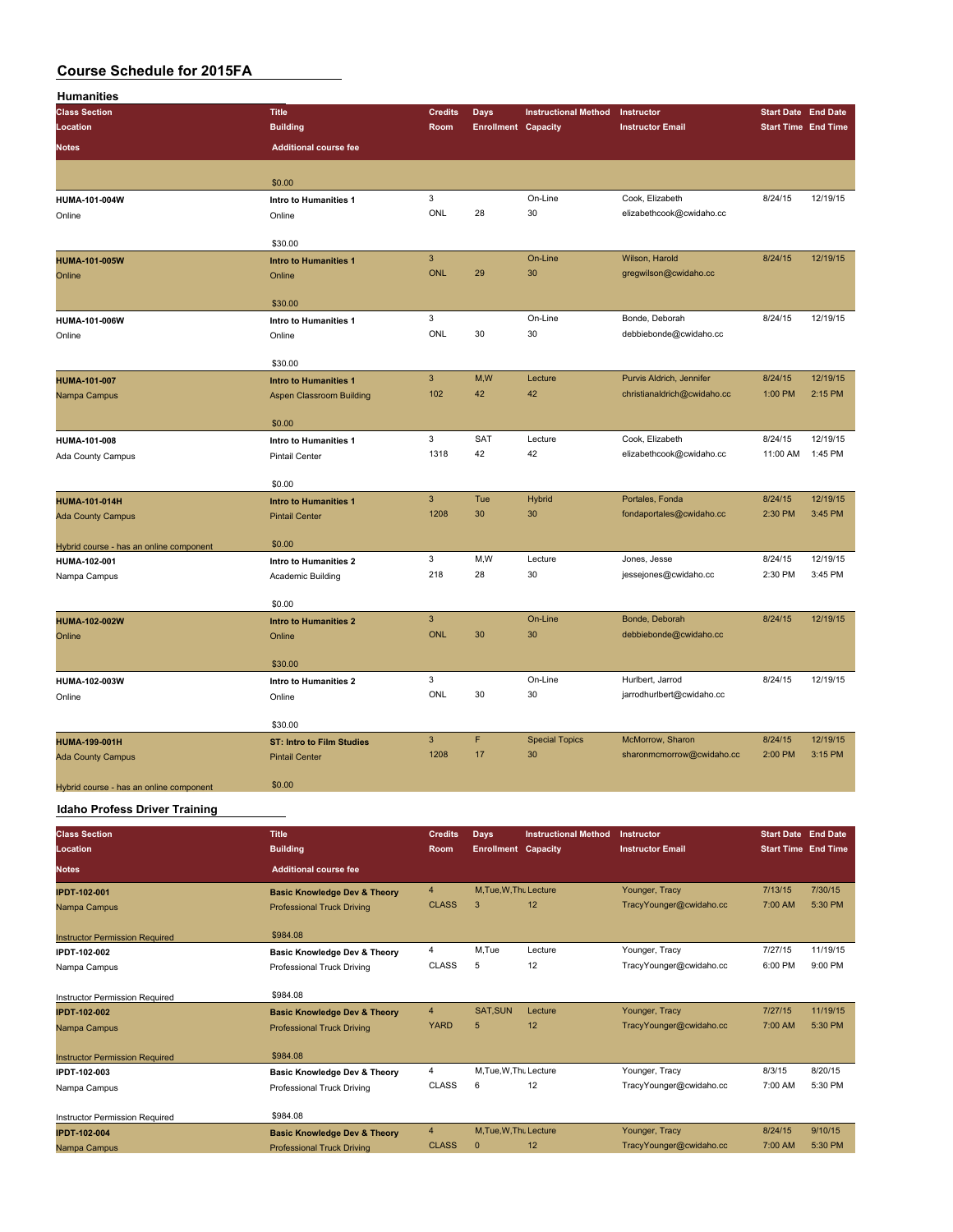| <b>Humanities</b>                       |                                  |                           |                            |                             |                                               |                            |          |
|-----------------------------------------|----------------------------------|---------------------------|----------------------------|-----------------------------|-----------------------------------------------|----------------------------|----------|
| <b>Class Section</b>                    | <b>Title</b>                     | <b>Credits</b>            | <b>Days</b>                | <b>Instructional Method</b> | Instructor                                    | <b>Start Date End Date</b> |          |
| Location                                | <b>Building</b>                  | Room                      | <b>Enrollment Capacity</b> |                             | <b>Instructor Email</b>                       | <b>Start Time End Time</b> |          |
| <b>Notes</b>                            | <b>Additional course fee</b>     |                           |                            |                             |                                               |                            |          |
|                                         |                                  |                           |                            |                             |                                               |                            |          |
|                                         | \$0.00                           |                           |                            |                             |                                               |                            |          |
| HUMA-101-004W                           | Intro to Humanities 1            | $\mathsf 3$               |                            | On-Line                     | Cook, Elizabeth                               | 8/24/15                    | 12/19/15 |
| Online                                  | Online                           | ONL                       | 28                         | 30                          | elizabethcook@cwidaho.cc                      |                            |          |
|                                         |                                  |                           |                            |                             |                                               |                            |          |
|                                         | \$30.00                          |                           |                            |                             |                                               |                            |          |
| <b>HUMA-101-005W</b>                    | <b>Intro to Humanities 1</b>     | $\ensuremath{\mathsf{3}}$ |                            | On-Line                     | Wilson, Harold                                | 8/24/15                    | 12/19/15 |
| Online                                  | Online                           | <b>ONL</b>                | 29                         | 30                          | gregwilson@cwidaho.cc                         |                            |          |
|                                         | \$30.00                          |                           |                            |                             |                                               |                            |          |
| HUMA-101-006W                           | Intro to Humanities 1            | 3                         |                            | On-Line                     | Bonde, Deborah                                | 8/24/15                    | 12/19/15 |
| Online                                  | Online                           | ONL                       | 30                         | 30                          | debbiebonde@cwidaho.cc                        |                            |          |
|                                         |                                  |                           |                            |                             |                                               |                            |          |
|                                         | \$30.00                          |                           |                            |                             |                                               |                            |          |
| <b>HUMA-101-007</b>                     | <b>Intro to Humanities 1</b>     | $\overline{3}$            | M,W                        | Lecture                     | Purvis Aldrich, Jennifer                      | 8/24/15                    | 12/19/15 |
| Nampa Campus                            | Aspen Classroom Building         | 102                       | 42                         | 42                          | christianaldrich@cwidaho.cc                   | 1:00 PM                    | 2:15 PM  |
|                                         | \$0.00                           |                           |                            |                             |                                               |                            |          |
| HUMA-101-008                            | Intro to Humanities 1            | $\mathbf 3$               | SAT                        | Lecture                     | Cook, Elizabeth                               | 8/24/15                    | 12/19/15 |
| Ada County Campus                       | <b>Pintail Center</b>            | 1318                      | 42                         | 42                          | elizabethcook@cwidaho.cc                      | 11:00 AM                   | 1:45 PM  |
|                                         |                                  |                           |                            |                             |                                               |                            |          |
|                                         | \$0.00                           |                           |                            |                             |                                               |                            |          |
| <b>HUMA-101-014H</b>                    | <b>Intro to Humanities 1</b>     | $\mathbf{3}$              | Tue                        | <b>Hybrid</b>               | Portales, Fonda                               | 8/24/15                    | 12/19/15 |
| <b>Ada County Campus</b>                | <b>Pintail Center</b>            | 1208                      | 30                         | 30                          | fondaportales@cwidaho.cc                      | 2:30 PM                    | 3:45 PM  |
|                                         |                                  |                           |                            |                             |                                               |                            |          |
| Hybrid course - has an online component | \$0.00                           | 3                         | M,W                        | Lecture                     | Jones, Jesse                                  |                            | 12/19/15 |
| HUMA-102-001                            | Intro to Humanities 2            | 218                       | 28                         | 30                          | jessejones@cwidaho.cc                         | 8/24/15<br>2:30 PM         | 3:45 PM  |
| Nampa Campus                            | Academic Building                |                           |                            |                             |                                               |                            |          |
|                                         | \$0.00                           |                           |                            |                             |                                               |                            |          |
| HUMA-102-002W                           | <b>Intro to Humanities 2</b>     | $\mathbf{3}$              |                            | On-Line                     | Bonde, Deborah                                | 8/24/15                    | 12/19/15 |
| Online                                  | Online                           | <b>ONL</b>                | 30                         | 30                          | debbiebonde@cwidaho.cc                        |                            |          |
|                                         |                                  |                           |                            |                             |                                               |                            |          |
|                                         | \$30.00                          |                           |                            |                             |                                               |                            |          |
| HUMA-102-003W                           | Intro to Humanities 2            | 3                         |                            | On-Line                     | Hurlbert, Jarrod                              | 8/24/15                    | 12/19/15 |
| Online                                  | Online                           | ONL                       | 30                         | 30                          | jarrodhurlbert@cwidaho.cc                     |                            |          |
|                                         |                                  |                           |                            |                             |                                               |                            |          |
|                                         | \$30.00                          | $\mathbf{3}$              | F                          |                             |                                               |                            | 12/19/15 |
| HUMA-199-001H                           | <b>ST: Intro to Film Studies</b> | 1208                      | 17                         | <b>Special Topics</b><br>30 | McMorrow, Sharon<br>sharonmcmorrow@cwidaho.cc | 8/24/15<br>2:00 PM         | 3:15 PM  |
| <b>Ada County Campus</b>                | <b>Pintail Center</b>            |                           |                            |                             |                                               |                            |          |
| Hybrid course - has an online component | \$0.00                           |                           |                            |                             |                                               |                            |          |
| Providence Products of The              |                                  |                           |                            |                             |                                               |                            |          |

**Idaho Profess Driver Training**

| <b>Class Section</b><br>Location      | <b>Title</b><br><b>Building</b>         | <b>Credits</b><br><b>Room</b> | Days<br><b>Enrollment Capacity</b> | <b>Instructional Method</b> | Instructor<br><b>Instructor Email</b> | <b>Start Date End Date</b><br><b>Start Time End Time</b> |          |
|---------------------------------------|-----------------------------------------|-------------------------------|------------------------------------|-----------------------------|---------------------------------------|----------------------------------------------------------|----------|
| <b>Notes</b>                          | <b>Additional course fee</b>            |                               |                                    |                             |                                       |                                                          |          |
| <b>IPDT-102-001</b>                   | <b>Basic Knowledge Dev &amp; Theory</b> | $\overline{4}$                | M.Tue.W.Tht Lecture                |                             | Younger, Tracy                        | 7/13/15                                                  | 7/30/15  |
| Nampa Campus                          | <b>Professional Truck Driving</b>       | <b>CLASS</b>                  | 3                                  | 12                          | TracyYounger@cwidaho.cc               | 7:00 AM                                                  | 5:30 PM  |
| <b>Instructor Permission Required</b> | \$984.08                                |                               |                                    |                             |                                       |                                                          |          |
| IPDT-102-002                          | Basic Knowledge Dev & Theory            | 4                             | M.Tue                              | Lecture                     | Younger, Tracy                        | 7/27/15                                                  | 11/19/15 |
| Nampa Campus                          | Professional Truck Driving              | <b>CLASS</b>                  | 5                                  | 12                          | TracyYounger@cwidaho.cc               | 6:00 PM                                                  | 9:00 PM  |
| Instructor Permission Required        | \$984.08                                |                               |                                    |                             |                                       |                                                          |          |
| <b>IPDT-102-002</b>                   | <b>Basic Knowledge Dev &amp; Theory</b> | $\overline{4}$                | <b>SAT.SUN</b>                     | Lecture                     | Younger, Tracy                        | 7/27/15                                                  | 11/19/15 |
| Nampa Campus                          | <b>Professional Truck Driving</b>       | <b>YARD</b>                   | 5                                  | 12                          | TracyYounger@cwidaho.cc               | 7:00 AM                                                  | 5:30 PM  |
| <b>Instructor Permission Required</b> | \$984.08                                |                               |                                    |                             |                                       |                                                          |          |
| IPDT-102-003                          | Basic Knowledge Dev & Theory            | 4                             | M.Tue, W.Thu Lecture               |                             | Younger, Tracy                        | 8/3/15                                                   | 8/20/15  |
| Nampa Campus                          | Professional Truck Driving              | <b>CLASS</b>                  | 6                                  | 12                          | TracyYounger@cwidaho.cc               | 7:00 AM                                                  | 5:30 PM  |
| Instructor Permission Required        | \$984.08                                |                               |                                    |                             |                                       |                                                          |          |
| <b>IPDT-102-004</b>                   | <b>Basic Knowledge Dev &amp; Theory</b> | $\overline{4}$                | M.Tue.W.Tht Lecture                |                             | Younger, Tracy                        | 8/24/15                                                  | 9/10/15  |
| Nampa Campus                          | <b>Professional Truck Driving</b>       | <b>CLASS</b>                  | $\mathbf{0}$                       | 12                          | TracyYounger@cwidaho.cc               | 7:00 AM                                                  | 5:30 PM  |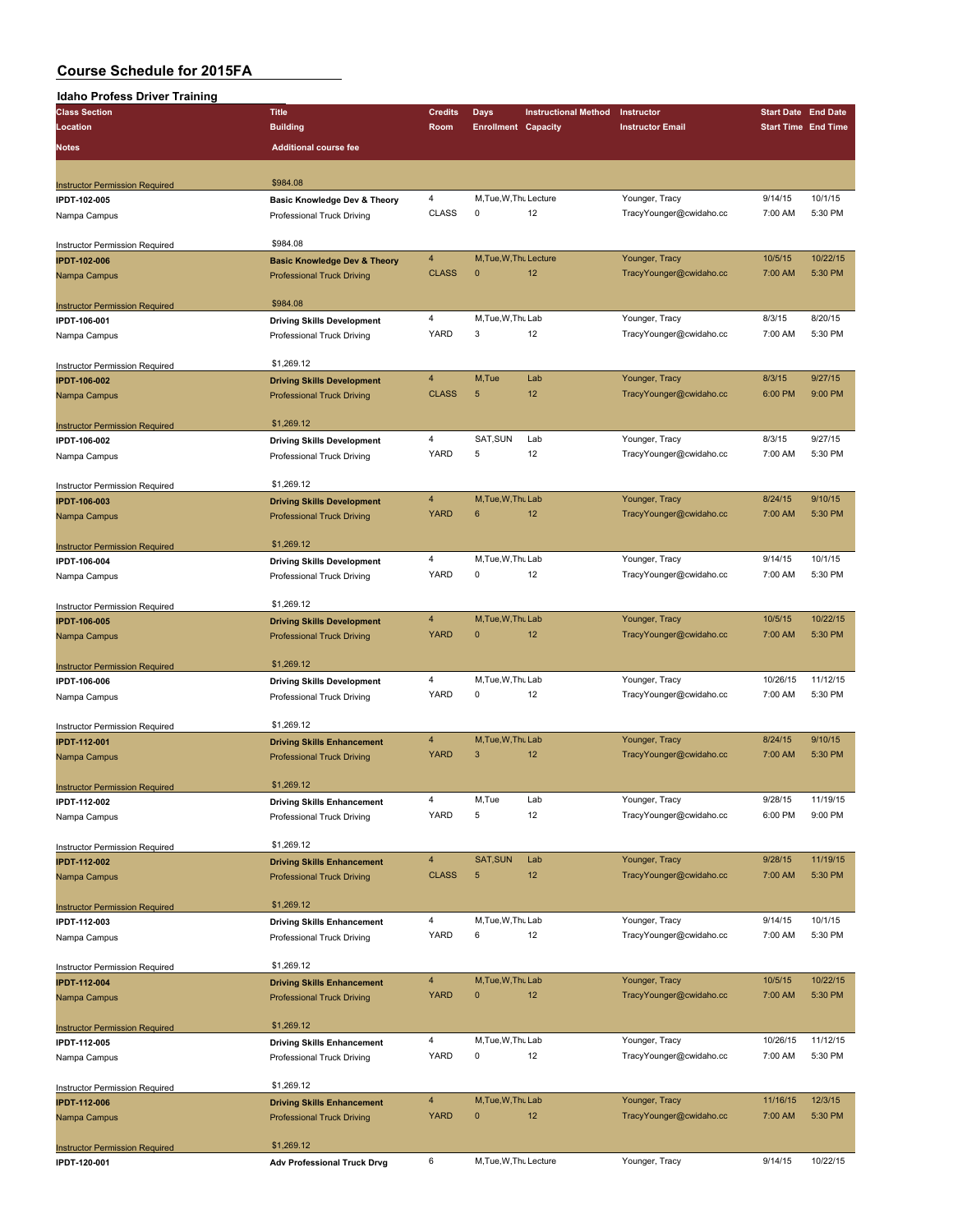### **Idaho Profess Driver Training**

| <b>Class Section</b>                                  | <b>Title</b>                            | <b>Credits</b> | Days                       | <b>Instructional Method</b> | Instructor              | <b>Start Date End Date</b> |                    |
|-------------------------------------------------------|-----------------------------------------|----------------|----------------------------|-----------------------------|-------------------------|----------------------------|--------------------|
| Location                                              | <b>Building</b>                         | Room           | <b>Enrollment Capacity</b> |                             | <b>Instructor Email</b> | <b>Start Time End Time</b> |                    |
|                                                       |                                         |                |                            |                             |                         |                            |                    |
| <b>Notes</b>                                          | <b>Additional course fee</b>            |                |                            |                             |                         |                            |                    |
|                                                       |                                         |                |                            |                             |                         |                            |                    |
| <b>Instructor Permission Required</b>                 | \$984.08                                |                |                            |                             |                         |                            |                    |
| IPDT-102-005                                          | <b>Basic Knowledge Dev &amp; Theory</b> | 4              | M, Tue, W, Thu Lecture     |                             | Younger, Tracy          | 9/14/15                    | 10/1/15            |
| Nampa Campus                                          | Professional Truck Driving              | CLASS          | $\mathsf 0$                | 12                          | TracyYounger@cwidaho.cc | 7:00 AM                    | 5:30 PM            |
|                                                       |                                         |                |                            |                             |                         |                            |                    |
| Instructor Permission Required                        | \$984.08                                |                |                            |                             |                         |                            |                    |
| <b>IPDT-102-006</b>                                   | <b>Basic Knowledge Dev &amp; Theory</b> | 4              | M, Tue, W, Thu Lecture     |                             | Younger, Tracy          | 10/5/15                    | 10/22/15           |
| Nampa Campus                                          | <b>Professional Truck Driving</b>       | <b>CLASS</b>   | $\mathbf{0}$               | 12                          | TracyYounger@cwidaho.cc | 7:00 AM                    | 5:30 PM            |
|                                                       |                                         |                |                            |                             |                         |                            |                    |
| <b>Instructor Permission Required</b>                 | \$984.08                                |                |                            |                             |                         |                            |                    |
| IPDT-106-001                                          | <b>Driving Skills Development</b>       | 4              | M, Tue, W, Thu Lab         |                             | Younger, Tracy          | 8/3/15                     | 8/20/15            |
| Nampa Campus                                          | Professional Truck Driving              | YARD           | 3                          | 12                          | TracyYounger@cwidaho.cc | 7:00 AM                    | 5:30 PM            |
|                                                       |                                         |                |                            |                             |                         |                            |                    |
| Instructor Permission Required                        | \$1,269.12                              |                |                            |                             |                         |                            |                    |
| <b>IPDT-106-002</b>                                   | <b>Driving Skills Development</b>       | 4              | M,Tue                      | Lab                         | Younger, Tracy          | 8/3/15                     | 9/27/15            |
| Nampa Campus                                          | <b>Professional Truck Driving</b>       | <b>CLASS</b>   | 5                          | 12                          | TracyYounger@cwidaho.cc | 6:00 PM                    | 9:00 PM            |
|                                                       |                                         |                |                            |                             |                         |                            |                    |
| <b>Instructor Permission Required</b>                 | \$1,269.12                              |                |                            |                             |                         |                            |                    |
| IPDT-106-002                                          | <b>Driving Skills Development</b>       | 4              | SAT, SUN                   | Lab                         | Younger, Tracy          | 8/3/15                     | 9/27/15            |
| Nampa Campus                                          | Professional Truck Driving              | YARD           | 5                          | 12                          | TracyYounger@cwidaho.cc | 7:00 AM                    | 5:30 PM            |
|                                                       |                                         |                |                            |                             |                         |                            |                    |
| Instructor Permission Required                        | \$1,269.12                              |                |                            |                             |                         |                            |                    |
| <b>IPDT-106-003</b>                                   | <b>Driving Skills Development</b>       | 4              | M, Tue, W, Thu Lab         |                             | Younger, Tracy          | 8/24/15                    | 9/10/15            |
| Nampa Campus                                          | <b>Professional Truck Driving</b>       | <b>YARD</b>    | 6                          | 12                          | TracyYounger@cwidaho.cc | 7:00 AM                    | 5:30 PM            |
|                                                       |                                         |                |                            |                             |                         |                            |                    |
| <b>Instructor Permission Required</b>                 | \$1,269.12                              |                |                            |                             |                         |                            |                    |
| IPDT-106-004                                          | <b>Driving Skills Development</b>       | 4<br>YARD      | M, Tue, W, Thu Lab         |                             | Younger, Tracy          | 9/14/15<br>7:00 AM         | 10/1/15<br>5:30 PM |
| Nampa Campus                                          | Professional Truck Driving              |                | 0                          | 12                          | TracyYounger@cwidaho.cc |                            |                    |
|                                                       | \$1,269.12                              |                |                            |                             |                         |                            |                    |
| <b>Instructor Permission Required</b>                 |                                         | 4              | M, Tue, W, Thu Lab         |                             | Younger, Tracy          | 10/5/15                    | 10/22/15           |
| <b>IPDT-106-005</b>                                   | <b>Driving Skills Development</b>       | <b>YARD</b>    | $\mathbf{0}$               | 12                          | TracyYounger@cwidaho.cc | 7:00 AM                    | 5:30 PM            |
| Nampa Campus                                          | <b>Professional Truck Driving</b>       |                |                            |                             |                         |                            |                    |
|                                                       | \$1,269.12                              |                |                            |                             |                         |                            |                    |
| <b>Instructor Permission Required</b><br>IPDT-106-006 | <b>Driving Skills Development</b>       | 4              | M, Tue, W, Thu Lab         |                             | Younger, Tracy          | 10/26/15                   | 11/12/15           |
|                                                       | Professional Truck Driving              | YARD           | 0                          | 12                          | TracyYounger@cwidaho.cc | 7:00 AM                    | 5:30 PM            |
| Nampa Campus                                          |                                         |                |                            |                             |                         |                            |                    |
| <b>Instructor Permission Required</b>                 | \$1,269.12                              |                |                            |                             |                         |                            |                    |
| <b>IPDT-112-001</b>                                   | <b>Driving Skills Enhancement</b>       | 4              | M, Tue, W, Thu Lab         |                             | Younger, Tracy          | 8/24/15                    | 9/10/15            |
| Nampa Campus                                          | <b>Professional Truck Driving</b>       | <b>YARD</b>    | 3                          | 12                          | TracyYounger@cwidaho.cc | 7:00 AM                    | 5:30 PM            |
|                                                       |                                         |                |                            |                             |                         |                            |                    |
| <b>Instructor Permission Required</b>                 | \$1,269.12                              |                |                            |                             |                         |                            |                    |
| IPDT-112-002                                          | <b>Driving Skills Enhancement</b>       | 4              | M,Tue                      | Lab                         | Younger, Tracy          | 9/28/15                    | 11/19/15           |
| Nampa Campus                                          | Professional Truck Driving              | YARD           | 5                          | 12                          | TracyYounger@cwidaho.cc | 6:00 PM                    | 9:00 PM            |
|                                                       |                                         |                |                            |                             |                         |                            |                    |
| Instructor Permission Required                        | \$1,269.12                              |                |                            |                             |                         |                            |                    |
| <b>IPDT-112-002</b>                                   | <b>Driving Skills Enhancement</b>       | 4              | SAT, SUN                   | Lab                         | Younger, Tracy          | 9/28/15                    | 11/19/15           |
| Nampa Campus                                          | <b>Professional Truck Driving</b>       | <b>CLASS</b>   | 5                          | 12                          | TracyYounger@cwidaho.cc | 7:00 AM                    | 5:30 PM            |
|                                                       |                                         |                |                            |                             |                         |                            |                    |
| <b>Instructor Permission Required</b>                 | \$1,269.12                              |                |                            |                             |                         |                            |                    |
| IPDT-112-003                                          | <b>Driving Skills Enhancement</b>       | 4              | M, Tue, W, Thu Lab         |                             | Younger, Tracy          | 9/14/15                    | 10/1/15            |
| Nampa Campus                                          | Professional Truck Driving              | <b>YARD</b>    | 6                          | 12                          | TracyYounger@cwidaho.cc | 7:00 AM                    | 5:30 PM            |
|                                                       |                                         |                |                            |                             |                         |                            |                    |
| Instructor Permission Required                        | \$1,269.12                              |                |                            |                             |                         |                            |                    |
| <b>IPDT-112-004</b>                                   | <b>Driving Skills Enhancement</b>       | 4              | M, Tue, W, Thu Lab         |                             | Younger, Tracy          | 10/5/15                    | 10/22/15           |
| Nampa Campus                                          | <b>Professional Truck Driving</b>       | <b>YARD</b>    | $\pmb{0}$                  | 12                          | TracyYounger@cwidaho.cc | 7:00 AM                    | 5:30 PM            |
|                                                       |                                         |                |                            |                             |                         |                            |                    |
| <b>Instructor Permission Required</b>                 | \$1,269.12                              |                |                            |                             |                         |                            |                    |
| IPDT-112-005                                          | <b>Driving Skills Enhancement</b>       | 4              | M, Tue, W, Thu Lab         |                             | Younger, Tracy          | 10/26/15                   | 11/12/15           |
| Nampa Campus                                          | Professional Truck Driving              | YARD           | 0                          | 12                          | TracyYounger@cwidaho.cc | 7:00 AM                    | 5:30 PM            |
|                                                       |                                         |                |                            |                             |                         |                            |                    |
| Instructor Permission Required                        | \$1,269.12                              |                |                            |                             |                         |                            |                    |
| <b>IPDT-112-006</b>                                   | <b>Driving Skills Enhancement</b>       | $\overline{4}$ | M, Tue, W, Thu Lab         |                             | Younger, Tracy          | 11/16/15                   | 12/3/15            |
| Nampa Campus                                          | <b>Professional Truck Driving</b>       | <b>YARD</b>    | $\pmb{0}$                  | 12                          | TracyYounger@cwidaho.cc | 7:00 AM                    | 5:30 PM            |
|                                                       |                                         |                |                            |                             |                         |                            |                    |
| <b>Instructor Permission Required</b>                 | \$1,269.12                              |                |                            |                             |                         |                            |                    |
| IPDT-120-001                                          | <b>Adv Professional Truck Drvg</b>      | 6              | M, Tue, W, Thu Lecture     |                             | Younger, Tracy          | 9/14/15                    | 10/22/15           |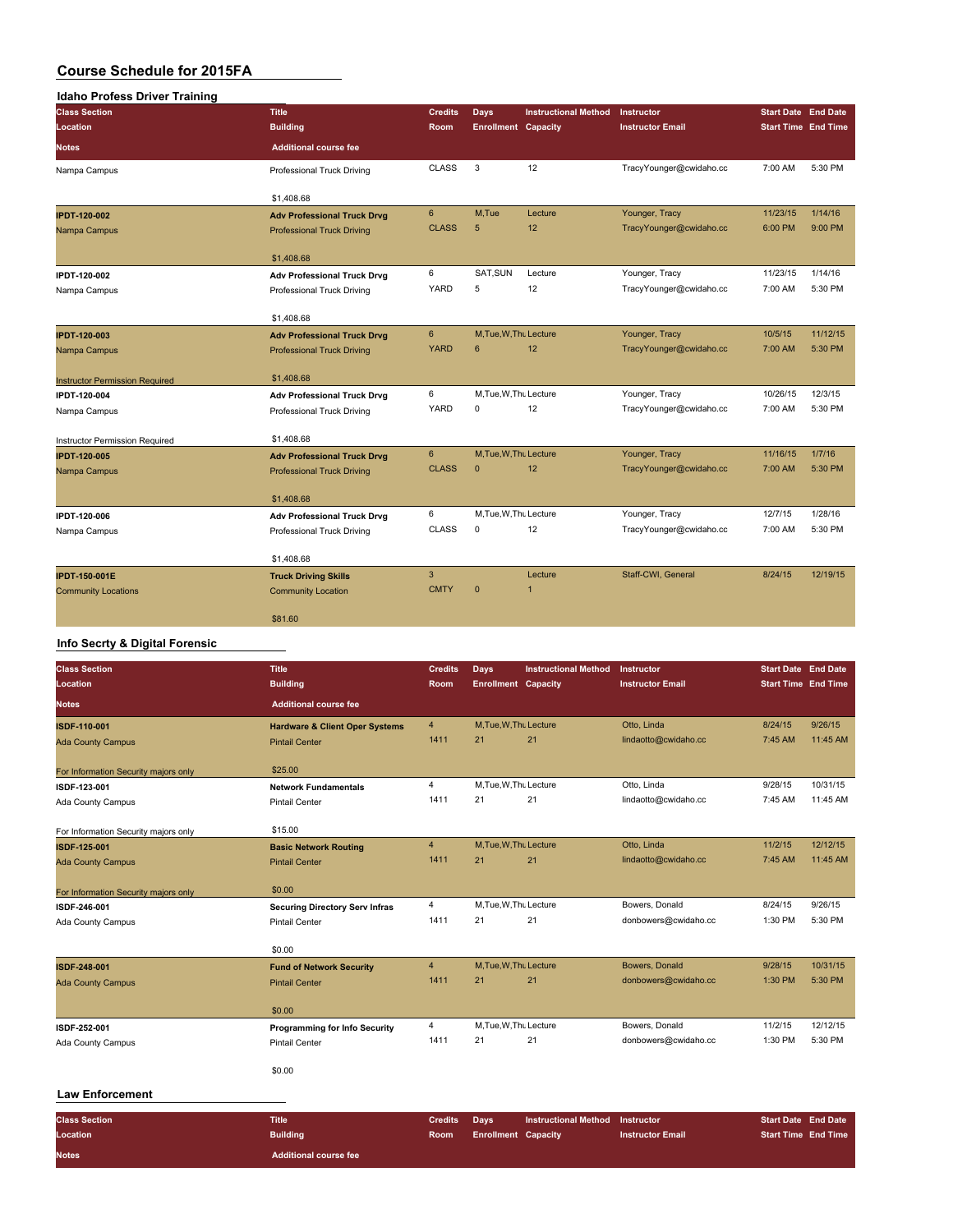| <b>Idaho Profess Driver Training</b>  |                                    |                |                            |                             |                         |          |                            |
|---------------------------------------|------------------------------------|----------------|----------------------------|-----------------------------|-------------------------|----------|----------------------------|
| <b>Class Section</b>                  | <b>Title</b>                       | <b>Credits</b> | Days                       | <b>Instructional Method</b> | Instructor              |          | <b>Start Date End Date</b> |
| Location                              | <b>Building</b>                    | Room           | <b>Enrollment Capacity</b> |                             | <b>Instructor Email</b> |          | <b>Start Time End Time</b> |
| <b>Notes</b>                          | <b>Additional course fee</b>       |                |                            |                             |                         |          |                            |
| Nampa Campus                          | Professional Truck Driving         | <b>CLASS</b>   | 3                          | 12                          | TracyYounger@cwidaho.cc | 7:00 AM  | 5:30 PM                    |
|                                       | \$1,408.68                         |                |                            |                             |                         |          |                            |
| <b>IPDT-120-002</b>                   | <b>Adv Professional Truck Drvg</b> | $6\phantom{.}$ | M.Tue                      | Lecture                     | Younger, Tracy          | 11/23/15 | 1/14/16                    |
| Nampa Campus                          | <b>Professional Truck Driving</b>  | <b>CLASS</b>   | 5                          | 12                          | TracyYounger@cwidaho.cc | 6:00 PM  | 9:00 PM                    |
|                                       | \$1,408.68                         |                |                            |                             |                         |          |                            |
| IPDT-120-002                          | <b>Adv Professional Truck Drvg</b> | 6              | SAT, SUN                   | Lecture                     | Younger, Tracy          | 11/23/15 | 1/14/16                    |
| Nampa Campus                          | Professional Truck Driving         | <b>YARD</b>    | 5                          | 12                          | TracyYounger@cwidaho.cc | 7:00 AM  | 5:30 PM                    |
|                                       | \$1,408.68                         |                |                            |                             |                         |          |                            |
| <b>IPDT-120-003</b>                   | <b>Adv Professional Truck Drvg</b> | $6\phantom{1}$ | M, Tue, W, Thu Lecture     |                             | Younger, Tracy          | 10/5/15  | 11/12/15                   |
| Nampa Campus                          | <b>Professional Truck Driving</b>  | <b>YARD</b>    | 6                          | 12                          | TracyYounger@cwidaho.cc | 7:00 AM  | 5:30 PM                    |
| <b>Instructor Permission Required</b> | \$1,408.68                         |                |                            |                             |                         |          |                            |
| IPDT-120-004                          | <b>Adv Professional Truck Drvg</b> | 6              | M, Tue, W, Thu Lecture     |                             | Younger, Tracy          | 10/26/15 | 12/3/15                    |
| Nampa Campus                          | Professional Truck Driving         | <b>YARD</b>    | 0                          | 12                          | TracyYounger@cwidaho.cc | 7:00 AM  | 5:30 PM                    |
| Instructor Permission Required        | \$1,408.68                         |                |                            |                             |                         |          |                            |
| <b>IPDT-120-005</b>                   | <b>Adv Professional Truck Drvg</b> | 6              | M, Tue, W, Thu Lecture     |                             | Younger, Tracy          | 11/16/15 | 1/7/16                     |
| Nampa Campus                          | <b>Professional Truck Driving</b>  | <b>CLASS</b>   | $\mathbf{0}$               | 12                          | TracyYounger@cwidaho.cc | 7:00 AM  | 5:30 PM                    |
|                                       | \$1,408.68                         |                |                            |                             |                         |          |                            |
| IPDT-120-006                          | <b>Adv Professional Truck Drvg</b> | 6              | M, Tue, W, Thu Lecture     |                             | Younger, Tracy          | 12/7/15  | 1/28/16                    |
| Nampa Campus                          | Professional Truck Driving         | <b>CLASS</b>   | $\mathbf 0$                | 12                          | TracyYounger@cwidaho.cc | 7:00 AM  | 5:30 PM                    |
|                                       | \$1,408.68                         |                |                            |                             |                         |          |                            |
| <b>IPDT-150-001E</b>                  | <b>Truck Driving Skills</b>        | $\overline{3}$ |                            | Lecture                     | Staff-CWI, General      | 8/24/15  | 12/19/15                   |
| <b>Community Locations</b>            | <b>Community Location</b>          | <b>CMTY</b>    | $\mathbf{0}$               | 1                           |                         |          |                            |
|                                       | \$81.60                            |                |                            |                             |                         |          |                            |

#### **Info Secrty & Digital Forensic**

**Notes Additional course fee**

| <b>Class Section</b>                 | <b>Title</b>                              | <b>Credits</b> | Days                       | <b>Instructional Method</b> | <b>Instructor</b>       | <b>Start Date End Date</b> |          |
|--------------------------------------|-------------------------------------------|----------------|----------------------------|-----------------------------|-------------------------|----------------------------|----------|
| Location                             | <b>Building</b>                           | Room           | <b>Enrollment Capacity</b> |                             | <b>Instructor Email</b> | <b>Start Time End Time</b> |          |
| <b>Notes</b>                         | <b>Additional course fee</b>              |                |                            |                             |                         |                            |          |
| ISDF-110-001                         | <b>Hardware &amp; Client Oper Systems</b> | $\overline{4}$ | M, Tue, W, Thu Lecture     |                             | Otto, Linda             | 8/24/15                    | 9/26/15  |
| <b>Ada County Campus</b>             | <b>Pintail Center</b>                     | 1411           | 21                         | 21                          | lindaotto@cwidaho.cc    | 7:45 AM                    | 11:45 AM |
| For Information Security majors only | \$25.00                                   |                |                            |                             |                         |                            |          |
| ISDF-123-001                         | <b>Network Fundamentals</b>               | $\overline{4}$ | M.Tue, W.Thu Lecture       |                             | Otto, Linda             | 9/28/15                    | 10/31/15 |
| Ada County Campus                    | <b>Pintail Center</b>                     | 1411           | 21                         | 21                          | lindaotto@cwidaho.cc    | 7:45 AM                    | 11:45 AM |
| For Information Security majors only | \$15.00                                   |                |                            |                             |                         |                            |          |
| ISDF-125-001                         | <b>Basic Network Routing</b>              | $\overline{4}$ | M.Tue.W.Thu Lecture        |                             | Otto, Linda             | 11/2/15                    | 12/12/15 |
| <b>Ada County Campus</b>             | <b>Pintail Center</b>                     | 1411           | 21                         | 21                          | lindaotto@cwidaho.cc    | 7:45 AM                    | 11:45 AM |
| For Information Security majors only | \$0.00                                    |                |                            |                             |                         |                            |          |
| ISDF-246-001                         | <b>Securing Directory Serv Infras</b>     | $\overline{4}$ | M.Tue, W.Thu Lecture       |                             | Bowers, Donald          | 8/24/15                    | 9/26/15  |
| Ada County Campus                    | <b>Pintail Center</b>                     | 1411           | 21                         | 21                          | donbowers@cwidaho.cc    | 1:30 PM                    | 5:30 PM  |
|                                      | \$0.00                                    |                |                            |                             |                         |                            |          |
| ISDF-248-001                         | <b>Fund of Network Security</b>           | $\overline{4}$ | M.Tue, W.Thu Lecture       |                             | Bowers, Donald          | 9/28/15                    | 10/31/15 |
| <b>Ada County Campus</b>             | <b>Pintail Center</b>                     | 1411           | 21                         | 21                          | donbowers@cwidaho.cc    | 1:30 PM                    | 5:30 PM  |
|                                      | \$0.00                                    |                |                            |                             |                         |                            |          |
| ISDF-252-001                         | <b>Programming for Info Security</b>      | $\overline{4}$ | M.Tue, W.Thu Lecture       |                             | Bowers, Donald          | 11/2/15                    | 12/12/15 |
| Ada County Campus                    | <b>Pintail Center</b>                     | 1411           | 21                         | 21                          | donbowers@cwidaho.cc    | 1:30 PM                    | 5:30 PM  |
|                                      | \$0.00                                    |                |                            |                             |                         |                            |          |
| <b>Law Enforcement</b>               |                                           |                |                            |                             |                         |                            |          |
| <b>Class Section</b>                 | <b>Title</b>                              | <b>Credits</b> | Days                       | <b>Instructional Method</b> | Instructor              | <b>Start Date End Date</b> |          |
| Location                             | <b>Building</b>                           | Room           | <b>Enrollment Capacity</b> |                             | <b>Instructor Email</b> | <b>Start Time End Time</b> |          |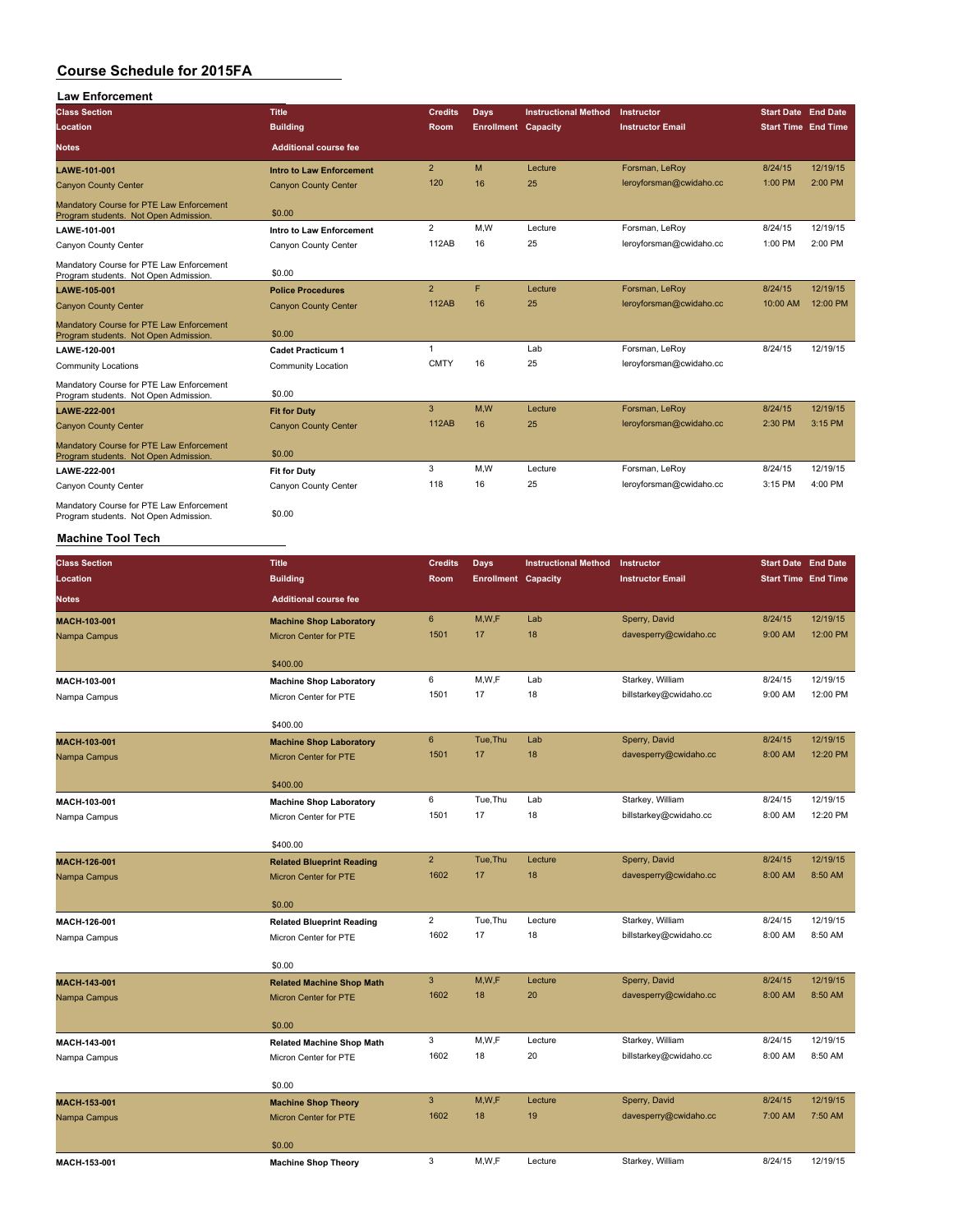| <b>Law Enforcement</b>                                                            |                                                         |                |                            |                             |                                            |                            |                      |
|-----------------------------------------------------------------------------------|---------------------------------------------------------|----------------|----------------------------|-----------------------------|--------------------------------------------|----------------------------|----------------------|
| <b>Class Section</b>                                                              | <b>Title</b>                                            | <b>Credits</b> | <b>Days</b>                | <b>Instructional Method</b> | Instructor                                 | <b>Start Date End Date</b> |                      |
| Location                                                                          | <b>Building</b>                                         | Room           | <b>Enrollment Capacity</b> |                             | <b>Instructor Email</b>                    | <b>Start Time End Time</b> |                      |
|                                                                                   |                                                         |                |                            |                             |                                            |                            |                      |
| <b>Notes</b>                                                                      | <b>Additional course fee</b>                            |                |                            |                             |                                            |                            |                      |
| LAWE-101-001                                                                      | <b>Intro to Law Enforcement</b>                         | $\overline{2}$ | M                          | Lecture                     | Forsman, LeRoy                             | 8/24/15                    | 12/19/15             |
| <b>Canyon County Center</b>                                                       | <b>Canyon County Center</b>                             | 120            | 16                         | 25                          | leroyforsman@cwidaho.cc                    | 1:00 PM                    | 2:00 PM              |
| Mandatory Course for PTE Law Enforcement<br>Program students. Not Open Admission  | \$0.00                                                  |                |                            |                             |                                            |                            |                      |
| LAWE-101-001                                                                      | Intro to Law Enforcement                                | $\overline{2}$ | M, W                       | Lecture                     | Forsman, LeRoy                             | 8/24/15                    | 12/19/15             |
| Canyon County Center                                                              | Canyon County Center                                    | 112AB          | 16                         | 25                          | leroyforsman@cwidaho.cc                    | 1:00 PM                    | 2:00 PM              |
| Mandatory Course for PTE Law Enforcement                                          |                                                         |                |                            |                             |                                            |                            |                      |
| Program students. Not Open Admission                                              | \$0.00                                                  | $\overline{2}$ | F                          | Lecture                     |                                            | 8/24/15                    | 12/19/15             |
| LAWE-105-001<br><b>Canyon County Center</b>                                       | <b>Police Procedures</b><br><b>Canyon County Center</b> | <b>112AB</b>   | 16                         | 25                          | Forsman, LeRoy<br>leroyforsman@cwidaho.cc  | 10:00 AM                   | 12:00 PM             |
| Mandatory Course for PTE Law Enforcement                                          |                                                         |                |                            |                             |                                            |                            |                      |
| Program students. Not Open Admission                                              | \$0.00                                                  |                |                            |                             |                                            |                            |                      |
| <b>LAWE-120-001</b>                                                               | <b>Cadet Practicum 1</b>                                | $\mathbf{1}$   |                            | Lab                         | Forsman, LeRoy                             | 8/24/15                    | 12/19/15             |
| Community Locations                                                               | Community Location                                      | <b>CMTY</b>    | 16                         | 25                          | leroyforsman@cwidaho.cc                    |                            |                      |
| Mandatory Course for PTE Law Enforcement<br>Program students. Not Open Admission. | \$0.00                                                  |                |                            |                             |                                            |                            |                      |
| <b>LAWE-222-001</b>                                                               | <b>Fit for Duty</b>                                     | $\mathbf{3}$   | M,W                        | Lecture                     | Forsman, LeRoy                             | 8/24/15                    | 12/19/15             |
| <b>Canyon County Center</b>                                                       | <b>Canyon County Center</b>                             | <b>112AB</b>   | 16                         | 25                          | leroyforsman@cwidaho.cc                    | 2:30 PM                    | 3:15 PM              |
| Mandatory Course for PTE Law Enforcement                                          |                                                         |                |                            |                             |                                            |                            |                      |
| Program students. Not Open Admission                                              | \$0.00                                                  |                |                            |                             |                                            |                            |                      |
| LAWE-222-001                                                                      | <b>Fit for Duty</b>                                     | 3              | M, W                       | Lecture                     | Forsman, LeRoy                             | 8/24/15                    | 12/19/15             |
| Canyon County Center                                                              | Canyon County Center                                    | 118            | 16                         | 25                          | leroyforsman@cwidaho.cc                    | 3:15 PM                    | 4:00 PM              |
| Mandatory Course for PTE Law Enforcement<br>Program students. Not Open Admission. | \$0.00                                                  |                |                            |                             |                                            |                            |                      |
| <b>Machine Tool Tech</b>                                                          |                                                         |                |                            |                             |                                            |                            |                      |
| <b>Class Section</b>                                                              | <b>Title</b>                                            | <b>Credits</b> | <b>Days</b>                | <b>Instructional Method</b> | Instructor                                 | <b>Start Date End Date</b> |                      |
| Location                                                                          | <b>Building</b>                                         | Room           | <b>Enrollment Capacity</b> |                             | <b>Instructor Email</b>                    | <b>Start Time End Time</b> |                      |
| Notes                                                                             | <b>Additional course fee</b>                            |                |                            |                             |                                            |                            |                      |
|                                                                                   |                                                         |                |                            |                             |                                            |                            |                      |
| MACH-103-001                                                                      | <b>Machine Shop Laboratory</b>                          | 6              | M, W, F                    | Lab                         | Sperry, David                              | 8/24/15                    | 12/19/15             |
| Nampa Campus                                                                      | Micron Center for PTE                                   | 1501           | 17                         | 18                          | davesperry@cwidaho.cc                      | 9:00 AM                    | 12:00 PM             |
|                                                                                   |                                                         |                |                            |                             |                                            |                            |                      |
|                                                                                   | \$400.00                                                | 6              |                            |                             |                                            |                            |                      |
| MACH-103-001                                                                      | <b>Machine Shop Laboratory</b>                          | 1501           | M,W,F<br>17                | Lab<br>18                   | Starkey, William<br>billstarkey@cwidaho.cc | 8/24/15<br>9:00 AM         | 12/19/15<br>12:00 PM |
| Nampa Campus                                                                      | Micron Center for PTE                                   |                |                            |                             |                                            |                            |                      |
|                                                                                   | \$400.00                                                |                |                            |                             |                                            |                            |                      |
| MACH-103-001                                                                      | <b>Machine Shop Laboratory</b>                          | 6              | Tue, Thu                   | Lab                         | Sperry, David                              | 8/24/15                    | 12/19/15             |
| Nampa Campus                                                                      | <b>Micron Center for PTE</b>                            | 1501           | 17                         | 18                          | davesperry@cwidaho.cc                      | 8:00 AM                    | 12:20 PM             |
|                                                                                   |                                                         |                |                            |                             |                                            |                            |                      |
|                                                                                   | \$400.00                                                |                |                            |                             |                                            |                            |                      |
| MACH-103-001                                                                      | <b>Machine Shop Laboratory</b>                          | 6              | Tue, Thu                   | Lab                         | Starkey, William                           | 8/24/15                    | 12/19/15             |
| Nampa Campus                                                                      | Micron Center for PTE                                   | 1501           | 17                         | 18                          | billstarkey@cwidaho.cc                     | 8:00 AM                    | 12:20 PM             |
|                                                                                   |                                                         |                |                            |                             |                                            |                            |                      |
|                                                                                   | \$400.00                                                |                |                            |                             |                                            |                            |                      |
| MACH-126-001                                                                      | <b>Related Blueprint Reading</b>                        | $\overline{2}$ | Tue, Thu                   | Lecture                     | Sperry, David                              | 8/24/15                    | 12/19/15             |
| Nampa Campus                                                                      | Micron Center for PTE                                   | 1602           | 17                         | 18                          | davesperry@cwidaho.cc                      | 8:00 AM                    | 8:50 AM              |
|                                                                                   | \$0.00                                                  |                |                            |                             |                                            |                            |                      |
|                                                                                   |                                                         | $\overline{2}$ | Tue, Thu                   | Lecture                     | Starkey, William                           | 8/24/15                    | 12/19/15             |
| MACH-126-001                                                                      | <b>Related Blueprint Reading</b>                        | 1602           | 17                         | 18                          | billstarkey@cwidaho.cc                     | 8:00 AM                    | 8:50 AM              |
| Nampa Campus                                                                      | Micron Center for PTE                                   |                |                            |                             |                                            |                            |                      |
|                                                                                   | \$0.00                                                  |                |                            |                             |                                            |                            |                      |
| MACH-143-001                                                                      | <b>Related Machine Shop Math</b>                        | 3              | M,W,F                      | Lecture                     | Sperry, David                              | 8/24/15                    | 12/19/15             |
| Nampa Campus                                                                      | Micron Center for PTE                                   | 1602           | 18                         | 20                          | davesperry@cwidaho.cc                      | 8:00 AM                    | 8:50 AM              |
|                                                                                   |                                                         |                |                            |                             |                                            |                            |                      |
|                                                                                   | \$0.00                                                  |                |                            |                             |                                            |                            |                      |
| MACH-143-001                                                                      | <b>Related Machine Shop Math</b>                        | $\mathbf{3}$   | M,W,F                      | Lecture                     | Starkey, William                           | 8/24/15                    | 12/19/15             |
| Nampa Campus                                                                      | Micron Center for PTE                                   | 1602           | 18                         | 20                          | billstarkey@cwidaho.cc                     | 8:00 AM                    | 8:50 AM              |
|                                                                                   |                                                         |                |                            |                             |                                            |                            |                      |
|                                                                                   | \$0.00                                                  |                |                            |                             |                                            |                            |                      |
| MACH-153-001                                                                      | <b>Machine Shop Theory</b>                              | $\mathbf{3}$   | M,W,F                      | Lecture                     | Sperry, David                              | 8/24/15                    | 12/19/15             |
| Nampa Campus                                                                      | Micron Center for PTE                                   | 1602           | 18                         | 19                          | davesperry@cwidaho.cc                      | 7:00 AM                    | 7:50 AM              |

**MACH-153-001 Machine Shop Theory** 3 M,W,F Lecture Starkey, William 8/24/15 12/19/15

\$0.00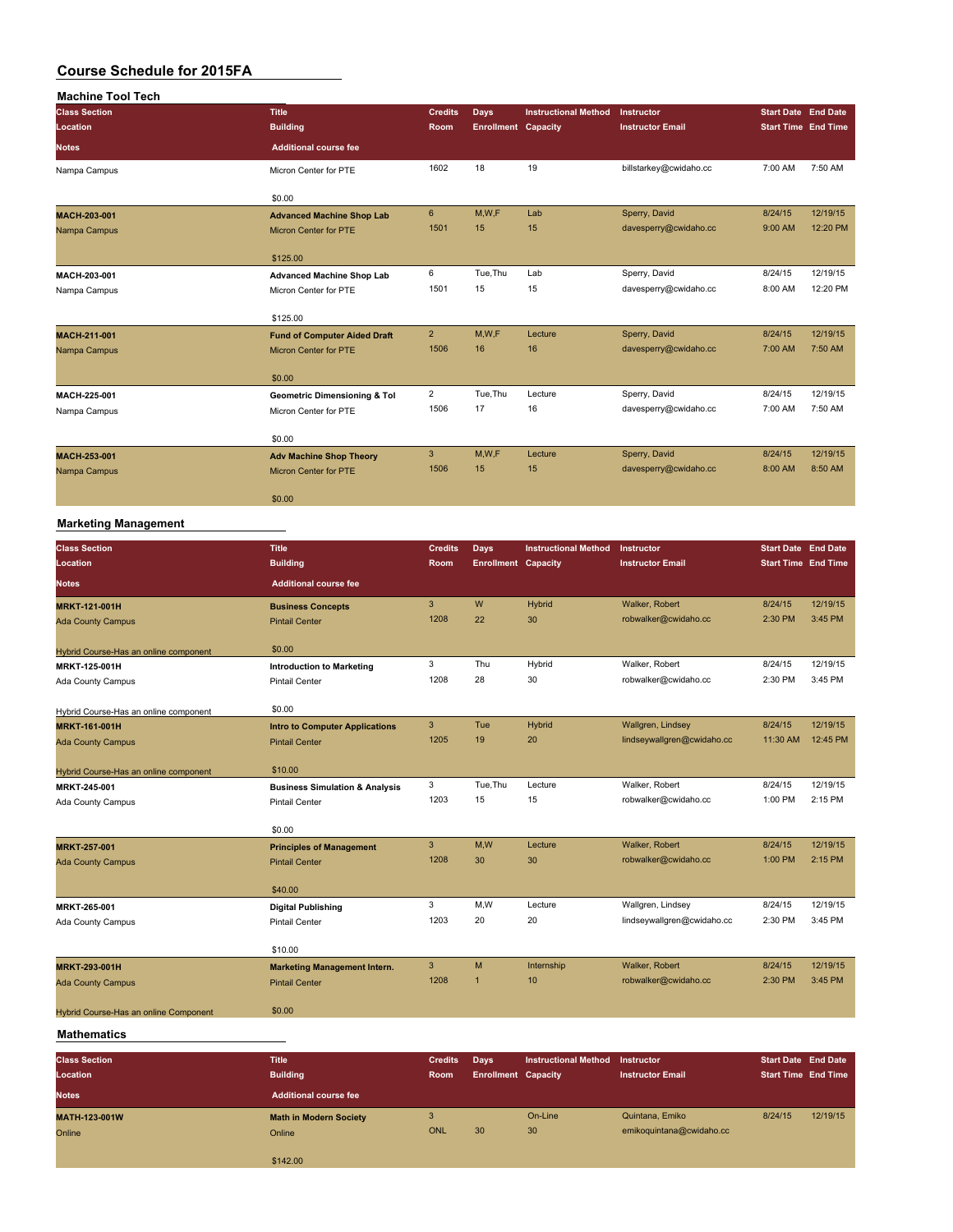| <b>Machine Tool Tech</b> |                                         |                |                            |                             |                         |                            |          |
|--------------------------|-----------------------------------------|----------------|----------------------------|-----------------------------|-------------------------|----------------------------|----------|
| <b>Class Section</b>     | <b>Title</b>                            | <b>Credits</b> | Days                       | <b>Instructional Method</b> | Instructor              | <b>Start Date End Date</b> |          |
| Location                 | <b>Building</b>                         | Room           | <b>Enrollment Capacity</b> |                             | <b>Instructor Email</b> | <b>Start Time End Time</b> |          |
| <b>Notes</b>             | <b>Additional course fee</b>            |                |                            |                             |                         |                            |          |
| Nampa Campus             | Micron Center for PTE                   | 1602           | 18                         | 19                          | billstarkey@cwidaho.cc  | 7:00 AM                    | 7:50 AM  |
|                          | \$0.00                                  |                |                            |                             |                         |                            |          |
| MACH-203-001             | <b>Advanced Machine Shop Lab</b>        | 6              | M,W,F                      | Lab                         | Sperry, David           | 8/24/15                    | 12/19/15 |
| Nampa Campus             | <b>Micron Center for PTE</b>            | 1501           | 15                         | 15                          | davesperry@cwidaho.cc   | 9:00 AM                    | 12:20 PM |
|                          | \$125.00                                |                |                            |                             |                         |                            |          |
| MACH-203-001             | <b>Advanced Machine Shop Lab</b>        | 6              | Tue, Thu                   | Lab                         | Sperry, David           | 8/24/15                    | 12/19/15 |
| Nampa Campus             | Micron Center for PTE                   | 1501           | 15                         | 15                          | davesperry@cwidaho.cc   | 8:00 AM                    | 12:20 PM |
|                          | \$125.00                                |                |                            |                             |                         |                            |          |
| MACH-211-001             | <b>Fund of Computer Aided Draft</b>     | $\overline{2}$ | M,W,F                      | Lecture                     | Sperry, David           | 8/24/15                    | 12/19/15 |
| Nampa Campus             | <b>Micron Center for PTE</b>            | 1506           | 16                         | 16                          | davesperry@cwidaho.cc   | 7:00 AM                    | 7:50 AM  |
|                          | \$0.00                                  |                |                            |                             |                         |                            |          |
| MACH-225-001             | <b>Geometric Dimensioning &amp; Tol</b> | $\overline{2}$ | Tue, Thu                   | Lecture                     | Sperry, David           | 8/24/15                    | 12/19/15 |
| Nampa Campus             | Micron Center for PTE                   | 1506           | 17                         | 16                          | davesperry@cwidaho.cc   | 7:00 AM                    | 7:50 AM  |
|                          | \$0.00                                  |                |                            |                             |                         |                            |          |
| MACH-253-001             | <b>Adv Machine Shop Theory</b>          | 3              | M, W, F                    | Lecture                     | Sperry, David           | 8/24/15                    | 12/19/15 |
| Nampa Campus             | <b>Micron Center for PTE</b>            | 1506           | 15                         | 15                          | davesperry@cwidaho.cc   | 8:00 AM                    | 8:50 AM  |
|                          | \$0.00                                  |                |                            |                             |                         |                            |          |

#### **Marketing Management**

| <b>Class Section</b>                  | <b>Title</b>                              | <b>Credits</b> | Days                       | <b>Instructional Method</b> | Instructor                 | <b>Start Date End Date</b> |          |
|---------------------------------------|-------------------------------------------|----------------|----------------------------|-----------------------------|----------------------------|----------------------------|----------|
| Location                              | <b>Building</b>                           | Room           | <b>Enrollment Capacity</b> |                             | <b>Instructor Email</b>    | <b>Start Time End Time</b> |          |
| <b>Notes</b>                          | <b>Additional course fee</b>              |                |                            |                             |                            |                            |          |
| <b>MRKT-121-001H</b>                  | <b>Business Concepts</b>                  | 3              | W                          | Hybrid                      | Walker, Robert             | 8/24/15                    | 12/19/15 |
| <b>Ada County Campus</b>              | <b>Pintail Center</b>                     | 1208           | 22                         | 30                          | robwalker@cwidaho.cc       | 2:30 PM                    | 3:45 PM  |
| Hybrid Course-Has an online component | \$0.00                                    |                |                            |                             |                            |                            |          |
| MRKT-125-001H                         | <b>Introduction to Marketing</b>          | 3              | Thu                        | Hybrid                      | Walker, Robert             | 8/24/15                    | 12/19/15 |
| Ada County Campus                     | <b>Pintail Center</b>                     | 1208           | 28                         | 30                          | robwalker@cwidaho.cc       | 2:30 PM                    | 3:45 PM  |
|                                       |                                           |                |                            |                             |                            |                            |          |
| Hybrid Course-Has an online component | \$0.00                                    |                |                            |                             |                            |                            |          |
| <b>MRKT-161-001H</b>                  | <b>Intro to Computer Applications</b>     | $\mathbf{3}$   | Tue                        | Hybrid                      | Wallgren, Lindsey          | 8/24/15                    | 12/19/15 |
| <b>Ada County Campus</b>              | <b>Pintail Center</b>                     | 1205           | 19                         | 20                          | lindseywallgren@cwidaho.cc | 11:30 AM                   | 12:45 PM |
|                                       |                                           |                |                            |                             |                            |                            |          |
| Hybrid Course-Has an online component | \$10.00                                   |                |                            |                             |                            |                            |          |
| MRKT-245-001                          | <b>Business Simulation &amp; Analysis</b> | 3              | Tue, Thu                   | Lecture                     | Walker, Robert             | 8/24/15                    | 12/19/15 |
| Ada County Campus                     | <b>Pintail Center</b>                     | 1203           | 15                         | 15                          | robwalker@cwidaho.cc       | 1:00 PM                    | 2:15 PM  |
|                                       |                                           |                |                            |                             |                            |                            |          |
|                                       | \$0.00                                    |                |                            |                             |                            |                            |          |
| <b>MRKT-257-001</b>                   | <b>Principles of Management</b>           | 3              | M,W                        | Lecture                     | Walker, Robert             | 8/24/15                    | 12/19/15 |
| <b>Ada County Campus</b>              | <b>Pintail Center</b>                     | 1208           | 30                         | 30                          | robwalker@cwidaho.cc       | 1:00 PM                    | 2:15 PM  |
|                                       |                                           |                |                            |                             |                            |                            |          |
|                                       | \$40.00                                   |                |                            |                             |                            |                            |          |
| MRKT-265-001                          | <b>Digital Publishing</b>                 | 3              | M, W                       | Lecture                     | Wallgren, Lindsey          | 8/24/15                    | 12/19/15 |
| Ada County Campus                     | <b>Pintail Center</b>                     | 1203           | 20                         | 20                          | lindseywallgren@cwidaho.cc | 2:30 PM                    | 3:45 PM  |
|                                       | \$10.00                                   |                |                            |                             |                            |                            |          |
| MRKT-293-001H                         | <b>Marketing Management Intern.</b>       | 3              | M                          | Internship                  | Walker, Robert             | 8/24/15                    | 12/19/15 |
| <b>Ada County Campus</b>              | <b>Pintail Center</b>                     | 1208           | $\mathbf{1}$               | 10                          | robwalker@cwidaho.cc       | 2:30 PM                    | 3:45 PM  |
|                                       |                                           |                |                            |                             |                            |                            |          |
| Hybrid Course-Has an online Component | \$0.00                                    |                |                            |                             |                            |                            |          |

#### **Mathematics**

| <b>Class Section</b><br>Location<br><b>Notes</b> | <b>Title</b><br><b>Building</b><br>Additional course fee | <b>Credits</b><br><b>Room</b> | Days<br><b>Enrollment Capacity</b> | <b>Instructional Method</b> | Instructor<br><b>Instructor Email</b>       | <b>Start Date End Date</b><br><b>Start Time End Time</b> |          |
|--------------------------------------------------|----------------------------------------------------------|-------------------------------|------------------------------------|-----------------------------|---------------------------------------------|----------------------------------------------------------|----------|
| MATH-123-001W<br>Online                          | <b>Math in Modern Society</b><br>Online                  | <b>ONL</b>                    | 30                                 | On-Line<br>30               | Quintana, Emiko<br>emikoguintana@cwidaho.cc | 8/24/15                                                  | 12/19/15 |
|                                                  | \$142.00                                                 |                               |                                    |                             |                                             |                                                          |          |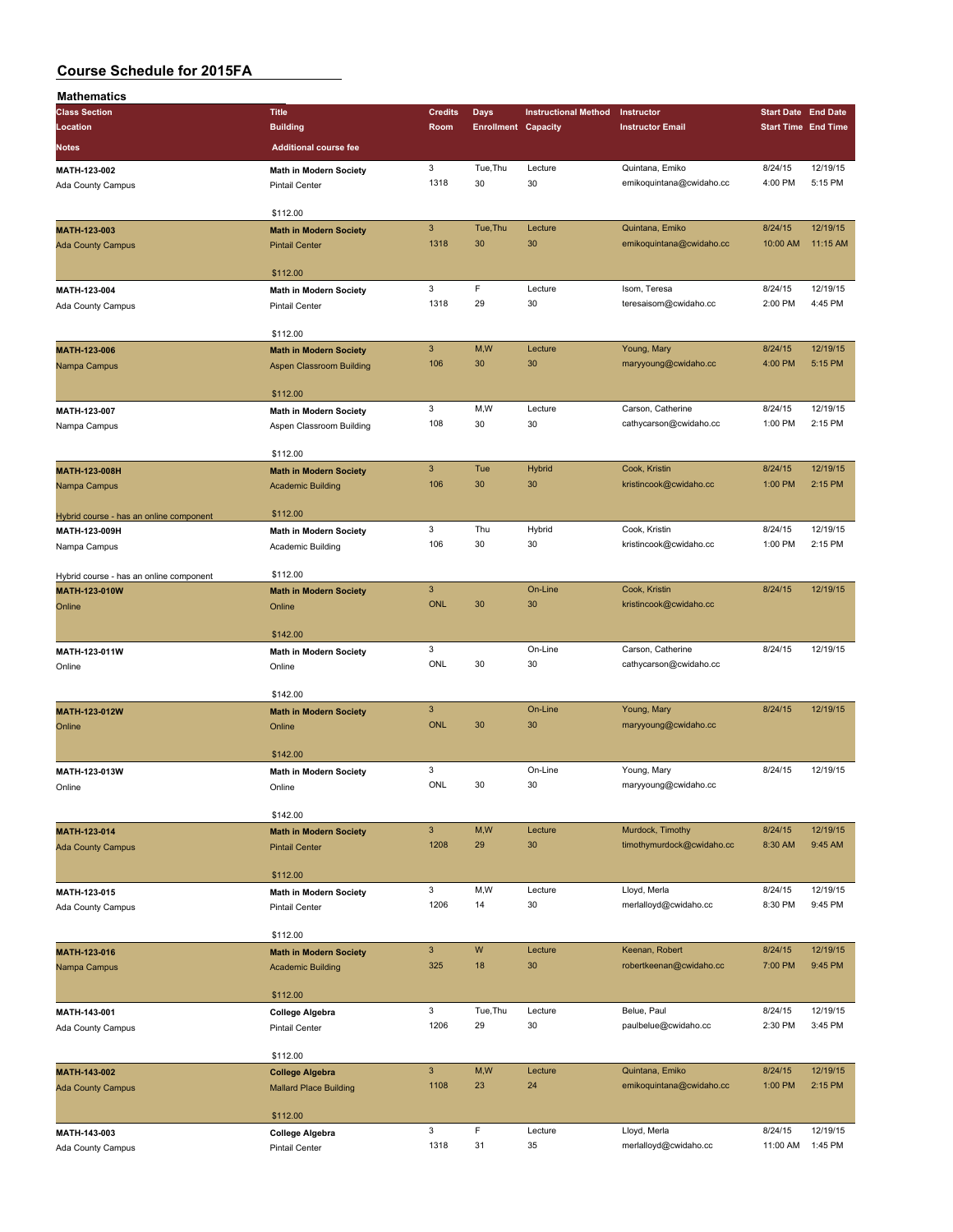| Mathematics                                              |                                                    |                           |                            |                             |                                             |                            |                     |
|----------------------------------------------------------|----------------------------------------------------|---------------------------|----------------------------|-----------------------------|---------------------------------------------|----------------------------|---------------------|
| <b>Class Section</b>                                     | <b>Title</b>                                       | <b>Credits</b>            | <b>Days</b>                | <b>Instructional Method</b> | Instructor                                  | <b>Start Date End Date</b> |                     |
| Location                                                 | <b>Building</b>                                    | Room                      | <b>Enrollment Capacity</b> |                             | <b>Instructor Email</b>                     | <b>Start Time End Time</b> |                     |
| Notes                                                    | <b>Additional course fee</b>                       |                           |                            |                             |                                             |                            |                     |
|                                                          |                                                    |                           |                            |                             |                                             |                            |                     |
| MATH-123-002                                             | <b>Math in Modern Society</b>                      | 3<br>1318                 | Tue, Thu<br>30             | Lecture<br>30               | Quintana, Emiko<br>emikoguintana@cwidaho.cc | 8/24/15<br>4:00 PM         | 12/19/15<br>5:15 PM |
| Ada County Campus                                        | <b>Pintail Center</b>                              |                           |                            |                             |                                             |                            |                     |
|                                                          | \$112.00                                           |                           |                            |                             |                                             |                            |                     |
| MATH-123-003                                             | <b>Math in Modern Society</b>                      | $\mathbf{3}$              | Tue, Thu                   | Lecture                     | Quintana, Emiko                             | 8/24/15                    | 12/19/15            |
| <b>Ada County Campus</b>                                 | <b>Pintail Center</b>                              | 1318                      | 30                         | 30                          | emikoquintana@cwidaho.cc                    | 10:00 AM                   | 11:15 AM            |
|                                                          |                                                    |                           |                            |                             |                                             |                            |                     |
|                                                          | \$112.00                                           |                           |                            |                             |                                             |                            |                     |
| MATH-123-004                                             | <b>Math in Modern Society</b>                      | 3                         | F                          | Lecture                     | Isom, Teresa                                | 8/24/15                    | 12/19/15            |
| Ada County Campus                                        | <b>Pintail Center</b>                              | 1318                      | 29                         | 30                          | teresaisom@cwidaho.cc                       | 2:00 PM                    | 4:45 PM             |
|                                                          |                                                    |                           |                            |                             |                                             |                            |                     |
|                                                          | \$112.00                                           |                           |                            |                             |                                             |                            |                     |
| MATH-123-006                                             | <b>Math in Modern Society</b>                      | $\ensuremath{\mathsf{3}}$ | M,W                        | Lecture                     | Young, Mary                                 | 8/24/15                    | 12/19/15            |
| Nampa Campus                                             | Aspen Classroom Building                           | 106                       | 30                         | 30                          | maryyoung@cwidaho.cc                        | 4:00 PM                    | 5:15 PM             |
|                                                          |                                                    |                           |                            |                             |                                             |                            |                     |
|                                                          | \$112.00                                           |                           |                            |                             |                                             |                            |                     |
| MATH-123-007                                             | Math in Modern Society                             | 3                         | M,W                        | Lecture                     | Carson, Catherine                           | 8/24/15                    | 12/19/15            |
| Nampa Campus                                             | Aspen Classroom Building                           | 108                       | 30                         | 30                          | cathycarson@cwidaho.cc                      | 1:00 PM                    | 2:15 PM             |
|                                                          |                                                    |                           |                            |                             |                                             |                            |                     |
|                                                          | \$112.00                                           |                           |                            |                             |                                             |                            |                     |
| MATH-123-008H                                            | <b>Math in Modern Society</b>                      | $\mathbf{3}$<br>106       | Tue                        | <b>Hybrid</b>               | Cook, Kristin                               | 8/24/15                    | 12/19/15            |
| Nampa Campus                                             | <b>Academic Building</b>                           |                           | 30                         | 30                          | kristincook@cwidaho.cc                      | 1:00 PM                    | 2:15 PM             |
|                                                          | \$112.00                                           |                           |                            |                             |                                             |                            |                     |
| Hybrid course - has an online component<br>MATH-123-009H |                                                    | 3                         | Thu                        | Hybrid                      | Cook, Kristin                               | 8/24/15                    | 12/19/15            |
| Nampa Campus                                             | <b>Math in Modern Society</b><br>Academic Building | 106                       | 30                         | 30                          | kristincook@cwidaho.cc                      | 1:00 PM                    | 2:15 PM             |
|                                                          |                                                    |                           |                            |                             |                                             |                            |                     |
| Hybrid course - has an online component                  | \$112.00                                           |                           |                            |                             |                                             |                            |                     |
| MATH-123-010W                                            | <b>Math in Modern Society</b>                      | $\mathbf{3}$              |                            | On-Line                     | Cook, Kristin                               | 8/24/15                    | 12/19/15            |
| Online                                                   | Online                                             | <b>ONL</b>                | 30                         | 30                          | kristincook@cwidaho.cc                      |                            |                     |
|                                                          |                                                    |                           |                            |                             |                                             |                            |                     |
|                                                          | \$142.00                                           |                           |                            |                             |                                             |                            |                     |
| MATH-123-011W                                            | Math in Modern Society                             | 3                         |                            | On-Line                     | Carson, Catherine                           | 8/24/15                    | 12/19/15            |
| Online                                                   | Online                                             | ONL                       | 30                         | 30                          | cathycarson@cwidaho.cc                      |                            |                     |
|                                                          |                                                    |                           |                            |                             |                                             |                            |                     |
|                                                          | \$142.00                                           |                           |                            |                             |                                             |                            |                     |
| MATH-123-012W                                            | <b>Math in Modern Society</b>                      | $\overline{3}$            |                            | On-Line                     | Young, Mary                                 | 8/24/15                    | 12/19/15            |
| Online                                                   | Online                                             | <b>ONL</b>                | 30                         | 30                          | maryyoung@cwidaho.cc                        |                            |                     |
|                                                          |                                                    |                           |                            |                             |                                             |                            |                     |
|                                                          | \$142.00                                           |                           |                            |                             |                                             |                            |                     |
| MATH-123-013W                                            | <b>Math in Modern Society</b>                      | 3                         |                            | On-Line                     | Young, Mary                                 | 8/24/15                    | 12/19/15            |
| Online                                                   | Online                                             | ONL                       | 30                         | 30                          | maryyoung@cwidaho.cc                        |                            |                     |
|                                                          |                                                    |                           |                            |                             |                                             |                            |                     |
|                                                          | \$142.00                                           | $\mathbf{3}$              | M,W                        | Lecture                     | Murdock, Timothy                            | 8/24/15                    | 12/19/15            |
| MATH-123-014                                             | <b>Math in Modern Society</b>                      | 1208                      | 29                         | 30                          | timothymurdock@cwidaho.cc                   | 8:30 AM                    | 9:45 AM             |
| <b>Ada County Campus</b>                                 | <b>Pintail Center</b>                              |                           |                            |                             |                                             |                            |                     |
|                                                          | \$112.00                                           |                           |                            |                             |                                             |                            |                     |
| MATH-123-015                                             | <b>Math in Modern Society</b>                      | 3                         | M,W                        | Lecture                     | Lloyd, Merla                                | 8/24/15                    | 12/19/15            |
| Ada County Campus                                        | Pintail Center                                     | 1206                      | 14                         | 30                          | merlalloyd@cwidaho.cc                       | 8:30 PM                    | 9:45 PM             |
|                                                          |                                                    |                           |                            |                             |                                             |                            |                     |
|                                                          | \$112.00                                           |                           |                            |                             |                                             |                            |                     |
| MATH-123-016                                             | <b>Math in Modern Society</b>                      | $\mathbf{3}$              | W                          | Lecture                     | Keenan, Robert                              | 8/24/15                    | 12/19/15            |
| Nampa Campus                                             | <b>Academic Building</b>                           | 325                       | 18                         | 30                          | robertkeenan@cwidaho.cc                     | 7:00 PM                    | 9:45 PM             |
|                                                          |                                                    |                           |                            |                             |                                             |                            |                     |
|                                                          | \$112.00                                           |                           |                            |                             |                                             |                            |                     |
| MATH-143-001                                             | <b>College Algebra</b>                             | 3                         | Tue, Thu                   | Lecture                     | Belue, Paul                                 | 8/24/15                    | 12/19/15            |
| Ada County Campus                                        | Pintail Center                                     | 1206                      | 29                         | 30                          | paulbelue@cwidaho.cc                        | 2:30 PM                    | 3:45 PM             |
|                                                          |                                                    |                           |                            |                             |                                             |                            |                     |
|                                                          | \$112.00                                           |                           |                            |                             |                                             |                            |                     |
| MATH-143-002                                             | <b>College Algebra</b>                             | $\mathbf{3}$              | M,W                        | Lecture                     | Quintana, Emiko                             | 8/24/15                    | 12/19/15            |
| <b>Ada County Campus</b>                                 | <b>Mallard Place Building</b>                      | 1108                      | 23                         | 24                          | emikoquintana@cwidaho.cc                    | 1:00 PM                    | 2:15 PM             |
|                                                          |                                                    |                           |                            |                             |                                             |                            |                     |
|                                                          | \$112.00                                           |                           |                            |                             |                                             |                            |                     |
| MATH-143-003                                             | <b>College Algebra</b>                             | 3                         | F                          | Lecture                     | Lloyd, Merla                                | 8/24/15                    | 12/19/15            |
| Ada County Campus                                        | Pintail Center                                     | 1318                      | 31                         | 35                          | merlalloyd@cwidaho.cc                       | 11:00 AM                   | 1:45 PM             |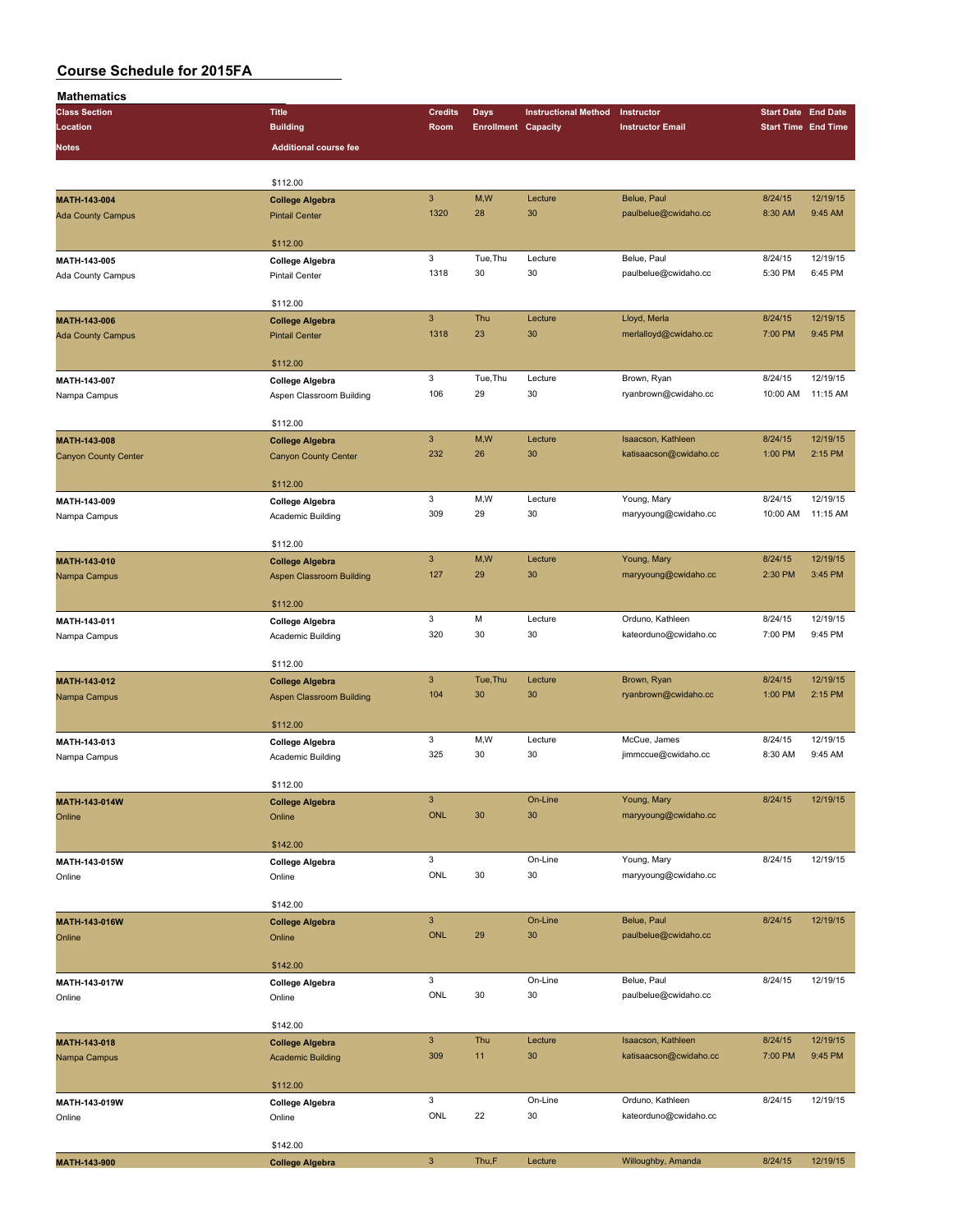| Mathematics                 |                                          |                           |                            |                             |                         |                            |                            |
|-----------------------------|------------------------------------------|---------------------------|----------------------------|-----------------------------|-------------------------|----------------------------|----------------------------|
| <b>Class Section</b>        | <b>Title</b>                             | <b>Credits</b>            | Days                       | <b>Instructional Method</b> | Instructor              | <b>Start Date End Date</b> |                            |
| Location                    | <b>Building</b>                          | Room                      | <b>Enrollment Capacity</b> |                             | <b>Instructor Email</b> |                            | <b>Start Time End Time</b> |
| Notes                       | <b>Additional course fee</b>             |                           |                            |                             |                         |                            |                            |
|                             |                                          |                           |                            |                             |                         |                            |                            |
|                             |                                          |                           |                            |                             |                         |                            |                            |
|                             | \$112.00                                 | $\mathsf 3$               | M,W                        | Lecture                     | Belue, Paul             | 8/24/15                    | 12/19/15                   |
| MATH-143-004                | <b>College Algebra</b>                   | 1320                      | 28                         | 30                          | paulbelue@cwidaho.cc    | 8:30 AM                    | 9:45 AM                    |
| <b>Ada County Campus</b>    | <b>Pintail Center</b>                    |                           |                            |                             |                         |                            |                            |
|                             | \$112.00                                 |                           |                            |                             |                         |                            |                            |
| MATH-143-005                |                                          | 3                         | Tue, Thu                   | Lecture                     | Belue, Paul             | 8/24/15                    | 12/19/15                   |
| Ada County Campus           | College Algebra<br><b>Pintail Center</b> | 1318                      | 30                         | 30                          | paulbelue@cwidaho.cc    | 5:30 PM                    | 6:45 PM                    |
|                             |                                          |                           |                            |                             |                         |                            |                            |
|                             | \$112.00                                 |                           |                            |                             |                         |                            |                            |
| MATH-143-006                | <b>College Algebra</b>                   | $\mathbf{3}$              | Thu                        | Lecture                     | Lloyd, Merla            | 8/24/15                    | 12/19/15                   |
| <b>Ada County Campus</b>    | <b>Pintail Center</b>                    | 1318                      | 23                         | 30                          | merlalloyd@cwidaho.cc   | 7:00 PM                    | 9:45 PM                    |
|                             |                                          |                           |                            |                             |                         |                            |                            |
|                             | \$112.00                                 |                           |                            |                             |                         |                            |                            |
| MATH-143-007                | <b>College Algebra</b>                   | 3                         | Tue, Thu                   | Lecture                     | Brown, Ryan             | 8/24/15                    | 12/19/15                   |
| Nampa Campus                | Aspen Classroom Building                 | 106                       | 29                         | 30                          | ryanbrown@cwidaho.cc    | 10:00 AM                   | 11:15 AM                   |
|                             |                                          |                           |                            |                             |                         |                            |                            |
|                             | \$112.00                                 |                           |                            |                             |                         |                            |                            |
| MATH-143-008                | <b>College Algebra</b>                   | $\mathbf{3}$              | M,W                        | Lecture                     | Isaacson, Kathleen      | 8/24/15                    | 12/19/15                   |
| <b>Canyon County Center</b> | <b>Canyon County Center</b>              | 232                       | 26                         | 30                          | katisaacson@cwidaho.cc  | 1:00 PM                    | 2:15 PM                    |
|                             |                                          |                           |                            |                             |                         |                            |                            |
|                             | \$112.00                                 |                           |                            |                             |                         |                            |                            |
| MATH-143-009                | College Algebra                          | 3                         | M,W                        | Lecture                     | Young, Mary             | 8/24/15                    | 12/19/15                   |
| Nampa Campus                | Academic Building                        | 309                       | 29                         | 30                          | maryyoung@cwidaho.cc    | 10:00 AM                   | 11:15 AM                   |
|                             |                                          |                           |                            |                             |                         |                            |                            |
|                             | \$112.00                                 |                           |                            |                             |                         |                            |                            |
| <b>MATH-143-010</b>         | <b>College Algebra</b>                   | $\ensuremath{\mathsf{3}}$ | M,W                        | Lecture                     | Young, Mary             | 8/24/15                    | 12/19/15                   |
| Nampa Campus                | Aspen Classroom Building                 | 127                       | 29                         | 30                          | maryyoung@cwidaho.cc    | 2:30 PM                    | 3:45 PM                    |
|                             |                                          |                           |                            |                             |                         |                            |                            |
|                             | \$112.00                                 |                           |                            |                             |                         |                            |                            |
| MATH-143-011                | College Algebra                          | 3                         | M                          | Lecture                     | Orduno, Kathleen        | 8/24/15                    | 12/19/15                   |
| Nampa Campus                | Academic Building                        | 320                       | 30                         | 30                          | kateorduno@cwidaho.cc   | 7:00 PM                    | 9:45 PM                    |
|                             |                                          |                           |                            |                             |                         |                            |                            |
|                             | \$112.00                                 |                           |                            |                             |                         |                            |                            |
| MATH-143-012                | <b>College Algebra</b>                   | $\mathbf{3}$              | Tue, Thu                   | Lecture                     | Brown, Ryan             | 8/24/15                    | 12/19/15                   |
| Nampa Campus                | <b>Aspen Classroom Building</b>          | 104                       | 30                         | 30                          | ryanbrown@cwidaho.cc    | 1:00 PM                    | 2:15 PM                    |
|                             |                                          |                           |                            |                             |                         |                            |                            |
|                             | \$112.00                                 |                           |                            |                             |                         |                            | 12/19/15                   |
| MATH-143-013                | College Algebra                          | 3                         | M,W                        | Lecture                     | McCue, James            | 8/24/15                    |                            |
| Nampa Campus                | Academic Building                        | 325                       | 30                         | 30                          | jimmccue@cwidaho.cc     | 8:30 AM                    | 9:45 AM                    |
|                             | \$112.00                                 |                           |                            |                             |                         |                            |                            |
|                             |                                          | $\ensuremath{\mathsf{3}}$ |                            | On-Line                     | Young, Mary             | 8/24/15                    | 12/19/15                   |
| MATH-143-014W               | <b>College Algebra</b>                   | ONL                       | 30                         | 30                          | maryyoung@cwidaho.cc    |                            |                            |
| Online                      | Online                                   |                           |                            |                             |                         |                            |                            |
|                             | \$142.00                                 |                           |                            |                             |                         |                            |                            |
|                             |                                          | 3                         |                            | On-Line                     | Young, Mary             | 8/24/15                    | 12/19/15                   |
| MATH-143-015W<br>Online     | College Algebra<br>Online                | ONL                       | 30                         | 30                          | maryyoung@cwidaho.cc    |                            |                            |
|                             |                                          |                           |                            |                             |                         |                            |                            |
|                             | \$142.00                                 |                           |                            |                             |                         |                            |                            |
| MATH-143-016W               | <b>College Algebra</b>                   | $\mathbf{3}$              |                            | On-Line                     | Belue, Paul             | 8/24/15                    | 12/19/15                   |
| Online                      | Online                                   | <b>ONL</b>                | 29                         | 30                          | paulbelue@cwidaho.cc    |                            |                            |
|                             |                                          |                           |                            |                             |                         |                            |                            |
|                             | \$142.00                                 |                           |                            |                             |                         |                            |                            |
| MATH-143-017W               | <b>College Algebra</b>                   | 3                         |                            | On-Line                     | Belue, Paul             | 8/24/15                    | 12/19/15                   |
| Online                      | Online                                   | ONL                       | 30                         | 30                          | paulbelue@cwidaho.cc    |                            |                            |
|                             |                                          |                           |                            |                             |                         |                            |                            |
|                             | \$142.00                                 |                           |                            |                             |                         |                            |                            |
| MATH-143-018                | <b>College Algebra</b>                   | $\mathsf 3$               | Thu                        | Lecture                     | Isaacson, Kathleen      | 8/24/15                    | 12/19/15                   |
| Nampa Campus                | <b>Academic Building</b>                 | 309                       | 11                         | 30                          | katisaacson@cwidaho.cc  | 7:00 PM                    | 9:45 PM                    |
|                             |                                          |                           |                            |                             |                         |                            |                            |
|                             | \$112.00                                 |                           |                            |                             |                         |                            |                            |
| MATH-143-019W               | College Algebra                          | 3                         |                            | On-Line                     | Orduno, Kathleen        | 8/24/15                    | 12/19/15                   |
| Online                      | Online                                   | ONL                       | 22                         | 30                          | kateorduno@cwidaho.cc   |                            |                            |
|                             |                                          |                           |                            |                             |                         |                            |                            |
|                             | \$142.00                                 |                           |                            |                             |                         |                            |                            |
| MATH-143-900                | <b>College Algebra</b>                   | $\ensuremath{\mathsf{3}}$ | Thu,F                      | Lecture                     | Willoughby, Amanda      | 8/24/15                    | 12/19/15                   |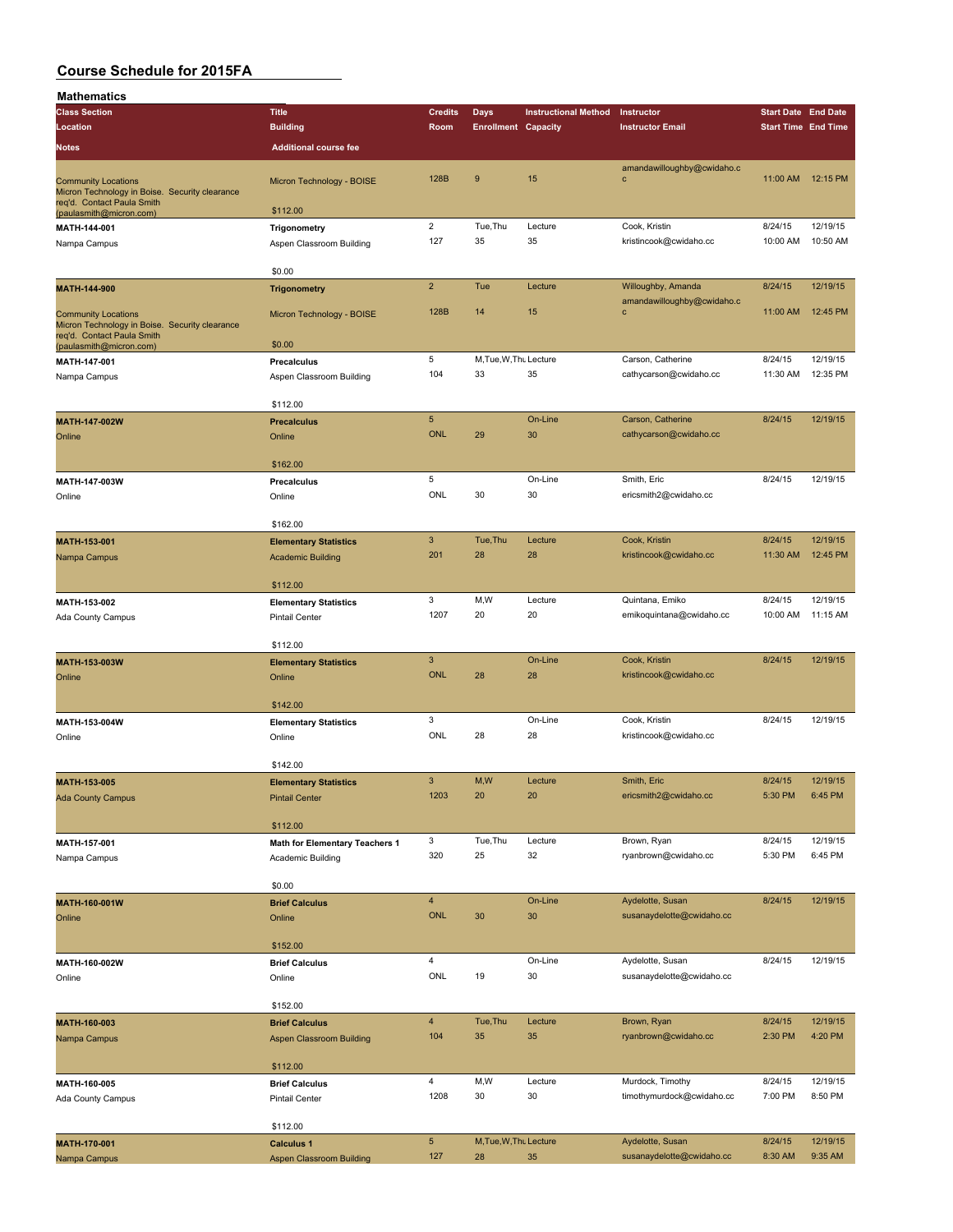| <b>Mathematics</b>                                                           |                                                      |                           |                            |                             |                                           |                            |          |
|------------------------------------------------------------------------------|------------------------------------------------------|---------------------------|----------------------------|-----------------------------|-------------------------------------------|----------------------------|----------|
| <b>Class Section</b>                                                         | <b>Title</b>                                         | <b>Credits</b>            | <b>Days</b>                | <b>Instructional Method</b> | Instructor                                | <b>Start Date End Date</b> |          |
| Location                                                                     | <b>Building</b>                                      | Room                      | <b>Enrollment Capacity</b> |                             | <b>Instructor Email</b>                   | <b>Start Time End Time</b> |          |
| <b>Notes</b>                                                                 | <b>Additional course fee</b>                         |                           |                            |                             |                                           |                            |          |
|                                                                              |                                                      | 128B                      | 9                          | 15                          | amandawilloughby@cwidaho.c                |                            |          |
| <b>Community Locations</b><br>Micron Technology in Boise. Security clearance | Micron Technology - BOISE                            |                           |                            |                             | $\mathbf c$                               | 11:00 AM                   | 12:15 PM |
| req'd. Contact Paula Smith<br>(paulasmith@micron.com)                        | \$112.00                                             |                           |                            |                             |                                           |                            |          |
| MATH-144-001                                                                 | Trigonometry                                         | $\overline{2}$            | Tue, Thu                   | Lecture                     | Cook, Kristin                             | 8/24/15                    | 12/19/15 |
| Nampa Campus                                                                 | Aspen Classroom Building                             | 127                       | 35                         | 35                          | kristincook@cwidaho.cc                    | 10:00 AM                   | 10:50 AM |
|                                                                              | \$0.00                                               |                           |                            |                             |                                           |                            |          |
| MATH-144-900                                                                 | <b>Trigonometry</b>                                  | $\overline{2}$            | Tue                        | Lecture                     | Willoughby, Amanda                        | 8/24/15                    | 12/19/15 |
| <b>Community Locations</b>                                                   | Micron Technology - BOISE                            | 128B                      | 14                         | 15                          | amandawilloughby@cwidaho.c<br>$\mathbf c$ | 11:00 AM                   | 12:45 PM |
| Micron Technology in Boise. Security clearance                               |                                                      |                           |                            |                             |                                           |                            |          |
| req'd. Contact Paula Smith<br>(paulasmith@micron.com)                        | \$0.00                                               |                           |                            |                             |                                           |                            |          |
| MATH-147-001                                                                 | Precalculus                                          | 5                         | M, Tue, W, Thu Lecture     |                             | Carson, Catherine                         | 8/24/15                    | 12/19/15 |
| Nampa Campus                                                                 | Aspen Classroom Building                             | 104                       | 33                         | 35                          | cathycarson@cwidaho.cc                    | 11:30 AM                   | 12:35 PM |
|                                                                              | \$112.00                                             |                           |                            |                             |                                           |                            |          |
| MATH-147-002W                                                                | <b>Precalculus</b>                                   | $\sqrt{5}$                |                            | On-Line                     | Carson, Catherine                         | 8/24/15                    | 12/19/15 |
| Online                                                                       | Online                                               | <b>ONL</b>                | 29                         | 30                          | cathycarson@cwidaho.cc                    |                            |          |
|                                                                              | \$162.00                                             |                           |                            |                             |                                           |                            |          |
| MATH-147-003W                                                                | Precalculus                                          | 5                         |                            | On-Line                     | Smith, Eric                               | 8/24/15                    | 12/19/15 |
| Online                                                                       | Online                                               | ONL                       | 30                         | 30                          | ericsmith2@cwidaho.cc                     |                            |          |
|                                                                              | \$162.00                                             |                           |                            |                             |                                           |                            |          |
| MATH-153-001                                                                 | <b>Elementary Statistics</b>                         | $\mathbf{3}$              | Tue, Thu                   | Lecture                     | Cook, Kristin                             | 8/24/15                    | 12/19/15 |
| Nampa Campus                                                                 | <b>Academic Building</b>                             | 201                       | 28                         | 28                          | kristincook@cwidaho.cc                    | 11:30 AM                   | 12:45 PM |
|                                                                              |                                                      |                           |                            |                             |                                           |                            |          |
| MATH-153-002                                                                 | \$112.00<br><b>Elementary Statistics</b>             | 3                         | M, W                       | Lecture                     | Quintana, Emiko                           | 8/24/15                    | 12/19/15 |
| Ada County Campus                                                            | <b>Pintail Center</b>                                | 1207                      | 20                         | 20                          | emikoquintana@cwidaho.cc                  | 10:00 AM                   | 11:15 AM |
|                                                                              |                                                      |                           |                            |                             |                                           |                            |          |
|                                                                              | \$112.00                                             | $\mathbf{3}$              |                            | On-Line                     | Cook, Kristin                             | 8/24/15                    | 12/19/15 |
| MATH-153-003W<br>Online                                                      | <b>Elementary Statistics</b><br>Online               | <b>ONL</b>                | 28                         | 28                          | kristincook@cwidaho.cc                    |                            |          |
|                                                                              |                                                      |                           |                            |                             |                                           |                            |          |
|                                                                              | \$142.00                                             |                           |                            |                             |                                           |                            |          |
| MATH-153-004W                                                                | <b>Elementary Statistics</b>                         | 3<br>ONL                  | 28                         | On-Line<br>28               | Cook, Kristin<br>kristincook@cwidaho.cc   | 8/24/15                    | 12/19/15 |
| Online                                                                       | Online                                               |                           |                            |                             |                                           |                            |          |
|                                                                              | \$142.00                                             |                           |                            |                             |                                           |                            |          |
| MATH-153-005                                                                 | <b>Elementary Statistics</b>                         | $\ensuremath{\mathsf{3}}$ | M,W                        | Lecture                     | Smith, Eric                               | 8/24/15                    | 12/19/15 |
| <b>Ada County Campus</b>                                                     | <b>Pintail Center</b>                                | 1203                      | 20                         | 20                          | ericsmith2@cwidaho.cc                     | 5:30 PM                    | 6:45 PM  |
|                                                                              | \$112.00                                             |                           |                            |                             |                                           |                            |          |
| MATH-157-001                                                                 | Math for Elementary Teachers 1                       | 3                         | Tue, Thu                   | Lecture                     | Brown, Ryan                               | 8/24/15                    | 12/19/15 |
| Nampa Campus                                                                 | Academic Building                                    | 320                       | 25                         | 32                          | ryanbrown@cwidaho.cc                      | 5:30 PM                    | 6:45 PM  |
|                                                                              | \$0.00                                               |                           |                            |                             |                                           |                            |          |
| MATH-160-001W                                                                | <b>Brief Calculus</b>                                | $\overline{4}$            |                            | On-Line                     | Aydelotte, Susan                          | 8/24/15                    | 12/19/15 |
| Online                                                                       | Online                                               | ONL                       | 30                         | 30                          | susanaydelotte@cwidaho.cc                 |                            |          |
|                                                                              | \$152.00                                             |                           |                            |                             |                                           |                            |          |
| MATH-160-002W                                                                | <b>Brief Calculus</b>                                | $\sqrt{4}$                |                            | On-Line                     | Aydelotte, Susan                          | 8/24/15                    | 12/19/15 |
| Online                                                                       | Online                                               | ONL                       | 19                         | 30                          | susanaydelotte@cwidaho.cc                 |                            |          |
|                                                                              | \$152.00                                             |                           |                            |                             |                                           |                            |          |
| MATH-160-003                                                                 | <b>Brief Calculus</b>                                | $\overline{4}$            | Tue, Thu                   | Lecture                     | Brown, Ryan                               | 8/24/15                    | 12/19/15 |
| Nampa Campus                                                                 | <b>Aspen Classroom Building</b>                      | 104                       | 35                         | 35                          | ryanbrown@cwidaho.cc                      | 2:30 PM                    | 4:20 PM  |
|                                                                              |                                                      |                           |                            |                             |                                           |                            |          |
| MATH-160-005                                                                 | \$112.00<br><b>Brief Calculus</b>                    | $\overline{\mathbf{4}}$   | M,W                        | Lecture                     | Murdock, Timothy                          | 8/24/15                    | 12/19/15 |
| Ada County Campus                                                            | <b>Pintail Center</b>                                | 1208                      | 30                         | 30                          | timothymurdock@cwidaho.cc                 | 7:00 PM                    | 8:50 PM  |
|                                                                              |                                                      |                           |                            |                             |                                           |                            |          |
|                                                                              | \$112.00                                             | $\sqrt{5}$                | M, Tue, W, Thu Lecture     |                             | Aydelotte, Susan                          | 8/24/15                    | 12/19/15 |
| MATH-170-001<br>Nampa Campus                                                 | <b>Calculus 1</b><br><b>Aspen Classroom Building</b> | 127                       | 28                         | 35                          | susanaydelotte@cwidaho.cc                 | 8:30 AM                    | 9:35 AM  |
|                                                                              |                                                      |                           |                            |                             |                                           |                            |          |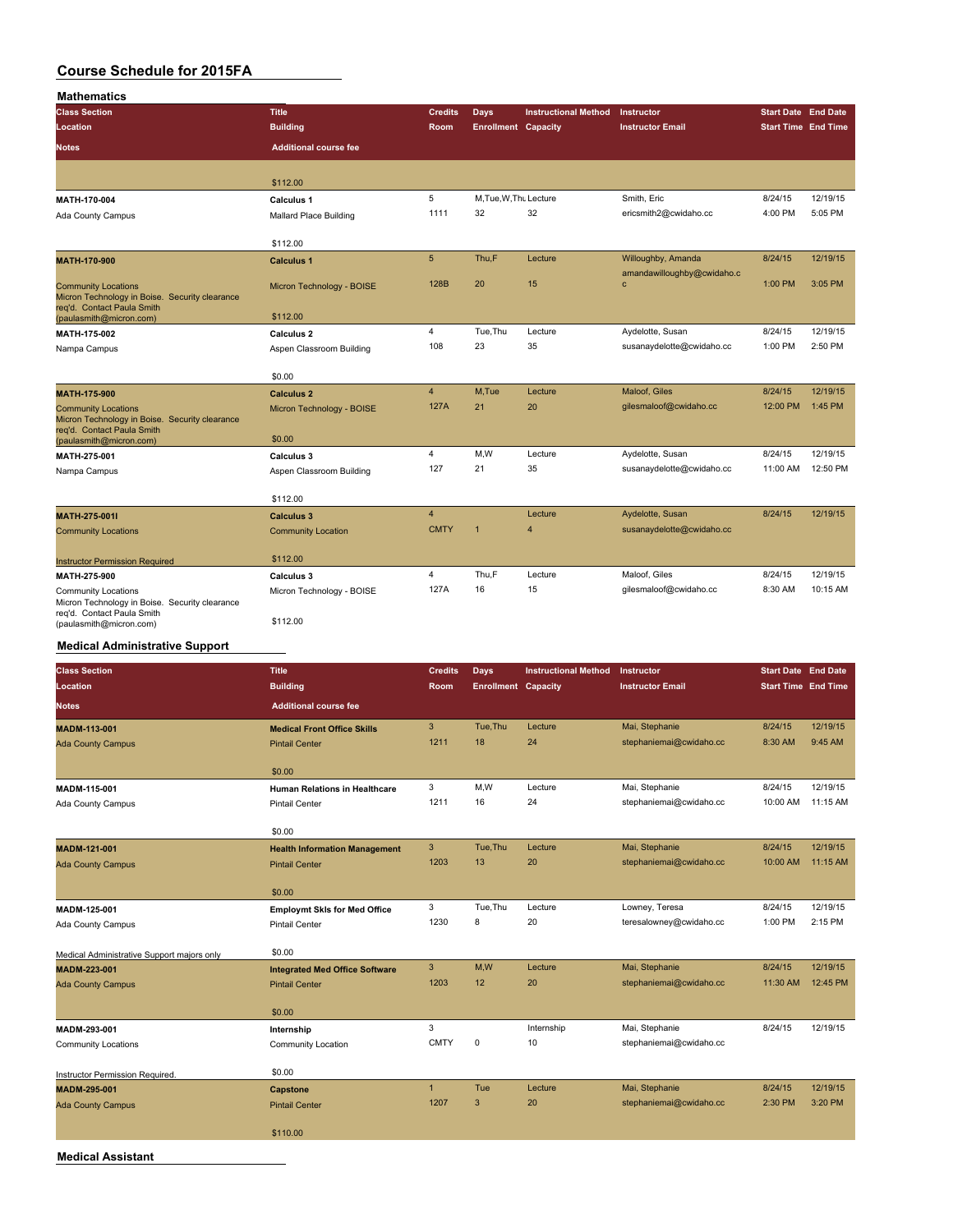| <b>Mathematics</b>                                                                                         |                              |                 |                            |                             |                                            |                            |                            |
|------------------------------------------------------------------------------------------------------------|------------------------------|-----------------|----------------------------|-----------------------------|--------------------------------------------|----------------------------|----------------------------|
| <b>Class Section</b>                                                                                       | <b>Title</b>                 | <b>Credits</b>  | <b>Days</b>                | <b>Instructional Method</b> | Instructor                                 | <b>Start Date End Date</b> |                            |
| Location                                                                                                   | <b>Building</b>              | <b>Room</b>     | <b>Enrollment Capacity</b> |                             | <b>Instructor Email</b>                    |                            | <b>Start Time End Time</b> |
| <b>Notes</b>                                                                                               | <b>Additional course fee</b> |                 |                            |                             |                                            |                            |                            |
|                                                                                                            | \$112.00                     |                 |                            |                             |                                            |                            |                            |
| MATH-170-004                                                                                               | Calculus 1                   | 5               | M.Tue, W.Thu Lecture       |                             | Smith, Eric                                | 8/24/15                    | 12/19/15                   |
| <b>Ada County Campus</b>                                                                                   | Mallard Place Building       | 1111            | 32                         | 32                          | ericsmith2@cwidaho.cc                      | 4:00 PM                    | 5:05 PM                    |
|                                                                                                            | \$112.00                     |                 |                            |                             |                                            |                            |                            |
| MATH-170-900                                                                                               | <b>Calculus 1</b>            | $5\phantom{.0}$ | Thu,F                      | Lecture                     | Willoughby, Amanda                         | 8/24/15                    | 12/19/15                   |
| <b>Community Locations</b><br>Micron Technology in Boise. Security clearance                               | Micron Technology - BOISE    | 128B            | 20                         | 15                          | amandawilloughby@cwidaho.c<br>$\mathbf{C}$ | 1:00 PM                    | 3:05 PM                    |
| reg'd. Contact Paula Smith<br>(paulasmith@micron.com)                                                      | \$112.00                     |                 |                            |                             |                                            |                            |                            |
| MATH-175-002                                                                                               | <b>Calculus 2</b>            | $\overline{4}$  | Tue, Thu                   | Lecture                     | Aydelotte, Susan                           | 8/24/15                    | 12/19/15                   |
| Nampa Campus                                                                                               | Aspen Classroom Building     | 108             | 23                         | 35                          | susanaydelotte@cwidaho.cc                  | 1:00 PM                    | 2:50 PM                    |
|                                                                                                            | \$0.00                       |                 |                            |                             |                                            |                            |                            |
| <b>MATH-175-900</b>                                                                                        | <b>Calculus 2</b>            | $\overline{4}$  | M.Tue                      | Lecture                     | Maloof, Giles                              | 8/24/15                    | 12/19/15                   |
| <b>Community Locations</b><br>Micron Technology in Boise. Security clearance<br>reg'd. Contact Paula Smith | Micron Technology - BOISE    | <b>127A</b>     | 21                         | 20                          | gilesmaloof@cwidaho.cc                     | 12:00 PM                   | 1:45 PM                    |
| (paulasmith@micron.com)                                                                                    | \$0.00                       |                 |                            |                             |                                            |                            |                            |
| MATH-275-001                                                                                               | <b>Calculus 3</b>            | 4               | M,W                        | Lecture                     | Aydelotte, Susan                           | 8/24/15                    | 12/19/15                   |
| Nampa Campus                                                                                               | Aspen Classroom Building     | 127             | 21                         | 35                          | susanaydelotte@cwidaho.cc                  | 11:00 AM                   | 12:50 PM                   |
|                                                                                                            | \$112.00                     |                 |                            |                             |                                            |                            |                            |
| MATH-275-001I                                                                                              | <b>Calculus 3</b>            | $\overline{4}$  |                            | Lecture                     | Aydelotte, Susan                           | 8/24/15                    | 12/19/15                   |
| <b>Community Locations</b>                                                                                 | <b>Community Location</b>    | <b>CMTY</b>     | $\overline{1}$             | $\overline{4}$              | susanaydelotte@cwidaho.cc                  |                            |                            |
| <b>Instructor Permission Required</b>                                                                      | \$112.00                     |                 |                            |                             |                                            |                            |                            |
| MATH-275-900                                                                                               | <b>Calculus 3</b>            | $\overline{4}$  | Thu,F                      | Lecture                     | Maloof, Giles                              | 8/24/15                    | 12/19/15                   |
| Community Locations<br>Micron Technology in Boise. Security clearance                                      | Micron Technology - BOISE    | 127A            | 16                         | 15                          | gilesmaloof@cwidaho.cc                     | 8:30 AM                    | 10:15 AM                   |
| reg'd. Contact Paula Smith<br>(paulasmith@micron.com)                                                      | \$112.00                     |                 |                            |                             |                                            |                            |                            |

### **Medical Administrative Support**

| <b>Class Section</b>                       | <b>Title</b>                          | <b>Credits</b> | Days                       | <b>Instructional Method</b> | Instructor              | <b>Start Date End Date</b> |          |
|--------------------------------------------|---------------------------------------|----------------|----------------------------|-----------------------------|-------------------------|----------------------------|----------|
| Location                                   | <b>Building</b>                       | Room           | <b>Enrollment Capacity</b> |                             | <b>Instructor Email</b> | <b>Start Time End Time</b> |          |
| <b>Notes</b>                               | <b>Additional course fee</b>          |                |                            |                             |                         |                            |          |
| <b>MADM-113-001</b>                        | <b>Medical Front Office Skills</b>    | $\mathbf{3}$   | Tue, Thu                   | Lecture                     | Mai, Stephanie          | 8/24/15                    | 12/19/15 |
| <b>Ada County Campus</b>                   | <b>Pintail Center</b>                 | 1211           | 18                         | 24                          | stephaniemai@cwidaho.cc | 8:30 AM                    | 9:45 AM  |
|                                            | \$0.00                                |                |                            |                             |                         |                            |          |
| MADM-115-001                               | <b>Human Relations in Healthcare</b>  | 3              | M,W                        | Lecture                     | Mai, Stephanie          | 8/24/15                    | 12/19/15 |
| Ada County Campus                          | <b>Pintail Center</b>                 | 1211           | 16                         | 24                          | stephaniemai@cwidaho.cc | 10:00 AM                   | 11:15 AM |
|                                            | \$0.00                                |                |                            |                             |                         |                            |          |
| MADM-121-001                               | <b>Health Information Management</b>  | 3              | Tue, Thu                   | Lecture                     | Mai, Stephanie          | 8/24/15                    | 12/19/15 |
| <b>Ada County Campus</b>                   | <b>Pintail Center</b>                 | 1203           | 13                         | 20                          | stephaniemai@cwidaho.cc | 10:00 AM                   | 11:15 AM |
|                                            |                                       |                |                            |                             |                         |                            |          |
|                                            | \$0.00                                |                |                            |                             |                         |                            |          |
| MADM-125-001                               | <b>Employmt SkIs for Med Office</b>   | 3              | Tue, Thu                   | Lecture                     | Lowney, Teresa          | 8/24/15                    | 12/19/15 |
| Ada County Campus                          | <b>Pintail Center</b>                 | 1230           | 8                          | 20                          | teresalowney@cwidaho.cc | 1:00 PM                    | 2:15 PM  |
| Medical Administrative Support majors only | \$0.00                                |                |                            |                             |                         |                            |          |
| MADM-223-001                               | <b>Integrated Med Office Software</b> | $\mathbf{3}$   | M,W                        | Lecture                     | Mai, Stephanie          | 8/24/15                    | 12/19/15 |
| <b>Ada County Campus</b>                   | <b>Pintail Center</b>                 | 1203           | 12                         | 20                          | stephaniemai@cwidaho.cc | 11:30 AM                   | 12:45 PM |
|                                            |                                       |                |                            |                             |                         |                            |          |
|                                            | \$0.00                                |                |                            |                             |                         |                            |          |
| MADM-293-001                               | Internship                            | 3              |                            | Internship                  | Mai, Stephanie          | 8/24/15                    | 12/19/15 |
| <b>Community Locations</b>                 | Community Location                    | <b>CMTY</b>    | 0                          | 10                          | stephaniemai@cwidaho.cc |                            |          |
| Instructor Permission Required.            | \$0.00                                |                |                            |                             |                         |                            |          |
| <b>MADM-295-001</b>                        | Capstone                              | $\mathbf{1}$   | Tue                        | Lecture                     | Mai, Stephanie          | 8/24/15                    | 12/19/15 |
| <b>Ada County Campus</b>                   | <b>Pintail Center</b>                 | 1207           | 3                          | 20                          | stephaniemai@cwidaho.cc | 2:30 PM                    | 3:20 PM  |
|                                            |                                       |                |                            |                             |                         |                            |          |
|                                            | \$110.00                              |                |                            |                             |                         |                            |          |
| .                                          |                                       |                |                            |                             |                         |                            |          |

**Medical Assistant**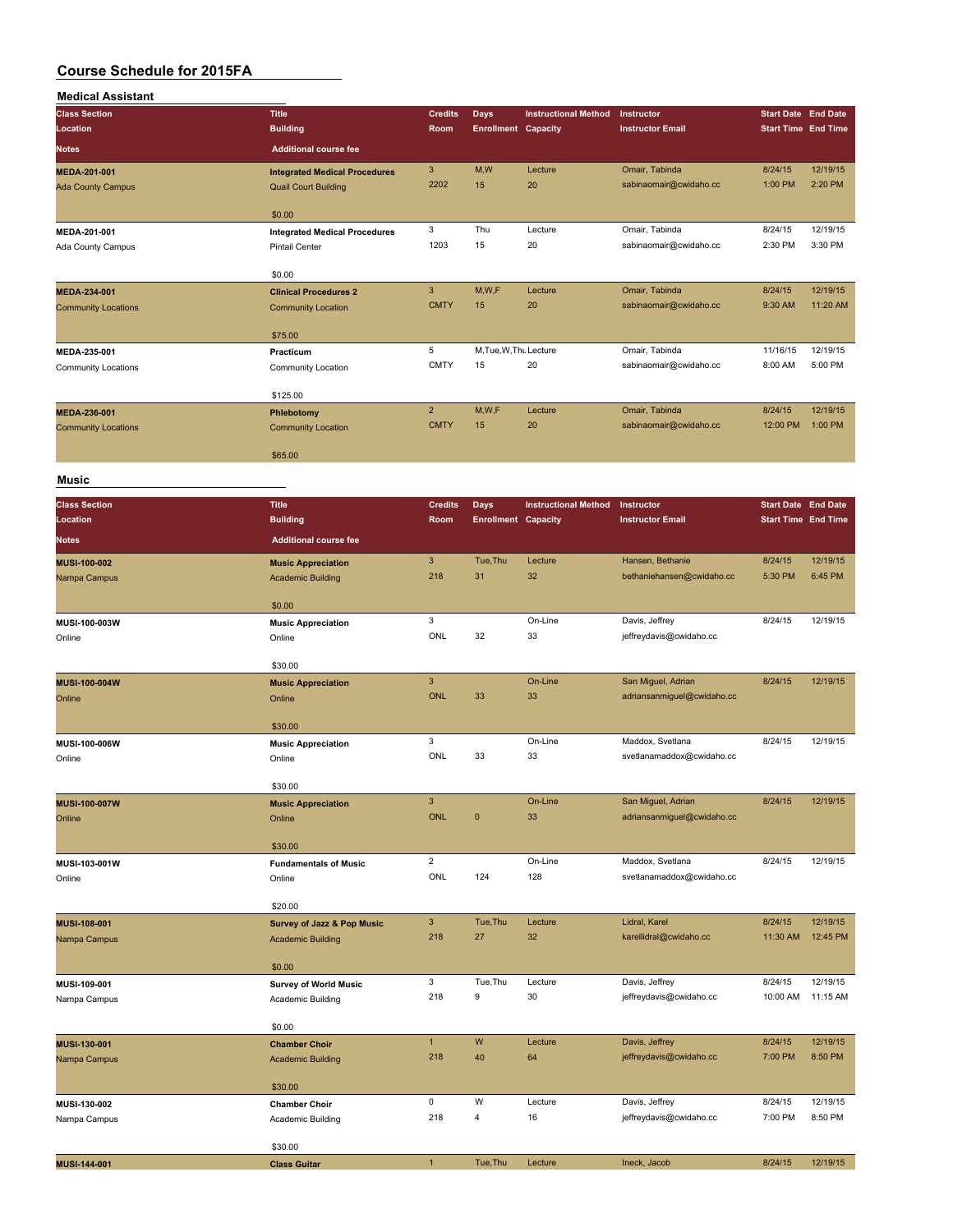| <b>Medical Assistant</b>   |                                       |                                         |                                    |                             |                                                  |                            |                            |
|----------------------------|---------------------------------------|-----------------------------------------|------------------------------------|-----------------------------|--------------------------------------------------|----------------------------|----------------------------|
| <b>Class Section</b>       | <b>Title</b>                          | <b>Credits</b>                          | <b>Days</b>                        | <b>Instructional Method</b> | Instructor                                       | <b>Start Date End Date</b> |                            |
| Location                   | <b>Building</b>                       | Room                                    | <b>Enrollment Capacity</b>         |                             | <b>Instructor Email</b>                          | <b>Start Time End Time</b> |                            |
| <b>Notes</b>               | <b>Additional course fee</b>          |                                         |                                    |                             |                                                  |                            |                            |
| MEDA-201-001               | <b>Integrated Medical Procedures</b>  | $\mathbf{3}$                            | M,W                                | Lecture                     | Omair, Tabinda                                   | 8/24/15                    | 12/19/15                   |
| <b>Ada County Campus</b>   | <b>Quail Court Building</b>           | 2202                                    | 15                                 | 20                          | sabinaomair@cwidaho.cc                           | 1:00 PM                    | 2:20 PM                    |
|                            |                                       |                                         |                                    |                             |                                                  |                            |                            |
|                            | \$0.00                                |                                         |                                    |                             |                                                  |                            |                            |
| MEDA-201-001               | <b>Integrated Medical Procedures</b>  | 3                                       | Thu                                | Lecture                     | Omair, Tabinda                                   | 8/24/15                    | 12/19/15                   |
| Ada County Campus          | Pintail Center                        | 1203                                    | 15                                 | 20                          | sabinaomair@cwidaho.cc                           | 2:30 PM                    | 3:30 PM                    |
|                            | \$0.00                                |                                         |                                    |                             |                                                  |                            |                            |
| MEDA-234-001               | <b>Clinical Procedures 2</b>          | $\ensuremath{\mathsf{3}}$               | M,W,F                              | Lecture                     | Omair, Tabinda                                   | 8/24/15                    | 12/19/15                   |
| <b>Community Locations</b> | <b>Community Location</b>             | <b>CMTY</b>                             | 15                                 | 20                          | sabinaomair@cwidaho.cc                           | 9:30 AM                    | 11:20 AM                   |
|                            |                                       |                                         |                                    |                             |                                                  |                            |                            |
|                            | \$75.00                               |                                         |                                    |                             |                                                  |                            |                            |
| MEDA-235-001               | Practicum                             | 5                                       | M, Tue, W, Thu Lecture             |                             | Omair, Tabinda                                   | 11/16/15                   | 12/19/15                   |
| <b>Community Locations</b> | Community Location                    | <b>CMTY</b>                             | 15                                 | 20                          | sabinaomair@cwidaho.cc                           | 8:00 AM                    | 5:00 PM                    |
|                            | \$125.00                              |                                         |                                    |                             |                                                  |                            |                            |
| MEDA-236-001               | Phlebotomy                            | $\overline{2}$                          | M,W,F                              | Lecture                     | Omair, Tabinda                                   | 8/24/15                    | 12/19/15                   |
| <b>Community Locations</b> | <b>Community Location</b>             | <b>CMTY</b>                             | 15                                 | 20                          | sabinaomair@cwidaho.cc                           | 12:00 PM                   | 1:00 PM                    |
|                            |                                       |                                         |                                    |                             |                                                  |                            |                            |
|                            | \$65.00                               |                                         |                                    |                             |                                                  |                            |                            |
| Music                      |                                       |                                         |                                    |                             |                                                  |                            |                            |
| <b>Class Section</b>       | <b>Title</b>                          | <b>Credits</b>                          |                                    | <b>Instructional Method</b> | Instructor                                       | <b>Start Date End Date</b> |                            |
| Location                   | <b>Building</b>                       | Room                                    | Days<br><b>Enrollment Capacity</b> |                             | <b>Instructor Email</b>                          |                            | <b>Start Time End Time</b> |
| <b>Notes</b>               | <b>Additional course fee</b>          |                                         |                                    |                             |                                                  |                            |                            |
|                            |                                       |                                         |                                    |                             |                                                  |                            |                            |
| <b>MUSI-100-002</b>        | <b>Music Appreciation</b>             | $\ensuremath{\mathsf{3}}$<br>218        | Tue, Thu<br>31                     | Lecture                     | Hansen, Bethanie<br>bethaniehansen@cwidaho.cc    | 8/24/15                    | 12/19/15<br>6:45 PM        |
| Nampa Campus               | <b>Academic Building</b>              |                                         |                                    | 32                          |                                                  | 5:30 PM                    |                            |
|                            | \$0.00                                |                                         |                                    |                             |                                                  |                            |                            |
| MUSI-100-003W              | <b>Music Appreciation</b>             | 3                                       |                                    | On-Line                     | Davis, Jeffrey                                   | 8/24/15                    | 12/19/15                   |
| Online                     | Online                                | ONL                                     | 32                                 | 33                          | jeffreydavis@cwidaho.cc                          |                            |                            |
|                            |                                       |                                         |                                    |                             |                                                  |                            |                            |
|                            | \$30.00                               |                                         |                                    |                             |                                                  |                            |                            |
| MUSI-100-004W              | <b>Music Appreciation</b>             | $\ensuremath{\mathsf{3}}$<br><b>ONL</b> | 33                                 | On-Line<br>33               | San Miguel, Adrian<br>adriansanmiguel@cwidaho.cc | 8/24/15                    | 12/19/15                   |
| Online                     | Online                                |                                         |                                    |                             |                                                  |                            |                            |
|                            | \$30.00                               |                                         |                                    |                             |                                                  |                            |                            |
| MUSI-100-006W              | <b>Music Appreciation</b>             | 3                                       |                                    | On-Line                     | Maddox, Svetlana                                 | 8/24/15                    | 12/19/15                   |
| Online                     | Online                                | ONL                                     | 33                                 | 33                          | svetlanamaddox@cwidaho.cc                        |                            |                            |
|                            |                                       |                                         |                                    |                             |                                                  |                            |                            |
|                            | \$30.00                               | $\ensuremath{\mathsf{3}}$               |                                    | On-Line                     | San Miguel, Adrian                               | 8/24/15                    | 12/19/15                   |
| MUSI-100-007W<br>Online    | <b>Music Appreciation</b><br>Online   | <b>ONL</b>                              | $\pmb{0}$                          | 33                          | adriansanmiguel@cwidaho.cc                       |                            |                            |
|                            |                                       |                                         |                                    |                             |                                                  |                            |                            |
|                            | \$30.00                               |                                         |                                    |                             |                                                  |                            |                            |
| MUSI-103-001W              | <b>Fundamentals of Music</b>          | $\overline{2}$                          |                                    | On-Line                     | Maddox, Svetlana                                 | 8/24/15                    | 12/19/15                   |
| Online                     | Online                                | ONL                                     | 124                                | 128                         | svetlanamaddox@cwidaho.cc                        |                            |                            |
|                            | \$20.00                               |                                         |                                    |                             |                                                  |                            |                            |
| MUSI-108-001               | <b>Survey of Jazz &amp; Pop Music</b> | $\mathsf 3$                             | Tue, Thu                           | Lecture                     | Lidral, Karel                                    | 8/24/15                    | 12/19/15                   |
| Nampa Campus               | <b>Academic Building</b>              | 218                                     | 27                                 | 32                          | karellidral@cwidaho.cc                           | 11:30 AM                   | 12:45 PM                   |
|                            |                                       |                                         |                                    |                             |                                                  |                            |                            |
|                            | \$0.00                                |                                         |                                    |                             |                                                  |                            |                            |
| MUSI-109-001               | <b>Survey of World Music</b>          | 3                                       | Tue, Thu                           | Lecture                     | Davis, Jeffrey                                   | 8/24/15                    | 12/19/15                   |
| Nampa Campus               | Academic Building                     | 218                                     | 9                                  | 30                          | jeffreydavis@cwidaho.cc                          | 10:00 AM                   | 11:15 AM                   |

|                     | \$0.00                   |     |         |         |                         |         |          |
|---------------------|--------------------------|-----|---------|---------|-------------------------|---------|----------|
| <b>MUSI-130-001</b> | <b>Chamber Choir</b>     |     | W       | Lecture | Davis, Jeffrey          | 8/24/15 | 12/19/15 |
| Nampa Campus        | <b>Academic Building</b> | 218 | 40      | 64      | jeffreydavis@cwidaho.cc | 7:00 PM | 8:50 PM  |
|                     | \$30.00                  |     |         |         |                         |         |          |
| MUSI-130-002        | <b>Chamber Choir</b>     | 0   | W       | Lecture | Davis, Jeffrey          | 8/24/15 | 12/19/15 |
| Nampa Campus        | Academic Building        | 218 | 4       | 16      | jeffreydavis@cwidaho.cc | 7:00 PM | 8:50 PM  |
|                     | \$30.00                  |     |         |         |                         |         |          |
| <b>MUSI-144-001</b> | <b>Class Guitar</b>      |     | Tue.Thu | Lecture | Ineck, Jacob            | 8/24/15 | 12/19/15 |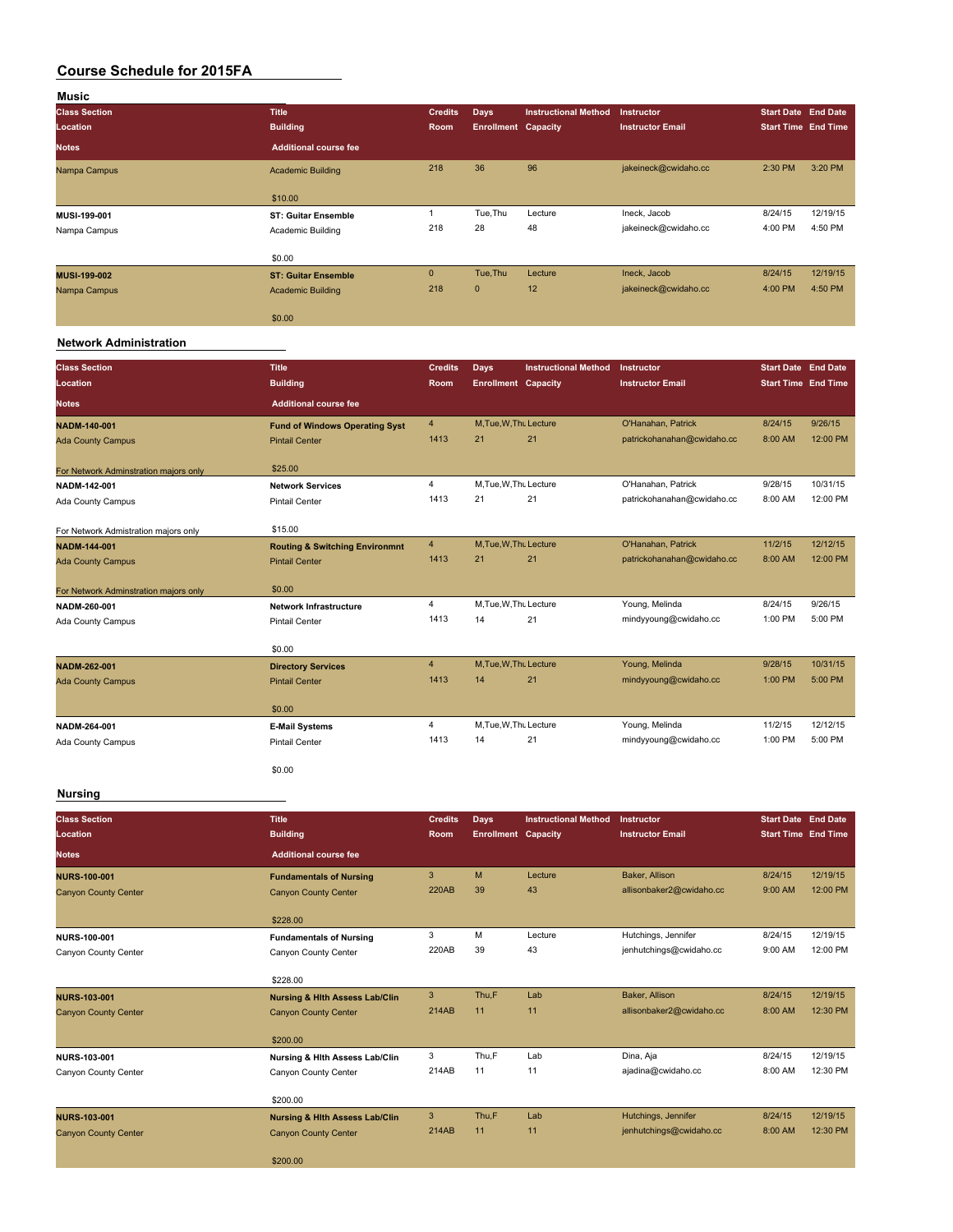| Music                |                              |                |                            |                             |                         |                            |          |
|----------------------|------------------------------|----------------|----------------------------|-----------------------------|-------------------------|----------------------------|----------|
| <b>Class Section</b> | <b>Title</b>                 | <b>Credits</b> | <b>Days</b>                | <b>Instructional Method</b> | Instructor              | <b>Start Date End Date</b> |          |
| Location             | <b>Building</b>              | Room           | <b>Enrollment Capacity</b> |                             | <b>Instructor Email</b> | <b>Start Time End Time</b> |          |
| <b>Notes</b>         | <b>Additional course fee</b> |                |                            |                             |                         |                            |          |
| Nampa Campus         | <b>Academic Building</b>     | 218            | 36                         | 96                          | jakeineck@cwidaho.cc    | 2:30 PM                    | 3:20 PM  |
|                      | \$10.00                      |                |                            |                             |                         |                            |          |
| MUSI-199-001         | <b>ST: Guitar Ensemble</b>   |                | Tue, Thu                   | Lecture                     | Ineck, Jacob            | 8/24/15                    | 12/19/15 |
| Nampa Campus         | Academic Building            | 218            | 28                         | 48                          | jakeineck@cwidaho.cc    | 4:00 PM                    | 4:50 PM  |
|                      | \$0.00                       |                |                            |                             |                         |                            |          |
| <b>MUSI-199-002</b>  | <b>ST: Guitar Ensemble</b>   | $\mathbf{0}$   | Tue, Thu                   | Lecture                     | Ineck, Jacob            | 8/24/15                    | 12/19/15 |
| Nampa Campus         | <b>Academic Building</b>     | 218            | $\mathbf{0}$               | 12                          | jakeineck@cwidaho.cc    | 4:00 PM                    | 4:50 PM  |
|                      | \$0.00                       |                |                            |                             |                         |                            |          |

### **Network Administration**

| <b>Class Section</b><br>Location      | <b>Title</b><br><b>Building</b>           | <b>Credits</b><br>Room | Days<br><b>Enrollment Capacity</b> | <b>Instructional Method</b> | Instructor<br><b>Instructor Email</b> | Start Date End Date<br><b>Start Time End Time</b> |          |
|---------------------------------------|-------------------------------------------|------------------------|------------------------------------|-----------------------------|---------------------------------------|---------------------------------------------------|----------|
| <b>Notes</b>                          | <b>Additional course fee</b>              |                        |                                    |                             |                                       |                                                   |          |
| <b>NADM-140-001</b>                   | <b>Fund of Windows Operating Syst</b>     | $\overline{4}$         | M, Tue, W, Thu Lecture             |                             | O'Hanahan, Patrick                    | 8/24/15                                           | 9/26/15  |
| <b>Ada County Campus</b>              | <b>Pintail Center</b>                     | 1413                   | 21                                 | 21                          | patrickohanahan@cwidaho.cc            | 8:00 AM                                           | 12:00 PM |
| For Network Adminstration majors only | \$25.00                                   |                        |                                    |                             |                                       |                                                   |          |
| NADM-142-001                          | <b>Network Services</b>                   | $\overline{4}$         | M, Tue, W, Thu Lecture             |                             | O'Hanahan, Patrick                    | 9/28/15                                           | 10/31/15 |
| Ada County Campus                     | <b>Pintail Center</b>                     | 1413                   | 21                                 | 21                          | patrickohanahan@cwidaho.cc            | 8:00 AM                                           | 12:00 PM |
| For Network Admistration maiors only  | \$15.00                                   |                        |                                    |                             |                                       |                                                   |          |
| <b>NADM-144-001</b>                   | <b>Routing &amp; Switching Environmnt</b> | $\overline{4}$         | M, Tue, W, Thu Lecture             |                             | O'Hanahan, Patrick                    | 11/2/15                                           | 12/12/15 |
| <b>Ada County Campus</b>              | <b>Pintail Center</b>                     | 1413                   | 21                                 | 21                          | patrickohanahan@cwidaho.cc            | 8:00 AM                                           | 12:00 PM |
| For Network Adminstration majors only | \$0.00                                    |                        |                                    |                             |                                       |                                                   |          |
| NADM-260-001                          | <b>Network Infrastructure</b>             | 4                      | M, Tue, W, Thu Lecture             |                             | Young, Melinda                        | 8/24/15                                           | 9/26/15  |
| Ada County Campus                     | <b>Pintail Center</b>                     | 1413                   | 14                                 | 21                          | mindyyoung@cwidaho.cc                 | 1:00 PM                                           | 5:00 PM  |
|                                       | \$0.00                                    |                        |                                    |                             |                                       |                                                   |          |
| NADM-262-001                          | <b>Directory Services</b>                 | $\overline{4}$         | M, Tue, W, Thu Lecture             |                             | Young, Melinda                        | 9/28/15                                           | 10/31/15 |
| <b>Ada County Campus</b>              | <b>Pintail Center</b>                     | 1413                   | 14                                 | 21                          | mindyyoung@cwidaho.cc                 | 1:00 PM                                           | 5:00 PM  |
|                                       | \$0.00                                    |                        |                                    |                             |                                       |                                                   |          |
| NADM-264-001                          | <b>E-Mail Systems</b>                     | $\overline{4}$         | M, Tue, W, Thu Lecture             |                             | Young, Melinda                        | 11/2/15                                           | 12/12/15 |
| Ada County Campus                     | <b>Pintail Center</b>                     | 1413                   | 14                                 | 21                          | mindyyoung@cwidaho.cc                 | 1:00 PM                                           | 5:00 PM  |
|                                       | \$0.00                                    |                        |                                    |                             |                                       |                                                   |          |

### **Nursing**

| <b>Class Section</b>        | <b>Title</b>                              | <b>Credits</b> | <b>Days</b>                | <b>Instructional Method</b> | Instructor               | Start Date End Date        |          |
|-----------------------------|-------------------------------------------|----------------|----------------------------|-----------------------------|--------------------------|----------------------------|----------|
| Location                    | <b>Building</b>                           | Room,          | <b>Enrollment Capacity</b> |                             | <b>Instructor Email</b>  | <b>Start Time End Time</b> |          |
| <b>Notes</b>                | <b>Additional course fee</b>              |                |                            |                             |                          |                            |          |
| <b>NURS-100-001</b>         | <b>Fundamentals of Nursing</b>            | 3              | M                          | Lecture                     | Baker, Allison           | 8/24/15                    | 12/19/15 |
| <b>Canyon County Center</b> | <b>Canyon County Center</b>               | 220AB          | 39                         | 43                          | allisonbaker2@cwidaho.cc | 9:00 AM                    | 12:00 PM |
|                             | \$228.00                                  |                |                            |                             |                          |                            |          |
| <b>NURS-100-001</b>         | <b>Fundamentals of Nursing</b>            | 3              | M                          | Lecture                     | Hutchings, Jennifer      | 8/24/15                    | 12/19/15 |
| Canyon County Center        | Canyon County Center                      | 220AB          | 39                         | 43                          | jenhutchings@cwidaho.cc  | 9:00 AM                    | 12:00 PM |
|                             | \$228.00                                  |                |                            |                             |                          |                            |          |
| <b>NURS-103-001</b>         | <b>Nursing &amp; Hith Assess Lab/Clin</b> | 3              | Thu,F                      | Lab                         | Baker, Allison           | 8/24/15                    | 12/19/15 |
| <b>Canyon County Center</b> | <b>Canyon County Center</b>               | 214AB          | 11                         | 11                          | allisonbaker2@cwidaho.cc | 8:00 AM                    | 12:30 PM |
|                             | \$200.00                                  |                |                            |                             |                          |                            |          |
| NURS-103-001                | Nursing & Hith Assess Lab/Clin            | 3              | Thu,F                      | Lab                         | Dina, Aja                | 8/24/15                    | 12/19/15 |
| Canyon County Center        | Canvon County Center                      | 214AB          | 11                         | 11                          | ajadina@cwidaho.cc       | 8:00 AM                    | 12:30 PM |
|                             | \$200.00                                  |                |                            |                             |                          |                            |          |
| <b>NURS-103-001</b>         | <b>Nursing &amp; Hith Assess Lab/Clin</b> | 3              | Thu,F                      | Lab                         | Hutchings, Jennifer      | 8/24/15                    | 12/19/15 |
| <b>Canyon County Center</b> | <b>Canyon County Center</b>               | 214AB          | 11                         | 11                          | jenhutchings@cwidaho.cc  | 8:00 AM                    | 12:30 PM |
|                             | \$200.00                                  |                |                            |                             |                          |                            |          |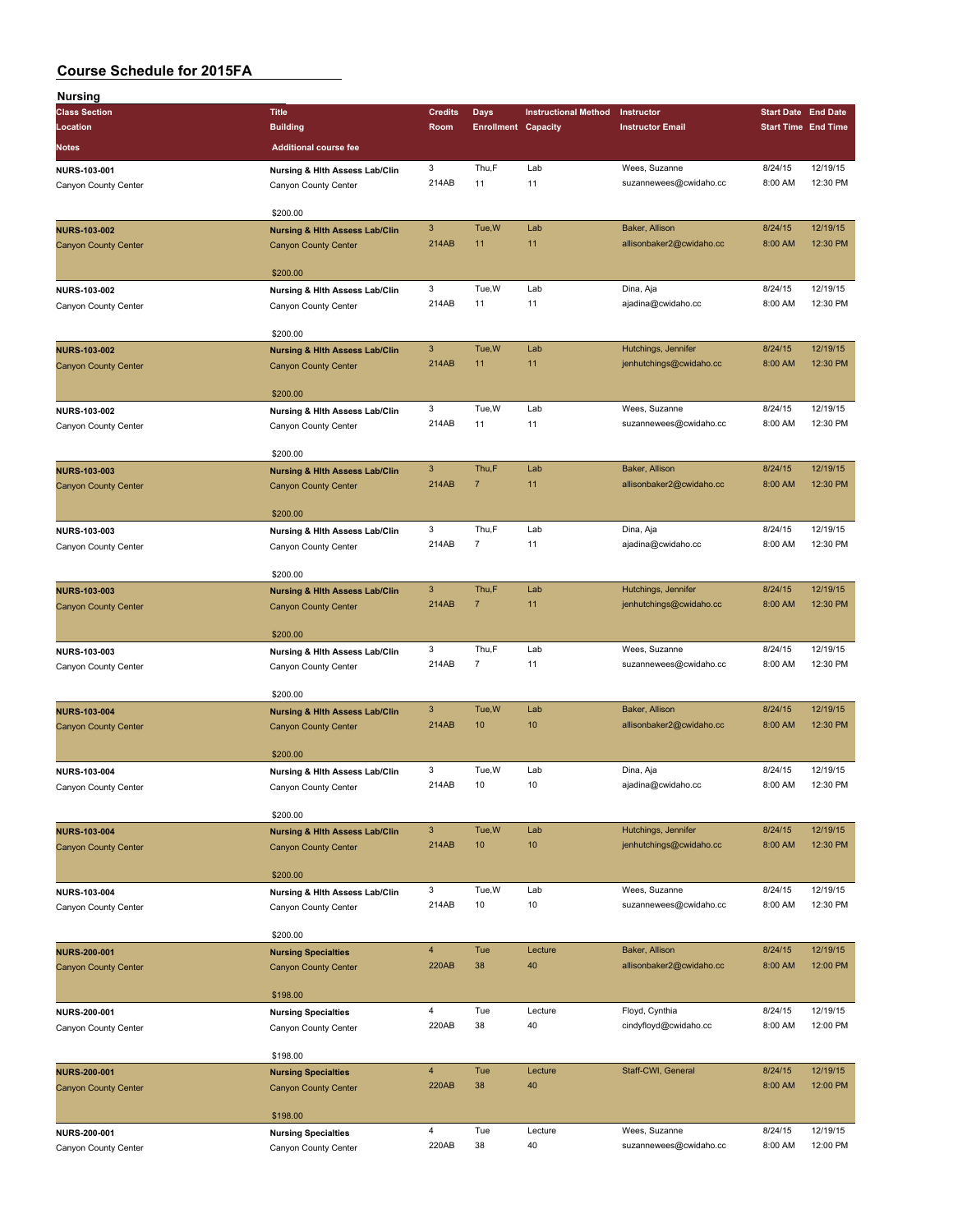| Nursing                     |                                                           |                       |                            |                             |                                                |                            |                      |
|-----------------------------|-----------------------------------------------------------|-----------------------|----------------------------|-----------------------------|------------------------------------------------|----------------------------|----------------------|
| <b>Class Section</b>        | <b>Title</b>                                              | <b>Credits</b>        | Days                       | <b>Instructional Method</b> | Instructor                                     | <b>Start Date End Date</b> |                      |
| Location                    | <b>Building</b>                                           | Room                  | <b>Enrollment Capacity</b> |                             | <b>Instructor Email</b>                        | <b>Start Time End Time</b> |                      |
| Notes                       | <b>Additional course fee</b>                              |                       |                            |                             |                                                |                            |                      |
| NURS-103-001                | Nursing & Hith Assess Lab/Clin                            | 3                     | Thu,F                      | Lab                         | Wees, Suzanne                                  | 8/24/15                    | 12/19/15             |
| Canyon County Center        | Canyon County Center                                      | 214AB                 | 11                         | 11                          | suzannewees@cwidaho.cc                         | 8:00 AM                    | 12:30 PM             |
|                             |                                                           |                       |                            |                             |                                                |                            |                      |
|                             | \$200.00                                                  |                       |                            |                             |                                                |                            |                      |
| <b>NURS-103-002</b>         | <b>Nursing &amp; Hith Assess Lab/Clin</b>                 | $\mathbf{3}$          | Tue, W                     | Lab                         | Baker, Allison                                 | 8/24/15                    | 12/19/15             |
| <b>Canyon County Center</b> | <b>Canyon County Center</b>                               | 214AB                 | 11                         | 11                          | allisonbaker2@cwidaho.cc                       | 8:00 AM                    | 12:30 PM             |
|                             | \$200.00                                                  |                       |                            |                             |                                                |                            |                      |
| NURS-103-002                | Nursing & Hlth Assess Lab/Clin                            | 3                     | Tue, W                     | Lab                         | Dina, Aja                                      | 8/24/15                    | 12/19/15             |
| Canyon County Center        | Canyon County Center                                      | 214AB                 | 11                         | 11                          | ajadina@cwidaho.cc                             | 8:00 AM                    | 12:30 PM             |
|                             |                                                           |                       |                            |                             |                                                |                            |                      |
|                             | \$200.00                                                  |                       |                            |                             |                                                |                            |                      |
| <b>NURS-103-002</b>         | <b>Nursing &amp; Hith Assess Lab/Clin</b>                 | $\mathbf{3}$          | Tue, W                     | Lab                         | Hutchings, Jennifer                            | 8/24/15                    | 12/19/15             |
| <b>Canyon County Center</b> | <b>Canyon County Center</b>                               | 214AB                 | 11                         | 11                          | jenhutchings@cwidaho.cc                        | 8:00 AM                    | 12:30 PM             |
|                             | \$200.00                                                  |                       |                            |                             |                                                |                            |                      |
| NURS-103-002                | Nursing & Hlth Assess Lab/Clin                            | 3                     | Tue, W                     | Lab                         | Wees, Suzanne                                  | 8/24/15                    | 12/19/15             |
| Canyon County Center        | Canyon County Center                                      | 214AB                 | 11                         | 11                          | suzannewees@cwidaho.cc                         | 8:00 AM                    | 12:30 PM             |
|                             |                                                           |                       |                            |                             |                                                |                            |                      |
|                             | \$200.00                                                  |                       |                            |                             |                                                |                            |                      |
| <b>NURS-103-003</b>         | <b>Nursing &amp; Hith Assess Lab/Clin</b>                 | $\mathbf{3}$          | Thu,F                      | Lab                         | Baker, Allison                                 | 8/24/15                    | 12/19/15             |
| <b>Canyon County Center</b> | <b>Canyon County Center</b>                               | 214AB                 | $\overline{7}$             | 11                          | allisonbaker2@cwidaho.cc                       | 8:00 AM                    | 12:30 PM             |
|                             | \$200.00                                                  |                       |                            |                             |                                                |                            |                      |
| NURS-103-003                | Nursing & Hith Assess Lab/Clin                            | 3                     | Thu,F                      | Lab                         | Dina, Aja                                      | 8/24/15                    | 12/19/15             |
| Canyon County Center        | Canyon County Center                                      | 214AB                 | $\overline{7}$             | 11                          | ajadina@cwidaho.cc                             | 8:00 AM                    | 12:30 PM             |
|                             |                                                           |                       |                            |                             |                                                |                            |                      |
|                             | \$200.00                                                  |                       |                            |                             |                                                |                            |                      |
| <b>NURS-103-003</b>         | <b>Nursing &amp; Hith Assess Lab/Clin</b>                 | $\mathbf{3}$<br>214AB | Thu,F<br>$\overline{7}$    | Lab<br>11                   | Hutchings, Jennifer<br>jenhutchings@cwidaho.cc | 8/24/15<br>8:00 AM         | 12/19/15<br>12:30 PM |
| <b>Canyon County Center</b> | <b>Canyon County Center</b>                               |                       |                            |                             |                                                |                            |                      |
|                             | \$200.00                                                  |                       |                            |                             |                                                |                            |                      |
| NURS-103-003                | Nursing & Hith Assess Lab/Clin                            | 3                     | Thu,F                      | Lab                         | Wees, Suzanne                                  | 8/24/15                    | 12/19/15             |
| Canyon County Center        | Canyon County Center                                      | 214AB                 | $\overline{7}$             | 11                          | suzannewees@cwidaho.cc                         | 8:00 AM                    | 12:30 PM             |
|                             |                                                           |                       |                            |                             |                                                |                            |                      |
|                             | \$200.00                                                  | $\mathbf{3}$          |                            |                             |                                                |                            | 12/19/15             |
| <b>NURS-103-004</b>         | <b>Nursing &amp; Hith Assess Lab/Clin</b>                 | 214AB                 | Tue, W<br>10               | Lab<br>10                   | Baker, Allison<br>allisonbaker2@cwidaho.cc     | 8/24/15<br>8:00 AM         | 12:30 PM             |
| <b>Canyon County Center</b> | <b>Canyon County Center</b>                               |                       |                            |                             |                                                |                            |                      |
|                             | \$200.00                                                  |                       |                            |                             |                                                |                            |                      |
| NURS-103-004                | Nursing & Hlth Assess Lab/Clin                            | 3                     | Tue, W                     | Lab                         | Dina, Aja                                      | 8/24/15                    | 12/19/15             |
| Canyon County Center        | Canyon County Center                                      | 214AB                 | 10                         | 10                          | ajadina@cwidaho.cc                             | 8:00 AM                    | 12:30 PM             |
|                             |                                                           |                       |                            |                             |                                                |                            |                      |
|                             | \$200.00                                                  | $\mathbf{3}$          | Tue, W                     | Lab                         | Hutchings, Jennifer                            | 8/24/15                    | 12/19/15             |
| <b>NURS-103-004</b>         | <b>Nursing &amp; Hith Assess Lab/Clin</b>                 | 214AB                 | 10                         | 10                          | jenhutchings@cwidaho.cc                        | 8:00 AM                    | 12:30 PM             |
| <b>Canyon County Center</b> | <b>Canyon County Center</b>                               |                       |                            |                             |                                                |                            |                      |
|                             | \$200.00                                                  |                       |                            |                             |                                                |                            |                      |
| NURS-103-004                | Nursing & Hith Assess Lab/Clin                            | 3                     | Tue, W                     | Lab                         | Wees, Suzanne                                  | 8/24/15                    | 12/19/15             |
| Canyon County Center        | Canyon County Center                                      | 214AB                 | 10                         | 10                          | suzannewees@cwidaho.cc                         | 8:00 AM                    | 12:30 PM             |
|                             | \$200.00                                                  |                       |                            |                             |                                                |                            |                      |
| <b>NURS-200-001</b>         | <b>Nursing Specialties</b>                                | $\overline{4}$        | Tue                        | Lecture                     | Baker, Allison                                 | 8/24/15                    | 12/19/15             |
| <b>Canyon County Center</b> | <b>Canyon County Center</b>                               | 220AB                 | 38                         | 40                          | allisonbaker2@cwidaho.cc                       | 8:00 AM                    | 12:00 PM             |
|                             |                                                           |                       |                            |                             |                                                |                            |                      |
|                             | \$198.00                                                  |                       |                            |                             |                                                |                            |                      |
| <b>NURS-200-001</b>         | <b>Nursing Specialties</b>                                | $\overline{4}$        | Tue                        | Lecture                     | Floyd, Cynthia                                 | 8/24/15                    | 12/19/15             |
| Canyon County Center        | Canyon County Center                                      | 220AB                 | 38                         | 40                          | cindyfloyd@cwidaho.cc                          | 8:00 AM                    | 12:00 PM             |
|                             | \$198.00                                                  |                       |                            |                             |                                                |                            |                      |
| <b>NURS-200-001</b>         |                                                           | $\overline{4}$        | Tue                        | Lecture                     | Staff-CWI, General                             | 8/24/15                    | 12/19/15             |
| <b>Canyon County Center</b> | <b>Nursing Specialties</b><br><b>Canyon County Center</b> | 220AB                 | 38                         | 40                          |                                                | 8:00 AM                    | 12:00 PM             |
|                             |                                                           |                       |                            |                             |                                                |                            |                      |
|                             | \$198.00                                                  |                       |                            |                             |                                                |                            |                      |
| <b>NURS-200-001</b>         | <b>Nursing Specialties</b>                                | $\overline{4}$        | Tue                        | Lecture                     | Wees, Suzanne                                  | 8/24/15                    | 12/19/15             |
| Canyon County Center        | Canyon County Center                                      | 220AB                 | 38                         | 40                          | suzannewees@cwidaho.cc                         | 8:00 AM                    | 12:00 PM             |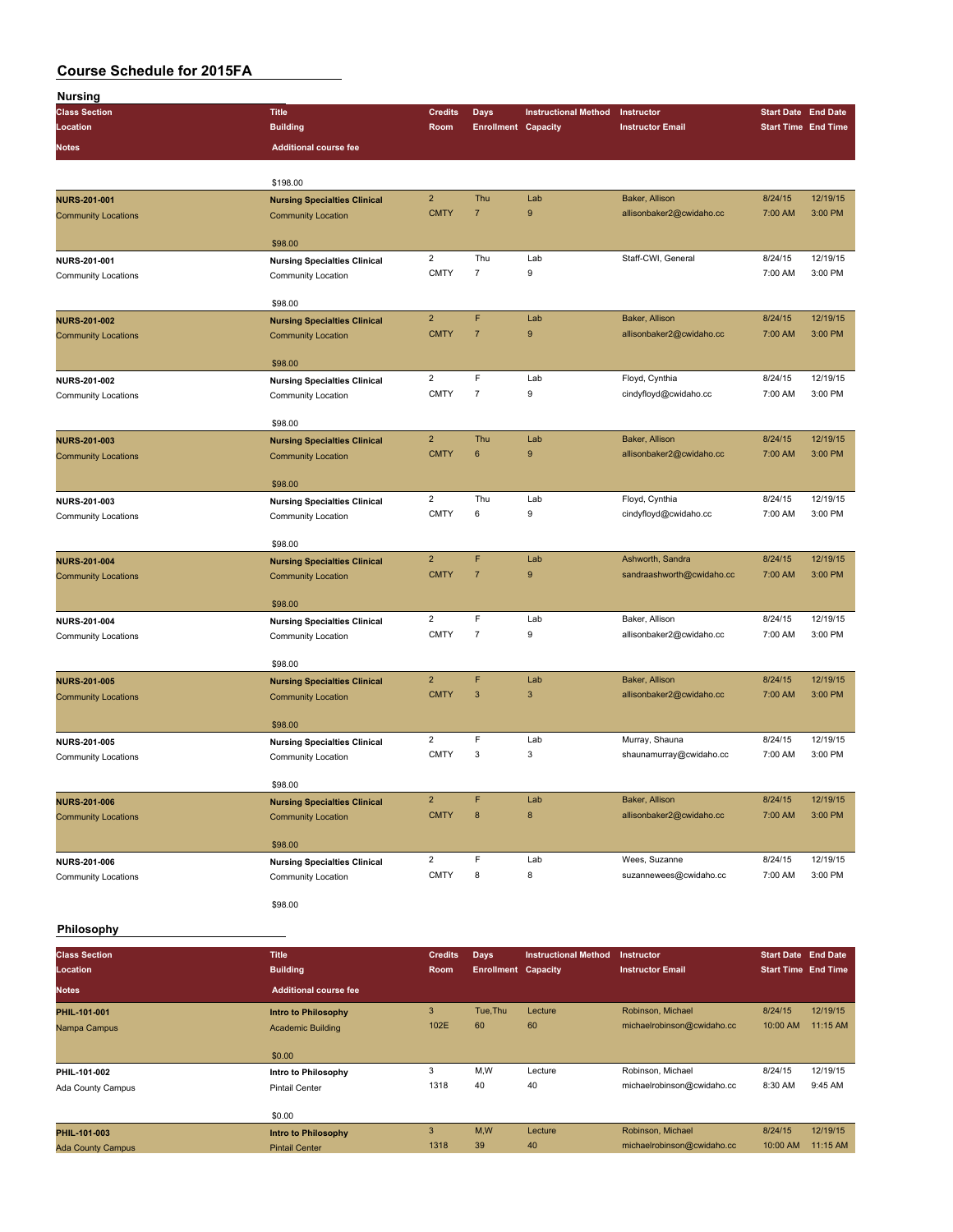| <b>Nursing</b>             |                                     |                                                                                                                                                                                                                                                                                                                                                                                                                                                                                                                                                                                                                                                                                                                                                                                                                                                                                                                                                                                                                                                                                                                                                                                                                                                                                                                                                         |                |                             |                          |                            |          |
|----------------------------|-------------------------------------|---------------------------------------------------------------------------------------------------------------------------------------------------------------------------------------------------------------------------------------------------------------------------------------------------------------------------------------------------------------------------------------------------------------------------------------------------------------------------------------------------------------------------------------------------------------------------------------------------------------------------------------------------------------------------------------------------------------------------------------------------------------------------------------------------------------------------------------------------------------------------------------------------------------------------------------------------------------------------------------------------------------------------------------------------------------------------------------------------------------------------------------------------------------------------------------------------------------------------------------------------------------------------------------------------------------------------------------------------------|----------------|-----------------------------|--------------------------|----------------------------|----------|
| <b>Class Section</b>       | <b>Title</b>                        | <b>Credits</b>                                                                                                                                                                                                                                                                                                                                                                                                                                                                                                                                                                                                                                                                                                                                                                                                                                                                                                                                                                                                                                                                                                                                                                                                                                                                                                                                          | <b>Days</b>    | <b>Instructional Method</b> | Instructor               | <b>Start Date End Date</b> |          |
| Location                   | <b>Building</b>                     | Room                                                                                                                                                                                                                                                                                                                                                                                                                                                                                                                                                                                                                                                                                                                                                                                                                                                                                                                                                                                                                                                                                                                                                                                                                                                                                                                                                    |                |                             | <b>Instructor Email</b>  | <b>Start Time End Time</b> |          |
| Notes                      | <b>Additional course fee</b>        |                                                                                                                                                                                                                                                                                                                                                                                                                                                                                                                                                                                                                                                                                                                                                                                                                                                                                                                                                                                                                                                                                                                                                                                                                                                                                                                                                         |                |                             |                          |                            |          |
|                            | \$198.00                            |                                                                                                                                                                                                                                                                                                                                                                                                                                                                                                                                                                                                                                                                                                                                                                                                                                                                                                                                                                                                                                                                                                                                                                                                                                                                                                                                                         |                |                             |                          |                            |          |
| <b>NURS-201-001</b>        |                                     |                                                                                                                                                                                                                                                                                                                                                                                                                                                                                                                                                                                                                                                                                                                                                                                                                                                                                                                                                                                                                                                                                                                                                                                                                                                                                                                                                         |                |                             |                          |                            | 12/19/15 |
| <b>Community Locations</b> | <b>Community Location</b>           | <b>CMTY</b>                                                                                                                                                                                                                                                                                                                                                                                                                                                                                                                                                                                                                                                                                                                                                                                                                                                                                                                                                                                                                                                                                                                                                                                                                                                                                                                                             | $\overline{7}$ | 9                           |                          |                            | 3:00 PM  |
|                            |                                     |                                                                                                                                                                                                                                                                                                                                                                                                                                                                                                                                                                                                                                                                                                                                                                                                                                                                                                                                                                                                                                                                                                                                                                                                                                                                                                                                                         |                |                             |                          |                            |          |
|                            | \$98.00                             |                                                                                                                                                                                                                                                                                                                                                                                                                                                                                                                                                                                                                                                                                                                                                                                                                                                                                                                                                                                                                                                                                                                                                                                                                                                                                                                                                         |                |                             |                          |                            |          |
| NURS-201-001               | <b>Nursing Specialties Clinical</b> |                                                                                                                                                                                                                                                                                                                                                                                                                                                                                                                                                                                                                                                                                                                                                                                                                                                                                                                                                                                                                                                                                                                                                                                                                                                                                                                                                         |                |                             |                          |                            | 12/19/15 |
| <b>Community Locations</b> | Community Location                  |                                                                                                                                                                                                                                                                                                                                                                                                                                                                                                                                                                                                                                                                                                                                                                                                                                                                                                                                                                                                                                                                                                                                                                                                                                                                                                                                                         |                |                             |                          |                            | 3:00 PM  |
|                            | \$98.00                             |                                                                                                                                                                                                                                                                                                                                                                                                                                                                                                                                                                                                                                                                                                                                                                                                                                                                                                                                                                                                                                                                                                                                                                                                                                                                                                                                                         |                |                             |                          |                            |          |
| <b>NURS-201-002</b>        | <b>Nursing Specialties Clinical</b> |                                                                                                                                                                                                                                                                                                                                                                                                                                                                                                                                                                                                                                                                                                                                                                                                                                                                                                                                                                                                                                                                                                                                                                                                                                                                                                                                                         |                |                             |                          |                            | 12/19/15 |
| <b>Community Locations</b> | <b>Community Location</b>           |                                                                                                                                                                                                                                                                                                                                                                                                                                                                                                                                                                                                                                                                                                                                                                                                                                                                                                                                                                                                                                                                                                                                                                                                                                                                                                                                                         |                |                             |                          |                            | 3:00 PM  |
|                            | \$98.00                             |                                                                                                                                                                                                                                                                                                                                                                                                                                                                                                                                                                                                                                                                                                                                                                                                                                                                                                                                                                                                                                                                                                                                                                                                                                                                                                                                                         |                |                             |                          |                            |          |
| NURS-201-002               | <b>Nursing Specialties Clinical</b> | $\overline{c}$                                                                                                                                                                                                                                                                                                                                                                                                                                                                                                                                                                                                                                                                                                                                                                                                                                                                                                                                                                                                                                                                                                                                                                                                                                                                                                                                          | F              | Lab                         | Floyd, Cynthia           | 8/24/15                    | 12/19/15 |
| Community Locations        | Community Location                  | <b>CMTY</b>                                                                                                                                                                                                                                                                                                                                                                                                                                                                                                                                                                                                                                                                                                                                                                                                                                                                                                                                                                                                                                                                                                                                                                                                                                                                                                                                             | $\overline{7}$ | 9                           | cindyfloyd@cwidaho.cc    | 7:00 AM                    | 3:00 PM  |
|                            | \$98.00                             |                                                                                                                                                                                                                                                                                                                                                                                                                                                                                                                                                                                                                                                                                                                                                                                                                                                                                                                                                                                                                                                                                                                                                                                                                                                                                                                                                         |                |                             |                          |                            |          |
| NURS-201-003               | <b>Nursing Specialties Clinical</b> | $\overline{2}$                                                                                                                                                                                                                                                                                                                                                                                                                                                                                                                                                                                                                                                                                                                                                                                                                                                                                                                                                                                                                                                                                                                                                                                                                                                                                                                                          | Thu            | Lab                         | Baker, Allison           | 8/24/15                    | 12/19/15 |
| <b>Community Locations</b> | <b>Community Location</b>           | <b>CMTY</b>                                                                                                                                                                                                                                                                                                                                                                                                                                                                                                                                                                                                                                                                                                                                                                                                                                                                                                                                                                                                                                                                                                                                                                                                                                                                                                                                             | 6              | 9                           | allisonbaker2@cwidaho.cc | 7:00 AM                    | 3:00 PM  |
|                            | \$98.00                             |                                                                                                                                                                                                                                                                                                                                                                                                                                                                                                                                                                                                                                                                                                                                                                                                                                                                                                                                                                                                                                                                                                                                                                                                                                                                                                                                                         |                |                             |                          |                            |          |
| NURS-201-003               |                                     |                                                                                                                                                                                                                                                                                                                                                                                                                                                                                                                                                                                                                                                                                                                                                                                                                                                                                                                                                                                                                                                                                                                                                                                                                                                                                                                                                         |                |                             |                          |                            | 12/19/15 |
| Community Locations        | Community Location                  | <b>CMTY</b>                                                                                                                                                                                                                                                                                                                                                                                                                                                                                                                                                                                                                                                                                                                                                                                                                                                                                                                                                                                                                                                                                                                                                                                                                                                                                                                                             | 6              | 9                           | cindyfloyd@cwidaho.cc    | 7:00 AM                    | 3:00 PM  |
|                            |                                     |                                                                                                                                                                                                                                                                                                                                                                                                                                                                                                                                                                                                                                                                                                                                                                                                                                                                                                                                                                                                                                                                                                                                                                                                                                                                                                                                                         |                |                             |                          |                            |          |
|                            | \$98.00                             |                                                                                                                                                                                                                                                                                                                                                                                                                                                                                                                                                                                                                                                                                                                                                                                                                                                                                                                                                                                                                                                                                                                                                                                                                                                                                                                                                         |                |                             |                          |                            |          |
| <b>NURS-201-004</b>        | <b>Nursing Specialties Clinical</b> |                                                                                                                                                                                                                                                                                                                                                                                                                                                                                                                                                                                                                                                                                                                                                                                                                                                                                                                                                                                                                                                                                                                                                                                                                                                                                                                                                         |                |                             |                          |                            | 12/19/15 |
| <b>Community Locations</b> | <b>Community Location</b>           |                                                                                                                                                                                                                                                                                                                                                                                                                                                                                                                                                                                                                                                                                                                                                                                                                                                                                                                                                                                                                                                                                                                                                                                                                                                                                                                                                         |                |                             |                          |                            | 3:00 PM  |
|                            | \$98.00                             |                                                                                                                                                                                                                                                                                                                                                                                                                                                                                                                                                                                                                                                                                                                                                                                                                                                                                                                                                                                                                                                                                                                                                                                                                                                                                                                                                         |                |                             |                          |                            |          |
| NURS-201-004               | <b>Nursing Specialties Clinical</b> | $\overline{c}$                                                                                                                                                                                                                                                                                                                                                                                                                                                                                                                                                                                                                                                                                                                                                                                                                                                                                                                                                                                                                                                                                                                                                                                                                                                                                                                                          | F              | Lab                         | Baker, Allison           | 8/24/15                    | 12/19/15 |
| <b>Community Locations</b> | Community Location                  | <b>Enrollment Capacity</b><br>$\overline{2}$<br>Thu<br>Lab<br>Baker, Allison<br>8/24/15<br><b>Nursing Specialties Clinical</b><br>allisonbaker2@cwidaho.cc<br>7:00 AM<br>$\overline{2}$<br>Thu<br>Staff-CWI, General<br>Lab<br>8/24/15<br><b>CMTY</b><br>$\overline{7}$<br>9<br>7:00 AM<br>F<br>$\overline{2}$<br>Lab<br>Baker, Allison<br>8/24/15<br>$\boldsymbol{9}$<br><b>CMTY</b><br>$\overline{7}$<br>allisonbaker2@cwidaho.cc<br>7:00 AM<br>$\overline{2}$<br>Thu<br>Lab<br>Floyd, Cynthia<br>8/24/15<br><b>Nursing Specialties Clinical</b><br>F<br>$\overline{2}$<br>Lab<br>Ashworth, Sandra<br>8/24/15<br><b>CMTY</b><br>$\overline{7}$<br>9<br>sandraashworth@cwidaho.cc<br>7:00 AM<br><b>CMTY</b><br>$\overline{7}$<br>9<br>allisonbaker2@cwidaho.cc<br>7:00 AM<br>F<br>$\overline{2}$<br>Lab<br>Baker, Allison<br>8/24/15<br><b>CMTY</b><br>$\mathbf{3}$<br>3<br>allisonbaker2@cwidaho.cc<br>7:00 AM<br>$\overline{2}$<br>F<br>8/24/15<br>Lab<br>Murray, Shauna<br><b>Nursing Specialties Clinical</b><br><b>CMTY</b><br>3<br>3<br>shaunamurray@cwidaho.cc<br>7:00 AM<br>$\overline{a}$<br>F<br>Baker, Allison<br>8/24/15<br>Lab<br><b>CMTY</b><br>$\bf8$<br>$\bf8$<br>allisonbaker2@cwidaho.cc<br>7:00 AM<br>$\overline{\mathbf{c}}$<br>F<br>Lab<br>Wees, Suzanne<br>8/24/15<br><b>CMTY</b><br>8<br>8<br>7:00 AM<br>suzannewees@cwidaho.cc | 3:00 PM        |                             |                          |                            |          |
|                            | \$98.00                             |                                                                                                                                                                                                                                                                                                                                                                                                                                                                                                                                                                                                                                                                                                                                                                                                                                                                                                                                                                                                                                                                                                                                                                                                                                                                                                                                                         |                |                             |                          |                            |          |
| <b>NURS-201-005</b>        | <b>Nursing Specialties Clinical</b> |                                                                                                                                                                                                                                                                                                                                                                                                                                                                                                                                                                                                                                                                                                                                                                                                                                                                                                                                                                                                                                                                                                                                                                                                                                                                                                                                                         |                |                             |                          |                            | 12/19/15 |
| <b>Community Locations</b> | <b>Community Location</b>           |                                                                                                                                                                                                                                                                                                                                                                                                                                                                                                                                                                                                                                                                                                                                                                                                                                                                                                                                                                                                                                                                                                                                                                                                                                                                                                                                                         |                |                             |                          |                            | 3:00 PM  |
|                            |                                     |                                                                                                                                                                                                                                                                                                                                                                                                                                                                                                                                                                                                                                                                                                                                                                                                                                                                                                                                                                                                                                                                                                                                                                                                                                                                                                                                                         |                |                             |                          |                            |          |
| NURS-201-005               | \$98.00                             |                                                                                                                                                                                                                                                                                                                                                                                                                                                                                                                                                                                                                                                                                                                                                                                                                                                                                                                                                                                                                                                                                                                                                                                                                                                                                                                                                         |                |                             |                          |                            | 12/19/15 |
| <b>Community Locations</b> | Community Location                  |                                                                                                                                                                                                                                                                                                                                                                                                                                                                                                                                                                                                                                                                                                                                                                                                                                                                                                                                                                                                                                                                                                                                                                                                                                                                                                                                                         |                |                             |                          |                            | 3:00 PM  |
|                            |                                     |                                                                                                                                                                                                                                                                                                                                                                                                                                                                                                                                                                                                                                                                                                                                                                                                                                                                                                                                                                                                                                                                                                                                                                                                                                                                                                                                                         |                |                             |                          |                            |          |
|                            | \$98.00                             |                                                                                                                                                                                                                                                                                                                                                                                                                                                                                                                                                                                                                                                                                                                                                                                                                                                                                                                                                                                                                                                                                                                                                                                                                                                                                                                                                         |                |                             |                          |                            |          |
| <b>NURS-201-006</b>        | <b>Nursing Specialties Clinical</b> |                                                                                                                                                                                                                                                                                                                                                                                                                                                                                                                                                                                                                                                                                                                                                                                                                                                                                                                                                                                                                                                                                                                                                                                                                                                                                                                                                         |                |                             |                          |                            | 12/19/15 |
| <b>Community Locations</b> | <b>Community Location</b>           |                                                                                                                                                                                                                                                                                                                                                                                                                                                                                                                                                                                                                                                                                                                                                                                                                                                                                                                                                                                                                                                                                                                                                                                                                                                                                                                                                         |                |                             |                          |                            | 3:00 PM  |
|                            | \$98.00                             |                                                                                                                                                                                                                                                                                                                                                                                                                                                                                                                                                                                                                                                                                                                                                                                                                                                                                                                                                                                                                                                                                                                                                                                                                                                                                                                                                         |                |                             |                          |                            |          |
| NURS-201-006               | <b>Nursing Specialties Clinical</b> |                                                                                                                                                                                                                                                                                                                                                                                                                                                                                                                                                                                                                                                                                                                                                                                                                                                                                                                                                                                                                                                                                                                                                                                                                                                                                                                                                         |                |                             |                          |                            | 12/19/15 |
| <b>Community Locations</b> | Community Location                  |                                                                                                                                                                                                                                                                                                                                                                                                                                                                                                                                                                                                                                                                                                                                                                                                                                                                                                                                                                                                                                                                                                                                                                                                                                                                                                                                                         |                |                             |                          |                            | 3:00 PM  |
|                            | \$98.00                             |                                                                                                                                                                                                                                                                                                                                                                                                                                                                                                                                                                                                                                                                                                                                                                                                                                                                                                                                                                                                                                                                                                                                                                                                                                                                                                                                                         |                |                             |                          |                            |          |
| Philosophy                 |                                     |                                                                                                                                                                                                                                                                                                                                                                                                                                                                                                                                                                                                                                                                                                                                                                                                                                                                                                                                                                                                                                                                                                                                                                                                                                                                                                                                                         |                |                             |                          |                            |          |

| <b>Class Section</b>     | <b>Title</b>                 | <b>Credits</b> | <b>Days</b>                | <b>Instructional Method</b> | <b>Instructor</b>          | <b>Start Date End Date</b> |          |
|--------------------------|------------------------------|----------------|----------------------------|-----------------------------|----------------------------|----------------------------|----------|
| Location                 | <b>Building</b>              | <b>Room</b>    | <b>Enrollment Capacity</b> |                             | <b>Instructor Email</b>    | <b>Start Time End Time</b> |          |
| <b>Notes</b>             | <b>Additional course fee</b> |                |                            |                             |                            |                            |          |
| PHIL-101-001             | <b>Intro to Philosophy</b>   | 3              | Tue, Thu                   | Lecture                     | Robinson, Michael          | 8/24/15                    | 12/19/15 |
| Nampa Campus             | <b>Academic Building</b>     | 102E           | 60                         | 60                          | michaelrobinson@cwidaho.cc | 10:00 AM                   | 11:15 AM |
|                          |                              |                |                            |                             |                            |                            |          |
|                          | \$0.00                       |                |                            |                             |                            |                            |          |
| PHIL-101-002             | Intro to Philosophy          | 3              | M,W                        | Lecture                     | Robinson, Michael          | 8/24/15                    | 12/19/15 |
| Ada County Campus        | <b>Pintail Center</b>        | 1318           | 40                         | 40                          | michaelrobinson@cwidaho.cc | 8:30 AM                    | 9:45 AM  |
|                          |                              |                |                            |                             |                            |                            |          |
|                          | \$0.00                       |                |                            |                             |                            |                            |          |
| PHIL-101-003             | Intro to Philosophy          | 3              | M,W                        | Lecture                     | Robinson, Michael          | 8/24/15                    | 12/19/15 |
| <b>Ada County Campus</b> | <b>Pintail Center</b>        | 1318           | 39                         | 40                          | michaelrobinson@cwidaho.cc | 10:00 AM                   | 11:15 AM |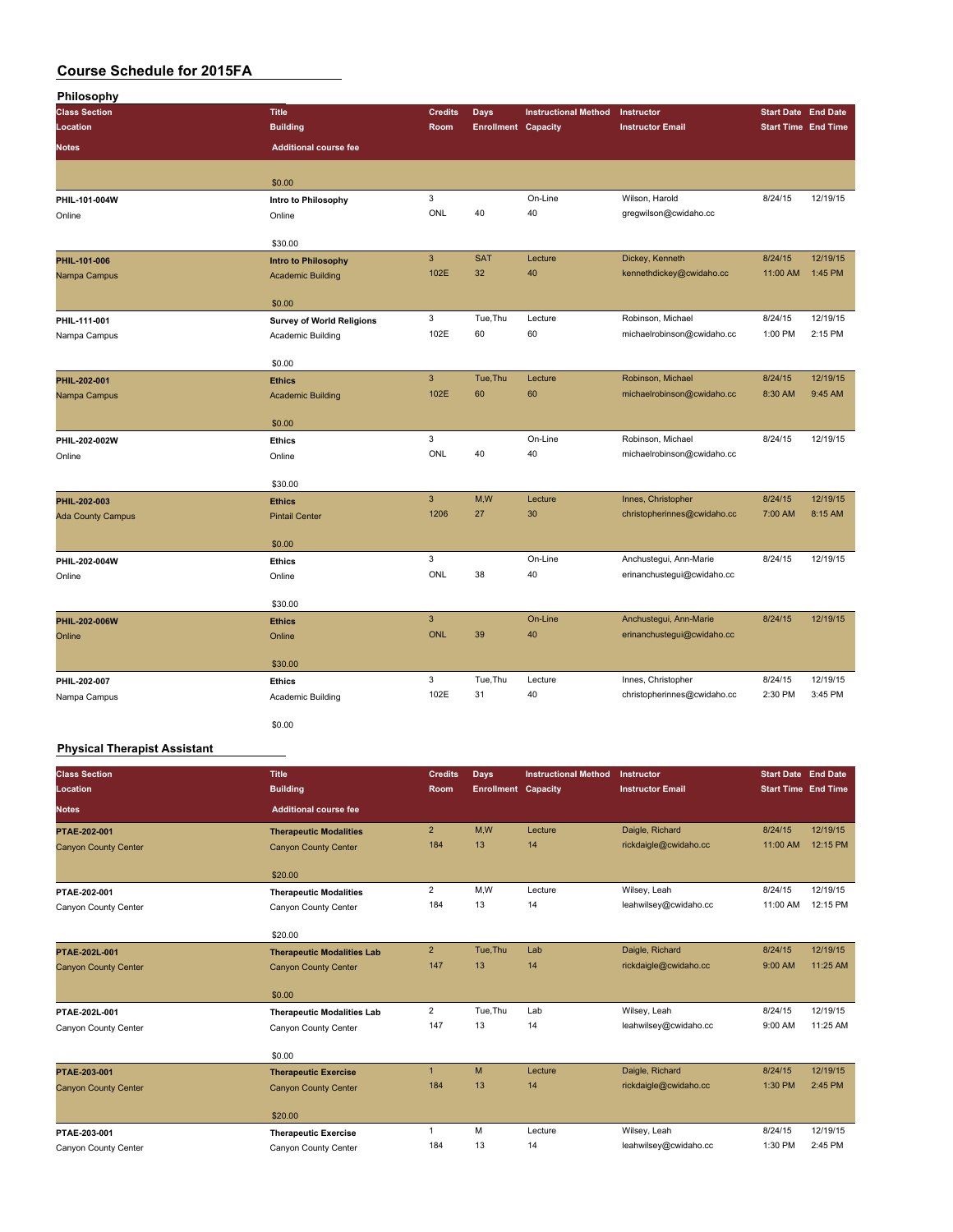| Philosophy                   |                                    |                |                            |                             |                             |          |                            |
|------------------------------|------------------------------------|----------------|----------------------------|-----------------------------|-----------------------------|----------|----------------------------|
| <b>Class Section</b>         | <b>Title</b>                       | <b>Credits</b> | <b>Days</b>                | <b>Instructional Method</b> | Instructor                  |          | <b>Start Date End Date</b> |
| Location                     | <b>Building</b>                    | Room           | <b>Enrollment Capacity</b> |                             | <b>Instructor Email</b>     |          | <b>Start Time End Time</b> |
| <b>Notes</b>                 | <b>Additional course fee</b>       |                |                            |                             |                             |          |                            |
|                              | \$0.00                             |                |                            |                             |                             |          |                            |
| PHIL-101-004W                | Intro to Philosophy                | 3              |                            | On-Line                     | Wilson, Harold              | 8/24/15  | 12/19/15                   |
| Online                       | Online                             | ONL            | 40                         | 40                          | gregwilson@cwidaho.cc       |          |                            |
|                              | \$30.00                            |                |                            |                             |                             |          |                            |
| PHIL-101-006                 | Intro to Philosophy                | $\mathbf{3}$   | <b>SAT</b>                 | Lecture                     | Dickey, Kenneth             | 8/24/15  | 12/19/15                   |
| Nampa Campus                 | <b>Academic Building</b>           | 102E           | 32                         | 40                          | kennethdickey@cwidaho.cc    | 11:00 AM | 1:45 PM                    |
|                              | \$0.00                             |                |                            |                             |                             |          |                            |
| PHIL-111-001                 | <b>Survey of World Religions</b>   | 3              | Tue, Thu                   | Lecture                     | Robinson, Michael           | 8/24/15  | 12/19/15                   |
| Nampa Campus                 | Academic Building                  | 102E           | 60                         | 60                          | michaelrobinson@cwidaho.cc  | 1:00 PM  | 2:15 PM                    |
|                              | \$0.00                             |                |                            |                             |                             |          |                            |
| PHIL-202-001                 | <b>Ethics</b>                      | $\mathbf{3}$   | Tue, Thu                   | Lecture                     | Robinson, Michael           | 8/24/15  | 12/19/15                   |
| Nampa Campus                 | <b>Academic Building</b>           | 102E           | 60                         | 60                          | michaelrobinson@cwidaho.cc  | 8:30 AM  | 9:45 AM                    |
|                              | \$0.00                             |                |                            |                             |                             |          |                            |
| PHIL-202-002W                | <b>Ethics</b>                      | 3              |                            | On-Line                     | Robinson, Michael           | 8/24/15  | 12/19/15                   |
| Online                       | Online                             | ONL            | 40                         | 40                          | michaelrobinson@cwidaho.cc  |          |                            |
|                              | \$30.00                            |                |                            |                             |                             |          |                            |
| PHIL-202-003                 | <b>Ethics</b>                      | $\mathbf{3}$   | M,W                        | Lecture                     | Innes, Christopher          | 8/24/15  | 12/19/15                   |
| <b>Ada County Campus</b>     | <b>Pintail Center</b>              | 1206           | 27                         | 30                          | christopherinnes@cwidaho.cc | 7:00 AM  | 8:15 AM                    |
|                              | \$0.00                             |                |                            |                             |                             |          |                            |
| PHIL-202-004W                | <b>Ethics</b>                      | 3              |                            | On-Line                     | Anchustegui, Ann-Marie      | 8/24/15  | 12/19/15                   |
| Online                       | Online                             | ONL            | 38                         | 40                          | erinanchustegui@cwidaho.cc  |          |                            |
|                              | \$30.00                            |                |                            |                             |                             |          |                            |
| PHIL-202-006W                | <b>Ethics</b>                      | $\overline{3}$ |                            | On-Line                     | Anchustegui, Ann-Marie      | 8/24/15  | 12/19/15                   |
| Online                       | Online                             | <b>ONL</b>     | 39                         | 40                          | erinanchustegui@cwidaho.cc  |          |                            |
|                              |                                    |                |                            |                             |                             |          |                            |
|                              | \$30.00                            | 3              | Tue, Thu                   | Lecture                     | Innes, Christopher          | 8/24/15  | 12/19/15                   |
| PHIL-202-007<br>Nampa Campus | <b>Ethics</b><br>Academic Building | 102E           | 31                         | 40                          | christopherinnes@cwidaho.cc | 2:30 PM  | 3:45 PM                    |
|                              |                                    |                |                            |                             |                             |          |                            |
|                              | \$0.00                             |                |                            |                             |                             |          |                            |

#### **Physical Therapist Assistant**

| <b>Class Section</b><br>Location | <b>Title</b><br><b>Building</b>   | <b>Credits</b><br><b>Room</b> | Days<br><b>Enrollment Capacity</b> | <b>Instructional Method</b> | Instructor<br><b>Instructor Email</b> | <b>Start Date End Date</b><br><b>Start Time End Time</b> |          |
|----------------------------------|-----------------------------------|-------------------------------|------------------------------------|-----------------------------|---------------------------------------|----------------------------------------------------------|----------|
| <b>Notes</b>                     | <b>Additional course fee</b>      |                               |                                    |                             |                                       |                                                          |          |
| PTAE-202-001                     | <b>Therapeutic Modalities</b>     | 2 <sup>2</sup>                | M,W                                | Lecture                     | Daigle, Richard                       | 8/24/15                                                  | 12/19/15 |
| <b>Canyon County Center</b>      | <b>Canyon County Center</b>       | 184                           | 13                                 | 14                          | rickdaigle@cwidaho.cc                 | 11:00 AM                                                 | 12:15 PM |
|                                  | \$20.00                           |                               |                                    |                             |                                       |                                                          |          |
| PTAE-202-001                     | <b>Therapeutic Modalities</b>     | $\overline{2}$                | M,W                                | Lecture                     | Wilsey, Leah                          | 8/24/15                                                  | 12/19/15 |
| Canyon County Center             | Canyon County Center              | 184                           | 13                                 | 14                          | leahwilsey@cwidaho.cc                 | 11:00 AM                                                 | 12:15 PM |
|                                  | \$20.00                           |                               |                                    |                             |                                       |                                                          |          |
| PTAE-202L-001                    | <b>Therapeutic Modalities Lab</b> | $\overline{2}$                | Tue, Thu                           | Lab                         | Daigle, Richard                       | 8/24/15                                                  | 12/19/15 |
| <b>Canyon County Center</b>      | <b>Canyon County Center</b>       | 147                           | 13                                 | 14                          | rickdaigle@cwidaho.cc                 | 9:00 AM                                                  | 11:25 AM |
|                                  | \$0.00                            |                               |                                    |                             |                                       |                                                          |          |
| PTAE-202L-001                    | <b>Therapeutic Modalities Lab</b> | $\overline{2}$                | Tue, Thu                           | Lab                         | Wilsey, Leah                          | 8/24/15                                                  | 12/19/15 |
| Canyon County Center             | Canyon County Center              | 147                           | 13                                 | 14                          | leahwilsey@cwidaho.cc                 | 9:00 AM                                                  | 11:25 AM |
|                                  | \$0.00                            |                               |                                    |                             |                                       |                                                          |          |
| PTAE-203-001                     | <b>Therapeutic Exercise</b>       | $\mathbf{1}$                  | M                                  | Lecture                     | Daigle, Richard                       | 8/24/15                                                  | 12/19/15 |
| <b>Canyon County Center</b>      | <b>Canyon County Center</b>       | 184                           | 13                                 | 14                          | rickdaigle@cwidaho.cc                 | 1:30 PM                                                  | 2:45 PM  |
|                                  | \$20.00                           |                               |                                    |                             |                                       |                                                          |          |
| PTAE-203-001                     | <b>Therapeutic Exercise</b>       | $\mathbf{1}$                  | M                                  | Lecture                     | Wilsey, Leah                          | 8/24/15                                                  | 12/19/15 |
| Canyon County Center             | Canyon County Center              | 184                           | 13                                 | 14                          | leahwilsey@cwidaho.cc                 | 1:30 PM                                                  | 2:45 PM  |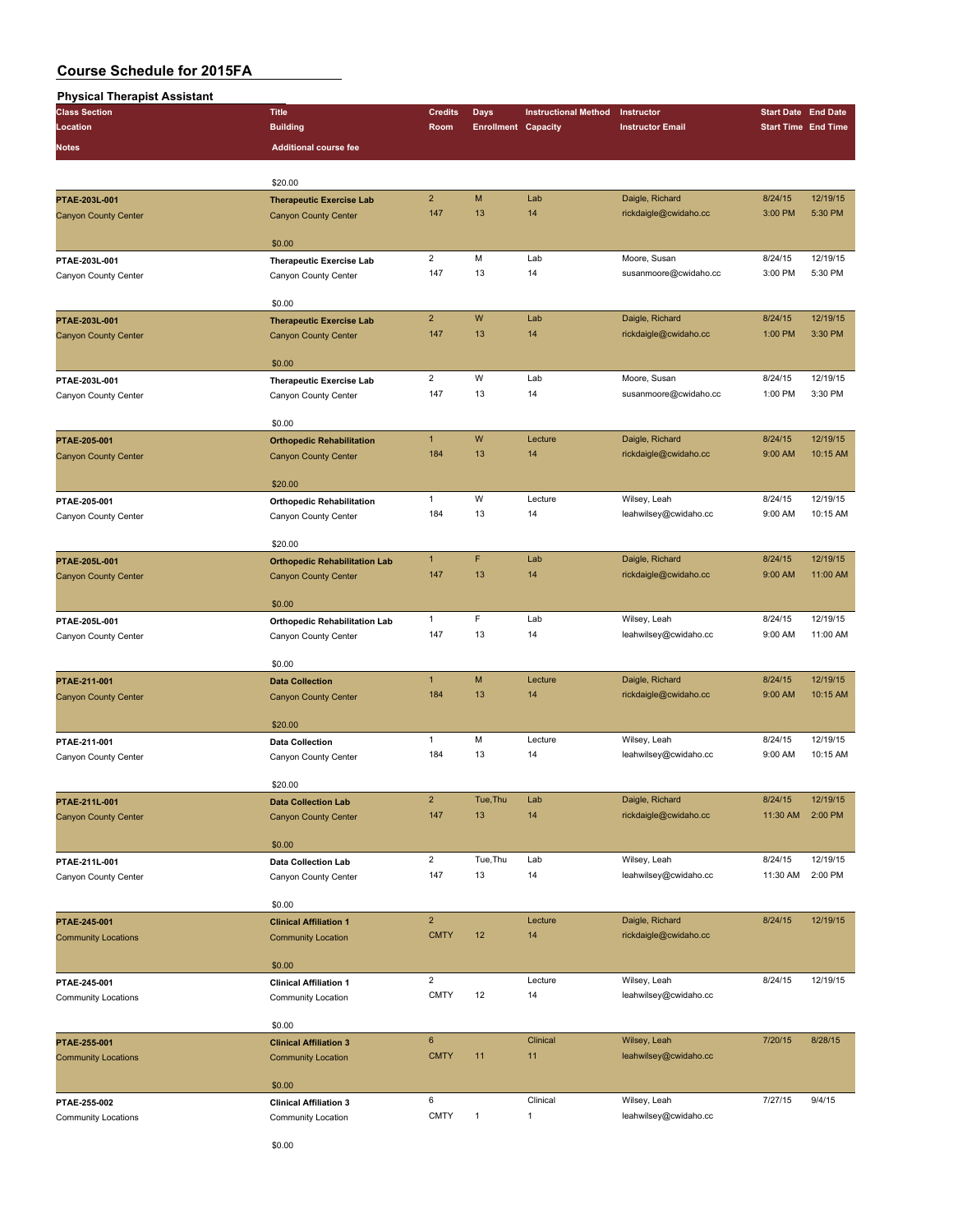| <b>Physical Therapist Assistant</b>                                                                                                                                                                                                                                                                                                                                                                                                                                                                                                                                                                                                                                                                                                                                                                                                                                                                                                                                                                                                                        |                                 |                |                            |                                                                                                                                                                                                                                                                                                                                                             |                         |                                                                                                                                                                                                                                                                                                                                                                                |          |
|------------------------------------------------------------------------------------------------------------------------------------------------------------------------------------------------------------------------------------------------------------------------------------------------------------------------------------------------------------------------------------------------------------------------------------------------------------------------------------------------------------------------------------------------------------------------------------------------------------------------------------------------------------------------------------------------------------------------------------------------------------------------------------------------------------------------------------------------------------------------------------------------------------------------------------------------------------------------------------------------------------------------------------------------------------|---------------------------------|----------------|----------------------------|-------------------------------------------------------------------------------------------------------------------------------------------------------------------------------------------------------------------------------------------------------------------------------------------------------------------------------------------------------------|-------------------------|--------------------------------------------------------------------------------------------------------------------------------------------------------------------------------------------------------------------------------------------------------------------------------------------------------------------------------------------------------------------------------|----------|
| <b>Class Section</b>                                                                                                                                                                                                                                                                                                                                                                                                                                                                                                                                                                                                                                                                                                                                                                                                                                                                                                                                                                                                                                       | <b>Title</b>                    | <b>Credits</b> | <b>Days</b>                | <b>Instructional Method</b>                                                                                                                                                                                                                                                                                                                                 | Instructor              |                                                                                                                                                                                                                                                                                                                                                                                |          |
| Location                                                                                                                                                                                                                                                                                                                                                                                                                                                                                                                                                                                                                                                                                                                                                                                                                                                                                                                                                                                                                                                   | <b>Building</b>                 | Room           | <b>Enrollment Capacity</b> |                                                                                                                                                                                                                                                                                                                                                             | <b>Instructor Email</b> |                                                                                                                                                                                                                                                                                                                                                                                |          |
| Notes                                                                                                                                                                                                                                                                                                                                                                                                                                                                                                                                                                                                                                                                                                                                                                                                                                                                                                                                                                                                                                                      | <b>Additional course fee</b>    |                |                            |                                                                                                                                                                                                                                                                                                                                                             |                         |                                                                                                                                                                                                                                                                                                                                                                                |          |
|                                                                                                                                                                                                                                                                                                                                                                                                                                                                                                                                                                                                                                                                                                                                                                                                                                                                                                                                                                                                                                                            |                                 |                |                            |                                                                                                                                                                                                                                                                                                                                                             |                         |                                                                                                                                                                                                                                                                                                                                                                                |          |
|                                                                                                                                                                                                                                                                                                                                                                                                                                                                                                                                                                                                                                                                                                                                                                                                                                                                                                                                                                                                                                                            | \$20.00                         |                |                            |                                                                                                                                                                                                                                                                                                                                                             |                         |                                                                                                                                                                                                                                                                                                                                                                                |          |
| PTAE-203L-001                                                                                                                                                                                                                                                                                                                                                                                                                                                                                                                                                                                                                                                                                                                                                                                                                                                                                                                                                                                                                                              |                                 | $\overline{2}$ | M                          | Lab                                                                                                                                                                                                                                                                                                                                                         | Daigle, Richard         |                                                                                                                                                                                                                                                                                                                                                                                | 12/19/15 |
|                                                                                                                                                                                                                                                                                                                                                                                                                                                                                                                                                                                                                                                                                                                                                                                                                                                                                                                                                                                                                                                            | <b>Therapeutic Exercise Lab</b> | 147            | 13                         | 14                                                                                                                                                                                                                                                                                                                                                          | rickdaigle@cwidaho.cc   |                                                                                                                                                                                                                                                                                                                                                                                | 5:30 PM  |
| <b>Canyon County Center</b>                                                                                                                                                                                                                                                                                                                                                                                                                                                                                                                                                                                                                                                                                                                                                                                                                                                                                                                                                                                                                                | <b>Canyon County Center</b>     |                |                            |                                                                                                                                                                                                                                                                                                                                                             |                         | <b>Start Date End Date</b><br><b>Start Time End Time</b><br>8/24/15<br>3:00 PM<br>8/24/15<br>3:00 PM<br>8/24/15<br>1:00 PM<br>8/24/15<br>1:00 PM<br>8/24/15<br>9:00 AM<br>8/24/15<br>9:00 AM<br>8/24/15<br>9:00 AM<br>8/24/15<br>9:00 AM<br>8/24/15<br>9:00 AM<br>8/24/15<br>9:00 AM<br>8/24/15<br>11:30 AM<br>8/24/15<br>11:30 AM<br>8/24/15<br>8/24/15<br>7/20/15<br>7/27/15 |          |
|                                                                                                                                                                                                                                                                                                                                                                                                                                                                                                                                                                                                                                                                                                                                                                                                                                                                                                                                                                                                                                                            | \$0.00                          |                |                            |                                                                                                                                                                                                                                                                                                                                                             |                         |                                                                                                                                                                                                                                                                                                                                                                                |          |
| PTAE-203L-001                                                                                                                                                                                                                                                                                                                                                                                                                                                                                                                                                                                                                                                                                                                                                                                                                                                                                                                                                                                                                                              | <b>Therapeutic Exercise Lab</b> | $\overline{2}$ | M                          | Lab                                                                                                                                                                                                                                                                                                                                                         | Moore, Susan            |                                                                                                                                                                                                                                                                                                                                                                                | 12/19/15 |
| Canyon County Center                                                                                                                                                                                                                                                                                                                                                                                                                                                                                                                                                                                                                                                                                                                                                                                                                                                                                                                                                                                                                                       | Canyon County Center            | 147            | 13                         | 14                                                                                                                                                                                                                                                                                                                                                          | susanmoore@cwidaho.cc   |                                                                                                                                                                                                                                                                                                                                                                                | 5:30 PM  |
|                                                                                                                                                                                                                                                                                                                                                                                                                                                                                                                                                                                                                                                                                                                                                                                                                                                                                                                                                                                                                                                            |                                 |                |                            |                                                                                                                                                                                                                                                                                                                                                             |                         |                                                                                                                                                                                                                                                                                                                                                                                |          |
|                                                                                                                                                                                                                                                                                                                                                                                                                                                                                                                                                                                                                                                                                                                                                                                                                                                                                                                                                                                                                                                            | \$0.00                          |                |                            |                                                                                                                                                                                                                                                                                                                                                             |                         |                                                                                                                                                                                                                                                                                                                                                                                |          |
| PTAE-203L-001                                                                                                                                                                                                                                                                                                                                                                                                                                                                                                                                                                                                                                                                                                                                                                                                                                                                                                                                                                                                                                              | <b>Therapeutic Exercise Lab</b> | $\overline{2}$ | W                          | Lab                                                                                                                                                                                                                                                                                                                                                         | Daigle, Richard         |                                                                                                                                                                                                                                                                                                                                                                                | 12/19/15 |
| <b>Canyon County Center</b>                                                                                                                                                                                                                                                                                                                                                                                                                                                                                                                                                                                                                                                                                                                                                                                                                                                                                                                                                                                                                                | <b>Canyon County Center</b>     | 147            | 13                         | 14                                                                                                                                                                                                                                                                                                                                                          | rickdaigle@cwidaho.cc   |                                                                                                                                                                                                                                                                                                                                                                                | 3:30 PM  |
| \$0.00<br>$\overline{2}$<br>W<br>Lab<br>Moore, Susan<br>PTAE-203L-001<br><b>Therapeutic Exercise Lab</b><br>13<br>147<br>14<br>susanmoore@cwidaho.cc<br>Canyon County Center<br>Canyon County Center<br>\$0.00<br>W<br>$\mathbf{1}$<br>Lecture<br>Daigle, Richard<br>PTAE-205-001<br><b>Orthopedic Rehabilitation</b><br>184<br>13<br>14<br>rickdaigle@cwidaho.cc<br><b>Canyon County Center</b><br><b>Canyon County Center</b><br>\$20.00<br>$\mathbf{1}$<br>W<br>Lecture<br>Wilsey, Leah<br>PTAE-205-001<br><b>Orthopedic Rehabilitation</b><br>184<br>13<br>14<br>leahwilsey@cwidaho.cc<br>Canyon County Center<br>Canyon County Center<br>\$20.00<br>F<br>$\mathbf{1}$<br>Lab<br>Daigle, Richard<br>PTAE-205L-001<br><b>Orthopedic Rehabilitation Lab</b><br>147<br>13<br>14<br>rickdaigle@cwidaho.cc<br><b>Canyon County Center</b><br><b>Canyon County Center</b><br>\$0.00<br>F<br>$\mathbf{1}$<br>Lab<br>Wilsey, Leah<br>PTAE-205L-001<br><b>Orthopedic Rehabilitation Lab</b><br>147<br>13<br>14<br>leahwilsey@cwidaho.cc<br>Canyon County Center |                                 |                |                            |                                                                                                                                                                                                                                                                                                                                                             |                         |                                                                                                                                                                                                                                                                                                                                                                                |          |
|                                                                                                                                                                                                                                                                                                                                                                                                                                                                                                                                                                                                                                                                                                                                                                                                                                                                                                                                                                                                                                                            |                                 |                |                            |                                                                                                                                                                                                                                                                                                                                                             |                         |                                                                                                                                                                                                                                                                                                                                                                                |          |
|                                                                                                                                                                                                                                                                                                                                                                                                                                                                                                                                                                                                                                                                                                                                                                                                                                                                                                                                                                                                                                                            |                                 |                |                            |                                                                                                                                                                                                                                                                                                                                                             |                         |                                                                                                                                                                                                                                                                                                                                                                                | 12/19/15 |
|                                                                                                                                                                                                                                                                                                                                                                                                                                                                                                                                                                                                                                                                                                                                                                                                                                                                                                                                                                                                                                                            |                                 |                |                            |                                                                                                                                                                                                                                                                                                                                                             |                         |                                                                                                                                                                                                                                                                                                                                                                                | 3:30 PM  |
|                                                                                                                                                                                                                                                                                                                                                                                                                                                                                                                                                                                                                                                                                                                                                                                                                                                                                                                                                                                                                                                            |                                 |                |                            |                                                                                                                                                                                                                                                                                                                                                             |                         |                                                                                                                                                                                                                                                                                                                                                                                |          |
|                                                                                                                                                                                                                                                                                                                                                                                                                                                                                                                                                                                                                                                                                                                                                                                                                                                                                                                                                                                                                                                            |                                 |                |                            |                                                                                                                                                                                                                                                                                                                                                             |                         |                                                                                                                                                                                                                                                                                                                                                                                |          |
|                                                                                                                                                                                                                                                                                                                                                                                                                                                                                                                                                                                                                                                                                                                                                                                                                                                                                                                                                                                                                                                            |                                 |                |                            |                                                                                                                                                                                                                                                                                                                                                             |                         |                                                                                                                                                                                                                                                                                                                                                                                | 12/19/15 |
|                                                                                                                                                                                                                                                                                                                                                                                                                                                                                                                                                                                                                                                                                                                                                                                                                                                                                                                                                                                                                                                            |                                 |                |                            |                                                                                                                                                                                                                                                                                                                                                             |                         |                                                                                                                                                                                                                                                                                                                                                                                | 10:15 AM |
|                                                                                                                                                                                                                                                                                                                                                                                                                                                                                                                                                                                                                                                                                                                                                                                                                                                                                                                                                                                                                                                            |                                 |                |                            |                                                                                                                                                                                                                                                                                                                                                             |                         |                                                                                                                                                                                                                                                                                                                                                                                |          |
|                                                                                                                                                                                                                                                                                                                                                                                                                                                                                                                                                                                                                                                                                                                                                                                                                                                                                                                                                                                                                                                            |                                 |                |                            |                                                                                                                                                                                                                                                                                                                                                             |                         |                                                                                                                                                                                                                                                                                                                                                                                |          |
|                                                                                                                                                                                                                                                                                                                                                                                                                                                                                                                                                                                                                                                                                                                                                                                                                                                                                                                                                                                                                                                            |                                 |                |                            |                                                                                                                                                                                                                                                                                                                                                             |                         |                                                                                                                                                                                                                                                                                                                                                                                | 12/19/15 |
|                                                                                                                                                                                                                                                                                                                                                                                                                                                                                                                                                                                                                                                                                                                                                                                                                                                                                                                                                                                                                                                            |                                 |                |                            |                                                                                                                                                                                                                                                                                                                                                             |                         |                                                                                                                                                                                                                                                                                                                                                                                | 10:15 AM |
|                                                                                                                                                                                                                                                                                                                                                                                                                                                                                                                                                                                                                                                                                                                                                                                                                                                                                                                                                                                                                                                            |                                 |                |                            |                                                                                                                                                                                                                                                                                                                                                             |                         |                                                                                                                                                                                                                                                                                                                                                                                |          |
|                                                                                                                                                                                                                                                                                                                                                                                                                                                                                                                                                                                                                                                                                                                                                                                                                                                                                                                                                                                                                                                            |                                 |                |                            |                                                                                                                                                                                                                                                                                                                                                             |                         |                                                                                                                                                                                                                                                                                                                                                                                |          |
|                                                                                                                                                                                                                                                                                                                                                                                                                                                                                                                                                                                                                                                                                                                                                                                                                                                                                                                                                                                                                                                            |                                 |                |                            | 12/19/15                                                                                                                                                                                                                                                                                                                                                    |                         |                                                                                                                                                                                                                                                                                                                                                                                |          |
|                                                                                                                                                                                                                                                                                                                                                                                                                                                                                                                                                                                                                                                                                                                                                                                                                                                                                                                                                                                                                                                            |                                 |                |                            |                                                                                                                                                                                                                                                                                                                                                             |                         |                                                                                                                                                                                                                                                                                                                                                                                | 11:00 AM |
|                                                                                                                                                                                                                                                                                                                                                                                                                                                                                                                                                                                                                                                                                                                                                                                                                                                                                                                                                                                                                                                            |                                 |                |                            |                                                                                                                                                                                                                                                                                                                                                             |                         |                                                                                                                                                                                                                                                                                                                                                                                |          |
|                                                                                                                                                                                                                                                                                                                                                                                                                                                                                                                                                                                                                                                                                                                                                                                                                                                                                                                                                                                                                                                            |                                 |                |                            |                                                                                                                                                                                                                                                                                                                                                             |                         |                                                                                                                                                                                                                                                                                                                                                                                | 12/19/15 |
| Canyon County Center                                                                                                                                                                                                                                                                                                                                                                                                                                                                                                                                                                                                                                                                                                                                                                                                                                                                                                                                                                                                                                       |                                 |                |                            |                                                                                                                                                                                                                                                                                                                                                             |                         |                                                                                                                                                                                                                                                                                                                                                                                | 11:00 AM |
|                                                                                                                                                                                                                                                                                                                                                                                                                                                                                                                                                                                                                                                                                                                                                                                                                                                                                                                                                                                                                                                            |                                 |                |                            |                                                                                                                                                                                                                                                                                                                                                             |                         |                                                                                                                                                                                                                                                                                                                                                                                |          |
|                                                                                                                                                                                                                                                                                                                                                                                                                                                                                                                                                                                                                                                                                                                                                                                                                                                                                                                                                                                                                                                            | \$0.00                          |                |                            |                                                                                                                                                                                                                                                                                                                                                             |                         |                                                                                                                                                                                                                                                                                                                                                                                |          |
| PTAE-211-001                                                                                                                                                                                                                                                                                                                                                                                                                                                                                                                                                                                                                                                                                                                                                                                                                                                                                                                                                                                                                                               | <b>Data Collection</b>          | $\mathbf{1}$   | M                          |                                                                                                                                                                                                                                                                                                                                                             |                         |                                                                                                                                                                                                                                                                                                                                                                                | 12/19/15 |
| <b>Canyon County Center</b>                                                                                                                                                                                                                                                                                                                                                                                                                                                                                                                                                                                                                                                                                                                                                                                                                                                                                                                                                                                                                                | <b>Canyon County Center</b>     | 184            | 13                         |                                                                                                                                                                                                                                                                                                                                                             |                         |                                                                                                                                                                                                                                                                                                                                                                                | 10:15 AM |
|                                                                                                                                                                                                                                                                                                                                                                                                                                                                                                                                                                                                                                                                                                                                                                                                                                                                                                                                                                                                                                                            |                                 |                |                            |                                                                                                                                                                                                                                                                                                                                                             |                         |                                                                                                                                                                                                                                                                                                                                                                                |          |
|                                                                                                                                                                                                                                                                                                                                                                                                                                                                                                                                                                                                                                                                                                                                                                                                                                                                                                                                                                                                                                                            | \$20.00                         |                |                            |                                                                                                                                                                                                                                                                                                                                                             |                         |                                                                                                                                                                                                                                                                                                                                                                                |          |
| PTAE-211-001                                                                                                                                                                                                                                                                                                                                                                                                                                                                                                                                                                                                                                                                                                                                                                                                                                                                                                                                                                                                                                               | <b>Data Collection</b>          | $\mathbf{1}$   | M                          | Lecture                                                                                                                                                                                                                                                                                                                                                     | Wilsey, Leah            |                                                                                                                                                                                                                                                                                                                                                                                | 12/19/15 |
| Canyon County Center                                                                                                                                                                                                                                                                                                                                                                                                                                                                                                                                                                                                                                                                                                                                                                                                                                                                                                                                                                                                                                       | Canyon County Center            | 184            | 13                         | 14                                                                                                                                                                                                                                                                                                                                                          | leahwilsey@cwidaho.cc   |                                                                                                                                                                                                                                                                                                                                                                                | 10:15 AM |
|                                                                                                                                                                                                                                                                                                                                                                                                                                                                                                                                                                                                                                                                                                                                                                                                                                                                                                                                                                                                                                                            |                                 |                |                            |                                                                                                                                                                                                                                                                                                                                                             |                         |                                                                                                                                                                                                                                                                                                                                                                                |          |
|                                                                                                                                                                                                                                                                                                                                                                                                                                                                                                                                                                                                                                                                                                                                                                                                                                                                                                                                                                                                                                                            | \$20.00                         |                |                            |                                                                                                                                                                                                                                                                                                                                                             |                         |                                                                                                                                                                                                                                                                                                                                                                                |          |
| PTAE-211L-001                                                                                                                                                                                                                                                                                                                                                                                                                                                                                                                                                                                                                                                                                                                                                                                                                                                                                                                                                                                                                                              | <b>Data Collection Lab</b>      | $\overline{2}$ | Tue, Thu                   | Lab                                                                                                                                                                                                                                                                                                                                                         | Daigle, Richard         |                                                                                                                                                                                                                                                                                                                                                                                | 12/19/15 |
| <b>Canyon County Center</b>                                                                                                                                                                                                                                                                                                                                                                                                                                                                                                                                                                                                                                                                                                                                                                                                                                                                                                                                                                                                                                | <b>Canyon County Center</b>     | 147            | 13                         | 14                                                                                                                                                                                                                                                                                                                                                          | rickdaigle@cwidaho.cc   |                                                                                                                                                                                                                                                                                                                                                                                | 2:00 PM  |
|                                                                                                                                                                                                                                                                                                                                                                                                                                                                                                                                                                                                                                                                                                                                                                                                                                                                                                                                                                                                                                                            |                                 |                |                            |                                                                                                                                                                                                                                                                                                                                                             |                         |                                                                                                                                                                                                                                                                                                                                                                                |          |
|                                                                                                                                                                                                                                                                                                                                                                                                                                                                                                                                                                                                                                                                                                                                                                                                                                                                                                                                                                                                                                                            | \$0.00                          |                |                            | Lecture<br>Daigle, Richard<br>14<br>rickdaigle@cwidaho.cc<br>Lab<br>Wilsey, Leah<br>14<br>leahwilsey@cwidaho.cc<br>Daigle, Richard<br>Lecture<br>14<br>rickdaigle@cwidaho.cc<br>Wilsey, Leah<br>Lecture<br>14<br>leahwilsey@cwidaho.cc<br>Clinical<br>Wilsey, Leah<br>11<br>leahwilsey@cwidaho.cc<br>Clinical<br>Wilsey, Leah<br>1<br>leahwilsey@cwidaho.cc |                         |                                                                                                                                                                                                                                                                                                                                                                                |          |
| PTAE-211L-001                                                                                                                                                                                                                                                                                                                                                                                                                                                                                                                                                                                                                                                                                                                                                                                                                                                                                                                                                                                                                                              | <b>Data Collection Lab</b>      | $\overline{2}$ | Tue, Thu                   |                                                                                                                                                                                                                                                                                                                                                             |                         |                                                                                                                                                                                                                                                                                                                                                                                | 12/19/15 |
| Canyon County Center                                                                                                                                                                                                                                                                                                                                                                                                                                                                                                                                                                                                                                                                                                                                                                                                                                                                                                                                                                                                                                       | Canyon County Center            | 147            | 13                         |                                                                                                                                                                                                                                                                                                                                                             |                         |                                                                                                                                                                                                                                                                                                                                                                                | 2:00 PM  |
|                                                                                                                                                                                                                                                                                                                                                                                                                                                                                                                                                                                                                                                                                                                                                                                                                                                                                                                                                                                                                                                            |                                 |                |                            |                                                                                                                                                                                                                                                                                                                                                             |                         |                                                                                                                                                                                                                                                                                                                                                                                |          |
|                                                                                                                                                                                                                                                                                                                                                                                                                                                                                                                                                                                                                                                                                                                                                                                                                                                                                                                                                                                                                                                            | \$0.00                          |                |                            |                                                                                                                                                                                                                                                                                                                                                             |                         |                                                                                                                                                                                                                                                                                                                                                                                |          |
| PTAE-245-001                                                                                                                                                                                                                                                                                                                                                                                                                                                                                                                                                                                                                                                                                                                                                                                                                                                                                                                                                                                                                                               | <b>Clinical Affiliation 1</b>   | $\overline{2}$ |                            |                                                                                                                                                                                                                                                                                                                                                             |                         |                                                                                                                                                                                                                                                                                                                                                                                | 12/19/15 |
| <b>Community Locations</b>                                                                                                                                                                                                                                                                                                                                                                                                                                                                                                                                                                                                                                                                                                                                                                                                                                                                                                                                                                                                                                 | <b>Community Location</b>       | <b>CMTY</b>    | 12                         |                                                                                                                                                                                                                                                                                                                                                             |                         |                                                                                                                                                                                                                                                                                                                                                                                |          |
|                                                                                                                                                                                                                                                                                                                                                                                                                                                                                                                                                                                                                                                                                                                                                                                                                                                                                                                                                                                                                                                            |                                 |                |                            |                                                                                                                                                                                                                                                                                                                                                             |                         |                                                                                                                                                                                                                                                                                                                                                                                |          |
|                                                                                                                                                                                                                                                                                                                                                                                                                                                                                                                                                                                                                                                                                                                                                                                                                                                                                                                                                                                                                                                            | \$0.00                          |                |                            |                                                                                                                                                                                                                                                                                                                                                             |                         |                                                                                                                                                                                                                                                                                                                                                                                |          |
| PTAE-245-001                                                                                                                                                                                                                                                                                                                                                                                                                                                                                                                                                                                                                                                                                                                                                                                                                                                                                                                                                                                                                                               | <b>Clinical Affiliation 1</b>   | $\overline{c}$ |                            |                                                                                                                                                                                                                                                                                                                                                             |                         |                                                                                                                                                                                                                                                                                                                                                                                | 12/19/15 |
| <b>Community Locations</b>                                                                                                                                                                                                                                                                                                                                                                                                                                                                                                                                                                                                                                                                                                                                                                                                                                                                                                                                                                                                                                 | Community Location              | <b>CMTY</b>    | 12                         |                                                                                                                                                                                                                                                                                                                                                             |                         |                                                                                                                                                                                                                                                                                                                                                                                |          |
|                                                                                                                                                                                                                                                                                                                                                                                                                                                                                                                                                                                                                                                                                                                                                                                                                                                                                                                                                                                                                                                            |                                 |                |                            |                                                                                                                                                                                                                                                                                                                                                             |                         |                                                                                                                                                                                                                                                                                                                                                                                |          |
|                                                                                                                                                                                                                                                                                                                                                                                                                                                                                                                                                                                                                                                                                                                                                                                                                                                                                                                                                                                                                                                            | \$0.00                          |                |                            |                                                                                                                                                                                                                                                                                                                                                             |                         |                                                                                                                                                                                                                                                                                                                                                                                |          |
| PTAE-255-001                                                                                                                                                                                                                                                                                                                                                                                                                                                                                                                                                                                                                                                                                                                                                                                                                                                                                                                                                                                                                                               | <b>Clinical Affiliation 3</b>   | $\bf 6$        |                            |                                                                                                                                                                                                                                                                                                                                                             |                         |                                                                                                                                                                                                                                                                                                                                                                                | 8/28/15  |
| <b>Community Locations</b>                                                                                                                                                                                                                                                                                                                                                                                                                                                                                                                                                                                                                                                                                                                                                                                                                                                                                                                                                                                                                                 | <b>Community Location</b>       | <b>CMTY</b>    | 11                         |                                                                                                                                                                                                                                                                                                                                                             |                         |                                                                                                                                                                                                                                                                                                                                                                                |          |
|                                                                                                                                                                                                                                                                                                                                                                                                                                                                                                                                                                                                                                                                                                                                                                                                                                                                                                                                                                                                                                                            |                                 |                |                            |                                                                                                                                                                                                                                                                                                                                                             |                         |                                                                                                                                                                                                                                                                                                                                                                                |          |
|                                                                                                                                                                                                                                                                                                                                                                                                                                                                                                                                                                                                                                                                                                                                                                                                                                                                                                                                                                                                                                                            | \$0.00                          | 6              |                            |                                                                                                                                                                                                                                                                                                                                                             |                         |                                                                                                                                                                                                                                                                                                                                                                                | 9/4/15   |
| PTAE-255-002                                                                                                                                                                                                                                                                                                                                                                                                                                                                                                                                                                                                                                                                                                                                                                                                                                                                                                                                                                                                                                               | <b>Clinical Affiliation 3</b>   | <b>CMTY</b>    | $\mathbf{1}$               |                                                                                                                                                                                                                                                                                                                                                             |                         |                                                                                                                                                                                                                                                                                                                                                                                |          |
| Community Locations                                                                                                                                                                                                                                                                                                                                                                                                                                                                                                                                                                                                                                                                                                                                                                                                                                                                                                                                                                                                                                        | Community Location              |                |                            |                                                                                                                                                                                                                                                                                                                                                             |                         |                                                                                                                                                                                                                                                                                                                                                                                |          |
|                                                                                                                                                                                                                                                                                                                                                                                                                                                                                                                                                                                                                                                                                                                                                                                                                                                                                                                                                                                                                                                            |                                 |                |                            |                                                                                                                                                                                                                                                                                                                                                             |                         |                                                                                                                                                                                                                                                                                                                                                                                |          |

\$0.00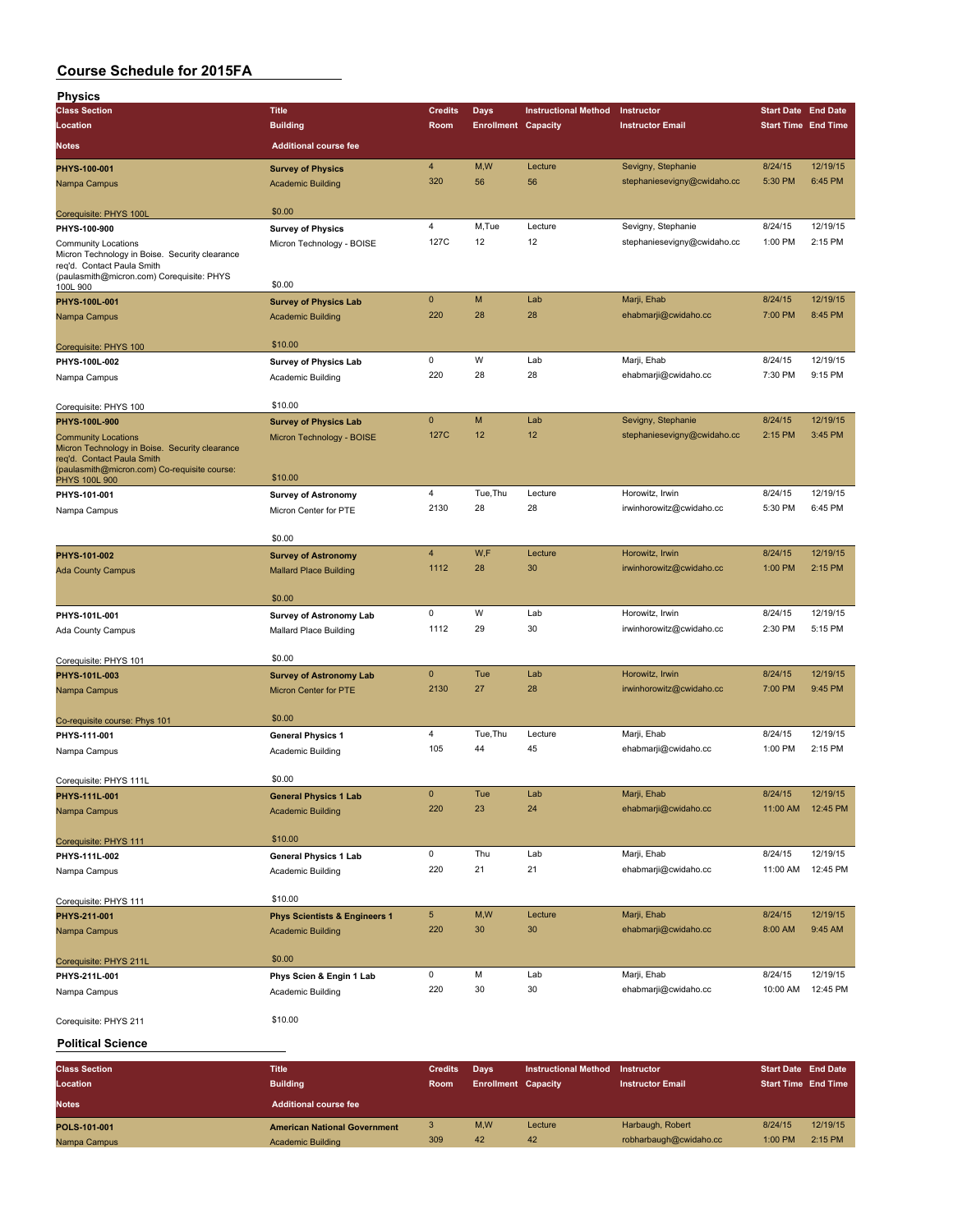| <b>Physics</b>                                                               |                                                           |                |                            |                             |                                             |                            |                      |
|------------------------------------------------------------------------------|-----------------------------------------------------------|----------------|----------------------------|-----------------------------|---------------------------------------------|----------------------------|----------------------|
| <b>Class Section</b>                                                         | <b>Title</b>                                              | <b>Credits</b> | <b>Days</b>                | <b>Instructional Method</b> | Instructor                                  | <b>Start Date End Date</b> |                      |
| Location                                                                     | <b>Building</b>                                           | Room           | <b>Enrollment Capacity</b> |                             | <b>Instructor Email</b>                     | <b>Start Time End Time</b> |                      |
| <b>Notes</b>                                                                 | <b>Additional course fee</b>                              |                |                            |                             |                                             |                            |                      |
| PHYS-100-001                                                                 | <b>Survey of Physics</b>                                  | 4              | M, W                       | Lecture                     | Sevigny, Stephanie                          | 8/24/15                    | 12/19/15             |
| Nampa Campus                                                                 | <b>Academic Building</b>                                  | 320            | 56                         | 56                          | stephaniesevigny@cwidaho.cc                 | 5:30 PM                    | 6:45 PM              |
|                                                                              |                                                           |                |                            |                             |                                             |                            |                      |
| Corequisite: PHYS 100L                                                       | \$0.00                                                    |                |                            |                             |                                             |                            |                      |
| PHYS-100-900                                                                 | <b>Survey of Physics</b>                                  | 4              | M,Tue                      | Lecture                     | Sevigny, Stephanie                          | 8/24/15                    | 12/19/15             |
| <b>Community Locations</b><br>Micron Technology in Boise. Security clearance | Micron Technology - BOISE                                 | 127C           | 12                         | 12                          | stephaniesevigny@cwidaho.cc                 | 1:00 PM                    | 2:15 PM              |
| req'd. Contact Paula Smith                                                   |                                                           |                |                            |                             |                                             |                            |                      |
| (paulasmith@micron.com) Corequisite: PHYS<br>100L 900                        | \$0.00                                                    |                |                            |                             |                                             |                            |                      |
| PHYS-100L-001                                                                | <b>Survey of Physics Lab</b>                              | $\pmb{0}$      | M                          | Lab                         | Marji, Ehab                                 | 8/24/15                    | 12/19/15             |
| Nampa Campus                                                                 | <b>Academic Building</b>                                  | 220            | 28                         | 28                          | ehabmarji@cwidaho.cc                        | 7:00 PM                    | 8:45 PM              |
|                                                                              |                                                           |                |                            |                             |                                             |                            |                      |
| Corequisite: PHYS 100                                                        | \$10.00                                                   |                |                            |                             |                                             |                            |                      |
| PHYS-100L-002                                                                | <b>Survey of Physics Lab</b>                              | 0              | W                          | Lab                         | Marji, Ehab                                 | 8/24/15                    | 12/19/15             |
| Nampa Campus                                                                 | Academic Building                                         | 220            | 28                         | 28                          | ehabmarji@cwidaho.cc                        | 7:30 PM                    | 9:15 PM              |
|                                                                              | \$10.00                                                   |                |                            |                             |                                             |                            |                      |
| Corequisite: PHYS 100                                                        |                                                           | $\pmb{0}$      | M                          | Lab                         | Sevigny, Stephanie                          | 8/24/15                    | 12/19/15             |
| PHYS-100L-900<br><b>Community Locations</b>                                  | <b>Survey of Physics Lab</b><br>Micron Technology - BOISE | 127C           | 12                         | 12                          | stephaniesevigny@cwidaho.cc                 | 2:15 PM                    | 3:45 PM              |
| Micron Technology in Boise. Security clearance                               |                                                           |                |                            |                             |                                             |                            |                      |
| req'd. Contact Paula Smith<br>(paulasmith@micron.com) Co-requisite course:   |                                                           |                |                            |                             |                                             |                            |                      |
| <b>PHYS 100L 900</b>                                                         | \$10.00                                                   |                |                            |                             |                                             |                            |                      |
| PHYS-101-001                                                                 | <b>Survey of Astronomy</b>                                | 4              | Tue, Thu                   | Lecture                     | Horowitz, Irwin                             | 8/24/15                    | 12/19/15             |
| Nampa Campus                                                                 | Micron Center for PTE                                     | 2130           | 28                         | 28                          | irwinhorowitz@cwidaho.cc                    | 5:30 PM                    | 6:45 PM              |
|                                                                              |                                                           |                |                            |                             |                                             |                            |                      |
|                                                                              | \$0.00                                                    | 4              | W,F                        | Lecture                     |                                             | 8/24/15                    | 12/19/15             |
| PHYS-101-002                                                                 | <b>Survey of Astronomy</b>                                | 1112           | 28                         | 30                          | Horowitz, Irwin<br>irwinhorowitz@cwidaho.cc | 1:00 PM                    | 2:15 PM              |
| <b>Ada County Campus</b>                                                     | <b>Mallard Place Building</b>                             |                |                            |                             |                                             |                            |                      |
|                                                                              | \$0.00                                                    |                |                            |                             |                                             |                            |                      |
| PHYS-101L-001                                                                | <b>Survey of Astronomy Lab</b>                            | 0              | W                          | Lab                         | Horowitz, Irwin                             | 8/24/15                    | 12/19/15             |
| Ada County Campus                                                            | <b>Mallard Place Building</b>                             | 1112           | 29                         | 30                          | irwinhorowitz@cwidaho.cc                    | 2:30 PM                    | 5:15 PM              |
|                                                                              |                                                           |                |                            |                             |                                             |                            |                      |
| Corequisite: PHYS 101                                                        | \$0.00                                                    |                |                            |                             |                                             |                            |                      |
| PHYS-101L-003                                                                | <b>Survey of Astronomy Lab</b>                            | 0              | Tue                        | Lab                         | Horowitz, Irwin                             | 8/24/15                    | 12/19/15             |
| Nampa Campus                                                                 | <b>Micron Center for PTE</b>                              | 2130           | 27                         | 28                          | irwinhorowitz@cwidaho.cc                    | 7:00 PM                    | 9:45 PM              |
|                                                                              | \$0.00                                                    |                |                            |                             |                                             |                            |                      |
| Co-requisite course: Phys 101<br>PHYS-111-001                                | <b>General Physics 1</b>                                  | 4              | Tue, Thu                   | Lecture                     | Marji, Ehab                                 | 8/24/15                    | 12/19/15             |
| Nampa Campus                                                                 | Academic Building                                         | 105            | 44                         | 45                          | ehabmarji@cwidaho.cc                        | 1:00 PM                    | 2:15 PM              |
|                                                                              |                                                           |                |                            |                             |                                             |                            |                      |
| Corequisite: PHYS 111L                                                       | \$0.00                                                    |                |                            |                             |                                             |                            |                      |
| PHYS-111L-001                                                                | <b>General Physics 1 Lab</b>                              | $\pmb{0}$      | Tue                        | Lab                         | Marji, Ehab                                 | 8/24/15                    | 12/19/15             |
| Nampa Campus                                                                 | <b>Academic Building</b>                                  | 220            | 23                         | 24                          | ehabmarji@cwidaho.cc                        | 11:00 AM                   | 12:45 PM             |
|                                                                              |                                                           |                |                            |                             |                                             |                            |                      |
| Corequisite: PHYS 111                                                        | \$10.00                                                   |                |                            |                             |                                             |                            |                      |
| PHYS-111L-002                                                                | <b>General Physics 1 Lab</b>                              | 0<br>220       | Thu<br>21                  | Lab<br>21                   | Marji, Ehab<br>ehabmarji@cwidaho.cc         | 8/24/15<br>11:00 AM        | 12/19/15<br>12:45 PM |
| Nampa Campus                                                                 | <b>Academic Building</b>                                  |                |                            |                             |                                             |                            |                      |
| Corequisite: PHYS 111                                                        | \$10.00                                                   |                |                            |                             |                                             |                            |                      |
| PHYS-211-001                                                                 | <b>Phys Scientists &amp; Engineers 1</b>                  | $\overline{5}$ | M,W                        | Lecture                     | Marji, Ehab                                 | 8/24/15                    | 12/19/15             |
| Nampa Campus                                                                 | <b>Academic Building</b>                                  | 220            | 30                         | 30                          | ehabmarji@cwidaho.cc                        | 8:00 AM                    | 9:45 AM              |
|                                                                              |                                                           |                |                            |                             |                                             |                            |                      |
| Corequisite: PHYS 211L                                                       | \$0.00                                                    |                |                            |                             |                                             |                            |                      |
| PHYS-211L-001                                                                | Phys Scien & Engin 1 Lab                                  | 0              | М                          | Lab                         | Marji, Ehab                                 | 8/24/15                    | 12/19/15             |
| Nampa Campus                                                                 | <b>Academic Building</b>                                  | 220            | 30                         | 30                          | ehabmarji@cwidaho.cc                        | 10:00 AM                   | 12:45 PM             |
|                                                                              | \$10.00                                                   |                |                            |                             |                                             |                            |                      |
| Corequisite: PHYS 211                                                        |                                                           |                |                            |                             |                                             |                            |                      |
| <b>Political Science</b>                                                     |                                                           |                |                            |                             |                                             |                            |                      |
| <b>Class Section</b>                                                         | <b>Title</b>                                              | <b>Credits</b> | <b>Days</b>                | <b>Instructional Method</b> | Instructor                                  | <b>Start Date End Date</b> |                      |
| Location                                                                     | <b>Building</b>                                           | Room           | <b>Enrollment Capacity</b> |                             | <b>Instructor Email</b>                     | <b>Start Time End Time</b> |                      |
|                                                                              |                                                           |                |                            |                             |                                             |                            |                      |
| <b>Notes</b>                                                                 | <b>Additional course fee</b>                              |                |                            |                             |                                             |                            |                      |
| POLS-101-001                                                                 | <b>American National Government</b>                       | 3              | M,W                        | Lecture                     | Harbaugh, Robert                            | 8/24/15                    | 12/19/15             |

Nampa Campus Academic Building 309 42 42 robharbaugh@cwidaho.cc 1:00 PM 2:15 PM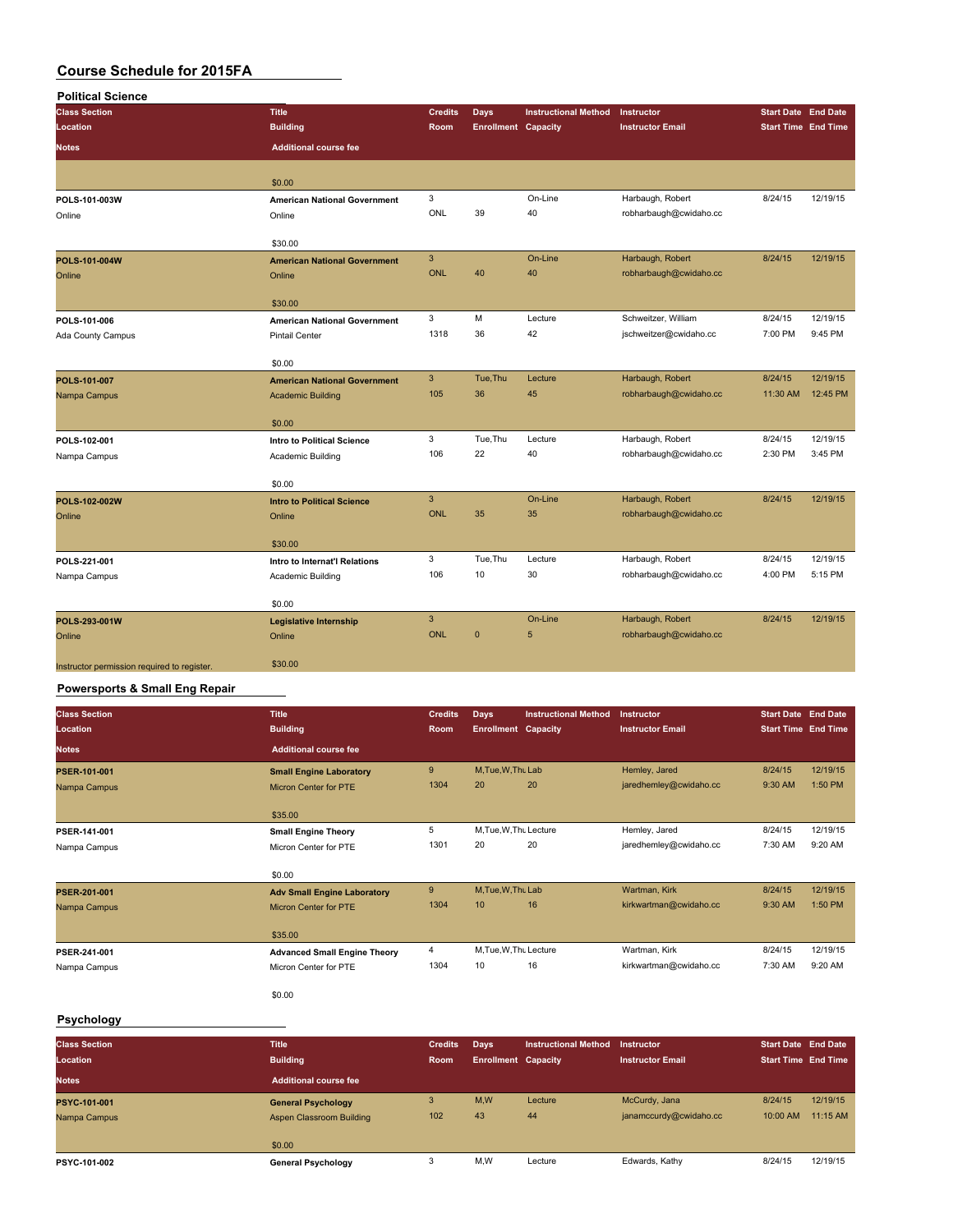| <b>Political Science</b>                    |                                     |                |                            |                             |                         |                            |          |
|---------------------------------------------|-------------------------------------|----------------|----------------------------|-----------------------------|-------------------------|----------------------------|----------|
| <b>Class Section</b>                        | <b>Title</b>                        | <b>Credits</b> | <b>Days</b>                | <b>Instructional Method</b> | Instructor              | <b>Start Date End Date</b> |          |
| Location                                    | <b>Building</b>                     | Room           | <b>Enrollment Capacity</b> |                             | <b>Instructor Email</b> | <b>Start Time End Time</b> |          |
| <b>Notes</b>                                | <b>Additional course fee</b>        |                |                            |                             |                         |                            |          |
|                                             | \$0.00                              |                |                            |                             |                         |                            |          |
| POLS-101-003W                               | <b>American National Government</b> | 3              |                            | On-Line                     | Harbaugh, Robert        | 8/24/15                    | 12/19/15 |
| Online                                      | Online                              | ONL            | 39                         | 40                          | robharbaugh@cwidaho.cc  |                            |          |
|                                             | \$30.00                             |                |                            |                             |                         |                            |          |
| POLS-101-004W                               | <b>American National Government</b> | $\mathbf{3}$   |                            | On-Line                     | Harbaugh, Robert        | 8/24/15                    | 12/19/15 |
| Online                                      | Online                              | <b>ONL</b>     | 40                         | 40                          | robharbaugh@cwidaho.cc  |                            |          |
|                                             | \$30.00                             |                |                            |                             |                         |                            |          |
| POLS-101-006                                | <b>American National Government</b> | 3              | M                          | Lecture                     | Schweitzer, William     | 8/24/15                    | 12/19/15 |
| Ada County Campus                           | <b>Pintail Center</b>               | 1318           | 36                         | 42                          | jschweitzer@cwidaho.cc  | 7:00 PM                    | 9:45 PM  |
|                                             | \$0.00                              |                |                            |                             |                         |                            |          |
| POLS-101-007                                | <b>American National Government</b> | $\mathbf{3}$   | Tue, Thu                   | Lecture                     | Harbaugh, Robert        | 8/24/15                    | 12/19/15 |
| Nampa Campus                                | <b>Academic Building</b>            | 105            | 36                         | 45                          | robharbaugh@cwidaho.cc  | 11:30 AM                   | 12:45 PM |
|                                             | \$0.00                              |                |                            |                             |                         |                            |          |
| POLS-102-001                                | <b>Intro to Political Science</b>   | 3              | Tue, Thu                   | Lecture                     | Harbaugh, Robert        | 8/24/15                    | 12/19/15 |
| Nampa Campus                                | Academic Building                   | 106            | 22                         | 40                          | robharbaugh@cwidaho.cc  | 2:30 PM                    | 3:45 PM  |
|                                             | \$0.00                              |                |                            |                             |                         |                            |          |
| POLS-102-002W                               | <b>Intro to Political Science</b>   | $\overline{3}$ |                            | On-Line                     | Harbaugh, Robert        | 8/24/15                    | 12/19/15 |
| Online                                      | Online                              | <b>ONL</b>     | 35                         | 35                          | robharbaugh@cwidaho.cc  |                            |          |
|                                             | \$30.00                             |                |                            |                             |                         |                            |          |
| POLS-221-001                                | Intro to Internat'l Relations       | 3              | Tue, Thu                   | Lecture                     | Harbaugh, Robert        | 8/24/15                    | 12/19/15 |
| Nampa Campus                                | Academic Building                   | 106            | 10                         | 30                          | robharbaugh@cwidaho.cc  | 4:00 PM                    | 5:15 PM  |
|                                             | \$0.00                              |                |                            |                             |                         |                            |          |
| POLS-293-001W                               | <b>Legislative Internship</b>       | $\mathbf{3}$   |                            | On-Line                     | Harbaugh, Robert        | 8/24/15                    | 12/19/15 |
| Online                                      | Online                              | <b>ONL</b>     | $\mathbf{0}$               | 5                           | robharbaugh@cwidaho.cc  |                            |          |
| Instructor permission required to register. | \$30.00                             |                |                            |                             |                         |                            |          |

#### **Powersports & Small Eng Repair**

| <b>Class Section</b><br>Location | <b>Title</b><br><b>Building</b>     | <b>Credits</b><br>Room | <b>Days</b><br><b>Enrollment Capacity</b> | <b>Instructional Method</b> | Instructor<br><b>Instructor Email</b> | <b>Start Date End Date</b><br><b>Start Time End Time</b> |          |
|----------------------------------|-------------------------------------|------------------------|-------------------------------------------|-----------------------------|---------------------------------------|----------------------------------------------------------|----------|
| <b>Notes</b>                     | <b>Additional course fee</b>        |                        |                                           |                             |                                       |                                                          |          |
| <b>PSER-101-001</b>              | <b>Small Engine Laboratory</b>      | $9$                    | M, Tue, W, Thu Lab                        |                             | Hemley, Jared                         | 8/24/15                                                  | 12/19/15 |
| Nampa Campus                     | <b>Micron Center for PTE</b>        | 1304                   | 20                                        | 20                          | jaredhemley@cwidaho.cc                | 9:30 AM                                                  | 1:50 PM  |
|                                  | \$35.00                             |                        |                                           |                             |                                       |                                                          |          |
| PSER-141-001                     | <b>Small Engine Theory</b>          | 5                      | M, Tue, W, Thu Lecture                    |                             | Hemley, Jared                         | 8/24/15                                                  | 12/19/15 |
| Nampa Campus                     | Micron Center for PTE               | 1301                   | 20                                        | 20                          | jaredhemley@cwidaho.cc                | 7:30 AM                                                  | 9:20 AM  |
|                                  | \$0.00                              |                        |                                           |                             |                                       |                                                          |          |
| PSER-201-001                     | <b>Adv Small Engine Laboratory</b>  | 9                      | M.Tue.W.Thu Lab                           |                             | Wartman, Kirk                         | 8/24/15                                                  | 12/19/15 |
| Nampa Campus                     | <b>Micron Center for PTE</b>        | 1304                   | 10                                        | 16                          | kirkwartman@cwidaho.cc                | 9:30 AM                                                  | 1:50 PM  |
|                                  | \$35.00                             |                        |                                           |                             |                                       |                                                          |          |
| PSER-241-001                     | <b>Advanced Small Engine Theory</b> | 4                      | M.Tue, W.Thu Lecture                      |                             | Wartman, Kirk                         | 8/24/15                                                  | 12/19/15 |
| Nampa Campus                     | Micron Center for PTE               | 1304                   | 10                                        | 16                          | kirkwartman@cwidaho.cc                | 7:30 AM                                                  | 9:20 AM  |
|                                  | \$0.00                              |                        |                                           |                             |                                       |                                                          |          |

### **Psychology**

| <b>Class Section</b><br>Location | <b>Title</b><br><b>Building</b> | <b>Credits</b><br>Room | Days<br><b>Enrollment Capacity</b> | <b>Instructional Method</b> | Instructor<br><b>Instructor Email</b> | <b>Start Date End Date</b><br><b>Start Time End Time</b> |          |
|----------------------------------|---------------------------------|------------------------|------------------------------------|-----------------------------|---------------------------------------|----------------------------------------------------------|----------|
| <b>Notes</b>                     | <b>Additional course fee</b>    |                        |                                    |                             |                                       |                                                          |          |
| <b>PSYC-101-001</b>              | <b>General Psychology</b>       | 3                      | M,W                                | Lecture                     | McCurdy, Jana                         | 8/24/15                                                  | 12/19/15 |
| Nampa Campus                     | Aspen Classroom Building        | 102                    | 43                                 | 44                          | janamccurdy@cwidaho.cc                | 10:00 AM                                                 | 11:15 AM |
|                                  | \$0.00                          |                        |                                    |                             |                                       |                                                          |          |
| <b>PSYC-101-002</b>              | <b>General Psychology</b>       | ه                      | M,W                                | Lecture                     | Edwards, Kathy                        | 8/24/15                                                  | 12/19/15 |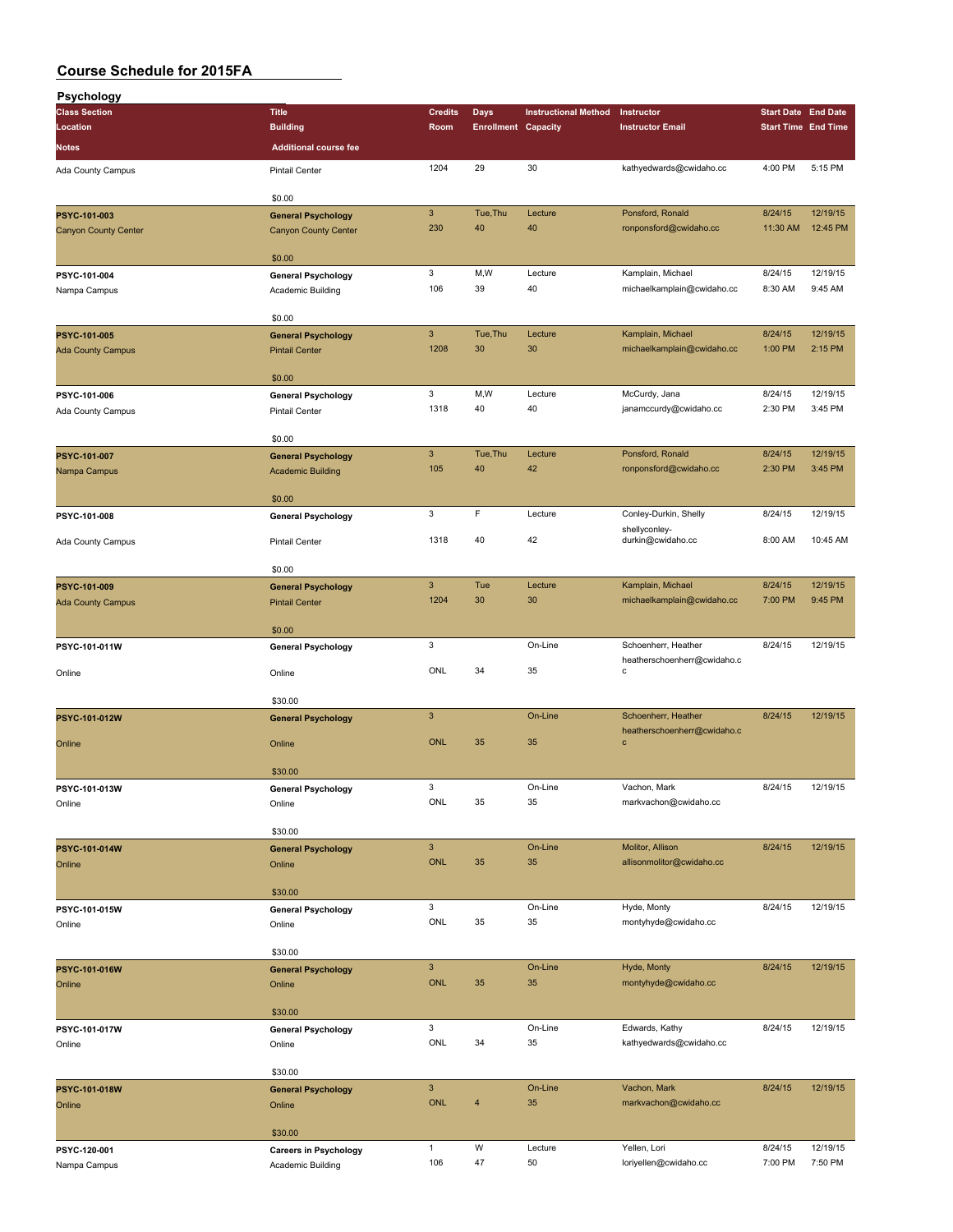| Psychology                   |                                                       |                            |                            |                             |                                                 |                            |                            |
|------------------------------|-------------------------------------------------------|----------------------------|----------------------------|-----------------------------|-------------------------------------------------|----------------------------|----------------------------|
| <b>Class Section</b>         | <b>Title</b>                                          | <b>Credits</b>             | <b>Days</b>                | <b>Instructional Method</b> | Instructor                                      | <b>Start Date End Date</b> |                            |
| Location                     | <b>Building</b>                                       | Room                       | <b>Enrollment Capacity</b> |                             | <b>Instructor Email</b>                         |                            | <b>Start Time End Time</b> |
| <b>Notes</b>                 | <b>Additional course fee</b>                          |                            |                            |                             |                                                 |                            |                            |
| Ada County Campus            | <b>Pintail Center</b>                                 | 1204                       | 29                         | 30                          | kathyedwards@cwidaho.cc                         | 4:00 PM                    | 5:15 PM                    |
|                              |                                                       |                            |                            |                             |                                                 |                            |                            |
|                              | \$0.00                                                |                            |                            |                             |                                                 |                            |                            |
| PSYC-101-003                 | <b>General Psychology</b>                             | $\mathbf{3}$               | Tue, Thu                   | Lecture                     | Ponsford, Ronald                                | 8/24/15                    | 12/19/15                   |
| <b>Canyon County Center</b>  | <b>Canyon County Center</b>                           | 230                        | 40                         | 40                          | ronponsford@cwidaho.cc                          | 11:30 AM                   | 12:45 PM                   |
|                              | \$0.00                                                |                            |                            |                             |                                                 |                            |                            |
| PSYC-101-004                 | <b>General Psychology</b>                             | 3                          | M, W                       | Lecture                     | Kamplain, Michael                               | 8/24/15                    | 12/19/15                   |
| Nampa Campus                 | Academic Building                                     | 106                        | 39                         | 40                          | michaelkamplain@cwidaho.cc                      | 8:30 AM                    | 9:45 AM                    |
|                              |                                                       |                            |                            |                             |                                                 |                            |                            |
|                              | \$0.00                                                |                            |                            |                             |                                                 |                            |                            |
| PSYC-101-005                 | <b>General Psychology</b>                             | $\mathbf{3}$<br>1208       | Tue, Thu<br>30             | Lecture<br>30               | Kamplain, Michael<br>michaelkamplain@cwidaho.cc | 8/24/15<br>1:00 PM         | 12/19/15<br>2:15 PM        |
| <b>Ada County Campus</b>     | <b>Pintail Center</b>                                 |                            |                            |                             |                                                 |                            |                            |
|                              | \$0.00                                                |                            |                            |                             |                                                 |                            |                            |
| PSYC-101-006                 | <b>General Psychology</b>                             | 3                          | M,W                        | Lecture                     | McCurdy, Jana                                   | 8/24/15                    | 12/19/15                   |
| Ada County Campus            | <b>Pintail Center</b>                                 | 1318                       | 40                         | 40                          | janamccurdy@cwidaho.cc                          | 2:30 PM                    | 3:45 PM                    |
|                              | \$0.00                                                |                            |                            |                             |                                                 |                            |                            |
|                              |                                                       | $\mathbf{3}$               | Tue, Thu                   | Lecture                     | Ponsford, Ronald                                | 8/24/15                    | 12/19/15                   |
| PSYC-101-007<br>Nampa Campus | <b>General Psychology</b><br><b>Academic Building</b> | 105                        | 40                         | 42                          | ronponsford@cwidaho.cc                          | 2:30 PM                    | 3:45 PM                    |
|                              |                                                       |                            |                            |                             |                                                 |                            |                            |
|                              | \$0.00                                                |                            |                            |                             |                                                 |                            |                            |
| PSYC-101-008                 | <b>General Psychology</b>                             | 3                          | F                          | Lecture                     | Conley-Durkin, Shelly                           | 8/24/15                    | 12/19/15                   |
| Ada County Campus            | <b>Pintail Center</b>                                 | 1318                       | 40                         | 42                          | shellyconley-<br>durkin@cwidaho.cc              | 8:00 AM                    | 10:45 AM                   |
|                              |                                                       |                            |                            |                             |                                                 |                            |                            |
|                              | \$0.00                                                |                            |                            |                             |                                                 |                            |                            |
| PSYC-101-009                 | <b>General Psychology</b>                             | $\mathbf{3}$               | Tue                        | Lecture                     | Kamplain, Michael                               | 8/24/15                    | 12/19/15                   |
| <b>Ada County Campus</b>     | <b>Pintail Center</b>                                 | 1204                       | 30                         | 30                          | michaelkamplain@cwidaho.cc                      | 7:00 PM                    | 9:45 PM                    |
|                              | \$0.00                                                |                            |                            |                             |                                                 |                            |                            |
| PSYC-101-011W                | <b>General Psychology</b>                             | 3                          |                            | On-Line                     | Schoenherr, Heather                             | 8/24/15                    | 12/19/15                   |
|                              |                                                       |                            |                            |                             | heatherschoenherr@cwidaho.c                     |                            |                            |
| Online                       | Online                                                | ONL                        | 34                         | 35                          | c                                               |                            |                            |
|                              | \$30.00                                               |                            |                            |                             |                                                 |                            |                            |
| PSYC-101-012W                | <b>General Psychology</b>                             | $\mathbf{3}$               |                            | On-Line                     | Schoenherr, Heather                             | 8/24/15                    | 12/19/15                   |
|                              |                                                       |                            |                            |                             | heatherschoenherr@cwidaho.c                     |                            |                            |
| Online                       | Online                                                | <b>ONL</b>                 | 35                         | 35                          | $\mathbf c$                                     |                            |                            |
|                              | \$30.00                                               |                            |                            |                             |                                                 |                            |                            |
| PSYC-101-013W                | <b>General Psychology</b>                             | 3                          |                            | On-Line                     | Vachon, Mark                                    | 8/24/15                    | 12/19/15                   |
| Online                       | Online                                                | ONL                        | 35                         | 35                          | markvachon@cwidaho.cc                           |                            |                            |
|                              |                                                       |                            |                            |                             |                                                 |                            |                            |
|                              | \$30.00                                               |                            |                            |                             |                                                 |                            |                            |
| PSYC-101-014W<br>Online      | <b>General Psychology</b><br>Online                   | $\mathbf{3}$<br><b>ONL</b> | 35                         | On-Line<br>35               | Molitor, Allison<br>allisonmolitor@cwidaho.cc   | 8/24/15                    | 12/19/15                   |
|                              |                                                       |                            |                            |                             |                                                 |                            |                            |
|                              | \$30.00                                               |                            |                            |                             |                                                 |                            |                            |
| PSYC-101-015W                | <b>General Psychology</b>                             | 3                          |                            | On-Line                     | Hyde, Monty                                     | 8/24/15                    | 12/19/15                   |
| Online                       | Online                                                | ONL                        | 35                         | 35                          | montyhyde@cwidaho.cc                            |                            |                            |
|                              | \$30.00                                               |                            |                            |                             |                                                 |                            |                            |
| PSYC-101-016W                |                                                       | $\mathbf{3}$               |                            | On-Line                     | Hyde, Monty                                     | 8/24/15                    | 12/19/15                   |
| Online                       | <b>General Psychology</b><br>Online                   | <b>ONL</b>                 | 35                         | 35                          | montyhyde@cwidaho.cc                            |                            |                            |
|                              |                                                       |                            |                            |                             |                                                 |                            |                            |
|                              | \$30.00                                               |                            |                            |                             |                                                 |                            |                            |
| PSYC-101-017W                | <b>General Psychology</b>                             | 3                          |                            | On-Line                     | Edwards, Kathy                                  | 8/24/15                    | 12/19/15                   |
| Online                       | Online                                                | ONL                        | 34                         | 35                          | kathyedwards@cwidaho.cc                         |                            |                            |
|                              | \$30.00                                               |                            |                            |                             |                                                 |                            |                            |
| PSYC-101-018W                | <b>General Psychology</b>                             | $\mathsf 3$                |                            | On-Line                     | Vachon, Mark                                    | 8/24/15                    | 12/19/15                   |
| Online                       | Online                                                | <b>ONL</b>                 | $\overline{4}$             | 35                          | markvachon@cwidaho.cc                           |                            |                            |
|                              |                                                       |                            |                            |                             |                                                 |                            |                            |
|                              | \$30.00                                               |                            |                            |                             |                                                 |                            |                            |
| PSYC-120-001                 | <b>Careers in Psychology</b>                          | $\mathbf{1}$<br>106        | W<br>47                    | Lecture<br>50               | Yellen, Lori<br>loriyellen@cwidaho.cc           | 8/24/15<br>7:00 PM         | 12/19/15<br>7:50 PM        |
| Nampa Campus                 | Academic Building                                     |                            |                            |                             |                                                 |                            |                            |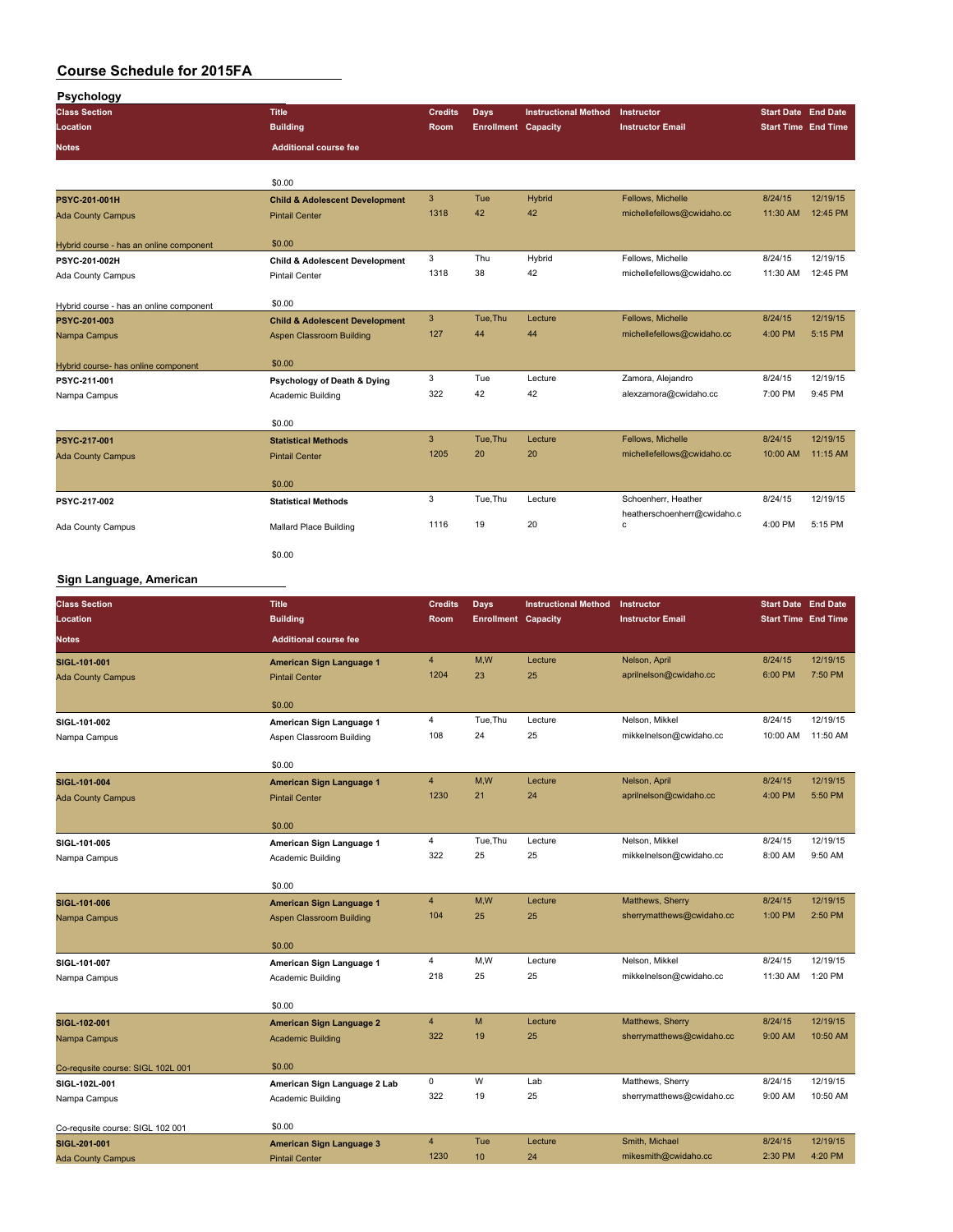| Psychology                              |                                           |                |                            |                             |                                  |                            |          |
|-----------------------------------------|-------------------------------------------|----------------|----------------------------|-----------------------------|----------------------------------|----------------------------|----------|
| <b>Class Section</b>                    | <b>Title</b>                              | <b>Credits</b> | Days                       | <b>Instructional Method</b> | Instructor                       | <b>Start Date End Date</b> |          |
| Location                                | <b>Building</b>                           | <b>Room</b>    | <b>Enrollment Capacity</b> |                             | <b>Instructor Email</b>          | <b>Start Time End Time</b> |          |
| <b>Notes</b>                            | <b>Additional course fee</b>              |                |                            |                             |                                  |                            |          |
|                                         | \$0.00                                    |                |                            |                             |                                  |                            |          |
| <b>PSYC-201-001H</b>                    | <b>Child &amp; Adolescent Development</b> | 3              | Tue                        | Hybrid                      | Fellows, Michelle                | 8/24/15                    | 12/19/15 |
| <b>Ada County Campus</b>                | <b>Pintail Center</b>                     | 1318           | 42                         | 42                          | michellefellows@cwidaho.cc       | 11:30 AM                   | 12:45 PM |
| Hybrid course - has an online component | \$0.00                                    |                |                            |                             |                                  |                            |          |
| PSYC-201-002H                           | <b>Child &amp; Adolescent Development</b> | 3              | Thu                        | Hybrid                      | Fellows, Michelle                | 8/24/15                    | 12/19/15 |
| Ada County Campus                       | <b>Pintail Center</b>                     | 1318           | 38                         | 42                          | michellefellows@cwidaho.cc       | 11:30 AM                   | 12:45 PM |
| Hybrid course - has an online component | \$0.00                                    |                |                            |                             |                                  |                            |          |
| PSYC-201-003                            | <b>Child &amp; Adolescent Development</b> | 3              | Tue, Thu                   | Lecture                     | Fellows, Michelle                | 8/24/15                    | 12/19/15 |
| Nampa Campus                            | Aspen Classroom Building                  | 127            | 44                         | 44                          | michellefellows@cwidaho.cc       | 4:00 PM                    | 5:15 PM  |
| Hybrid course- has online component     | \$0.00                                    |                |                            |                             |                                  |                            |          |
| PSYC-211-001                            | Psychology of Death & Dying               | 3              | Tue                        | Lecture                     | Zamora, Alejandro                | 8/24/15                    | 12/19/15 |
| Nampa Campus                            | Academic Building                         | 322            | 42                         | 42                          | alexzamora@cwidaho.cc            | 7:00 PM                    | 9:45 PM  |
|                                         | \$0.00                                    |                |                            |                             |                                  |                            |          |
| PSYC-217-001                            | <b>Statistical Methods</b>                | 3              | Tue.Thu                    | Lecture                     | Fellows, Michelle                | 8/24/15                    | 12/19/15 |
| <b>Ada County Campus</b>                | <b>Pintail Center</b>                     | 1205           | 20                         | 20                          | michellefellows@cwidaho.cc       | 10:00 AM                   | 11:15 AM |
|                                         | \$0.00                                    |                |                            |                             |                                  |                            |          |
| PSYC-217-002                            | <b>Statistical Methods</b>                | 3              | Tue, Thu                   | Lecture                     | Schoenherr, Heather              | 8/24/15                    | 12/19/15 |
| Ada County Campus                       | Mallard Place Building                    | 1116           | 19                         | 20                          | heatherschoenherr@cwidaho.c<br>с | 4:00 PM                    | 5:15 PM  |
|                                         | \$0.00                                    |                |                            |                             |                                  |                            |          |

#### **Sign Language, American**

| <b>Class Section</b>              | <b>Title</b>                    | <b>Credits</b> | <b>Days</b>                | <b>Instructional Method</b> | Instructor                | <b>Start Date End Date</b> |          |
|-----------------------------------|---------------------------------|----------------|----------------------------|-----------------------------|---------------------------|----------------------------|----------|
| Location                          | <b>Building</b>                 | Room           | <b>Enrollment Capacity</b> |                             | <b>Instructor Email</b>   | <b>Start Time</b> End Time |          |
| <b>Notes</b>                      | <b>Additional course fee</b>    |                |                            |                             |                           |                            |          |
| SIGL-101-001                      | American Sign Language 1        | $\overline{4}$ | M,W                        | Lecture                     | Nelson, April             | 8/24/15                    | 12/19/15 |
| <b>Ada County Campus</b>          | <b>Pintail Center</b>           | 1204           | 23                         | 25                          | aprilnelson@cwidaho.cc    | 6:00 PM                    | 7:50 PM  |
|                                   | \$0.00                          |                |                            |                             |                           |                            |          |
| SIGL-101-002                      | American Sign Language 1        | 4              | Tue, Thu                   | Lecture                     | Nelson, Mikkel            | 8/24/15                    | 12/19/15 |
| Nampa Campus                      | Aspen Classroom Building        | 108            | 24                         | 25                          | mikkelnelson@cwidaho.cc   | 10:00 AM                   | 11:50 AM |
|                                   |                                 |                |                            |                             |                           |                            |          |
|                                   | \$0.00                          |                |                            |                             |                           |                            |          |
| SIGL-101-004                      | American Sign Language 1        | $\overline{4}$ | M,W                        | Lecture                     | Nelson, April             | 8/24/15                    | 12/19/15 |
| <b>Ada County Campus</b>          | <b>Pintail Center</b>           | 1230           | 21                         | 24                          | aprilnelson@cwidaho.cc    | 4:00 PM                    | 5:50 PM  |
|                                   | \$0.00                          |                |                            |                             |                           |                            |          |
| SIGL-101-005                      | American Sign Language 1        | 4              | Tue, Thu                   | Lecture                     | Nelson, Mikkel            | 8/24/15                    | 12/19/15 |
| Nampa Campus                      | Academic Building               | 322            | 25                         | 25                          | mikkelnelson@cwidaho.cc   | 8:00 AM                    | 9:50 AM  |
|                                   |                                 |                |                            |                             |                           |                            |          |
|                                   | \$0.00                          |                |                            |                             |                           |                            |          |
| SIGL-101-006                      | American Sign Language 1        | 4              | M,W                        | Lecture                     | Matthews, Sherry          | 8/24/15                    | 12/19/15 |
| Nampa Campus                      | <b>Aspen Classroom Building</b> | 104            | 25                         | 25                          | sherrymatthews@cwidaho.cc | 1:00 PM                    | 2:50 PM  |
|                                   |                                 |                |                            |                             |                           |                            |          |
|                                   | \$0.00                          |                |                            |                             |                           |                            |          |
| SIGL-101-007                      | American Sign Language 1        | 4              | M,W                        | Lecture                     | Nelson, Mikkel            | 8/24/15                    | 12/19/15 |
| Nampa Campus                      | Academic Building               | 218            | 25                         | 25                          | mikkelnelson@cwidaho.cc   | 11:30 AM                   | 1:20 PM  |
|                                   | \$0.00                          |                |                            |                             |                           |                            |          |
| SIGL-102-001                      | American Sign Language 2        | $\overline{4}$ | M                          | Lecture                     | Matthews, Sherry          | 8/24/15                    | 12/19/15 |
| Nampa Campus                      | <b>Academic Building</b>        | 322            | 19                         | 25                          | sherrymatthews@cwidaho.cc | 9:00 AM                    | 10:50 AM |
|                                   | \$0.00                          |                |                            |                             |                           |                            |          |
| Co-requsite course: SIGL 102L 001 |                                 | 0              | W                          | Lab                         | Matthews, Sherry          | 8/24/15                    | 12/19/15 |
| SIGL-102L-001                     | American Sign Language 2 Lab    | 322            | 19                         | 25                          | sherrymatthews@cwidaho.cc | 9:00 AM                    | 10:50 AM |
| Nampa Campus                      | Academic Building               |                |                            |                             |                           |                            |          |
| Co-requsite course: SIGL 102 001  | \$0.00                          |                |                            |                             |                           |                            |          |
| SIGL-201-001                      | <b>American Sign Language 3</b> | $\overline{4}$ | Tue                        | Lecture                     | Smith, Michael            | 8/24/15                    | 12/19/15 |
| <b>Ada County Campus</b>          | <b>Pintail Center</b>           | 1230           | 10                         | 24                          | mikesmith@cwidaho.cc      | 2:30 PM                    | 4:20 PM  |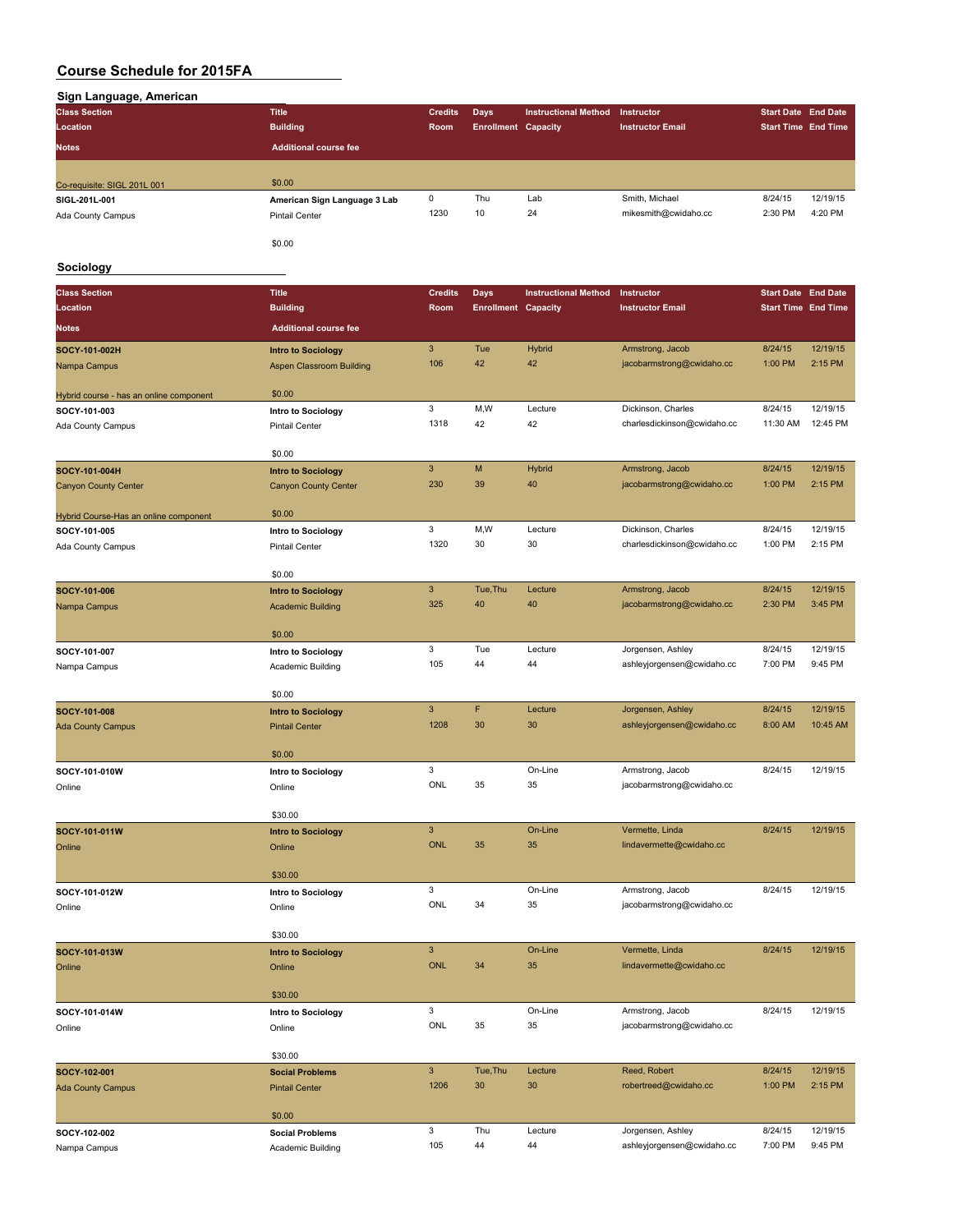| <b>Class Section</b>        | <b>Title</b>                 | <b>Credits</b> | Days                       | <b>Instructional Method</b> | Instructor              | <b>Start Date End Date</b> |          |
|-----------------------------|------------------------------|----------------|----------------------------|-----------------------------|-------------------------|----------------------------|----------|
| Location                    | <b>Building</b>              | Room           | <b>Enrollment Capacity</b> |                             | <b>Instructor Email</b> | <b>Start Time End Time</b> |          |
| <b>Notes</b>                | <b>Additional course fee</b> |                |                            |                             |                         |                            |          |
| Co-requisite: SIGL 201L 001 | \$0.00                       |                |                            |                             |                         |                            |          |
| SIGL-201L-001               | American Sign Language 3 Lab | 0              | Thu                        | Lab                         | Smith, Michael          | 8/24/15                    | 12/19/15 |
| Ada County Campus           | <b>Pintail Center</b>        | 1230           | 10                         | 24                          | mikesmith@cwidaho.cc    | 2:30 PM                    | 4:20 PM  |
|                             |                              |                |                            |                             |                         |                            |          |

### **Sociology**

| <b>Class Section</b>                    | <b>Title</b>                                | <b>Credits</b>            | <b>Days</b>                | <b>Instructional Method</b> | Instructor                  | <b>Start Date End Date</b> |          |
|-----------------------------------------|---------------------------------------------|---------------------------|----------------------------|-----------------------------|-----------------------------|----------------------------|----------|
| Location                                | <b>Building</b>                             | Room                      | <b>Enrollment Capacity</b> |                             | <b>Instructor Email</b>     | <b>Start Time End Time</b> |          |
| <b>Notes</b>                            | <b>Additional course fee</b>                |                           |                            |                             |                             |                            |          |
| SOCY-101-002H                           | <b>Intro to Sociology</b>                   | 3                         | Tue                        | Hybrid                      | Armstrong, Jacob            | 8/24/15                    | 12/19/15 |
| Nampa Campus                            | <b>Aspen Classroom Building</b>             | 106                       | 42                         | 42                          | jacobarmstrong@cwidaho.cc   | 1:00 PM                    | 2:15 PM  |
|                                         | \$0.00                                      |                           |                            |                             |                             |                            |          |
| Hybrid course - has an online component |                                             | 3                         | M,W                        | Lecture                     | Dickinson, Charles          | 8/24/15                    | 12/19/15 |
| SOCY-101-003                            | Intro to Sociology<br><b>Pintail Center</b> | 1318                      | 42                         | 42                          | charlesdickinson@cwidaho.cc | 11:30 AM                   | 12:45 PM |
| Ada County Campus                       |                                             |                           |                            |                             |                             |                            |          |
|                                         | \$0.00                                      |                           |                            |                             |                             |                            |          |
| SOCY-101-004H                           | <b>Intro to Sociology</b>                   | $\ensuremath{\mathsf{3}}$ | M                          | Hybrid                      | Armstrong, Jacob            | 8/24/15                    | 12/19/15 |
| <b>Canyon County Center</b>             | <b>Canyon County Center</b>                 | 230                       | 39                         | 40                          | jacobarmstrong@cwidaho.cc   | 1:00 PM                    | 2:15 PM  |
| Hybrid Course-Has an online component   | \$0.00                                      |                           |                            |                             |                             |                            |          |
| SOCY-101-005                            | Intro to Sociology                          | 3                         | M,W                        | Lecture                     | Dickinson, Charles          | 8/24/15                    | 12/19/15 |
| Ada County Campus                       | <b>Pintail Center</b>                       | 1320                      | 30                         | 30                          | charlesdickinson@cwidaho.cc | 1:00 PM                    | 2:15 PM  |
|                                         | \$0.00                                      |                           |                            |                             |                             |                            |          |
| SOCY-101-006                            | <b>Intro to Sociology</b>                   | 3                         | Tue, Thu                   | Lecture                     | Armstrong, Jacob            | 8/24/15                    | 12/19/15 |
| Nampa Campus                            | <b>Academic Building</b>                    | 325                       | 40                         | 40                          | jacobarmstrong@cwidaho.cc   | 2:30 PM                    | 3:45 PM  |
|                                         | \$0.00                                      |                           |                            |                             |                             |                            |          |
| SOCY-101-007                            | Intro to Sociology                          | 3                         | Tue                        | Lecture                     | Jorgensen, Ashley           | 8/24/15                    | 12/19/15 |
| Nampa Campus                            | Academic Building                           | 105                       | 44                         | 44                          | ashleyjorgensen@cwidaho.cc  | 7:00 PM                    | 9:45 PM  |
|                                         |                                             |                           |                            |                             |                             |                            |          |
|                                         | \$0.00                                      | 3                         | F                          | Lecture                     | Jorgensen, Ashley           | 8/24/15                    | 12/19/15 |
| SOCY-101-008                            | <b>Intro to Sociology</b>                   | 1208                      | 30                         | 30                          | ashleyjorgensen@cwidaho.cc  | 8:00 AM                    | 10:45 AM |
| <b>Ada County Campus</b>                | <b>Pintail Center</b>                       |                           |                            |                             |                             |                            |          |
|                                         | \$0.00                                      |                           |                            |                             |                             |                            |          |
| SOCY-101-010W                           | Intro to Sociology                          | 3                         |                            | On-Line                     | Armstrong, Jacob            | 8/24/15                    | 12/19/15 |
| Online                                  | Online                                      | ONL                       | 35                         | 35                          | jacobarmstrong@cwidaho.cc   |                            |          |
|                                         | \$30.00                                     |                           |                            |                             |                             |                            |          |
| SOCY-101-011W                           | <b>Intro to Sociology</b>                   | 3                         |                            | On-Line                     | Vermette, Linda             | 8/24/15                    | 12/19/15 |
| Online                                  | Online                                      | <b>ONL</b>                | 35                         | 35                          | lindavermette@cwidaho.cc    |                            |          |
|                                         |                                             |                           |                            |                             |                             |                            |          |
|                                         | \$30.00                                     |                           |                            |                             |                             |                            |          |
| SOCY-101-012W                           | Intro to Sociology                          | 3<br>ONL                  | 34                         | On-Line                     | Armstrong, Jacob            | 8/24/15                    | 12/19/15 |
| Online                                  | Online                                      |                           |                            | 35                          | jacobarmstrong@cwidaho.cc   |                            |          |
|                                         | \$30.00                                     |                           |                            |                             |                             |                            |          |
| SOCY-101-013W                           | <b>Intro to Sociology</b>                   | 3                         |                            | On-Line                     | Vermette, Linda             | 8/24/15                    | 12/19/15 |
| Online                                  | Online                                      | <b>ONL</b>                | 34                         | 35                          | lindavermette@cwidaho.cc    |                            |          |
|                                         | \$30.00                                     |                           |                            |                             |                             |                            |          |
| SOCY-101-014W                           | Intro to Sociology                          | 3                         |                            | On-Line                     | Armstrong, Jacob            | 8/24/15                    | 12/19/15 |
| Online                                  | Online                                      | ONL                       | 35                         | 35                          | jacobarmstrong@cwidaho.cc   |                            |          |
|                                         |                                             |                           |                            |                             |                             |                            |          |
|                                         | \$30.00                                     | $\mathbf{3}$              |                            |                             | Reed, Robert                | 8/24/15                    | 12/19/15 |
| SOCY-102-001                            | <b>Social Problems</b>                      | 1206                      | Tue, Thu<br>30             | Lecture<br>30               | robertreed@cwidaho.cc       | 1:00 PM                    | 2:15 PM  |
| <b>Ada County Campus</b>                | <b>Pintail Center</b>                       |                           |                            |                             |                             |                            |          |
|                                         | \$0.00                                      |                           |                            |                             |                             |                            |          |
| SOCY-102-002                            | <b>Social Problems</b>                      | 3                         | Thu                        | Lecture                     | Jorgensen, Ashley           | 8/24/15                    | 12/19/15 |
| Nampa Campus                            | Academic Building                           | 105                       | 44                         | 44                          | ashleyjorgensen@cwidaho.cc  | 7:00 PM                    | 9:45 PM  |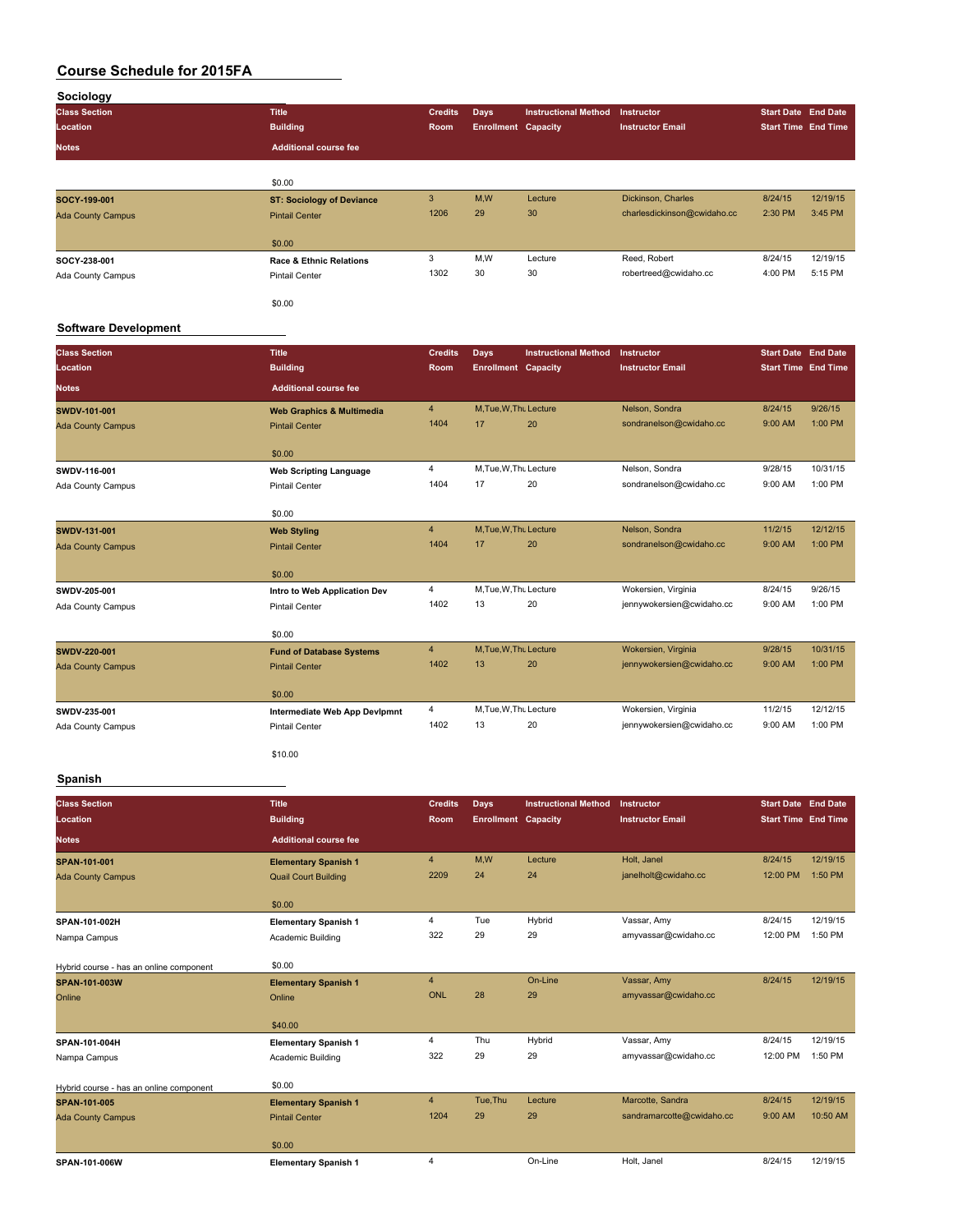| Sociology                |                                    |                |                            |                             |                             |                            |          |
|--------------------------|------------------------------------|----------------|----------------------------|-----------------------------|-----------------------------|----------------------------|----------|
| <b>Class Section</b>     | <b>Title</b>                       | <b>Credits</b> | <b>Days</b>                | <b>Instructional Method</b> | <b>Instructor</b>           | <b>Start Date End Date</b> |          |
| Location                 | <b>Building</b>                    | Room           | <b>Enrollment Capacity</b> |                             | <b>Instructor Email</b>     | <b>Start Time End Time</b> |          |
| <b>Notes</b>             | <b>Additional course fee</b>       |                |                            |                             |                             |                            |          |
|                          |                                    |                |                            |                             |                             |                            |          |
|                          | \$0.00                             |                |                            |                             |                             |                            |          |
| SOCY-199-001             | <b>ST: Sociology of Deviance</b>   | 3              | M,W                        | Lecture                     | Dickinson, Charles          | 8/24/15                    | 12/19/15 |
| <b>Ada County Campus</b> | <b>Pintail Center</b>              | 1206           | 29                         | 30                          | charlesdickinson@cwidaho.cc | 2:30 PM                    | 3:45 PM  |
|                          | \$0.00                             |                |                            |                             |                             |                            |          |
| SOCY-238-001             | <b>Race &amp; Ethnic Relations</b> | 3              | M,W                        | Lecture                     | Reed, Robert                | 8/24/15                    | 12/19/15 |
| Ada County Campus        | <b>Pintail Center</b>              | 1302           | 30                         | 30                          | robertreed@cwidaho.cc       | 4:00 PM                    | 5:15 PM  |
|                          | \$0.00                             |                |                            |                             |                             |                            |          |

#### **Software Development**

| <b>Class Section</b><br>Location | <b>Title</b><br><b>Building</b>      | <b>Credits</b><br>Room | Days<br><b>Enrollment Capacity</b> | <b>Instructional Method</b> | Instructor<br><b>Instructor Email</b> | <b>Start Date End Date</b><br><b>Start Time End Time</b> |           |
|----------------------------------|--------------------------------------|------------------------|------------------------------------|-----------------------------|---------------------------------------|----------------------------------------------------------|-----------|
| <b>Notes</b>                     | <b>Additional course fee</b>         |                        |                                    |                             |                                       |                                                          |           |
| SWDV-101-001                     | <b>Web Graphics &amp; Multimedia</b> | $\overline{4}$         | M, Tue, W, Thu Lecture             |                             | Nelson, Sondra                        | 8/24/15                                                  | 9/26/15   |
| <b>Ada County Campus</b>         | <b>Pintail Center</b>                | 1404                   | 17                                 | 20                          | sondranelson@cwidaho.cc               | 9:00 AM                                                  | 1:00 PM   |
|                                  | \$0.00                               |                        |                                    |                             |                                       |                                                          |           |
| SWDV-116-001                     | <b>Web Scripting Language</b>        | $\overline{4}$         | M, Tue, W, Thu Lecture             |                             | Nelson, Sondra                        | 9/28/15                                                  | 10/31/15  |
| Ada County Campus                | <b>Pintail Center</b>                | 1404                   | 17                                 | 20                          | sondranelson@cwidaho.cc               | 9:00 AM                                                  | 1:00 PM   |
|                                  | \$0.00                               |                        |                                    |                             |                                       |                                                          |           |
| <b>SWDV-131-001</b>              | <b>Web Styling</b>                   | $\overline{4}$         | M, Tue, W, Thu Lecture             |                             | Nelson, Sondra                        | 11/2/15                                                  | 12/12/15  |
| <b>Ada County Campus</b>         | <b>Pintail Center</b>                | 1404                   | 17                                 | 20                          | sondranelson@cwidaho.cc               | 9:00 AM                                                  | 1:00 PM   |
|                                  | \$0.00                               |                        |                                    |                             |                                       |                                                          |           |
| SWDV-205-001                     | Intro to Web Application Dev         | $\overline{4}$         | M, Tue, W, Thu Lecture             |                             | Wokersien, Virginia                   | 8/24/15                                                  | 9/26/15   |
| Ada County Campus                | <b>Pintail Center</b>                | 1402                   | 13                                 | 20                          | jennywokersien@cwidaho.cc             | 9:00 AM                                                  | $1:00$ PM |
|                                  | \$0.00                               |                        |                                    |                             |                                       |                                                          |           |
| SWDV-220-001                     | <b>Fund of Database Systems</b>      | $\overline{4}$         | M, Tue, W, Thu Lecture             |                             | Wokersien, Virginia                   | 9/28/15                                                  | 10/31/15  |
| <b>Ada County Campus</b>         | <b>Pintail Center</b>                | 1402                   | 13                                 | 20                          | jennywokersien@cwidaho.cc             | 9:00 AM                                                  | 1:00 PM   |
|                                  | \$0.00                               |                        |                                    |                             |                                       |                                                          |           |
| SWDV-235-001                     | <b>Intermediate Web App Devlpmnt</b> | 4                      | M, Tue, W, Thu Lecture             |                             | Wokersien, Virginia                   | 11/2/15                                                  | 12/12/15  |
| Ada County Campus                | <b>Pintail Center</b>                | 1402                   | 13                                 | 20                          | jennywokersien@cwidaho.cc             | 9:00 AM                                                  | 1:00 PM   |
|                                  | \$10.00                              |                        |                                    |                             |                                       |                                                          |           |

### **Spanish**

| <b>Class Section</b>                    | <b>Title</b>                 | Credits        | <b>Days</b>                | <b>Instructional Method</b> | Instructor                | <b>Start Date End Date</b> |          |
|-----------------------------------------|------------------------------|----------------|----------------------------|-----------------------------|---------------------------|----------------------------|----------|
| Location                                | <b>Building</b>              | <b>Room</b>    | <b>Enrollment Capacity</b> |                             | <b>Instructor Email</b>   | <b>Start Time End Time</b> |          |
|                                         |                              |                |                            |                             |                           |                            |          |
| <b>Notes</b>                            | <b>Additional course fee</b> |                |                            |                             |                           |                            |          |
| SPAN-101-001                            | <b>Elementary Spanish 1</b>  | $\overline{4}$ | M,W                        | Lecture                     | Holt, Janel               | 8/24/15                    | 12/19/15 |
| <b>Ada County Campus</b>                | <b>Quail Court Building</b>  | 2209           | 24                         | 24                          | janelholt@cwidaho.cc      | 12:00 PM                   | 1:50 PM  |
|                                         | \$0.00                       |                |                            |                             |                           |                            |          |
| SPAN-101-002H                           | <b>Elementary Spanish 1</b>  | $\overline{4}$ | Tue                        | Hybrid                      | Vassar, Amy               | 8/24/15                    | 12/19/15 |
| Nampa Campus                            | Academic Building            | 322            | 29                         | 29                          | amyvassar@cwidaho.cc      | 12:00 PM                   | 1:50 PM  |
| Hybrid course - has an online component | \$0.00                       |                |                            |                             |                           |                            |          |
| SPAN-101-003W                           | <b>Elementary Spanish 1</b>  | $\overline{4}$ |                            | On-Line                     | Vassar, Amy               | 8/24/15                    | 12/19/15 |
| Online                                  | Online                       | ONL            | 28                         | 29                          | amyvassar@cwidaho.cc      |                            |          |
|                                         | \$40.00                      |                |                            |                             |                           |                            |          |
| SPAN-101-004H                           | <b>Elementary Spanish 1</b>  | 4              | Thu                        | Hybrid                      | Vassar, Amy               | 8/24/15                    | 12/19/15 |
| Nampa Campus                            | Academic Building            | 322            | 29                         | 29                          | amyvassar@cwidaho.cc      | 12:00 PM                   | 1:50 PM  |
| Hybrid course - has an online component | \$0.00                       |                |                            |                             |                           |                            |          |
| <b>SPAN-101-005</b>                     | <b>Elementary Spanish 1</b>  | $\overline{4}$ | Tue, Thu                   | Lecture                     | Marcotte, Sandra          | 8/24/15                    | 12/19/15 |
| <b>Ada County Campus</b>                | <b>Pintail Center</b>        | 1204           | 29                         | 29                          | sandramarcotte@cwidaho.cc | 9:00 AM                    | 10:50 AM |
|                                         | \$0.00                       |                |                            |                             |                           |                            |          |
| SPAN-101-006W                           | <b>Elementary Spanish 1</b>  | $\overline{4}$ |                            | On-Line                     | Holt, Janel               | 8/24/15                    | 12/19/15 |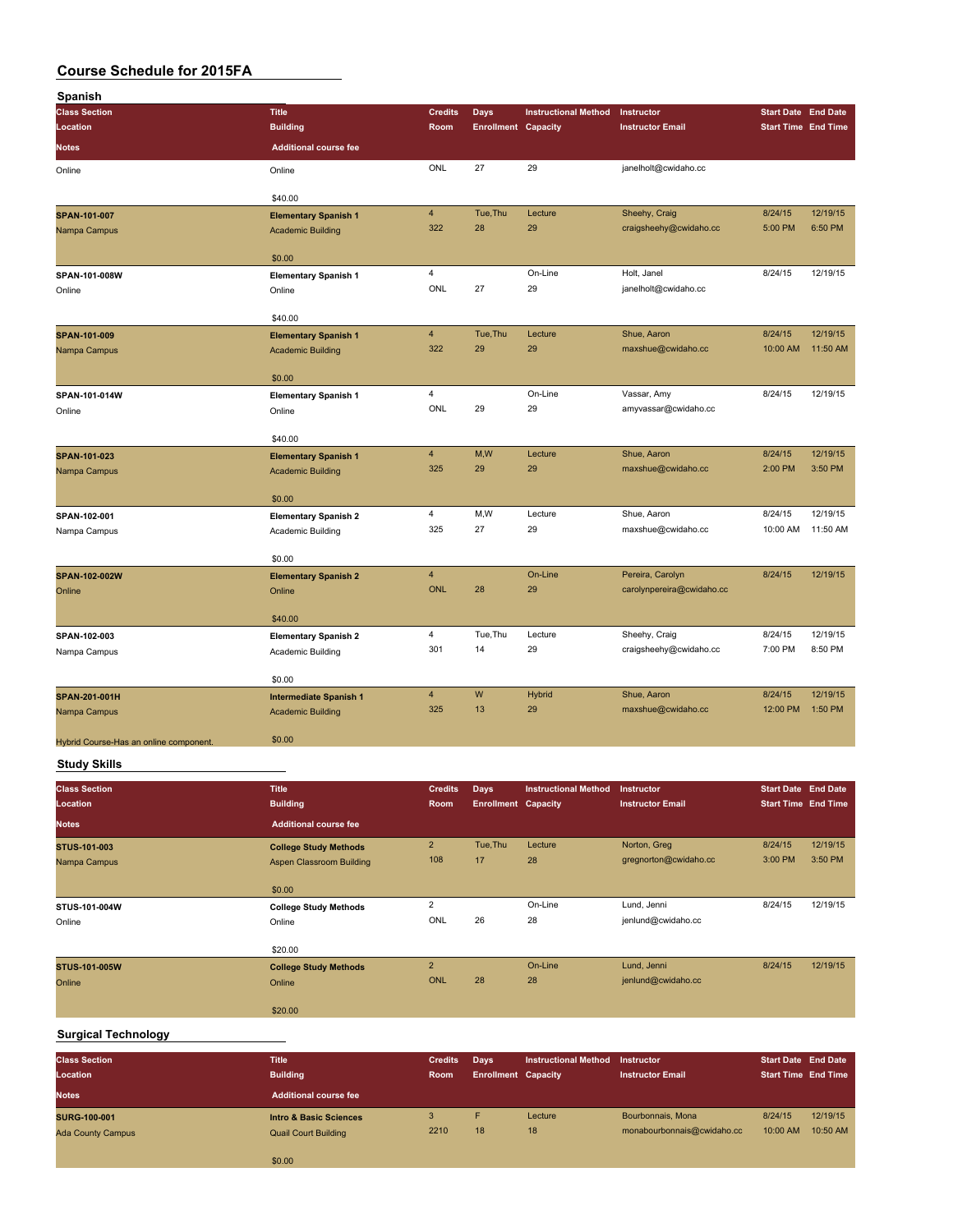| Spanish                                |                               |                         |                            |                             |                           |                            |          |
|----------------------------------------|-------------------------------|-------------------------|----------------------------|-----------------------------|---------------------------|----------------------------|----------|
| <b>Class Section</b>                   | <b>Title</b>                  | <b>Credits</b>          | <b>Days</b>                | <b>Instructional Method</b> | Instructor                | <b>Start Date End Date</b> |          |
| Location                               | <b>Building</b>               | Room                    | <b>Enrollment Capacity</b> |                             | <b>Instructor Email</b>   | <b>Start Time End Time</b> |          |
| <b>Notes</b>                           | <b>Additional course fee</b>  |                         |                            |                             |                           |                            |          |
| Online                                 | Online                        | ONL                     | 27                         | 29                          | janelholt@cwidaho.cc      |                            |          |
|                                        | \$40.00                       |                         |                            |                             |                           |                            |          |
| SPAN-101-007                           | <b>Elementary Spanish 1</b>   | $\overline{4}$          | Tue, Thu                   | Lecture                     | Sheehy, Craig             | 8/24/15                    | 12/19/15 |
| Nampa Campus                           | <b>Academic Building</b>      | 322                     | 28                         | 29                          | craigsheehy@cwidaho.cc    | 5:00 PM                    | 6:50 PM  |
|                                        | \$0.00                        |                         |                            |                             |                           |                            |          |
| SPAN-101-008W                          | <b>Elementary Spanish 1</b>   | $\overline{4}$          |                            | On-Line                     | Holt, Janel               | 8/24/15                    | 12/19/15 |
| Online                                 | Online                        | ONL                     | 27                         | 29                          | janelholt@cwidaho.cc      |                            |          |
|                                        | \$40.00                       |                         |                            |                             |                           |                            |          |
| SPAN-101-009                           | <b>Elementary Spanish 1</b>   | $\overline{4}$          | Tue, Thu                   | Lecture                     | Shue, Aaron               | 8/24/15                    | 12/19/15 |
| Nampa Campus                           | <b>Academic Building</b>      | 322                     | 29                         | 29                          | maxshue@cwidaho.cc        | 10:00 AM                   | 11:50 AM |
|                                        | \$0.00                        |                         |                            |                             |                           |                            |          |
| SPAN-101-014W                          | <b>Elementary Spanish 1</b>   | $\overline{\mathbf{4}}$ |                            | On-Line                     | Vassar, Amy               | 8/24/15                    | 12/19/15 |
| Online                                 | Online                        | ONL                     | 29                         | 29                          | amyvassar@cwidaho.cc      |                            |          |
|                                        | \$40.00                       |                         |                            |                             |                           |                            |          |
| SPAN-101-023                           | <b>Elementary Spanish 1</b>   | $\overline{4}$          | M,W                        | Lecture                     | Shue, Aaron               | 8/24/15                    | 12/19/15 |
| Nampa Campus                           | <b>Academic Building</b>      | 325                     | 29                         | 29                          | maxshue@cwidaho.cc        | 2:00 PM                    | 3:50 PM  |
|                                        | \$0.00                        |                         |                            |                             |                           |                            |          |
| SPAN-102-001                           | <b>Elementary Spanish 2</b>   | $\overline{4}$          | M,W                        | Lecture                     | Shue, Aaron               | 8/24/15                    | 12/19/15 |
| Nampa Campus                           | Academic Building             | 325                     | 27                         | 29                          | maxshue@cwidaho.cc        | 10:00 AM                   | 11:50 AM |
|                                        | \$0.00                        |                         |                            |                             |                           |                            |          |
| SPAN-102-002W                          | <b>Elementary Spanish 2</b>   | $\overline{4}$          |                            | On-Line                     | Pereira, Carolyn          | 8/24/15                    | 12/19/15 |
| Online                                 | Online                        | ONL                     | 28                         | 29                          | carolynpereira@cwidaho.cc |                            |          |
|                                        | \$40.00                       |                         |                            |                             |                           |                            |          |
| SPAN-102-003                           | <b>Elementary Spanish 2</b>   | $\overline{4}$          | Tue, Thu                   | Lecture                     | Sheehy, Craig             | 8/24/15                    | 12/19/15 |
| Nampa Campus                           | Academic Building             | 301                     | 14                         | 29                          | craigsheehy@cwidaho.cc    | 7:00 PM                    | 8:50 PM  |
|                                        | \$0.00                        |                         |                            |                             |                           |                            |          |
| SPAN-201-001H                          | <b>Intermediate Spanish 1</b> | $\overline{4}$          | W                          | Hybrid                      | Shue, Aaron               | 8/24/15                    | 12/19/15 |
| Nampa Campus                           | <b>Academic Building</b>      | 325                     | 13                         | 29                          | maxshue@cwidaho.cc        | 12:00 PM                   | 1:50 PM  |
| Hybrid Course-Has an online component. | \$0.00                        |                         |                            |                             |                           |                            |          |
| <b>Study Skills</b>                    |                               |                         |                            |                             |                           |                            |          |
| <b>Class Section</b>                   | <b>Title</b>                  | <b>Credits</b>          | <b>Days</b>                | <b>Instructional Method</b> | Instructor                | <b>Start Date End Date</b> |          |
| Location                               | <b>Building</b>               | Room                    | <b>Enrollment Capacity</b> |                             | <b>Instructor Email</b>   | <b>Start Time End Time</b> |          |
| <b>Notes</b>                           | <b>Additional course fee</b>  |                         |                            |                             |                           |                            |          |

| <b>Notes</b>         | <b>Additional course fee</b>    |                |          |         |                       |         |          |
|----------------------|---------------------------------|----------------|----------|---------|-----------------------|---------|----------|
| <b>STUS-101-003</b>  | <b>College Study Methods</b>    | $\overline{2}$ | Tue, Thu | Lecture | Norton, Greg          | 8/24/15 | 12/19/15 |
| Nampa Campus         | <b>Aspen Classroom Building</b> | 108            | 17       | 28      | gregnorton@cwidaho.cc | 3:00 PM | 3:50 PM  |
|                      | \$0.00                          |                |          |         |                       |         |          |
| STUS-101-004W        | <b>College Study Methods</b>    | $\overline{2}$ |          | On-Line | Lund, Jenni           | 8/24/15 | 12/19/15 |
| Online               | Online                          | ONL            | 26       | 28      | jenlund@cwidaho.cc    |         |          |
|                      | \$20.00                         |                |          |         |                       |         |          |
| <b>STUS-101-005W</b> | <b>College Study Methods</b>    | $\overline{2}$ |          | On-Line | Lund, Jenni           | 8/24/15 | 12/19/15 |
| Online               | Online                          | <b>ONL</b>     | 28       | 28      | jenlund@cwidaho.cc    |         |          |
|                      | \$20.00                         |                |          |         |                       |         |          |

### **Surgical Technology**

| <b>Class Section</b><br>Location<br><b>Notes</b> | <b>Title</b><br><b>Building</b><br><b>Additional course fee</b>  | <b>Credits</b><br>Room | Days<br><b>Enrollment Capacity</b> | Instructional Method | <b>Instructor</b><br><b>Instructor Email</b>    | <b>Start Date End Date</b><br><b>Start Time End Time</b> |                      |
|--------------------------------------------------|------------------------------------------------------------------|------------------------|------------------------------------|----------------------|-------------------------------------------------|----------------------------------------------------------|----------------------|
| <b>SURG-100-001</b><br><b>Ada County Campus</b>  | <b>Intro &amp; Basic Sciences</b><br><b>Quail Court Building</b> | 3<br>2210              | Е<br>18                            | Lecture<br>18        | Bourbonnais, Mona<br>monabourbonnais@cwidaho.cc | 8/24/15<br>10:00 AM                                      | 12/19/15<br>10:50 AM |
|                                                  | \$0.00                                                           |                        |                                    |                      |                                                 |                                                          |                      |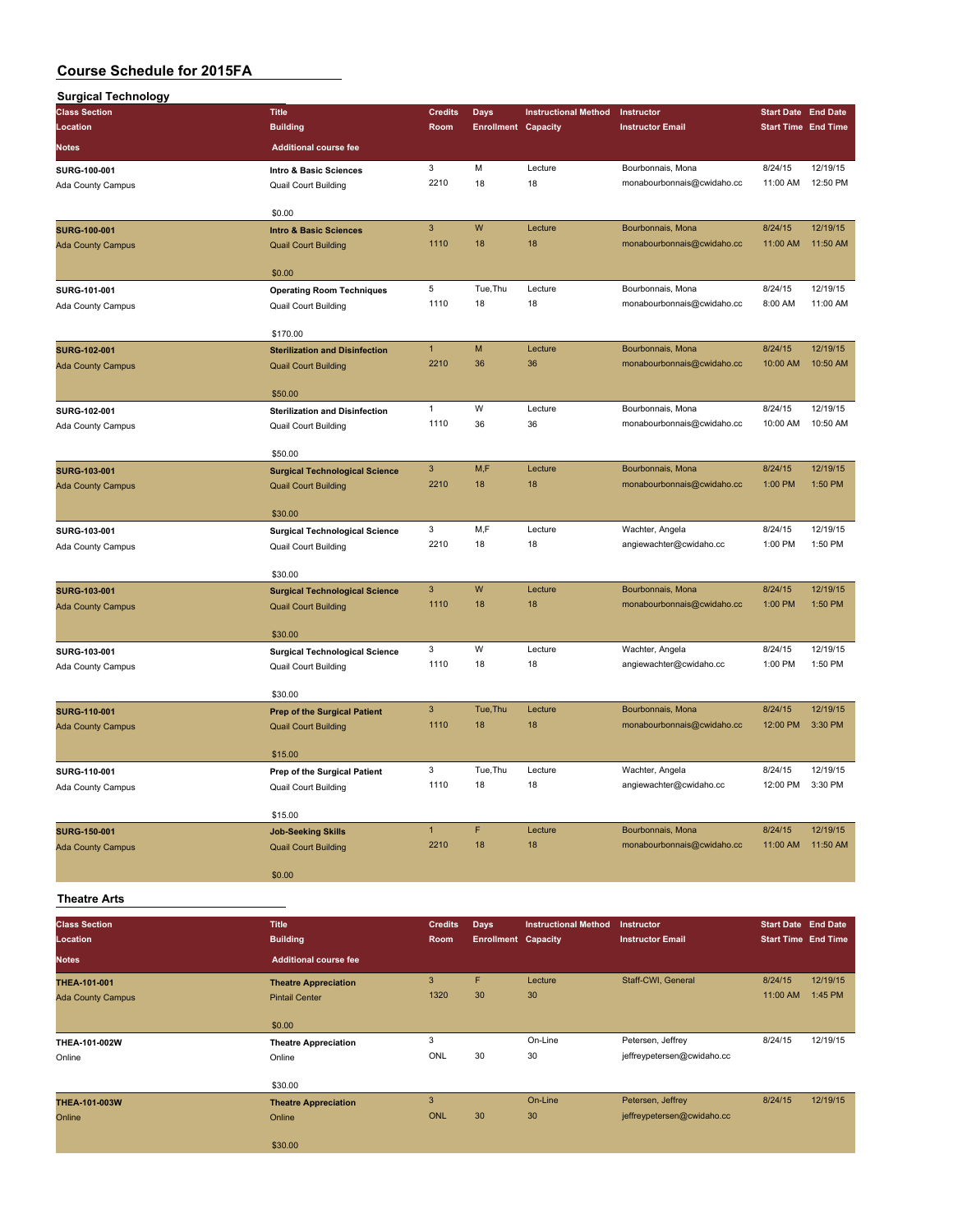| <b>Surgical Technology</b>                      |                                                                      |                |                            |                             |                                                 |                            |                      |
|-------------------------------------------------|----------------------------------------------------------------------|----------------|----------------------------|-----------------------------|-------------------------------------------------|----------------------------|----------------------|
| <b>Class Section</b>                            | <b>Title</b>                                                         | <b>Credits</b> | <b>Days</b>                | <b>Instructional Method</b> | Instructor                                      | <b>Start Date End Date</b> |                      |
| Location                                        | <b>Building</b>                                                      | Room           | <b>Enrollment Capacity</b> |                             | <b>Instructor Email</b>                         | <b>Start Time End Time</b> |                      |
| <b>Notes</b>                                    | <b>Additional course fee</b>                                         |                |                            |                             |                                                 |                            |                      |
| SURG-100-001                                    | Intro & Basic Sciences                                               | 3              | M                          | Lecture                     | Bourbonnais, Mona                               | 8/24/15                    | 12/19/15             |
| Ada County Campus                               | <b>Quail Court Building</b>                                          | 2210           | 18                         | 18                          | monabourbonnais@cwidaho.cc                      | 11:00 AM                   | 12:50 PM             |
|                                                 | \$0.00                                                               |                |                            |                             |                                                 |                            |                      |
| <b>SURG-100-001</b>                             | <b>Intro &amp; Basic Sciences</b>                                    | 3              | W                          | Lecture                     | Bourbonnais, Mona                               | 8/24/15                    | 12/19/15             |
| <b>Ada County Campus</b>                        | <b>Quail Court Building</b>                                          | 1110           | 18                         | 18                          | monabourbonnais@cwidaho.cc                      | 11:00 AM                   | 11:50 AM             |
|                                                 | \$0.00                                                               |                |                            |                             |                                                 |                            |                      |
| SURG-101-001                                    | <b>Operating Room Techniques</b>                                     | 5              | Tue, Thu                   | Lecture                     | Bourbonnais, Mona                               | 8/24/15                    | 12/19/15             |
| Ada County Campus                               | Quail Court Building                                                 | 1110           | 18                         | 18                          | monabourbonnais@cwidaho.cc                      | 8:00 AM                    | 11:00 AM             |
|                                                 |                                                                      |                |                            |                             |                                                 |                            |                      |
|                                                 | \$170.00                                                             | $\mathbf{1}$   | M                          | Lecture                     | Bourbonnais, Mona                               | 8/24/15                    | 12/19/15             |
| <b>SURG-102-001</b><br><b>Ada County Campus</b> | <b>Sterilization and Disinfection</b><br><b>Quail Court Building</b> | 2210           | 36                         | 36                          | monabourbonnais@cwidaho.cc                      | 10:00 AM                   | 10:50 AM             |
|                                                 |                                                                      |                |                            |                             |                                                 |                            |                      |
|                                                 | \$50.00                                                              |                |                            |                             |                                                 |                            |                      |
| SURG-102-001                                    | <b>Sterilization and Disinfection</b>                                | 1<br>1110      | W<br>36                    | Lecture<br>36               | Bourbonnais, Mona<br>monabourbonnais@cwidaho.cc | 8/24/15<br>10:00 AM        | 12/19/15<br>10:50 AM |
| Ada County Campus                               | <b>Quail Court Building</b>                                          |                |                            |                             |                                                 |                            |                      |
|                                                 | \$50.00                                                              |                |                            |                             |                                                 |                            |                      |
| <b>SURG-103-001</b>                             | <b>Surgical Technological Science</b>                                | 3              | M,F                        | Lecture                     | Bourbonnais, Mona                               | 8/24/15                    | 12/19/15             |
| <b>Ada County Campus</b>                        | <b>Quail Court Building</b>                                          | 2210           | 18                         | 18                          | monabourbonnais@cwidaho.cc                      | 1:00 PM                    | 1:50 PM              |
|                                                 | \$30.00                                                              |                |                            |                             |                                                 |                            |                      |
| SURG-103-001                                    | <b>Surgical Technological Science</b>                                | 3              | M,F                        | Lecture                     | Wachter, Angela                                 | 8/24/15                    | 12/19/15             |
| Ada County Campus                               | <b>Quail Court Building</b>                                          | 2210           | 18                         | 18                          | angiewachter@cwidaho.cc                         | 1:00 PM                    | 1:50 PM              |
|                                                 | \$30.00                                                              |                |                            |                             |                                                 |                            |                      |
| <b>SURG-103-001</b>                             | <b>Surgical Technological Science</b>                                | 3              | W                          | Lecture                     | Bourbonnais, Mona                               | 8/24/15                    | 12/19/15             |
| <b>Ada County Campus</b>                        | <b>Quail Court Building</b>                                          | 1110           | 18                         | 18                          | monabourbonnais@cwidaho.cc                      | 1:00 PM                    | 1:50 PM              |
|                                                 |                                                                      |                |                            |                             |                                                 |                            |                      |
|                                                 | \$30.00                                                              | 3              | W                          | Lecture                     | Wachter, Angela                                 | 8/24/15                    | 12/19/15             |
| SURG-103-001<br>Ada County Campus               | <b>Surgical Technological Science</b><br>Quail Court Building        | 1110           | 18                         | 18                          | angiewachter@cwidaho.cc                         | 1:00 PM                    | 1:50 PM              |
|                                                 |                                                                      |                |                            |                             |                                                 |                            |                      |
|                                                 | \$30.00                                                              |                |                            |                             |                                                 |                            |                      |
| <b>SURG-110-001</b><br><b>Ada County Campus</b> | <b>Prep of the Surgical Patient</b><br><b>Quail Court Building</b>   | 3<br>1110      | Tue, Thu<br>18             | Lecture<br>18               | Bourbonnais, Mona<br>monabourbonnais@cwidaho.cc | 8/24/15<br>12:00 PM        | 12/19/15<br>3:30 PM  |
|                                                 |                                                                      |                |                            |                             |                                                 |                            |                      |
|                                                 | \$15.00                                                              |                |                            |                             |                                                 |                            |                      |
| SURG-110-001                                    | Prep of the Surgical Patient                                         | 3              | Tue, Thu                   | Lecture                     | Wachter, Angela                                 | 8/24/15                    | 12/19/15             |
| Ada County Campus                               | Quail Court Building                                                 | 1110           | 18                         | 18                          | angiewachter@cwidaho.cc                         | 12:00 PM 3:30 PM           |                      |
|                                                 | \$15.00                                                              |                |                            |                             |                                                 |                            |                      |
| <b>SURG-150-001</b>                             | <b>Job-Seeking Skills</b>                                            | $\mathbf{1}$   | F                          | Lecture                     | Bourbonnais, Mona                               | 8/24/15                    | 12/19/15             |
| <b>Ada County Campus</b>                        | <b>Quail Court Building</b>                                          | 2210           | 18                         | 18                          | monabourbonnais@cwidaho.cc                      | 11:00 AM                   | 11:50 AM             |
|                                                 | \$0.00                                                               |                |                            |                             |                                                 |                            |                      |
| <b>Theatre Arts</b>                             |                                                                      |                |                            |                             |                                                 |                            |                      |
|                                                 |                                                                      |                |                            |                             |                                                 |                            |                      |
| <b>Class Section</b>                            | <b>Title</b>                                                         | <b>Credits</b> | <b>Days</b>                | <b>Instructional Method</b> | Instructor                                      | <b>Start Date End Date</b> |                      |
| Location                                        | <b>Building</b>                                                      | Room           | <b>Enrollment Capacity</b> |                             | <b>Instructor Email</b>                         | <b>Start Time End Time</b> |                      |
| <b>Notes</b>                                    | <b>Additional course fee</b>                                         |                |                            |                             |                                                 |                            |                      |
| THEA-101-001                                    | <b>Theatre Appreciation</b>                                          | 3              | F                          | Lecture                     | Staff-CWI, General                              | 8/24/15                    | 12/19/15             |
| <b>Ada County Campus</b>                        | <b>Pintail Center</b>                                                | 1320           | 30                         | 30                          |                                                 | 11:00 AM                   | 1:45 PM              |
|                                                 | \$0.00                                                               |                |                            |                             |                                                 |                            |                      |
| THEA-101-002W                                   | <b>Theatre Appreciation</b>                                          | 3              |                            | On-Line                     | Petersen, Jeffrey                               | 8/24/15                    | 12/19/15             |
| Online                                          | Online                                                               | ONL            | 30                         | 30                          | jeffreypetersen@cwidaho.cc                      |                            |                      |
|                                                 | \$30.00                                                              |                |                            |                             |                                                 |                            |                      |
| THEA-101-003W                                   | <b>Theatre Appreciation</b>                                          | $\mathbf{3}$   |                            | On-Line                     | Petersen, Jeffrey                               | 8/24/15                    | 12/19/15             |
| Online                                          | Online                                                               | <b>ONL</b>     | 30                         | 30                          | jeffreypetersen@cwidaho.cc                      |                            |                      |
|                                                 | \$30.00                                                              |                |                            |                             |                                                 |                            |                      |
|                                                 |                                                                      |                |                            |                             |                                                 |                            |                      |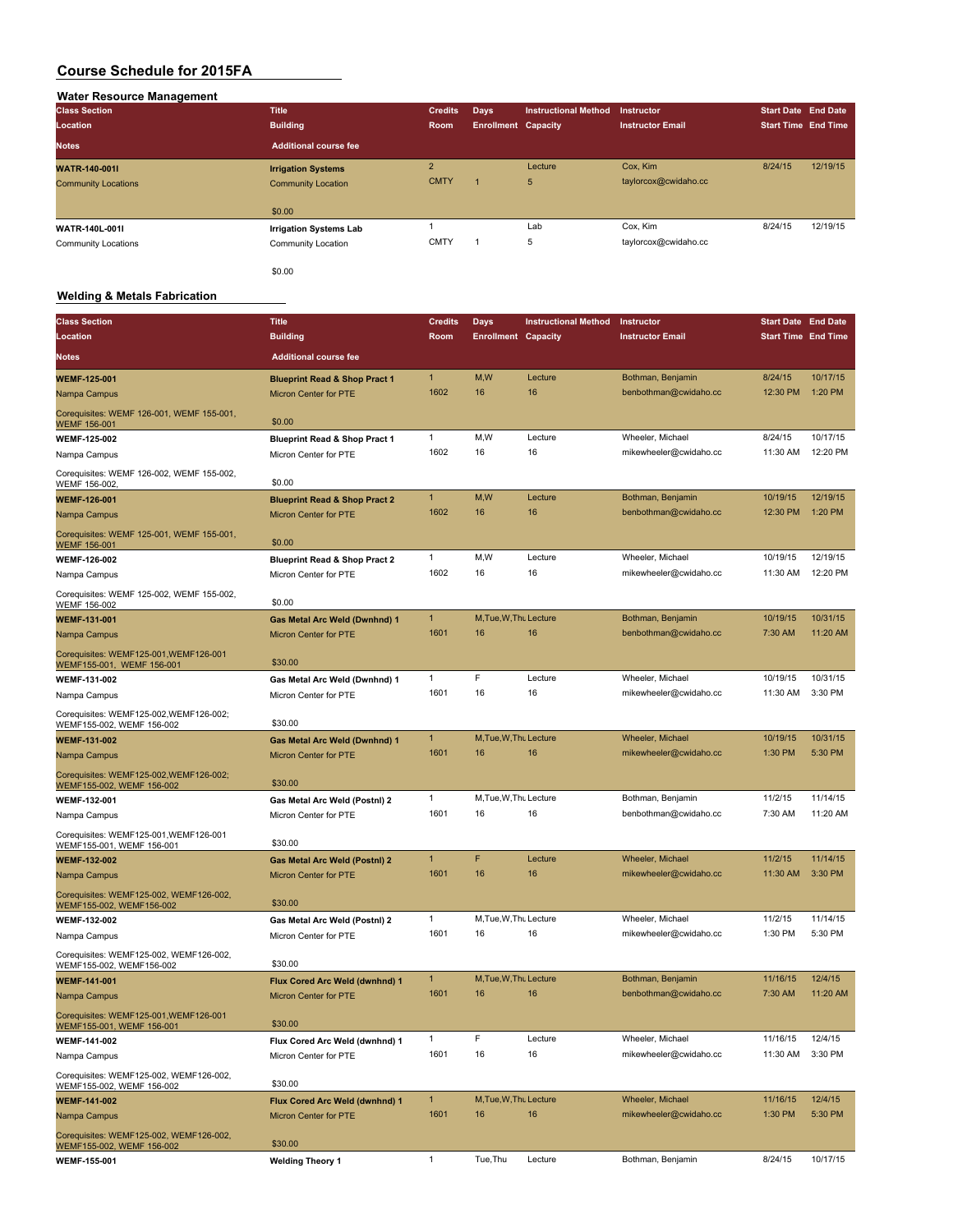| Water Resource Management  |                               |                |                            |                             |                         |                            |          |
|----------------------------|-------------------------------|----------------|----------------------------|-----------------------------|-------------------------|----------------------------|----------|
| <b>Class Section</b>       | <b>Title</b>                  | <b>Credits</b> | <b>Days</b>                | <b>Instructional Method</b> | <b>Instructor</b>       | <b>Start Date End Date</b> |          |
| Location                   | <b>Building</b>               | Room           | <b>Enrollment Capacity</b> |                             | <b>Instructor Email</b> | <b>Start Time End Time</b> |          |
| <b>Notes</b>               | <b>Additional course fee</b>  |                |                            |                             |                         |                            |          |
| <b>WATR-140-001L</b>       | <b>Irrigation Systems</b>     | $\overline{2}$ |                            | Lecture                     | Cox, Kim                | 8/24/15                    | 12/19/15 |
| <b>Community Locations</b> | <b>Community Location</b>     | <b>CMTY</b>    |                            | 5                           | taylorcox@cwidaho.cc    |                            |          |
|                            | \$0.00                        |                |                            |                             |                         |                            |          |
| <b>WATR-140L-001I</b>      | <b>Irrigation Systems Lab</b> |                |                            | Lab                         | Cox, Kim                | 8/24/15                    | 12/19/15 |
| <b>Community Locations</b> | Community Location            | <b>CMTY</b>    |                            | 5                           | taylorcox@cwidaho.cc    |                            |          |
|                            | \$0.00                        |                |                            |                             |                         |                            |          |

#### **Welding & Metals Fabrication**

| <b>Class Section</b>                                                 | <b>Title</b>                             | <b>Credits</b> | Days                       | <b>Instructional Method</b> | Instructor              | <b>Start Date End Date</b> |          |
|----------------------------------------------------------------------|------------------------------------------|----------------|----------------------------|-----------------------------|-------------------------|----------------------------|----------|
| Location                                                             | <b>Building</b>                          | Room           | <b>Enrollment Capacity</b> |                             | <b>Instructor Email</b> | <b>Start Time End Time</b> |          |
| Notes                                                                | <b>Additional course fee</b>             |                |                            |                             |                         |                            |          |
| <b>WEMF-125-001</b>                                                  | <b>Blueprint Read &amp; Shop Pract 1</b> | $\mathbf{1}$   | M,W                        | Lecture                     | Bothman, Benjamin       | 8/24/15                    | 10/17/15 |
| Nampa Campus                                                         | <b>Micron Center for PTE</b>             | 1602           | 16                         | 16                          | benbothman@cwidaho.cc   | 12:30 PM                   | 1:20 PM  |
| Corequisites: WEMF 126-001, WEMF 155-001,<br>WEMF 156-001            | \$0.00                                   |                |                            |                             |                         |                            |          |
| WEMF-125-002                                                         | <b>Blueprint Read &amp; Shop Pract 1</b> | 1              | M,W                        | Lecture                     | Wheeler, Michael        | 8/24/15                    | 10/17/15 |
| Nampa Campus                                                         | Micron Center for PTE                    | 1602           | 16                         | 16                          | mikewheeler@cwidaho.cc  | 11:30 AM                   | 12:20 PM |
| Corequisites: WEMF 126-002, WEMF 155-002,<br>WEMF 156-002            | \$0.00                                   |                |                            |                             |                         |                            |          |
| <b>WEMF-126-001</b>                                                  | <b>Blueprint Read &amp; Shop Pract 2</b> | $\mathbf{1}$   | M, W                       | Lecture                     | Bothman, Benjamin       | 10/19/15                   | 12/19/15 |
| Nampa Campus                                                         | Micron Center for PTE                    | 1602           | 16                         | 16                          | benbothman@cwidaho.cc   | 12:30 PM                   | 1:20 PM  |
| Corequisites: WEMF 125-001, WEMF 155-001,<br>WEMF 156-001            | \$0.00                                   |                |                            |                             |                         |                            |          |
| <b>WEMF-126-002</b>                                                  | <b>Blueprint Read &amp; Shop Pract 2</b> | 1              | M,W                        | Lecture                     | Wheeler, Michael        | 10/19/15                   | 12/19/15 |
| Nampa Campus                                                         | Micron Center for PTE                    | 1602           | 16                         | 16                          | mikewheeler@cwidaho.cc  | 11:30 AM                   | 12:20 PM |
| Corequisites: WEMF 125-002, WEMF 155-002,<br>WEMF 156-002            | \$0.00                                   |                |                            |                             |                         |                            |          |
| <b>WEMF-131-001</b>                                                  | Gas Metal Arc Weld (Dwnhnd) 1            | $\mathbf{1}$   | M, Tue, W, Thu Lecture     |                             | Bothman, Benjamin       | 10/19/15                   | 10/31/15 |
| Nampa Campus                                                         | <b>Micron Center for PTE</b>             | 1601           | 16                         | 16                          | benbothman@cwidaho.cc   | 7:30 AM                    | 11:20 AM |
| Corequisites: WEMF125-001, WEMF126-001<br>WEMF155-001, WEMF 156-001  | \$30.00                                  |                |                            |                             |                         |                            |          |
| WEMF-131-002                                                         | Gas Metal Arc Weld (Dwnhnd) 1            | $\mathbf{1}$   | F                          | Lecture                     | Wheeler, Michael        | 10/19/15                   | 10/31/15 |
| Nampa Campus                                                         | Micron Center for PTE                    | 1601           | 16                         | 16                          | mikewheeler@cwidaho.cc  | 11:30 AM                   | 3:30 PM  |
| Corequisites: WEMF125-002,WEMF126-002;<br>WEMF155-002, WEMF 156-002  | \$30.00                                  |                |                            |                             |                         |                            |          |
| <b>WEMF-131-002</b>                                                  | Gas Metal Arc Weld (Dwnhnd) 1            | 1              | M, Tue, W, Thu Lecture     |                             | Wheeler, Michael        | 10/19/15                   | 10/31/15 |
| Nampa Campus                                                         | <b>Micron Center for PTE</b>             | 1601           | 16                         | 16                          | mikewheeler@cwidaho.cc  | 1:30 PM                    | 5:30 PM  |
| Corequisites: WEMF125-002, WEMF126-002;<br>WEMF155-002, WEMF 156-002 | \$30.00                                  |                |                            |                             |                         |                            |          |
| WEMF-132-001                                                         | Gas Metal Arc Weld (Postnl) 2            | $\mathbf{1}$   | M.Tue, W.Thu Lecture       |                             | Bothman, Benjamin       | 11/2/15                    | 11/14/15 |
| Nampa Campus                                                         | Micron Center for PTE                    | 1601           | 16                         | 16                          | benbothman@cwidaho.cc   | 7:30 AM                    | 11:20 AM |
| Corequisites: WEMF125-001, WEMF126-001<br>WEMF155-001, WEMF 156-001  | \$30.00                                  |                |                            |                             |                         |                            |          |
| <b>WEMF-132-002</b>                                                  | <b>Gas Metal Arc Weld (Postnl) 2</b>     | $\mathbf{1}$   | F                          | Lecture                     | Wheeler, Michael        | 11/2/15                    | 11/14/15 |
| Nampa Campus                                                         | Micron Center for PTE                    | 1601           | 16                         | 16                          | mikewheeler@cwidaho.cc  | 11:30 AM                   | 3:30 PM  |
| Corequisites: WEMF125-002, WEMF126-002,<br>WEMF155-002, WEMF156-002  | \$30.00                                  |                |                            |                             |                         |                            |          |
| WEMF-132-002                                                         | Gas Metal Arc Weld (Postnl) 2            | $\mathbf{1}$   | M, Tue, W, Thu Lecture     |                             | Wheeler, Michael        | 11/2/15                    | 11/14/15 |
| Nampa Campus                                                         | Micron Center for PTE                    | 1601           | 16                         | 16                          | mikewheeler@cwidaho.cc  | 1:30 PM                    | 5:30 PM  |
| Corequisites: WEMF125-002, WEMF126-002,<br>WEMF155-002, WEMF156-002  | \$30.00                                  |                |                            |                             |                         |                            |          |
| <b>WEMF-141-001</b>                                                  | Flux Cored Arc Weld (dwnhnd) 1           | 1              | M, Tue, W, Thu Lecture     |                             | Bothman, Benjamin       | 11/16/15                   | 12/4/15  |
| Nampa Campus                                                         | <b>Micron Center for PTE</b>             | 1601           | 16                         | 16                          | benbothman@cwidaho.cc   | 7:30 AM                    | 11:20 AM |
| Corequisites: WEMF125-001, WEMF126-001<br>WEMF155-001, WEMF 156-001  | \$30.00                                  |                |                            |                             |                         |                            |          |
| <b>WEMF-141-002</b>                                                  | Flux Cored Arc Weld (dwnhnd) 1           | 1              | F                          | Lecture                     | Wheeler, Michael        | 11/16/15                   | 12/4/15  |
| Nampa Campus                                                         | Micron Center for PTE                    | 1601           | 16                         | 16                          | mikewheeler@cwidaho.cc  | 11:30 AM                   | 3:30 PM  |
| Corequisites: WEMF125-002, WEMF126-002,<br>WEMF155-002, WEMF 156-002 | \$30.00                                  |                |                            |                             |                         |                            |          |
| <b>WEMF-141-002</b>                                                  | Flux Cored Arc Weld (dwnhnd) 1           | $\mathbf{1}$   | M, Tue, W, Thu Lecture     |                             | Wheeler, Michael        | 11/16/15                   | 12/4/15  |
| Nampa Campus                                                         | Micron Center for PTE                    | 1601           | 16                         | 16                          | mikewheeler@cwidaho.cc  | 1:30 PM                    | 5:30 PM  |
| Corequisites: WEMF125-002, WEMF126-002,<br>WEMF155-002, WEMF 156-002 | \$30.00                                  |                |                            |                             |                         |                            |          |
| WEMF-155-001                                                         | <b>Welding Theory 1</b>                  | $\mathbf{1}$   | Tue, Thu                   | Lecture                     | Bothman, Benjamin       | 8/24/15                    | 10/17/15 |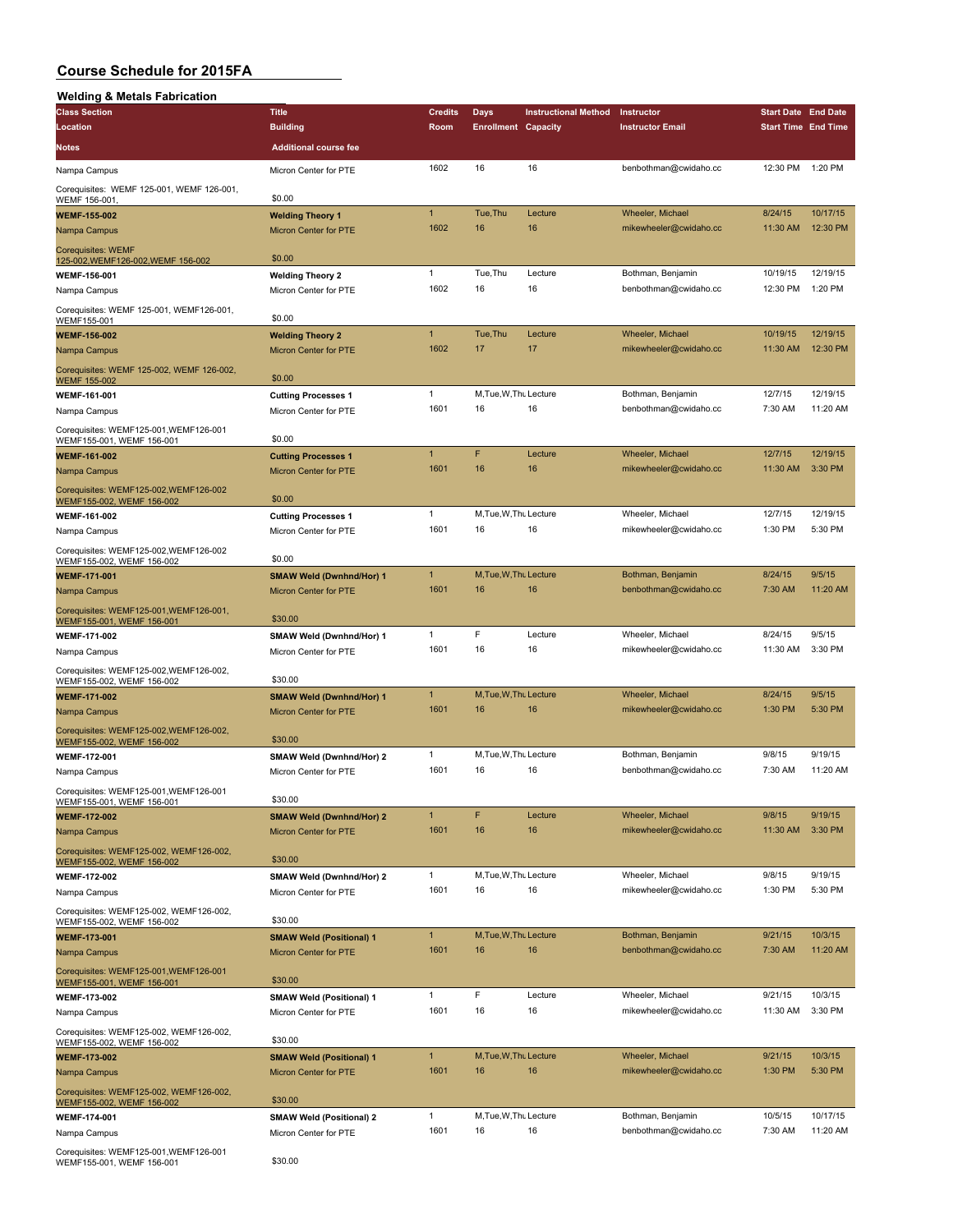| <b>Welding &amp; Metals Fabrication</b>                                    |                                 |                |                            |                             |                         |                            |          |
|----------------------------------------------------------------------------|---------------------------------|----------------|----------------------------|-----------------------------|-------------------------|----------------------------|----------|
| <b>Class Section</b>                                                       | <b>Title</b>                    | <b>Credits</b> | Days                       | <b>Instructional Method</b> | Instructor              | <b>Start Date End Date</b> |          |
| Location                                                                   | <b>Building</b>                 | Room           | <b>Enrollment Capacity</b> |                             | <b>Instructor Email</b> | <b>Start Time End Time</b> |          |
| Notes                                                                      | <b>Additional course fee</b>    |                |                            |                             |                         |                            |          |
| Nampa Campus                                                               | Micron Center for PTE           | 1602           | 16                         | 16                          | benbothman@cwidaho.cc   | 12:30 PM                   | 1:20 PM  |
| Corequisites: WEMF 125-001, WEMF 126-001,<br>WEMF 156-001                  | \$0.00                          |                |                            |                             |                         |                            |          |
| <b>WEMF-155-002</b>                                                        | <b>Welding Theory 1</b>         | $\mathbf{1}$   | Tue, Thu                   | Lecture                     | Wheeler, Michael        | 8/24/15                    | 10/17/15 |
| Nampa Campus                                                               | <b>Micron Center for PTE</b>    | 1602           | 16                         | 16                          | mikewheeler@cwidaho.cc  | 11:30 AM                   | 12:30 PM |
| <b>Corequisites: WEMF</b><br>125-002, WEMF126-002, WEMF 156-002            | \$0.00                          |                |                            |                             |                         |                            |          |
| WEMF-156-001                                                               | <b>Welding Theory 2</b>         | $\mathbf{1}$   | Tue, Thu                   | Lecture                     | Bothman, Benjamin       | 10/19/15                   | 12/19/15 |
| Nampa Campus                                                               | Micron Center for PTE           | 1602           | 16                         | 16                          | benbothman@cwidaho.cc   | 12:30 PM                   | 1:20 PM  |
| Corequisites: WEMF 125-001, WEMF126-001,<br>WEMF155-001                    | \$0.00                          |                |                            |                             |                         |                            |          |
| <b>WEMF-156-002</b>                                                        | <b>Welding Theory 2</b>         | $\mathbf{1}$   | Tue, Thu                   | Lecture                     | Wheeler, Michael        | 10/19/15                   | 12/19/15 |
| Nampa Campus                                                               | Micron Center for PTE           | 1602           | 17                         | 17                          | mikewheeler@cwidaho.cc  | 11:30 AM                   | 12:30 PM |
| Corequisites: WEMF 125-002, WEMF 126-002,<br><b>WEMF 155-002</b>           | \$0.00                          |                |                            |                             |                         |                            |          |
| <b>WEMF-161-001</b>                                                        | <b>Cutting Processes 1</b>      | 1              | M, Tue, W, Thu Lecture     |                             | Bothman, Benjamin       | 12/7/15                    | 12/19/15 |
| Nampa Campus                                                               | Micron Center for PTE           | 1601           | 16                         | 16                          | benbothman@cwidaho.cc   | 7:30 AM                    | 11:20 AM |
| Corequisites: WEMF125-001, WEMF126-001<br>WEMF155-001, WEMF 156-001        | \$0.00                          |                |                            |                             |                         |                            |          |
| <b>WEMF-161-002</b>                                                        | <b>Cutting Processes 1</b>      | $\overline{1}$ | F                          | Lecture                     | Wheeler, Michael        | 12/7/15                    | 12/19/15 |
| Nampa Campus                                                               | Micron Center for PTE           | 1601           | 16                         | 16                          | mikewheeler@cwidaho.cc  | 11:30 AM                   | 3:30 PM  |
| Corequisites: WEMF125-002, WEMF126-002<br>WEMF155-002, WEMF 156-002        | \$0.00                          |                |                            |                             |                         |                            |          |
| <b>WEMF-161-002</b>                                                        | <b>Cutting Processes 1</b>      | $\mathbf{1}$   | M, Tue, W, Thu Lecture     |                             | Wheeler, Michael        | 12/7/15                    | 12/19/15 |
| Nampa Campus                                                               | Micron Center for PTE           | 1601           | 16                         | 16                          | mikewheeler@cwidaho.cc  | 1:30 PM                    | 5:30 PM  |
| Corequisites: WEMF125-002, WEMF126-002<br>WEMF155-002, WEMF 156-002        | \$0.00                          |                |                            |                             |                         |                            |          |
| WEMF-171-001                                                               | <b>SMAW Weld (Dwnhnd/Hor) 1</b> | $\mathbf{1}$   | M, Tue, W, Thu Lecture     |                             | Bothman, Benjamin       | 8/24/15                    | 9/5/15   |
| Nampa Campus                                                               | Micron Center for PTE           | 1601           | 16                         | 16                          | benbothman@cwidaho.cc   | 7:30 AM                    | 11:20 AM |
| Corequisites: WEMF125-001, WEMF126-001,<br>WEMF155-001, WEMF 156-001       | \$30.00                         |                |                            |                             |                         |                            |          |
| <b>WEMF-171-002</b>                                                        | SMAW Weld (Dwnhnd/Hor) 1        | 1              | F                          | Lecture                     | Wheeler, Michael        | 8/24/15                    | 9/5/15   |
| Nampa Campus                                                               | Micron Center for PTE           | 1601           | 16                         | 16                          | mikewheeler@cwidaho.cc  | 11:30 AM                   | 3:30 PM  |
| Corequisites: WEMF125-002, WEMF126-002,<br>WEMF155-002, WEMF 156-002       | \$30.00                         |                |                            |                             |                         |                            |          |
| <b>WEMF-171-002</b>                                                        | <b>SMAW Weld (Dwnhnd/Hor) 1</b> | $\mathbf{1}$   | M, Tue, W, Thu Lecture     |                             | <b>Wheeler, Michael</b> | 8/24/15                    | 9/5/15   |
| Nampa Campus                                                               | Micron Center for PTE           | 1601           | 16                         | 16                          | mikewheeler@cwidaho.cc  | 1:30 PM                    | 5:30 PM  |
| Corequisites: WEMF125-002, WEMF126-002,<br>WEMF155-002, WEMF 156-002       | \$30.00                         |                |                            |                             |                         |                            |          |
| WEMF-172-001                                                               | SMAW Weld (Dwnhnd/Hor) 2        | 1              | M, Tue, W, Thu Lecture     |                             | Bothman, Benjamin       | 9/8/15                     | 9/19/15  |
| Nampa Campus                                                               | Micron Center for PTE           | 1601           | 16                         | 16                          | benbothman@cwidaho.cc   | 7:30 AM                    | 11:20 AM |
| Corequisites: WEMF125-001, WEMF126-001<br><u>WEMF155-001, WEMF 156-001</u> | \$30.00                         |                |                            |                             |                         |                            |          |
| <b>WEMF-172-002</b>                                                        | <b>SMAW Weld (Dwnhnd/Hor) 2</b> | $\mathbf{1}$   | F                          | Lecture                     | Wheeler, Michael        | 9/8/15                     | 9/19/15  |
| Nampa Campus                                                               | Micron Center for PTE           | 1601           | 16                         | 16                          | mikewheeler@cwidaho.cc  | 11:30 AM                   | 3:30 PM  |
| Corequisites: WEMF125-002, WEMF126-002,<br>WEMF155-002, WEMF 156-002       | \$30.00                         |                |                            |                             |                         |                            |          |
| WEMF-172-002                                                               | SMAW Weld (Dwnhnd/Hor) 2        | $\mathbf{1}$   | M, Tue, W, Thu Lecture     |                             | Wheeler, Michael        | 9/8/15                     | 9/19/15  |
| Nampa Campus                                                               | Micron Center for PTE           | 1601           | 16                         | 16                          | mikewheeler@cwidaho.cc  | 1:30 PM                    | 5:30 PM  |
| Corequisites: WEMF125-002, WEMF126-002,<br>WEMF155-002, WEMF 156-002       | \$30.00                         |                |                            |                             |                         |                            |          |
| WEMF-173-001                                                               | <b>SMAW Weld (Positional) 1</b> | $\mathbf{1}$   | M, Tue, W, Thu Lecture     |                             | Bothman, Benjamin       | 9/21/15                    | 10/3/15  |
| Nampa Campus<br>Corequisites: WEMF125-001, WEMF126-001                     | <b>Micron Center for PTE</b>    | 1601           | 16                         | 16                          | benbothman@cwidaho.cc   | 7:30 AM                    | 11:20 AM |
| WEMF155-001, WEMF 156-001                                                  | \$30.00                         |                |                            |                             |                         |                            |          |
| <b>WEMF-173-002</b>                                                        | <b>SMAW Weld (Positional) 1</b> | $\mathbf{1}$   | F                          | Lecture                     | Wheeler, Michael        | 9/21/15                    | 10/3/15  |
| Nampa Campus                                                               | Micron Center for PTE           | 1601           | 16                         | 16                          | mikewheeler@cwidaho.cc  | 11:30 AM                   | 3:30 PM  |
| Corequisites: WEMF125-002, WEMF126-002,<br>WEMF155-002, WEMF 156-002       | \$30.00                         |                |                            |                             |                         |                            |          |
| <b>WEMF-173-002</b>                                                        | <b>SMAW Weld (Positional) 1</b> | $\mathbf{1}$   | M, Tue, W, Thu Lecture     |                             | Wheeler, Michael        | 9/21/15                    | 10/3/15  |
| Nampa Campus                                                               | <b>Micron Center for PTE</b>    | 1601           | 16                         | 16                          | mikewheeler@cwidaho.cc  | 1:30 PM                    | 5:30 PM  |
| Corequisites: WEMF125-002, WEMF126-002,<br>WEMF155-002, WEMF 156-002       | \$30.00                         |                |                            |                             |                         |                            |          |
| <b>WEMF-174-001</b>                                                        | <b>SMAW Weld (Positional) 2</b> | $\mathbf{1}$   | M, Tue, W, Thu Lecture     |                             | Bothman, Benjamin       | 10/5/15                    | 10/17/15 |
| Nampa Campus                                                               | Micron Center for PTE           | 1601           | 16                         | 16                          | benbothman@cwidaho.cc   | 7:30 AM                    | 11:20 AM |

Corequisites: WEMF125-001,WEMF126-001 WEMF155-001, WEMF 156-001 \$30.00